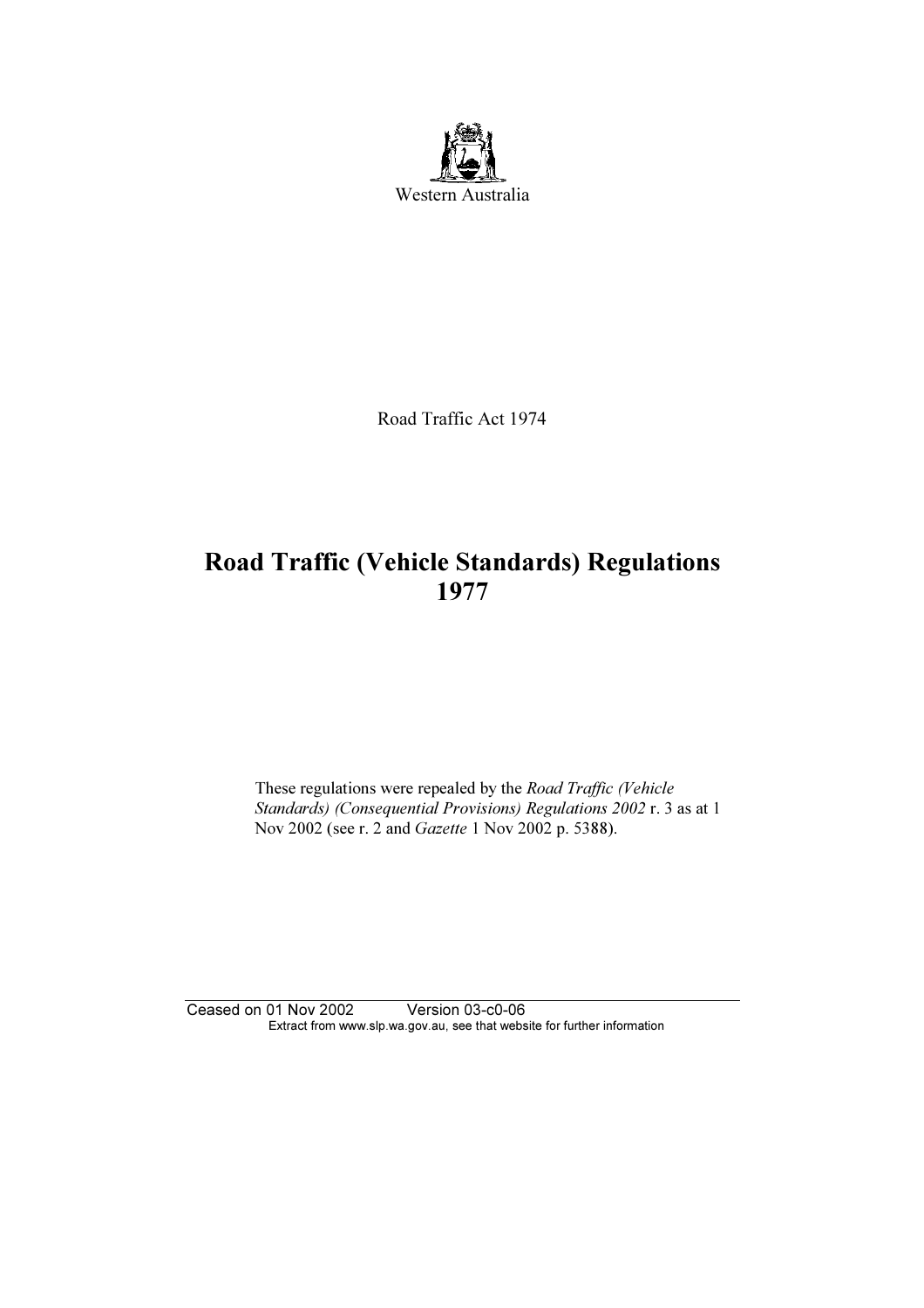

Road Traffic Act 1974

# Road Traffic (Vehicle Standards) Regulations 1977

 These regulations were repealed by the Road Traffic (Vehicle Standards) (Consequential Provisions) Regulations 2002 r. 3 as at 1 Nov 2002 (see r. 2 and Gazette 1 Nov 2002 p. 5388).

Ceased on 01 Nov 2002 Version 03-c0-06 Extract from www.slp.wa.gov.au, see that website for further information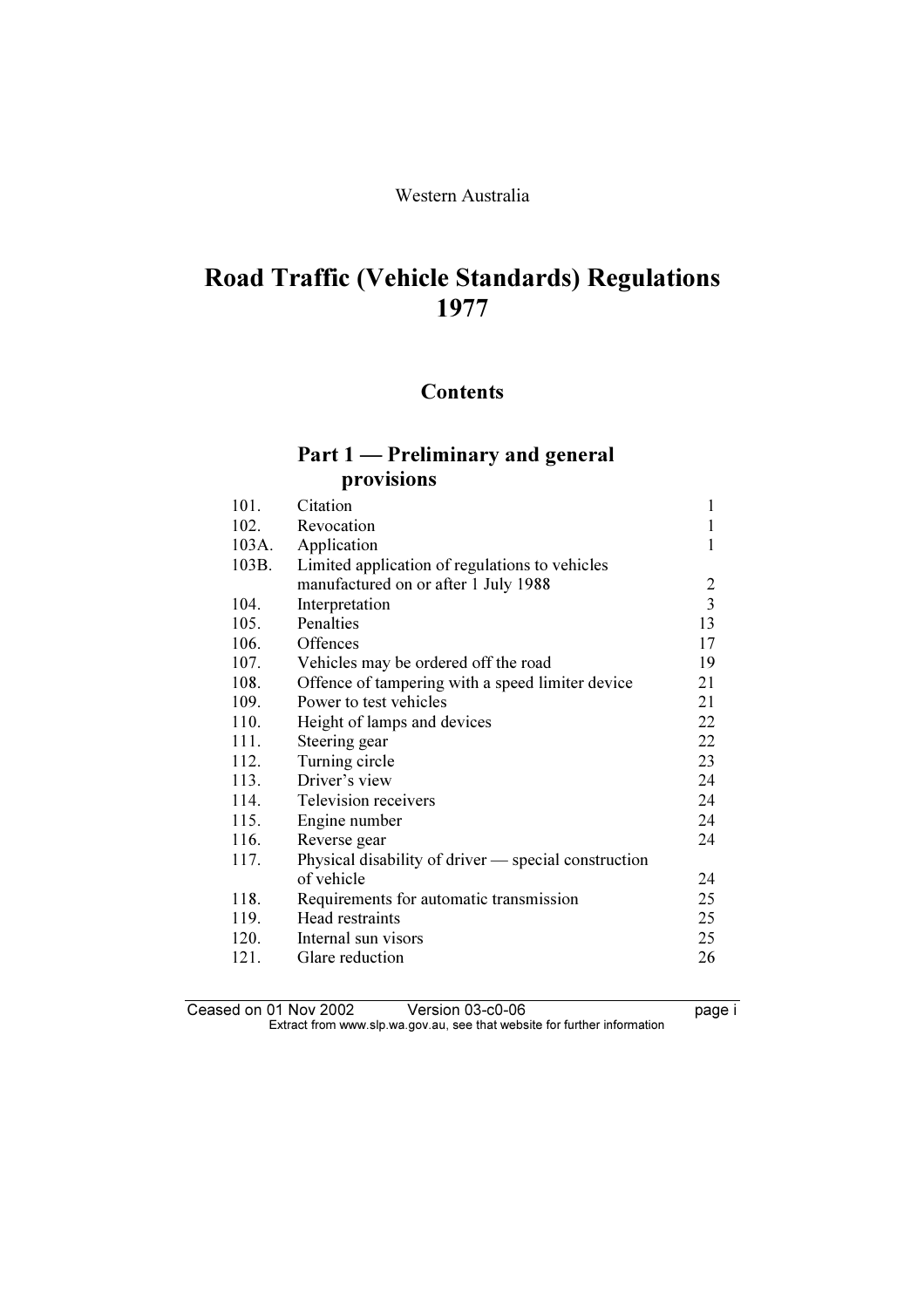# Road Traffic (Vehicle Standards) Regulations 1977

# **Contents**

# Part 1 — Preliminary and general provisions

| 101.  | Citation                                             | 1              |
|-------|------------------------------------------------------|----------------|
| 102.  | Revocation                                           | 1              |
| 103A. | Application                                          | 1              |
| 103B. | Limited application of regulations to vehicles       |                |
|       | manufactured on or after 1 July 1988                 | 2              |
| 104.  | Interpretation                                       | $\overline{3}$ |
| 105.  | Penalties                                            | 13             |
| 106.  | Offences                                             | 17             |
| 107.  | Vehicles may be ordered off the road                 | 19             |
| 108.  | Offence of tampering with a speed limiter device     | 21             |
| 109.  | Power to test vehicles                               | 21             |
| 110.  | Height of lamps and devices                          | 22             |
| 111.  | Steering gear                                        | 22             |
| 112.  | Turning circle                                       | 23             |
| 113.  | Driver's view                                        | 24             |
| 114.  | Television receivers                                 | 24             |
| 115.  | Engine number                                        | 24             |
| 116.  | Reverse gear                                         | 24             |
| 117.  | Physical disability of driver — special construction |                |
|       | of vehicle                                           | 24             |
| 118.  | Requirements for automatic transmission              | 25             |
| 119.  | Head restraints                                      | 25             |
| 120.  | Internal sun visors                                  | 25             |
| 121.  | Glare reduction                                      | 26             |

Ceased on 01 Nov 2002 Version 03-c0-06 Page i Extract from www.slp.wa.gov.au, see that website for further information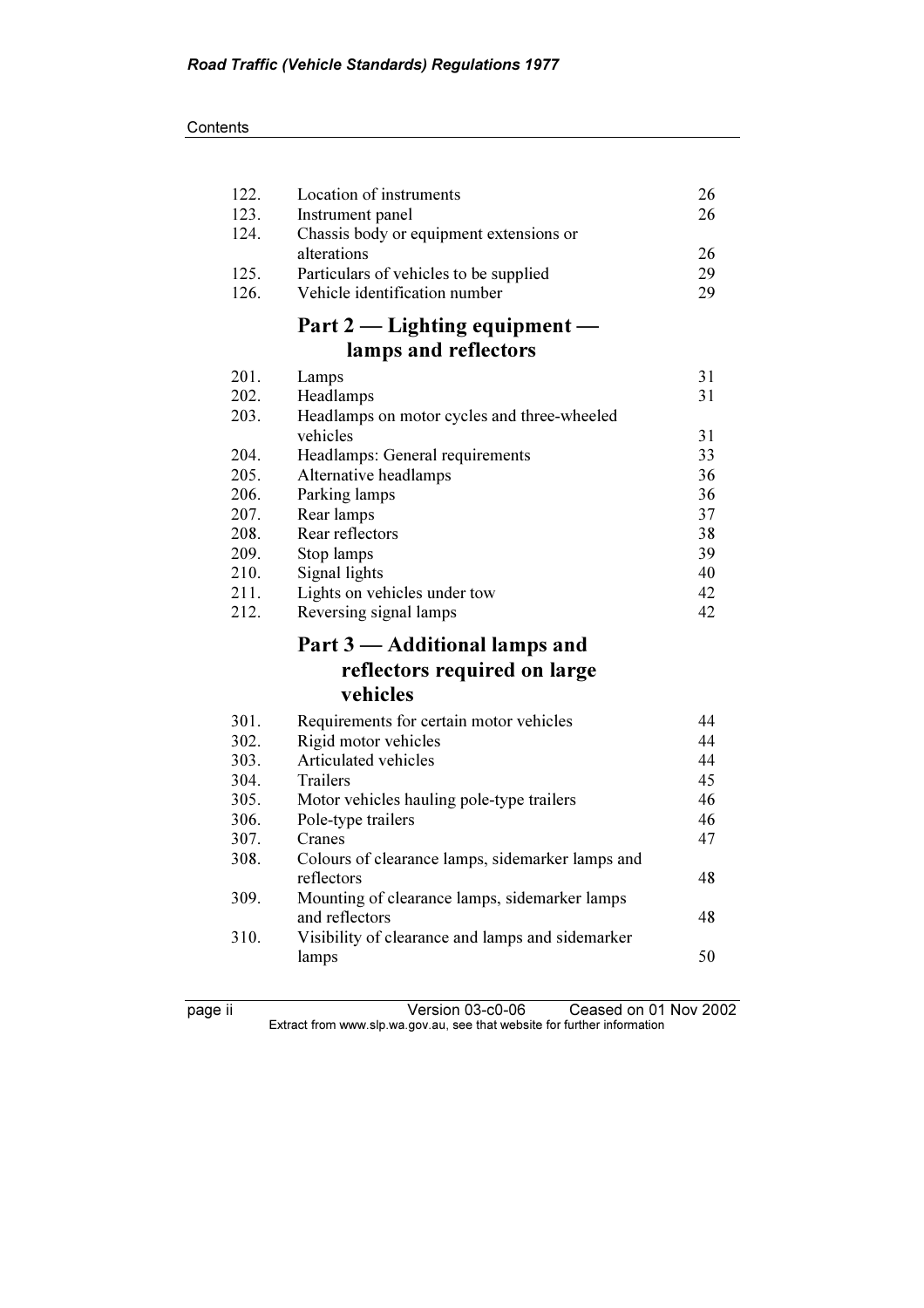#### **Contents**

| 122. | Location of instruments                                         | 26 |
|------|-----------------------------------------------------------------|----|
|      |                                                                 | 26 |
| 123. | Instrument panel                                                |    |
| 124. | Chassis body or equipment extensions or                         |    |
|      | alterations                                                     | 26 |
| 125. | Particulars of vehicles to be supplied                          | 29 |
| 126. | Vehicle identification number                                   | 29 |
|      | Part $2$ — Lighting equipment —                                 |    |
|      | lamps and reflectors                                            |    |
| 201. | Lamps                                                           | 31 |
| 202. | Headlamps                                                       | 31 |
| 203. | Headlamps on motor cycles and three-wheeled                     |    |
|      | vehicles                                                        | 31 |
| 204. | Headlamps: General requirements                                 | 33 |
| 205. | Alternative headlamps                                           | 36 |
| 206. | Parking lamps                                                   | 36 |
| 207. | Rear lamps                                                      | 37 |
| 208. | Rear reflectors                                                 | 38 |
| 209. | Stop lamps                                                      | 39 |
| 210. | Signal lights                                                   | 40 |
| 211. | Lights on vehicles under tow                                    | 42 |
| 212. | Reversing signal lamps                                          | 42 |
|      | Part 3 — Additional lamps and                                   |    |
|      | reflectors required on large                                    |    |
|      | vehicles                                                        |    |
| 301. |                                                                 | 44 |
| 302. | Requirements for certain motor vehicles<br>Rigid motor vehicles | 44 |
| 303. | Articulated vehicles                                            | 44 |
| 304. | Trailers                                                        | 45 |
| 305. | Motor vehicles hauling pole-type trailers                       | 46 |
| 306. | Pole-type trailers                                              | 46 |
| 307. | Cranes                                                          | 47 |
| 308. | Colours of clearance lamps, sidemarker lamps and                |    |
|      | reflectors                                                      | 48 |
| 309. | Mounting of clearance lamps, sidemarker lamps                   |    |
|      | and reflectors                                                  | 48 |
| 310. | Visibility of clearance and lamps and sidemarker                |    |
|      | lamps                                                           | 50 |
|      |                                                                 |    |

page ii Version 03-c0-06 Ceased on 01 Nov 2002  $\mathbf{F}$  from which was the set that we besite for further information  $\mathbf{F}$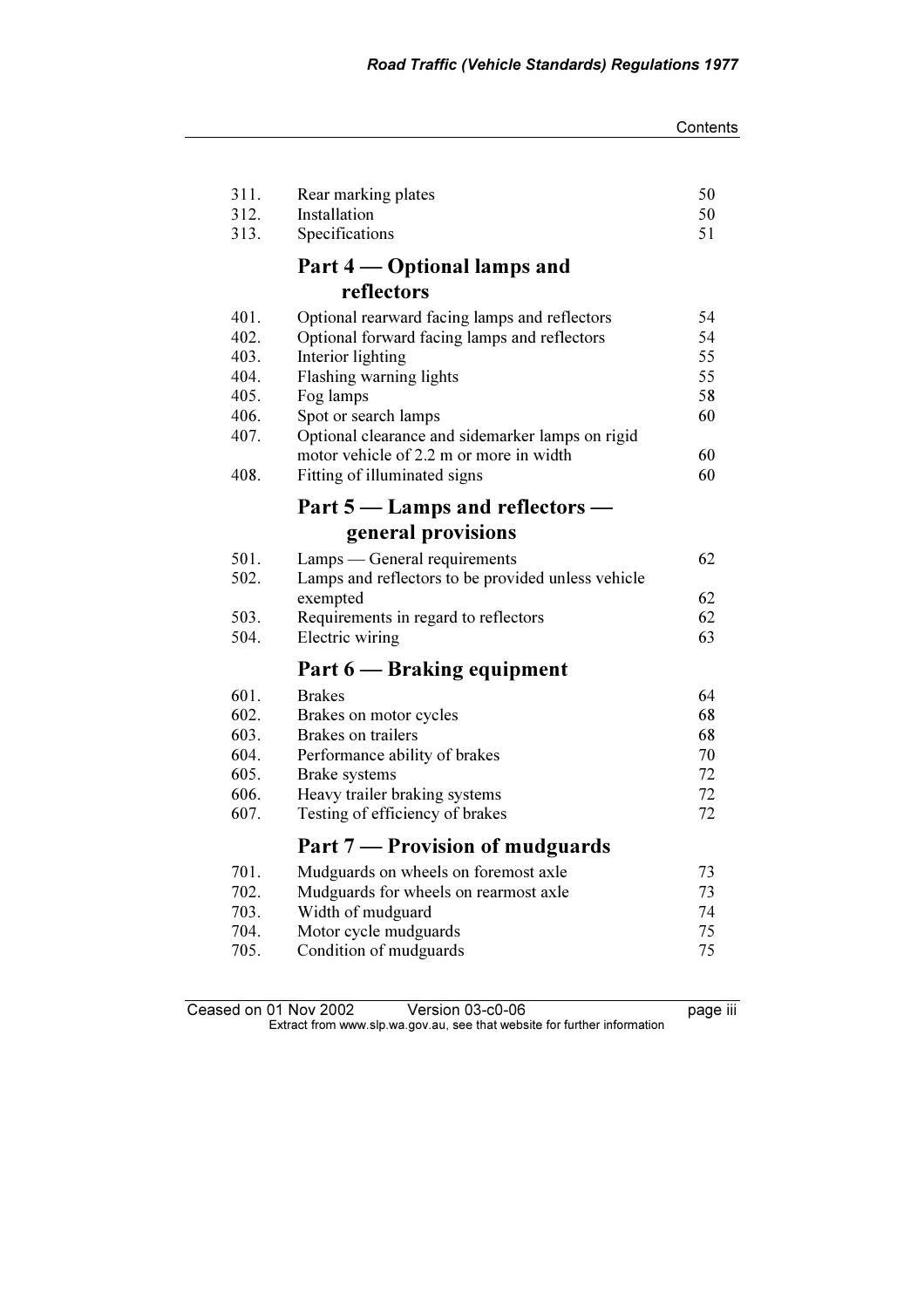| 311. | Rear marking plates                                | 50 |
|------|----------------------------------------------------|----|
| 312. | Installation                                       | 50 |
| 313. | Specifications                                     | 51 |
|      | Part 4 – Optional lamps and                        |    |
|      | reflectors                                         |    |
| 401. | Optional rearward facing lamps and reflectors      | 54 |
| 402. | Optional forward facing lamps and reflectors       | 54 |
| 403. | Interior lighting                                  | 55 |
| 404. | Flashing warning lights                            | 55 |
| 405. | Fog lamps                                          | 58 |
| 406. | Spot or search lamps                               | 60 |
| 407. | Optional clearance and sidemarker lamps on rigid   |    |
|      | motor vehicle of 2.2 m or more in width            | 60 |
| 408. | Fitting of illuminated signs                       | 60 |
|      | Part 5 — Lamps and reflectors —                    |    |
|      | general provisions                                 |    |
| 501. | Lamps — General requirements                       | 62 |
| 502. | Lamps and reflectors to be provided unless vehicle |    |
|      | exempted                                           | 62 |
| 503. | Requirements in regard to reflectors               | 62 |
| 504. | Electric wiring                                    | 63 |
|      | Part 6 — Braking equipment                         |    |
| 601. | <b>Brakes</b>                                      | 64 |
| 602. | Brakes on motor cycles                             | 68 |
| 603. | <b>Brakes</b> on trailers                          | 68 |
| 604. | Performance ability of brakes                      | 70 |
| 605. | Brake systems                                      | 72 |
| 606. | Heavy trailer braking systems                      | 72 |
| 607. | Testing of efficiency of brakes                    | 72 |
|      | Part 7 — Provision of mudguards                    |    |
| 701. | Mudguards on wheels on foremost axle               | 73 |
| 702. | Mudguards for wheels on rearmost axle              | 73 |
| 703. | Width of mudguard                                  | 74 |
| 704. | Motor cycle mudguards                              | 75 |
| 705. | Condition of mudguards                             | 75 |

Ceased on 01 Nov 2002 Version 03-c0-06 Version 03-c0-06  $\mathbf{F}$  from which was the set that we besite for further information  $\mathbf{F}$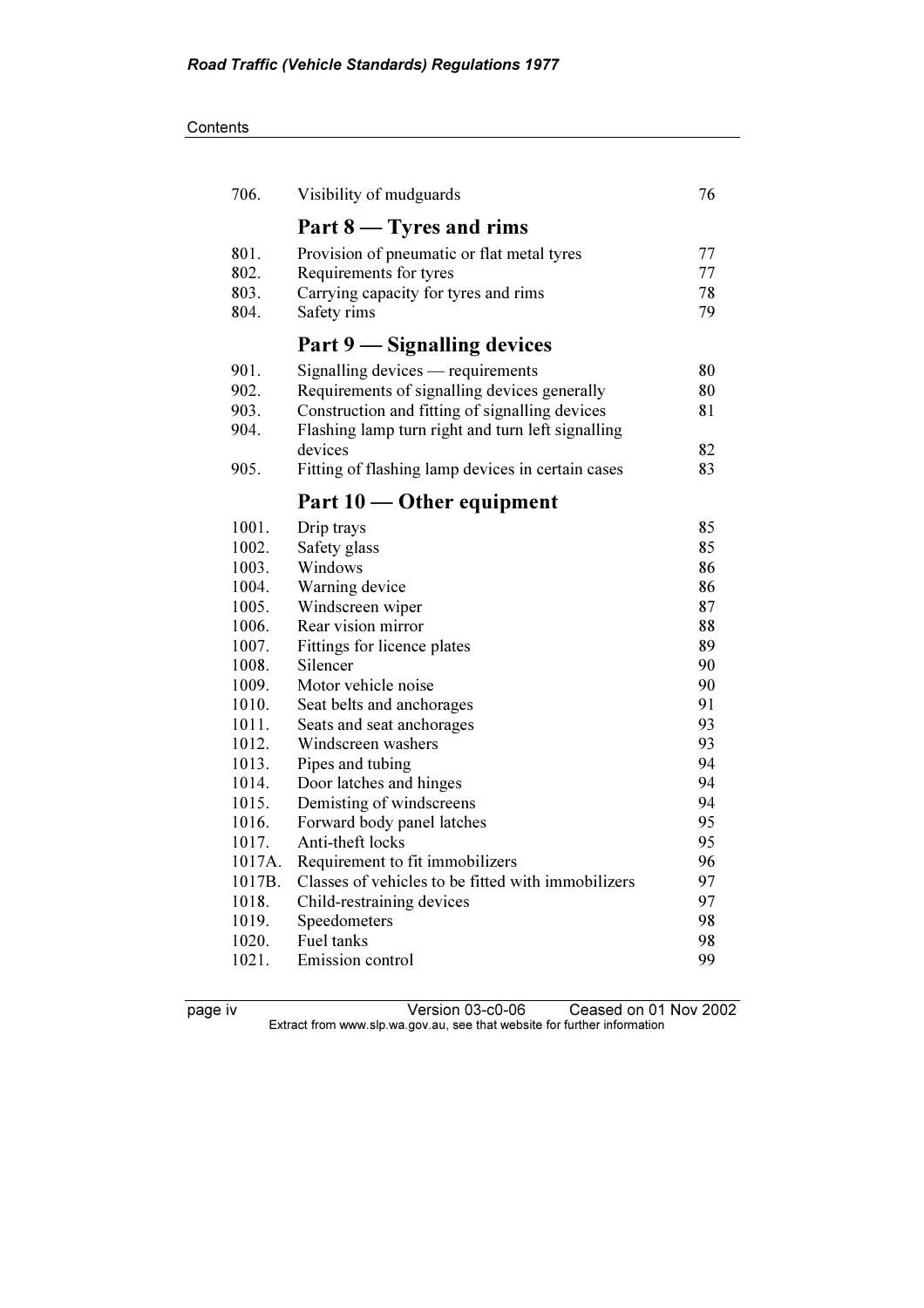#### **Contents**

| 706.   | Visibility of mudguards                            | 76 |
|--------|----------------------------------------------------|----|
|        | Part 8 – Tyres and rims                            |    |
| 801.   | Provision of pneumatic or flat metal tyres         | 77 |
| 802.   | Requirements for tyres                             | 77 |
| 803.   | Carrying capacity for tyres and rims               | 78 |
| 804.   | Safety rims                                        | 79 |
|        | Part 9 – Signalling devices                        |    |
| 901.   | Signalling devices — requirements                  | 80 |
| 902.   | Requirements of signalling devices generally       | 80 |
| 903.   | Construction and fitting of signalling devices     | 81 |
| 904.   | Flashing lamp turn right and turn left signalling  |    |
|        | devices                                            | 82 |
| 905.   | Fitting of flashing lamp devices in certain cases  | 83 |
|        | Part 10 — Other equipment                          |    |
| 1001.  | Drip trays                                         | 85 |
| 1002.  | Safety glass                                       | 85 |
| 1003.  | Windows                                            | 86 |
| 1004.  | Warning device                                     | 86 |
| 1005.  | Windscreen wiper                                   | 87 |
| 1006.  | Rear vision mirror                                 | 88 |
| 1007.  | Fittings for licence plates                        | 89 |
| 1008.  | Silencer                                           | 90 |
| 1009.  | Motor vehicle noise                                | 90 |
| 1010.  | Seat belts and anchorages                          | 91 |
| 1011.  | Seats and seat anchorages                          | 93 |
| 1012.  | Windscreen washers                                 | 93 |
| 1013.  | Pipes and tubing                                   | 94 |
| 1014.  | Door latches and hinges                            | 94 |
| 1015.  | Demisting of windscreens                           | 94 |
| 1016.  | Forward body panel latches                         | 95 |
| 1017.  | Anti-theft locks                                   | 95 |
| 1017A. | Requirement to fit immobilizers                    | 96 |
| 1017B. | Classes of vehicles to be fitted with immobilizers | 97 |
| 1018.  | Child-restraining devices                          | 97 |
| 1019.  | Speedometers                                       | 98 |
| 1020.  | Fuel tanks                                         | 98 |
| 1021.  | Emission control                                   | 99 |

page iv Version 03-c0-06 Ceased on 01 Nov 2002  $\mathbf{F}$  from which was the set that we besite for further information  $\mathbf{F}$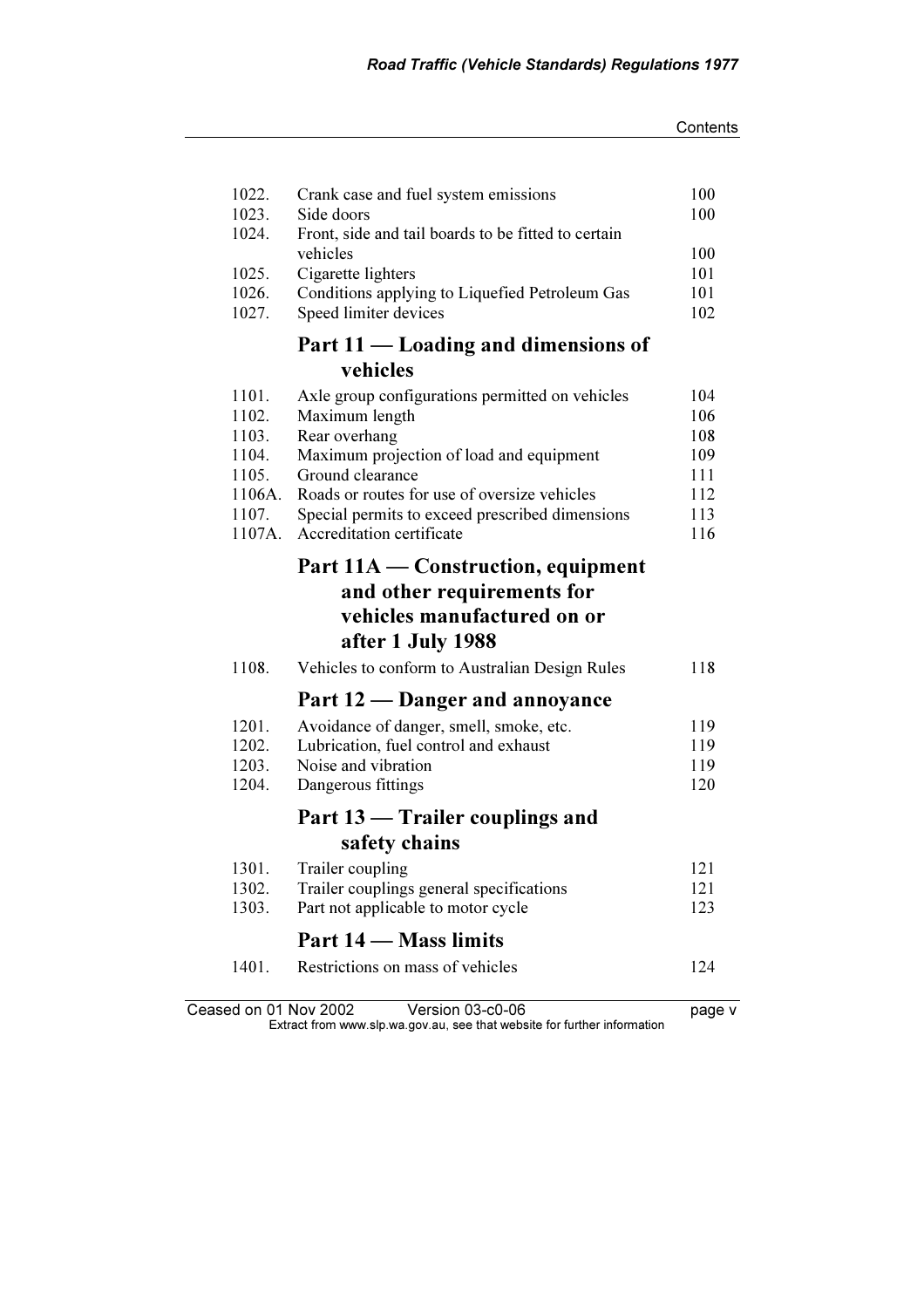#### **Contents**

| 1022.                 | Crank case and fuel system emissions                                           | 100        |
|-----------------------|--------------------------------------------------------------------------------|------------|
| 1023.                 | Side doors                                                                     | 100        |
| 1024.                 | Front, side and tail boards to be fitted to certain                            |            |
| 1025.                 | vehicles                                                                       | 100<br>101 |
| 1026.                 | Cigarette lighters<br>Conditions applying to Liquefied Petroleum Gas           | 101        |
| 1027.                 | Speed limiter devices                                                          | 102        |
|                       | Part 11 — Loading and dimensions of                                            |            |
|                       | vehicles                                                                       |            |
| 1101.                 | Axle group configurations permitted on vehicles                                | 104        |
| 1102.                 | Maximum length                                                                 | 106        |
| 1103.                 | Rear overhang                                                                  | 108        |
| 1104.                 | Maximum projection of load and equipment                                       | 109        |
| 1105.                 | Ground clearance                                                               | 111        |
| 1106A.                | Roads or routes for use of oversize vehicles                                   | 112        |
| 1107.                 | Special permits to exceed prescribed dimensions                                | 113        |
| 1107A.                | Accreditation certificate                                                      | 116        |
|                       | Part 11A — Construction, equipment                                             |            |
|                       | and other requirements for                                                     |            |
|                       | vehicles manufactured on or                                                    |            |
|                       | after 1 July 1988                                                              |            |
| 1108.                 | Vehicles to conform to Australian Design Rules                                 | 118        |
|                       | Part 12 – Danger and annoyance                                                 |            |
| 1201.                 | Avoidance of danger, smell, smoke, etc.                                        | 119        |
| 1202.                 | Lubrication, fuel control and exhaust                                          | 119        |
| 1203.                 | Noise and vibration                                                            | 119        |
| 1204.                 | Dangerous fittings                                                             | 120        |
|                       | Part 13 - Trailer couplings and                                                |            |
|                       | safety chains                                                                  |            |
|                       |                                                                                |            |
| 1301.<br>1302.        | Trailer coupling                                                               | 121<br>121 |
| 1303.                 | Trailer couplings general specifications<br>Part not applicable to motor cycle | 123        |
|                       |                                                                                |            |
|                       | Part 14 – Mass limits                                                          |            |
| 1401.                 | Restrictions on mass of vehicles                                               | 124        |
| Ceased on 01 Nov 2002 | Version 03-c0-06                                                               | page v     |
|                       | Extract from www.slp.wa.gov.au, see that website for further information       |            |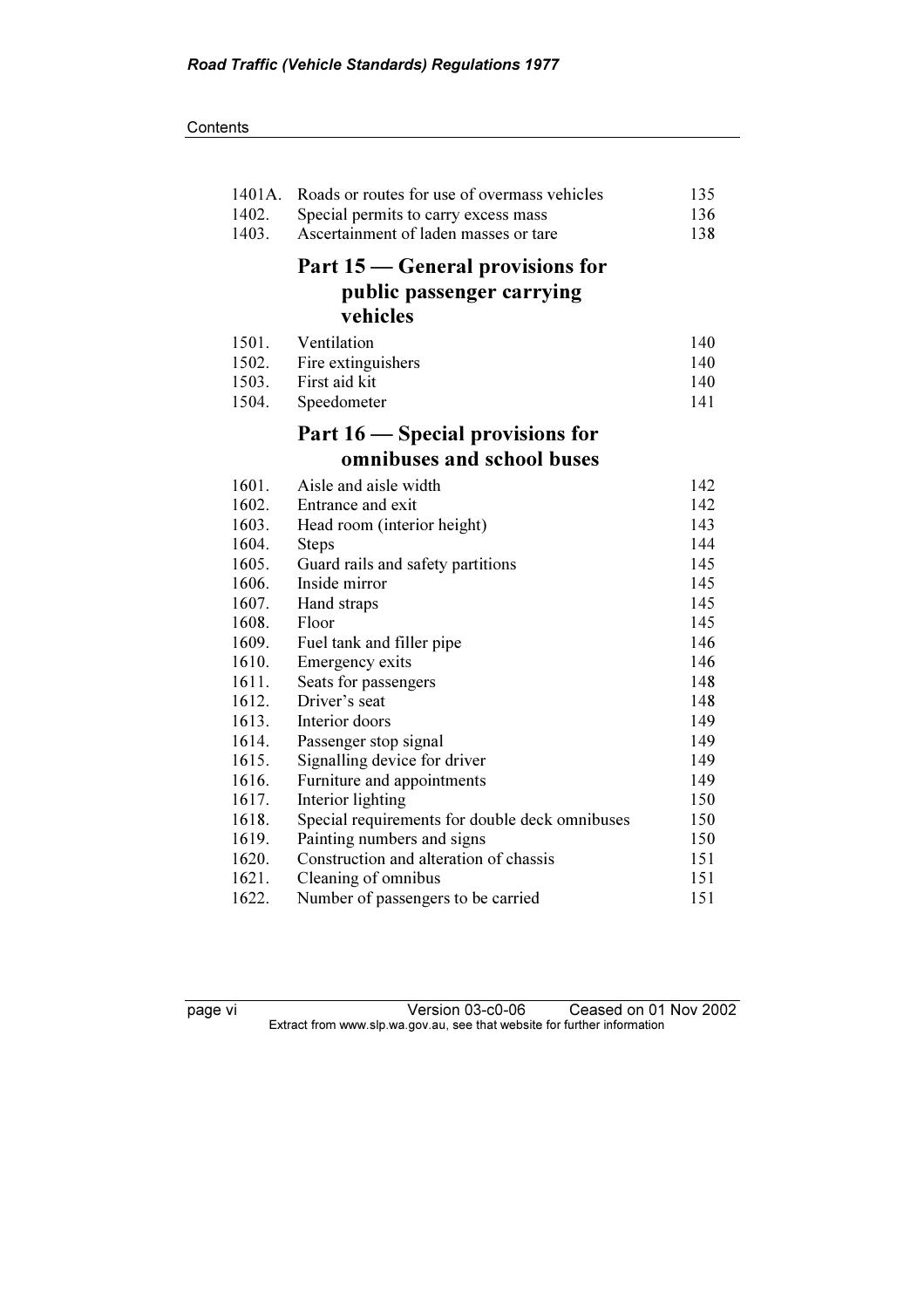| 1401A.<br>1402.<br>1403. | Roads or routes for use of overmass vehicles<br>Special permits to carry excess mass<br>Ascertainment of laden masses or tare | 135<br>136<br>138 |
|--------------------------|-------------------------------------------------------------------------------------------------------------------------------|-------------------|
|                          | Part 15 – General provisions for<br>public passenger carrying<br>vehicles                                                     |                   |
| 1501.                    | Ventilation                                                                                                                   | 140               |
| 1502.                    | Fire extinguishers                                                                                                            | 140               |
| 1503.                    | First aid kit                                                                                                                 | 140               |
| 1504.                    | Speedometer                                                                                                                   | 141               |
|                          | Part 16 – Special provisions for                                                                                              |                   |
|                          | omnibuses and school buses                                                                                                    |                   |
| 1601.                    | Aisle and aisle width                                                                                                         | 142               |
| 1602.                    | Entrance and exit                                                                                                             | 142               |
| 1603.                    | Head room (interior height)                                                                                                   | 143               |
| 1604.                    | <b>Steps</b>                                                                                                                  | 144               |
| 1605.                    | Guard rails and safety partitions                                                                                             | 145               |
| 1606.                    | Inside mirror                                                                                                                 | 145               |
| 1607.                    | Hand straps                                                                                                                   | 145               |
| 1608.                    | Floor                                                                                                                         | 145               |
| 1609.                    | Fuel tank and filler pipe                                                                                                     | 146               |
| 1610.                    | Emergency exits                                                                                                               | 146               |
| 1611.                    | Seats for passengers                                                                                                          | 148               |
| 1612.                    | Driver's seat                                                                                                                 | 148               |
| 1613.                    | Interior doors                                                                                                                | 149               |
| 1614.                    | Passenger stop signal                                                                                                         | 149               |
| 1615.                    | Signalling device for driver                                                                                                  | 149               |
| 1616.                    | Furniture and appointments                                                                                                    | 149               |
| 1617.                    | Interior lighting                                                                                                             | 150               |
| 1618.                    | Special requirements for double deck omnibuses                                                                                | 150               |
| 1619.                    | Painting numbers and signs                                                                                                    | 150               |
| 1620.                    | Construction and alteration of chassis                                                                                        | 151               |
| 1621.                    | Cleaning of omnibus                                                                                                           | 151               |
| 1622.                    | Number of passengers to be carried                                                                                            | 151               |

page vi Version 03-c0-06 Ceased on 01 Nov 2002  $\mathbf{F}$  from which was the set that we besite for further information  $\mathbf{F}$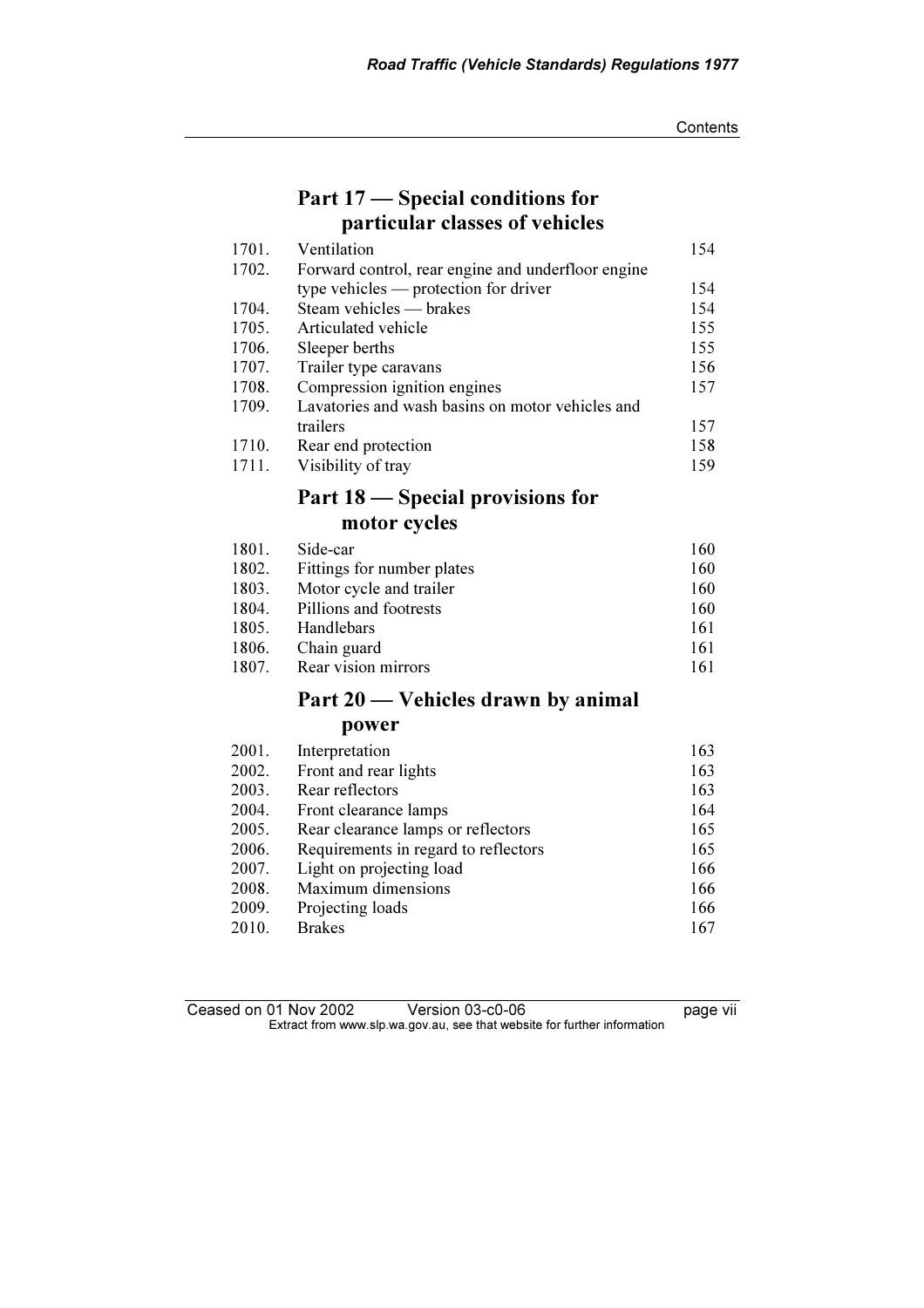# Part 17 — Special conditions for particular classes of vehicles

| 1701. | Ventilation                                        | 154 |
|-------|----------------------------------------------------|-----|
| 1702. | Forward control, rear engine and underfloor engine |     |
|       | type vehicles $-$ protection for driver            | 154 |
| 1704. | Steam vehicles — brakes                            | 154 |
| 1705. | Articulated vehicle                                | 155 |
| 1706. | Sleeper berths                                     | 155 |
| 1707. | Trailer type caravans                              | 156 |
| 1708. | Compression ignition engines                       | 157 |
| 1709. | Lavatories and wash basins on motor vehicles and   |     |
|       | trailers                                           | 157 |
| 1710. | Rear end protection                                | 158 |
| 1711. | Visibility of tray                                 | 159 |

# Part 18 — Special provisions for motor cycles

| 1801. | Side-car                     | 160 |
|-------|------------------------------|-----|
| 1802. | Fittings for number plates   | 160 |
| 1803. | Motor cycle and trailer      | 160 |
|       | 1804. Pillions and footrests | 160 |
|       | 1805. Handlebars             | 161 |
|       | 1806. Chain guard            | 161 |
|       | 1807. Rear vision mirrors    | 161 |

# Part 20 — Vehicles drawn by animal

# power

| 2001. | Interpretation                       | 163 |
|-------|--------------------------------------|-----|
| 2002. | Front and rear lights                | 163 |
| 2003. | Rear reflectors                      | 163 |
| 2004. | Front clearance lamps                | 164 |
| 2005. | Rear clearance lamps or reflectors   | 165 |
| 2006. | Requirements in regard to reflectors | 165 |
| 2007. | Light on projecting load             | 166 |
| 2008. | Maximum dimensions                   | 166 |
| 2009. | Projecting loads                     | 166 |
| 2010. | <b>Brakes</b>                        | 167 |
|       |                                      |     |

| Ceased on 01 Nov 2002 | Version 03-c0-06                                                         | page vii |
|-----------------------|--------------------------------------------------------------------------|----------|
|                       | Extract from www.slp.wa.gov.au, see that website for further information |          |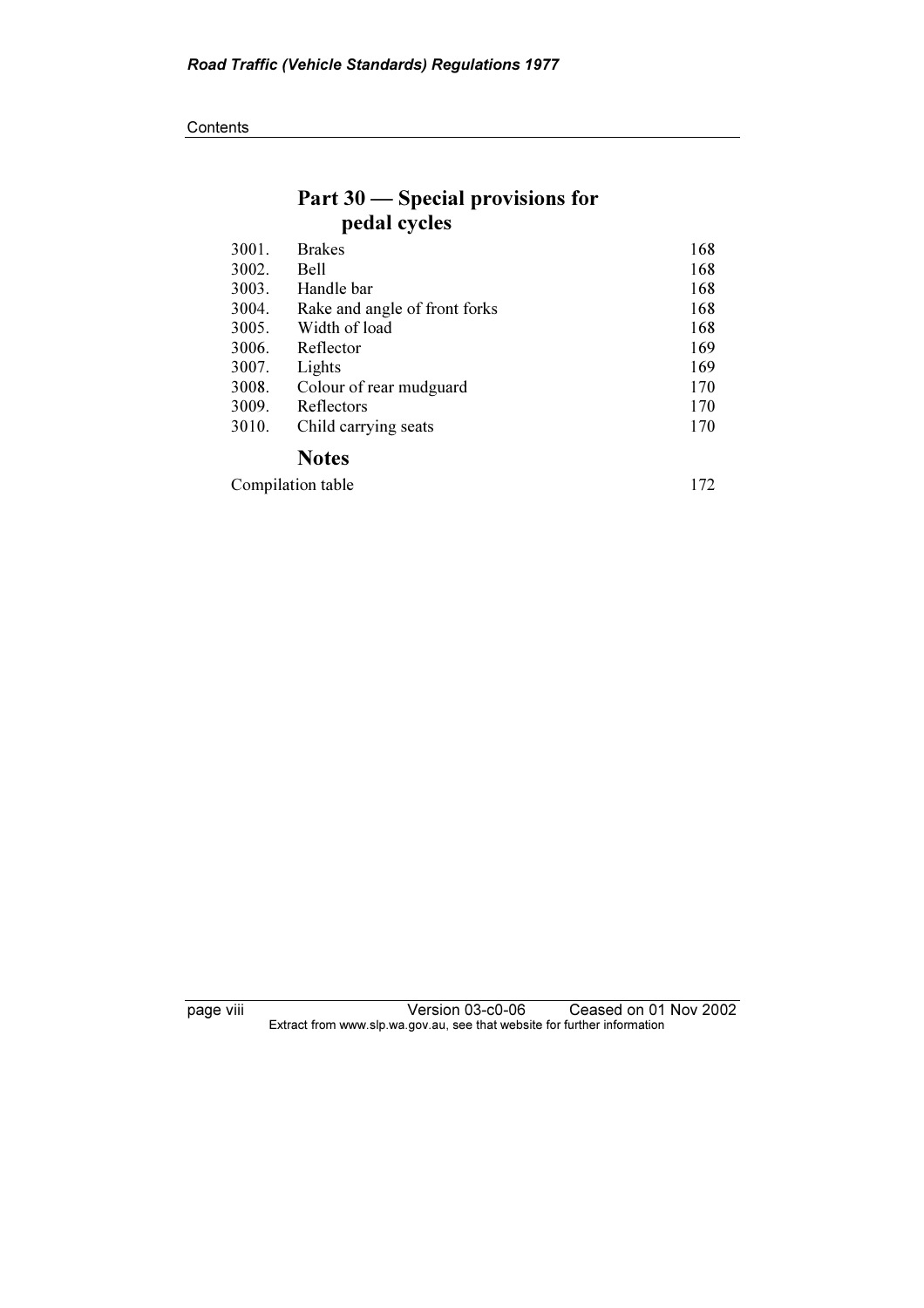**Contents** 

# Part 30 — Special provisions for pedal cycles

| 3001. | <b>Brakes</b>                 | 168 |
|-------|-------------------------------|-----|
| 3002. | <b>Bell</b>                   | 168 |
| 3003. | Handle bar                    | 168 |
| 3004. | Rake and angle of front forks | 168 |
| 3005. | Width of load                 | 168 |
| 3006. | Reflector                     | 169 |
| 3007. | Lights                        | 169 |
| 3008. | Colour of rear mudguard       | 170 |
| 3009. | Reflectors                    | 170 |
| 3010. | Child carrying seats          | 170 |
|       | <b>Notes</b>                  |     |
|       | Compilation table             | 172 |

page viii Version 03-c0-06 Ceased on 01 Nov 2002 Extract from www.slp.wa.gov.au, see that website for further information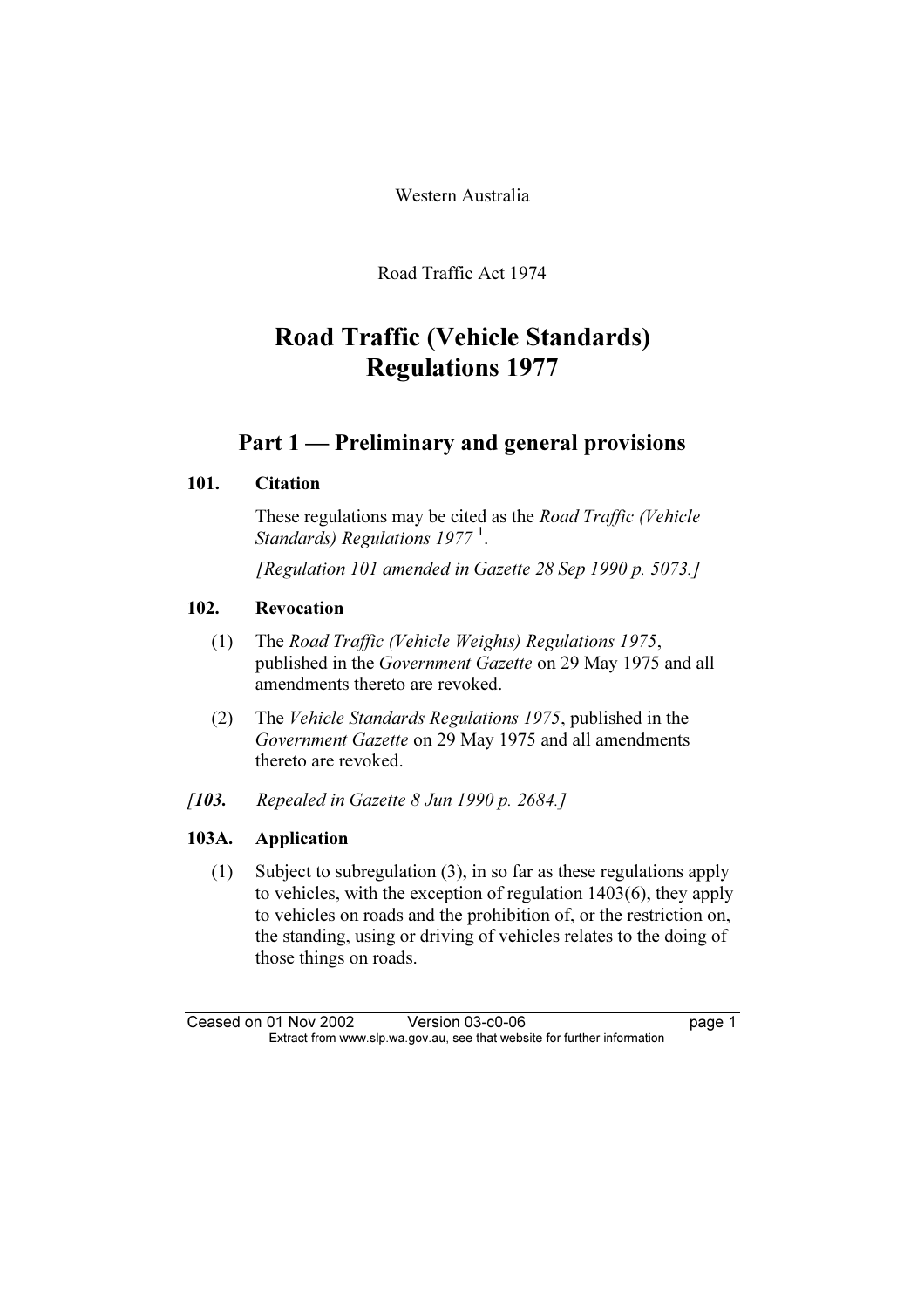Western Australia

Road Traffic Act 1974

# Road Traffic (Vehicle Standards) Regulations 1977

# Part 1 — Preliminary and general provisions

## 101. Citation

 These regulations may be cited as the Road Traffic (Vehicle Standards) Regulations 1977<sup>1</sup>.

[Regulation 101 amended in Gazette 28 Sep 1990 p. 5073.]

## 102. Revocation

- (1) The Road Traffic (Vehicle Weights) Regulations 1975, published in the Government Gazette on 29 May 1975 and all amendments thereto are revoked.
- (2) The Vehicle Standards Regulations 1975, published in the Government Gazette on 29 May 1975 and all amendments thereto are revoked.
- [103. Repealed in Gazette 8 Jun 1990 p. 2684.]

# 103A. Application

 (1) Subject to subregulation (3), in so far as these regulations apply to vehicles, with the exception of regulation 1403(6), they apply to vehicles on roads and the prohibition of, or the restriction on, the standing, using or driving of vehicles relates to the doing of those things on roads.

Ceased on 01 Nov 2002 Version 03-c0-06 page 1<br>Extract from www.slp.wa.gov.au, see that website for further information  $\mathbf{F}$  from which was the set that we besite for further information  $\mathbf{F}$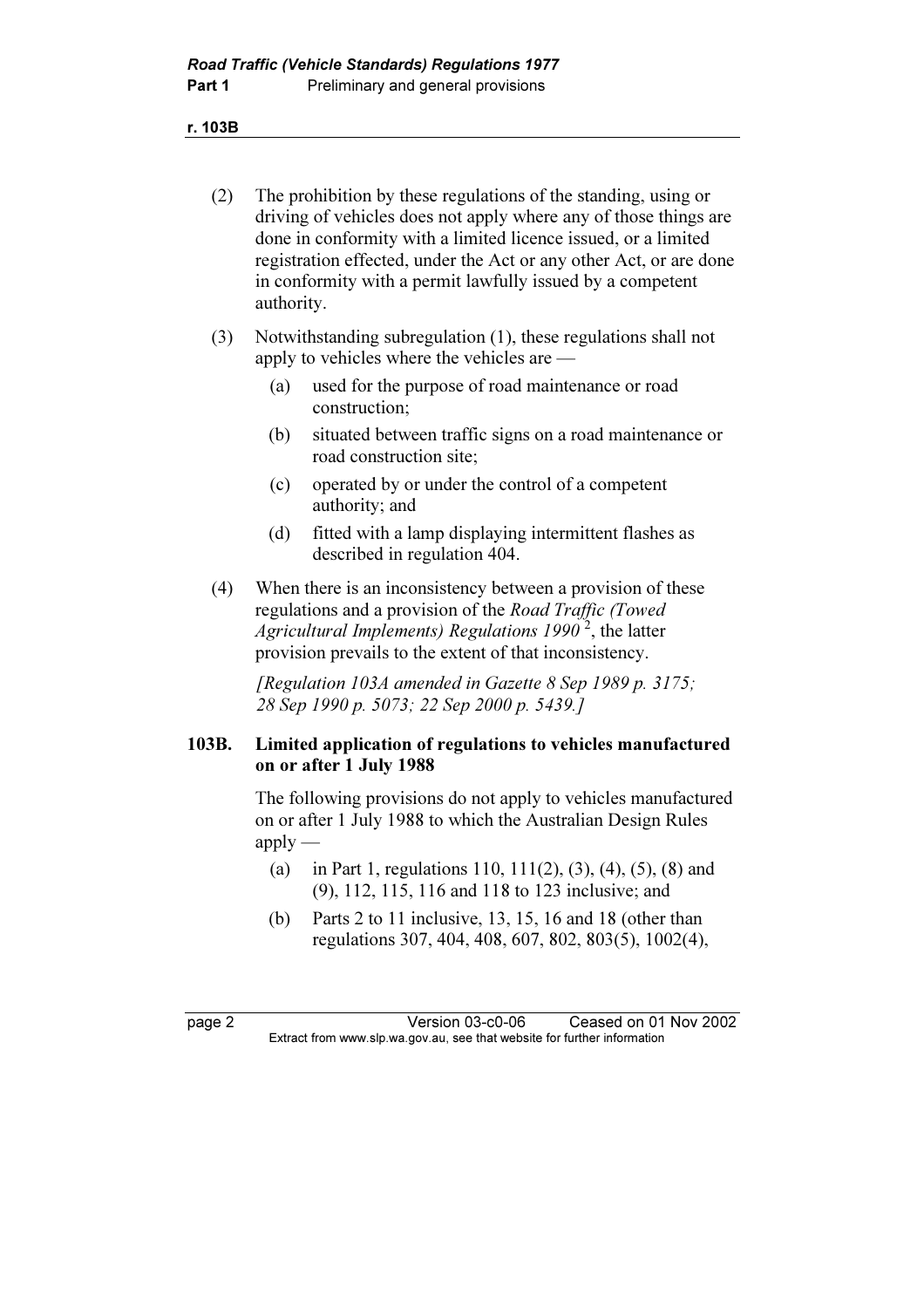- r. 103B
	- (2) The prohibition by these regulations of the standing, using or driving of vehicles does not apply where any of those things are done in conformity with a limited licence issued, or a limited registration effected, under the Act or any other Act, or are done in conformity with a permit lawfully issued by a competent authority.
	- (3) Notwithstanding subregulation (1), these regulations shall not apply to vehicles where the vehicles are —
		- (a) used for the purpose of road maintenance or road construction;
		- (b) situated between traffic signs on a road maintenance or road construction site;
		- (c) operated by or under the control of a competent authority; and
		- (d) fitted with a lamp displaying intermittent flashes as described in regulation 404.
	- (4) When there is an inconsistency between a provision of these regulations and a provision of the Road Traffic (Towed Agricultural Implements) Regulations 1990<sup>2</sup>, the latter provision prevails to the extent of that inconsistency.

 [Regulation 103A amended in Gazette 8 Sep 1989 p. 3175; 28 Sep 1990 p. 5073; 22 Sep 2000 p. 5439.]

#### 103B. Limited application of regulations to vehicles manufactured on or after 1 July 1988

 The following provisions do not apply to vehicles manufactured on or after 1 July 1988 to which the Australian Design Rules  $apply -$ 

- (a) in Part 1, regulations 110, 111(2), (3), (4), (5), (8) and (9), 112, 115, 116 and 118 to 123 inclusive; and
- (b) Parts 2 to 11 inclusive, 13, 15, 16 and 18 (other than regulations 307, 404, 408, 607, 802, 803(5), 1002(4),

page 2 Version 03-c0-06 Ceased on 01 Nov 2002<br>Extract from www.slp.wa.gov.au, see that website for further information  $\mathbf{F}$  from which was the set that we besite for further information  $\mathbf{F}$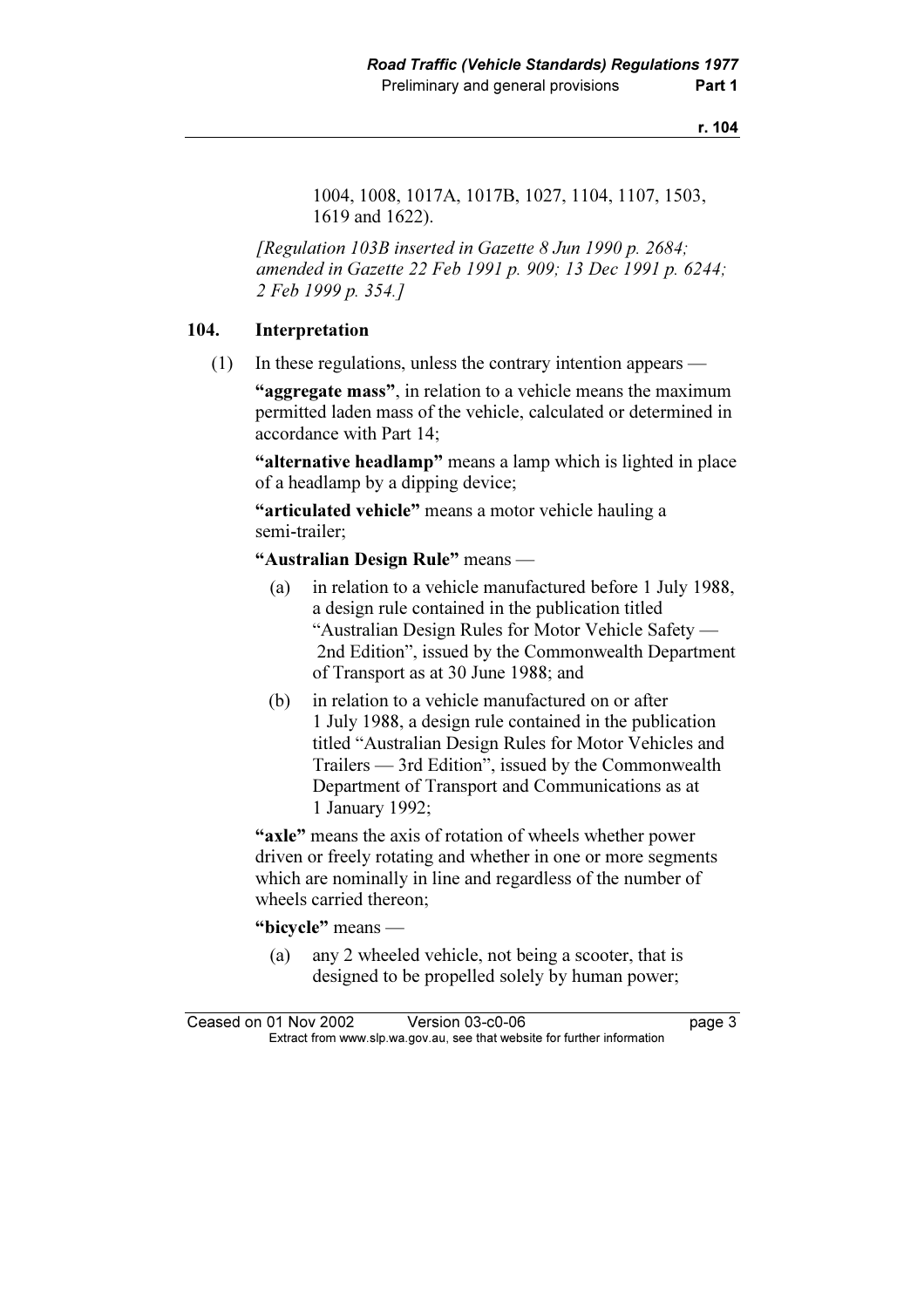1004, 1008, 1017A, 1017B, 1027, 1104, 1107, 1503, 1619 and 1622).

 [Regulation 103B inserted in Gazette 8 Jun 1990 p. 2684; amended in Gazette 22 Feb 1991 p. 909; 13 Dec 1991 p. 6244; 2 Feb 1999 p. 354.]

#### 104. Interpretation

(1) In these regulations, unless the contrary intention appears —

"aggregate mass", in relation to a vehicle means the maximum permitted laden mass of the vehicle, calculated or determined in accordance with Part 14;

"alternative headlamp" means a lamp which is lighted in place of a headlamp by a dipping device;

"articulated vehicle" means a motor vehicle hauling a semi-trailer;

#### "Australian Design Rule" means —

- (a) in relation to a vehicle manufactured before 1 July 1988, a design rule contained in the publication titled "Australian Design Rules for Motor Vehicle Safety — 2nd Edition", issued by the Commonwealth Department of Transport as at 30 June 1988; and
- (b) in relation to a vehicle manufactured on or after 1 July 1988, a design rule contained in the publication titled "Australian Design Rules for Motor Vehicles and Trailers — 3rd Edition", issued by the Commonwealth Department of Transport and Communications as at 1 January 1992;

"axle" means the axis of rotation of wheels whether power driven or freely rotating and whether in one or more segments which are nominally in line and regardless of the number of wheels carried thereon;

#### "bicycle" means —

 (a) any 2 wheeled vehicle, not being a scooter, that is designed to be propelled solely by human power;

Ceased on 01 Nov 2002 Version 03-c0-06 page 3<br>Extract from www.slp.wa.gov.au, see that website for further information  $\mathbf{F}$  from which was the set that we besite for further information  $\mathbf{F}$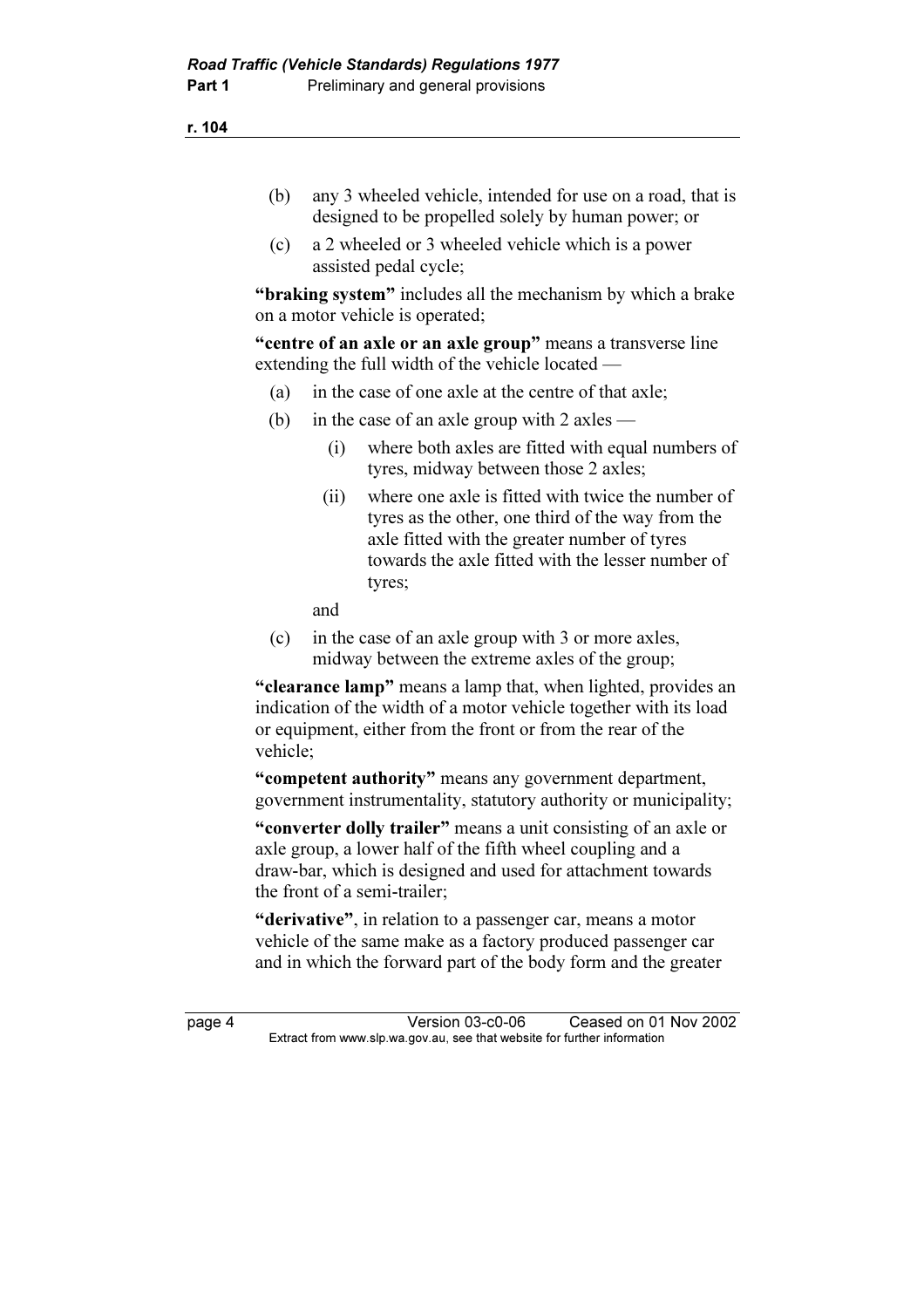- (b) any 3 wheeled vehicle, intended for use on a road, that is designed to be propelled solely by human power; or
- (c) a 2 wheeled or 3 wheeled vehicle which is a power assisted pedal cycle;

 "braking system" includes all the mechanism by which a brake on a motor vehicle is operated;

 "centre of an axle or an axle group" means a transverse line extending the full width of the vehicle located -

- (a) in the case of one axle at the centre of that axle;
- (b) in the case of an axle group with 2 axles
	- (i) where both axles are fitted with equal numbers of tyres, midway between those 2 axles;
	- (ii) where one axle is fitted with twice the number of tyres as the other, one third of the way from the axle fitted with the greater number of tyres towards the axle fitted with the lesser number of tyres;

and

 (c) in the case of an axle group with 3 or more axles, midway between the extreme axles of the group;

"clearance lamp" means a lamp that, when lighted, provides an indication of the width of a motor vehicle together with its load or equipment, either from the front or from the rear of the vehicle;

 "competent authority" means any government department, government instrumentality, statutory authority or municipality;

"converter dolly trailer" means a unit consisting of an axle or axle group, a lower half of the fifth wheel coupling and a draw-bar, which is designed and used for attachment towards the front of a semi-trailer;

"derivative", in relation to a passenger car, means a motor vehicle of the same make as a factory produced passenger car and in which the forward part of the body form and the greater

page 4 Version 03-c0-06 Ceased on 01 Nov 2002<br>Extract from www.slp.wa.gov.au, see that website for further information  $\mathbf{F}$  from which was the set that we besite for further information  $\mathbf{F}$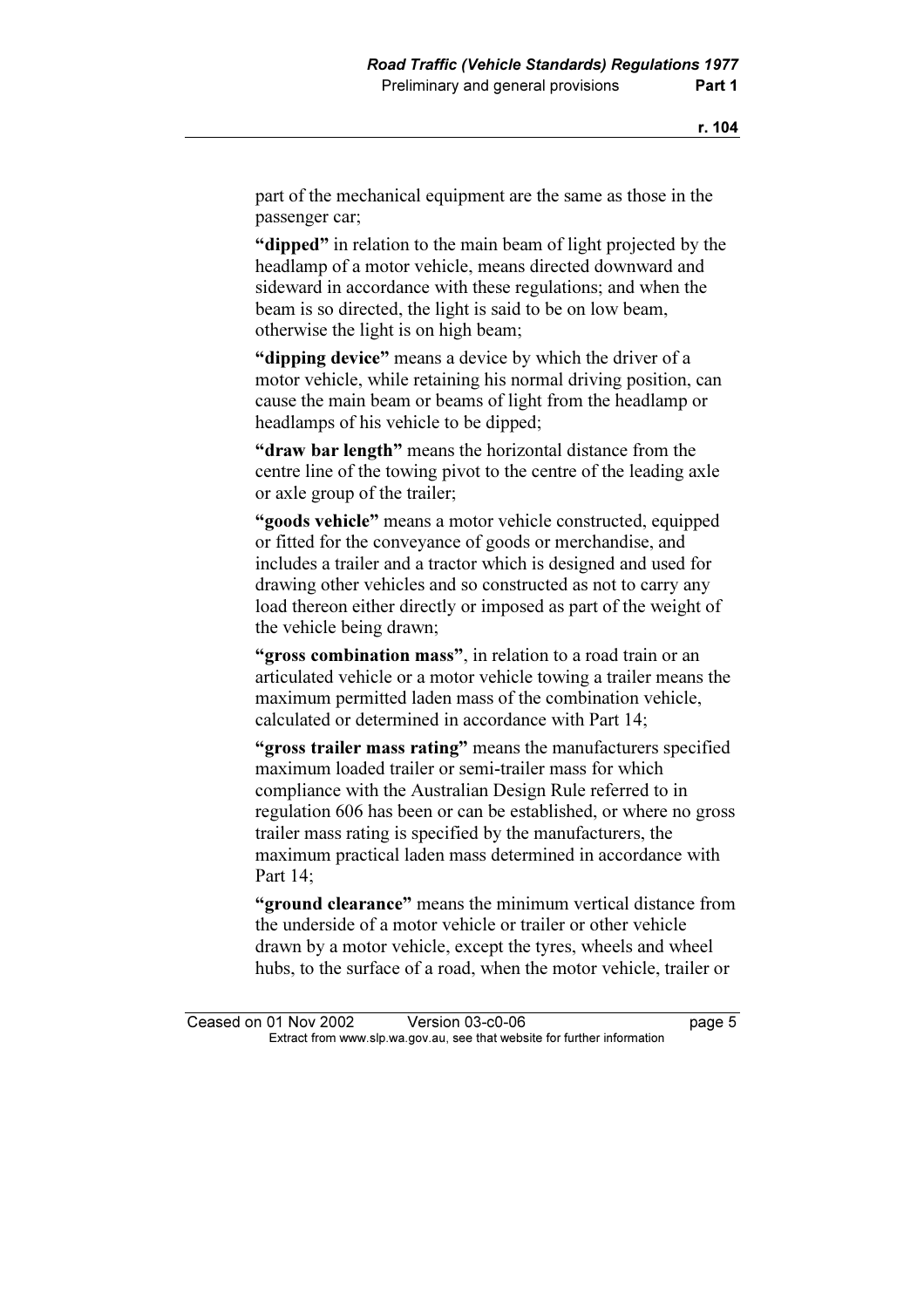part of the mechanical equipment are the same as those in the passenger car;

"dipped" in relation to the main beam of light projected by the headlamp of a motor vehicle, means directed downward and sideward in accordance with these regulations; and when the beam is so directed, the light is said to be on low beam, otherwise the light is on high beam;

"dipping device" means a device by which the driver of a motor vehicle, while retaining his normal driving position, can cause the main beam or beams of light from the headlamp or headlamps of his vehicle to be dipped;

"draw bar length" means the horizontal distance from the centre line of the towing pivot to the centre of the leading axle or axle group of the trailer;

 "goods vehicle" means a motor vehicle constructed, equipped or fitted for the conveyance of goods or merchandise, and includes a trailer and a tractor which is designed and used for drawing other vehicles and so constructed as not to carry any load thereon either directly or imposed as part of the weight of the vehicle being drawn;

"gross combination mass", in relation to a road train or an articulated vehicle or a motor vehicle towing a trailer means the maximum permitted laden mass of the combination vehicle, calculated or determined in accordance with Part 14;

"gross trailer mass rating" means the manufacturers specified maximum loaded trailer or semi-trailer mass for which compliance with the Australian Design Rule referred to in regulation 606 has been or can be established, or where no gross trailer mass rating is specified by the manufacturers, the maximum practical laden mass determined in accordance with Part 14;

 "ground clearance" means the minimum vertical distance from the underside of a motor vehicle or trailer or other vehicle drawn by a motor vehicle, except the tyres, wheels and wheel hubs, to the surface of a road, when the motor vehicle, trailer or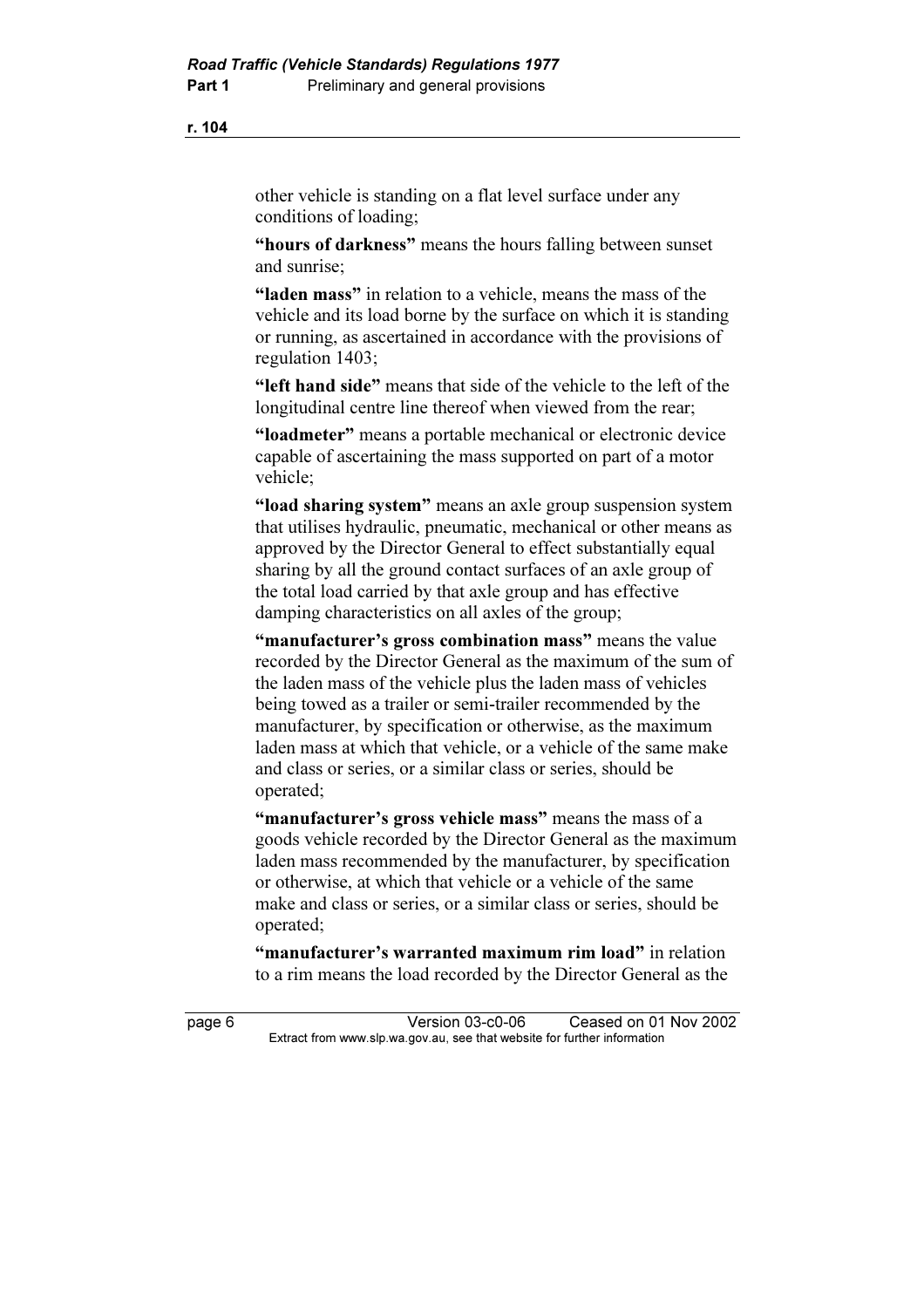other vehicle is standing on a flat level surface under any conditions of loading;

"hours of darkness" means the hours falling between sunset and sunrise;

 "laden mass" in relation to a vehicle, means the mass of the vehicle and its load borne by the surface on which it is standing or running, as ascertained in accordance with the provisions of regulation 1403;

 "left hand side" means that side of the vehicle to the left of the longitudinal centre line thereof when viewed from the rear;

 "loadmeter" means a portable mechanical or electronic device capable of ascertaining the mass supported on part of a motor vehicle;

 "load sharing system" means an axle group suspension system that utilises hydraulic, pneumatic, mechanical or other means as approved by the Director General to effect substantially equal sharing by all the ground contact surfaces of an axle group of the total load carried by that axle group and has effective damping characteristics on all axles of the group;

"manufacturer's gross combination mass" means the value recorded by the Director General as the maximum of the sum of the laden mass of the vehicle plus the laden mass of vehicles being towed as a trailer or semi-trailer recommended by the manufacturer, by specification or otherwise, as the maximum laden mass at which that vehicle, or a vehicle of the same make and class or series, or a similar class or series, should be operated;

"manufacturer's gross vehicle mass" means the mass of a goods vehicle recorded by the Director General as the maximum laden mass recommended by the manufacturer, by specification or otherwise, at which that vehicle or a vehicle of the same make and class or series, or a similar class or series, should be operated;

"manufacturer's warranted maximum rim load" in relation to a rim means the load recorded by the Director General as the

page 6 Version 03-c0-06 Ceased on 01 Nov 2002<br>Extract from www.slp.wa.gov.au, see that website for further information  $\mathbf{F}$  from which was the set that we besite for further information  $\mathbf{F}$ 

r. 104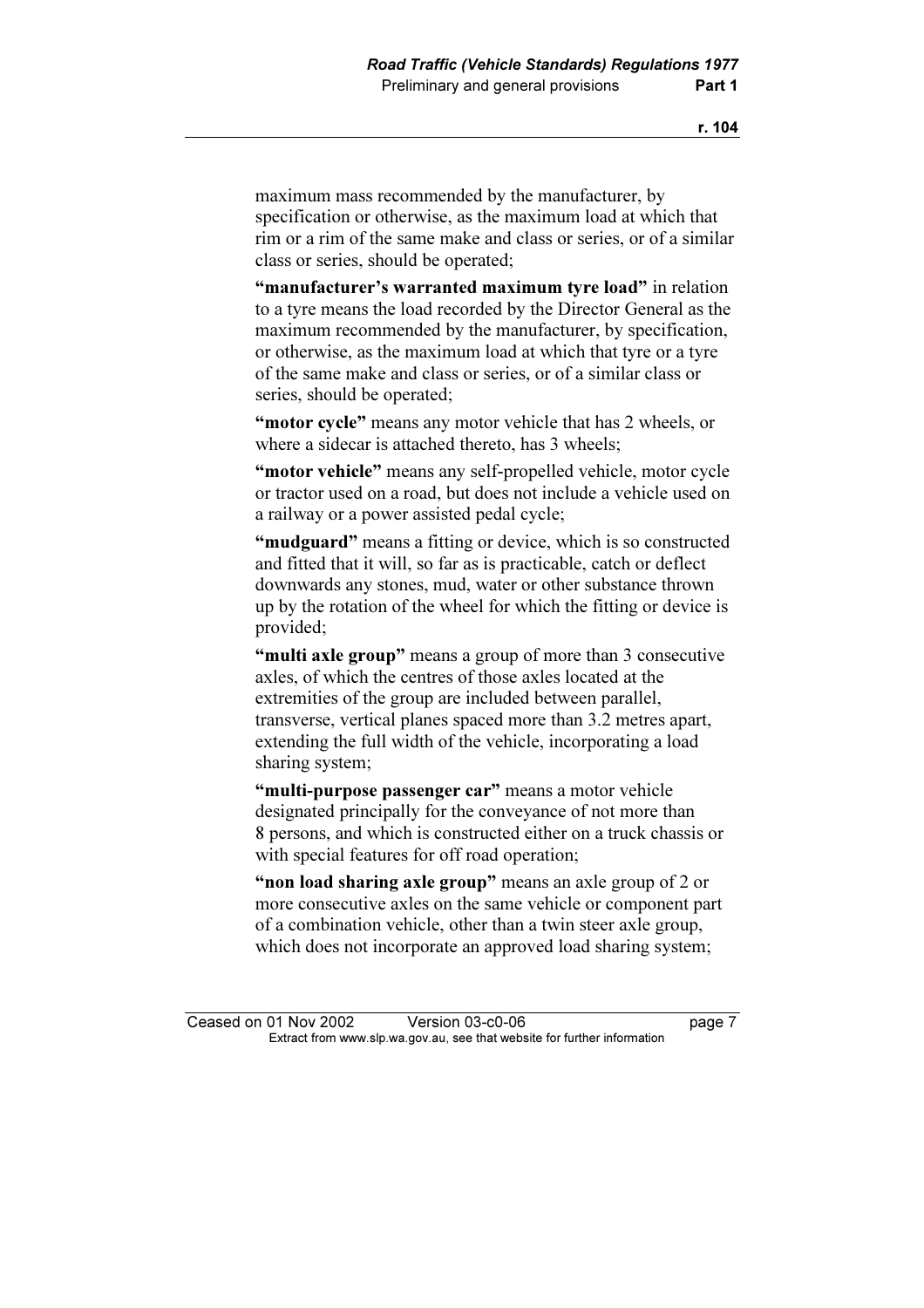maximum mass recommended by the manufacturer, by specification or otherwise, as the maximum load at which that rim or a rim of the same make and class or series, or of a similar class or series, should be operated;

"manufacturer's warranted maximum tyre load" in relation to a tyre means the load recorded by the Director General as the maximum recommended by the manufacturer, by specification, or otherwise, as the maximum load at which that tyre or a tyre of the same make and class or series, or of a similar class or series, should be operated;

"motor cycle" means any motor vehicle that has 2 wheels, or where a sidecar is attached thereto, has 3 wheels;

"motor vehicle" means any self-propelled vehicle, motor cycle or tractor used on a road, but does not include a vehicle used on a railway or a power assisted pedal cycle;

"mudguard" means a fitting or device, which is so constructed and fitted that it will, so far as is practicable, catch or deflect downwards any stones, mud, water or other substance thrown up by the rotation of the wheel for which the fitting or device is provided;

"multi axle group" means a group of more than 3 consecutive axles, of which the centres of those axles located at the extremities of the group are included between parallel, transverse, vertical planes spaced more than 3.2 metres apart, extending the full width of the vehicle, incorporating a load sharing system;

"multi-purpose passenger car" means a motor vehicle designated principally for the conveyance of not more than 8 persons, and which is constructed either on a truck chassis or with special features for off road operation;

"non load sharing axle group" means an axle group of 2 or more consecutive axles on the same vehicle or component part of a combination vehicle, other than a twin steer axle group, which does not incorporate an approved load sharing system;

Ceased on 01 Nov 2002 Version 03-c0-06 page 7<br>Extract from www.slp.wa.gov.au, see that website for further information  $\mathbf{F}$  from which was the set that we besite for further information  $\mathbf{F}$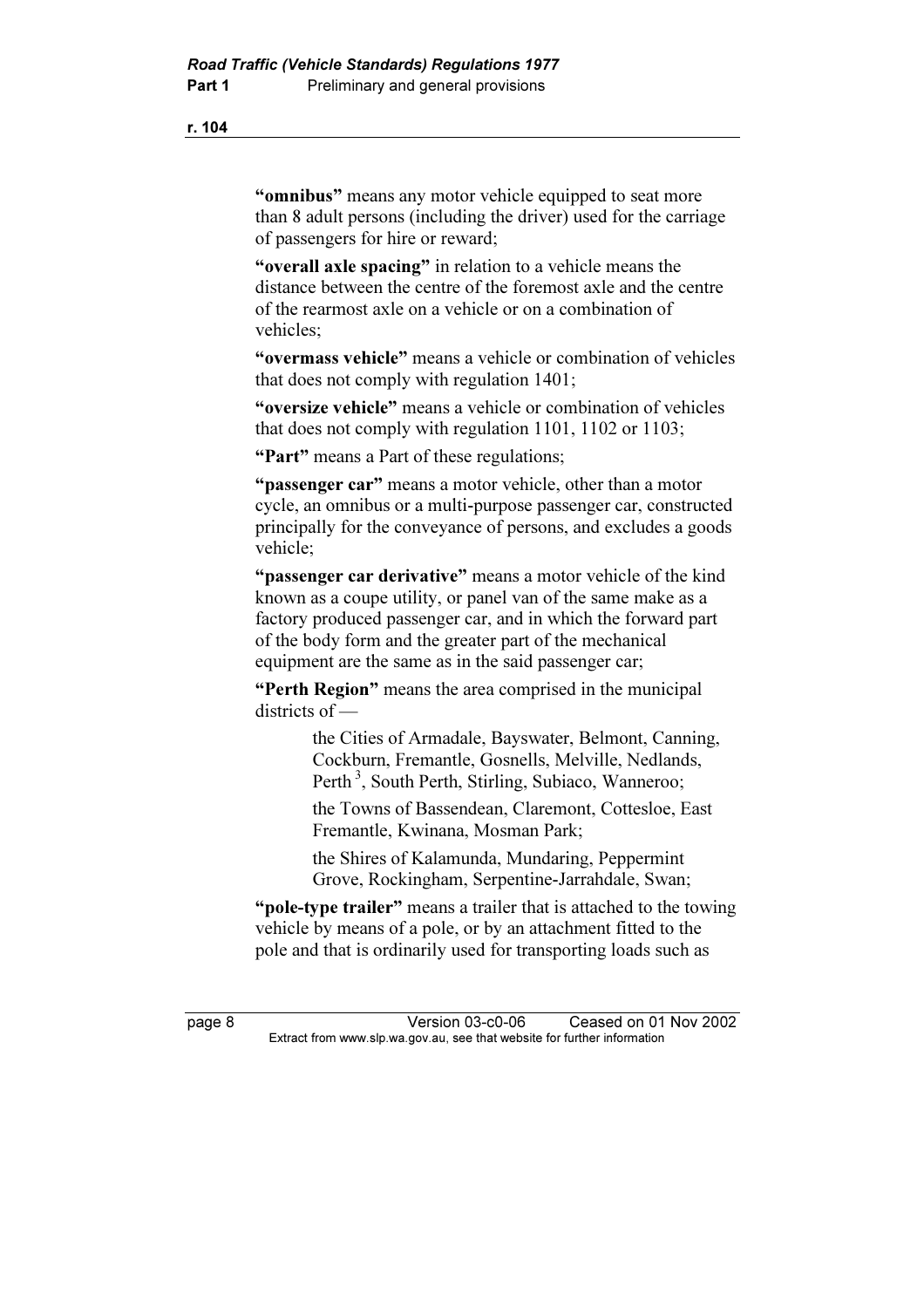"**omnibus**" means any motor vehicle equipped to seat more than 8 adult persons (including the driver) used for the carriage of passengers for hire or reward;

"overall axle spacing" in relation to a vehicle means the distance between the centre of the foremost axle and the centre of the rearmost axle on a vehicle or on a combination of vehicles;

 "overmass vehicle" means a vehicle or combination of vehicles that does not comply with regulation 1401;

 "oversize vehicle" means a vehicle or combination of vehicles that does not comply with regulation 1101, 1102 or 1103;

"Part" means a Part of these regulations;

"passenger car" means a motor vehicle, other than a motor cycle, an omnibus or a multi-purpose passenger car, constructed principally for the conveyance of persons, and excludes a goods vehicle;

"passenger car derivative" means a motor vehicle of the kind known as a coupe utility, or panel van of the same make as a factory produced passenger car, and in which the forward part of the body form and the greater part of the mechanical equipment are the same as in the said passenger car;

 "Perth Region" means the area comprised in the municipal districts of —

> the Cities of Armadale, Bayswater, Belmont, Canning, Cockburn, Fremantle, Gosnells, Melville, Nedlands, Perth<sup>3</sup>, South Perth, Stirling, Subiaco, Wanneroo;

 the Towns of Bassendean, Claremont, Cottesloe, East Fremantle, Kwinana, Mosman Park;

 the Shires of Kalamunda, Mundaring, Peppermint Grove, Rockingham, Serpentine-Jarrahdale, Swan;

"pole-type trailer" means a trailer that is attached to the towing vehicle by means of a pole, or by an attachment fitted to the pole and that is ordinarily used for transporting loads such as

page 8 Version 03-c0-06 Ceased on 01 Nov 2002<br>Extract from www.slp.wa.gov.au, see that website for further information  $\mathbf{F}$  from which was the set that we besite for further information  $\mathbf{F}$ 

r. 104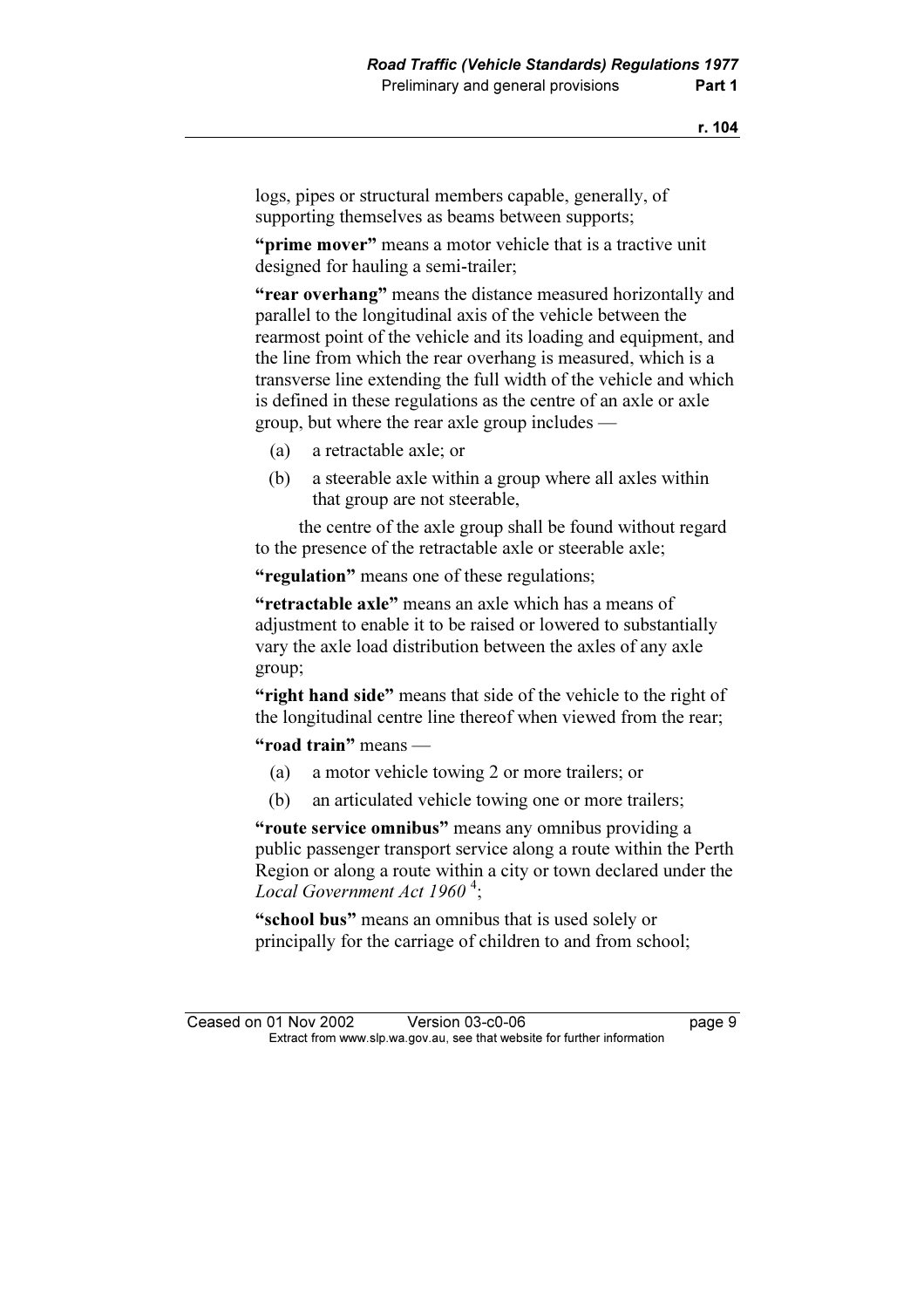logs, pipes or structural members capable, generally, of supporting themselves as beams between supports;

"prime mover" means a motor vehicle that is a tractive unit designed for hauling a semi-trailer;

"rear overhang" means the distance measured horizontally and parallel to the longitudinal axis of the vehicle between the rearmost point of the vehicle and its loading and equipment, and the line from which the rear overhang is measured, which is a transverse line extending the full width of the vehicle and which is defined in these regulations as the centre of an axle or axle group, but where the rear axle group includes —

- (a) a retractable axle; or
- (b) a steerable axle within a group where all axles within that group are not steerable,

 the centre of the axle group shall be found without regard to the presence of the retractable axle or steerable axle;

"regulation" means one of these regulations;

"retractable axle" means an axle which has a means of adjustment to enable it to be raised or lowered to substantially vary the axle load distribution between the axles of any axle group;

"right hand side" means that side of the vehicle to the right of the longitudinal centre line thereof when viewed from the rear;

"road train" means —

- (a) a motor vehicle towing 2 or more trailers; or
- (b) an articulated vehicle towing one or more trailers;

"route service omnibus" means any omnibus providing a public passenger transport service along a route within the Perth Region or along a route within a city or town declared under the Local Government Act 1960 $4$ ;

 "school bus" means an omnibus that is used solely or principally for the carriage of children to and from school;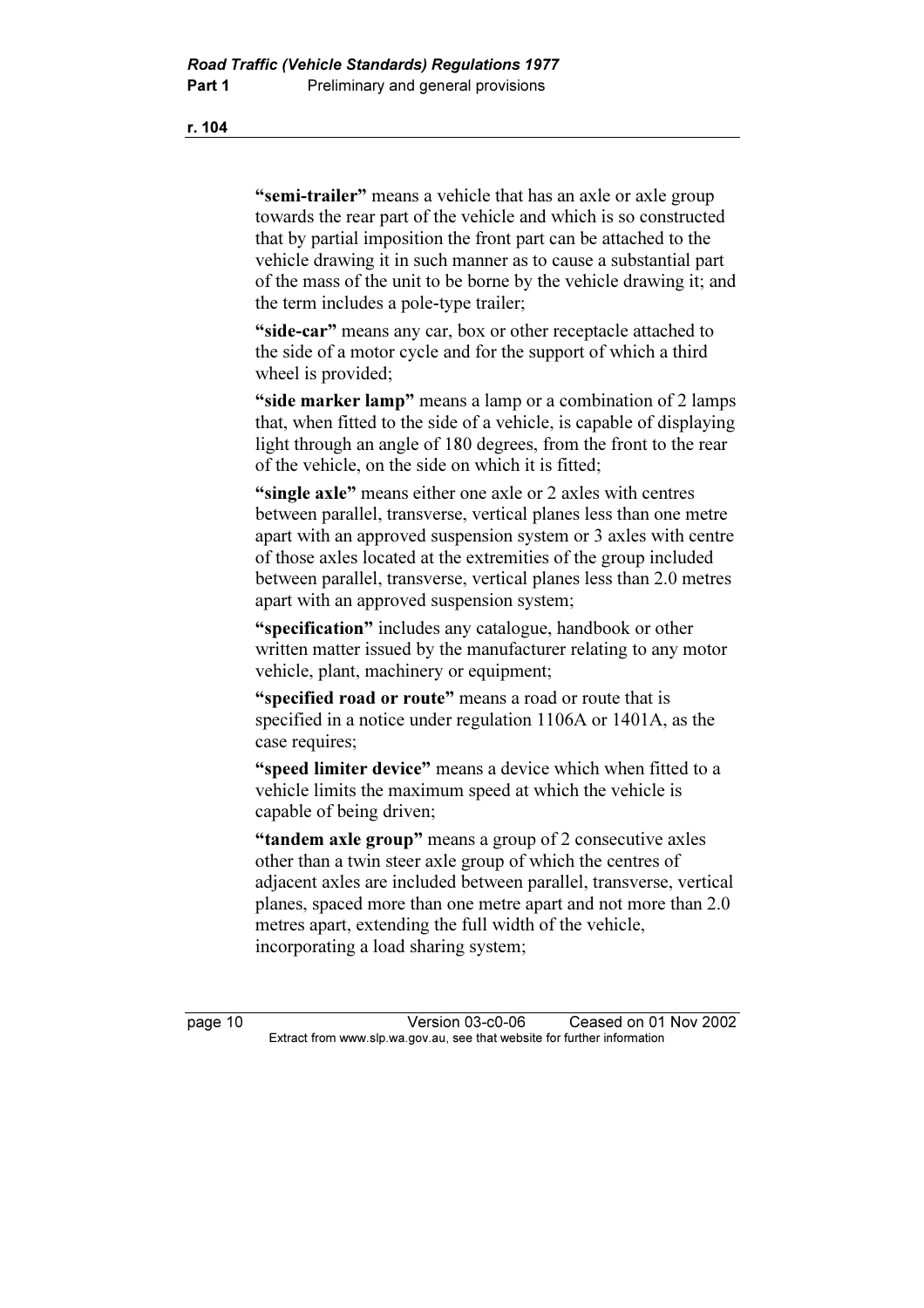"semi-trailer" means a vehicle that has an axle or axle group towards the rear part of the vehicle and which is so constructed that by partial imposition the front part can be attached to the vehicle drawing it in such manner as to cause a substantial part of the mass of the unit to be borne by the vehicle drawing it; and the term includes a pole-type trailer;

"side-car" means any car, box or other receptacle attached to the side of a motor cycle and for the support of which a third wheel is provided;

"side marker lamp" means a lamp or a combination of 2 lamps that, when fitted to the side of a vehicle, is capable of displaying light through an angle of 180 degrees, from the front to the rear of the vehicle, on the side on which it is fitted;

"single axle" means either one axle or 2 axles with centres between parallel, transverse, vertical planes less than one metre apart with an approved suspension system or 3 axles with centre of those axles located at the extremities of the group included between parallel, transverse, vertical planes less than 2.0 metres apart with an approved suspension system;

 "specification" includes any catalogue, handbook or other written matter issued by the manufacturer relating to any motor vehicle, plant, machinery or equipment;

"specified road or route" means a road or route that is specified in a notice under regulation 1106A or 1401A, as the case requires;

"speed limiter device" means a device which when fitted to a vehicle limits the maximum speed at which the vehicle is capable of being driven;

"tandem axle group" means a group of 2 consecutive axles other than a twin steer axle group of which the centres of adjacent axles are included between parallel, transverse, vertical planes, spaced more than one metre apart and not more than 2.0 metres apart, extending the full width of the vehicle, incorporating a load sharing system;

page 10 Version 03-c0-06 Ceased on 01 Nov 2002<br>Extract from www.slp.wa.gov.au, see that website for further information  $\mathbf{F}$  from which was the set that we besite for further information  $\mathbf{F}$ 

r. 104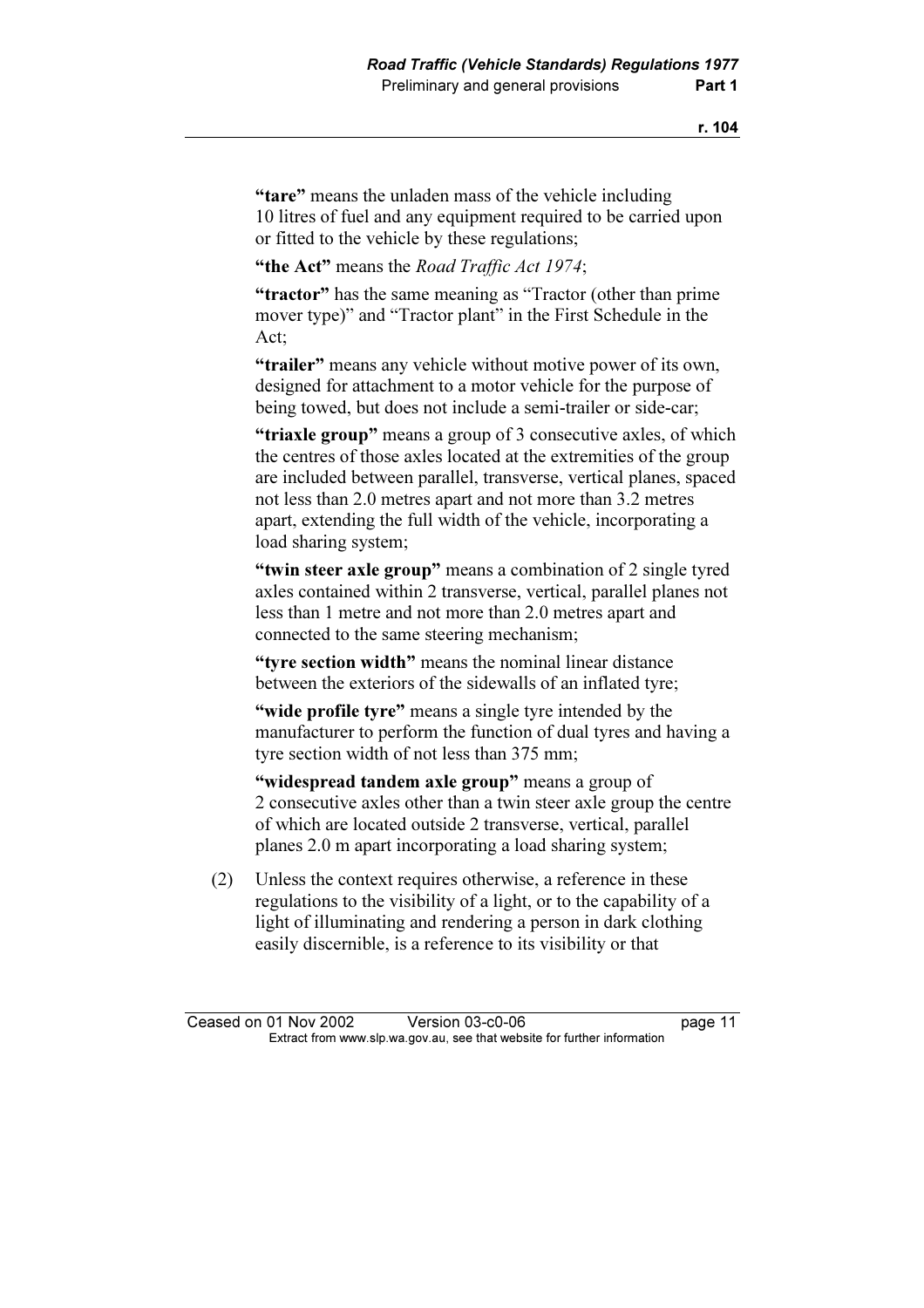"tare" means the unladen mass of the vehicle including 10 litres of fuel and any equipment required to be carried upon or fitted to the vehicle by these regulations;

## "the Act" means the Road Traffic Act 1974:

"tractor" has the same meaning as "Tractor (other than prime mover type)" and "Tractor plant" in the First Schedule in the Act;

"trailer" means any vehicle without motive power of its own, designed for attachment to a motor vehicle for the purpose of being towed, but does not include a semi-trailer or side-car;

"triaxle group" means a group of 3 consecutive axles, of which the centres of those axles located at the extremities of the group are included between parallel, transverse, vertical planes, spaced not less than 2.0 metres apart and not more than 3.2 metres apart, extending the full width of the vehicle, incorporating a load sharing system;

 "twin steer axle group" means a combination of 2 single tyred axles contained within 2 transverse, vertical, parallel planes not less than 1 metre and not more than 2.0 metres apart and connected to the same steering mechanism;

"tyre section width" means the nominal linear distance between the exteriors of the sidewalls of an inflated tyre;

"wide profile tyre" means a single tyre intended by the manufacturer to perform the function of dual tyres and having a tyre section width of not less than 375 mm;

"widespread tandem axle group" means a group of 2 consecutive axles other than a twin steer axle group the centre of which are located outside 2 transverse, vertical, parallel planes 2.0 m apart incorporating a load sharing system;

 (2) Unless the context requires otherwise, a reference in these regulations to the visibility of a light, or to the capability of a light of illuminating and rendering a person in dark clothing easily discernible, is a reference to its visibility or that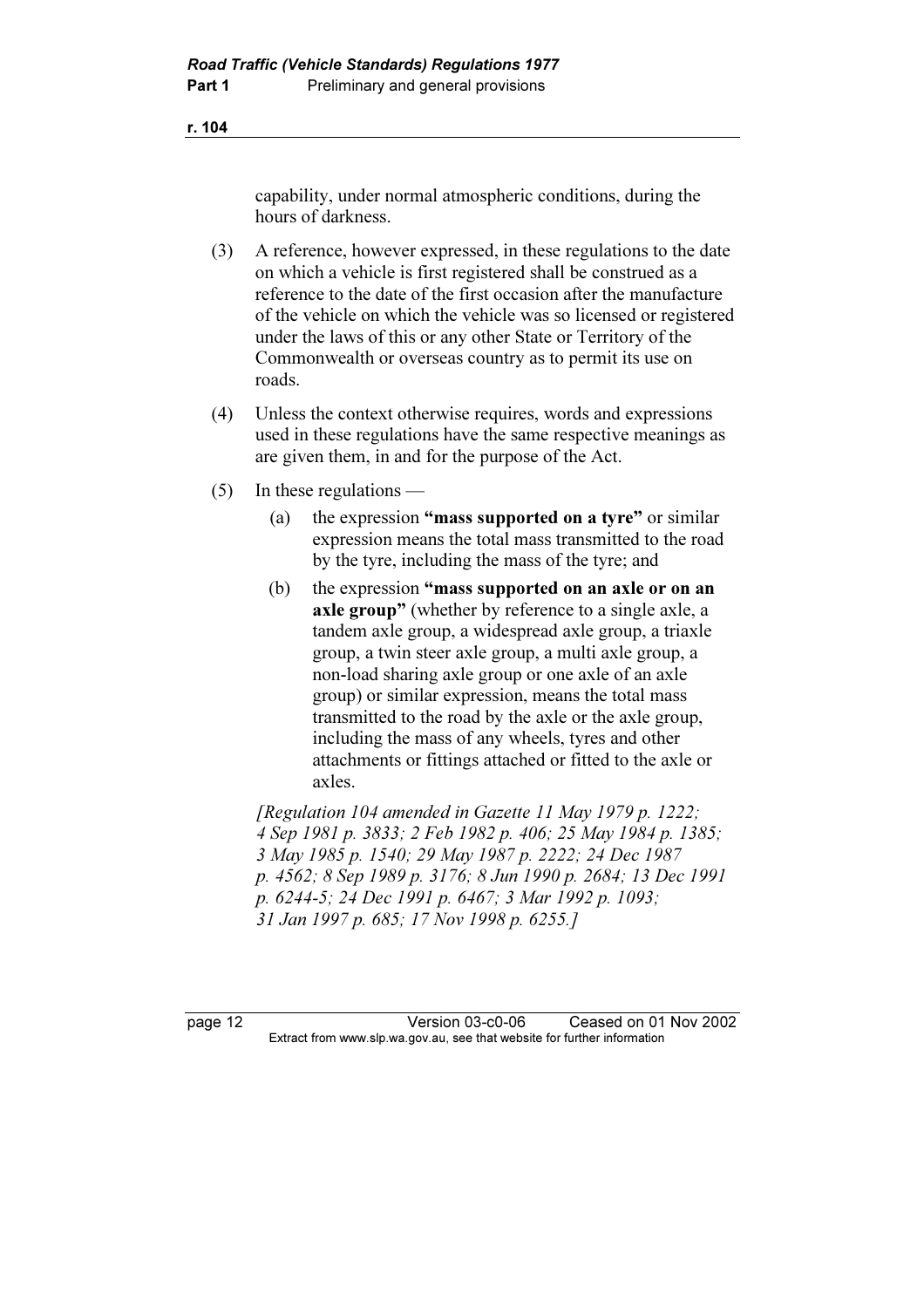#### r. 104

capability, under normal atmospheric conditions, during the hours of darkness.

- (3) A reference, however expressed, in these regulations to the date on which a vehicle is first registered shall be construed as a reference to the date of the first occasion after the manufacture of the vehicle on which the vehicle was so licensed or registered under the laws of this or any other State or Territory of the Commonwealth or overseas country as to permit its use on roads.
- (4) Unless the context otherwise requires, words and expressions used in these regulations have the same respective meanings as are given them, in and for the purpose of the Act.
- (5) In these regulations
	- (a) the expression "mass supported on a tyre" or similar expression means the total mass transmitted to the road by the tyre, including the mass of the tyre; and
	- (b) the expression "mass supported on an axle or on an axle group" (whether by reference to a single axle, a tandem axle group, a widespread axle group, a triaxle group, a twin steer axle group, a multi axle group, a non-load sharing axle group or one axle of an axle group) or similar expression, means the total mass transmitted to the road by the axle or the axle group, including the mass of any wheels, tyres and other attachments or fittings attached or fitted to the axle or axles.

 [Regulation 104 amended in Gazette 11 May 1979 p. 1222; 4 Sep 1981 p. 3833; 2 Feb 1982 p. 406; 25 May 1984 p. 1385; 3 May 1985 p. 1540; 29 May 1987 p. 2222; 24 Dec 1987 p. 4562; 8 Sep 1989 p. 3176; 8 Jun 1990 p. 2684; 13 Dec 1991 p. 6244-5; 24 Dec 1991 p. 6467; 3 Mar 1992 p. 1093; 31 Jan 1997 p. 685; 17 Nov 1998 p. 6255.]

page 12 Version 03-c0-06 Ceased on 01 Nov 2002<br>Extract from www.slp.wa.gov.au, see that website for further information  $\mathbf{F}$  from which was the set that we besite for further information  $\mathbf{F}$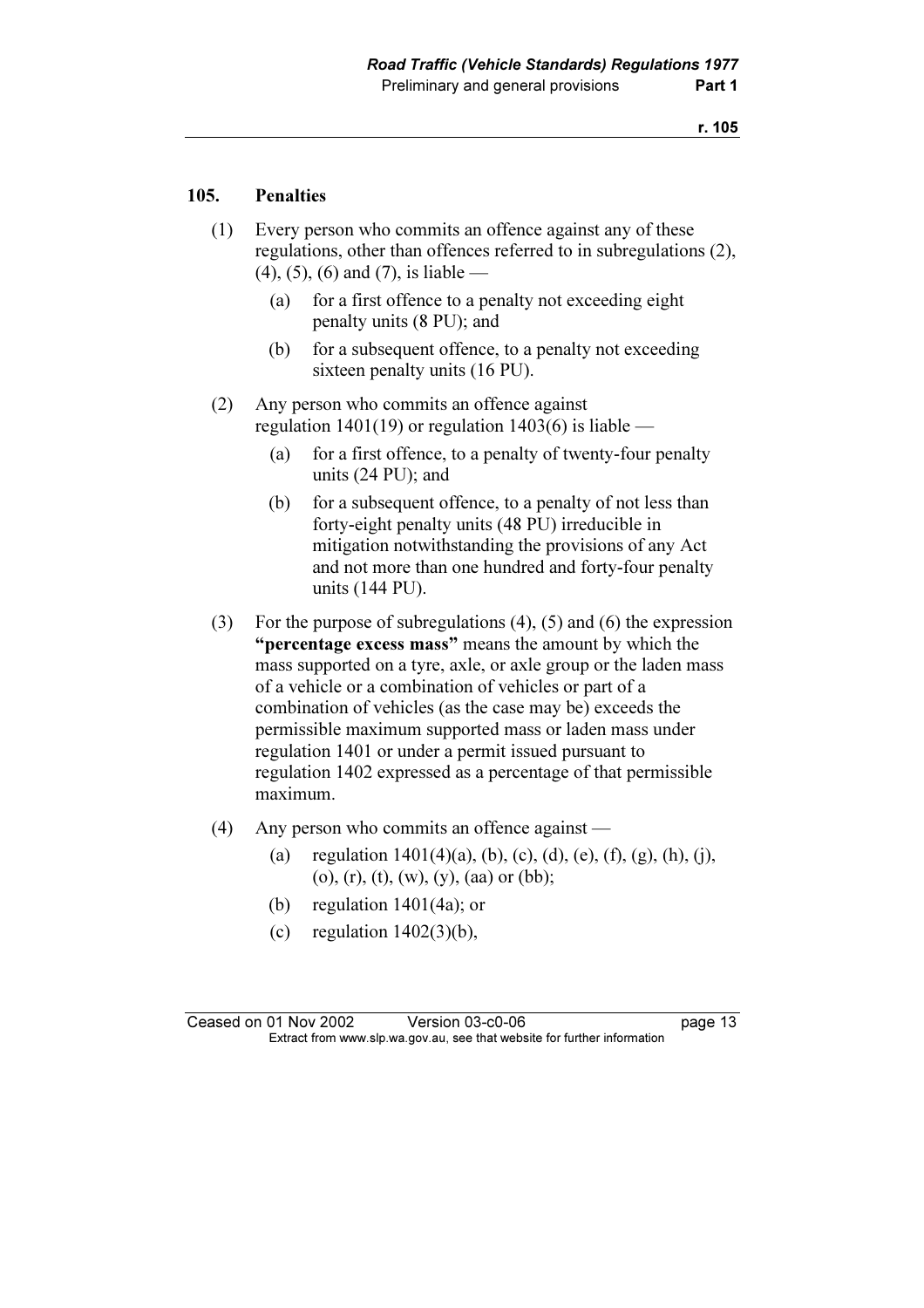#### 105. Penalties

- (1) Every person who commits an offence against any of these regulations, other than offences referred to in subregulations (2),  $(4)$ ,  $(5)$ ,  $(6)$  and  $(7)$ , is liable —
	- (a) for a first offence to a penalty not exceeding eight penalty units (8 PU); and
	- (b) for a subsequent offence, to a penalty not exceeding sixteen penalty units (16 PU).
- (2) Any person who commits an offence against regulation 1401(19) or regulation 1403(6) is liable —
	- (a) for a first offence, to a penalty of twenty-four penalty units (24 PU); and
	- (b) for a subsequent offence, to a penalty of not less than forty-eight penalty units (48 PU) irreducible in mitigation notwithstanding the provisions of any Act and not more than one hundred and forty-four penalty units (144 PU).
- (3) For the purpose of subregulations (4), (5) and (6) the expression "**percentage excess mass**" means the amount by which the mass supported on a tyre, axle, or axle group or the laden mass of a vehicle or a combination of vehicles or part of a combination of vehicles (as the case may be) exceeds the permissible maximum supported mass or laden mass under regulation 1401 or under a permit issued pursuant to regulation 1402 expressed as a percentage of that permissible maximum.
- (4) Any person who commits an offence against
	- (a) regulation  $1401(4)(a)$ , (b), (c), (d), (e), (f), (g), (h), (j), (o), (r), (t), (w), (y), (aa) or (bb);
	- (b) regulation 1401(4a); or
	- (c) regulation  $1402(3)(b)$ ,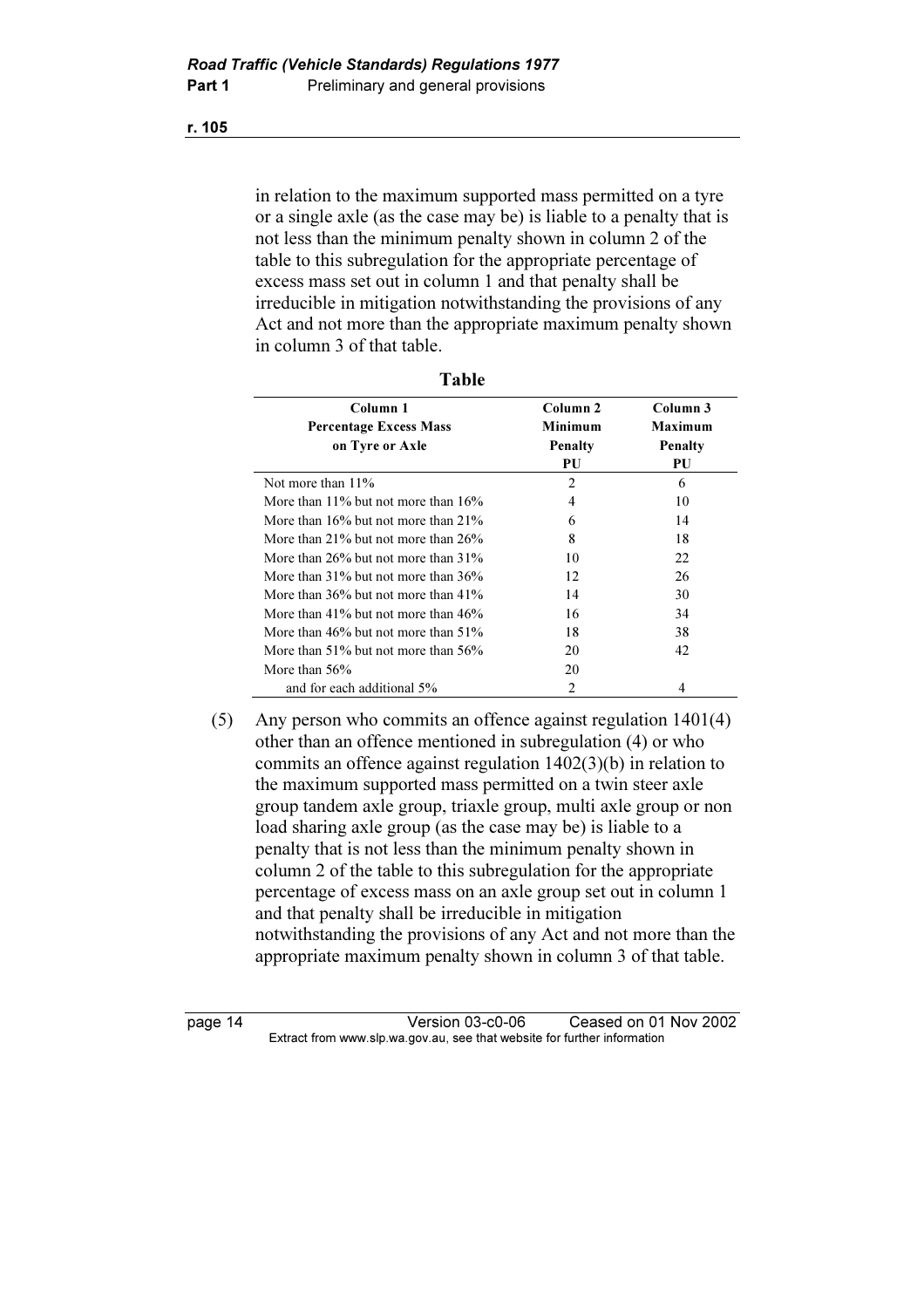in relation to the maximum supported mass permitted on a tyre or a single axle (as the case may be) is liable to a penalty that is not less than the minimum penalty shown in column 2 of the table to this subregulation for the appropriate percentage of excess mass set out in column 1 and that penalty shall be irreducible in mitigation notwithstanding the provisions of any Act and not more than the appropriate maximum penalty shown in column 3 of that table.

| Column 1<br><b>Percentage Excess Mass</b><br>on Tyre or Axle | Column <sub>2</sub><br>Minimum<br><b>Penalty</b><br>PU | Column 3<br>Maximum<br><b>Penalty</b><br>PU |
|--------------------------------------------------------------|--------------------------------------------------------|---------------------------------------------|
| Not more than 11%                                            | $\mathfrak{D}$                                         | 6                                           |
| More than $11\%$ but not more than $16\%$                    | 4                                                      | 10                                          |
| More than $16\%$ but not more than $21\%$                    | 6                                                      | 14                                          |
| More than $21\%$ but not more than $26\%$                    | 8                                                      | 18                                          |
| More than $26\%$ but not more than $31\%$                    | 10                                                     | 22                                          |
| More than $31\%$ but not more than $36\%$                    | 12                                                     | 26                                          |
| More than 36% but not more than 41%                          | 14                                                     | 30                                          |
| More than $41\%$ but not more than $46\%$                    | 16                                                     | 34                                          |
| More than $46\%$ but not more than $51\%$                    | 18                                                     | 38                                          |
| More than $51\%$ but not more than $56\%$                    | 20                                                     | 42                                          |
| More than $56\%$                                             | 20                                                     |                                             |
| and for each additional 5%                                   | 2                                                      |                                             |

Table

 (5) Any person who commits an offence against regulation 1401(4) other than an offence mentioned in subregulation (4) or who commits an offence against regulation 1402(3)(b) in relation to the maximum supported mass permitted on a twin steer axle group tandem axle group, triaxle group, multi axle group or non load sharing axle group (as the case may be) is liable to a penalty that is not less than the minimum penalty shown in column 2 of the table to this subregulation for the appropriate percentage of excess mass on an axle group set out in column 1 and that penalty shall be irreducible in mitigation notwithstanding the provisions of any Act and not more than the appropriate maximum penalty shown in column 3 of that table.

page 14 Version 03-c0-06 Ceased on 01 Nov 2002<br>Extract from www.slp.wa.gov.au, see that website for further information  $\mathbf{F}$  from which was the set that we besite for further information  $\mathbf{F}$ 

r. 105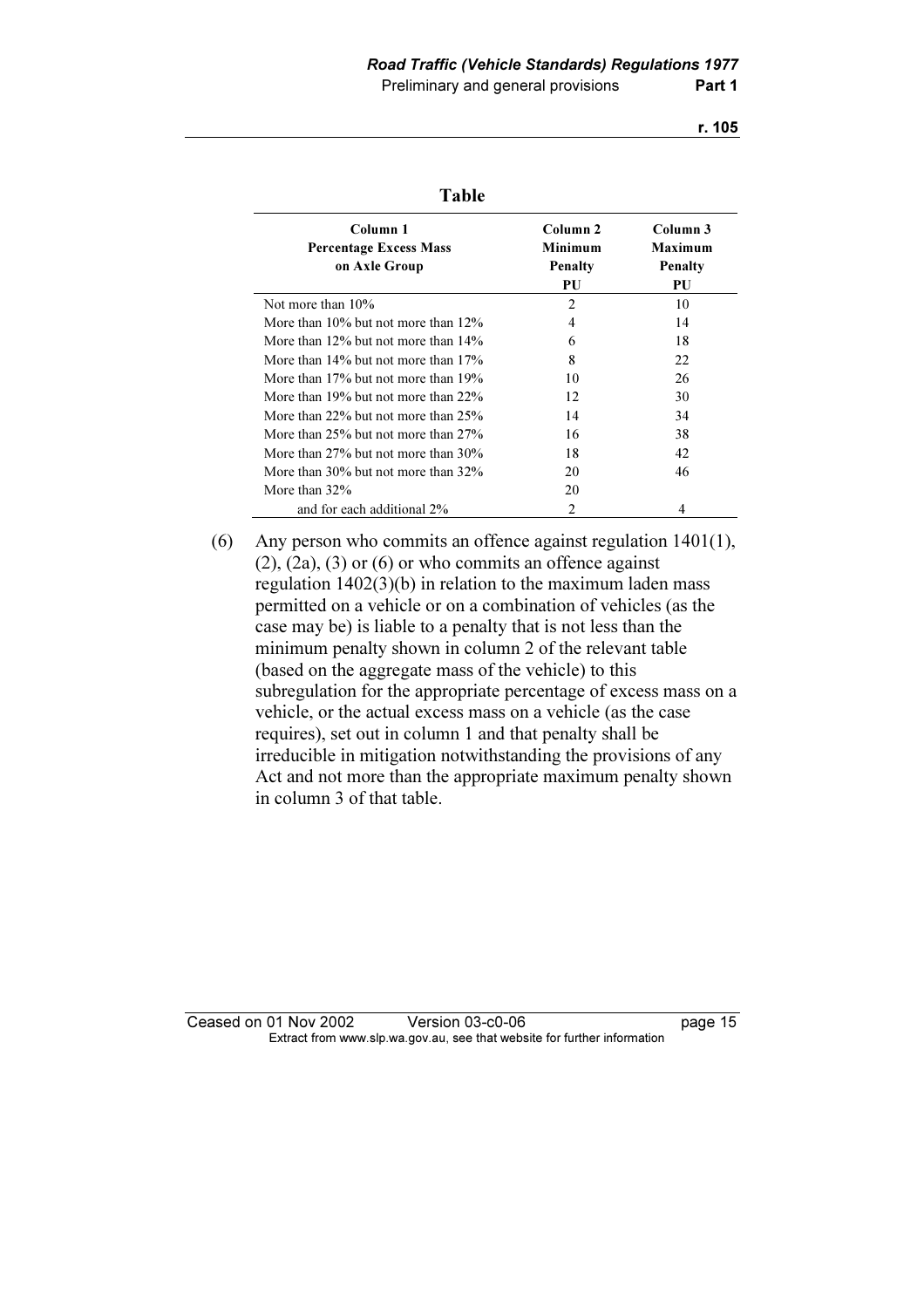#### Table

| Column 1<br><b>Percentage Excess Mass</b><br>on Axle Group | Column <sub>2</sub><br>Minimum<br>Penalty<br>PU | Column 3<br>Maximum<br>Penalty<br>PU |
|------------------------------------------------------------|-------------------------------------------------|--------------------------------------|
| Not more than 10%                                          | $\mathfrak{D}$                                  | 10                                   |
| More than $10\%$ but not more than $12\%$                  | 4                                               | 14                                   |
| More than $12\%$ but not more than $14\%$                  | 6                                               | 18                                   |
| More than 14% but not more than 17%                        | 8                                               | 22                                   |
| More than 17% but not more than 19%                        | 10                                              | 26                                   |
| More than 19% but not more than 22%                        | 12                                              | 30                                   |
| More than 22% but not more than 25%                        | 14                                              | 34                                   |
| More than 25% but not more than 27%                        | 16                                              | 38                                   |
| More than 27% but not more than 30%                        | 18                                              | 42                                   |
| More than 30% but not more than 32%                        | 20                                              | 46                                   |
| More than $32\%$                                           | 20                                              |                                      |
| and for each additional 2%                                 | 2                                               |                                      |

 (6) Any person who commits an offence against regulation 1401(1),  $(2)$ ,  $(2a)$ ,  $(3)$  or  $(6)$  or who commits an offence against regulation 1402(3)(b) in relation to the maximum laden mass permitted on a vehicle or on a combination of vehicles (as the case may be) is liable to a penalty that is not less than the minimum penalty shown in column 2 of the relevant table (based on the aggregate mass of the vehicle) to this subregulation for the appropriate percentage of excess mass on a vehicle, or the actual excess mass on a vehicle (as the case requires), set out in column 1 and that penalty shall be irreducible in mitigation notwithstanding the provisions of any Act and not more than the appropriate maximum penalty shown in column 3 of that table.

Ceased on 01 Nov 2002 Version 03-c0-06 page 15<br>Extract from www.slp.wa.gov.au, see that website for further information  $\mathbf{F}$  from which was the set that we besite for further information  $\mathbf{F}$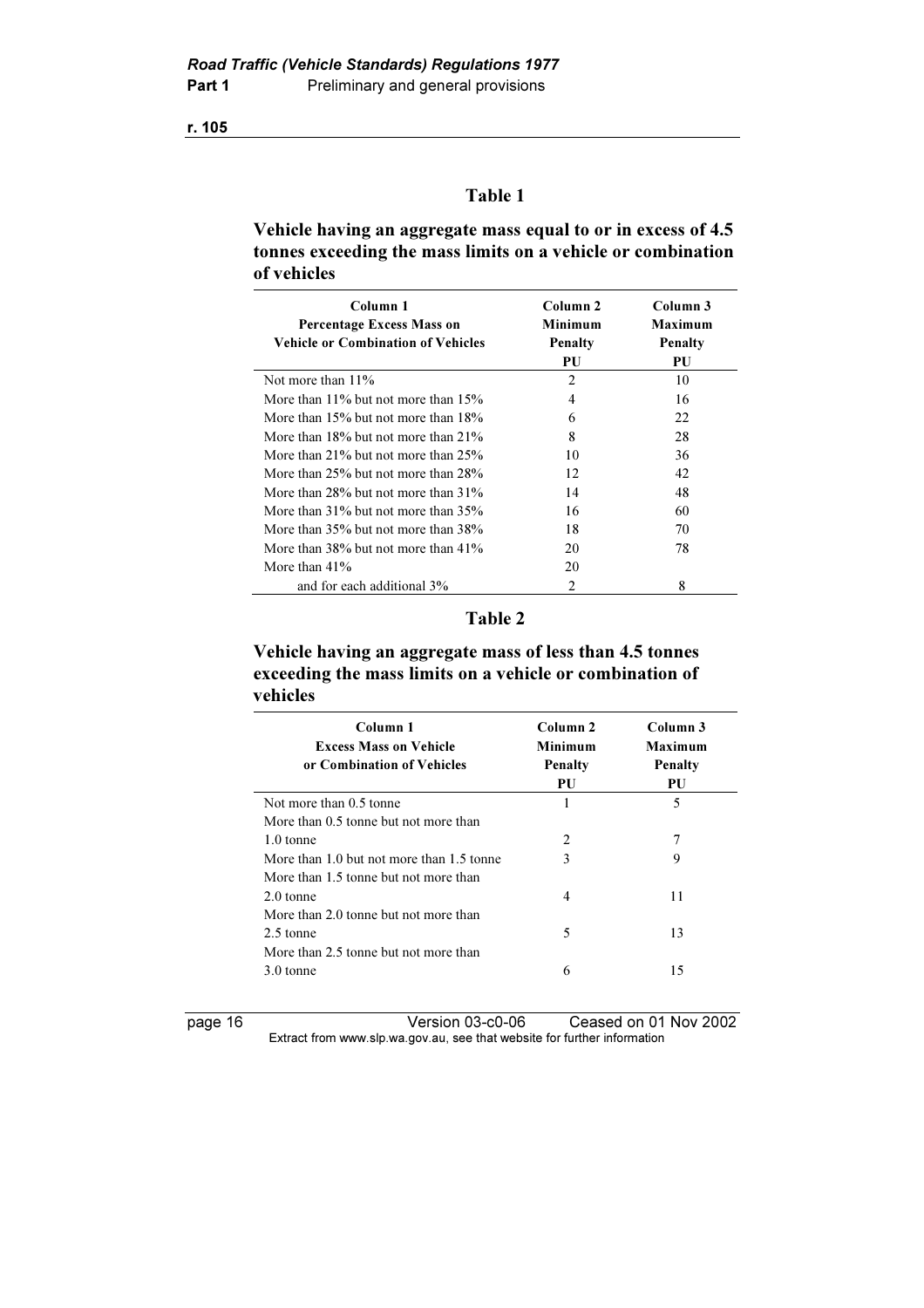r. 105

# Table 1

Vehicle having an aggregate mass equal to or in excess of 4.5 tonnes exceeding the mass limits on a vehicle or combination of vehicles

| Column 1<br>Percentage Excess Mass on<br><b>Vehicle or Combination of Vehicles</b> | Column <sub>2</sub><br>Minimum<br><b>Penalty</b><br>PU | Column 3<br>Maximum<br><b>Penalty</b><br>PU |
|------------------------------------------------------------------------------------|--------------------------------------------------------|---------------------------------------------|
| Not more than 11%                                                                  | $\overline{c}$                                         | 10                                          |
| More than $11\%$ but not more than $15\%$                                          | $\overline{4}$                                         | 16                                          |
| More than 15% but not more than 18%                                                | 6                                                      | 22                                          |
| More than $18\%$ but not more than $21\%$                                          | 8                                                      | 28                                          |
| More than 21% but not more than 25%                                                | 10                                                     | 36                                          |
| More than 25% but not more than 28%                                                | 12                                                     | 42                                          |
| More than $28\%$ but not more than $31\%$                                          | 14                                                     | 48                                          |
| More than 31% but not more than 35%                                                | 16                                                     | 60                                          |
| More than 35% but not more than 38%                                                | 18                                                     | 70                                          |
| More than $38\%$ but not more than $41\%$                                          | 20                                                     | 78                                          |
| More than $41\%$                                                                   | 20                                                     |                                             |
| and for each additional 3%                                                         | 2                                                      | 8                                           |

#### Table 2

Vehicle having an aggregate mass of less than 4.5 tonnes exceeding the mass limits on a vehicle or combination of vehicles

| Column <sub>1</sub><br><b>Excess Mass on Vehicle</b><br>or Combination of Vehicles | Column <sub>2</sub><br>Minimum<br>Penalty<br>PU | Column 3<br>Maximum<br><b>Penalty</b><br>PU |
|------------------------------------------------------------------------------------|-------------------------------------------------|---------------------------------------------|
| Not more than 0.5 tonne                                                            | 1                                               | 5                                           |
| More than 0.5 tonne but not more than                                              |                                                 |                                             |
| 1.0 tonne                                                                          | 2                                               |                                             |
| More than 1.0 but not more than 1.5 tonne                                          | 3                                               | 9                                           |
| More than 1.5 tonne but not more than                                              |                                                 |                                             |
| 2.0 tonne                                                                          | 4                                               | 11                                          |
| More than 2.0 tonne but not more than                                              |                                                 |                                             |
| 2.5 tonne                                                                          | 5                                               | 13                                          |
| More than 2.5 tonne but not more than                                              |                                                 |                                             |
| 3.0 tonne                                                                          | 6                                               | 15                                          |

page 16 Version 03-c0-06 Ceased on 01 Nov 2002 Extract from www.slp.wa.gov.au, see that website for further information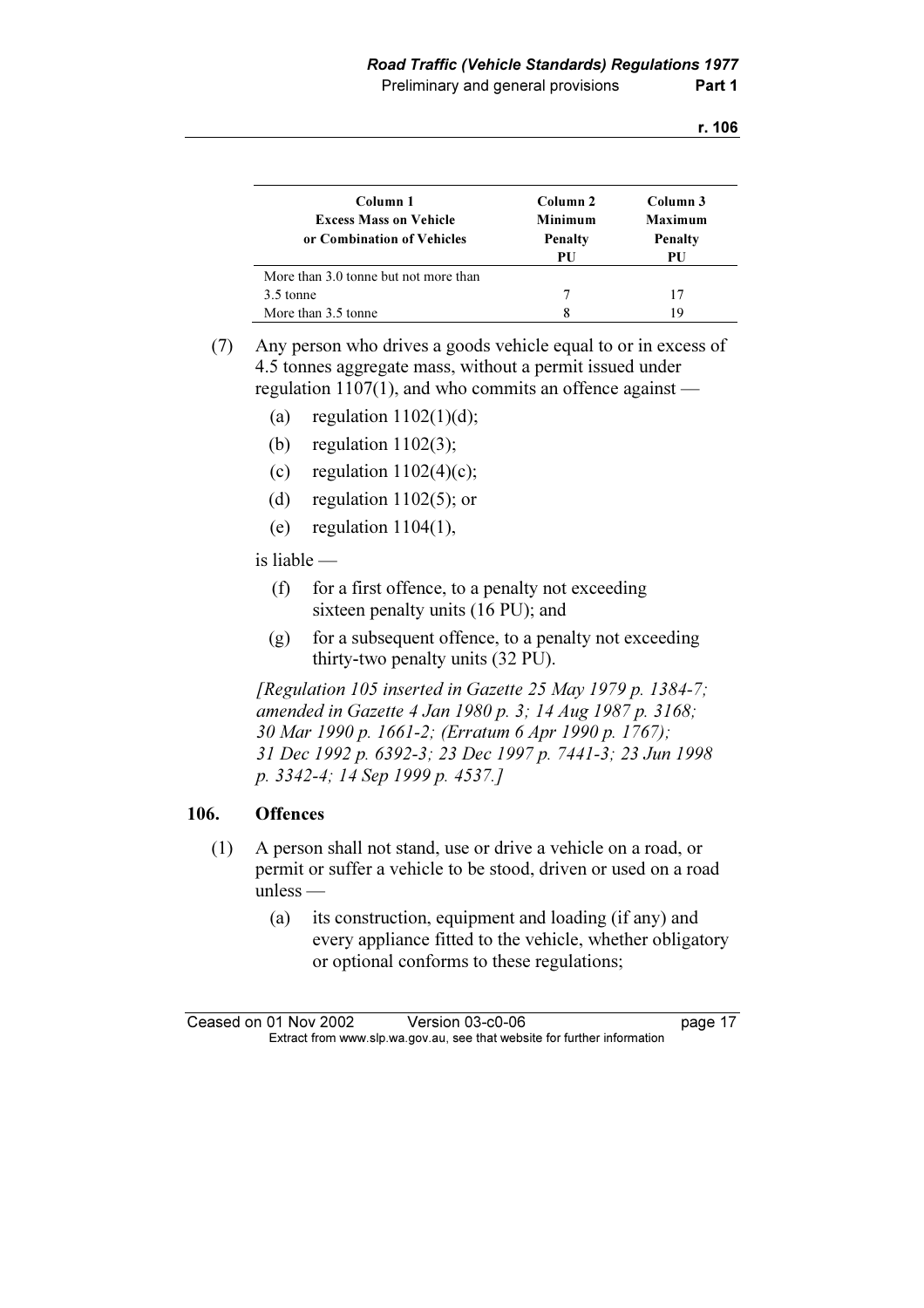| Column 1<br><b>Excess Mass on Vehicle</b><br>or Combination of Vehicles | Column <sub>2</sub><br>Minimum<br><b>Penalty</b><br>PU | Column 3<br>Maximum<br><b>Penalty</b><br>PU |
|-------------------------------------------------------------------------|--------------------------------------------------------|---------------------------------------------|
| More than 3.0 tonne but not more than                                   |                                                        |                                             |
| 3.5 tonne                                                               |                                                        | 17                                          |
| More than 3.5 tonne                                                     |                                                        | 19                                          |

 (7) Any person who drives a goods vehicle equal to or in excess of 4.5 tonnes aggregate mass, without a permit issued under regulation 1107(1), and who commits an offence against —

- (a) regulation  $1102(1)(d)$ ;
- (b) regulation 1102(3);
- (c) regulation  $1102(4)(c)$ ;
- (d) regulation  $1102(5)$ ; or
- (e) regulation  $1104(1)$ ,

#### is liable —

- $(f)$  for a first offence, to a penalty not exceeding sixteen penalty units (16 PU); and
- (g) for a subsequent offence, to a penalty not exceeding thirty-two penalty units (32 PU).

 [Regulation 105 inserted in Gazette 25 May 1979 p. 1384-7; amended in Gazette 4 Jan 1980 p. 3; 14 Aug 1987 p. 3168; 30 Mar 1990 p. 1661-2; (Erratum 6 Apr 1990 p. 1767); 31 Dec 1992 p. 6392-3; 23 Dec 1997 p. 7441-3; 23 Jun 1998 p. 3342-4; 14 Sep 1999 p. 4537.]

#### 106. Offences

- (1) A person shall not stand, use or drive a vehicle on a road, or permit or suffer a vehicle to be stood, driven or used on a road unless —
	- (a) its construction, equipment and loading (if any) and every appliance fitted to the vehicle, whether obligatory or optional conforms to these regulations;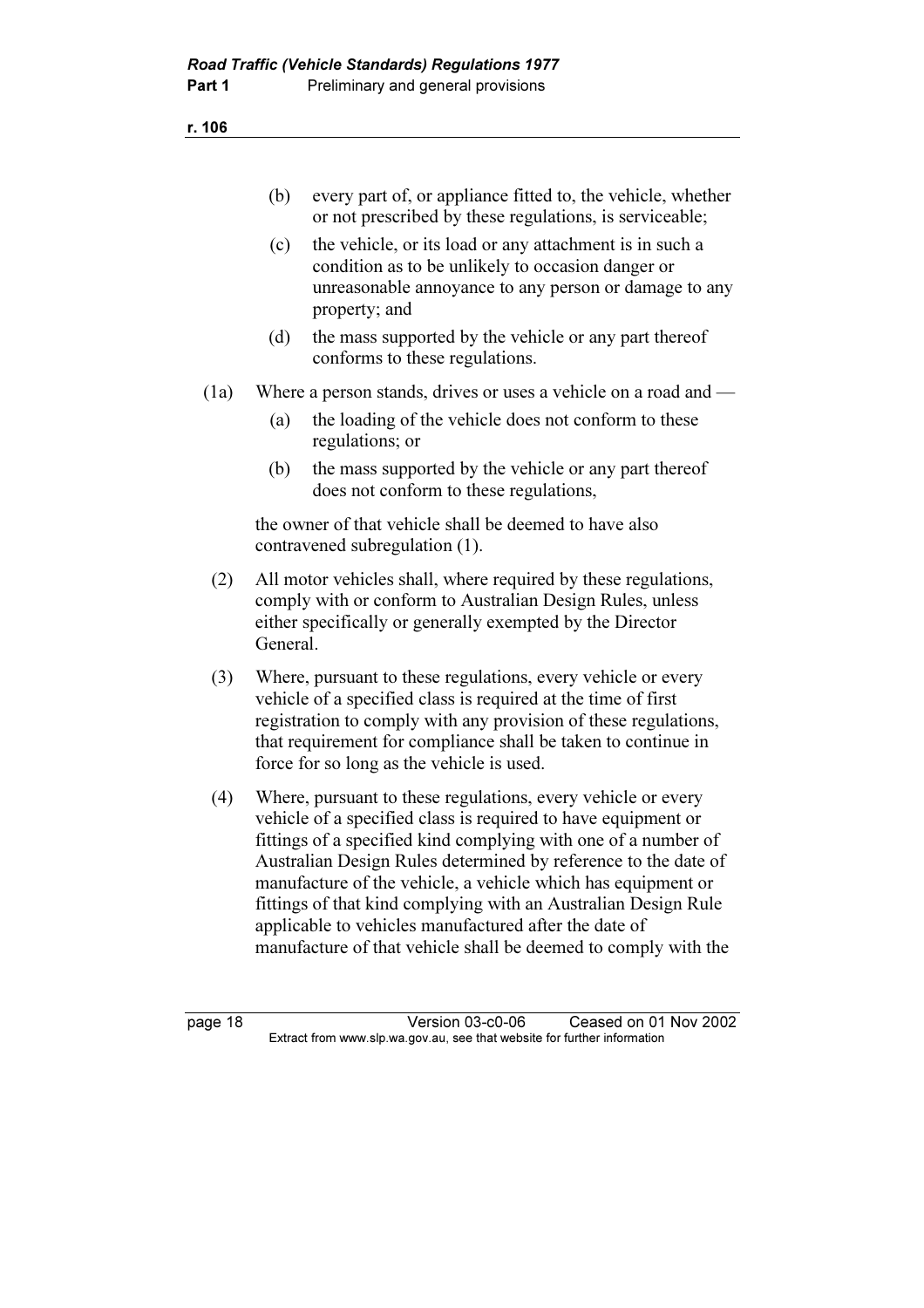r. 106

- (b) every part of, or appliance fitted to, the vehicle, whether or not prescribed by these regulations, is serviceable;
- (c) the vehicle, or its load or any attachment is in such a condition as to be unlikely to occasion danger or unreasonable annoyance to any person or damage to any property; and
- (d) the mass supported by the vehicle or any part thereof conforms to these regulations.
- (1a) Where a person stands, drives or uses a vehicle on a road and
	- (a) the loading of the vehicle does not conform to these regulations; or
	- (b) the mass supported by the vehicle or any part thereof does not conform to these regulations,

 the owner of that vehicle shall be deemed to have also contravened subregulation (1).

- (2) All motor vehicles shall, where required by these regulations, comply with or conform to Australian Design Rules, unless either specifically or generally exempted by the Director General.
- (3) Where, pursuant to these regulations, every vehicle or every vehicle of a specified class is required at the time of first registration to comply with any provision of these regulations, that requirement for compliance shall be taken to continue in force for so long as the vehicle is used.
- (4) Where, pursuant to these regulations, every vehicle or every vehicle of a specified class is required to have equipment or fittings of a specified kind complying with one of a number of Australian Design Rules determined by reference to the date of manufacture of the vehicle, a vehicle which has equipment or fittings of that kind complying with an Australian Design Rule applicable to vehicles manufactured after the date of manufacture of that vehicle shall be deemed to comply with the

page 18 Version 03-c0-06 Ceased on 01 Nov 2002<br>Extract from www.slp.wa.gov.au, see that website for further information  $\mathbf{F}$  from which was the set that we besite for further information  $\mathbf{F}$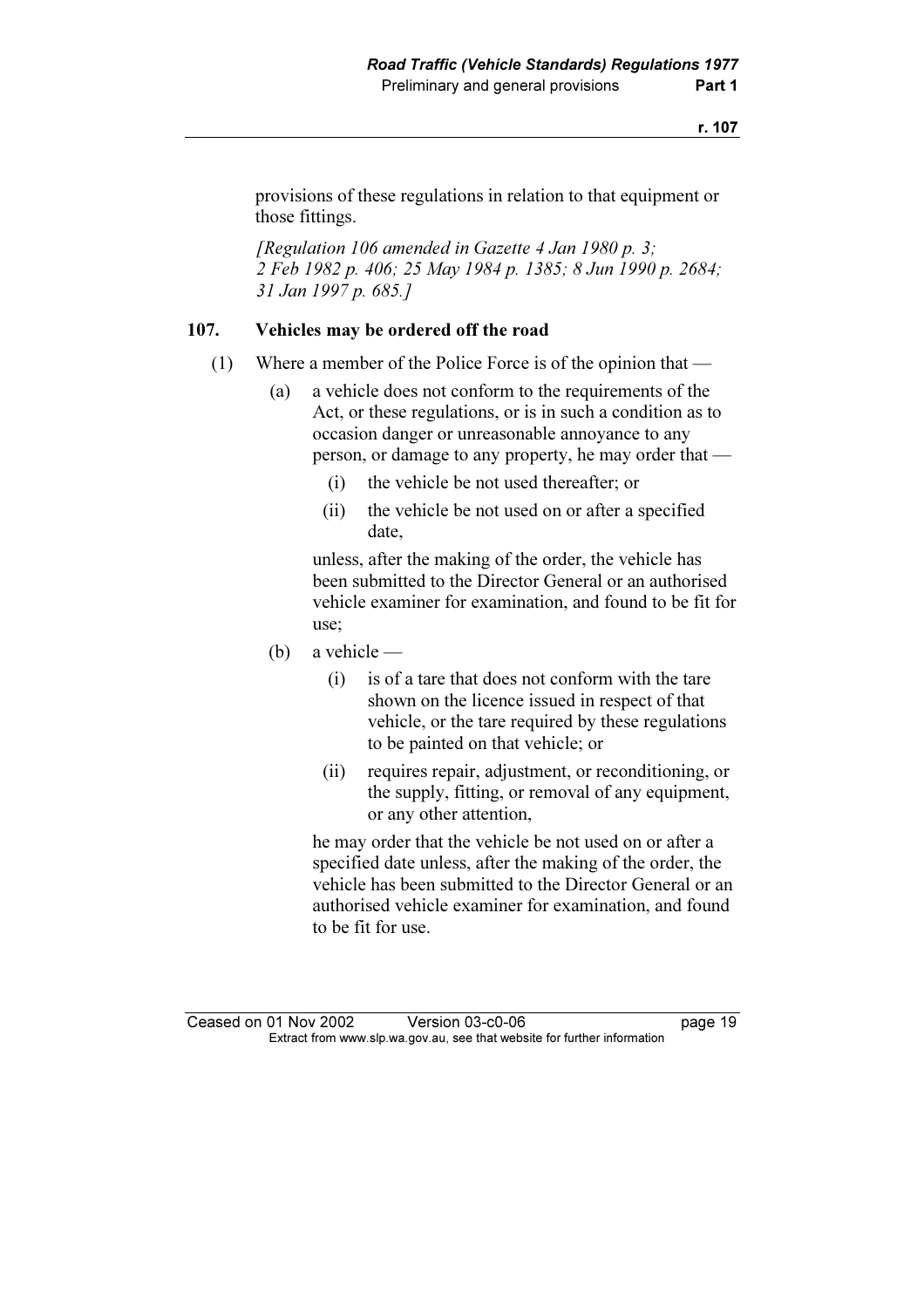provisions of these regulations in relation to that equipment or those fittings.

[Regulation 106 amended in Gazette 4 Jan 1980 p. 3; 2 Feb 1982 p. 406; 25 May 1984 p. 1385; 8 Jun 1990 p. 2684; 31 Jan 1997 p. 685.]

#### 107. Vehicles may be ordered off the road

- (1) Where a member of the Police Force is of the opinion that
	- (a) a vehicle does not conform to the requirements of the Act, or these regulations, or is in such a condition as to occasion danger or unreasonable annoyance to any person, or damage to any property, he may order that —
		- (i) the vehicle be not used thereafter; or
		- (ii) the vehicle be not used on or after a specified date,

 unless, after the making of the order, the vehicle has been submitted to the Director General or an authorised vehicle examiner for examination, and found to be fit for use;

- (b) a vehicle  $-$ 
	- (i) is of a tare that does not conform with the tare shown on the licence issued in respect of that vehicle, or the tare required by these regulations to be painted on that vehicle; or
	- (ii) requires repair, adjustment, or reconditioning, or the supply, fitting, or removal of any equipment, or any other attention,

 he may order that the vehicle be not used on or after a specified date unless, after the making of the order, the vehicle has been submitted to the Director General or an authorised vehicle examiner for examination, and found to be fit for use.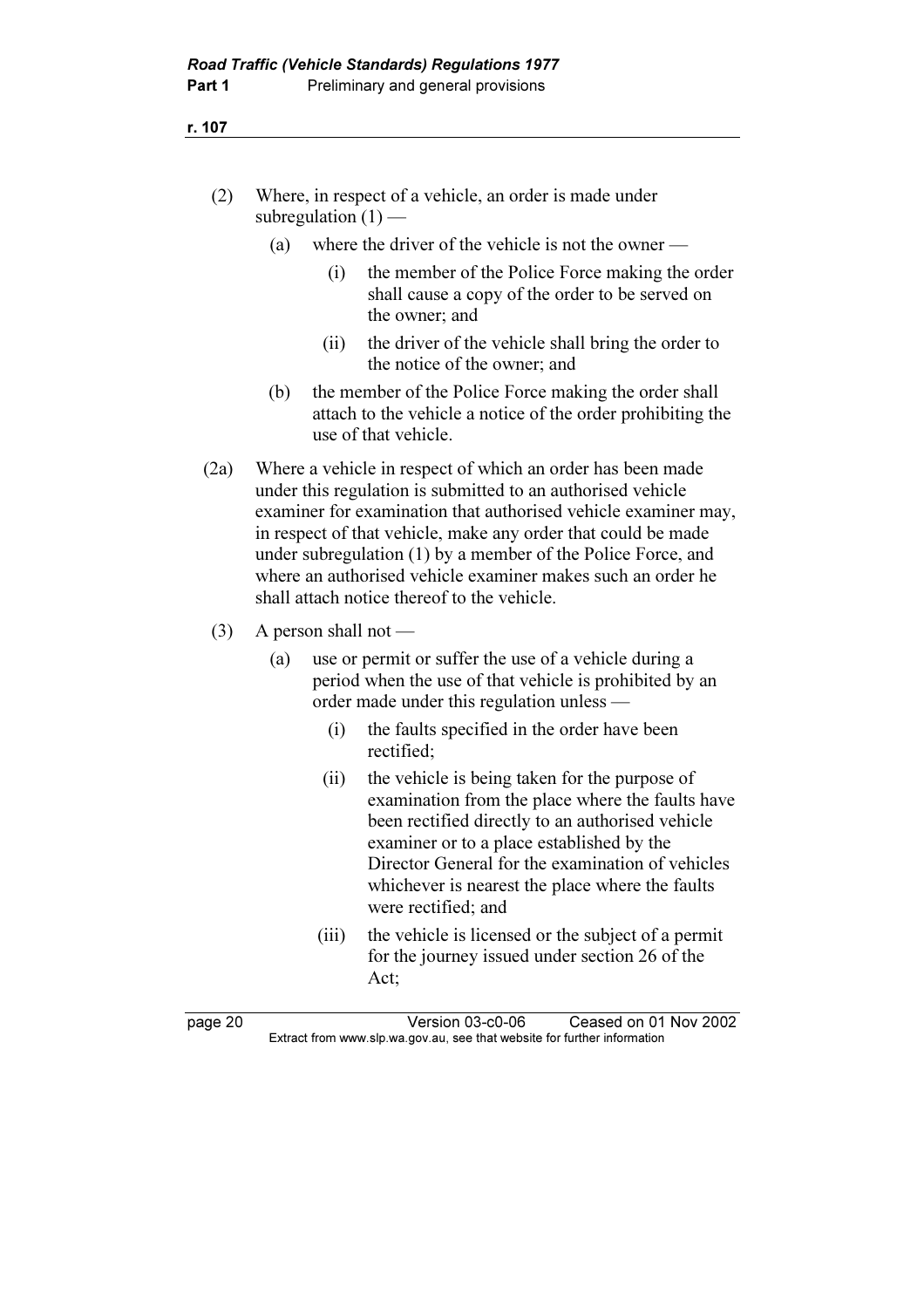- (2) Where, in respect of a vehicle, an order is made under subregulation  $(1)$  —
	- (a) where the driver of the vehicle is not the owner
		- (i) the member of the Police Force making the order shall cause a copy of the order to be served on the owner; and
		- (ii) the driver of the vehicle shall bring the order to the notice of the owner; and
	- (b) the member of the Police Force making the order shall attach to the vehicle a notice of the order prohibiting the use of that vehicle.
- (2a) Where a vehicle in respect of which an order has been made under this regulation is submitted to an authorised vehicle examiner for examination that authorised vehicle examiner may, in respect of that vehicle, make any order that could be made under subregulation (1) by a member of the Police Force, and where an authorised vehicle examiner makes such an order he shall attach notice thereof to the vehicle.
- (3) A person shall not
	- (a) use or permit or suffer the use of a vehicle during a period when the use of that vehicle is prohibited by an order made under this regulation unless —
		- (i) the faults specified in the order have been rectified;
		- (ii) the vehicle is being taken for the purpose of examination from the place where the faults have been rectified directly to an authorised vehicle examiner or to a place established by the Director General for the examination of vehicles whichever is nearest the place where the faults were rectified; and
		- (iii) the vehicle is licensed or the subject of a permit for the journey issued under section 26 of the Act;

page 20 Version 03-c0-06 Ceased on 01 Nov 2002<br>Extract from www.slp.wa.gov.au, see that website for further information  $\mathbf{F}$  from which was the set that we besite for further information  $\mathbf{F}$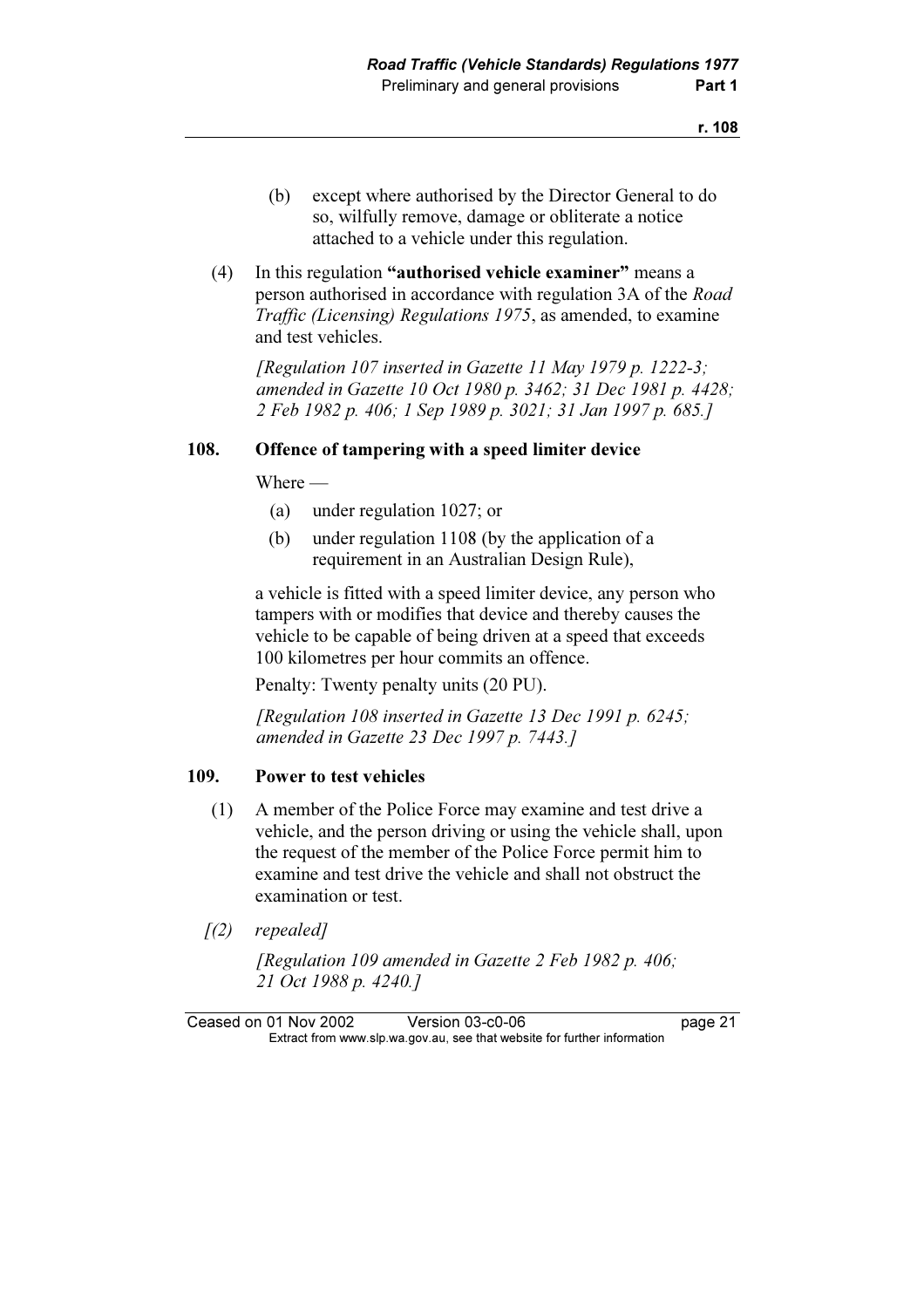- (b) except where authorised by the Director General to do so, wilfully remove, damage or obliterate a notice attached to a vehicle under this regulation.
- (4) In this regulation "authorised vehicle examiner" means a person authorised in accordance with regulation 3A of the Road Traffic (Licensing) Regulations 1975, as amended, to examine and test vehicles.

 [Regulation 107 inserted in Gazette 11 May 1979 p. 1222-3; amended in Gazette 10 Oct 1980 p. 3462; 31 Dec 1981 p. 4428; 2 Feb 1982 p. 406; 1 Sep 1989 p. 3021; 31 Jan 1997 p. 685.]

#### 108. Offence of tampering with a speed limiter device

Where —

- (a) under regulation 1027; or
- (b) under regulation 1108 (by the application of a requirement in an Australian Design Rule),

 a vehicle is fitted with a speed limiter device, any person who tampers with or modifies that device and thereby causes the vehicle to be capable of being driven at a speed that exceeds 100 kilometres per hour commits an offence.

Penalty: Twenty penalty units (20 PU).

 [Regulation 108 inserted in Gazette 13 Dec 1991 p. 6245; amended in Gazette 23 Dec 1997 p. 7443.]

#### 109. Power to test vehicles

- (1) A member of the Police Force may examine and test drive a vehicle, and the person driving or using the vehicle shall, upon the request of the member of the Police Force permit him to examine and test drive the vehicle and shall not obstruct the examination or test.
- $(2)$  repealed]

 [Regulation 109 amended in Gazette 2 Feb 1982 p. 406; 21 Oct 1988 p. 4240.]

Ceased on 01 Nov 2002 Version 03-c0-06 page 21<br>Extract from www.slp.wa.gov.au, see that website for further information  $\mathbf{F}$  from which was the set that we besite for further information  $\mathbf{F}$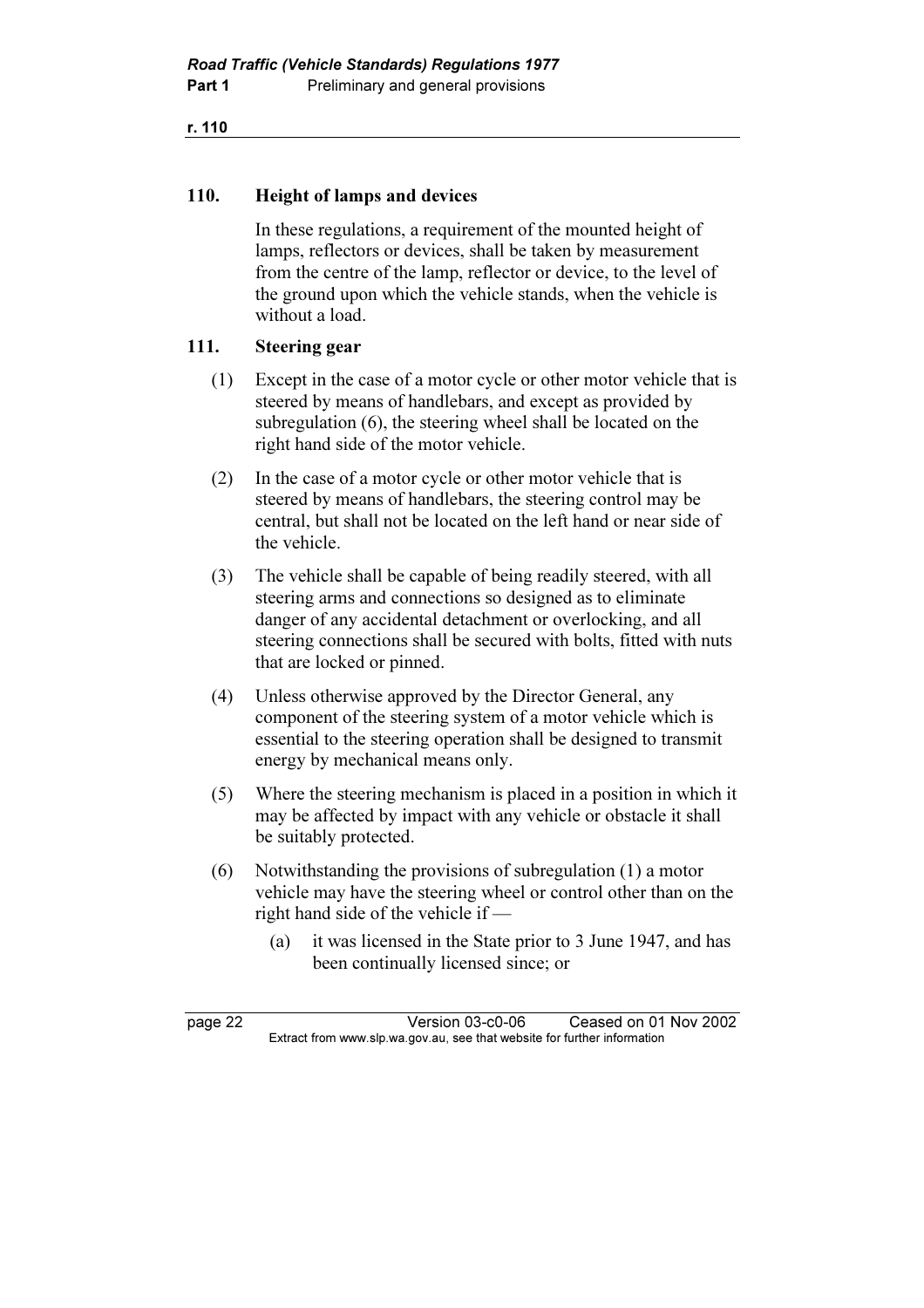r. 110

# 110. Height of lamps and devices

 In these regulations, a requirement of the mounted height of lamps, reflectors or devices, shall be taken by measurement from the centre of the lamp, reflector or device, to the level of the ground upon which the vehicle stands, when the vehicle is without a load.

# 111. Steering gear

- (1) Except in the case of a motor cycle or other motor vehicle that is steered by means of handlebars, and except as provided by subregulation (6), the steering wheel shall be located on the right hand side of the motor vehicle.
- (2) In the case of a motor cycle or other motor vehicle that is steered by means of handlebars, the steering control may be central, but shall not be located on the left hand or near side of the vehicle.
- (3) The vehicle shall be capable of being readily steered, with all steering arms and connections so designed as to eliminate danger of any accidental detachment or overlocking, and all steering connections shall be secured with bolts, fitted with nuts that are locked or pinned.
- (4) Unless otherwise approved by the Director General, any component of the steering system of a motor vehicle which is essential to the steering operation shall be designed to transmit energy by mechanical means only.
- (5) Where the steering mechanism is placed in a position in which it may be affected by impact with any vehicle or obstacle it shall be suitably protected.
- (6) Notwithstanding the provisions of subregulation (1) a motor vehicle may have the steering wheel or control other than on the right hand side of the vehicle if —
	- (a) it was licensed in the State prior to 3 June 1947, and has been continually licensed since; or

page 22 Version 03-c0-06 Ceased on 01 Nov 2002<br>Extract from www.slp.wa.gov.au, see that website for further information  $\mathbf{F}$  from which was the set that we besite for further information  $\mathbf{F}$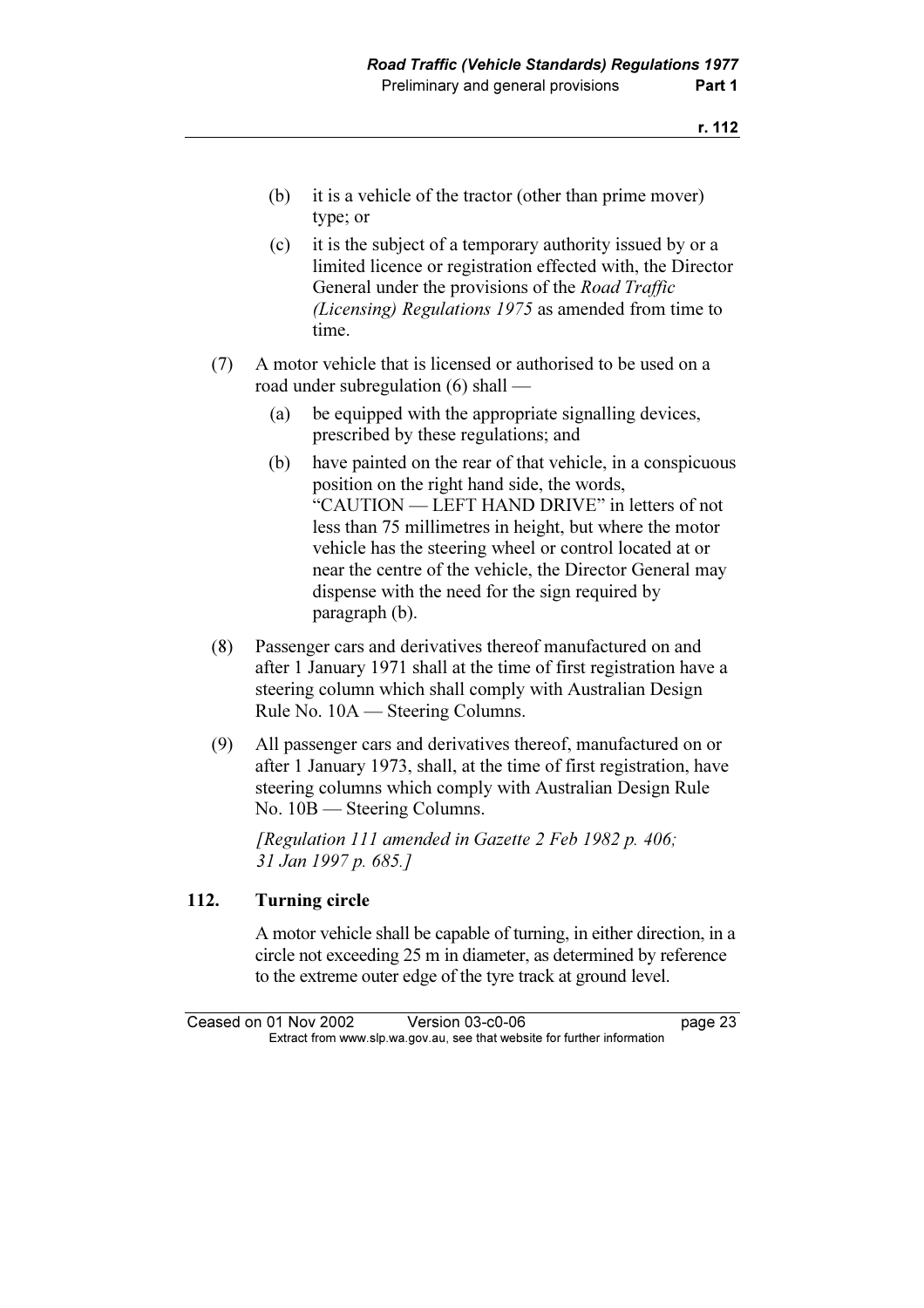- (b) it is a vehicle of the tractor (other than prime mover) type; or
- (c) it is the subject of a temporary authority issued by or a limited licence or registration effected with, the Director General under the provisions of the Road Traffic (Licensing) Regulations 1975 as amended from time to time.
- (7) A motor vehicle that is licensed or authorised to be used on a road under subregulation (6) shall —
	- (a) be equipped with the appropriate signalling devices, prescribed by these regulations; and
	- (b) have painted on the rear of that vehicle, in a conspicuous position on the right hand side, the words, "CAUTION — LEFT HAND DRIVE" in letters of not less than 75 millimetres in height, but where the motor vehicle has the steering wheel or control located at or near the centre of the vehicle, the Director General may dispense with the need for the sign required by paragraph (b).
- (8) Passenger cars and derivatives thereof manufactured on and after 1 January 1971 shall at the time of first registration have a steering column which shall comply with Australian Design Rule No. 10A — Steering Columns.
- (9) All passenger cars and derivatives thereof, manufactured on or after 1 January 1973, shall, at the time of first registration, have steering columns which comply with Australian Design Rule No. 10B — Steering Columns.

 [Regulation 111 amended in Gazette 2 Feb 1982 p. 406; 31 Jan 1997 p. 685.]

#### 112. Turning circle

 A motor vehicle shall be capable of turning, in either direction, in a circle not exceeding 25 m in diameter, as determined by reference to the extreme outer edge of the tyre track at ground level.

Ceased on 01 Nov 2002 Version 03-c0-06 page 23<br>Extract from www.slp.wa.gov.au, see that website for further information  $\mathbf{F}$  from which was the set that we besite for further information  $\mathbf{F}$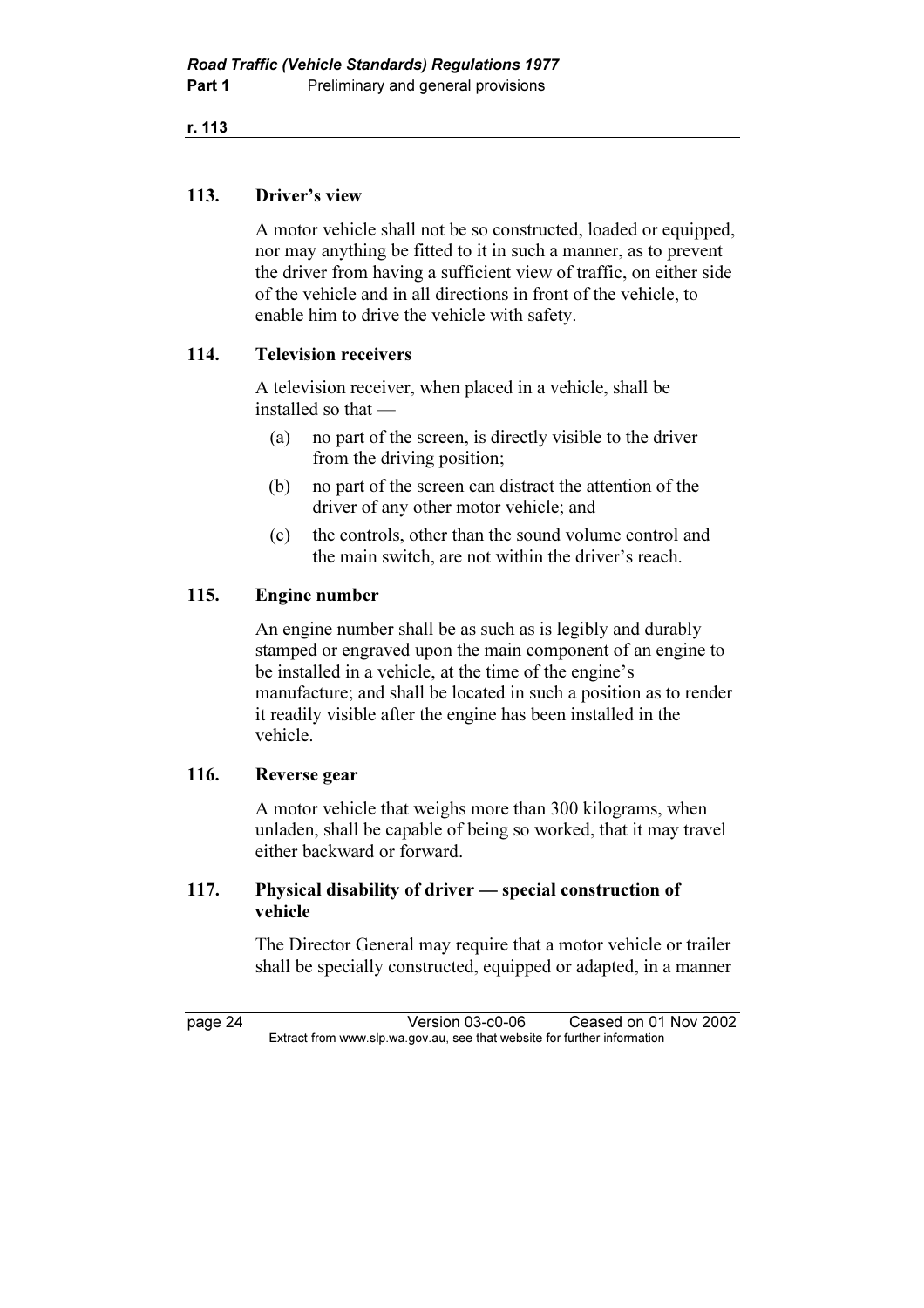#### r. 113

## 113. Driver's view

 A motor vehicle shall not be so constructed, loaded or equipped, nor may anything be fitted to it in such a manner, as to prevent the driver from having a sufficient view of traffic, on either side of the vehicle and in all directions in front of the vehicle, to enable him to drive the vehicle with safety.

## 114. Television receivers

 A television receiver, when placed in a vehicle, shall be installed so that —

- (a) no part of the screen, is directly visible to the driver from the driving position;
- (b) no part of the screen can distract the attention of the driver of any other motor vehicle; and
- (c) the controls, other than the sound volume control and the main switch, are not within the driver's reach.

## 115. Engine number

 An engine number shall be as such as is legibly and durably stamped or engraved upon the main component of an engine to be installed in a vehicle, at the time of the engine's manufacture; and shall be located in such a position as to render it readily visible after the engine has been installed in the vehicle.

### 116. Reverse gear

 A motor vehicle that weighs more than 300 kilograms, when unladen, shall be capable of being so worked, that it may travel either backward or forward.

## 117. Physical disability of driver — special construction of vehicle

 The Director General may require that a motor vehicle or trailer shall be specially constructed, equipped or adapted, in a manner

page 24 Version 03-c0-06 Ceased on 01 Nov 2002<br>Extract from www.slp.wa.gov.au, see that website for further information  $\mathbf{F}$  from which was the set that we besite for further information  $\mathbf{F}$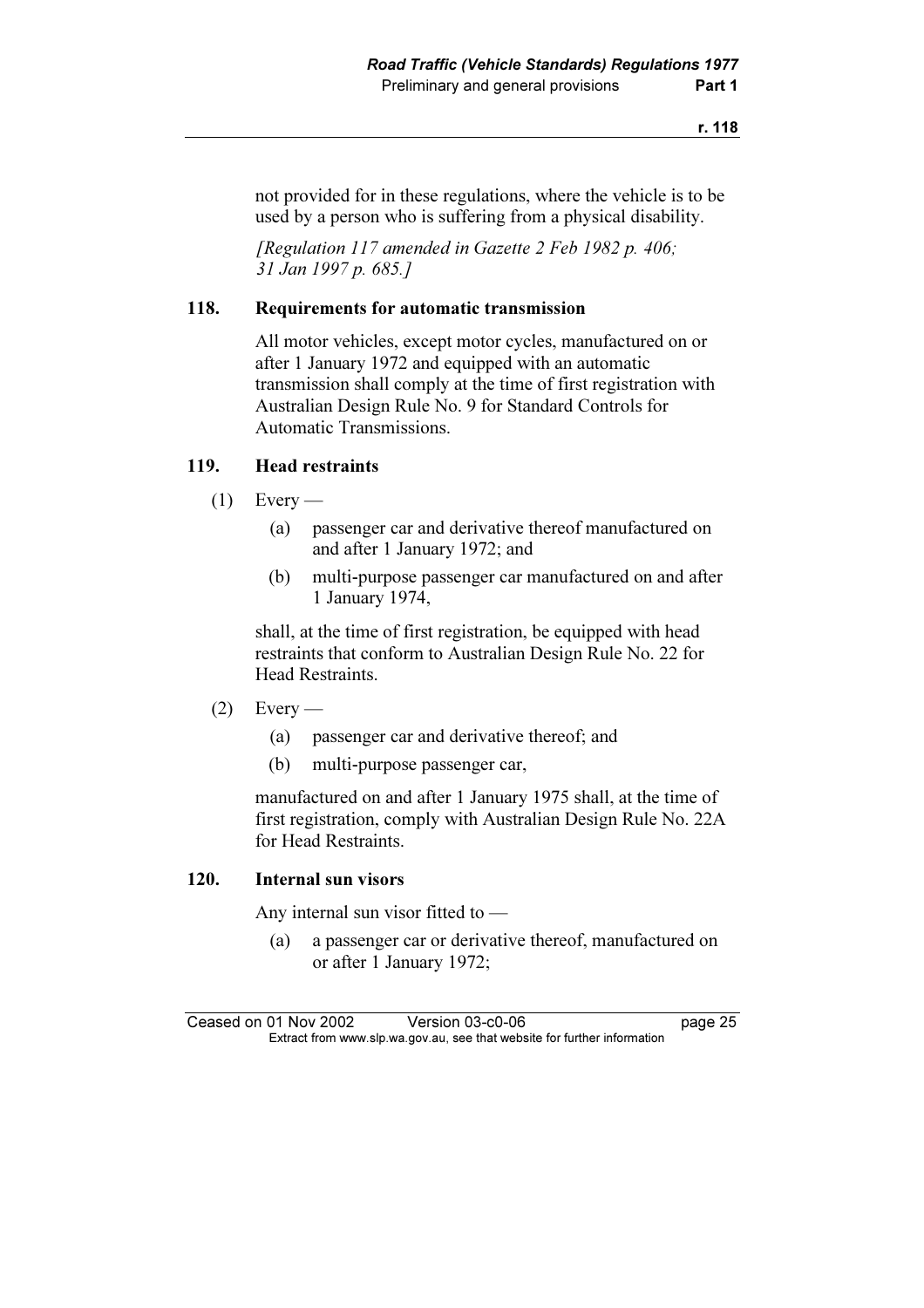not provided for in these regulations, where the vehicle is to be used by a person who is suffering from a physical disability.

 [Regulation 117 amended in Gazette 2 Feb 1982 p. 406; 31 Jan 1997 p. 685.]

#### 118. Requirements for automatic transmission

 All motor vehicles, except motor cycles, manufactured on or after 1 January 1972 and equipped with an automatic transmission shall comply at the time of first registration with Australian Design Rule No. 9 for Standard Controls for Automatic Transmissions.

#### 119. Head restraints

- $(1)$  Every
	- (a) passenger car and derivative thereof manufactured on and after 1 January 1972; and
	- (b) multi-purpose passenger car manufactured on and after 1 January 1974,

 shall, at the time of first registration, be equipped with head restraints that conform to Australian Design Rule No. 22 for Head Restraints.

#### $(2)$  Every —

- (a) passenger car and derivative thereof; and
- (b) multi-purpose passenger car,

 manufactured on and after 1 January 1975 shall, at the time of first registration, comply with Australian Design Rule No. 22A for Head Restraints.

#### 120. Internal sun visors

Any internal sun visor fitted to —

 (a) a passenger car or derivative thereof, manufactured on or after 1 January 1972;

Ceased on 01 Nov 2002 Version 03-c0-06 page 25<br>Extract from www.slp.wa.gov.au, see that website for further information  $\mathbf{F}$  from which was the set that we besite for further information  $\mathbf{F}$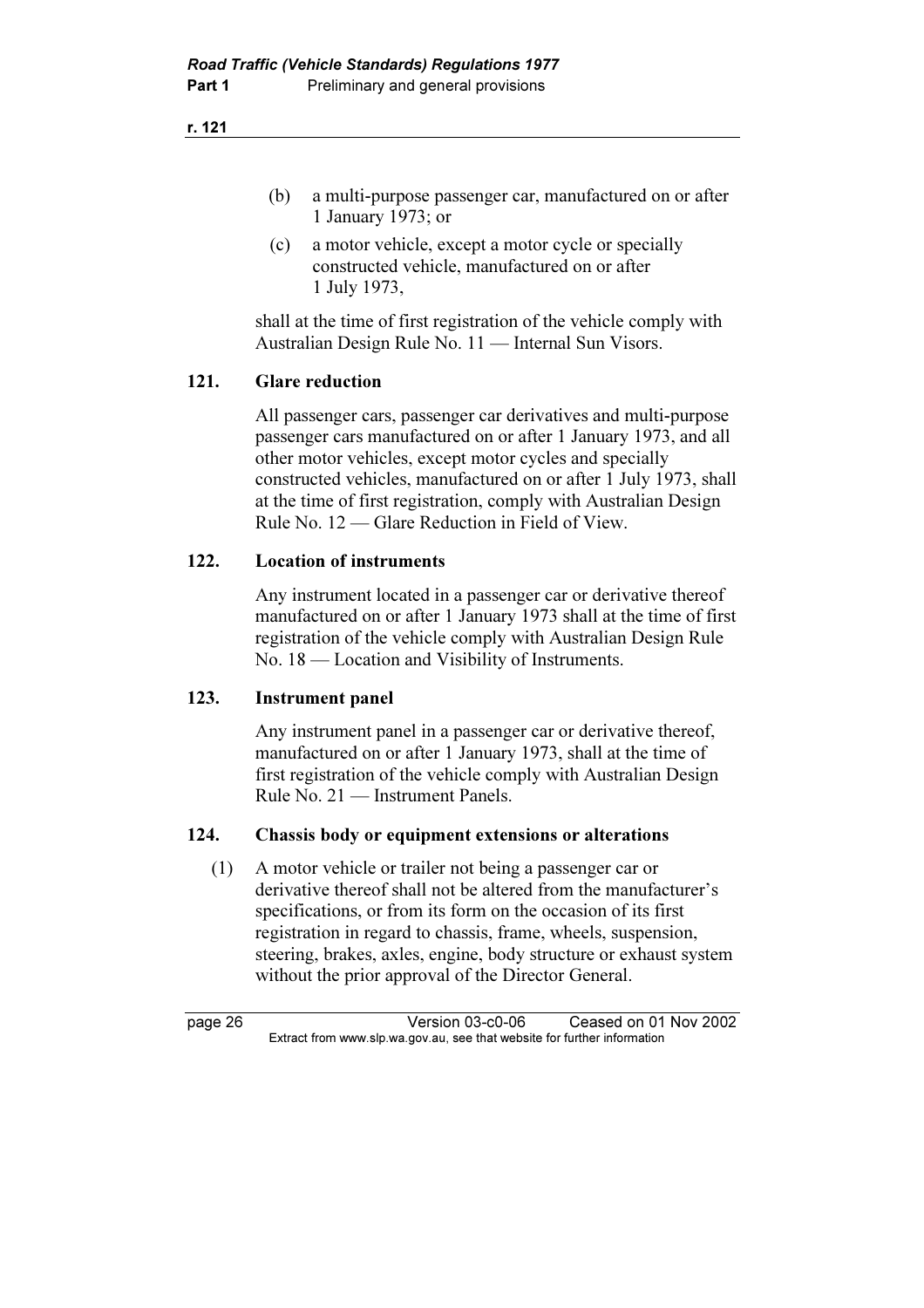- (b) a multi-purpose passenger car, manufactured on or after 1 January 1973; or
- (c) a motor vehicle, except a motor cycle or specially constructed vehicle, manufactured on or after 1 July 1973,

 shall at the time of first registration of the vehicle comply with Australian Design Rule No. 11 — Internal Sun Visors.

# 121. Glare reduction

 All passenger cars, passenger car derivatives and multi-purpose passenger cars manufactured on or after 1 January 1973, and all other motor vehicles, except motor cycles and specially constructed vehicles, manufactured on or after 1 July 1973, shall at the time of first registration, comply with Australian Design Rule No. 12 — Glare Reduction in Field of View.

## 122. Location of instruments

 Any instrument located in a passenger car or derivative thereof manufactured on or after 1 January 1973 shall at the time of first registration of the vehicle comply with Australian Design Rule No. 18 — Location and Visibility of Instruments.

# 123. Instrument panel

 Any instrument panel in a passenger car or derivative thereof, manufactured on or after 1 January 1973, shall at the time of first registration of the vehicle comply with Australian Design Rule No. 21 — Instrument Panels.

## 124. Chassis body or equipment extensions or alterations

 (1) A motor vehicle or trailer not being a passenger car or derivative thereof shall not be altered from the manufacturer's specifications, or from its form on the occasion of its first registration in regard to chassis, frame, wheels, suspension, steering, brakes, axles, engine, body structure or exhaust system without the prior approval of the Director General.

page 26 Version 03-c0-06 Ceased on 01 Nov 2002<br>Extract from www.slp.wa.gov.au, see that website for further information  $\mathbf{F}$  from which was the set that we besite for further information  $\mathbf{F}$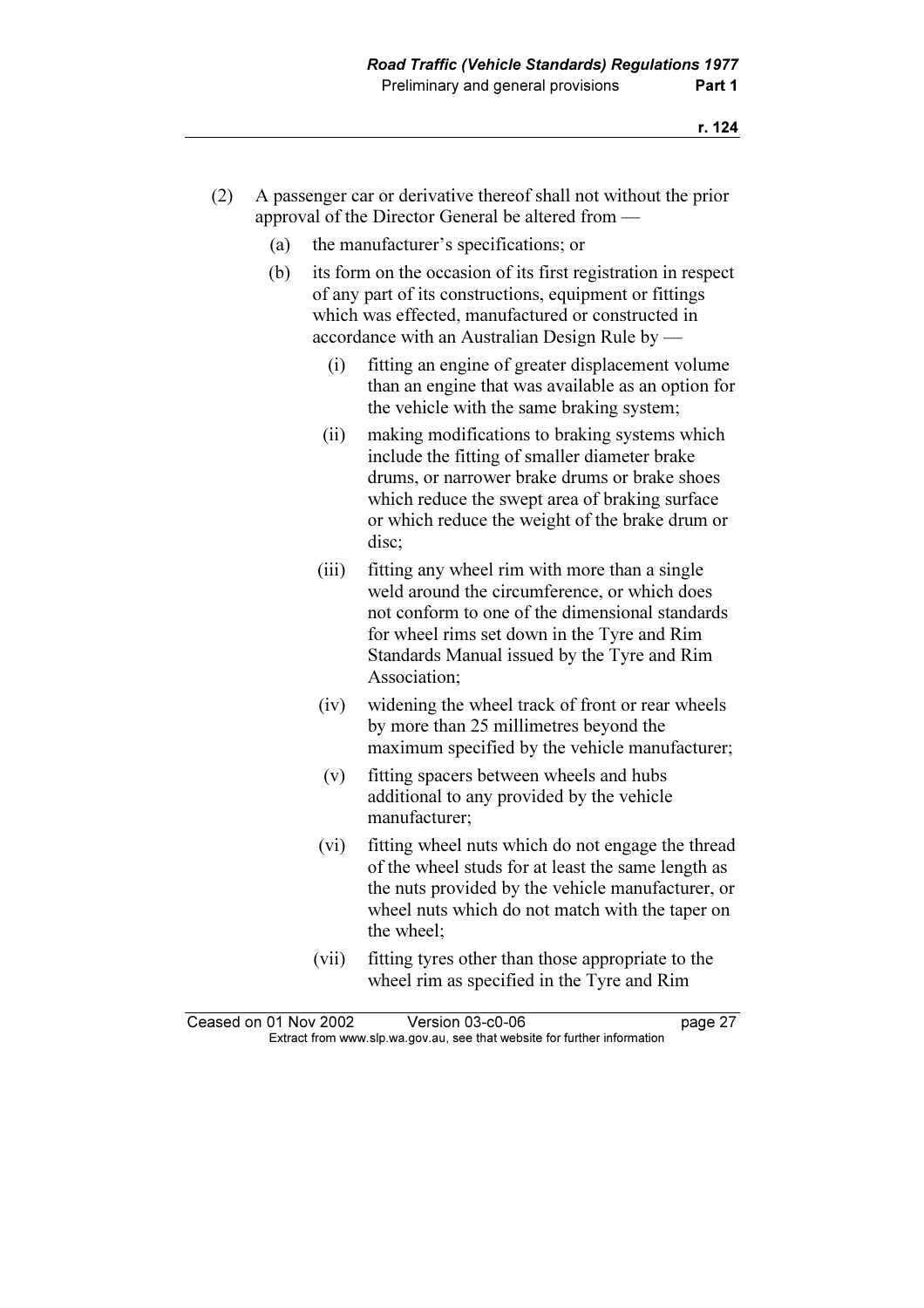- (2) A passenger car or derivative thereof shall not without the prior approval of the Director General be altered from —
	- (a) the manufacturer's specifications; or
	- (b) its form on the occasion of its first registration in respect of any part of its constructions, equipment or fittings which was effected, manufactured or constructed in accordance with an Australian Design Rule by —
		- (i) fitting an engine of greater displacement volume than an engine that was available as an option for the vehicle with the same braking system;
		- (ii) making modifications to braking systems which include the fitting of smaller diameter brake drums, or narrower brake drums or brake shoes which reduce the swept area of braking surface or which reduce the weight of the brake drum or disc;
		- (iii) fitting any wheel rim with more than a single weld around the circumference, or which does not conform to one of the dimensional standards for wheel rims set down in the Tyre and Rim Standards Manual issued by the Tyre and Rim Association;
		- (iv) widening the wheel track of front or rear wheels by more than 25 millimetres beyond the maximum specified by the vehicle manufacturer;
		- (v) fitting spacers between wheels and hubs additional to any provided by the vehicle manufacturer;
		- (vi) fitting wheel nuts which do not engage the thread of the wheel studs for at least the same length as the nuts provided by the vehicle manufacturer, or wheel nuts which do not match with the taper on the wheel;
		- (vii) fitting tyres other than those appropriate to the wheel rim as specified in the Tyre and Rim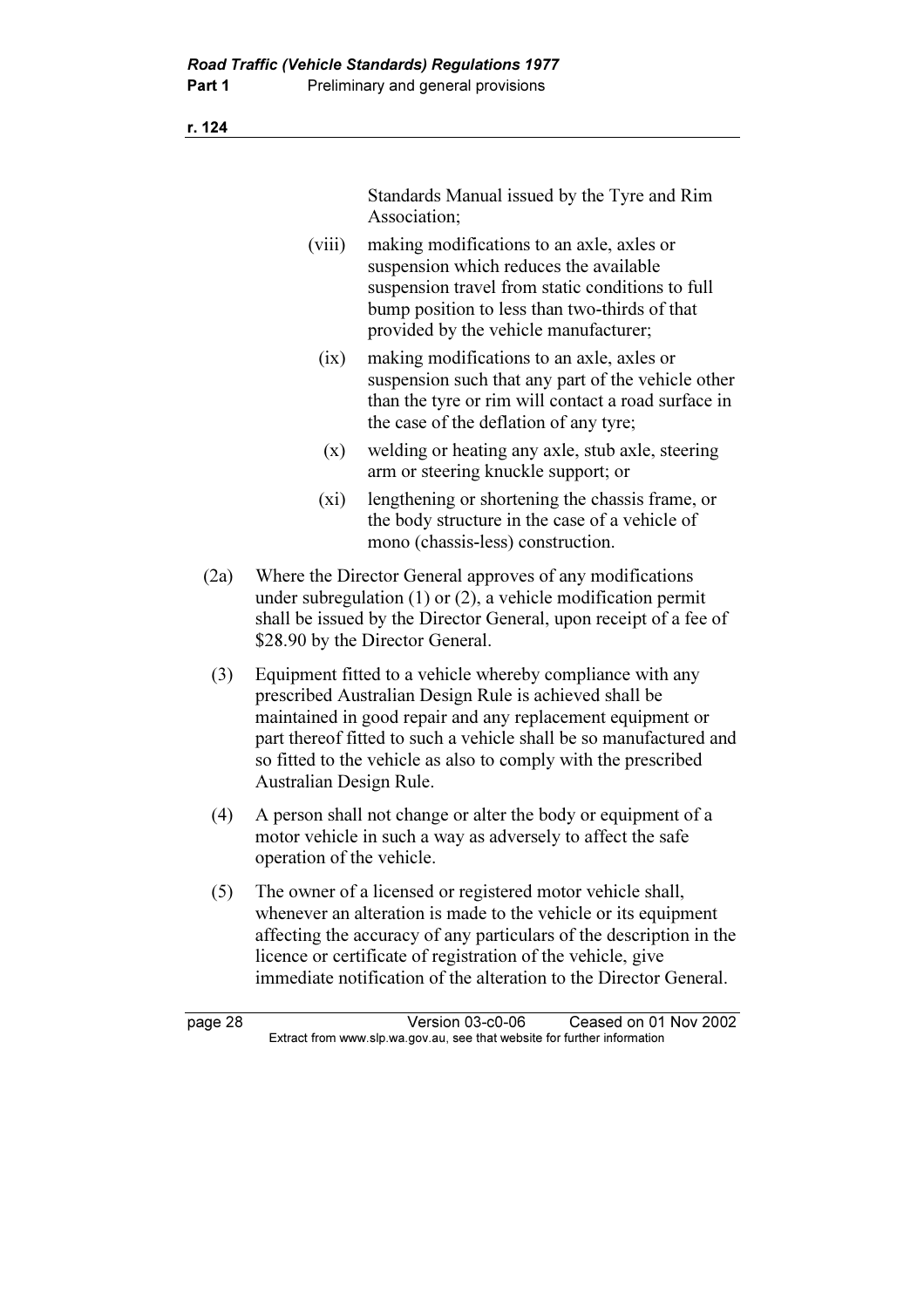Standards Manual issued by the Tyre and Rim Association;

- (viii) making modifications to an axle, axles or suspension which reduces the available suspension travel from static conditions to full bump position to less than two-thirds of that provided by the vehicle manufacturer;
- (ix) making modifications to an axle, axles or suspension such that any part of the vehicle other than the tyre or rim will contact a road surface in the case of the deflation of any tyre;
- (x) welding or heating any axle, stub axle, steering arm or steering knuckle support; or
- (xi) lengthening or shortening the chassis frame, or the body structure in the case of a vehicle of mono (chassis-less) construction.
- (2a) Where the Director General approves of any modifications under subregulation (1) or (2), a vehicle modification permit shall be issued by the Director General, upon receipt of a fee of \$28.90 by the Director General.
- (3) Equipment fitted to a vehicle whereby compliance with any prescribed Australian Design Rule is achieved shall be maintained in good repair and any replacement equipment or part thereof fitted to such a vehicle shall be so manufactured and so fitted to the vehicle as also to comply with the prescribed Australian Design Rule.
- (4) A person shall not change or alter the body or equipment of a motor vehicle in such a way as adversely to affect the safe operation of the vehicle.
- (5) The owner of a licensed or registered motor vehicle shall, whenever an alteration is made to the vehicle or its equipment affecting the accuracy of any particulars of the description in the licence or certificate of registration of the vehicle, give immediate notification of the alteration to the Director General.

page 28 Version 03-c0-06 Ceased on 01 Nov 2002<br>Extract from www.slp.wa.gov.au, see that website for further information  $\mathbf{F}$  from which was the set that we besite for further information  $\mathbf{F}$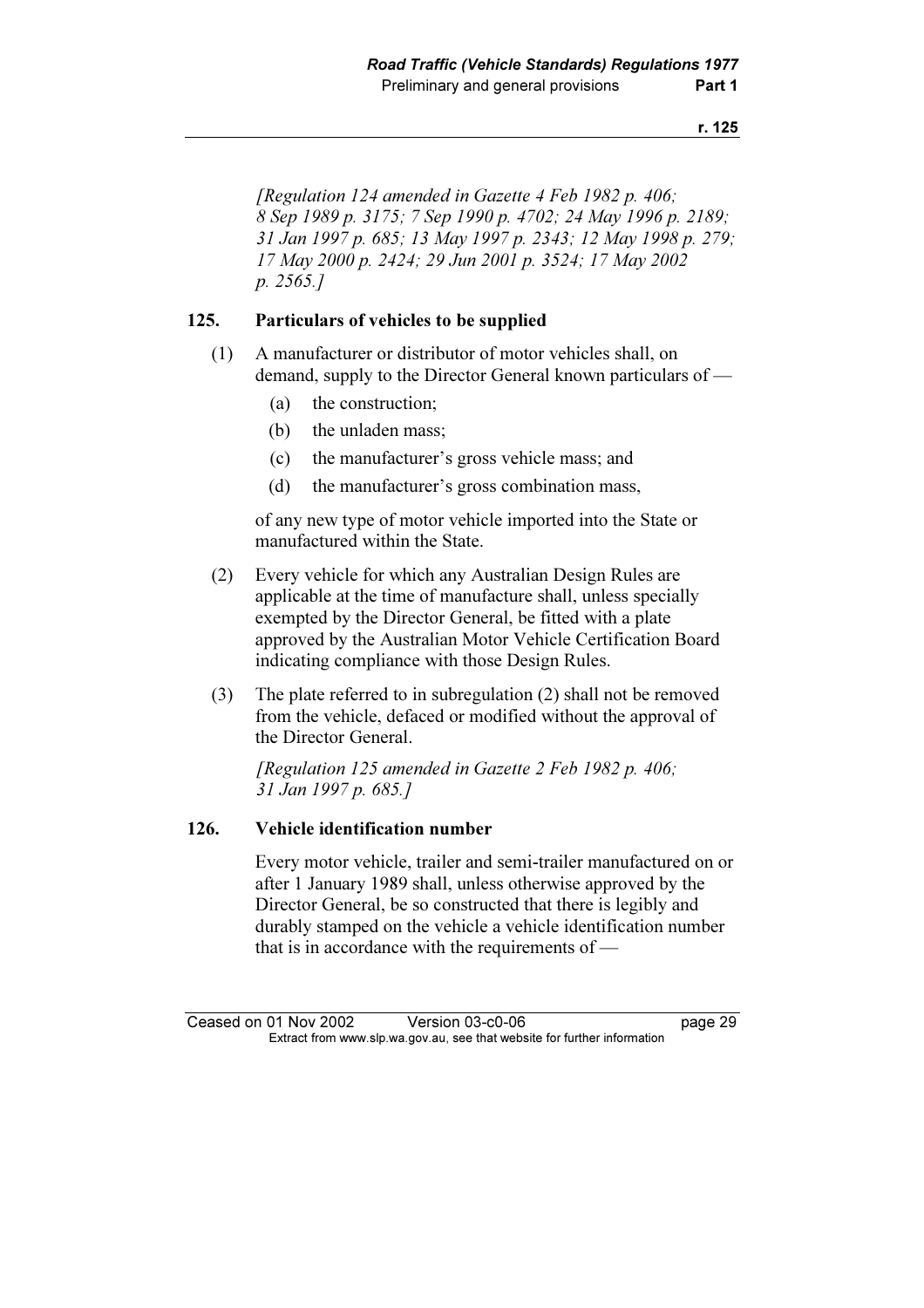[Regulation 124 amended in Gazette 4 Feb 1982 p. 406; 8 Sep 1989 p. 3175; 7 Sep 1990 p. 4702; 24 May 1996 p. 2189; 31 Jan 1997 p. 685; 13 May 1997 p. 2343; 12 May 1998 p. 279; 17 May 2000 p. 2424; 29 Jun 2001 p. 3524; 17 May 2002 p. 2565.]

#### 125. Particulars of vehicles to be supplied

- (1) A manufacturer or distributor of motor vehicles shall, on demand, supply to the Director General known particulars of —
	- (a) the construction;
	- (b) the unladen mass;
	- (c) the manufacturer's gross vehicle mass; and
	- (d) the manufacturer's gross combination mass,

 of any new type of motor vehicle imported into the State or manufactured within the State.

- (2) Every vehicle for which any Australian Design Rules are applicable at the time of manufacture shall, unless specially exempted by the Director General, be fitted with a plate approved by the Australian Motor Vehicle Certification Board indicating compliance with those Design Rules.
- (3) The plate referred to in subregulation (2) shall not be removed from the vehicle, defaced or modified without the approval of the Director General.

 [Regulation 125 amended in Gazette 2 Feb 1982 p. 406; 31 Jan 1997 p. 685.]

#### 126. Vehicle identification number

 Every motor vehicle, trailer and semi-trailer manufactured on or after 1 January 1989 shall, unless otherwise approved by the Director General, be so constructed that there is legibly and durably stamped on the vehicle a vehicle identification number that is in accordance with the requirements of —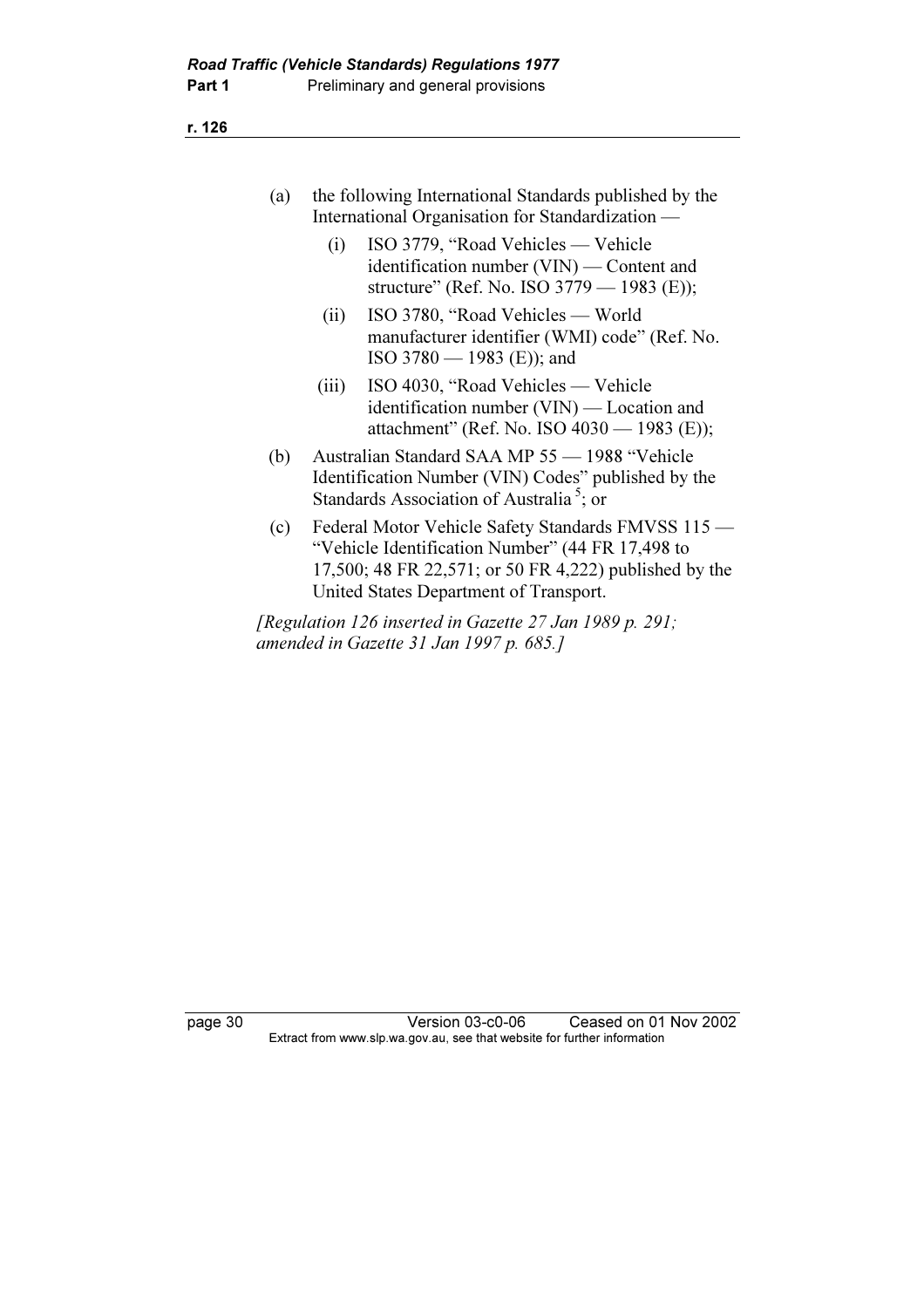| the following International Standards published by the |
|--------------------------------------------------------|
| International Organisation for Standardization —       |

- (i) ISO 3779, "Road Vehicles Vehicle identification number (VIN) — Content and structure" (Ref. No. ISO 3779 — 1983 (E));
- (ii) ISO 3780, "Road Vehicles World manufacturer identifier (WMI) code" (Ref. No. ISO 3780 — 1983 (E)); and
- (iii) ISO 4030, "Road Vehicles Vehicle identification number (VIN) — Location and attachment" (Ref. No. ISO 4030 — 1983 (E));
- (b) Australian Standard SAA MP 55 1988 "Vehicle Identification Number (VIN) Codes" published by the Standards Association of Australia<sup>5</sup>; or
- (c) Federal Motor Vehicle Safety Standards FMVSS 115 "Vehicle Identification Number" (44 FR 17,498 to 17,500; 48 FR 22,571; or 50 FR 4,222) published by the United States Department of Transport.

[Regulation 126 inserted in Gazette 27 Jan 1989 p. 291; amended in Gazette 31 Jan 1997 p. 685.]

page 30 Version 03-c0-06 Ceased on 01 Nov 2002 Extract from www.slp.wa.gov.au, see that website for further information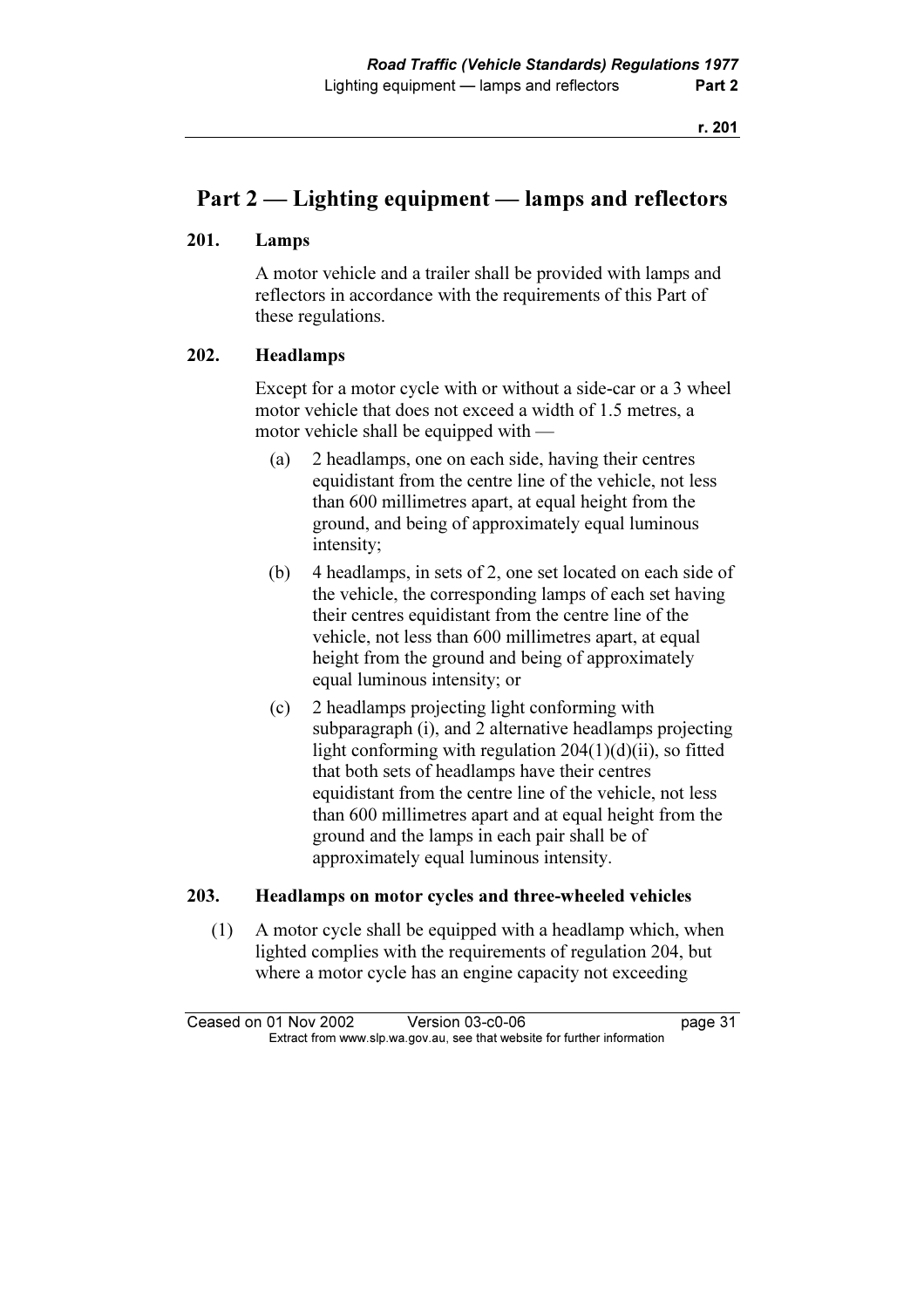## Part 2 — Lighting equipment — lamps and reflectors

#### 201. Lamps

 A motor vehicle and a trailer shall be provided with lamps and reflectors in accordance with the requirements of this Part of these regulations.

### 202. Headlamps

 Except for a motor cycle with or without a side-car or a 3 wheel motor vehicle that does not exceed a width of 1.5 metres, a motor vehicle shall be equipped with —

- (a) 2 headlamps, one on each side, having their centres equidistant from the centre line of the vehicle, not less than 600 millimetres apart, at equal height from the ground, and being of approximately equal luminous intensity;
- (b) 4 headlamps, in sets of 2, one set located on each side of the vehicle, the corresponding lamps of each set having their centres equidistant from the centre line of the vehicle, not less than 600 millimetres apart, at equal height from the ground and being of approximately equal luminous intensity; or
- (c) 2 headlamps projecting light conforming with subparagraph (i), and 2 alternative headlamps projecting light conforming with regulation  $204(1)(d)(ii)$ , so fitted that both sets of headlamps have their centres equidistant from the centre line of the vehicle, not less than 600 millimetres apart and at equal height from the ground and the lamps in each pair shall be of approximately equal luminous intensity.

#### 203. Headlamps on motor cycles and three-wheeled vehicles

 (1) A motor cycle shall be equipped with a headlamp which, when lighted complies with the requirements of regulation 204, but where a motor cycle has an engine capacity not exceeding

Ceased on 01 Nov 2002 Version 03-c0-06 page 31<br>Extract from www.slp.wa.gov.au, see that website for further information  $\mathbf{F}$  from which was the set that we besite for further information  $\mathbf{F}$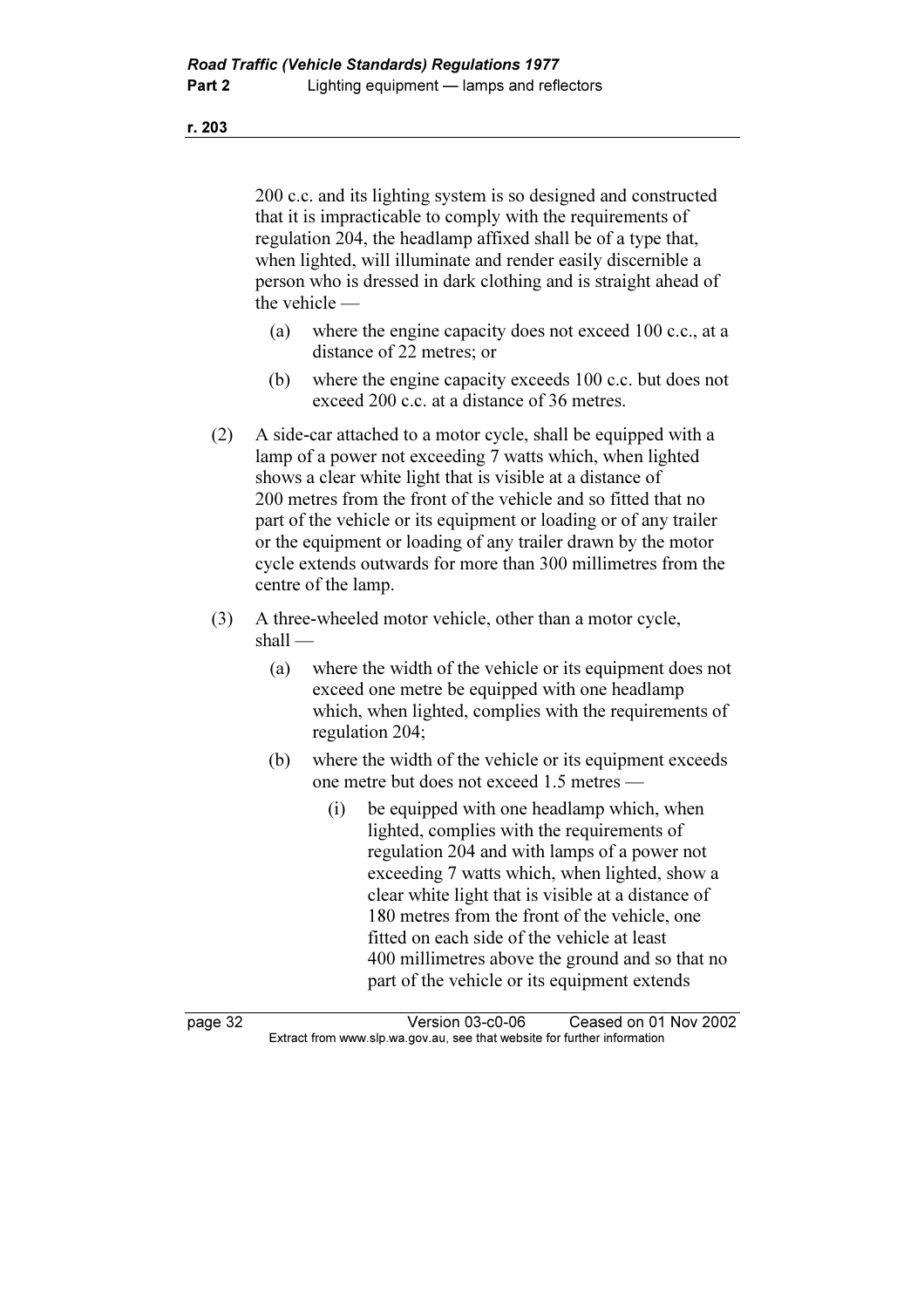200 c.c. and its lighting system is so designed and constructed that it is impracticable to comply with the requirements of regulation 204, the headlamp affixed shall be of a type that, when lighted, will illuminate and render easily discernible a person who is dressed in dark clothing and is straight ahead of the vehicle —

- (a) where the engine capacity does not exceed 100 c.c., at a distance of 22 metres; or
- (b) where the engine capacity exceeds 100 c.c. but does not exceed 200 c.c. at a distance of 36 metres.
- (2) A side-car attached to a motor cycle, shall be equipped with a lamp of a power not exceeding 7 watts which, when lighted shows a clear white light that is visible at a distance of 200 metres from the front of the vehicle and so fitted that no part of the vehicle or its equipment or loading or of any trailer or the equipment or loading of any trailer drawn by the motor cycle extends outwards for more than 300 millimetres from the centre of the lamp.
- (3) A three-wheeled motor vehicle, other than a motor cycle, shall —
	- (a) where the width of the vehicle or its equipment does not exceed one metre be equipped with one headlamp which, when lighted, complies with the requirements of regulation 204;
	- (b) where the width of the vehicle or its equipment exceeds one metre but does not exceed 1.5 metres —
		- (i) be equipped with one headlamp which, when lighted, complies with the requirements of regulation 204 and with lamps of a power not exceeding 7 watts which, when lighted, show a clear white light that is visible at a distance of 180 metres from the front of the vehicle, one fitted on each side of the vehicle at least 400 millimetres above the ground and so that no part of the vehicle or its equipment extends

page 32 Version 03-c0-06 Ceased on 01 Nov 2002<br>Extract from www.slp.wa.gov.au, see that website for further information  $\mathbf{F}$  from which was the set that we besite for further information  $\mathbf{F}$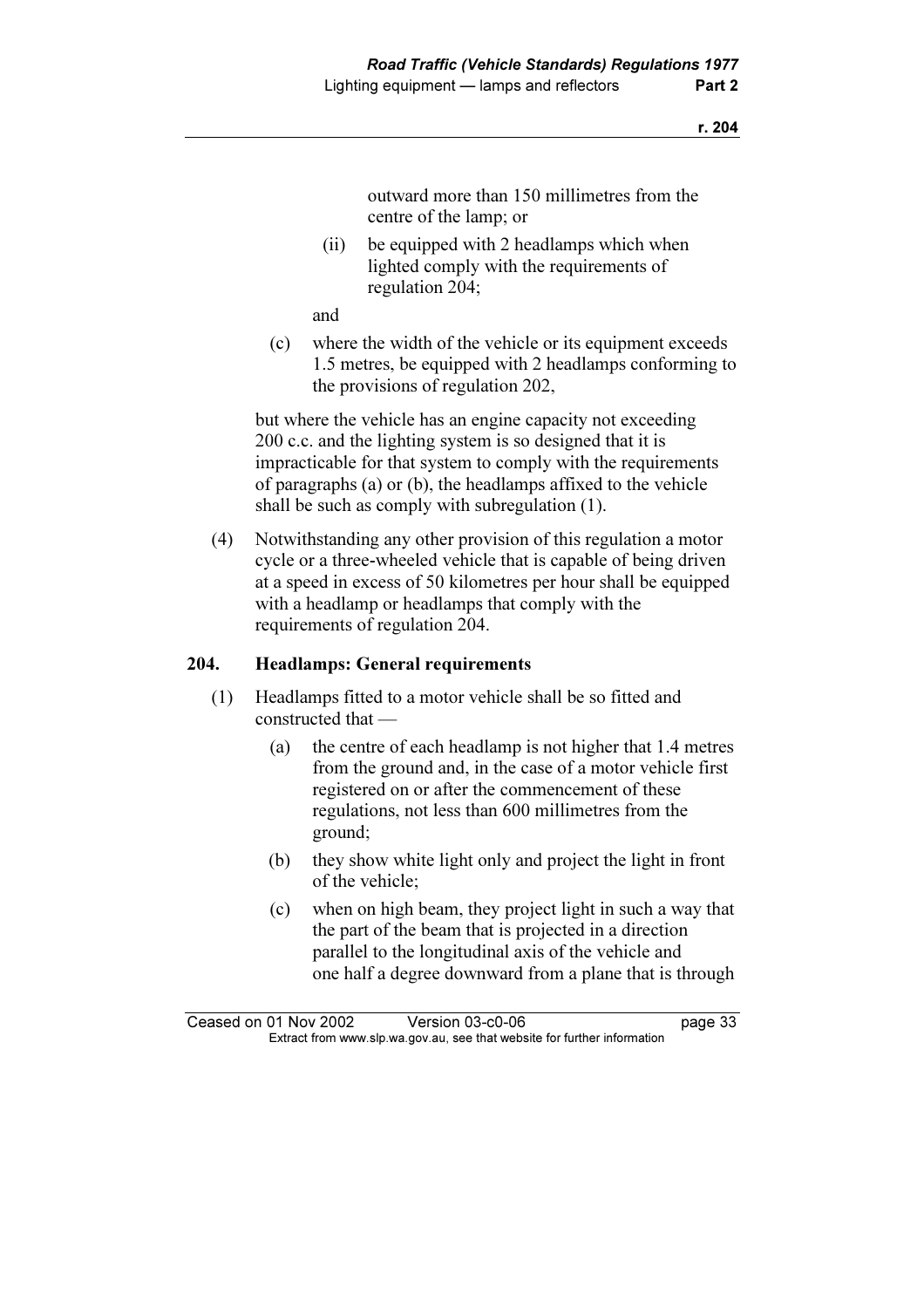outward more than 150 millimetres from the centre of the lamp; or

 (ii) be equipped with 2 headlamps which when lighted comply with the requirements of regulation 204;

and

 (c) where the width of the vehicle or its equipment exceeds 1.5 metres, be equipped with 2 headlamps conforming to the provisions of regulation 202,

 but where the vehicle has an engine capacity not exceeding 200 c.c. and the lighting system is so designed that it is impracticable for that system to comply with the requirements of paragraphs (a) or (b), the headlamps affixed to the vehicle shall be such as comply with subregulation (1).

 (4) Notwithstanding any other provision of this regulation a motor cycle or a three-wheeled vehicle that is capable of being driven at a speed in excess of 50 kilometres per hour shall be equipped with a headlamp or headlamps that comply with the requirements of regulation 204.

#### 204. Headlamps: General requirements

- (1) Headlamps fitted to a motor vehicle shall be so fitted and constructed that —
	- (a) the centre of each headlamp is not higher that 1.4 metres from the ground and, in the case of a motor vehicle first registered on or after the commencement of these regulations, not less than 600 millimetres from the ground;
	- (b) they show white light only and project the light in front of the vehicle;
	- (c) when on high beam, they project light in such a way that the part of the beam that is projected in a direction parallel to the longitudinal axis of the vehicle and one half a degree downward from a plane that is through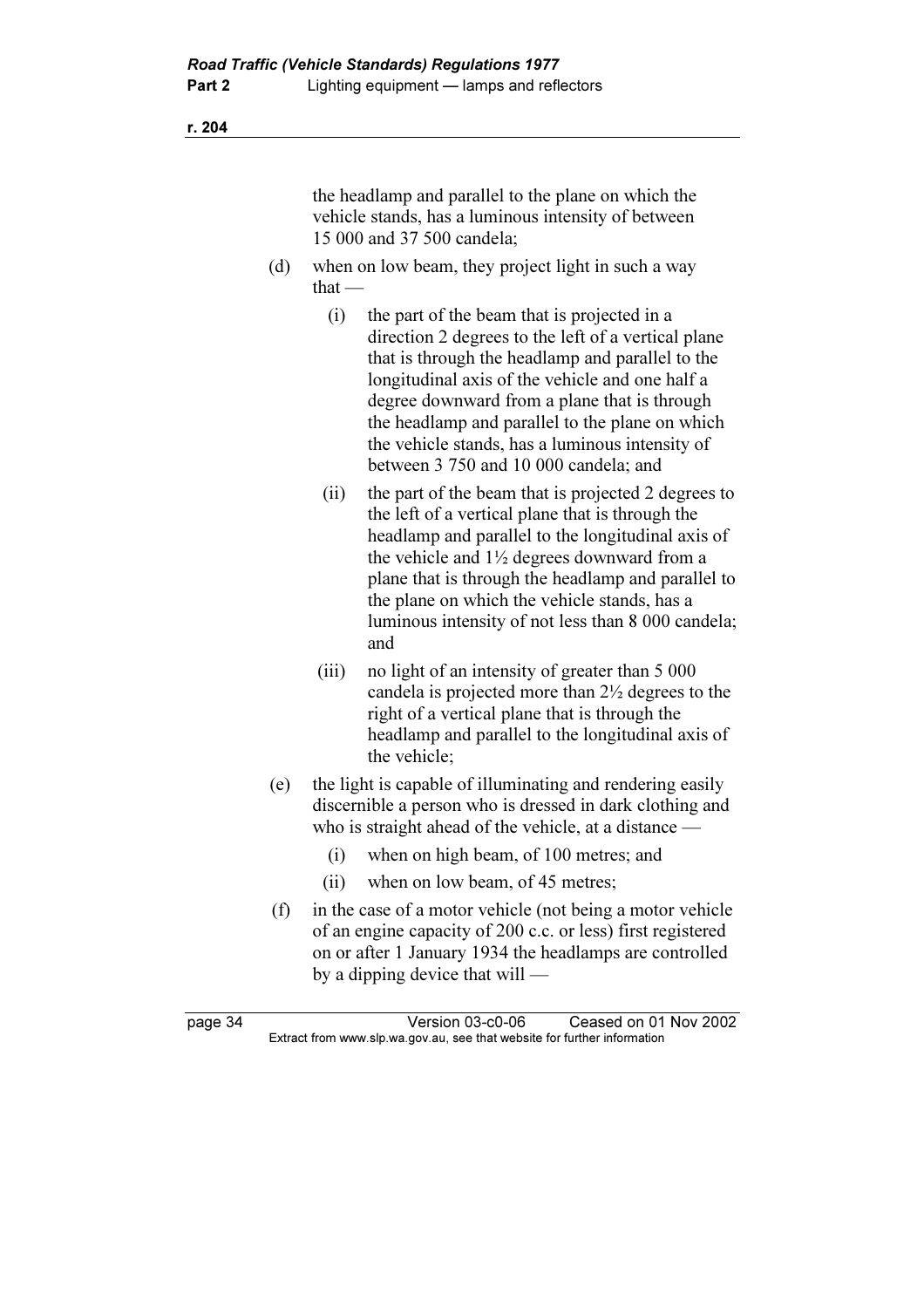the headlamp and parallel to the plane on which the vehicle stands, has a luminous intensity of between 15 000 and 37 500 candela;

- (d) when on low beam, they project light in such a way that —
	- (i) the part of the beam that is projected in a direction 2 degrees to the left of a vertical plane that is through the headlamp and parallel to the longitudinal axis of the vehicle and one half a degree downward from a plane that is through the headlamp and parallel to the plane on which the vehicle stands, has a luminous intensity of between 3 750 and 10 000 candela; and
	- (ii) the part of the beam that is projected 2 degrees to the left of a vertical plane that is through the headlamp and parallel to the longitudinal axis of the vehicle and 1½ degrees downward from a plane that is through the headlamp and parallel to the plane on which the vehicle stands, has a luminous intensity of not less than 8 000 candela; and
	- (iii) no light of an intensity of greater than 5 000 candela is projected more than 2½ degrees to the right of a vertical plane that is through the headlamp and parallel to the longitudinal axis of the vehicle;
- (e) the light is capable of illuminating and rendering easily discernible a person who is dressed in dark clothing and who is straight ahead of the vehicle, at a distance —
	- (i) when on high beam, of 100 metres; and
	- (ii) when on low beam, of 45 metres;
- (f) in the case of a motor vehicle (not being a motor vehicle of an engine capacity of 200 c.c. or less) first registered on or after 1 January 1934 the headlamps are controlled by a dipping device that will —

page 34 Version 03-c0-06 Ceased on 01 Nov 2002<br>Extract from www.slp.wa.gov.au, see that website for further information  $\mathbf{F}$  from which was the set that we besite for further information  $\mathbf{F}$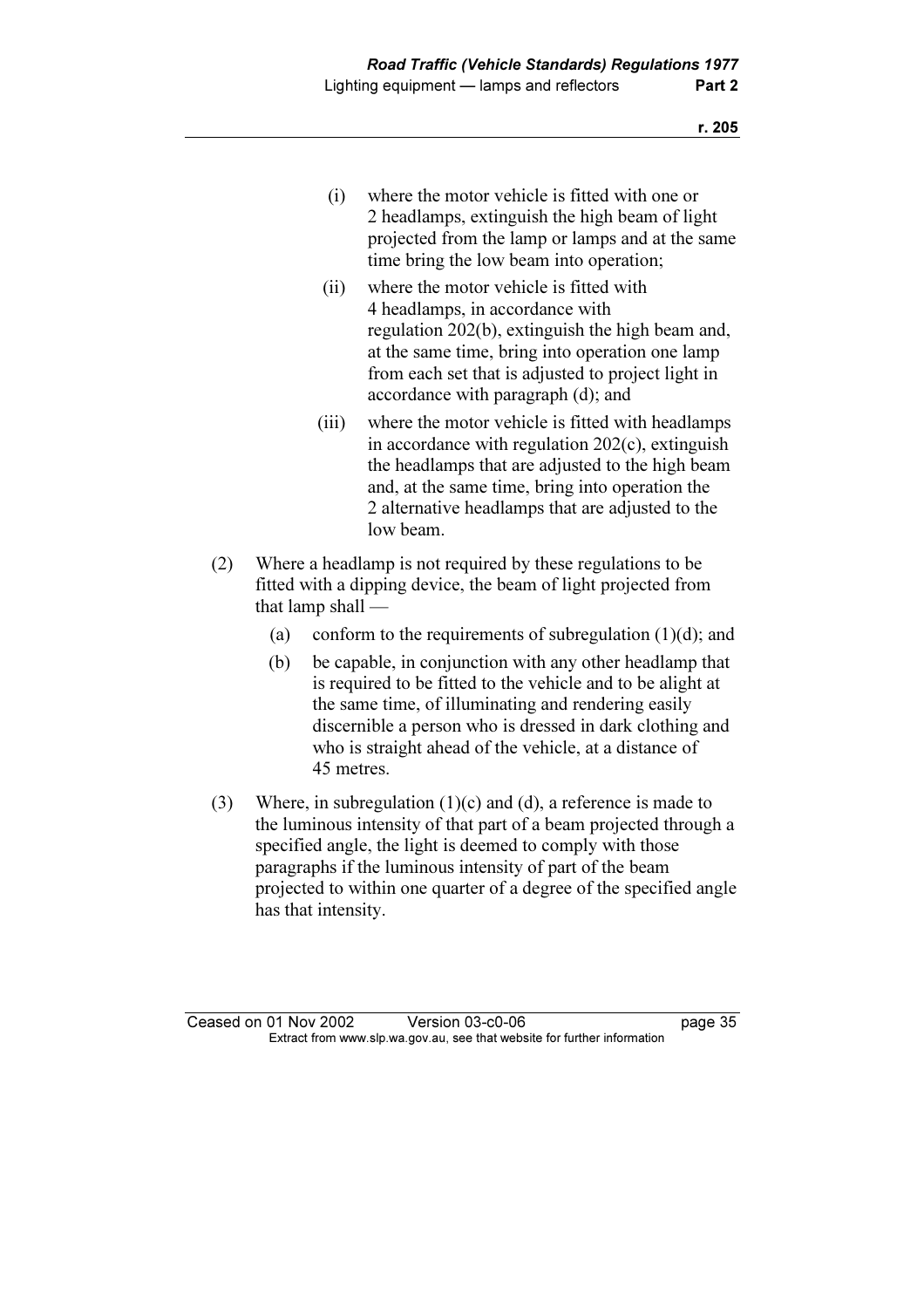- (i) where the motor vehicle is fitted with one or 2 headlamps, extinguish the high beam of light projected from the lamp or lamps and at the same time bring the low beam into operation;
- (ii) where the motor vehicle is fitted with 4 headlamps, in accordance with regulation 202(b), extinguish the high beam and, at the same time, bring into operation one lamp from each set that is adjusted to project light in accordance with paragraph (d); and
- (iii) where the motor vehicle is fitted with headlamps in accordance with regulation 202(c), extinguish the headlamps that are adjusted to the high beam and, at the same time, bring into operation the 2 alternative headlamps that are adjusted to the low beam.
- (2) Where a headlamp is not required by these regulations to be fitted with a dipping device, the beam of light projected from that lamp shall —
	- (a) conform to the requirements of subregulation  $(1)(d)$ ; and
	- (b) be capable, in conjunction with any other headlamp that is required to be fitted to the vehicle and to be alight at the same time, of illuminating and rendering easily discernible a person who is dressed in dark clothing and who is straight ahead of the vehicle, at a distance of 45 metres.
- (3) Where, in subregulation (1)(c) and (d), a reference is made to the luminous intensity of that part of a beam projected through a specified angle, the light is deemed to comply with those paragraphs if the luminous intensity of part of the beam projected to within one quarter of a degree of the specified angle has that intensity.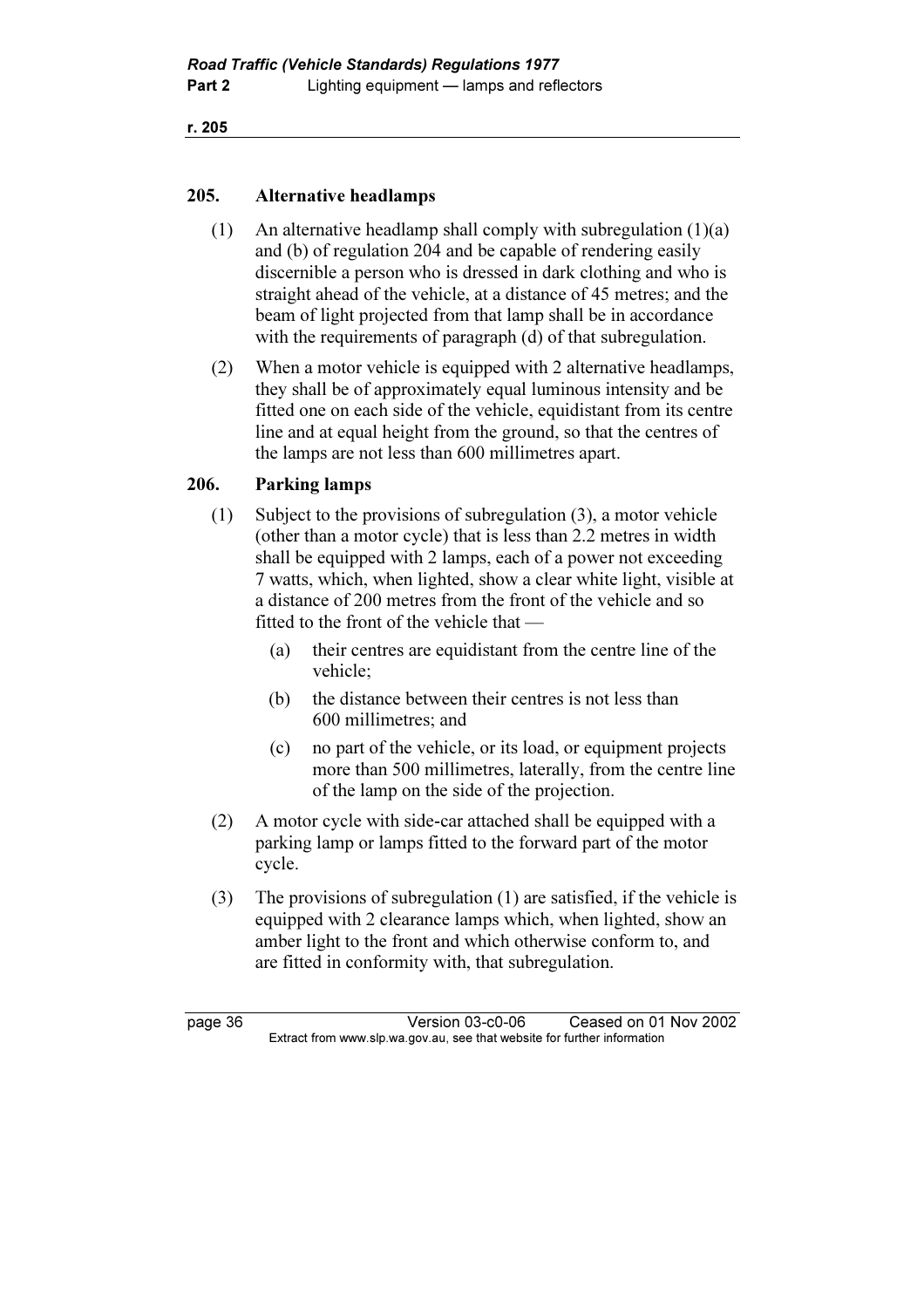#### 205. Alternative headlamps

- (1) An alternative headlamp shall comply with subregulation (1)(a) and (b) of regulation 204 and be capable of rendering easily discernible a person who is dressed in dark clothing and who is straight ahead of the vehicle, at a distance of 45 metres; and the beam of light projected from that lamp shall be in accordance with the requirements of paragraph (d) of that subregulation.
- (2) When a motor vehicle is equipped with 2 alternative headlamps, they shall be of approximately equal luminous intensity and be fitted one on each side of the vehicle, equidistant from its centre line and at equal height from the ground, so that the centres of the lamps are not less than 600 millimetres apart.

## 206. Parking lamps

- (1) Subject to the provisions of subregulation (3), a motor vehicle (other than a motor cycle) that is less than 2.2 metres in width shall be equipped with 2 lamps, each of a power not exceeding 7 watts, which, when lighted, show a clear white light, visible at a distance of 200 metres from the front of the vehicle and so fitted to the front of the vehicle that —
	- (a) their centres are equidistant from the centre line of the vehicle;
	- (b) the distance between their centres is not less than 600 millimetres; and
	- (c) no part of the vehicle, or its load, or equipment projects more than 500 millimetres, laterally, from the centre line of the lamp on the side of the projection.
- (2) A motor cycle with side-car attached shall be equipped with a parking lamp or lamps fitted to the forward part of the motor cycle.
- (3) The provisions of subregulation (1) are satisfied, if the vehicle is equipped with 2 clearance lamps which, when lighted, show an amber light to the front and which otherwise conform to, and are fitted in conformity with, that subregulation.

page 36 Version 03-c0-06 Ceased on 01 Nov 2002<br>Extract from www.slp.wa.gov.au, see that website for further information  $\mathbf{F}$  from which was the set that we besite for further information  $\mathbf{F}$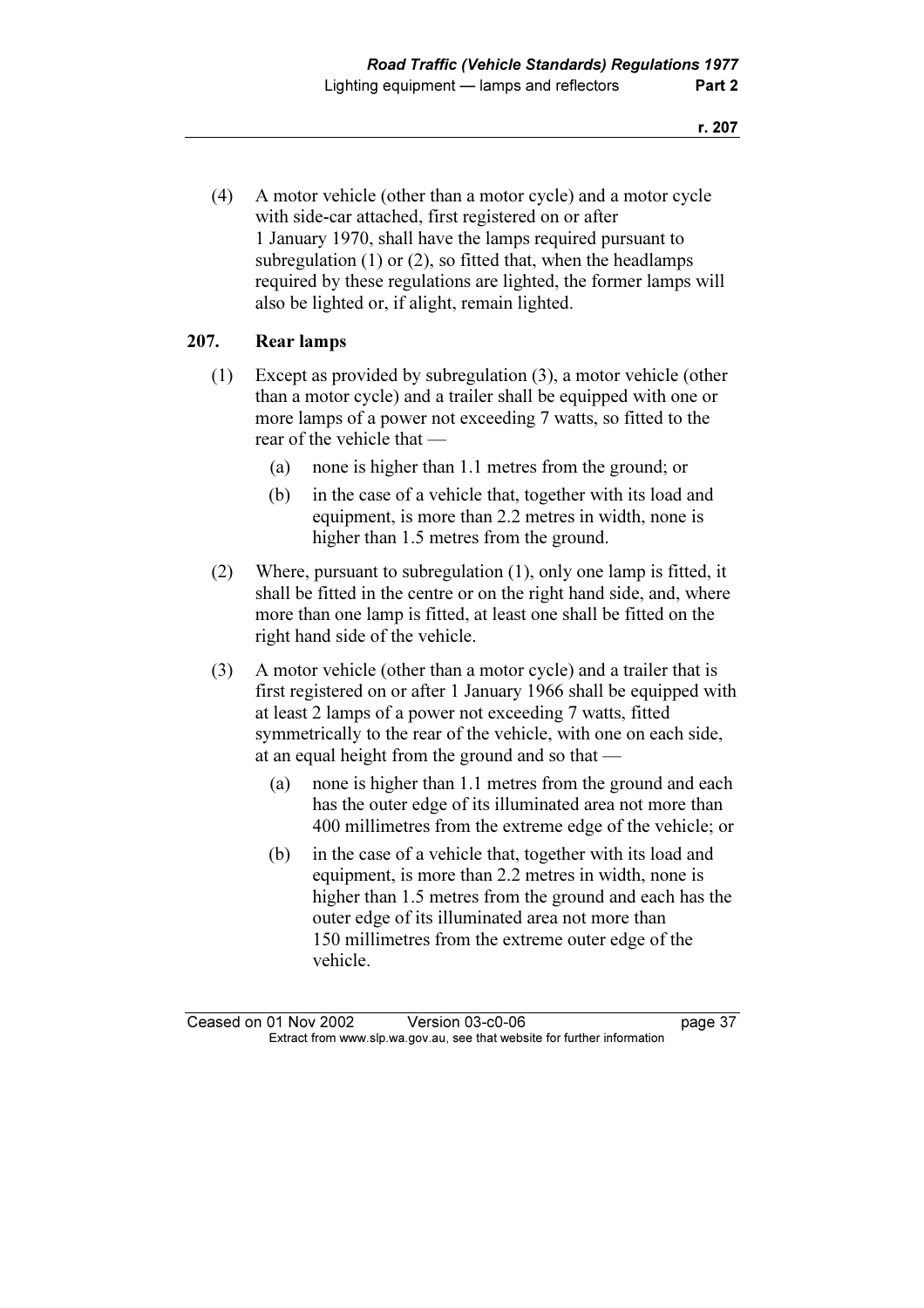(4) A motor vehicle (other than a motor cycle) and a motor cycle with side-car attached, first registered on or after 1 January 1970, shall have the lamps required pursuant to subregulation  $(1)$  or  $(2)$ , so fitted that, when the headlamps required by these regulations are lighted, the former lamps will also be lighted or, if alight, remain lighted.

#### 207. Rear lamps

- (1) Except as provided by subregulation (3), a motor vehicle (other than a motor cycle) and a trailer shall be equipped with one or more lamps of a power not exceeding 7 watts, so fitted to the rear of the vehicle that —
	- (a) none is higher than 1.1 metres from the ground; or
	- (b) in the case of a vehicle that, together with its load and equipment, is more than 2.2 metres in width, none is higher than 1.5 metres from the ground.
- (2) Where, pursuant to subregulation (1), only one lamp is fitted, it shall be fitted in the centre or on the right hand side, and, where more than one lamp is fitted, at least one shall be fitted on the right hand side of the vehicle.
- (3) A motor vehicle (other than a motor cycle) and a trailer that is first registered on or after 1 January 1966 shall be equipped with at least 2 lamps of a power not exceeding 7 watts, fitted symmetrically to the rear of the vehicle, with one on each side, at an equal height from the ground and so that —
	- (a) none is higher than 1.1 metres from the ground and each has the outer edge of its illuminated area not more than 400 millimetres from the extreme edge of the vehicle; or
	- (b) in the case of a vehicle that, together with its load and equipment, is more than 2.2 metres in width, none is higher than 1.5 metres from the ground and each has the outer edge of its illuminated area not more than 150 millimetres from the extreme outer edge of the vehicle.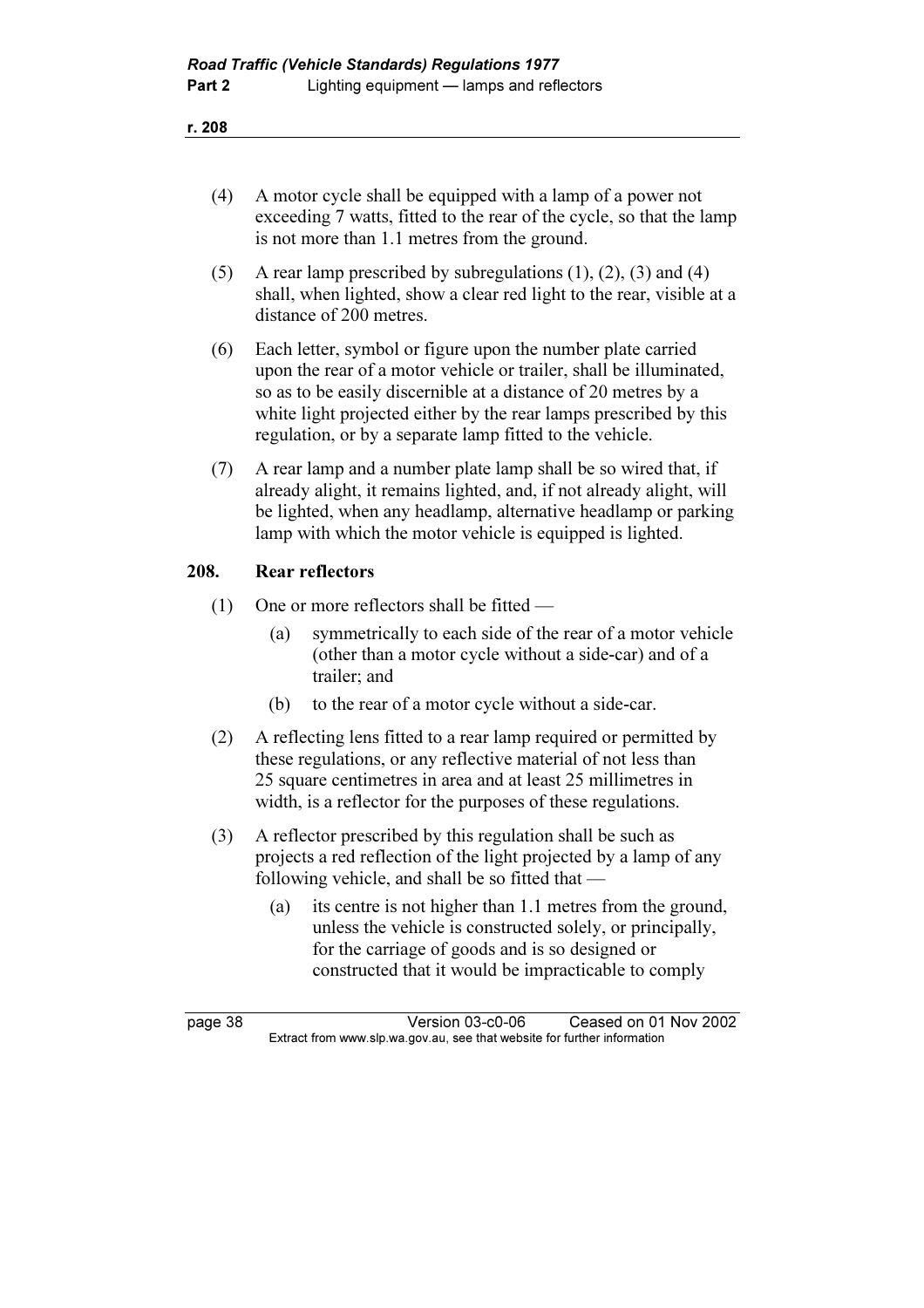- (4) A motor cycle shall be equipped with a lamp of a power not exceeding 7 watts, fitted to the rear of the cycle, so that the lamp is not more than 1.1 metres from the ground.
- (5) A rear lamp prescribed by subregulations (1), (2), (3) and (4) shall, when lighted, show a clear red light to the rear, visible at a distance of 200 metres.
- (6) Each letter, symbol or figure upon the number plate carried upon the rear of a motor vehicle or trailer, shall be illuminated, so as to be easily discernible at a distance of 20 metres by a white light projected either by the rear lamps prescribed by this regulation, or by a separate lamp fitted to the vehicle.
- (7) A rear lamp and a number plate lamp shall be so wired that, if already alight, it remains lighted, and, if not already alight, will be lighted, when any headlamp, alternative headlamp or parking lamp with which the motor vehicle is equipped is lighted.

#### 208. Rear reflectors

- (1) One or more reflectors shall be fitted
	- (a) symmetrically to each side of the rear of a motor vehicle (other than a motor cycle without a side-car) and of a trailer; and
	- (b) to the rear of a motor cycle without a side-car.
- (2) A reflecting lens fitted to a rear lamp required or permitted by these regulations, or any reflective material of not less than 25 square centimetres in area and at least 25 millimetres in width, is a reflector for the purposes of these regulations.
- (3) A reflector prescribed by this regulation shall be such as projects a red reflection of the light projected by a lamp of any following vehicle, and shall be so fitted that —
	- (a) its centre is not higher than 1.1 metres from the ground, unless the vehicle is constructed solely, or principally, for the carriage of goods and is so designed or constructed that it would be impracticable to comply

page 38 Version 03-c0-06 Ceased on 01 Nov 2002<br>Extract from www.slp.wa.gov.au, see that website for further information  $\mathbf{F}$  from which was the set that we besite for further information  $\mathbf{F}$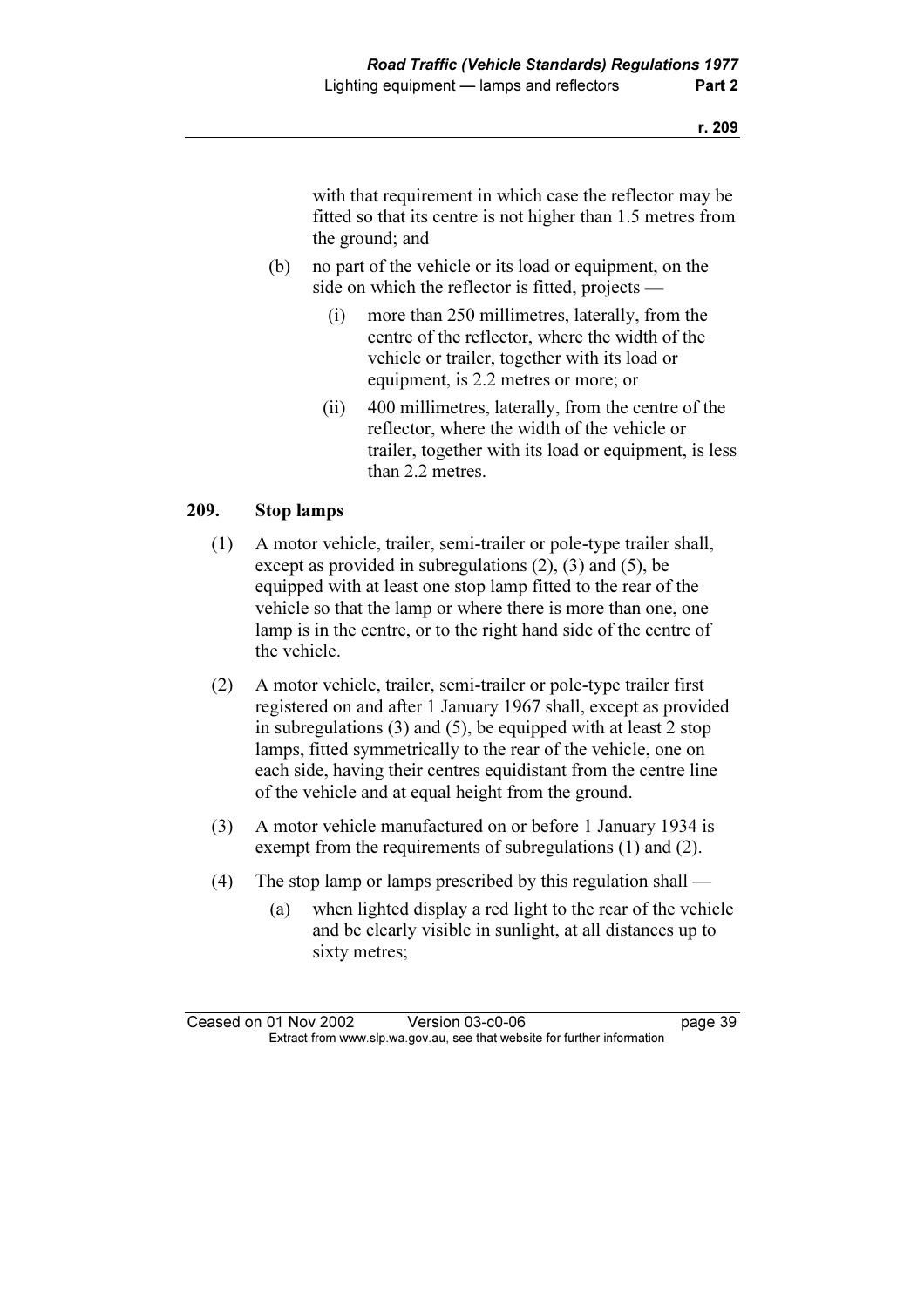with that requirement in which case the reflector may be fitted so that its centre is not higher than 1.5 metres from the ground; and

- (b) no part of the vehicle or its load or equipment, on the side on which the reflector is fitted, projects —
	- (i) more than 250 millimetres, laterally, from the centre of the reflector, where the width of the vehicle or trailer, together with its load or equipment, is 2.2 metres or more; or
	- (ii) 400 millimetres, laterally, from the centre of the reflector, where the width of the vehicle or trailer, together with its load or equipment, is less than 2.2 metres.

#### 209. Stop lamps

- (1) A motor vehicle, trailer, semi-trailer or pole-type trailer shall, except as provided in subregulations (2), (3) and (5), be equipped with at least one stop lamp fitted to the rear of the vehicle so that the lamp or where there is more than one, one lamp is in the centre, or to the right hand side of the centre of the vehicle.
- (2) A motor vehicle, trailer, semi-trailer or pole-type trailer first registered on and after 1 January 1967 shall, except as provided in subregulations (3) and (5), be equipped with at least 2 stop lamps, fitted symmetrically to the rear of the vehicle, one on each side, having their centres equidistant from the centre line of the vehicle and at equal height from the ground.
- (3) A motor vehicle manufactured on or before 1 January 1934 is exempt from the requirements of subregulations (1) and (2).
- (4) The stop lamp or lamps prescribed by this regulation shall
	- (a) when lighted display a red light to the rear of the vehicle and be clearly visible in sunlight, at all distances up to sixty metres;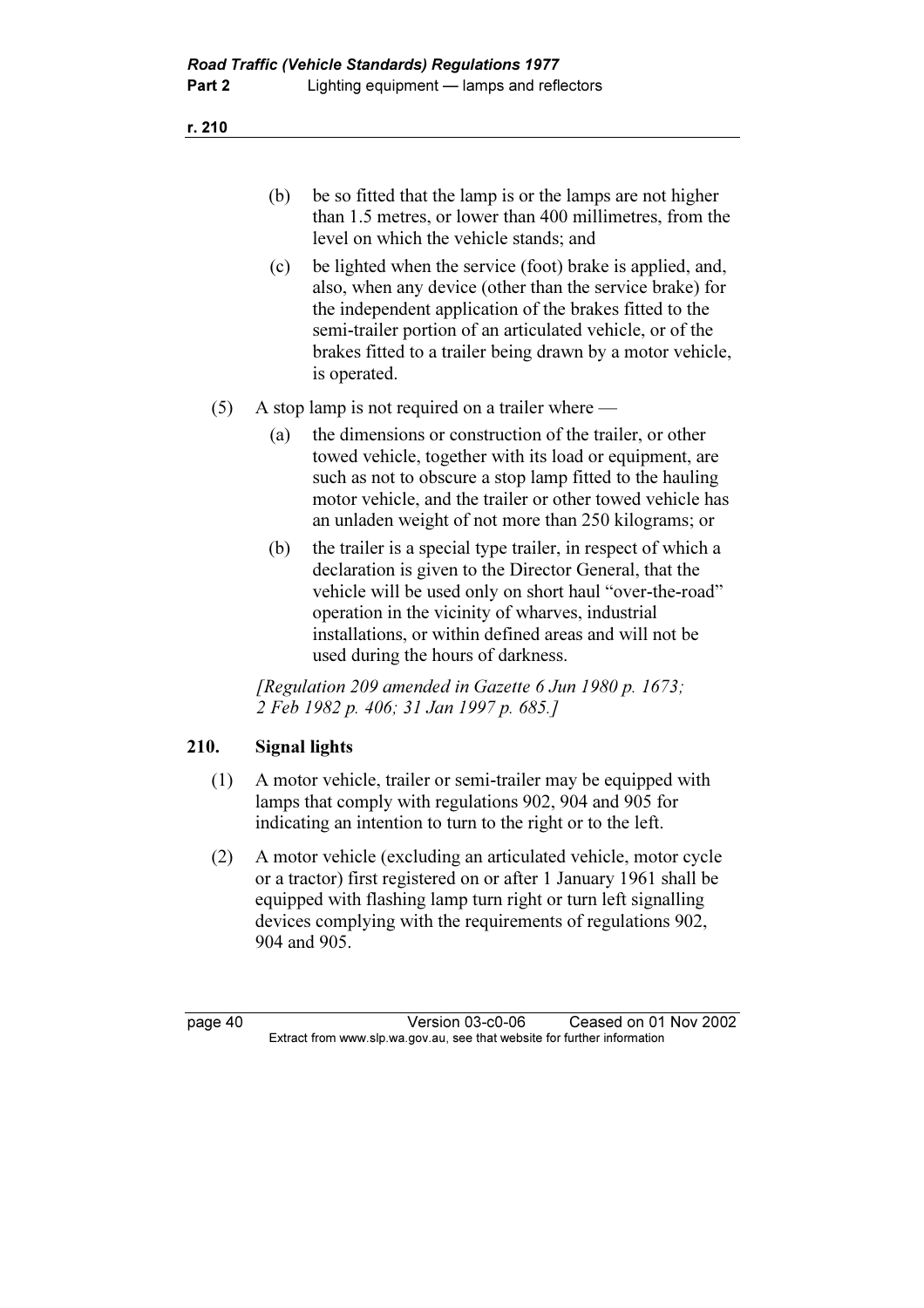- (b) be so fitted that the lamp is or the lamps are not higher than 1.5 metres, or lower than 400 millimetres, from the level on which the vehicle stands; and
- (c) be lighted when the service (foot) brake is applied, and, also, when any device (other than the service brake) for the independent application of the brakes fitted to the semi-trailer portion of an articulated vehicle, or of the brakes fitted to a trailer being drawn by a motor vehicle, is operated.
- (5) A stop lamp is not required on a trailer where
	- (a) the dimensions or construction of the trailer, or other towed vehicle, together with its load or equipment, are such as not to obscure a stop lamp fitted to the hauling motor vehicle, and the trailer or other towed vehicle has an unladen weight of not more than 250 kilograms; or
	- (b) the trailer is a special type trailer, in respect of which a declaration is given to the Director General, that the vehicle will be used only on short haul "over-the-road" operation in the vicinity of wharves, industrial installations, or within defined areas and will not be used during the hours of darkness.

[Regulation 209 amended in Gazette 6 Jun 1980 p. 1673; 2 Feb 1982 p. 406; 31 Jan 1997 p. 685.]

## 210. Signal lights

- (1) A motor vehicle, trailer or semi-trailer may be equipped with lamps that comply with regulations 902, 904 and 905 for indicating an intention to turn to the right or to the left.
- (2) A motor vehicle (excluding an articulated vehicle, motor cycle or a tractor) first registered on or after 1 January 1961 shall be equipped with flashing lamp turn right or turn left signalling devices complying with the requirements of regulations 902, 904 and 905.

page 40 Version 03-c0-06 Ceased on 01 Nov 2002<br>Extract from www.slp.wa.gov.au, see that website for further information  $\mathbf{F}$  from which was the set that we besite for further information  $\mathbf{F}$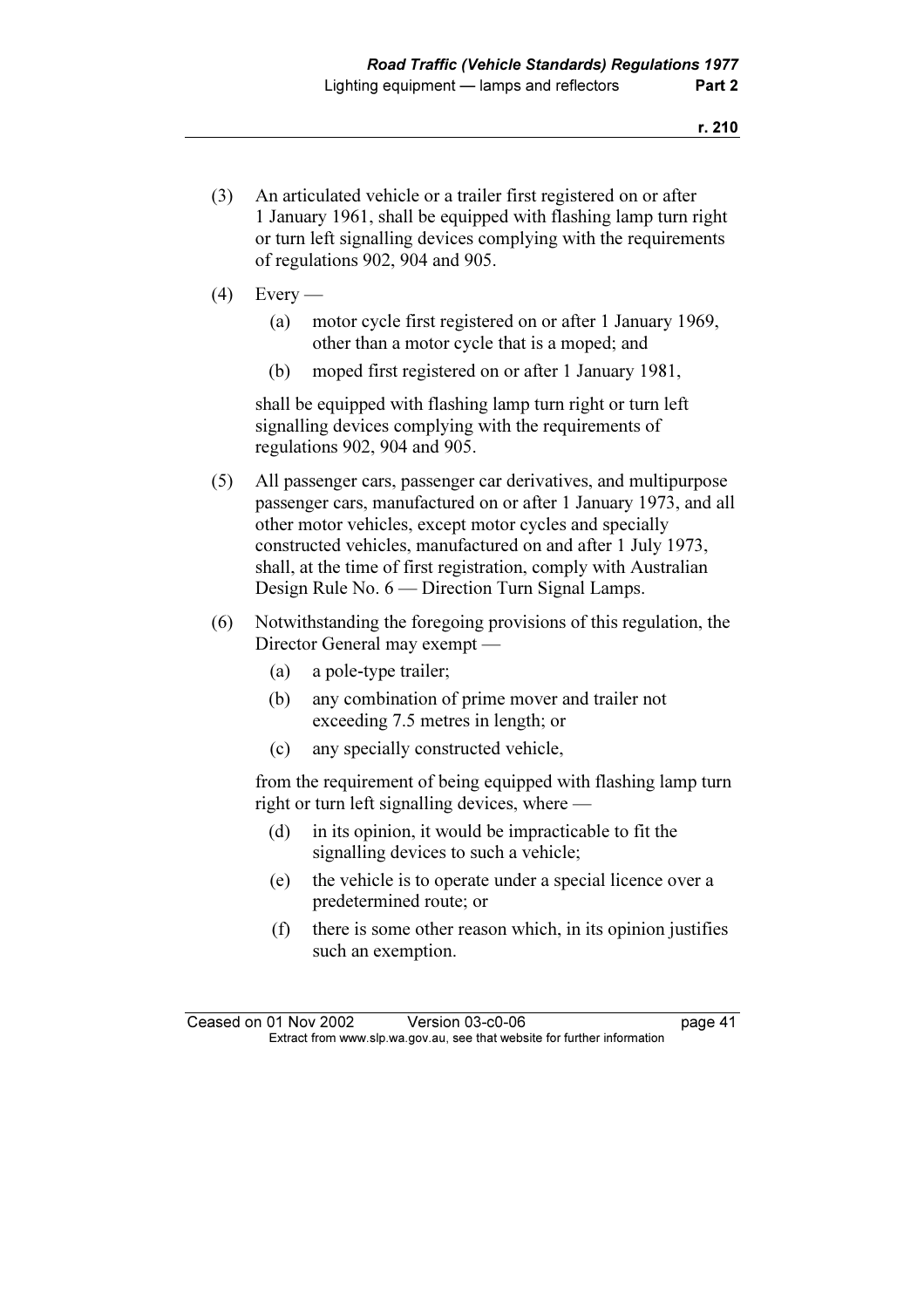- (3) An articulated vehicle or a trailer first registered on or after 1 January 1961, shall be equipped with flashing lamp turn right or turn left signalling devices complying with the requirements of regulations 902, 904 and 905.
- $(4)$  Every
	- (a) motor cycle first registered on or after 1 January 1969, other than a motor cycle that is a moped; and
	- (b) moped first registered on or after 1 January 1981,

shall be equipped with flashing lamp turn right or turn left signalling devices complying with the requirements of regulations 902, 904 and 905.

- (5) All passenger cars, passenger car derivatives, and multipurpose passenger cars, manufactured on or after 1 January 1973, and all other motor vehicles, except motor cycles and specially constructed vehicles, manufactured on and after 1 July 1973, shall, at the time of first registration, comply with Australian Design Rule No. 6 — Direction Turn Signal Lamps.
- (6) Notwithstanding the foregoing provisions of this regulation, the Director General may exempt —
	- (a) a pole-type trailer;
	- (b) any combination of prime mover and trailer not exceeding 7.5 metres in length; or
	- (c) any specially constructed vehicle,

 from the requirement of being equipped with flashing lamp turn right or turn left signalling devices, where —

- (d) in its opinion, it would be impracticable to fit the signalling devices to such a vehicle;
- (e) the vehicle is to operate under a special licence over a predetermined route; or
- (f) there is some other reason which, in its opinion justifies such an exemption.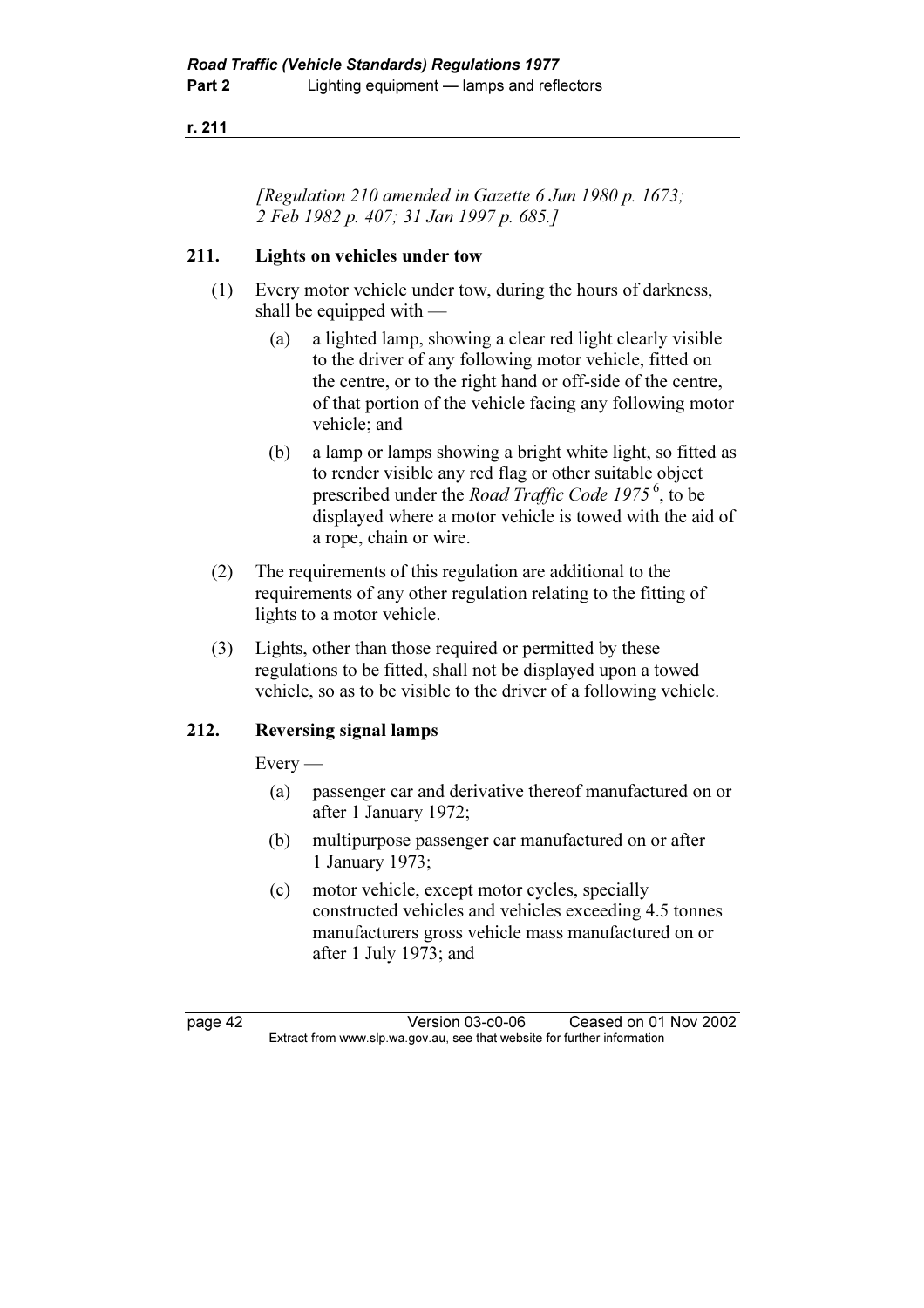[Regulation 210 amended in Gazette 6 Jun 1980 p. 1673; 2 Feb 1982 p. 407; 31 Jan 1997 p. 685.]

#### 211. Lights on vehicles under tow

- (1) Every motor vehicle under tow, during the hours of darkness, shall be equipped with —
	- (a) a lighted lamp, showing a clear red light clearly visible to the driver of any following motor vehicle, fitted on the centre, or to the right hand or off-side of the centre, of that portion of the vehicle facing any following motor vehicle; and
	- (b) a lamp or lamps showing a bright white light, so fitted as to render visible any red flag or other suitable object prescribed under the *Road Traffic Code 1975*<sup>6</sup>, to be displayed where a motor vehicle is towed with the aid of a rope, chain or wire.
- (2) The requirements of this regulation are additional to the requirements of any other regulation relating to the fitting of lights to a motor vehicle.
- (3) Lights, other than those required or permitted by these regulations to be fitted, shall not be displayed upon a towed vehicle, so as to be visible to the driver of a following vehicle.

## 212. Reversing signal lamps

Every —

- (a) passenger car and derivative thereof manufactured on or after 1 January 1972;
- (b) multipurpose passenger car manufactured on or after 1 January 1973;
- (c) motor vehicle, except motor cycles, specially constructed vehicles and vehicles exceeding 4.5 tonnes manufacturers gross vehicle mass manufactured on or after 1 July 1973; and

page 42 Version 03-c0-06 Ceased on 01 Nov 2002<br>Extract from www.slp.wa.gov.au, see that website for further information  $\mathbf{F}$  from which was the set that we besite for further information  $\mathbf{F}$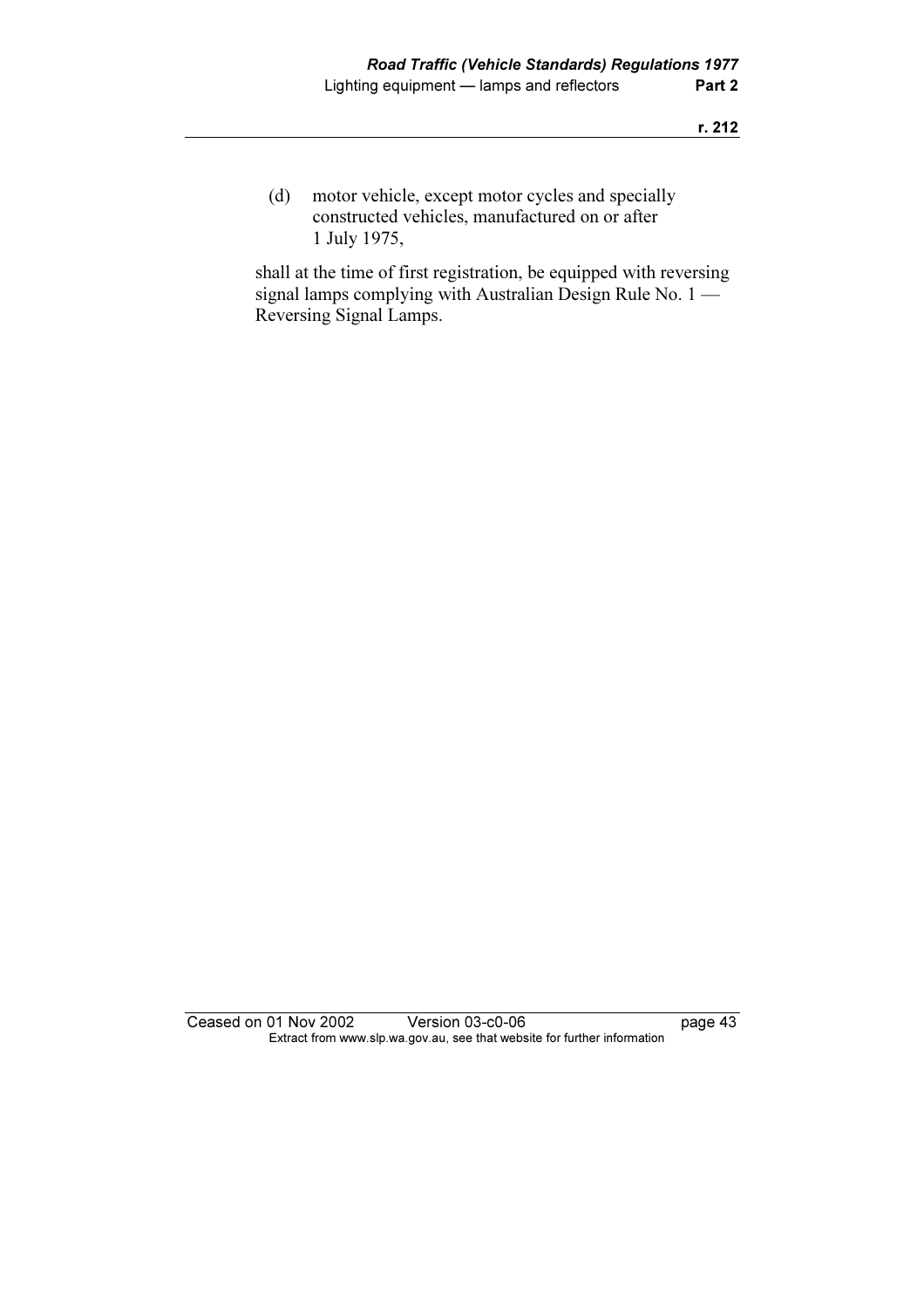(d) motor vehicle, except motor cycles and specially constructed vehicles, manufactured on or after 1 July 1975,

 shall at the time of first registration, be equipped with reversing signal lamps complying with Australian Design Rule No. 1 — Reversing Signal Lamps.

Ceased on 01 Nov 2002 Version 03-c0-06 page 43 Extract from www.slp.wa.gov.au, see that website for further information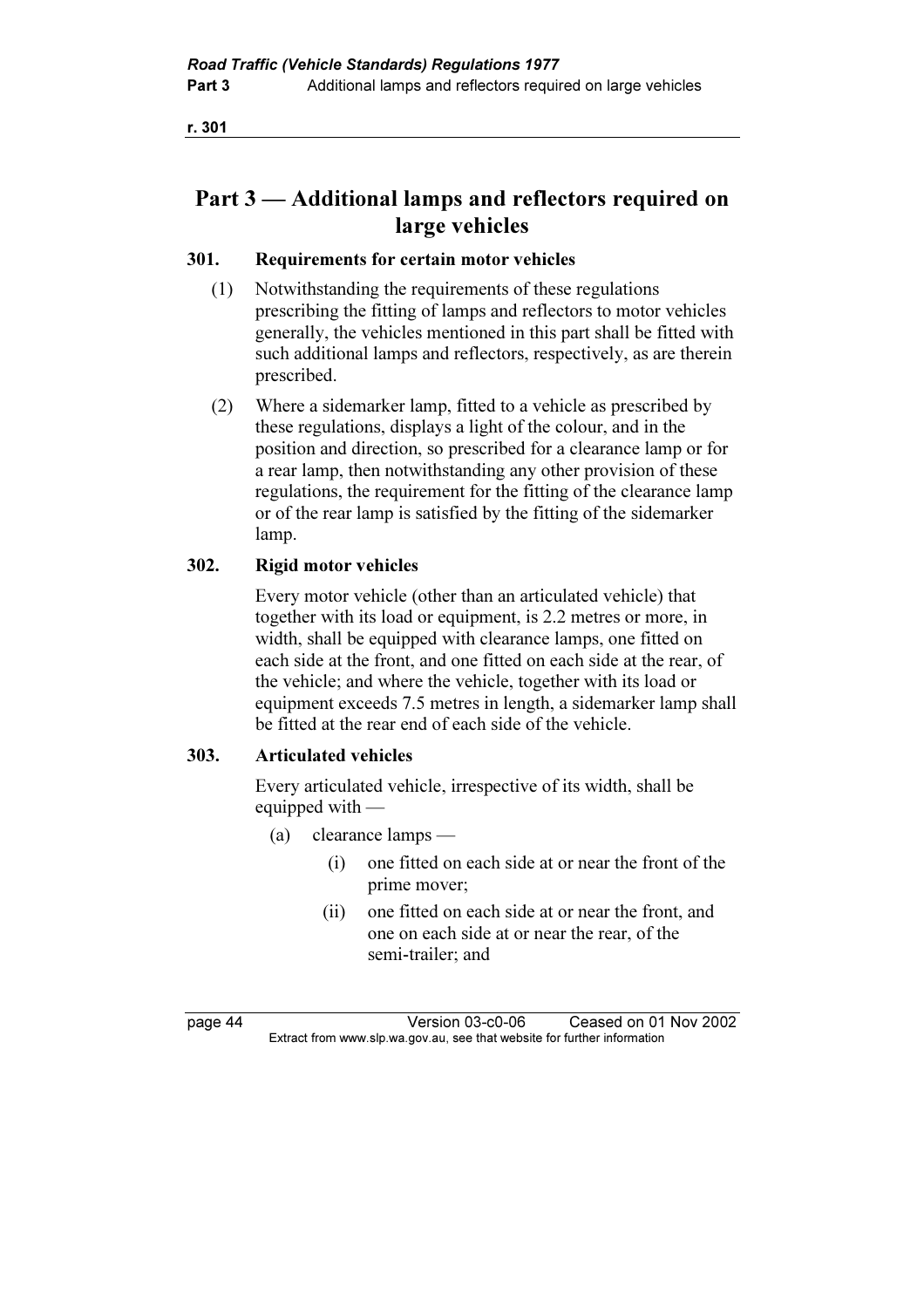# Part 3 — Additional lamps and reflectors required on large vehicles

#### 301. Requirements for certain motor vehicles

- (1) Notwithstanding the requirements of these regulations prescribing the fitting of lamps and reflectors to motor vehicles generally, the vehicles mentioned in this part shall be fitted with such additional lamps and reflectors, respectively, as are therein prescribed.
- (2) Where a sidemarker lamp, fitted to a vehicle as prescribed by these regulations, displays a light of the colour, and in the position and direction, so prescribed for a clearance lamp or for a rear lamp, then notwithstanding any other provision of these regulations, the requirement for the fitting of the clearance lamp or of the rear lamp is satisfied by the fitting of the sidemarker lamp.

## 302. Rigid motor vehicles

 Every motor vehicle (other than an articulated vehicle) that together with its load or equipment, is 2.2 metres or more, in width, shall be equipped with clearance lamps, one fitted on each side at the front, and one fitted on each side at the rear, of the vehicle; and where the vehicle, together with its load or equipment exceeds 7.5 metres in length, a sidemarker lamp shall be fitted at the rear end of each side of the vehicle.

#### 303. Articulated vehicles

 Every articulated vehicle, irrespective of its width, shall be equipped with —

- (a) clearance lamps
	- (i) one fitted on each side at or near the front of the prime mover;
	- (ii) one fitted on each side at or near the front, and one on each side at or near the rear, of the semi-trailer; and

page 44 Version 03-c0-06 Ceased on 01 Nov 2002<br>Extract from www.slp.wa.gov.au, see that website for further information  $\mathbf{F}$  from which was the set that we besite for further information  $\mathbf{F}$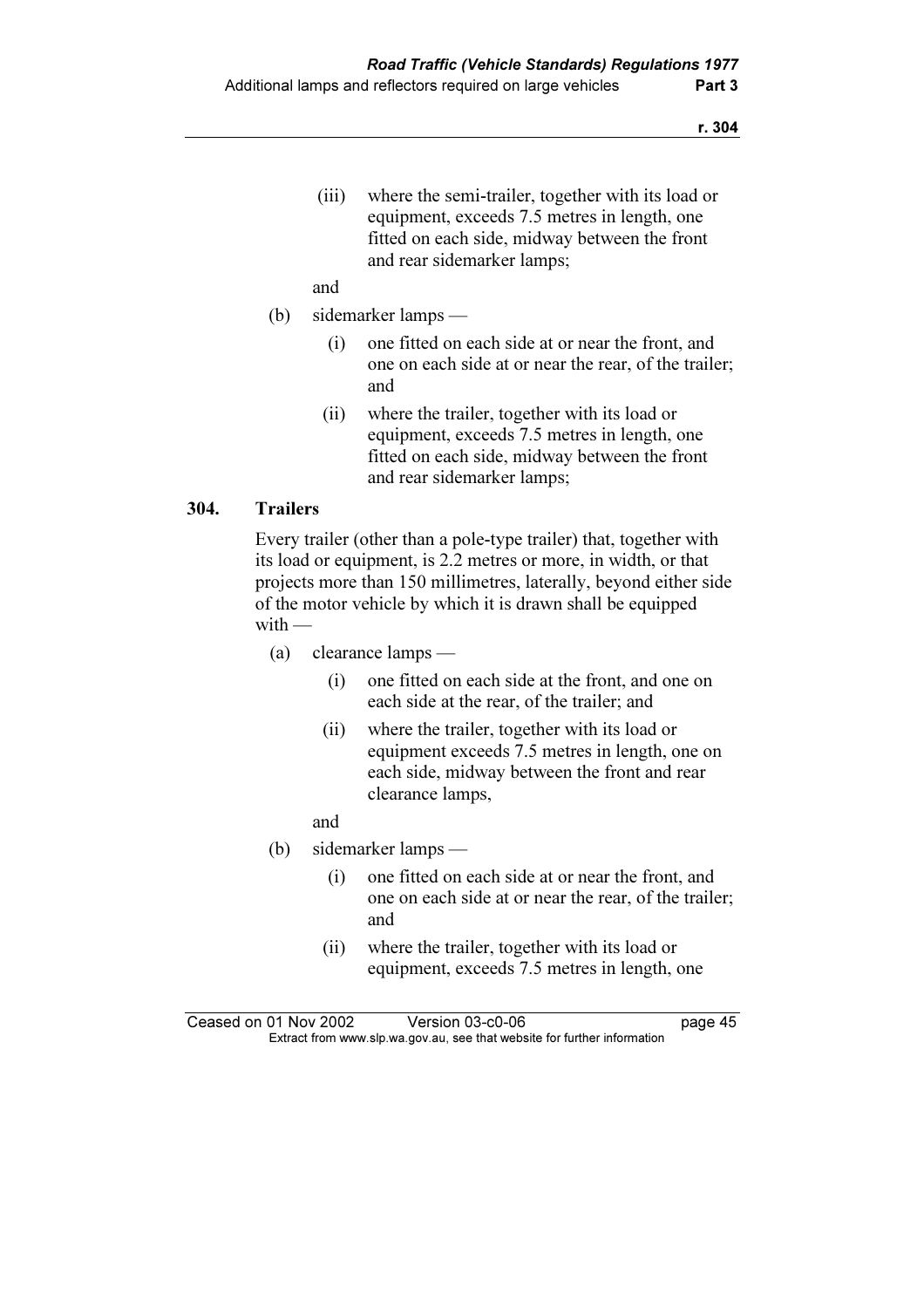(iii) where the semi-trailer, together with its load or equipment, exceeds 7.5 metres in length, one fitted on each side, midway between the front and rear sidemarker lamps;

and

- (b) sidemarker lamps
	- (i) one fitted on each side at or near the front, and one on each side at or near the rear, of the trailer; and
	- (ii) where the trailer, together with its load or equipment, exceeds 7.5 metres in length, one fitted on each side, midway between the front and rear sidemarker lamps;

#### 304. Trailers

 Every trailer (other than a pole-type trailer) that, together with its load or equipment, is 2.2 metres or more, in width, or that projects more than 150 millimetres, laterally, beyond either side of the motor vehicle by which it is drawn shall be equipped  $with -$ 

- (a) clearance lamps
	- (i) one fitted on each side at the front, and one on each side at the rear, of the trailer; and
	- (ii) where the trailer, together with its load or equipment exceeds 7.5 metres in length, one on each side, midway between the front and rear clearance lamps,

#### and

- (b) sidemarker lamps
	- (i) one fitted on each side at or near the front, and one on each side at or near the rear, of the trailer; and
	- (ii) where the trailer, together with its load or equipment, exceeds 7.5 metres in length, one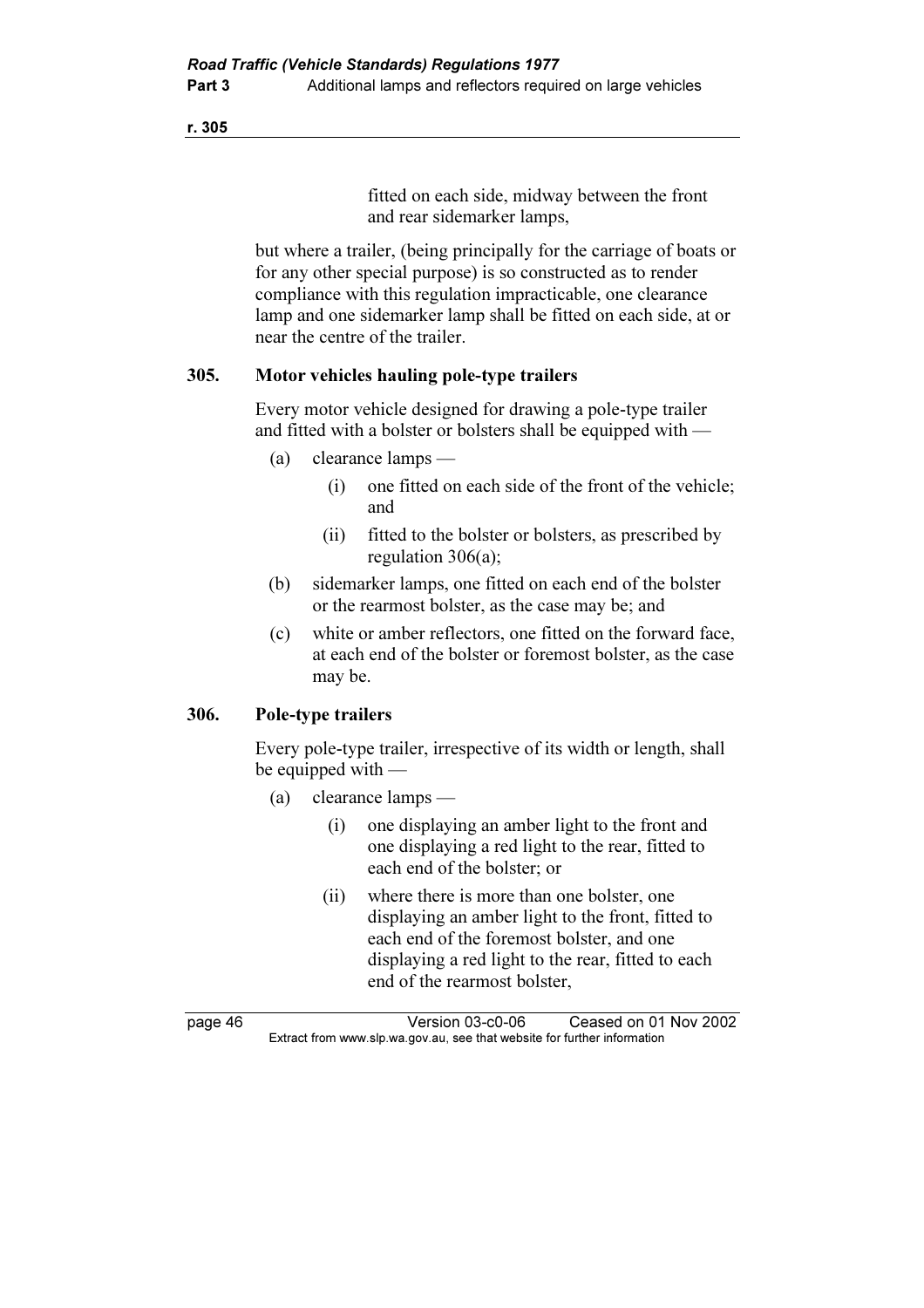fitted on each side, midway between the front and rear sidemarker lamps,

 but where a trailer, (being principally for the carriage of boats or for any other special purpose) is so constructed as to render compliance with this regulation impracticable, one clearance lamp and one sidemarker lamp shall be fitted on each side, at or near the centre of the trailer.

#### 305. Motor vehicles hauling pole-type trailers

 Every motor vehicle designed for drawing a pole-type trailer and fitted with a bolster or bolsters shall be equipped with —

- (a) clearance lamps
	- (i) one fitted on each side of the front of the vehicle; and
	- (ii) fitted to the bolster or bolsters, as prescribed by regulation 306(a);
- (b) sidemarker lamps, one fitted on each end of the bolster or the rearmost bolster, as the case may be; and
- (c) white or amber reflectors, one fitted on the forward face, at each end of the bolster or foremost bolster, as the case may be.

#### 306. Pole-type trailers

 Every pole-type trailer, irrespective of its width or length, shall be equipped with —

- (a) clearance lamps
	- (i) one displaying an amber light to the front and one displaying a red light to the rear, fitted to each end of the bolster; or
	- (ii) where there is more than one bolster, one displaying an amber light to the front, fitted to each end of the foremost bolster, and one displaying a red light to the rear, fitted to each end of the rearmost bolster,

page 46 Version 03-c0-06 Ceased on 01 Nov 2002<br>Extract from www.slp.wa.gov.au, see that website for further information  $\mathbf{F}$  from which was the set that we besite for further information  $\mathbf{F}$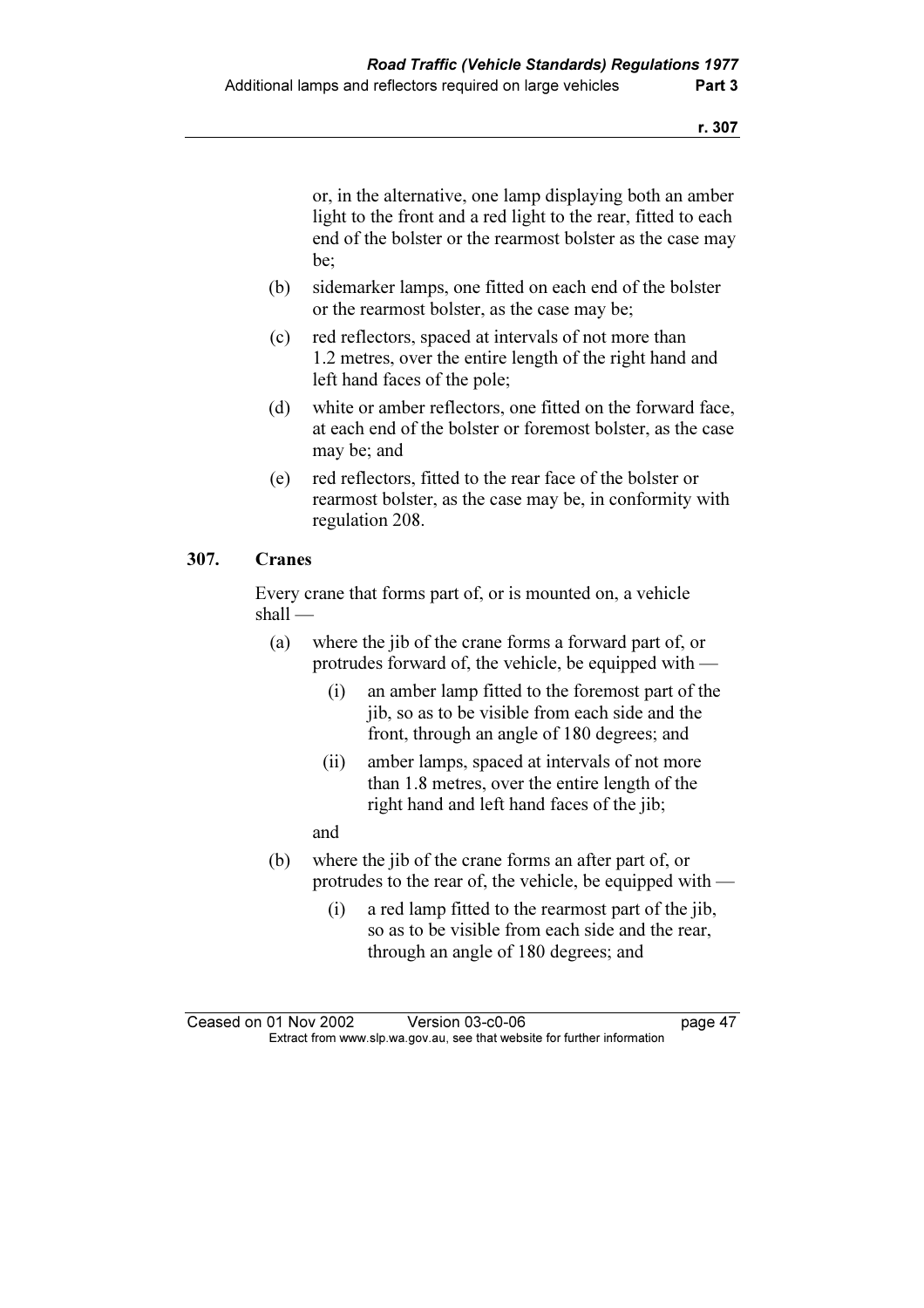or, in the alternative, one lamp displaying both an amber light to the front and a red light to the rear, fitted to each end of the bolster or the rearmost bolster as the case may be;

- (b) sidemarker lamps, one fitted on each end of the bolster or the rearmost bolster, as the case may be;
- (c) red reflectors, spaced at intervals of not more than 1.2 metres, over the entire length of the right hand and left hand faces of the pole;
- (d) white or amber reflectors, one fitted on the forward face, at each end of the bolster or foremost bolster, as the case may be; and
- (e) red reflectors, fitted to the rear face of the bolster or rearmost bolster, as the case may be, in conformity with regulation 208.

#### 307. Cranes

 Every crane that forms part of, or is mounted on, a vehicle shall —

- (a) where the jib of the crane forms a forward part of, or protrudes forward of, the vehicle, be equipped with —
	- (i) an amber lamp fitted to the foremost part of the jib, so as to be visible from each side and the front, through an angle of 180 degrees; and
	- (ii) amber lamps, spaced at intervals of not more than 1.8 metres, over the entire length of the right hand and left hand faces of the jib;
	- and
- (b) where the jib of the crane forms an after part of, or protrudes to the rear of, the vehicle, be equipped with —
	- (i) a red lamp fitted to the rearmost part of the jib, so as to be visible from each side and the rear, through an angle of 180 degrees; and

Ceased on 01 Nov 2002 Version 03-c0-06 page 47<br>Extract from www.slp.wa.gov.au, see that website for further information  $\mathbf{F}$  from which was the set that we besite for further information  $\mathbf{F}$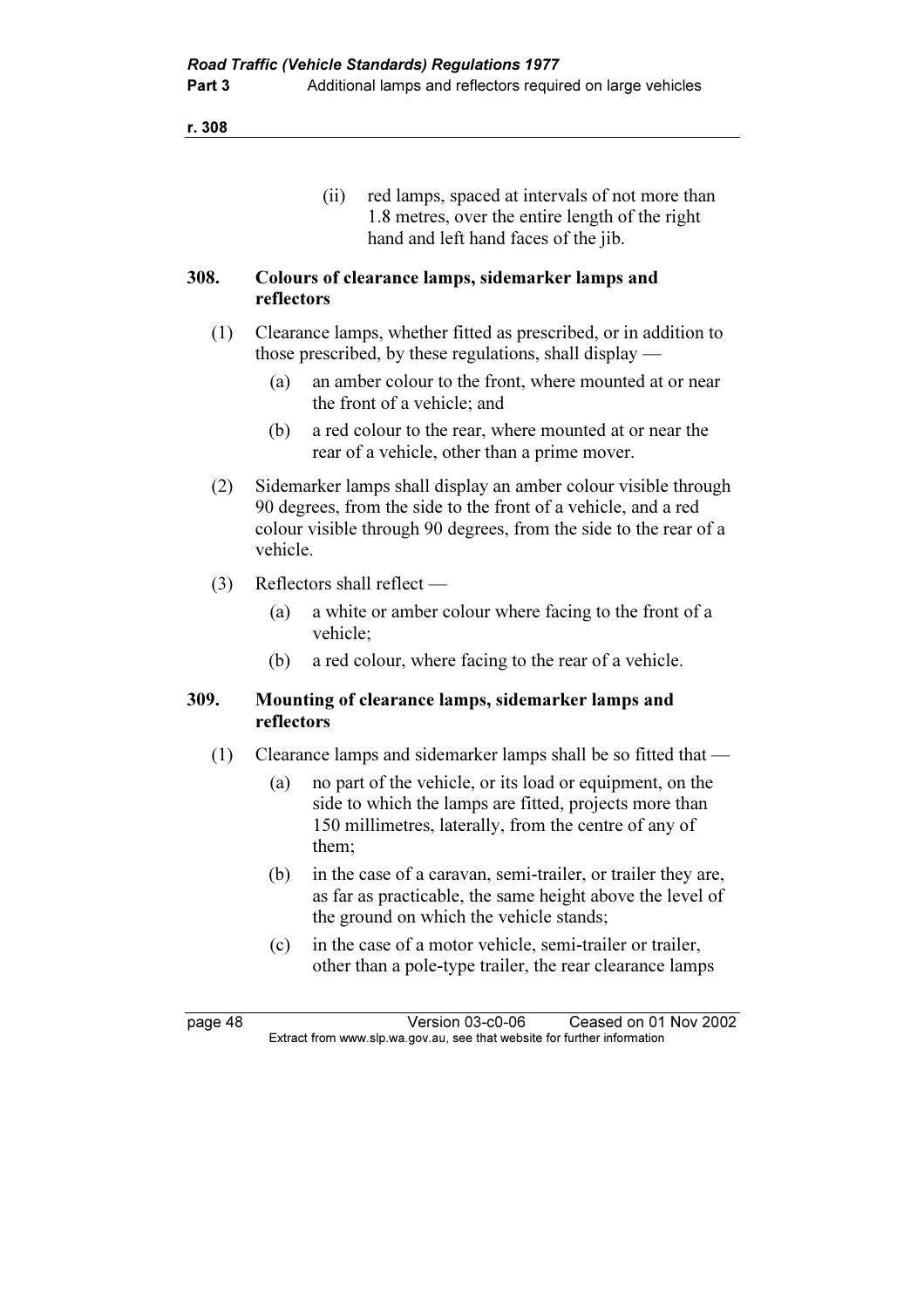(ii) red lamps, spaced at intervals of not more than 1.8 metres, over the entire length of the right hand and left hand faces of the jib.

#### 308. Colours of clearance lamps, sidemarker lamps and reflectors

- (1) Clearance lamps, whether fitted as prescribed, or in addition to those prescribed, by these regulations, shall display —
	- (a) an amber colour to the front, where mounted at or near the front of a vehicle; and
	- (b) a red colour to the rear, where mounted at or near the rear of a vehicle, other than a prime mover.
- (2) Sidemarker lamps shall display an amber colour visible through 90 degrees, from the side to the front of a vehicle, and a red colour visible through 90 degrees, from the side to the rear of a vehicle.
- (3) Reflectors shall reflect
	- (a) a white or amber colour where facing to the front of a vehicle;
	- (b) a red colour, where facing to the rear of a vehicle.

#### 309. Mounting of clearance lamps, sidemarker lamps and reflectors

- (1) Clearance lamps and sidemarker lamps shall be so fitted that
	- (a) no part of the vehicle, or its load or equipment, on the side to which the lamps are fitted, projects more than 150 millimetres, laterally, from the centre of any of them;
	- (b) in the case of a caravan, semi-trailer, or trailer they are, as far as practicable, the same height above the level of the ground on which the vehicle stands;
	- (c) in the case of a motor vehicle, semi-trailer or trailer, other than a pole-type trailer, the rear clearance lamps

page 48 Version 03-c0-06 Ceased on 01 Nov 2002<br>Extract from www.slp.wa.gov.au, see that website for further information  $\mathbf{F}$  from which was the set that we besite for further information  $\mathbf{F}$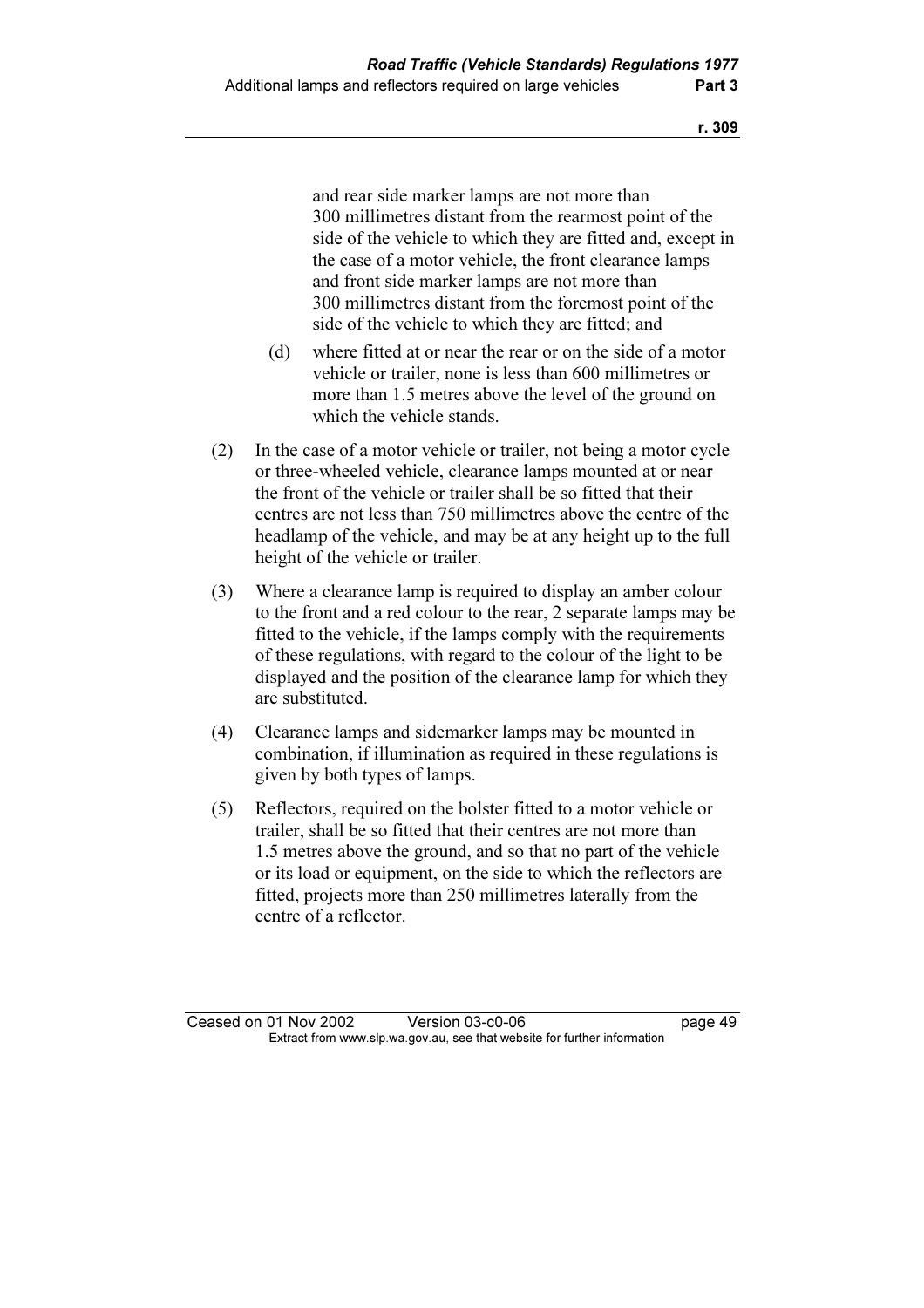and rear side marker lamps are not more than 300 millimetres distant from the rearmost point of the side of the vehicle to which they are fitted and, except in the case of a motor vehicle, the front clearance lamps and front side marker lamps are not more than 300 millimetres distant from the foremost point of the side of the vehicle to which they are fitted; and

- (d) where fitted at or near the rear or on the side of a motor vehicle or trailer, none is less than 600 millimetres or more than 1.5 metres above the level of the ground on which the vehicle stands.
- (2) In the case of a motor vehicle or trailer, not being a motor cycle or three-wheeled vehicle, clearance lamps mounted at or near the front of the vehicle or trailer shall be so fitted that their centres are not less than 750 millimetres above the centre of the headlamp of the vehicle, and may be at any height up to the full height of the vehicle or trailer.
- (3) Where a clearance lamp is required to display an amber colour to the front and a red colour to the rear, 2 separate lamps may be fitted to the vehicle, if the lamps comply with the requirements of these regulations, with regard to the colour of the light to be displayed and the position of the clearance lamp for which they are substituted.
- (4) Clearance lamps and sidemarker lamps may be mounted in combination, if illumination as required in these regulations is given by both types of lamps.
- (5) Reflectors, required on the bolster fitted to a motor vehicle or trailer, shall be so fitted that their centres are not more than 1.5 metres above the ground, and so that no part of the vehicle or its load or equipment, on the side to which the reflectors are fitted, projects more than 250 millimetres laterally from the centre of a reflector.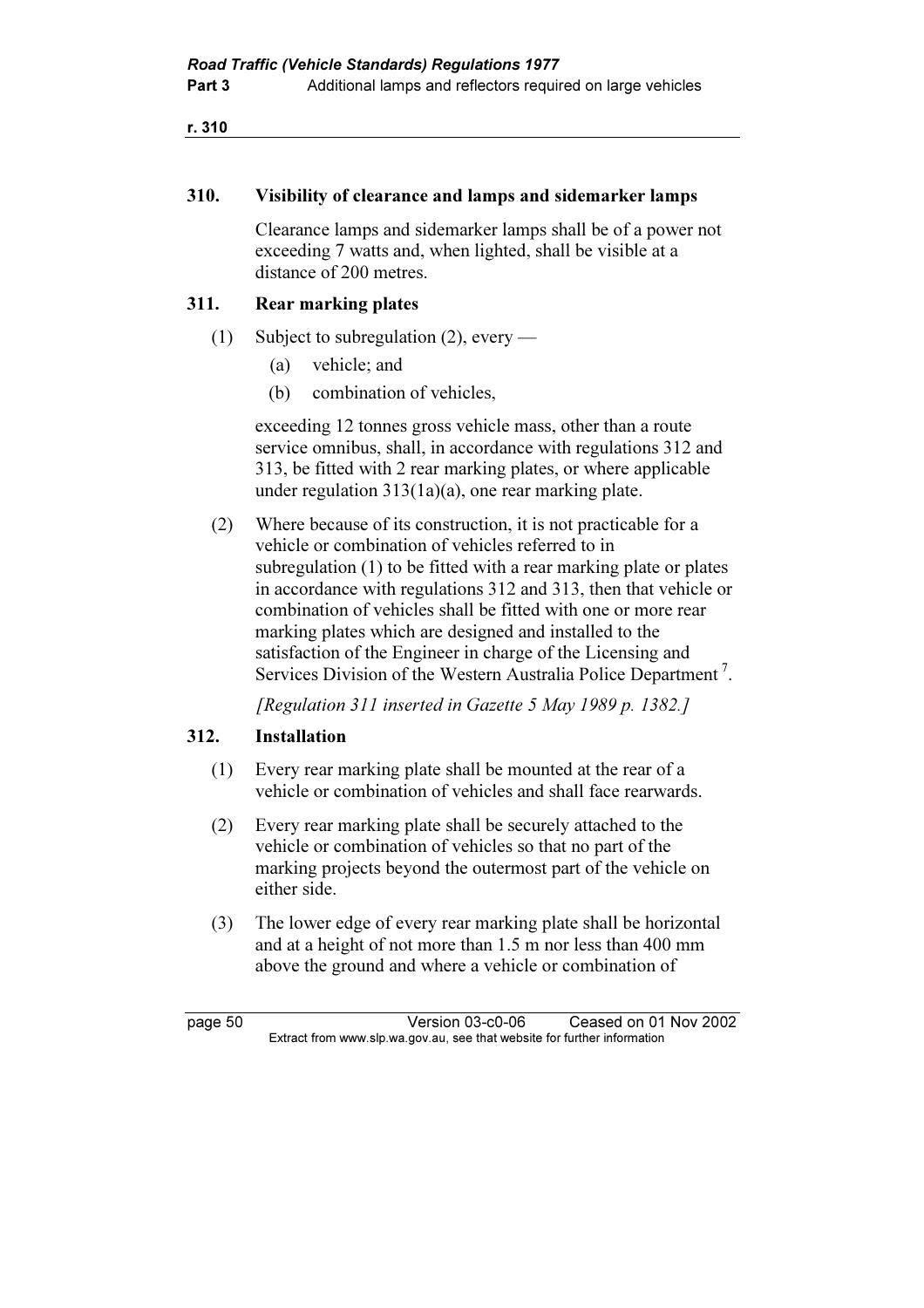#### 310. Visibility of clearance and lamps and sidemarker lamps

 Clearance lamps and sidemarker lamps shall be of a power not exceeding 7 watts and, when lighted, shall be visible at a distance of 200 metres.

## 311. Rear marking plates

- (1) Subject to subregulation (2), every
	- (a) vehicle; and
	- (b) combination of vehicles,

 exceeding 12 tonnes gross vehicle mass, other than a route service omnibus, shall, in accordance with regulations 312 and 313, be fitted with 2 rear marking plates, or where applicable under regulation 313(1a)(a), one rear marking plate.

 (2) Where because of its construction, it is not practicable for a vehicle or combination of vehicles referred to in subregulation (1) to be fitted with a rear marking plate or plates in accordance with regulations 312 and 313, then that vehicle or combination of vehicles shall be fitted with one or more rear marking plates which are designed and installed to the satisfaction of the Engineer in charge of the Licensing and Services Division of the Western Australia Police Department<sup>7</sup>.

[Regulation 311 inserted in Gazette 5 May 1989 p. 1382.]

## 312. Installation

- (1) Every rear marking plate shall be mounted at the rear of a vehicle or combination of vehicles and shall face rearwards.
- (2) Every rear marking plate shall be securely attached to the vehicle or combination of vehicles so that no part of the marking projects beyond the outermost part of the vehicle on either side.
- (3) The lower edge of every rear marking plate shall be horizontal and at a height of not more than 1.5 m nor less than 400 mm above the ground and where a vehicle or combination of

page 50 Version 03-c0-06 Ceased on 01 Nov 2002<br>Extract from www.slp.wa.gov.au, see that website for further information  $\mathbf{F}$  from which was the set that we besite for further information  $\mathbf{F}$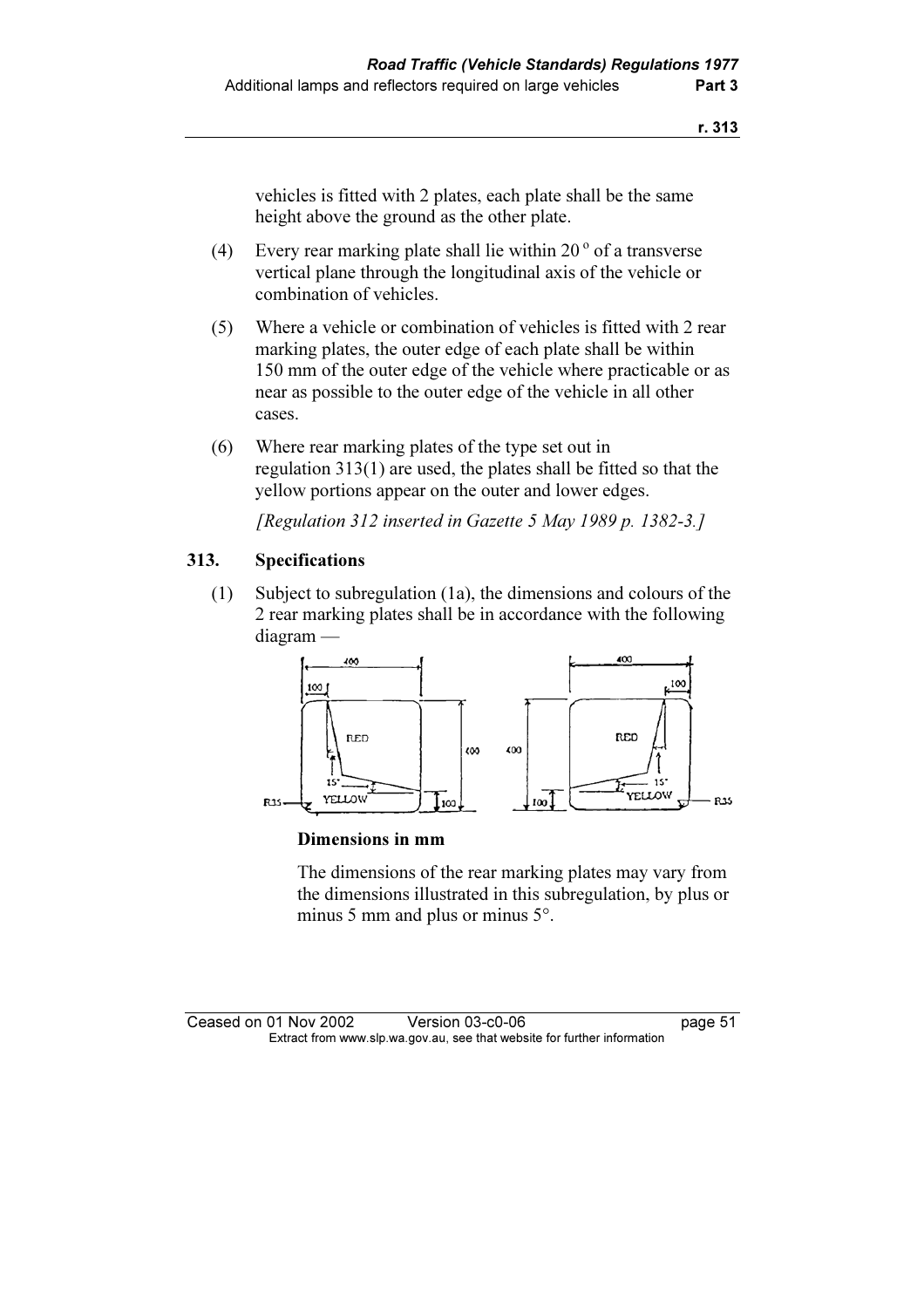vehicles is fitted with 2 plates, each plate shall be the same height above the ground as the other plate.

- (4) Every rear marking plate shall lie within  $20^{\circ}$  of a transverse vertical plane through the longitudinal axis of the vehicle or combination of vehicles.
- (5) Where a vehicle or combination of vehicles is fitted with 2 rear marking plates, the outer edge of each plate shall be within 150 mm of the outer edge of the vehicle where practicable or as near as possible to the outer edge of the vehicle in all other cases.
- (6) Where rear marking plates of the type set out in regulation 313(1) are used, the plates shall be fitted so that the yellow portions appear on the outer and lower edges.

[Regulation 312 inserted in Gazette 5 May 1989 p. 1382-3.]

#### 313. Specifications

 (1) Subject to subregulation (1a), the dimensions and colours of the 2 rear marking plates shall be in accordance with the following diagram —



#### Dimensions in mm

 The dimensions of the rear marking plates may vary from the dimensions illustrated in this subregulation, by plus or minus 5 mm and plus or minus 5°.

Ceased on 01 Nov 2002 Version 03-c0-06 page 51<br>Extract from www.slp.wa.gov.au, see that website for further information  $\mathbf{F}$  from which was the set that we besite for further information  $\mathbf{F}$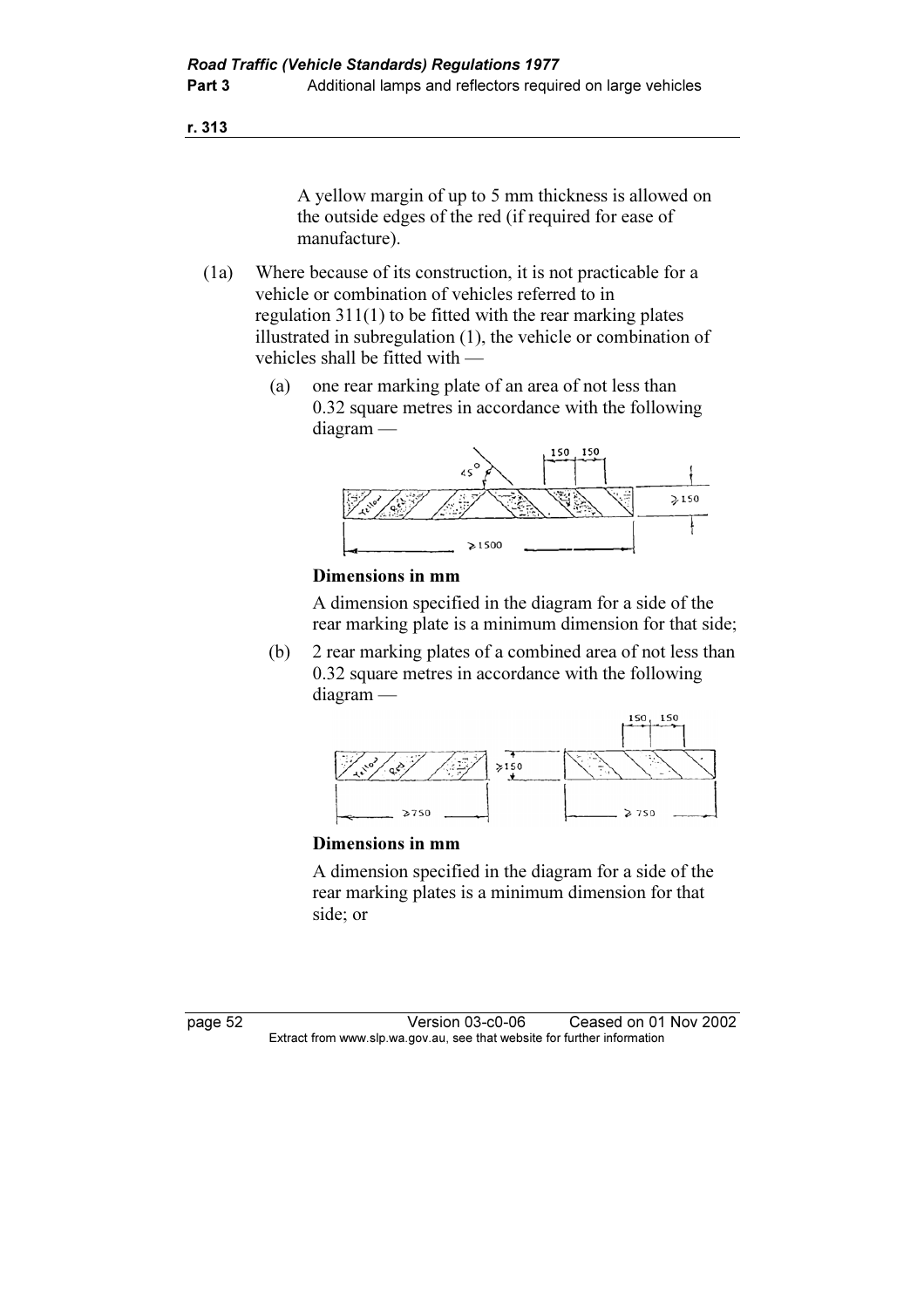A yellow margin of up to 5 mm thickness is allowed on the outside edges of the red (if required for ease of manufacture).

- (1a) Where because of its construction, it is not practicable for a vehicle or combination of vehicles referred to in regulation 311(1) to be fitted with the rear marking plates illustrated in subregulation (1), the vehicle or combination of vehicles shall be fitted with —
	- (a) one rear marking plate of an area of not less than 0.32 square metres in accordance with the following diagram —



#### Dimensions in mm

 A dimension specified in the diagram for a side of the rear marking plate is a minimum dimension for that side;

 (b) 2 rear marking plates of a combined area of not less than 0.32 square metres in accordance with the following diagram —



#### Dimensions in mm

 A dimension specified in the diagram for a side of the rear marking plates is a minimum dimension for that side; or

page 52 Version 03-c0-06 Ceased on 01 Nov 2002<br>Extract from www.slp.wa.gov.au, see that website for further information  $\mathbf{F}$  from which was the set that we besite for further information  $\mathbf{F}$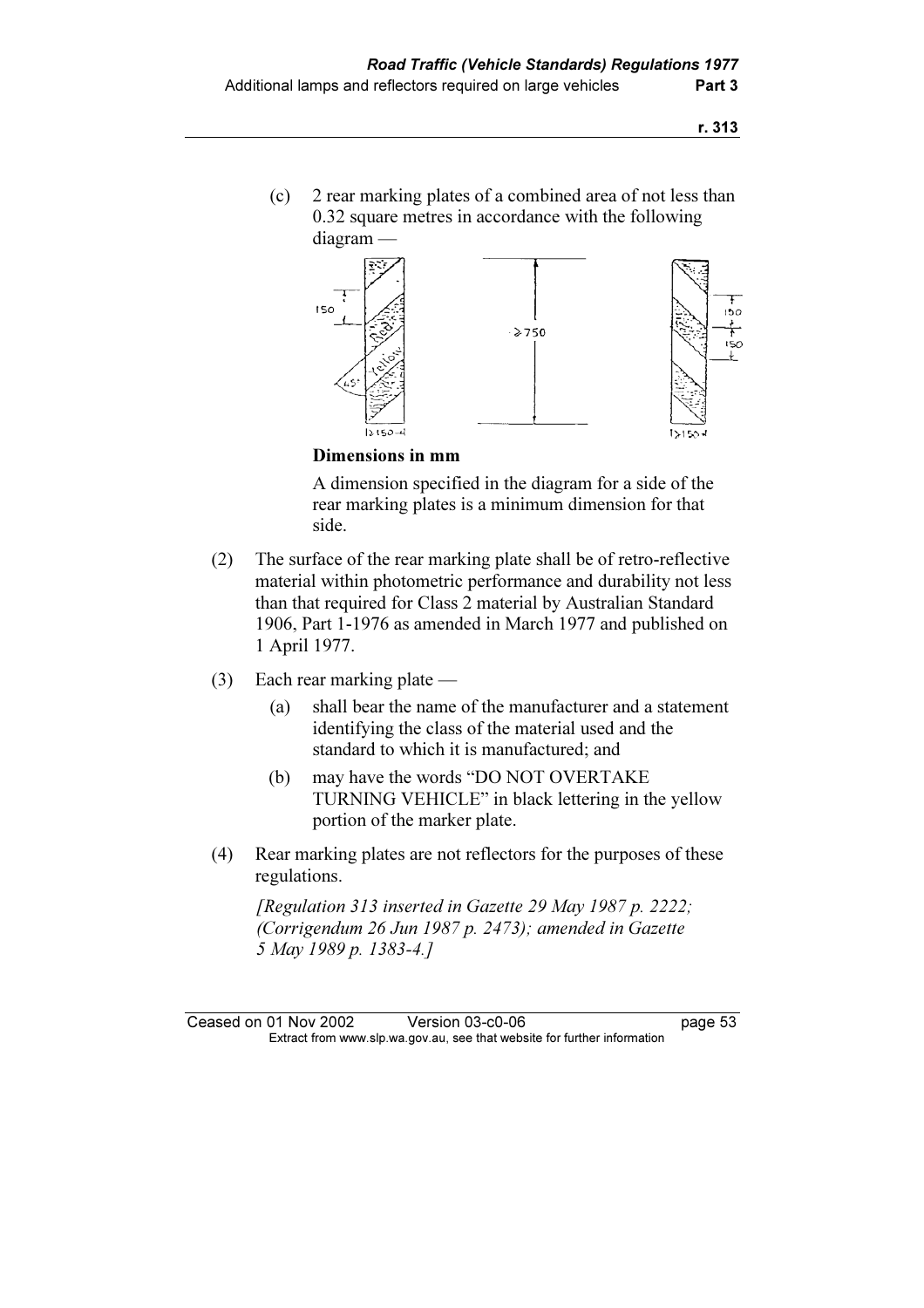(c) 2 rear marking plates of a combined area of not less than 0.32 square metres in accordance with the following diagram —



Dimensions in mm

 A dimension specified in the diagram for a side of the rear marking plates is a minimum dimension for that side.

- (2) The surface of the rear marking plate shall be of retro-reflective material within photometric performance and durability not less than that required for Class 2 material by Australian Standard 1906, Part 1-1976 as amended in March 1977 and published on 1 April 1977.
- (3) Each rear marking plate
	- (a) shall bear the name of the manufacturer and a statement identifying the class of the material used and the standard to which it is manufactured; and
	- (b) may have the words "DO NOT OVERTAKE TURNING VEHICLE" in black lettering in the yellow portion of the marker plate.
- (4) Rear marking plates are not reflectors for the purposes of these regulations.

 [Regulation 313 inserted in Gazette 29 May 1987 p. 2222; (Corrigendum 26 Jun 1987 p. 2473); amended in Gazette 5 May 1989 p. 1383-4.]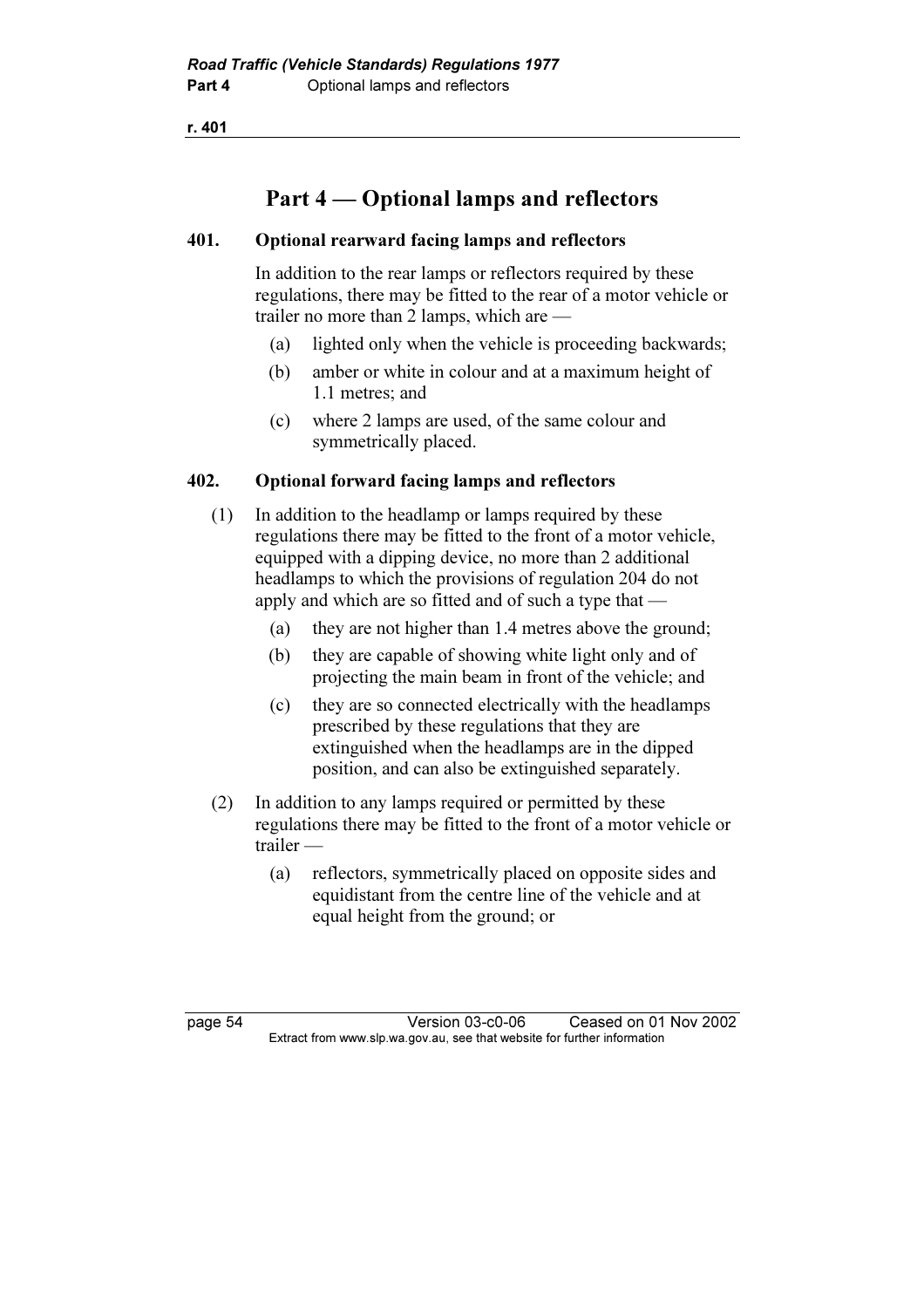# Part 4 — Optional lamps and reflectors

### 401. Optional rearward facing lamps and reflectors

 In addition to the rear lamps or reflectors required by these regulations, there may be fitted to the rear of a motor vehicle or trailer no more than 2 lamps, which are —

- (a) lighted only when the vehicle is proceeding backwards;
- (b) amber or white in colour and at a maximum height of 1.1 metres; and
- (c) where 2 lamps are used, of the same colour and symmetrically placed.

## 402. Optional forward facing lamps and reflectors

- (1) In addition to the headlamp or lamps required by these regulations there may be fitted to the front of a motor vehicle, equipped with a dipping device, no more than 2 additional headlamps to which the provisions of regulation 204 do not apply and which are so fitted and of such a type that —
	- (a) they are not higher than 1.4 metres above the ground;
	- (b) they are capable of showing white light only and of projecting the main beam in front of the vehicle; and
	- (c) they are so connected electrically with the headlamps prescribed by these regulations that they are extinguished when the headlamps are in the dipped position, and can also be extinguished separately.
- (2) In addition to any lamps required or permitted by these regulations there may be fitted to the front of a motor vehicle or trailer —
	- (a) reflectors, symmetrically placed on opposite sides and equidistant from the centre line of the vehicle and at equal height from the ground; or

page 54 Version 03-c0-06 Ceased on 01 Nov 2002<br>Extract from www.slp.wa.gov.au, see that website for further information  $\mathbf{F}$  from which was the set that we besite for further information  $\mathbf{F}$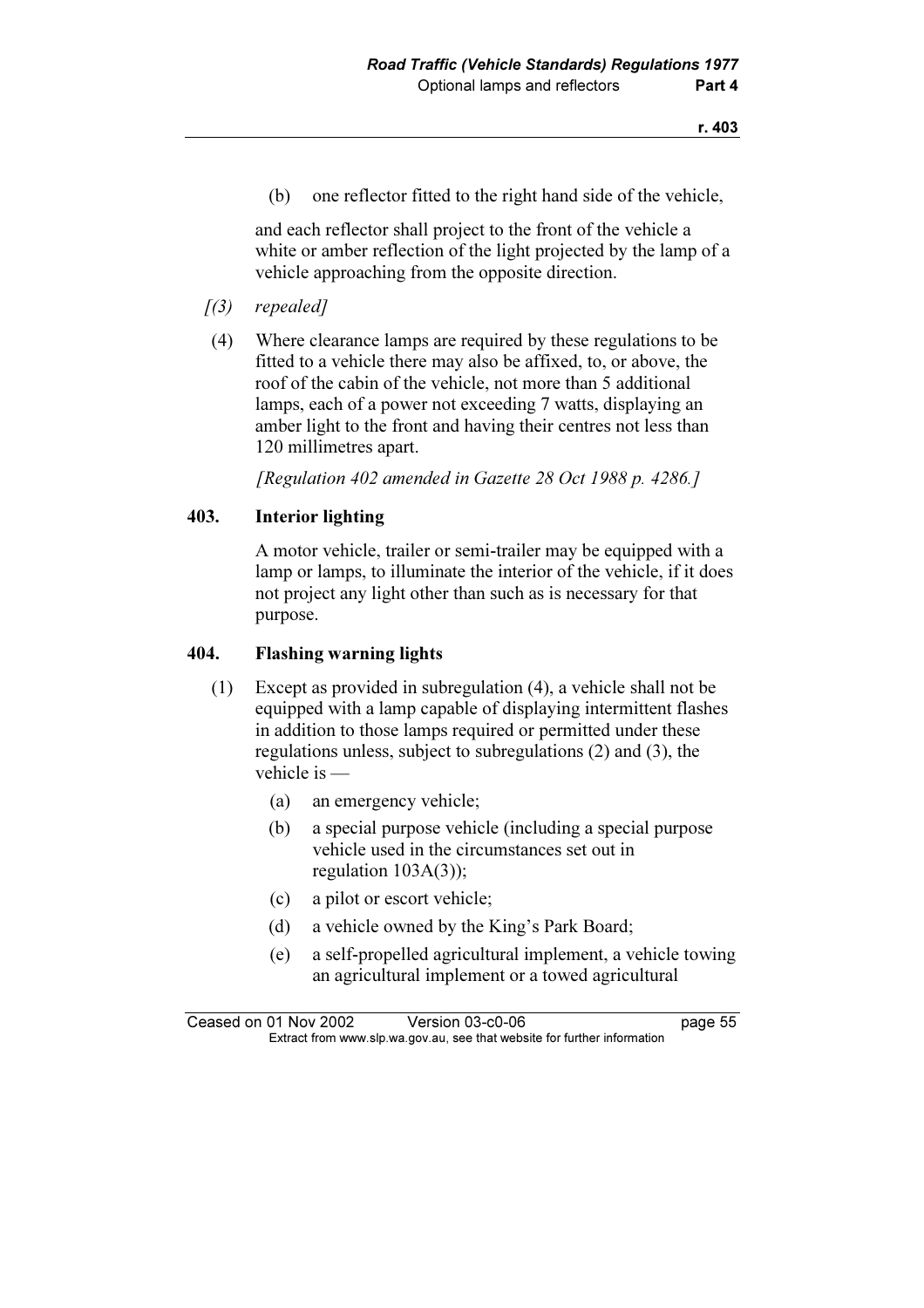(b) one reflector fitted to the right hand side of the vehicle,

 and each reflector shall project to the front of the vehicle a white or amber reflection of the light projected by the lamp of a vehicle approaching from the opposite direction.

- $(3)$  repealed]
- (4) Where clearance lamps are required by these regulations to be fitted to a vehicle there may also be affixed, to, or above, the roof of the cabin of the vehicle, not more than 5 additional lamps, each of a power not exceeding 7 watts, displaying an amber light to the front and having their centres not less than 120 millimetres apart.

[Regulation 402 amended in Gazette 28 Oct 1988 p. 4286.]

#### 403. Interior lighting

 A motor vehicle, trailer or semi-trailer may be equipped with a lamp or lamps, to illuminate the interior of the vehicle, if it does not project any light other than such as is necessary for that purpose.

#### 404. Flashing warning lights

- (1) Except as provided in subregulation (4), a vehicle shall not be equipped with a lamp capable of displaying intermittent flashes in addition to those lamps required or permitted under these regulations unless, subject to subregulations (2) and (3), the vehicle is —
	- (a) an emergency vehicle;
	- (b) a special purpose vehicle (including a special purpose vehicle used in the circumstances set out in regulation 103A(3));
	- (c) a pilot or escort vehicle;
	- (d) a vehicle owned by the King's Park Board;
	- (e) a self-propelled agricultural implement, a vehicle towing an agricultural implement or a towed agricultural

Ceased on 01 Nov 2002 Version 03-c0-06 page 55<br>Extract from www.slp.wa.gov.au, see that website for further information  $\mathbf{F}$  from which was the set that we besite for further information  $\mathbf{F}$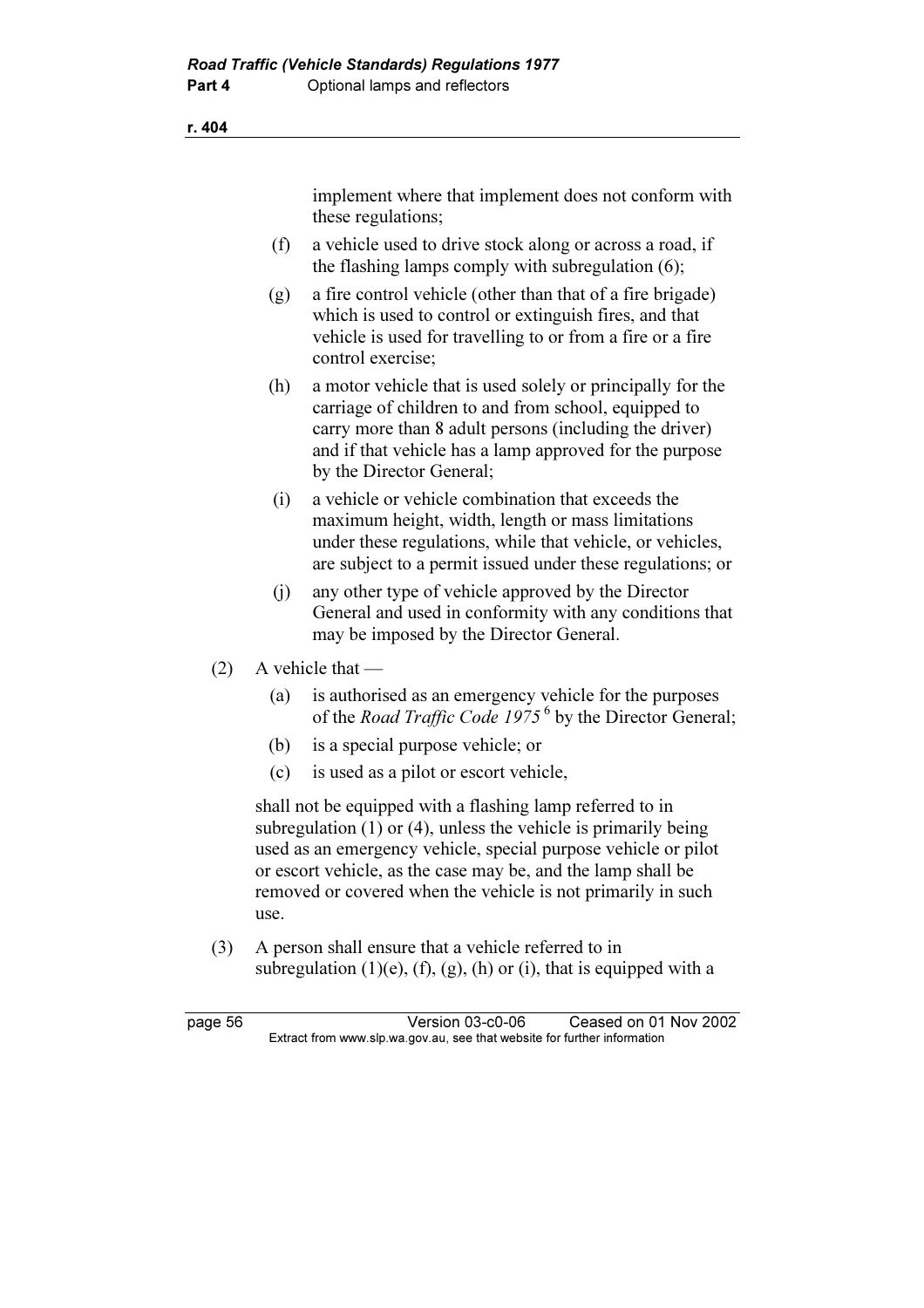implement where that implement does not conform with these regulations;

- (f) a vehicle used to drive stock along or across a road, if the flashing lamps comply with subregulation (6);
- (g) a fire control vehicle (other than that of a fire brigade) which is used to control or extinguish fires, and that vehicle is used for travelling to or from a fire or a fire control exercise;
- (h) a motor vehicle that is used solely or principally for the carriage of children to and from school, equipped to carry more than 8 adult persons (including the driver) and if that vehicle has a lamp approved for the purpose by the Director General;
- (i) a vehicle or vehicle combination that exceeds the maximum height, width, length or mass limitations under these regulations, while that vehicle, or vehicles, are subject to a permit issued under these regulations; or
- (j) any other type of vehicle approved by the Director General and used in conformity with any conditions that may be imposed by the Director General.
- (2) A vehicle that  $-$ 
	- (a) is authorised as an emergency vehicle for the purposes of the *Road Traffic Code 1975*<sup>6</sup> by the Director General;
	- (b) is a special purpose vehicle; or
	- (c) is used as a pilot or escort vehicle,

 shall not be equipped with a flashing lamp referred to in subregulation (1) or (4), unless the vehicle is primarily being used as an emergency vehicle, special purpose vehicle or pilot or escort vehicle, as the case may be, and the lamp shall be removed or covered when the vehicle is not primarily in such use.

 (3) A person shall ensure that a vehicle referred to in subregulation  $(1)(e)$ ,  $(f)$ ,  $(g)$ ,  $(h)$  or  $(i)$ , that is equipped with a

page 56 Version 03-c0-06 Ceased on 01 Nov 2002<br>Extract from www.slp.wa.gov.au, see that website for further information  $\mathbf{F}$  from which was the set that we besite for further information  $\mathbf{F}$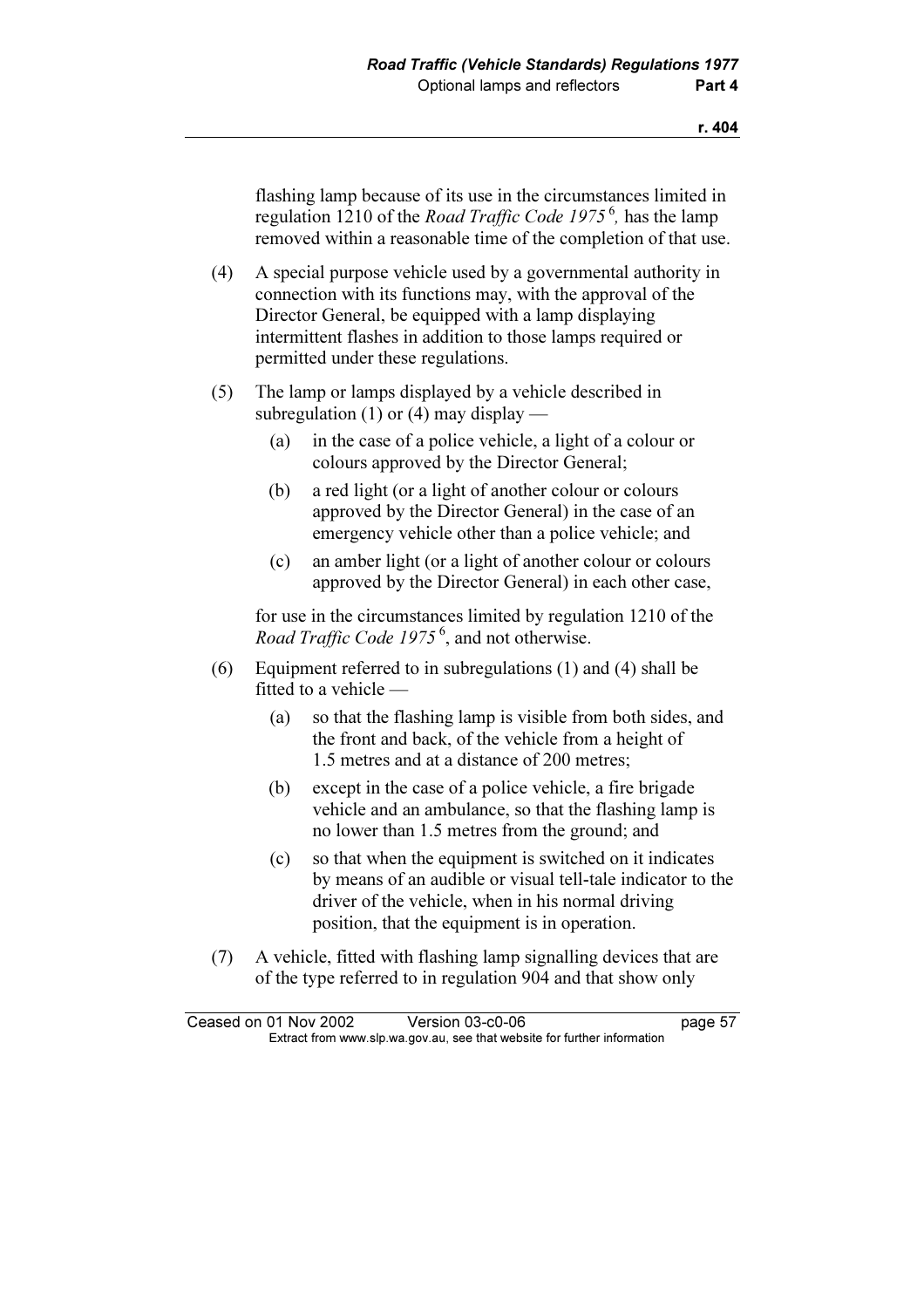flashing lamp because of its use in the circumstances limited in regulation 1210 of the *Road Traffic Code 1975*<sup>6</sup>, has the lamp removed within a reasonable time of the completion of that use.

- (4) A special purpose vehicle used by a governmental authority in connection with its functions may, with the approval of the Director General, be equipped with a lamp displaying intermittent flashes in addition to those lamps required or permitted under these regulations.
- (5) The lamp or lamps displayed by a vehicle described in subregulation (1) or (4) may display —
	- (a) in the case of a police vehicle, a light of a colour or colours approved by the Director General;
	- (b) a red light (or a light of another colour or colours approved by the Director General) in the case of an emergency vehicle other than a police vehicle; and
	- (c) an amber light (or a light of another colour or colours approved by the Director General) in each other case,

 for use in the circumstances limited by regulation 1210 of the Road Traffic Code  $1975<sup>6</sup>$ , and not otherwise.

- (6) Equipment referred to in subregulations (1) and (4) shall be fitted to a vehicle —
	- (a) so that the flashing lamp is visible from both sides, and the front and back, of the vehicle from a height of 1.5 metres and at a distance of 200 metres;
	- (b) except in the case of a police vehicle, a fire brigade vehicle and an ambulance, so that the flashing lamp is no lower than 1.5 metres from the ground; and
	- (c) so that when the equipment is switched on it indicates by means of an audible or visual tell-tale indicator to the driver of the vehicle, when in his normal driving position, that the equipment is in operation.
- (7) A vehicle, fitted with flashing lamp signalling devices that are of the type referred to in regulation 904 and that show only

Ceased on 01 Nov 2002 Version 03-c0-06 page 57<br>Extract from www.slp.wa.gov.au, see that website for further information  $\mathbf{F}$  from which was the set that we besite for further information  $\mathbf{F}$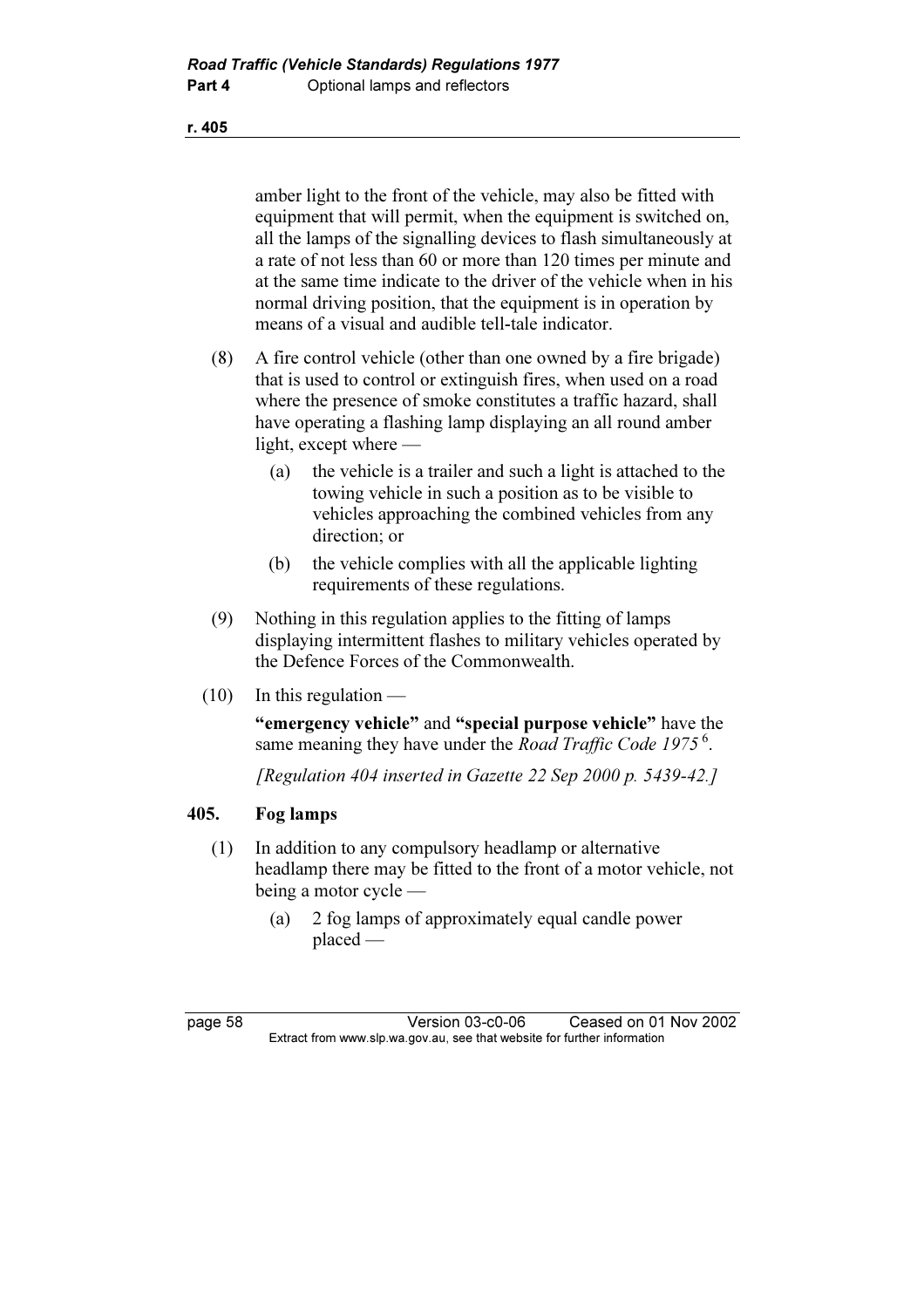amber light to the front of the vehicle, may also be fitted with equipment that will permit, when the equipment is switched on, all the lamps of the signalling devices to flash simultaneously at a rate of not less than 60 or more than 120 times per minute and at the same time indicate to the driver of the vehicle when in his normal driving position, that the equipment is in operation by means of a visual and audible tell-tale indicator.

- (8) A fire control vehicle (other than one owned by a fire brigade) that is used to control or extinguish fires, when used on a road where the presence of smoke constitutes a traffic hazard, shall have operating a flashing lamp displaying an all round amber light, except where —
	- (a) the vehicle is a trailer and such a light is attached to the towing vehicle in such a position as to be visible to vehicles approaching the combined vehicles from any direction; or
	- (b) the vehicle complies with all the applicable lighting requirements of these regulations.
- (9) Nothing in this regulation applies to the fitting of lamps displaying intermittent flashes to military vehicles operated by the Defence Forces of the Commonwealth.
- $(10)$  In this regulation —

"emergency vehicle" and "special purpose vehicle" have the same meaning they have under the Road Traffic Code 1975<sup>6</sup>.

[Regulation 404 inserted in Gazette 22 Sep 2000 p. 5439-42.]

#### 405. Fog lamps

- (1) In addition to any compulsory headlamp or alternative headlamp there may be fitted to the front of a motor vehicle, not being a motor cycle —
	- (a) 2 fog lamps of approximately equal candle power placed —

page 58 Version 03-c0-06 Ceased on 01 Nov 2002<br>Extract from www.slp.wa.gov.au, see that website for further information  $\mathbf{F}$  from which was the set that we besite for further information  $\mathbf{F}$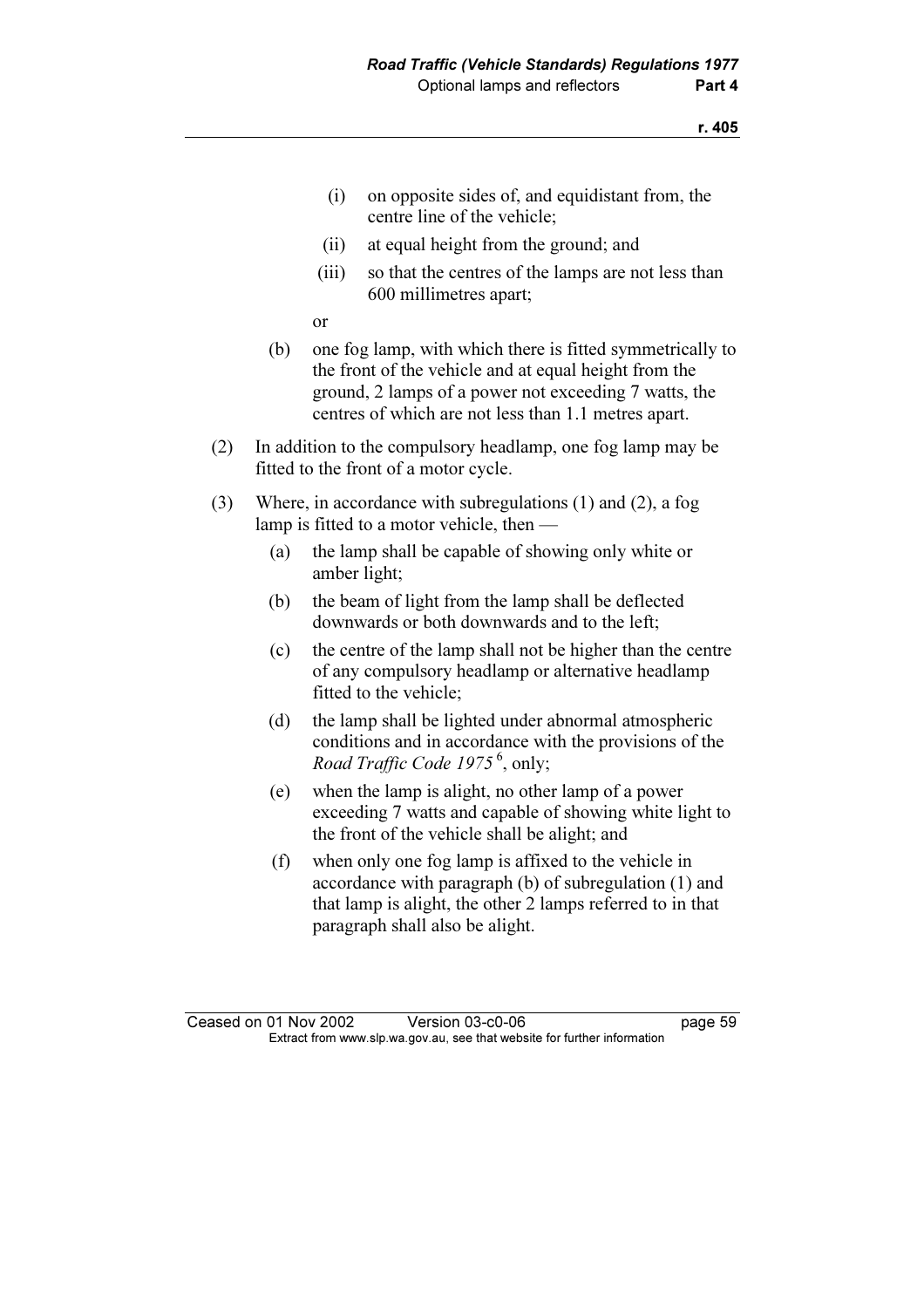- (i) on opposite sides of, and equidistant from, the centre line of the vehicle;
- (ii) at equal height from the ground; and
- (iii) so that the centres of the lamps are not less than 600 millimetres apart;

or

- (b) one fog lamp, with which there is fitted symmetrically to the front of the vehicle and at equal height from the ground, 2 lamps of a power not exceeding 7 watts, the centres of which are not less than 1.1 metres apart.
- (2) In addition to the compulsory headlamp, one fog lamp may be fitted to the front of a motor cycle.
- (3) Where, in accordance with subregulations (1) and (2), a fog lamp is fitted to a motor vehicle, then —
	- (a) the lamp shall be capable of showing only white or amber light;
	- (b) the beam of light from the lamp shall be deflected downwards or both downwards and to the left;
	- (c) the centre of the lamp shall not be higher than the centre of any compulsory headlamp or alternative headlamp fitted to the vehicle;
	- (d) the lamp shall be lighted under abnormal atmospheric conditions and in accordance with the provisions of the Road Traffic Code 1975<sup>6</sup>, only;
	- (e) when the lamp is alight, no other lamp of a power exceeding 7 watts and capable of showing white light to the front of the vehicle shall be alight; and
	- (f) when only one fog lamp is affixed to the vehicle in accordance with paragraph (b) of subregulation (1) and that lamp is alight, the other 2 lamps referred to in that paragraph shall also be alight.

Ceased on 01 Nov 2002 Version 03-c0-06 page 59<br>Extract from www.slp.wa.gov.au, see that website for further information  $\mathbf{F}$  from which was the set that we besite for further information  $\mathbf{F}$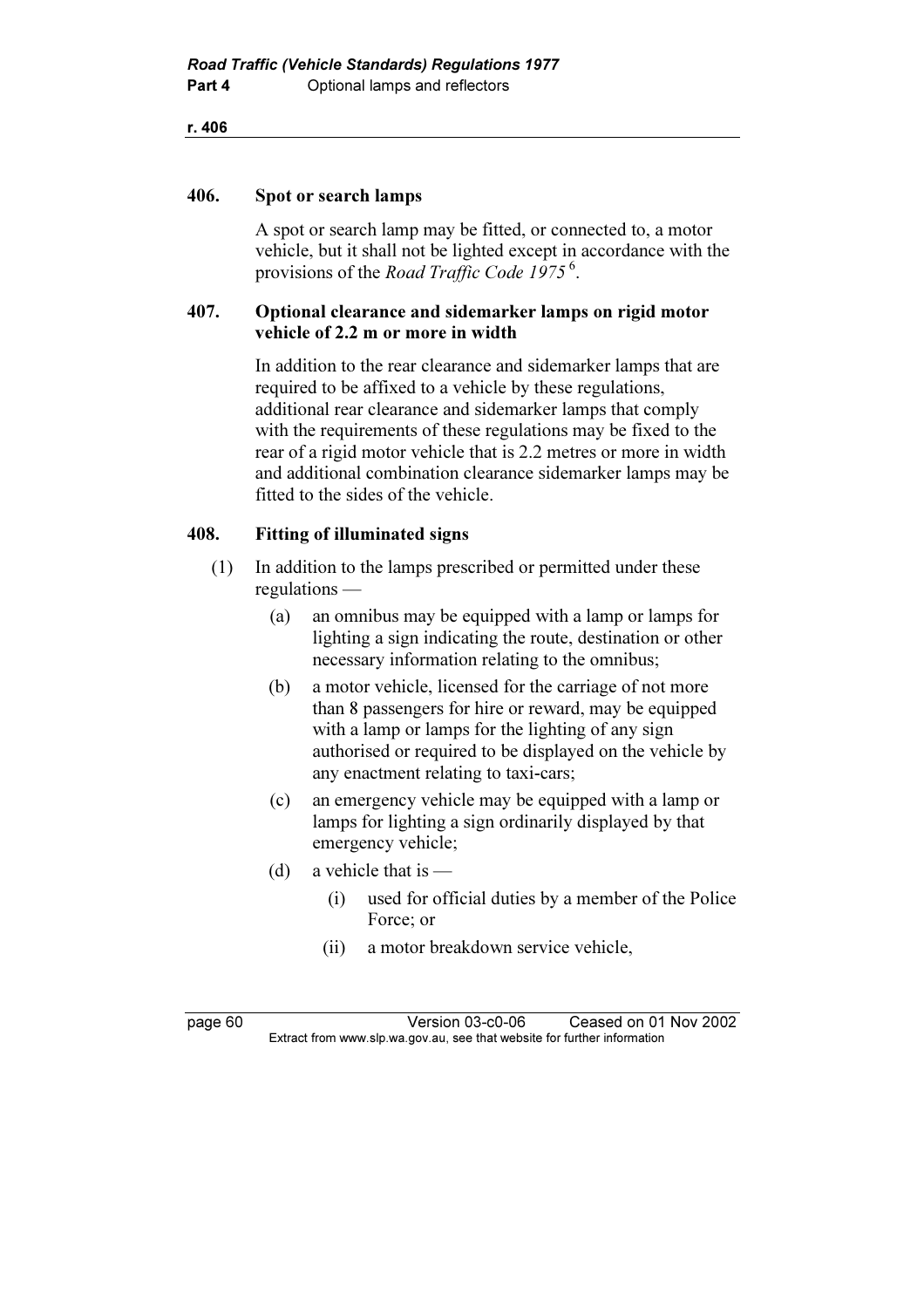#### 406. Spot or search lamps

 A spot or search lamp may be fitted, or connected to, a motor vehicle, but it shall not be lighted except in accordance with the provisions of the *Road Traffic Code 1975*<sup>6</sup>.

### 407. Optional clearance and sidemarker lamps on rigid motor vehicle of 2.2 m or more in width

 In addition to the rear clearance and sidemarker lamps that are required to be affixed to a vehicle by these regulations, additional rear clearance and sidemarker lamps that comply with the requirements of these regulations may be fixed to the rear of a rigid motor vehicle that is 2.2 metres or more in width and additional combination clearance sidemarker lamps may be fitted to the sides of the vehicle.

#### 408. Fitting of illuminated signs

- (1) In addition to the lamps prescribed or permitted under these regulations —
	- (a) an omnibus may be equipped with a lamp or lamps for lighting a sign indicating the route, destination or other necessary information relating to the omnibus;
	- (b) a motor vehicle, licensed for the carriage of not more than 8 passengers for hire or reward, may be equipped with a lamp or lamps for the lighting of any sign authorised or required to be displayed on the vehicle by any enactment relating to taxi-cars;
	- (c) an emergency vehicle may be equipped with a lamp or lamps for lighting a sign ordinarily displayed by that emergency vehicle;
	- (d) a vehicle that is  $-$ 
		- (i) used for official duties by a member of the Police Force; or
		- (ii) a motor breakdown service vehicle,

page 60 Version 03-c0-06 Ceased on 01 Nov 2002<br>Extract from www.slp.wa.gov.au, see that website for further information  $\mathbf{F}$  from which was the set that we besite for further information  $\mathbf{F}$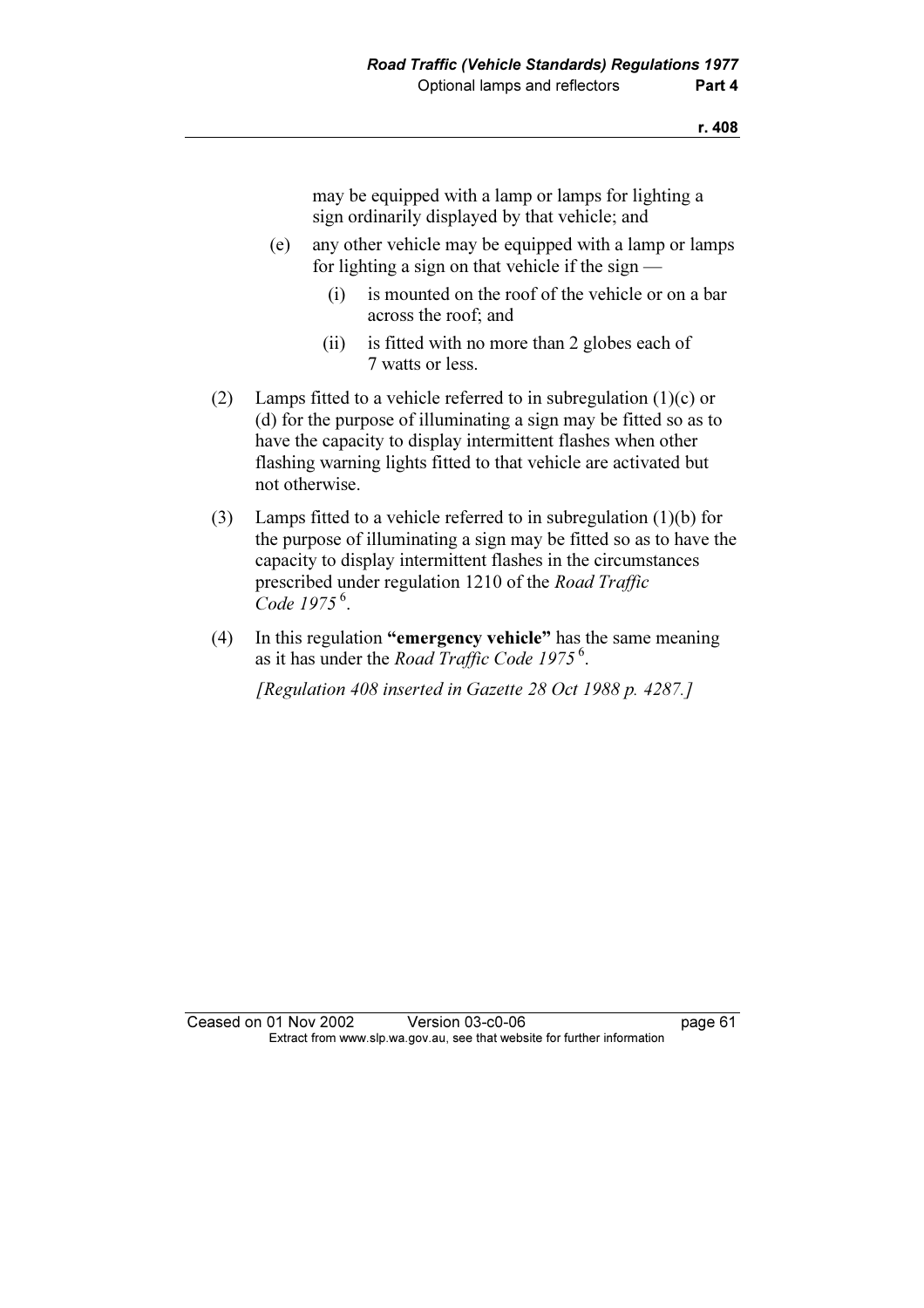may be equipped with a lamp or lamps for lighting a sign ordinarily displayed by that vehicle; and

- (e) any other vehicle may be equipped with a lamp or lamps for lighting a sign on that vehicle if the sign —
	- (i) is mounted on the roof of the vehicle or on a bar across the roof; and
	- (ii) is fitted with no more than 2 globes each of 7 watts or less.
- (2) Lamps fitted to a vehicle referred to in subregulation  $(1)(c)$  or (d) for the purpose of illuminating a sign may be fitted so as to have the capacity to display intermittent flashes when other flashing warning lights fitted to that vehicle are activated but not otherwise.
- (3) Lamps fitted to a vehicle referred to in subregulation (1)(b) for the purpose of illuminating a sign may be fitted so as to have the capacity to display intermittent flashes in the circumstances prescribed under regulation 1210 of the Road Traffic  $Code~1975^6$ .
- (4) In this regulation "emergency vehicle" has the same meaning as it has under the *Road Traffic Code 1975*<sup>6</sup>.

[Regulation 408 inserted in Gazette 28 Oct 1988 p. 4287.]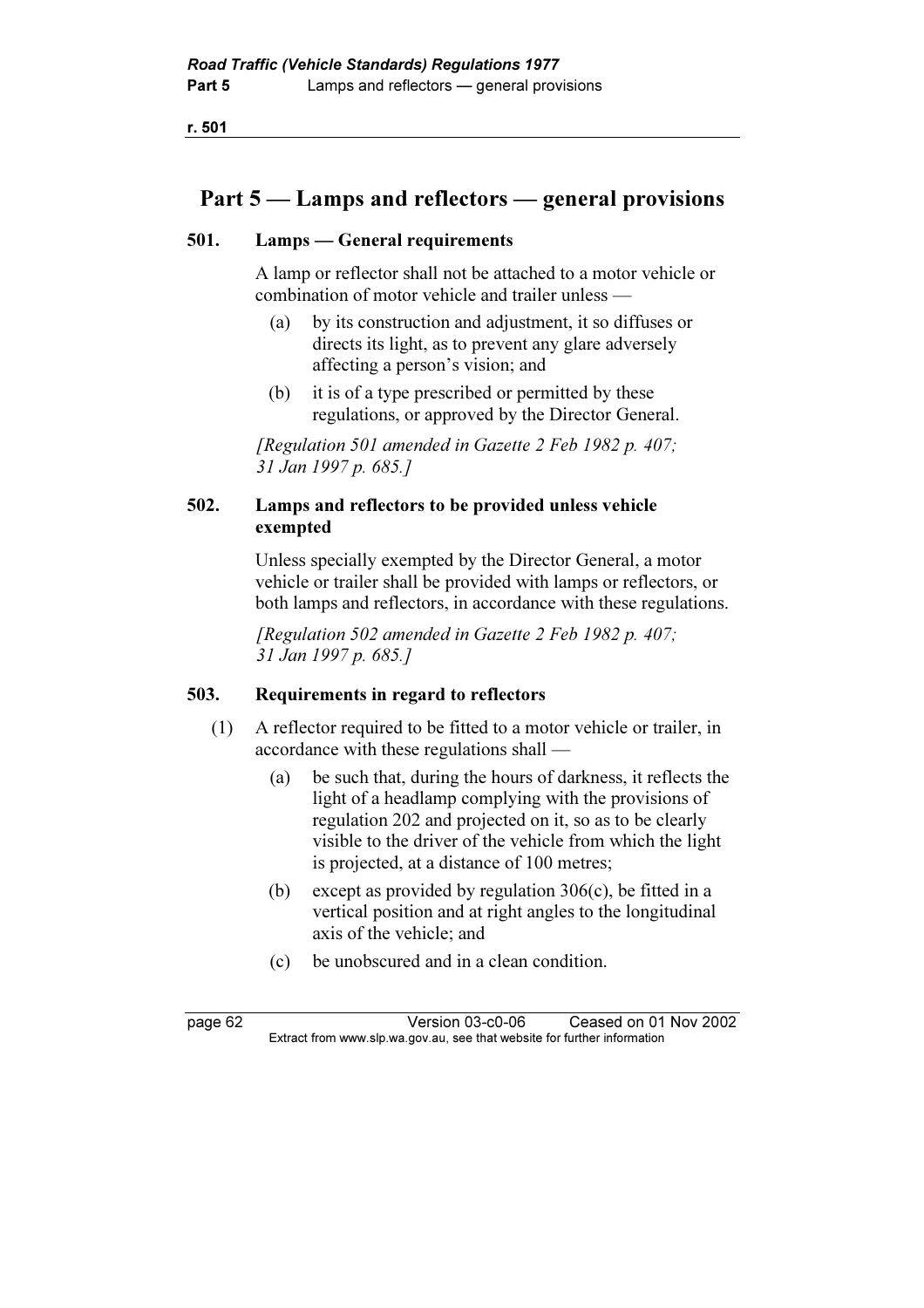# Part 5 — Lamps and reflectors — general provisions

#### 501. Lamps — General requirements

 A lamp or reflector shall not be attached to a motor vehicle or combination of motor vehicle and trailer unless —

- (a) by its construction and adjustment, it so diffuses or directs its light, as to prevent any glare adversely affecting a person's vision; and
- (b) it is of a type prescribed or permitted by these regulations, or approved by the Director General.

 [Regulation 501 amended in Gazette 2 Feb 1982 p. 407; 31 Jan 1997 p. 685.]

## 502. Lamps and reflectors to be provided unless vehicle exempted

 Unless specially exempted by the Director General, a motor vehicle or trailer shall be provided with lamps or reflectors, or both lamps and reflectors, in accordance with these regulations.

 [Regulation 502 amended in Gazette 2 Feb 1982 p. 407; 31 Jan 1997 p. 685.]

#### 503. Requirements in regard to reflectors

- (1) A reflector required to be fitted to a motor vehicle or trailer, in accordance with these regulations shall —
	- (a) be such that, during the hours of darkness, it reflects the light of a headlamp complying with the provisions of regulation 202 and projected on it, so as to be clearly visible to the driver of the vehicle from which the light is projected, at a distance of 100 metres;
	- (b) except as provided by regulation 306(c), be fitted in a vertical position and at right angles to the longitudinal axis of the vehicle; and
	- (c) be unobscured and in a clean condition.

page 62 <br>Extract from www.slp.wa.gov.au, see that website for further information<br>Extract from www.slp.wa.gov.au, see that website for further information  $\mathbf{F}$  from which was the set that we besite for further information  $\mathbf{F}$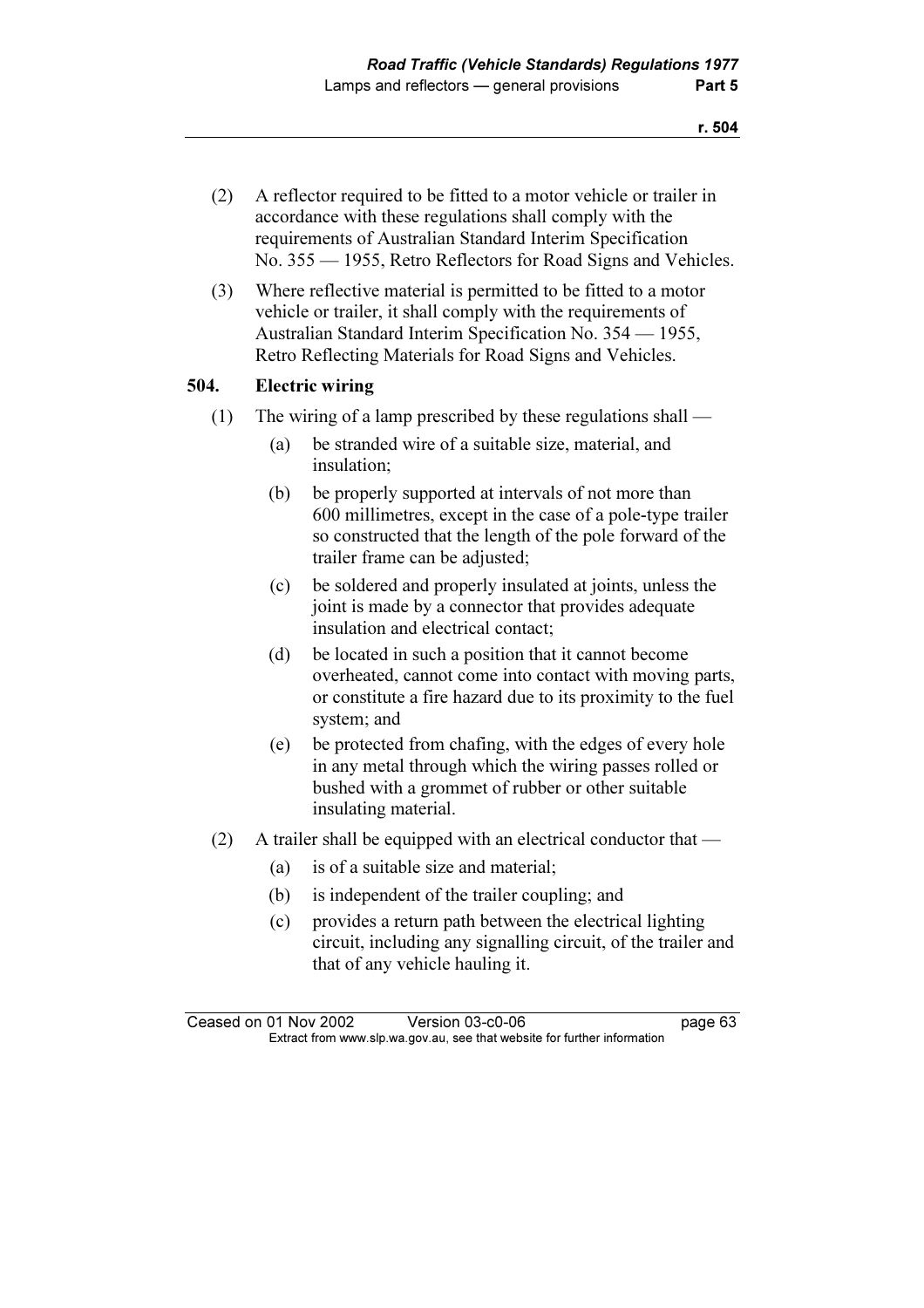- (2) A reflector required to be fitted to a motor vehicle or trailer in accordance with these regulations shall comply with the requirements of Australian Standard Interim Specification No. 355 — 1955, Retro Reflectors for Road Signs and Vehicles.
- (3) Where reflective material is permitted to be fitted to a motor vehicle or trailer, it shall comply with the requirements of Australian Standard Interim Specification No. 354 — 1955, Retro Reflecting Materials for Road Signs and Vehicles.

### 504. Electric wiring

- (1) The wiring of a lamp prescribed by these regulations shall
	- (a) be stranded wire of a suitable size, material, and insulation;
	- (b) be properly supported at intervals of not more than 600 millimetres, except in the case of a pole-type trailer so constructed that the length of the pole forward of the trailer frame can be adjusted;
	- (c) be soldered and properly insulated at joints, unless the joint is made by a connector that provides adequate insulation and electrical contact;
	- (d) be located in such a position that it cannot become overheated, cannot come into contact with moving parts, or constitute a fire hazard due to its proximity to the fuel system; and
	- (e) be protected from chafing, with the edges of every hole in any metal through which the wiring passes rolled or bushed with a grommet of rubber or other suitable insulating material.
- (2) A trailer shall be equipped with an electrical conductor that
	- (a) is of a suitable size and material;
	- (b) is independent of the trailer coupling; and
	- (c) provides a return path between the electrical lighting circuit, including any signalling circuit, of the trailer and that of any vehicle hauling it.

Ceased on 01 Nov 2002 Version 03-c0-06 page 63<br>Extract from www.slp.wa.gov.au, see that website for further information  $\mathbf{F}$  from which was the set that we besite for further information  $\mathbf{F}$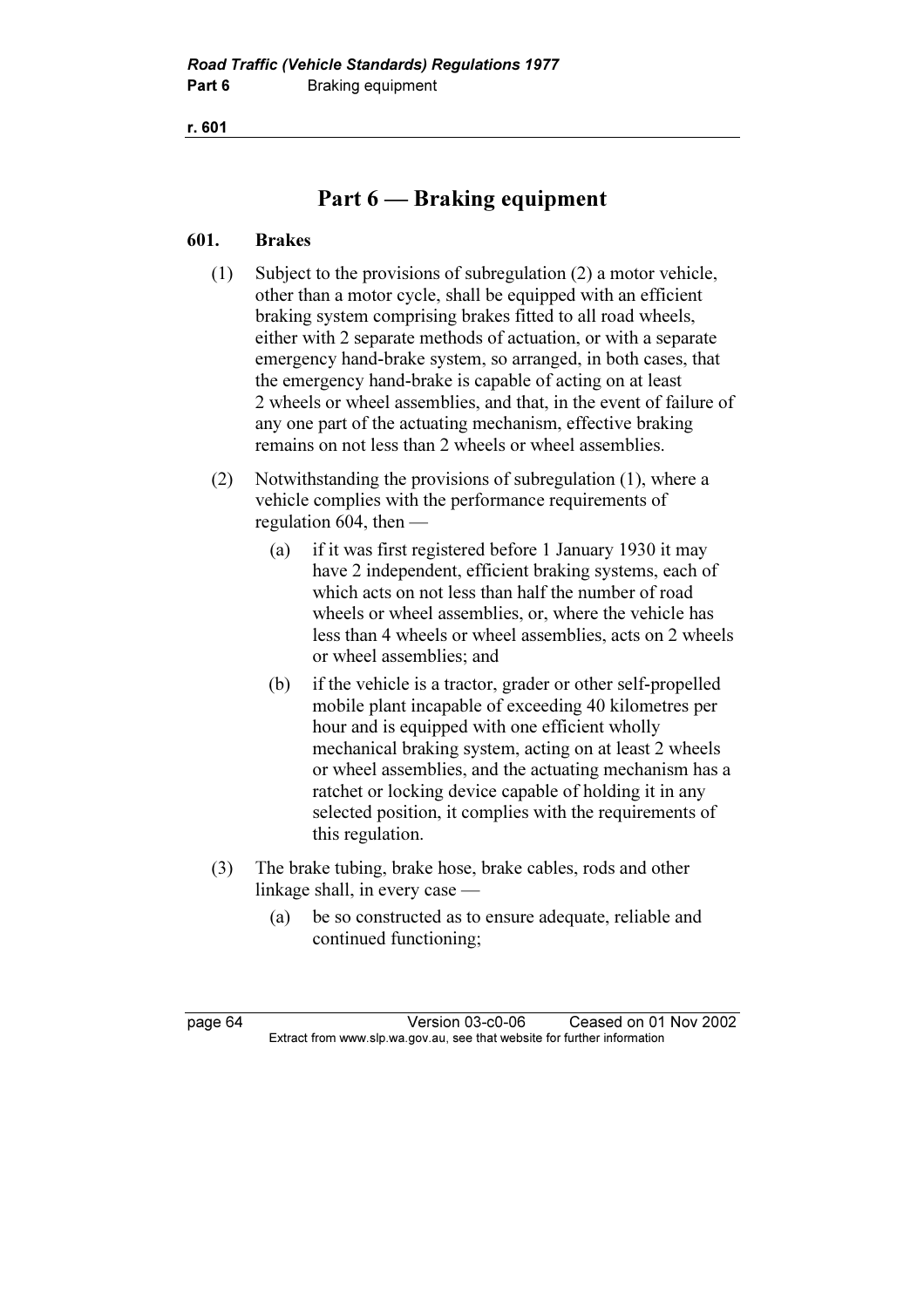# Part 6 — Braking equipment

#### 601. Brakes

- (1) Subject to the provisions of subregulation (2) a motor vehicle, other than a motor cycle, shall be equipped with an efficient braking system comprising brakes fitted to all road wheels, either with 2 separate methods of actuation, or with a separate emergency hand-brake system, so arranged, in both cases, that the emergency hand-brake is capable of acting on at least 2 wheels or wheel assemblies, and that, in the event of failure of any one part of the actuating mechanism, effective braking remains on not less than 2 wheels or wheel assemblies.
- (2) Notwithstanding the provisions of subregulation (1), where a vehicle complies with the performance requirements of regulation 604, then —
	- (a) if it was first registered before 1 January 1930 it may have 2 independent, efficient braking systems, each of which acts on not less than half the number of road wheels or wheel assemblies, or, where the vehicle has less than 4 wheels or wheel assemblies, acts on 2 wheels or wheel assemblies; and
	- (b) if the vehicle is a tractor, grader or other self-propelled mobile plant incapable of exceeding 40 kilometres per hour and is equipped with one efficient wholly mechanical braking system, acting on at least 2 wheels or wheel assemblies, and the actuating mechanism has a ratchet or locking device capable of holding it in any selected position, it complies with the requirements of this regulation.
- (3) The brake tubing, brake hose, brake cables, rods and other linkage shall, in every case —
	- (a) be so constructed as to ensure adequate, reliable and continued functioning;

page 64 Version 03-c0-06 Ceased on 01 Nov 2002<br>Extract from www.slp.wa.gov.au, see that website for further information  $\mathbf{F}$  from which was the set that we besite for further information  $\mathbf{F}$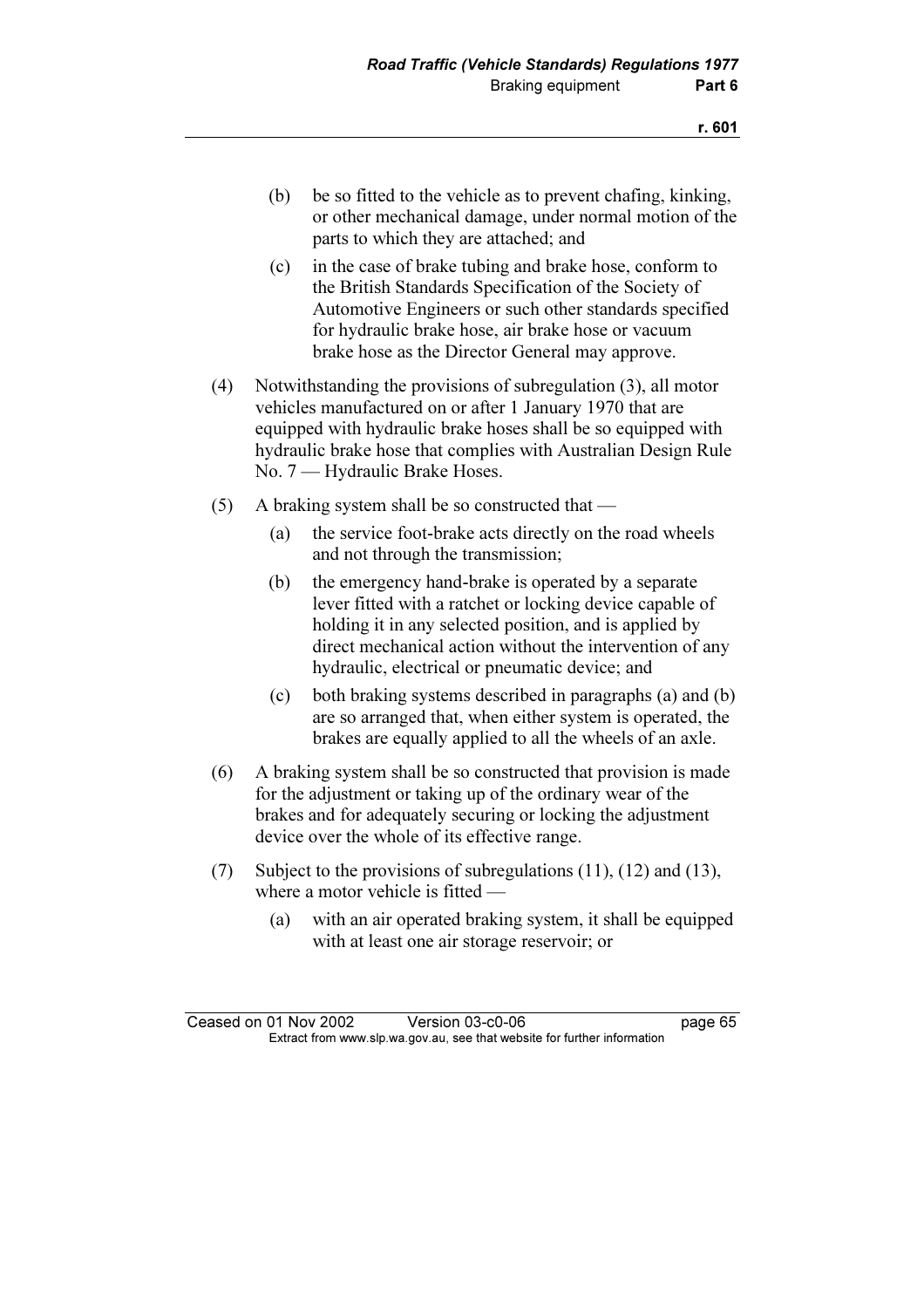- (b) be so fitted to the vehicle as to prevent chafing, kinking, or other mechanical damage, under normal motion of the parts to which they are attached; and
- (c) in the case of brake tubing and brake hose, conform to the British Standards Specification of the Society of Automotive Engineers or such other standards specified for hydraulic brake hose, air brake hose or vacuum brake hose as the Director General may approve.
- (4) Notwithstanding the provisions of subregulation (3), all motor vehicles manufactured on or after 1 January 1970 that are equipped with hydraulic brake hoses shall be so equipped with hydraulic brake hose that complies with Australian Design Rule No. 7 — Hydraulic Brake Hoses.
- (5) A braking system shall be so constructed that
	- (a) the service foot-brake acts directly on the road wheels and not through the transmission;
	- (b) the emergency hand-brake is operated by a separate lever fitted with a ratchet or locking device capable of holding it in any selected position, and is applied by direct mechanical action without the intervention of any hydraulic, electrical or pneumatic device; and
	- (c) both braking systems described in paragraphs (a) and (b) are so arranged that, when either system is operated, the brakes are equally applied to all the wheels of an axle.
- (6) A braking system shall be so constructed that provision is made for the adjustment or taking up of the ordinary wear of the brakes and for adequately securing or locking the adjustment device over the whole of its effective range.
- (7) Subject to the provisions of subregulations (11), (12) and (13), where a motor vehicle is fitted —
	- (a) with an air operated braking system, it shall be equipped with at least one air storage reservoir; or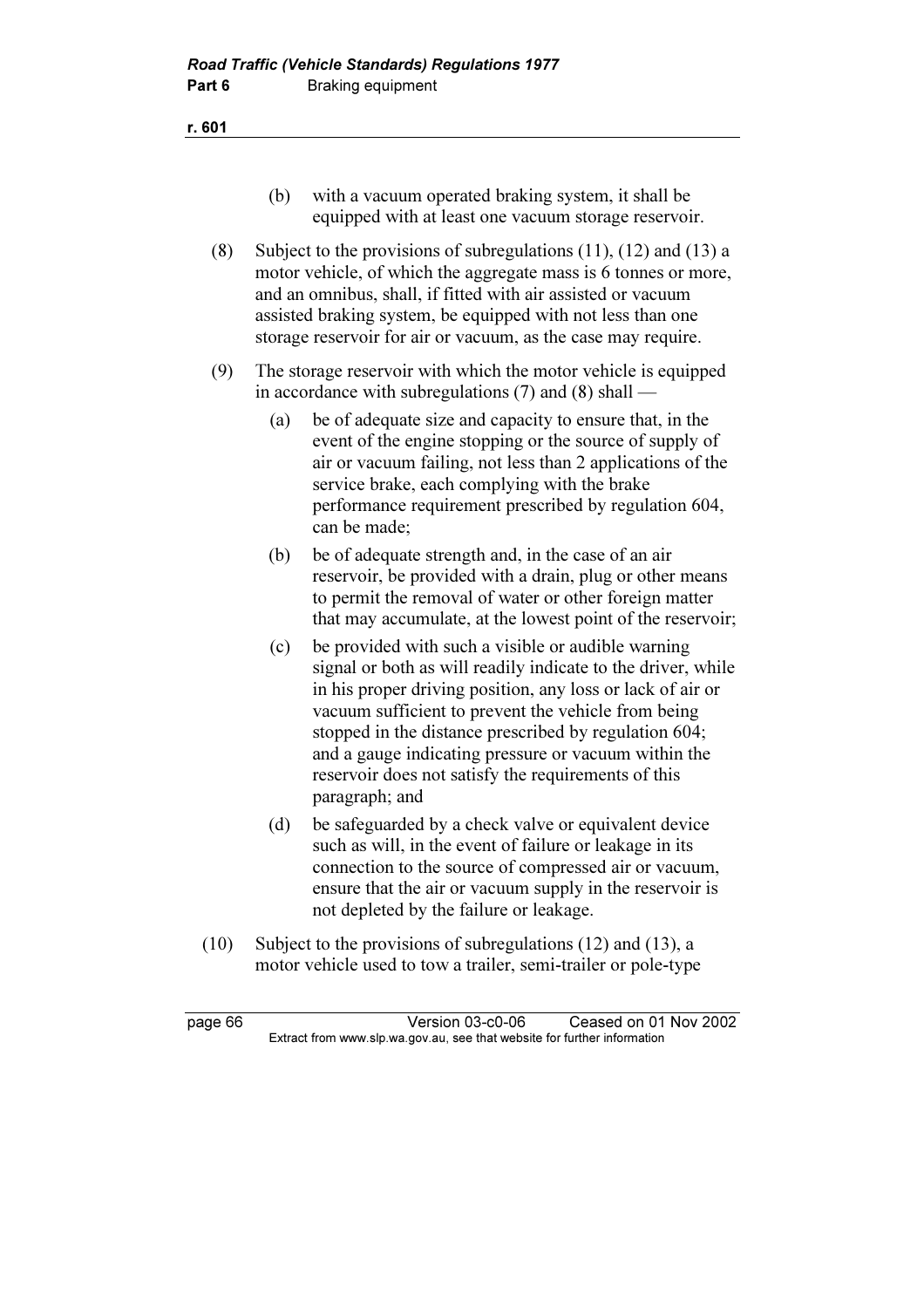- (b) with a vacuum operated braking system, it shall be equipped with at least one vacuum storage reservoir.
- (8) Subject to the provisions of subregulations  $(11)$ ,  $(12)$  and  $(13)$  a motor vehicle, of which the aggregate mass is 6 tonnes or more, and an omnibus, shall, if fitted with air assisted or vacuum assisted braking system, be equipped with not less than one storage reservoir for air or vacuum, as the case may require.
- (9) The storage reservoir with which the motor vehicle is equipped in accordance with subregulations (7) and (8) shall —
	- (a) be of adequate size and capacity to ensure that, in the event of the engine stopping or the source of supply of air or vacuum failing, not less than 2 applications of the service brake, each complying with the brake performance requirement prescribed by regulation 604, can be made;
	- (b) be of adequate strength and, in the case of an air reservoir, be provided with a drain, plug or other means to permit the removal of water or other foreign matter that may accumulate, at the lowest point of the reservoir;
	- (c) be provided with such a visible or audible warning signal or both as will readily indicate to the driver, while in his proper driving position, any loss or lack of air or vacuum sufficient to prevent the vehicle from being stopped in the distance prescribed by regulation 604; and a gauge indicating pressure or vacuum within the reservoir does not satisfy the requirements of this paragraph; and
	- (d) be safeguarded by a check valve or equivalent device such as will, in the event of failure or leakage in its connection to the source of compressed air or vacuum, ensure that the air or vacuum supply in the reservoir is not depleted by the failure or leakage.
- (10) Subject to the provisions of subregulations (12) and (13), a motor vehicle used to tow a trailer, semi-trailer or pole-type

page 66 Version 03-c0-06 Ceased on 01 Nov 2002<br>Extract from www.slp.wa.gov.au, see that website for further information  $\mathbf{F}$  from which was the set that we besite for further information  $\mathbf{F}$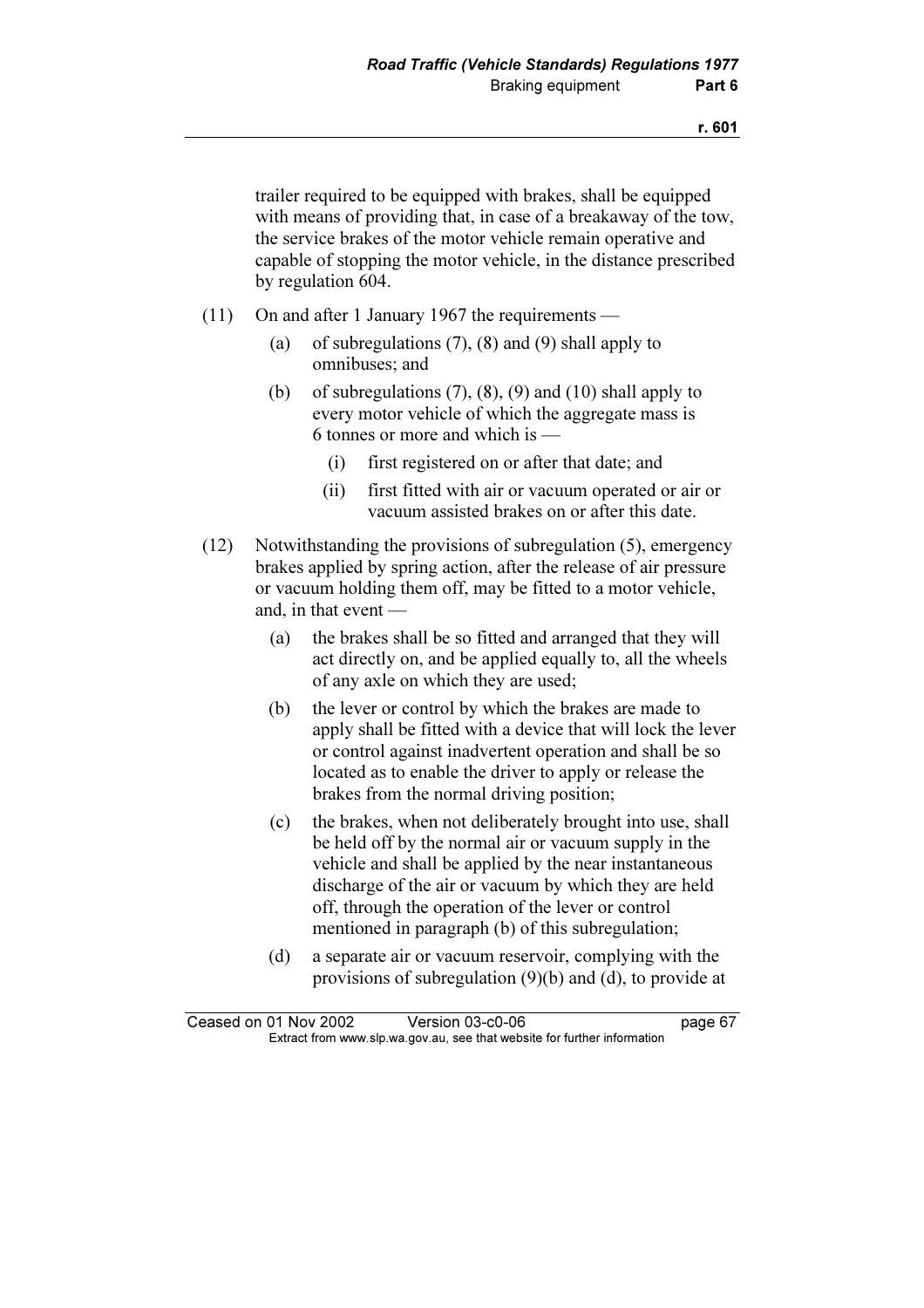trailer required to be equipped with brakes, shall be equipped with means of providing that, in case of a breakaway of the tow, the service brakes of the motor vehicle remain operative and capable of stopping the motor vehicle, in the distance prescribed by regulation 604.

- (11) On and after 1 January 1967 the requirements
	- (a) of subregulations (7), (8) and (9) shall apply to omnibuses; and
	- (b) of subregulations  $(7)$ ,  $(8)$ ,  $(9)$  and  $(10)$  shall apply to every motor vehicle of which the aggregate mass is 6 tonnes or more and which is —
		- (i) first registered on or after that date; and
		- (ii) first fitted with air or vacuum operated or air or vacuum assisted brakes on or after this date.
- (12) Notwithstanding the provisions of subregulation (5), emergency brakes applied by spring action, after the release of air pressure or vacuum holding them off, may be fitted to a motor vehicle, and, in that event —
	- (a) the brakes shall be so fitted and arranged that they will act directly on, and be applied equally to, all the wheels of any axle on which they are used;
	- (b) the lever or control by which the brakes are made to apply shall be fitted with a device that will lock the lever or control against inadvertent operation and shall be so located as to enable the driver to apply or release the brakes from the normal driving position;
	- (c) the brakes, when not deliberately brought into use, shall be held off by the normal air or vacuum supply in the vehicle and shall be applied by the near instantaneous discharge of the air or vacuum by which they are held off, through the operation of the lever or control mentioned in paragraph (b) of this subregulation;
	- (d) a separate air or vacuum reservoir, complying with the provisions of subregulation (9)(b) and (d), to provide at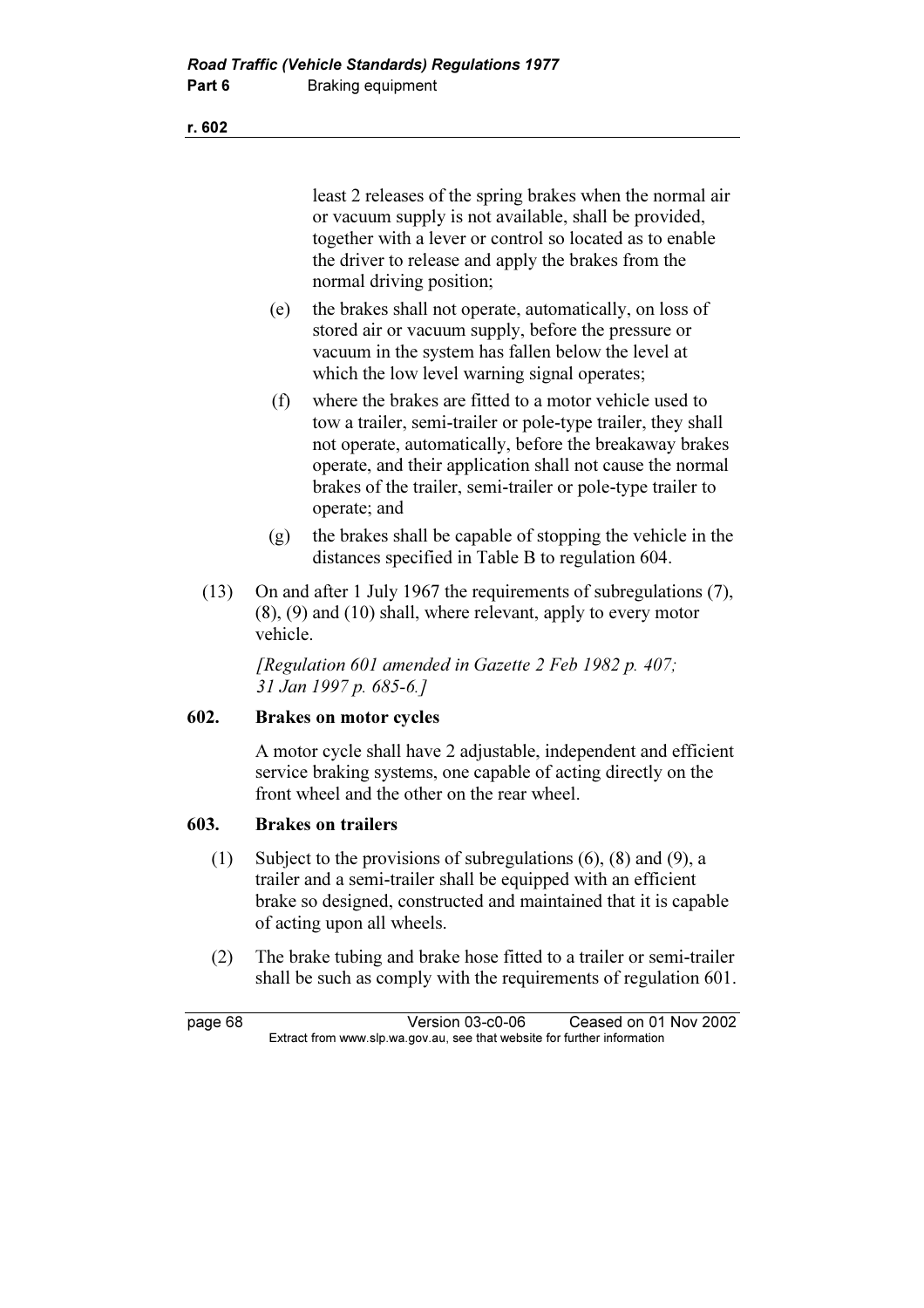least 2 releases of the spring brakes when the normal air or vacuum supply is not available, shall be provided, together with a lever or control so located as to enable the driver to release and apply the brakes from the normal driving position;

- (e) the brakes shall not operate, automatically, on loss of stored air or vacuum supply, before the pressure or vacuum in the system has fallen below the level at which the low level warning signal operates;
- (f) where the brakes are fitted to a motor vehicle used to tow a trailer, semi-trailer or pole-type trailer, they shall not operate, automatically, before the breakaway brakes operate, and their application shall not cause the normal brakes of the trailer, semi-trailer or pole-type trailer to operate; and
- (g) the brakes shall be capable of stopping the vehicle in the distances specified in Table B to regulation 604.
- (13) On and after 1 July 1967 the requirements of subregulations (7), (8), (9) and (10) shall, where relevant, apply to every motor vehicle.

 [Regulation 601 amended in Gazette 2 Feb 1982 p. 407; 31 Jan 1997 p. 685-6.]

### 602. Brakes on motor cycles

 A motor cycle shall have 2 adjustable, independent and efficient service braking systems, one capable of acting directly on the front wheel and the other on the rear wheel.

### 603. Brakes on trailers

- (1) Subject to the provisions of subregulations (6), (8) and (9), a trailer and a semi-trailer shall be equipped with an efficient brake so designed, constructed and maintained that it is capable of acting upon all wheels.
- (2) The brake tubing and brake hose fitted to a trailer or semi-trailer shall be such as comply with the requirements of regulation 601.

page 68 Version 03-c0-06 Ceased on 01 Nov 2002<br>Extract from www.slp.wa.gov.au, see that website for further information  $\mathbf{F}$  from which was the set that we besite for further information  $\mathbf{F}$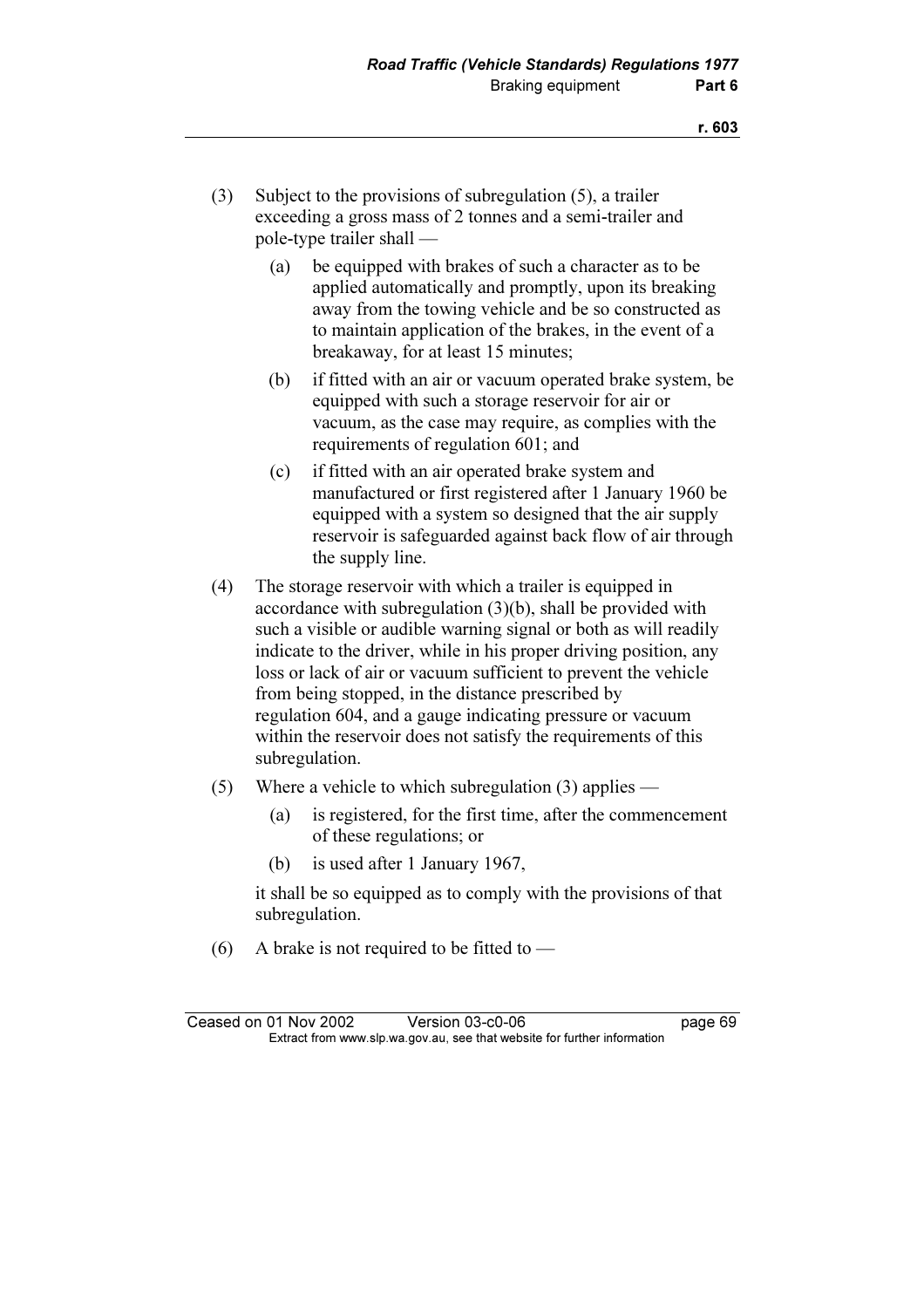- (3) Subject to the provisions of subregulation (5), a trailer exceeding a gross mass of 2 tonnes and a semi-trailer and pole-type trailer shall —
	- (a) be equipped with brakes of such a character as to be applied automatically and promptly, upon its breaking away from the towing vehicle and be so constructed as to maintain application of the brakes, in the event of a breakaway, for at least 15 minutes;
	- (b) if fitted with an air or vacuum operated brake system, be equipped with such a storage reservoir for air or vacuum, as the case may require, as complies with the requirements of regulation 601; and
	- (c) if fitted with an air operated brake system and manufactured or first registered after 1 January 1960 be equipped with a system so designed that the air supply reservoir is safeguarded against back flow of air through the supply line.
- (4) The storage reservoir with which a trailer is equipped in accordance with subregulation (3)(b), shall be provided with such a visible or audible warning signal or both as will readily indicate to the driver, while in his proper driving position, any loss or lack of air or vacuum sufficient to prevent the vehicle from being stopped, in the distance prescribed by regulation 604, and a gauge indicating pressure or vacuum within the reservoir does not satisfy the requirements of this subregulation.
- (5) Where a vehicle to which subregulation (3) applies
	- (a) is registered, for the first time, after the commencement of these regulations; or
	- (b) is used after 1 January 1967,

 it shall be so equipped as to comply with the provisions of that subregulation.

(6) A brake is not required to be fitted to —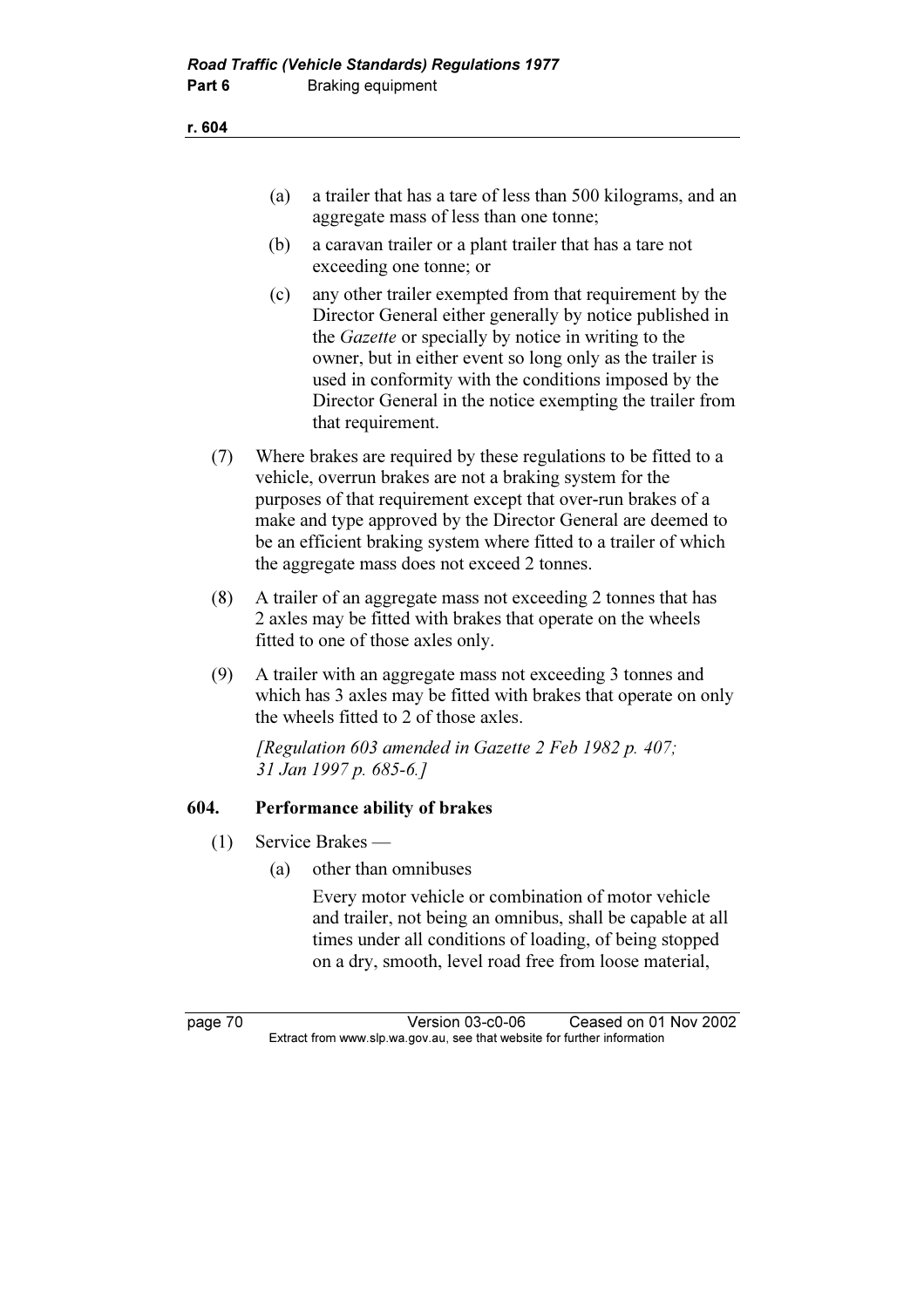- (a) a trailer that has a tare of less than 500 kilograms, and an aggregate mass of less than one tonne;
- (b) a caravan trailer or a plant trailer that has a tare not exceeding one tonne; or
- (c) any other trailer exempted from that requirement by the Director General either generally by notice published in the Gazette or specially by notice in writing to the owner, but in either event so long only as the trailer is used in conformity with the conditions imposed by the Director General in the notice exempting the trailer from that requirement.
- (7) Where brakes are required by these regulations to be fitted to a vehicle, overrun brakes are not a braking system for the purposes of that requirement except that over-run brakes of a make and type approved by the Director General are deemed to be an efficient braking system where fitted to a trailer of which the aggregate mass does not exceed 2 tonnes.
- (8) A trailer of an aggregate mass not exceeding 2 tonnes that has 2 axles may be fitted with brakes that operate on the wheels fitted to one of those axles only.
- (9) A trailer with an aggregate mass not exceeding 3 tonnes and which has 3 axles may be fitted with brakes that operate on only the wheels fitted to 2 of those axles.

 [Regulation 603 amended in Gazette 2 Feb 1982 p. 407; 31 Jan 1997 p. 685-6.]

## 604. Performance ability of brakes

- (1) Service Brakes
	- (a) other than omnibuses

 Every motor vehicle or combination of motor vehicle and trailer, not being an omnibus, shall be capable at all times under all conditions of loading, of being stopped on a dry, smooth, level road free from loose material,

page 70 Version 03-c0-06 Ceased on 01 Nov 2002<br>Extract from www.slp.wa.gov.au, see that website for further information  $\mathbf{F}$  from which was the set that we besite for further information  $\mathbf{F}$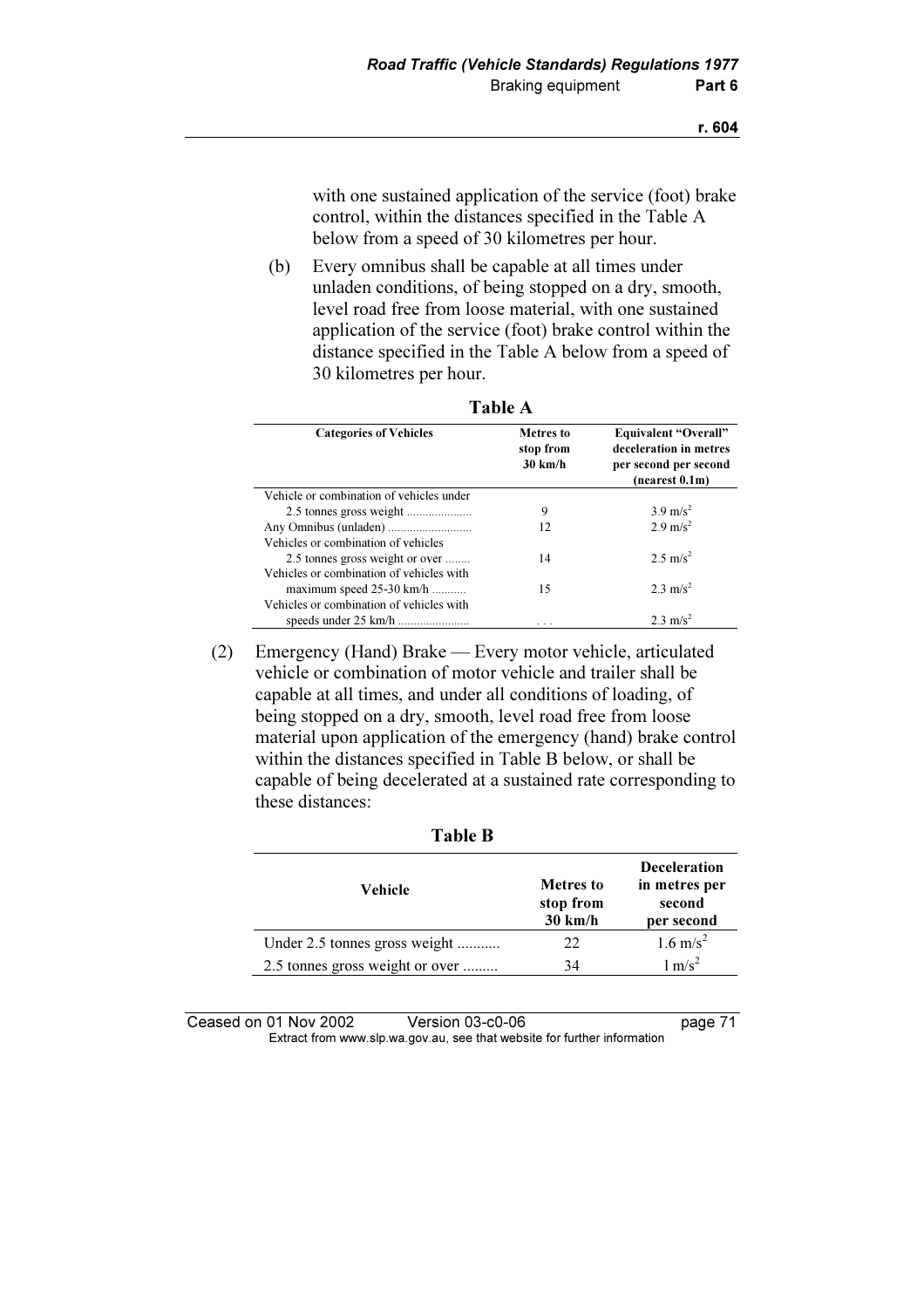with one sustained application of the service (foot) brake control, within the distances specified in the Table A below from a speed of 30 kilometres per hour.

 (b) Every omnibus shall be capable at all times under unladen conditions, of being stopped on a dry, smooth, level road free from loose material, with one sustained application of the service (foot) brake control within the distance specified in the Table A below from a speed of 30 kilometres per hour.

| $\mathbf{u}$ we $\mathbf{n}$             |                                             |                                                                                           |  |  |
|------------------------------------------|---------------------------------------------|-------------------------------------------------------------------------------------------|--|--|
| <b>Categories of Vehicles</b>            | Metres to<br>stop from<br>$30 \text{ km/h}$ | Equivalent "Overall"<br>deceleration in metres<br>per second per second<br>(nearest 0.1m) |  |  |
| Vehicle or combination of vehicles under |                                             |                                                                                           |  |  |
|                                          | 9                                           | $3.9 \text{ m/s}^2$                                                                       |  |  |
|                                          | 12                                          | 2.9 m/s <sup>2</sup>                                                                      |  |  |
| Vehicles or combination of vehicles      |                                             |                                                                                           |  |  |
| 2.5 tonnes gross weight or over          | 14                                          | $2.5 \text{ m/s}^2$                                                                       |  |  |
| Vehicles or combination of vehicles with |                                             |                                                                                           |  |  |
| maximum speed $25-30$ km/h               | 15                                          | 2.3 $m/s^2$                                                                               |  |  |
| Vehicles or combination of vehicles with |                                             |                                                                                           |  |  |
|                                          | .                                           | $2.3 \text{ m/s}^2$                                                                       |  |  |

| h<br>ını<br>v<br>ъ |  |
|--------------------|--|
|--------------------|--|

 (2) Emergency (Hand) Brake — Every motor vehicle, articulated vehicle or combination of motor vehicle and trailer shall be capable at all times, and under all conditions of loading, of being stopped on a dry, smooth, level road free from loose material upon application of the emergency (hand) brake control within the distances specified in Table B below, or shall be capable of being decelerated at a sustained rate corresponding to these distances:

| ташс п                          |                                             |                                                              |  |
|---------------------------------|---------------------------------------------|--------------------------------------------------------------|--|
| Vehicle                         | Metres to<br>stop from<br>$30 \text{ km/h}$ | <b>Deceleration</b><br>in metres per<br>second<br>per second |  |
| Under 2.5 tonnes gross weight   | 22                                          | $1.6 \text{ m/s}^2$                                          |  |
| 2.5 tonnes gross weight or over | 34                                          | $1 \text{ m/s}^2$                                            |  |

| Γ <b>able Β</b> |  |
|-----------------|--|
|-----------------|--|

Ceased on 01 Nov 2002 Version 03-c0-06 page 71<br>Extract from www.slp.wa.gov.au, see that website for further information  $\mathbf{F}$  from which was the set that we besite for further information  $\mathbf{F}$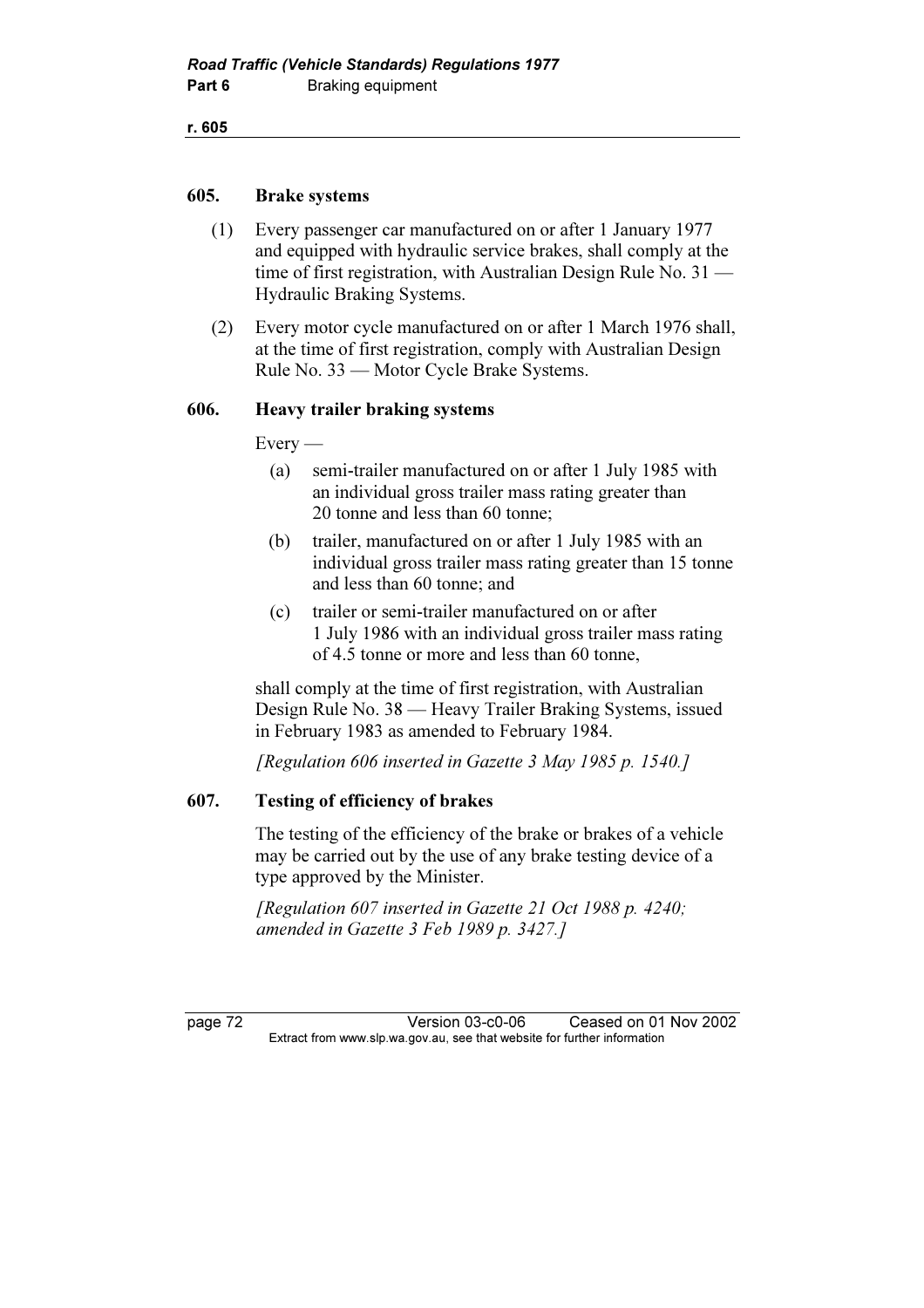### 605. Brake systems

- (1) Every passenger car manufactured on or after 1 January 1977 and equipped with hydraulic service brakes, shall comply at the time of first registration, with Australian Design Rule No. 31 — Hydraulic Braking Systems.
- (2) Every motor cycle manufactured on or after 1 March 1976 shall, at the time of first registration, comply with Australian Design Rule No. 33 — Motor Cycle Brake Systems.

## 606. Heavy trailer braking systems

Every —

- (a) semi-trailer manufactured on or after 1 July 1985 with an individual gross trailer mass rating greater than 20 tonne and less than 60 tonne;
- (b) trailer, manufactured on or after 1 July 1985 with an individual gross trailer mass rating greater than 15 tonne and less than 60 tonne; and
- (c) trailer or semi-trailer manufactured on or after 1 July 1986 with an individual gross trailer mass rating of 4.5 tonne or more and less than 60 tonne,

 shall comply at the time of first registration, with Australian Design Rule No. 38 — Heavy Trailer Braking Systems, issued in February 1983 as amended to February 1984.

[Regulation 606 inserted in Gazette 3 May 1985 p. 1540.]

## 607. Testing of efficiency of brakes

 The testing of the efficiency of the brake or brakes of a vehicle may be carried out by the use of any brake testing device of a type approved by the Minister.

 [Regulation 607 inserted in Gazette 21 Oct 1988 p. 4240; amended in Gazette 3 Feb 1989 p. 3427.]

page 72 <br>Extract from www.slp.wa.gov.au, see that website for further information<br>Extract from www.slp.wa.gov.au, see that website for further information  $\mathbf{F}$  from which was the set that we besite for further information  $\mathbf{F}$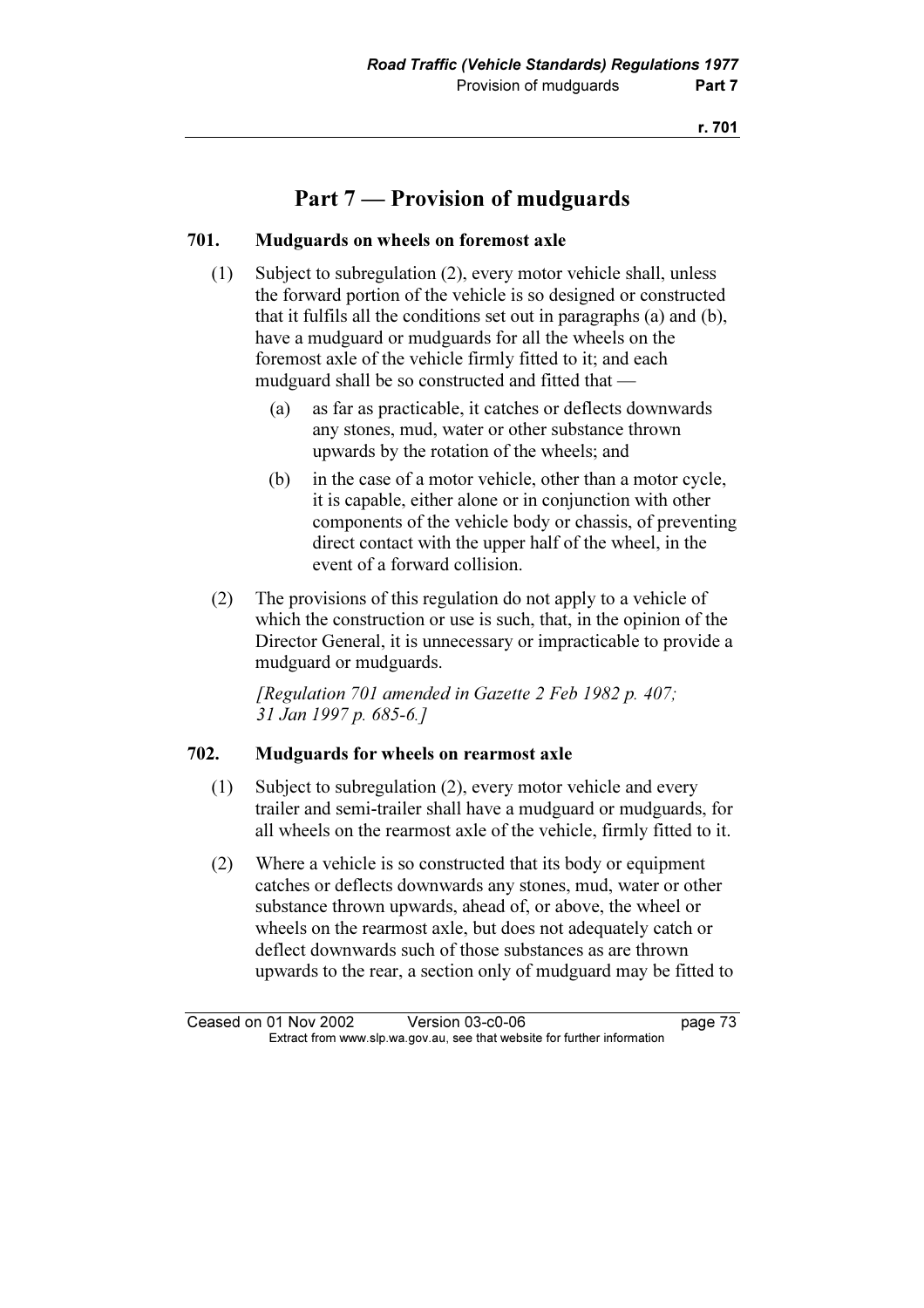# Part 7 — Provision of mudguards

#### 701. Mudguards on wheels on foremost axle

- (1) Subject to subregulation (2), every motor vehicle shall, unless the forward portion of the vehicle is so designed or constructed that it fulfils all the conditions set out in paragraphs (a) and (b), have a mudguard or mudguards for all the wheels on the foremost axle of the vehicle firmly fitted to it; and each mudguard shall be so constructed and fitted that —
	- (a) as far as practicable, it catches or deflects downwards any stones, mud, water or other substance thrown upwards by the rotation of the wheels; and
	- (b) in the case of a motor vehicle, other than a motor cycle, it is capable, either alone or in conjunction with other components of the vehicle body or chassis, of preventing direct contact with the upper half of the wheel, in the event of a forward collision.
- (2) The provisions of this regulation do not apply to a vehicle of which the construction or use is such, that, in the opinion of the Director General, it is unnecessary or impracticable to provide a mudguard or mudguards.

 [Regulation 701 amended in Gazette 2 Feb 1982 p. 407; 31 Jan 1997 p. 685-6.]

#### 702. Mudguards for wheels on rearmost axle

- (1) Subject to subregulation (2), every motor vehicle and every trailer and semi-trailer shall have a mudguard or mudguards, for all wheels on the rearmost axle of the vehicle, firmly fitted to it.
- (2) Where a vehicle is so constructed that its body or equipment catches or deflects downwards any stones, mud, water or other substance thrown upwards, ahead of, or above, the wheel or wheels on the rearmost axle, but does not adequately catch or deflect downwards such of those substances as are thrown upwards to the rear, a section only of mudguard may be fitted to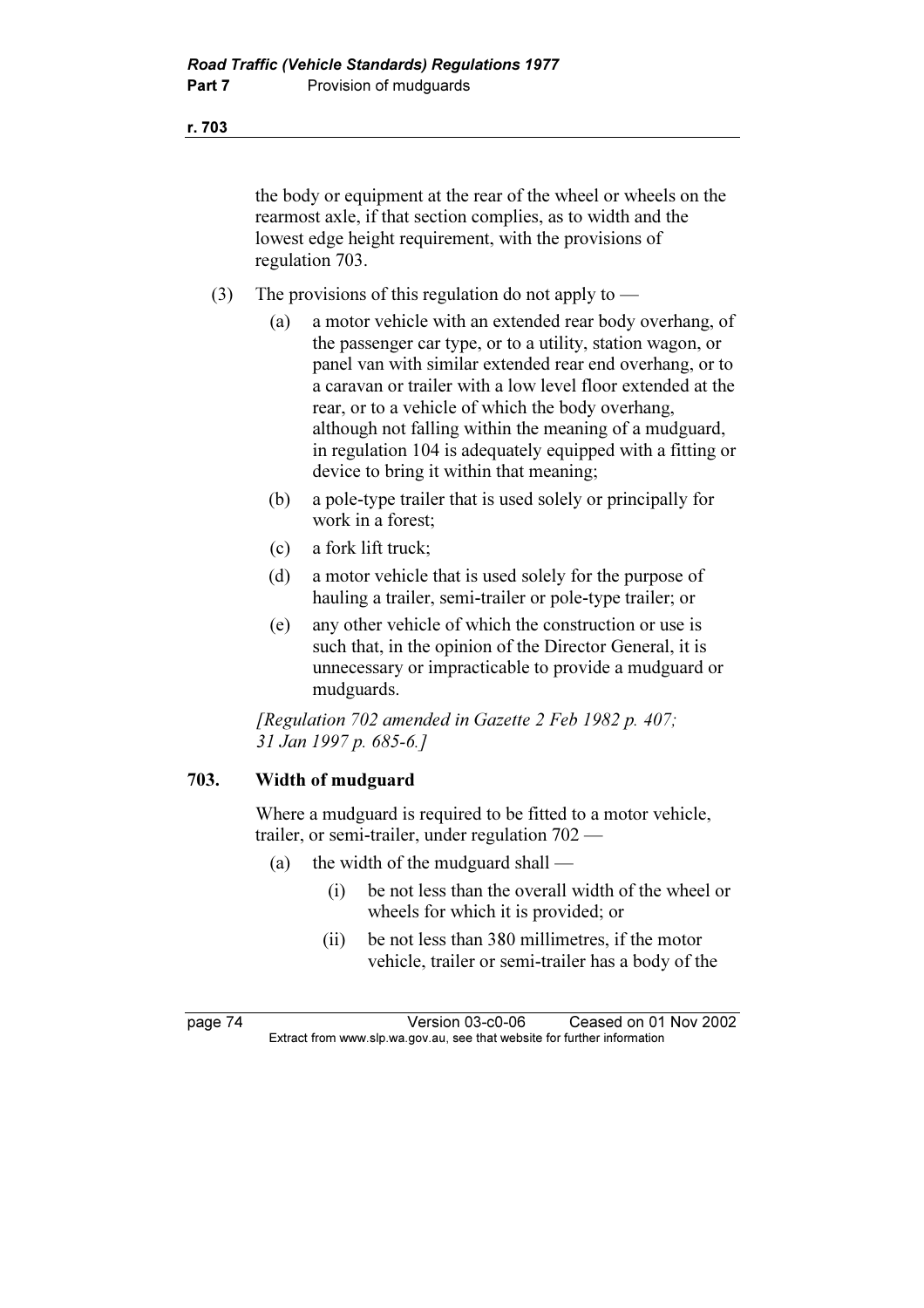the body or equipment at the rear of the wheel or wheels on the rearmost axle, if that section complies, as to width and the lowest edge height requirement, with the provisions of regulation 703.

- (3) The provisions of this regulation do not apply to
	- (a) a motor vehicle with an extended rear body overhang, of the passenger car type, or to a utility, station wagon, or panel van with similar extended rear end overhang, or to a caravan or trailer with a low level floor extended at the rear, or to a vehicle of which the body overhang, although not falling within the meaning of a mudguard, in regulation 104 is adequately equipped with a fitting or device to bring it within that meaning;
	- (b) a pole-type trailer that is used solely or principally for work in a forest;
	- (c) a fork lift truck;
	- (d) a motor vehicle that is used solely for the purpose of hauling a trailer, semi-trailer or pole-type trailer; or
	- (e) any other vehicle of which the construction or use is such that, in the opinion of the Director General, it is unnecessary or impracticable to provide a mudguard or mudguards.

 [Regulation 702 amended in Gazette 2 Feb 1982 p. 407; 31 Jan 1997 p. 685-6.]

### 703. Width of mudguard

 Where a mudguard is required to be fitted to a motor vehicle, trailer, or semi-trailer, under regulation 702 —

- (a) the width of the mudguard shall
	- (i) be not less than the overall width of the wheel or wheels for which it is provided; or
	- (ii) be not less than 380 millimetres, if the motor vehicle, trailer or semi-trailer has a body of the

page 74 Version 03-c0-06 Ceased on 01 Nov 2002<br>Extract from www.slp.wa.gov.au, see that website for further information  $\mathbf{F}$  from which was the set that we besite for further information  $\mathbf{F}$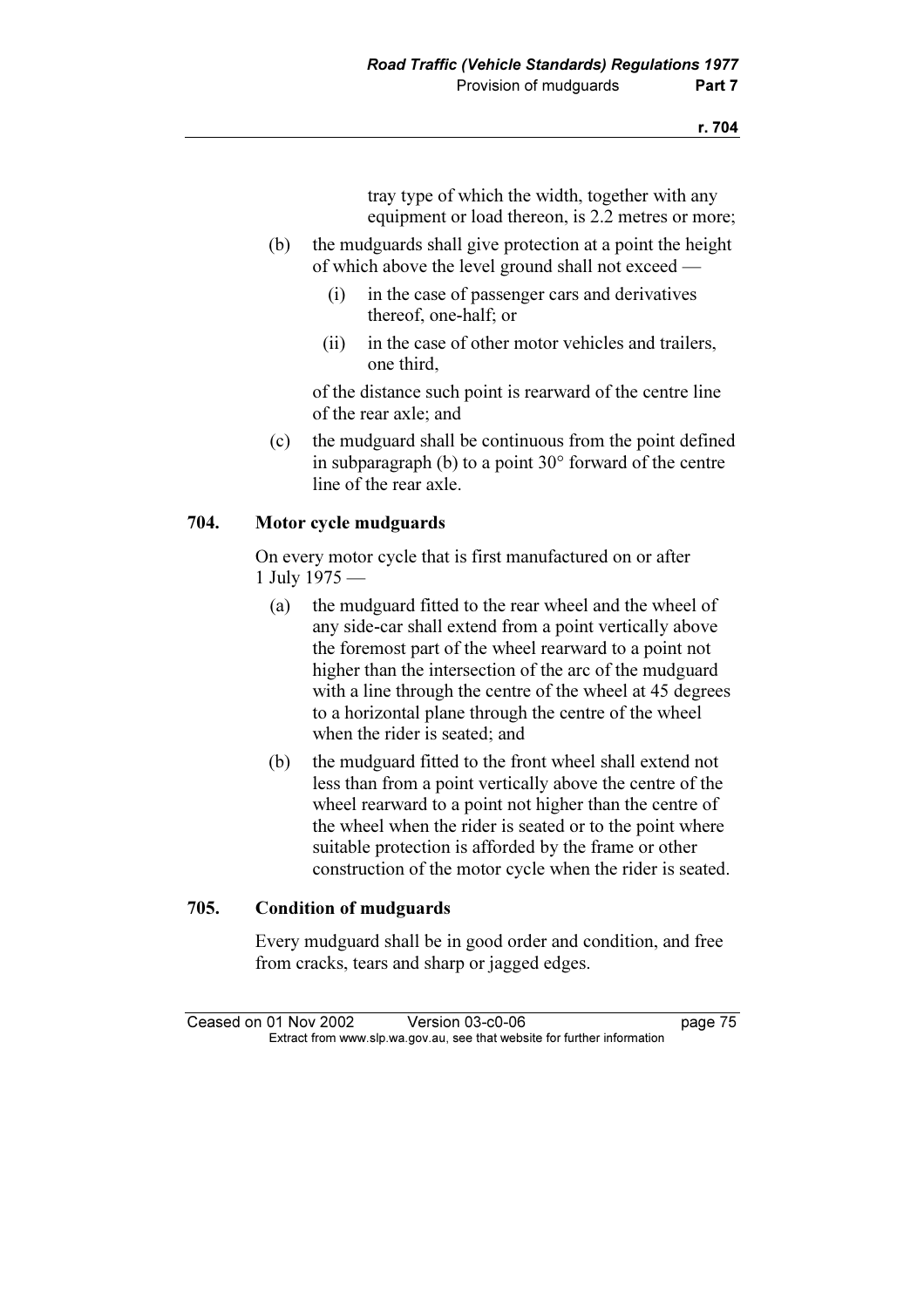tray type of which the width, together with any equipment or load thereon, is 2.2 metres or more;

- (b) the mudguards shall give protection at a point the height of which above the level ground shall not exceed —
	- (i) in the case of passenger cars and derivatives thereof, one-half; or
	- (ii) in the case of other motor vehicles and trailers, one third,

 of the distance such point is rearward of the centre line of the rear axle; and

 (c) the mudguard shall be continuous from the point defined in subparagraph (b) to a point 30° forward of the centre line of the rear axle.

## 704. Motor cycle mudguards

 On every motor cycle that is first manufactured on or after 1 July 1975 —

- (a) the mudguard fitted to the rear wheel and the wheel of any side-car shall extend from a point vertically above the foremost part of the wheel rearward to a point not higher than the intersection of the arc of the mudguard with a line through the centre of the wheel at 45 degrees to a horizontal plane through the centre of the wheel when the rider is seated; and
- (b) the mudguard fitted to the front wheel shall extend not less than from a point vertically above the centre of the wheel rearward to a point not higher than the centre of the wheel when the rider is seated or to the point where suitable protection is afforded by the frame or other construction of the motor cycle when the rider is seated.

## 705. Condition of mudguards

 Every mudguard shall be in good order and condition, and free from cracks, tears and sharp or jagged edges.

Ceased on 01 Nov 2002 Version 03-c0-06 page 75<br>Extract from www.slp.wa.gov.au, see that website for further information  $\mathbf{F}$  from which was the set that we besite for further information  $\mathbf{F}$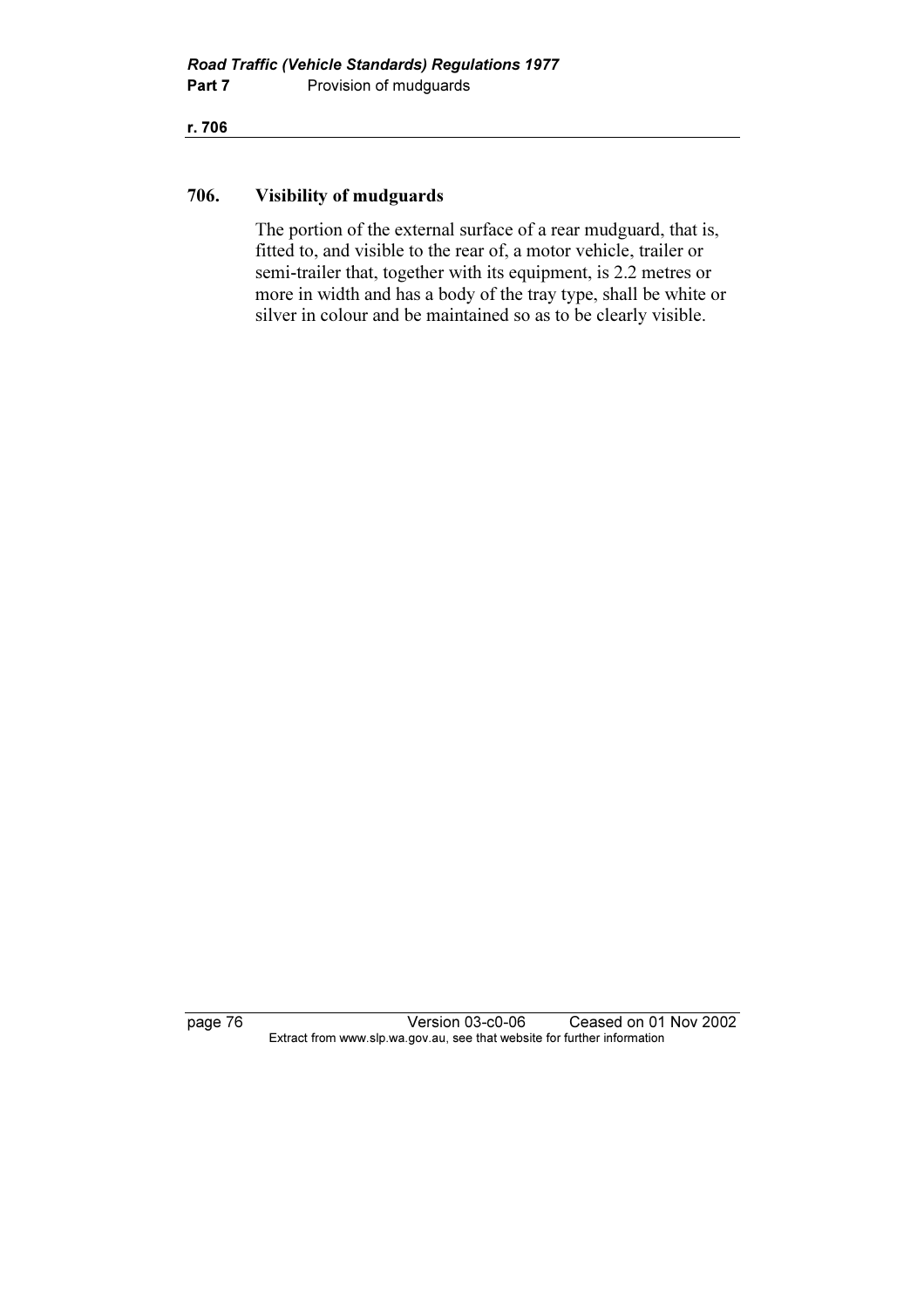### 706. Visibility of mudguards

 The portion of the external surface of a rear mudguard, that is, fitted to, and visible to the rear of, a motor vehicle, trailer or semi-trailer that, together with its equipment, is 2.2 metres or more in width and has a body of the tray type, shall be white or silver in colour and be maintained so as to be clearly visible.

page 76 Version 03-c0-06 Ceased on 01 Nov 2002 Extract from www.slp.wa.gov.au, see that website for further information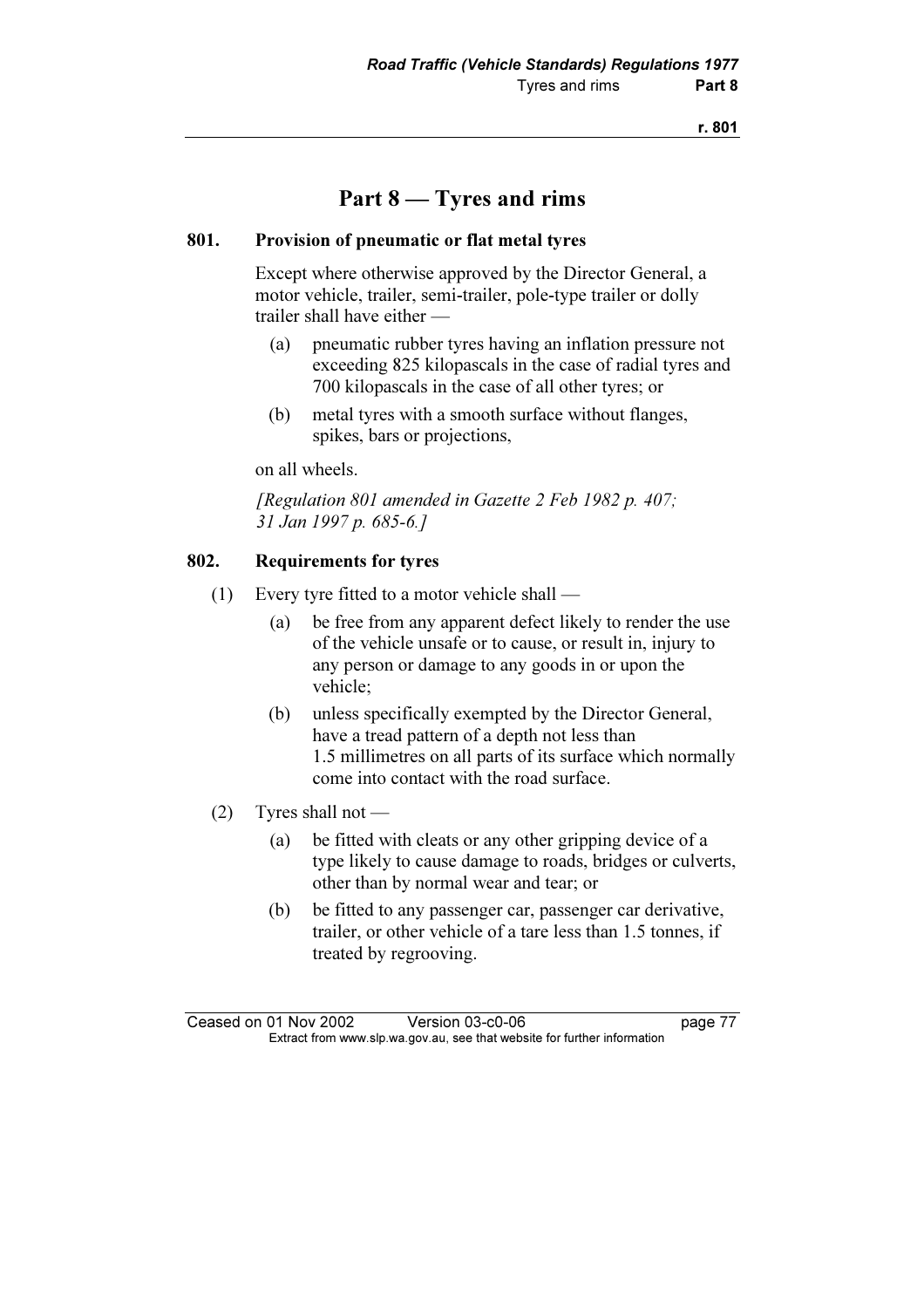## Part 8 — Tyres and rims

#### 801. Provision of pneumatic or flat metal tyres

 Except where otherwise approved by the Director General, a motor vehicle, trailer, semi-trailer, pole-type trailer or dolly trailer shall have either —

- (a) pneumatic rubber tyres having an inflation pressure not exceeding 825 kilopascals in the case of radial tyres and 700 kilopascals in the case of all other tyres; or
- (b) metal tyres with a smooth surface without flanges, spikes, bars or projections,

on all wheels.

 [Regulation 801 amended in Gazette 2 Feb 1982 p. 407; 31 Jan 1997 p. 685-6.]

### 802. Requirements for tyres

- (1) Every tyre fitted to a motor vehicle shall
	- (a) be free from any apparent defect likely to render the use of the vehicle unsafe or to cause, or result in, injury to any person or damage to any goods in or upon the vehicle;
	- (b) unless specifically exempted by the Director General, have a tread pattern of a depth not less than 1.5 millimetres on all parts of its surface which normally come into contact with the road surface.
- (2) Tyres shall not
	- (a) be fitted with cleats or any other gripping device of a type likely to cause damage to roads, bridges or culverts, other than by normal wear and tear; or
	- (b) be fitted to any passenger car, passenger car derivative, trailer, or other vehicle of a tare less than 1.5 tonnes, if treated by regrooving.

Ceased on 01 Nov 2002 Version 03-c0-06 page 77<br>Extract from www.slp.wa.gov.au, see that website for further information  $\mathbf{F}$  from which was the set that we besite for further information  $\mathbf{F}$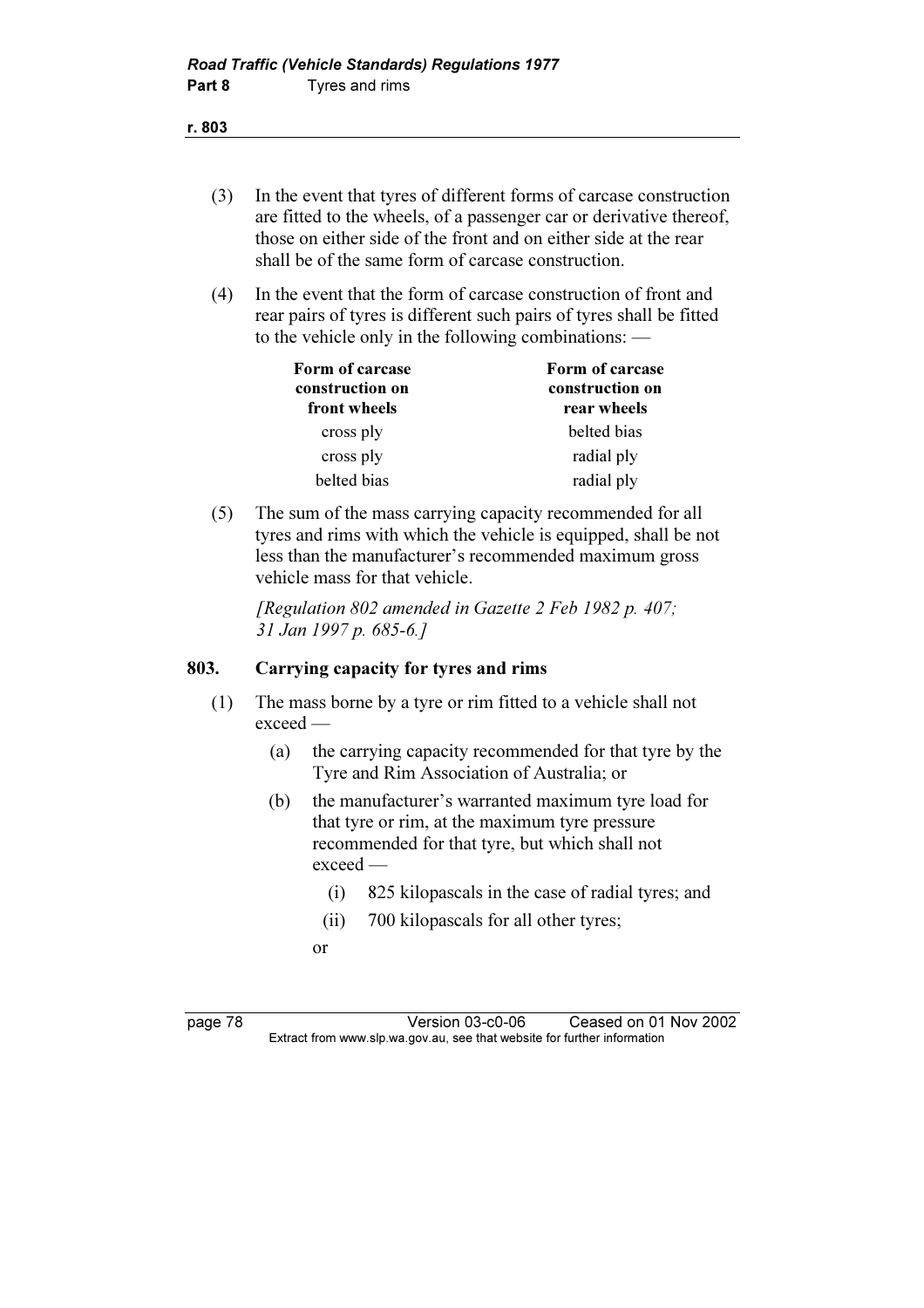- (3) In the event that tyres of different forms of carcase construction are fitted to the wheels, of a passenger car or derivative thereof, those on either side of the front and on either side at the rear shall be of the same form of carcase construction.
- (4) In the event that the form of carcase construction of front and rear pairs of tyres is different such pairs of tyres shall be fitted to the vehicle only in the following combinations: —

| Form of carcase                 | Form of carcase                |  |  |
|---------------------------------|--------------------------------|--|--|
| construction on<br>front wheels | construction on<br>rear wheels |  |  |
| cross ply                       | belted bias                    |  |  |
| cross ply                       | radial ply                     |  |  |
| belted bias                     | radial ply                     |  |  |

 (5) The sum of the mass carrying capacity recommended for all tyres and rims with which the vehicle is equipped, shall be not less than the manufacturer's recommended maximum gross vehicle mass for that vehicle.

[Regulation 802 amended in Gazette 2 Feb 1982 p. 407; 31 Jan 1997 p. 685-6.]

#### 803. Carrying capacity for tyres and rims

- (1) The mass borne by a tyre or rim fitted to a vehicle shall not exceed —
	- (a) the carrying capacity recommended for that tyre by the Tyre and Rim Association of Australia; or
	- (b) the manufacturer's warranted maximum tyre load for that tyre or rim, at the maximum tyre pressure recommended for that tyre, but which shall not exceed —
		- (i) 825 kilopascals in the case of radial tyres; and
		- (ii) 700 kilopascals for all other tyres;
- or

page 78 Version 03-c0-06 Ceased on 01 Nov 2002<br>Extract from www.slp.wa.gov.au, see that website for further information  $\mathbf{F}$  from which was the set that we besite for further information  $\mathbf{F}$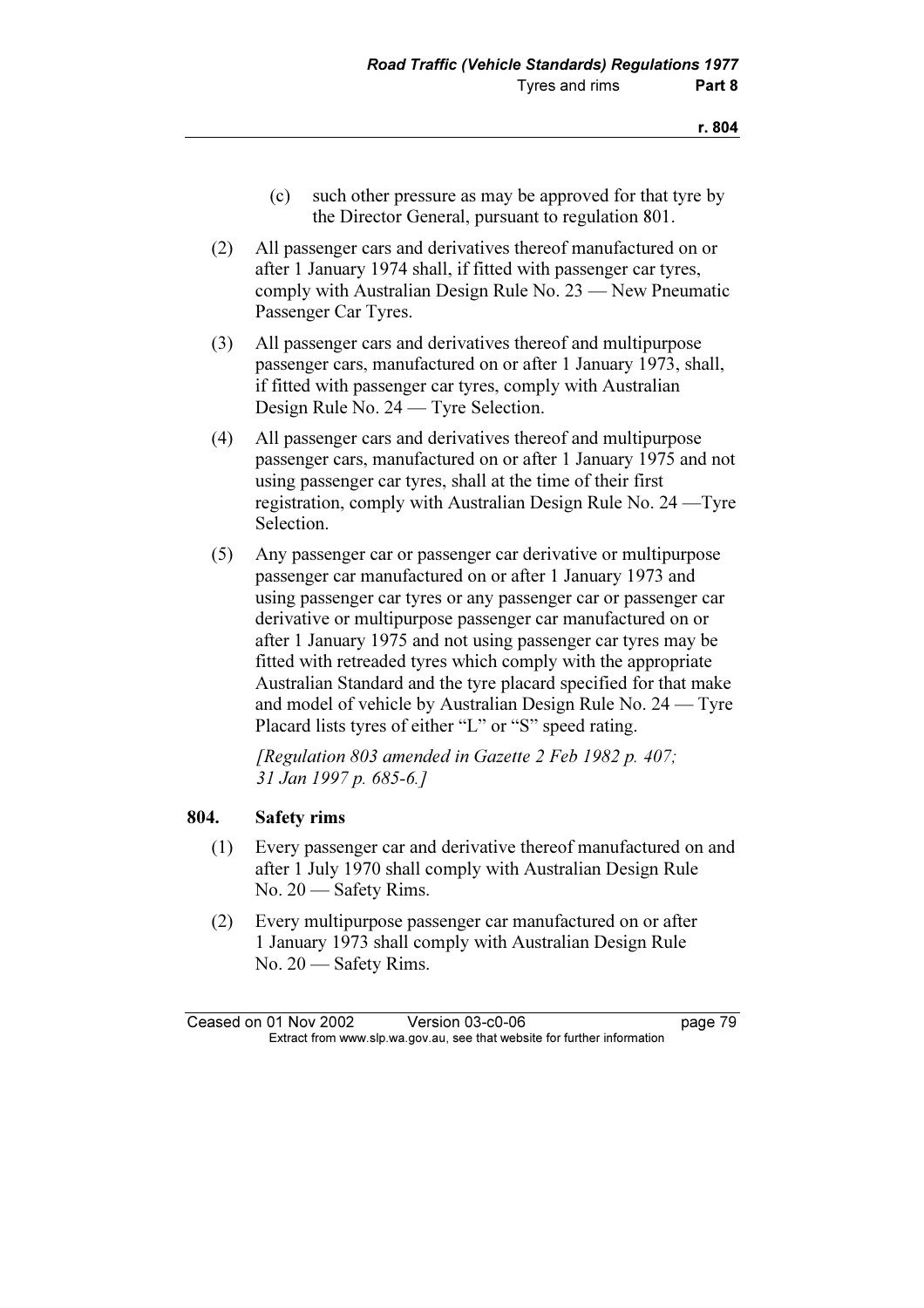- (c) such other pressure as may be approved for that tyre by the Director General, pursuant to regulation 801.
- (2) All passenger cars and derivatives thereof manufactured on or after 1 January 1974 shall, if fitted with passenger car tyres, comply with Australian Design Rule No. 23 — New Pneumatic Passenger Car Tyres.
- (3) All passenger cars and derivatives thereof and multipurpose passenger cars, manufactured on or after 1 January 1973, shall, if fitted with passenger car tyres, comply with Australian Design Rule No. 24 — Tyre Selection.
- (4) All passenger cars and derivatives thereof and multipurpose passenger cars, manufactured on or after 1 January 1975 and not using passenger car tyres, shall at the time of their first registration, comply with Australian Design Rule No. 24 —Tyre Selection.
- (5) Any passenger car or passenger car derivative or multipurpose passenger car manufactured on or after 1 January 1973 and using passenger car tyres or any passenger car or passenger car derivative or multipurpose passenger car manufactured on or after 1 January 1975 and not using passenger car tyres may be fitted with retreaded tyres which comply with the appropriate Australian Standard and the tyre placard specified for that make and model of vehicle by Australian Design Rule No. 24 — Tyre Placard lists tyres of either "L" or "S" speed rating.

 [Regulation 803 amended in Gazette 2 Feb 1982 p. 407; 31 Jan 1997 p. 685-6.]

#### 804. Safety rims

- (1) Every passenger car and derivative thereof manufactured on and after 1 July 1970 shall comply with Australian Design Rule No. 20 — Safety Rims.
- (2) Every multipurpose passenger car manufactured on or after 1 January 1973 shall comply with Australian Design Rule No. 20 — Safety Rims.

Ceased on 01 Nov 2002 Version 03-c0-06 page 79<br>Extract from www.slp.wa.gov.au, see that website for further information  $\mathbf{F}$  from which was the set that we besite for further information  $\mathbf{F}$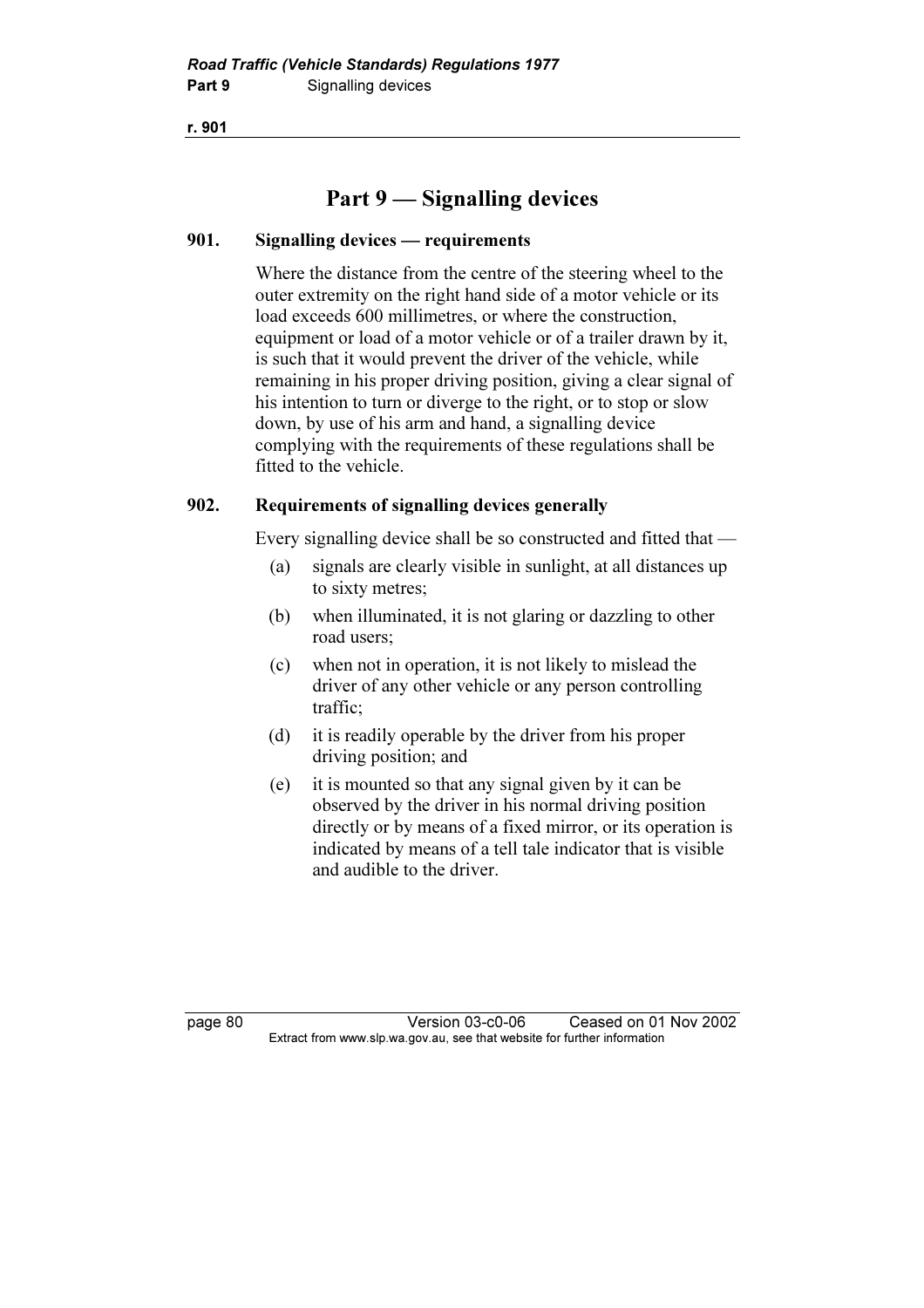# Part 9 — Signalling devices

#### 901. Signalling devices — requirements

 Where the distance from the centre of the steering wheel to the outer extremity on the right hand side of a motor vehicle or its load exceeds 600 millimetres, or where the construction, equipment or load of a motor vehicle or of a trailer drawn by it, is such that it would prevent the driver of the vehicle, while remaining in his proper driving position, giving a clear signal of his intention to turn or diverge to the right, or to stop or slow down, by use of his arm and hand, a signalling device complying with the requirements of these regulations shall be fitted to the vehicle.

## 902. Requirements of signalling devices generally

Every signalling device shall be so constructed and fitted that —

- (a) signals are clearly visible in sunlight, at all distances up to sixty metres;
- (b) when illuminated, it is not glaring or dazzling to other road users;
- (c) when not in operation, it is not likely to mislead the driver of any other vehicle or any person controlling traffic;
- (d) it is readily operable by the driver from his proper driving position; and
- (e) it is mounted so that any signal given by it can be observed by the driver in his normal driving position directly or by means of a fixed mirror, or its operation is indicated by means of a tell tale indicator that is visible and audible to the driver.

page 80 Version 03-c0-06 Ceased on 01 Nov 2002<br>Extract from www.slp.wa.gov.au, see that website for further information  $\mathbf{F}$  from which was the set that we besite for further information  $\mathbf{F}$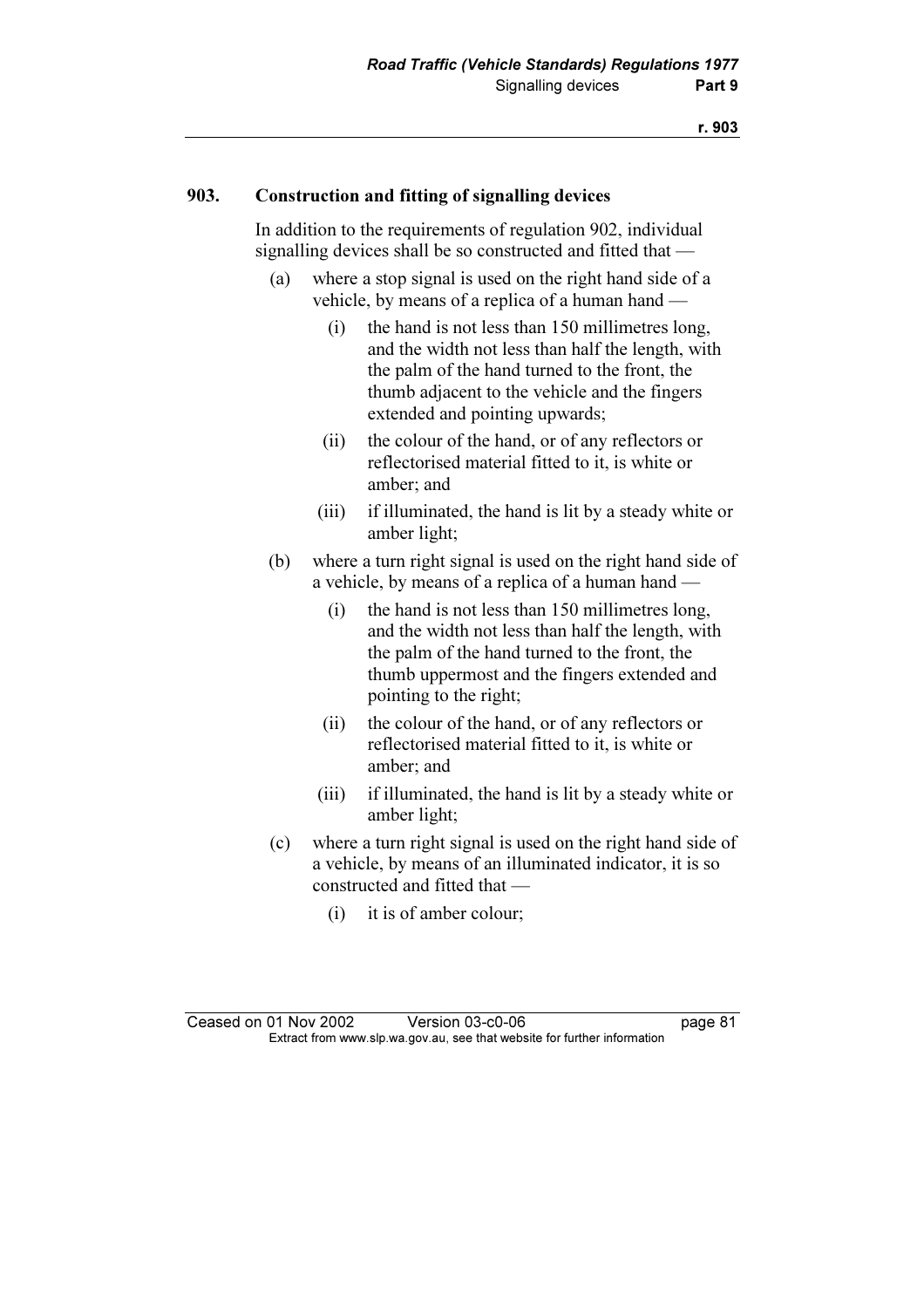### 903. Construction and fitting of signalling devices

 In addition to the requirements of regulation 902, individual signalling devices shall be so constructed and fitted that —

- (a) where a stop signal is used on the right hand side of a vehicle, by means of a replica of a human hand —
	- (i) the hand is not less than 150 millimetres long, and the width not less than half the length, with the palm of the hand turned to the front, the thumb adjacent to the vehicle and the fingers extended and pointing upwards;
	- (ii) the colour of the hand, or of any reflectors or reflectorised material fitted to it, is white or amber; and
	- (iii) if illuminated, the hand is lit by a steady white or amber light;
- (b) where a turn right signal is used on the right hand side of a vehicle, by means of a replica of a human hand —
	- (i) the hand is not less than 150 millimetres long, and the width not less than half the length, with the palm of the hand turned to the front, the thumb uppermost and the fingers extended and pointing to the right;
	- (ii) the colour of the hand, or of any reflectors or reflectorised material fitted to it, is white or amber; and
	- (iii) if illuminated, the hand is lit by a steady white or amber light;
- (c) where a turn right signal is used on the right hand side of a vehicle, by means of an illuminated indicator, it is so constructed and fitted that —
	- (i) it is of amber colour;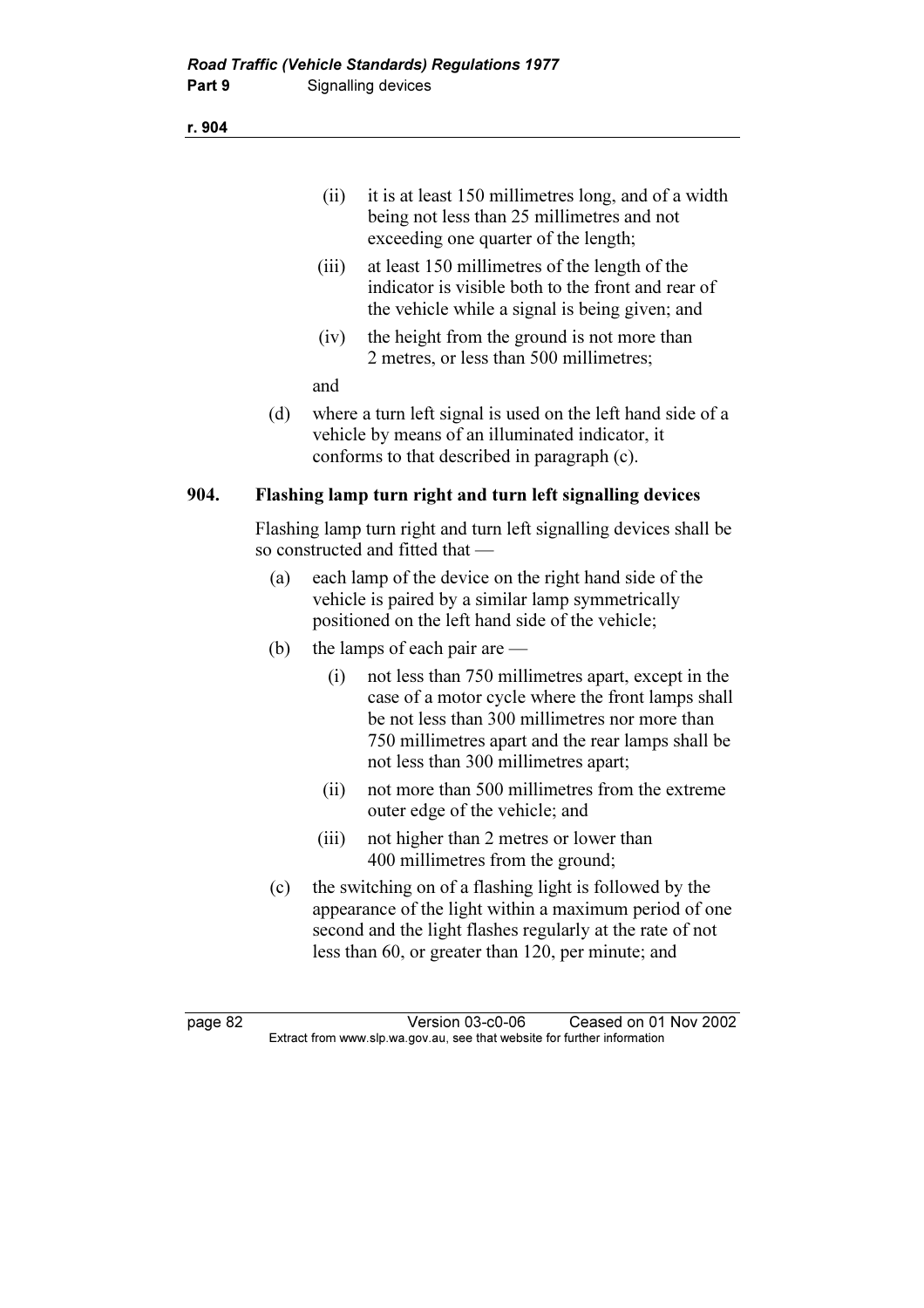- (ii) it is at least 150 millimetres long, and of a width being not less than 25 millimetres and not exceeding one quarter of the length;
- (iii) at least 150 millimetres of the length of the indicator is visible both to the front and rear of the vehicle while a signal is being given; and
- (iv) the height from the ground is not more than 2 metres, or less than 500 millimetres;

and

 (d) where a turn left signal is used on the left hand side of a vehicle by means of an illuminated indicator, it conforms to that described in paragraph (c).

## 904. Flashing lamp turn right and turn left signalling devices

 Flashing lamp turn right and turn left signalling devices shall be so constructed and fitted that —

- (a) each lamp of the device on the right hand side of the vehicle is paired by a similar lamp symmetrically positioned on the left hand side of the vehicle;
- (b) the lamps of each pair are
	- (i) not less than 750 millimetres apart, except in the case of a motor cycle where the front lamps shall be not less than 300 millimetres nor more than 750 millimetres apart and the rear lamps shall be not less than 300 millimetres apart;
	- (ii) not more than 500 millimetres from the extreme outer edge of the vehicle; and
	- (iii) not higher than 2 metres or lower than 400 millimetres from the ground;
- (c) the switching on of a flashing light is followed by the appearance of the light within a maximum period of one second and the light flashes regularly at the rate of not less than 60, or greater than 120, per minute; and

page 82 Version 03-c0-06 Ceased on 01 Nov 2002<br>Extract from www.slp.wa.gov.au, see that website for further information  $\mathbf{F}$  from which was the set that we besite for further information  $\mathbf{F}$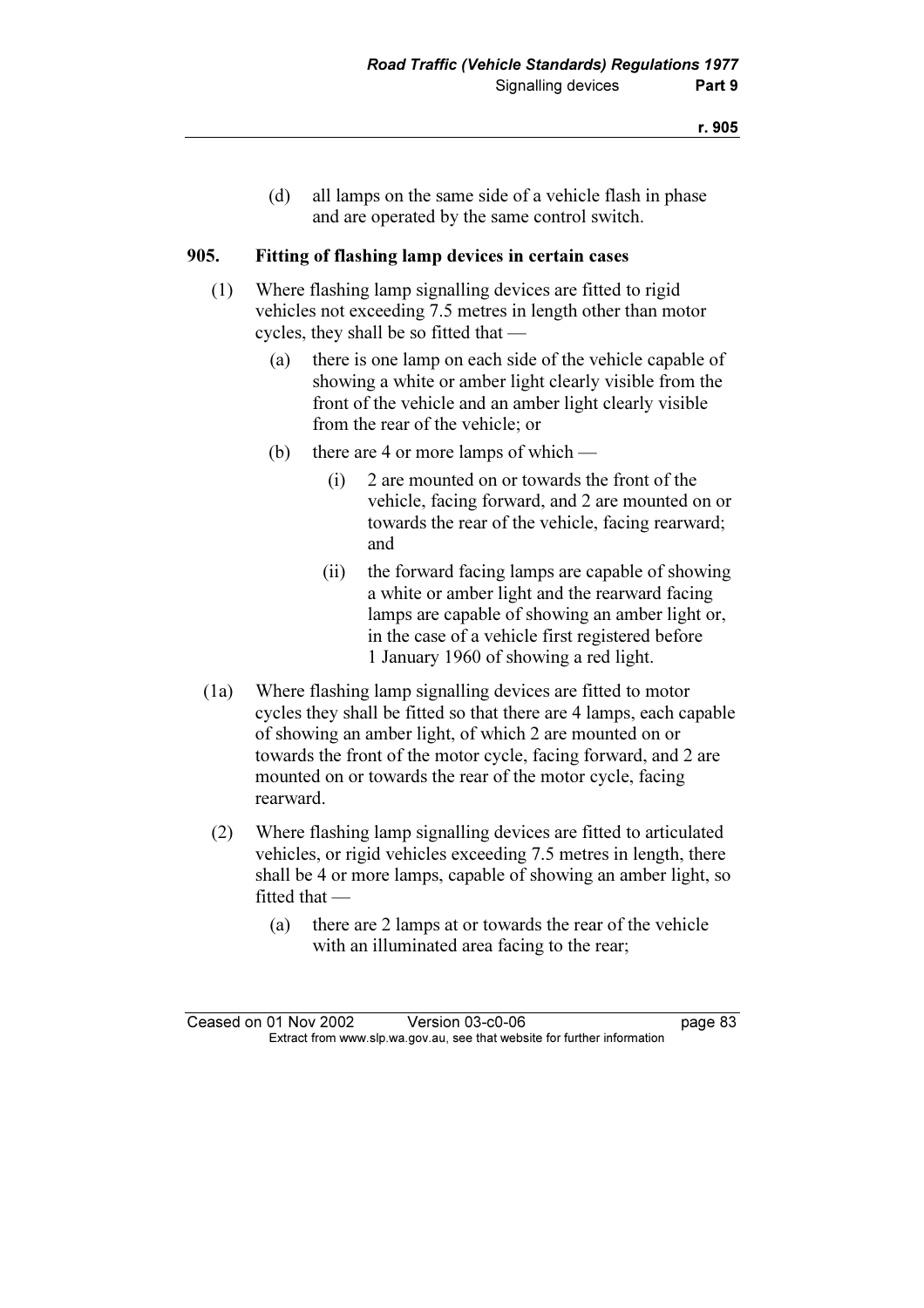(d) all lamps on the same side of a vehicle flash in phase and are operated by the same control switch.

#### 905. Fitting of flashing lamp devices in certain cases

- (1) Where flashing lamp signalling devices are fitted to rigid vehicles not exceeding 7.5 metres in length other than motor cycles, they shall be so fitted that —
	- (a) there is one lamp on each side of the vehicle capable of showing a white or amber light clearly visible from the front of the vehicle and an amber light clearly visible from the rear of the vehicle; or
	- (b) there are 4 or more lamps of which
		- (i) 2 are mounted on or towards the front of the vehicle, facing forward, and 2 are mounted on or towards the rear of the vehicle, facing rearward; and
		- (ii) the forward facing lamps are capable of showing a white or amber light and the rearward facing lamps are capable of showing an amber light or, in the case of a vehicle first registered before 1 January 1960 of showing a red light.
- (1a) Where flashing lamp signalling devices are fitted to motor cycles they shall be fitted so that there are 4 lamps, each capable of showing an amber light, of which 2 are mounted on or towards the front of the motor cycle, facing forward, and 2 are mounted on or towards the rear of the motor cycle, facing rearward.
- (2) Where flashing lamp signalling devices are fitted to articulated vehicles, or rigid vehicles exceeding 7.5 metres in length, there shall be 4 or more lamps, capable of showing an amber light, so fitted that —
	- (a) there are 2 lamps at or towards the rear of the vehicle with an illuminated area facing to the rear;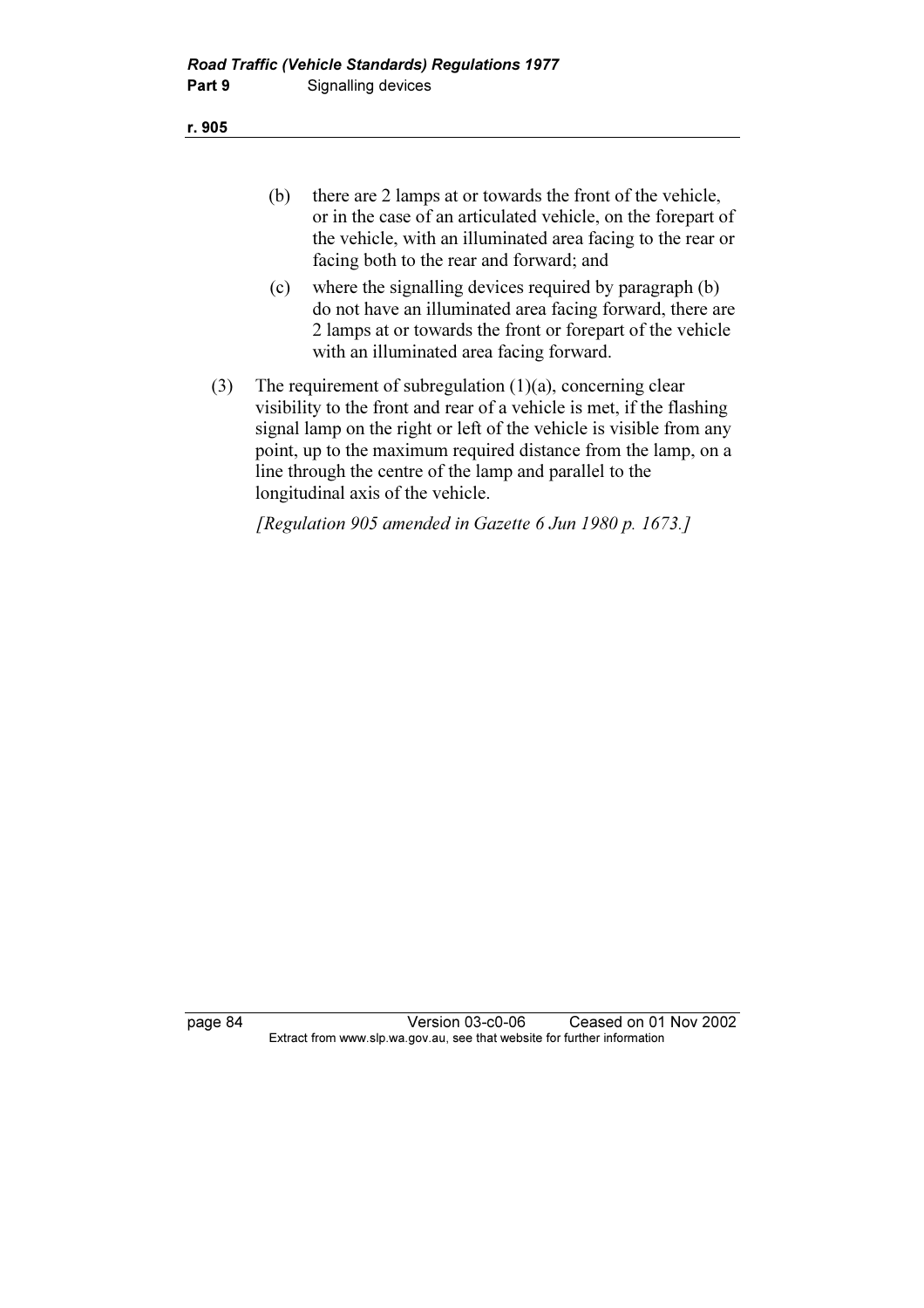- (b) there are 2 lamps at or towards the front of the vehicle, or in the case of an articulated vehicle, on the forepart of the vehicle, with an illuminated area facing to the rear or facing both to the rear and forward; and
- (c) where the signalling devices required by paragraph (b) do not have an illuminated area facing forward, there are 2 lamps at or towards the front or forepart of the vehicle with an illuminated area facing forward.
- (3) The requirement of subregulation  $(1)(a)$ , concerning clear visibility to the front and rear of a vehicle is met, if the flashing signal lamp on the right or left of the vehicle is visible from any point, up to the maximum required distance from the lamp, on a line through the centre of the lamp and parallel to the longitudinal axis of the vehicle.

[Regulation 905 amended in Gazette 6 Jun 1980 p. 1673.]

page 84 Version 03-c0-06 Ceased on 01 Nov 2002<br>Extract from www.slp.wa.gov.au, see that website for further information  $\mathbf{F}$  from which was the set that we besite for further information  $\mathbf{F}$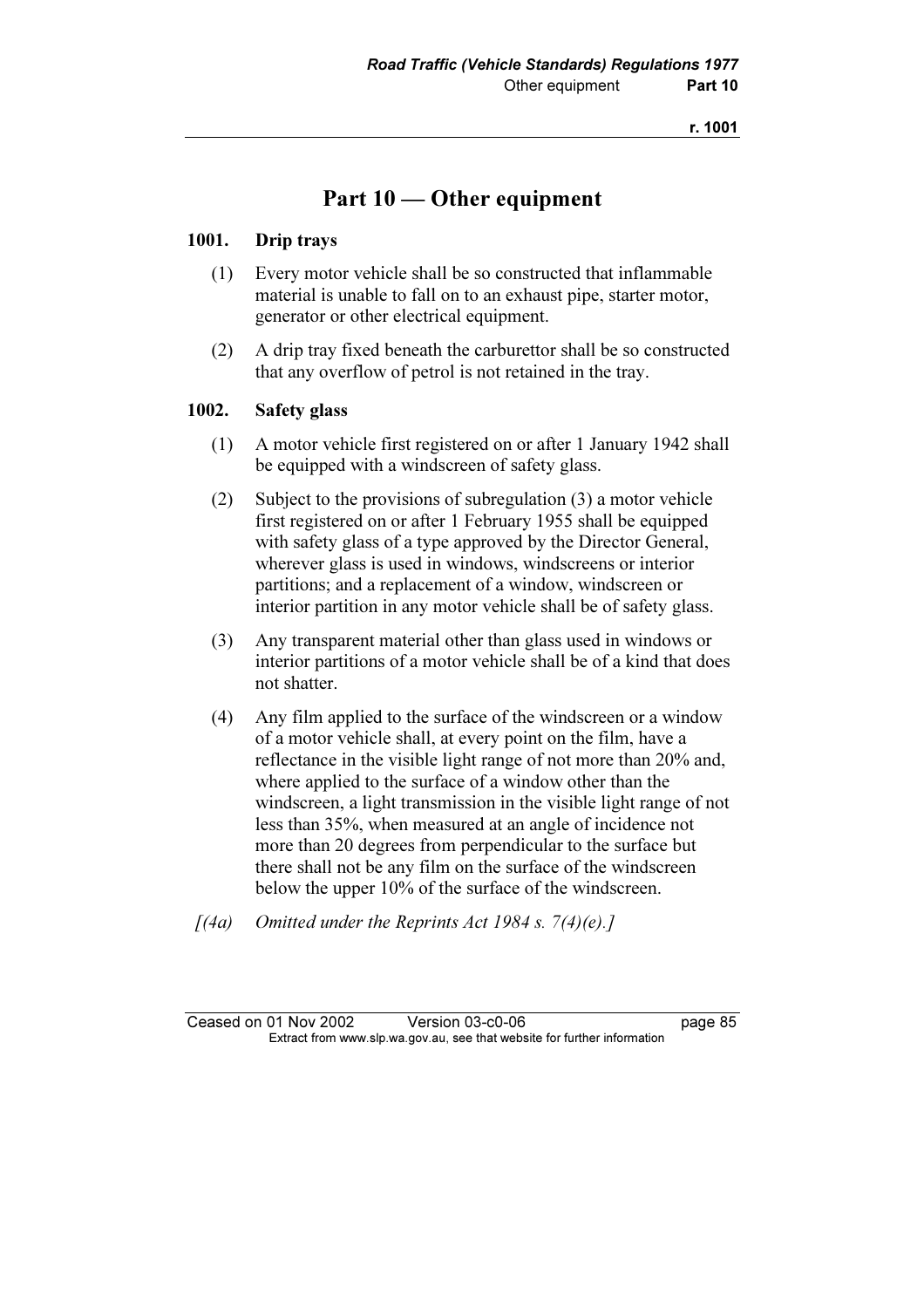# Part 10 — Other equipment

#### 1001. Drip trays

- (1) Every motor vehicle shall be so constructed that inflammable material is unable to fall on to an exhaust pipe, starter motor, generator or other electrical equipment.
- (2) A drip tray fixed beneath the carburettor shall be so constructed that any overflow of petrol is not retained in the tray.

#### 1002. Safety glass

- (1) A motor vehicle first registered on or after 1 January 1942 shall be equipped with a windscreen of safety glass.
- (2) Subject to the provisions of subregulation (3) a motor vehicle first registered on or after 1 February 1955 shall be equipped with safety glass of a type approved by the Director General, wherever glass is used in windows, windscreens or interior partitions; and a replacement of a window, windscreen or interior partition in any motor vehicle shall be of safety glass.
- (3) Any transparent material other than glass used in windows or interior partitions of a motor vehicle shall be of a kind that does not shatter.
- (4) Any film applied to the surface of the windscreen or a window of a motor vehicle shall, at every point on the film, have a reflectance in the visible light range of not more than 20% and, where applied to the surface of a window other than the windscreen, a light transmission in the visible light range of not less than 35%, when measured at an angle of incidence not more than 20 degrees from perpendicular to the surface but there shall not be any film on the surface of the windscreen below the upper 10% of the surface of the windscreen.
- $[(4a)$  Omitted under the Reprints Act 1984 s. 7(4)(e).]

Ceased on 01 Nov 2002 Version 03-c0-06 page 85<br>Extract from www.slp.wa.gov.au, see that website for further information  $\mathbf{F}$  from which was the set that we besite for further information  $\mathbf{F}$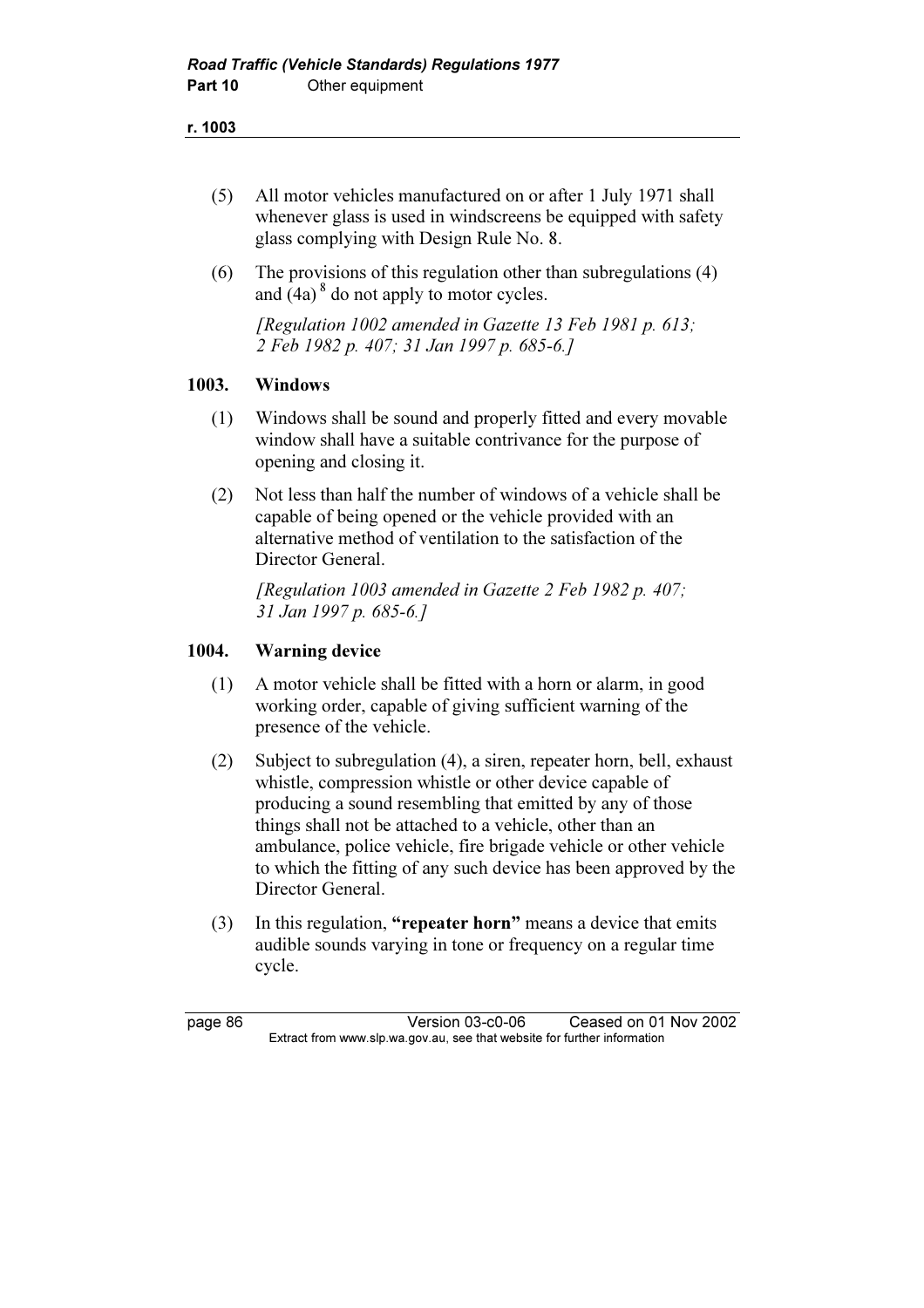- (5) All motor vehicles manufactured on or after 1 July 1971 shall whenever glass is used in windscreens be equipped with safety glass complying with Design Rule No. 8.
- (6) The provisions of this regulation other than subregulations (4) and  $(4a)^{8}$  do not apply to motor cycles.

[Regulation 1002 amended in Gazette 13 Feb 1981 p. 613; 2 Feb 1982 p. 407; 31 Jan 1997 p. 685-6.]

### 1003. Windows

- (1) Windows shall be sound and properly fitted and every movable window shall have a suitable contrivance for the purpose of opening and closing it.
- (2) Not less than half the number of windows of a vehicle shall be capable of being opened or the vehicle provided with an alternative method of ventilation to the satisfaction of the Director General.

[Regulation 1003 amended in Gazette 2 Feb 1982 p. 407; 31 Jan 1997 p. 685-6.]

#### 1004. Warning device

- (1) A motor vehicle shall be fitted with a horn or alarm, in good working order, capable of giving sufficient warning of the presence of the vehicle.
- (2) Subject to subregulation (4), a siren, repeater horn, bell, exhaust whistle, compression whistle or other device capable of producing a sound resembling that emitted by any of those things shall not be attached to a vehicle, other than an ambulance, police vehicle, fire brigade vehicle or other vehicle to which the fitting of any such device has been approved by the Director General.
- (3) In this regulation, "repeater horn" means a device that emits audible sounds varying in tone or frequency on a regular time cycle.

page 86 Version 03-c0-06 Ceased on 01 Nov 2002<br>Extract from www.slp.wa.gov.au, see that website for further information  $\mathbf{F}$  from which was the set that we besite for further information  $\mathbf{F}$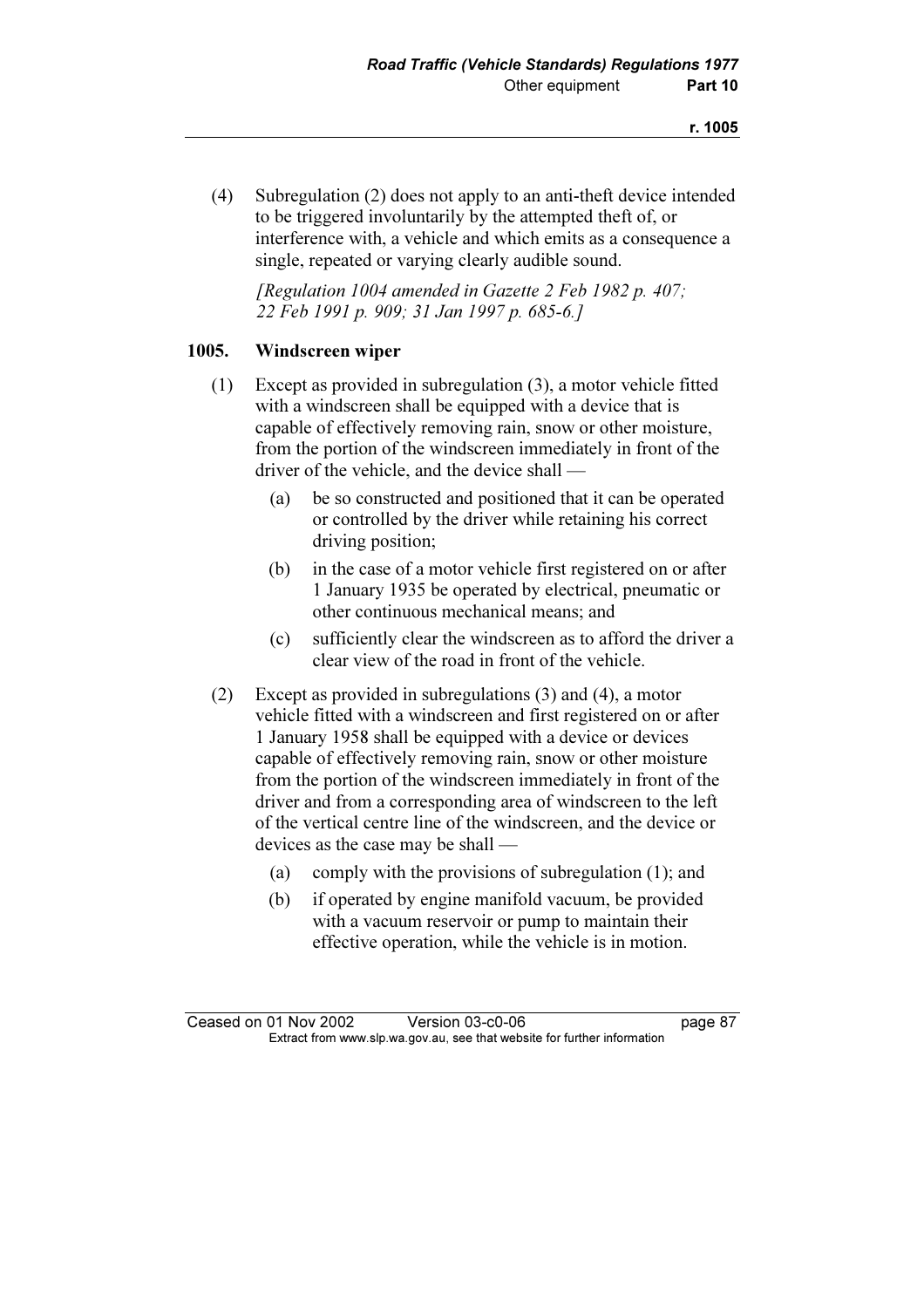(4) Subregulation (2) does not apply to an anti-theft device intended to be triggered involuntarily by the attempted theft of, or interference with, a vehicle and which emits as a consequence a single, repeated or varying clearly audible sound.

[Regulation 1004 amended in Gazette 2 Feb 1982 p. 407; 22 Feb 1991 p. 909; 31 Jan 1997 p. 685-6.]

## 1005. Windscreen wiper

- (1) Except as provided in subregulation (3), a motor vehicle fitted with a windscreen shall be equipped with a device that is capable of effectively removing rain, snow or other moisture, from the portion of the windscreen immediately in front of the driver of the vehicle, and the device shall —
	- (a) be so constructed and positioned that it can be operated or controlled by the driver while retaining his correct driving position;
	- (b) in the case of a motor vehicle first registered on or after 1 January 1935 be operated by electrical, pneumatic or other continuous mechanical means; and
	- (c) sufficiently clear the windscreen as to afford the driver a clear view of the road in front of the vehicle.
- (2) Except as provided in subregulations (3) and (4), a motor vehicle fitted with a windscreen and first registered on or after 1 January 1958 shall be equipped with a device or devices capable of effectively removing rain, snow or other moisture from the portion of the windscreen immediately in front of the driver and from a corresponding area of windscreen to the left of the vertical centre line of the windscreen, and the device or devices as the case may be shall —
	- (a) comply with the provisions of subregulation (1); and
	- (b) if operated by engine manifold vacuum, be provided with a vacuum reservoir or pump to maintain their effective operation, while the vehicle is in motion.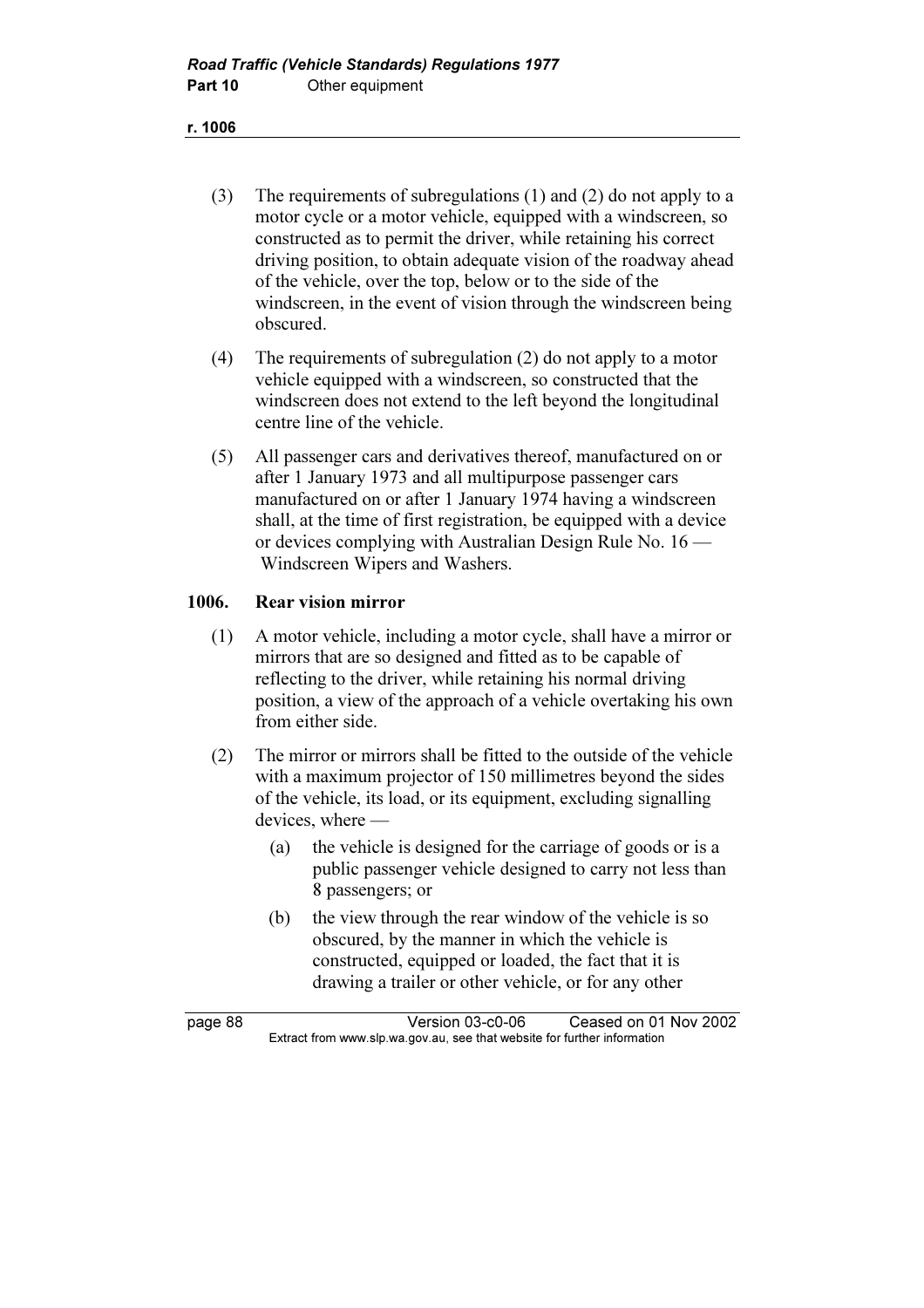- r. 1006
	- (3) The requirements of subregulations (1) and (2) do not apply to a motor cycle or a motor vehicle, equipped with a windscreen, so constructed as to permit the driver, while retaining his correct driving position, to obtain adequate vision of the roadway ahead of the vehicle, over the top, below or to the side of the windscreen, in the event of vision through the windscreen being obscured.
	- (4) The requirements of subregulation (2) do not apply to a motor vehicle equipped with a windscreen, so constructed that the windscreen does not extend to the left beyond the longitudinal centre line of the vehicle.
	- (5) All passenger cars and derivatives thereof, manufactured on or after 1 January 1973 and all multipurpose passenger cars manufactured on or after 1 January 1974 having a windscreen shall, at the time of first registration, be equipped with a device or devices complying with Australian Design Rule No. 16 — Windscreen Wipers and Washers.

#### 1006. Rear vision mirror

- (1) A motor vehicle, including a motor cycle, shall have a mirror or mirrors that are so designed and fitted as to be capable of reflecting to the driver, while retaining his normal driving position, a view of the approach of a vehicle overtaking his own from either side.
- (2) The mirror or mirrors shall be fitted to the outside of the vehicle with a maximum projector of 150 millimetres beyond the sides of the vehicle, its load, or its equipment, excluding signalling devices, where —
	- (a) the vehicle is designed for the carriage of goods or is a public passenger vehicle designed to carry not less than 8 passengers; or
	- (b) the view through the rear window of the vehicle is so obscured, by the manner in which the vehicle is constructed, equipped or loaded, the fact that it is drawing a trailer or other vehicle, or for any other

page 88 Version 03-c0-06 Ceased on 01 Nov 2002<br>Extract from www.slp.wa.gov.au, see that website for further information  $\mathbf{F}$  from which was the set that we besite for further information  $\mathbf{F}$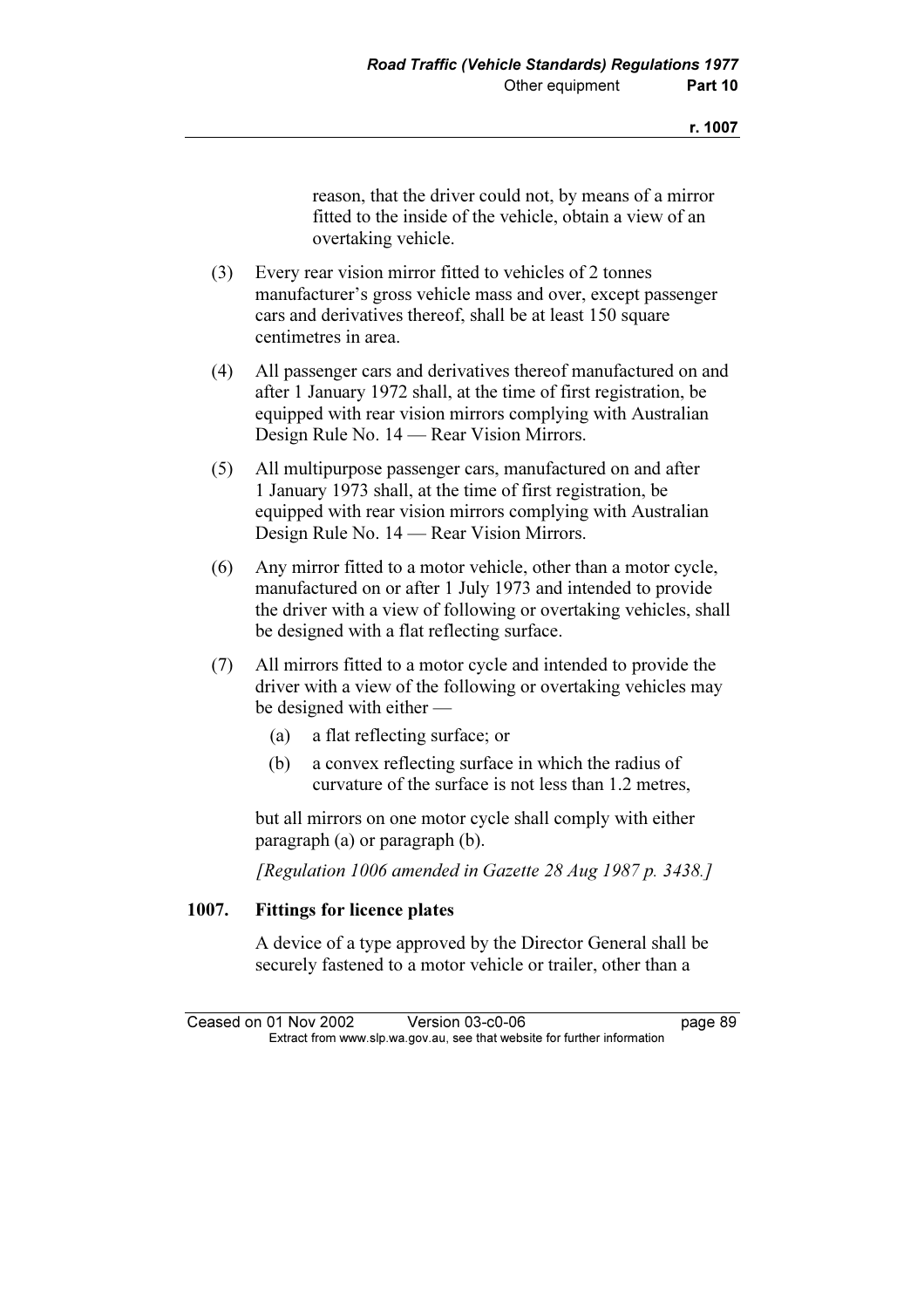reason, that the driver could not, by means of a mirror fitted to the inside of the vehicle, obtain a view of an overtaking vehicle.

- (3) Every rear vision mirror fitted to vehicles of 2 tonnes manufacturer's gross vehicle mass and over, except passenger cars and derivatives thereof, shall be at least 150 square centimetres in area.
- (4) All passenger cars and derivatives thereof manufactured on and after 1 January 1972 shall, at the time of first registration, be equipped with rear vision mirrors complying with Australian Design Rule No. 14 — Rear Vision Mirrors.
- (5) All multipurpose passenger cars, manufactured on and after 1 January 1973 shall, at the time of first registration, be equipped with rear vision mirrors complying with Australian Design Rule No. 14 — Rear Vision Mirrors.
- (6) Any mirror fitted to a motor vehicle, other than a motor cycle, manufactured on or after 1 July 1973 and intended to provide the driver with a view of following or overtaking vehicles, shall be designed with a flat reflecting surface.
- (7) All mirrors fitted to a motor cycle and intended to provide the driver with a view of the following or overtaking vehicles may be designed with either —
	- (a) a flat reflecting surface; or
	- (b) a convex reflecting surface in which the radius of curvature of the surface is not less than 1.2 metres,

 but all mirrors on one motor cycle shall comply with either paragraph (a) or paragraph (b).

[Regulation 1006 amended in Gazette 28 Aug 1987 p. 3438.]

## 1007. Fittings for licence plates

 A device of a type approved by the Director General shall be securely fastened to a motor vehicle or trailer, other than a

Ceased on 01 Nov 2002 Version 03-c0-06 page 89<br>Extract from www.slp.wa.gov.au, see that website for further information  $\mathbf{F}$  from which was the set that we besite for further information  $\mathbf{F}$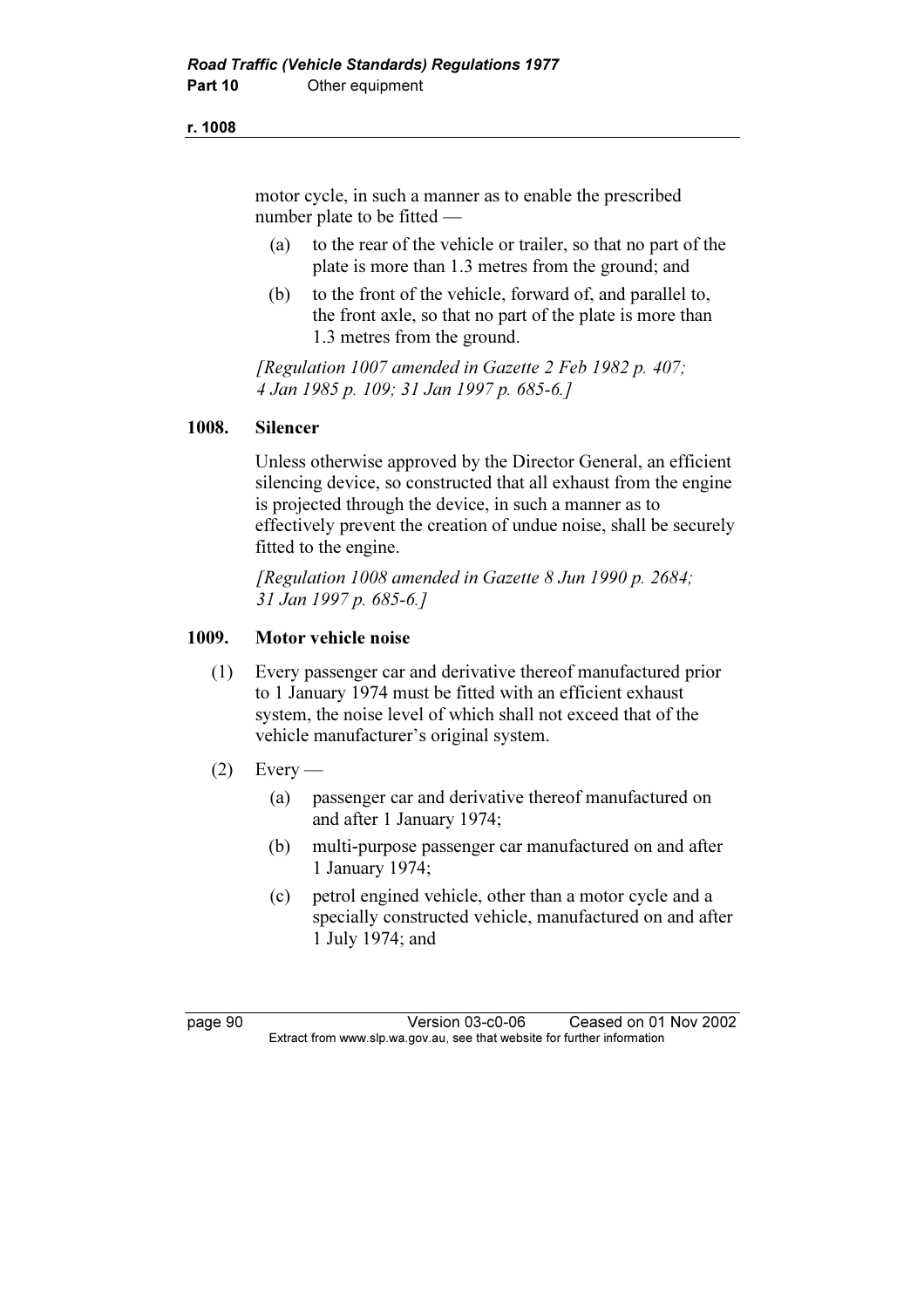motor cycle, in such a manner as to enable the prescribed number plate to be fitted —

- (a) to the rear of the vehicle or trailer, so that no part of the plate is more than 1.3 metres from the ground; and
- (b) to the front of the vehicle, forward of, and parallel to, the front axle, so that no part of the plate is more than 1.3 metres from the ground.

[Regulation 1007 amended in Gazette 2 Feb 1982 p. 407; 4 Jan 1985 p. 109; 31 Jan 1997 p. 685-6.]

#### 1008. Silencer

 Unless otherwise approved by the Director General, an efficient silencing device, so constructed that all exhaust from the engine is projected through the device, in such a manner as to effectively prevent the creation of undue noise, shall be securely fitted to the engine.

 [Regulation 1008 amended in Gazette 8 Jun 1990 p. 2684; 31 Jan 1997 p. 685-6.]

### 1009. Motor vehicle noise

- (1) Every passenger car and derivative thereof manufactured prior to 1 January 1974 must be fitted with an efficient exhaust system, the noise level of which shall not exceed that of the vehicle manufacturer's original system.
- $(2)$  Every
	- (a) passenger car and derivative thereof manufactured on and after 1 January 1974;
	- (b) multi-purpose passenger car manufactured on and after 1 January 1974;
	- (c) petrol engined vehicle, other than a motor cycle and a specially constructed vehicle, manufactured on and after 1 July 1974; and

page 90 Version 03-c0-06 Ceased on 01 Nov 2002<br>Extract from www.slp.wa.gov.au, see that website for further information  $\mathbf{F}$  from which was the set that we besite for further information  $\mathbf{F}$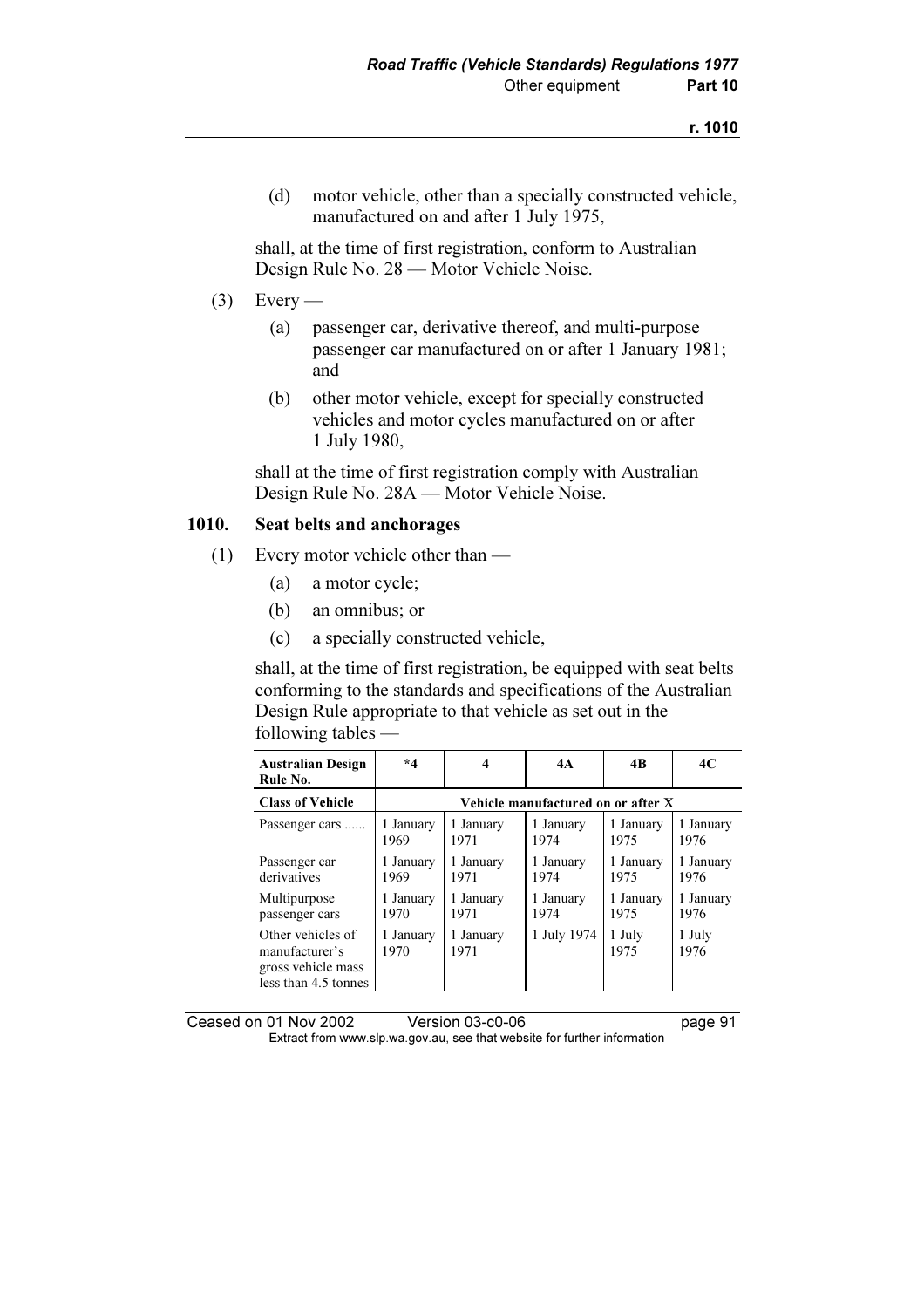(d) motor vehicle, other than a specially constructed vehicle, manufactured on and after 1 July 1975,

 shall, at the time of first registration, conform to Australian Design Rule No. 28 — Motor Vehicle Noise.

- $(3)$  Every
	- (a) passenger car, derivative thereof, and multi-purpose passenger car manufactured on or after 1 January 1981; and
	- (b) other motor vehicle, except for specially constructed vehicles and motor cycles manufactured on or after 1 July 1980,

 shall at the time of first registration comply with Australian Design Rule No. 28A — Motor Vehicle Noise.

#### 1010. Seat belts and anchorages

- (1) Every motor vehicle other than
	- (a) a motor cycle;
	- (b) an omnibus; or
	- (c) a specially constructed vehicle,

 shall, at the time of first registration, be equipped with seat belts conforming to the standards and specifications of the Australian Design Rule appropriate to that vehicle as set out in the following tables —

| <b>Australian Design</b><br>Rule No.                                              | *4                                 | 4                 | 4A          | 4B             | 4C             |
|-----------------------------------------------------------------------------------|------------------------------------|-------------------|-------------|----------------|----------------|
| <b>Class of Vehicle</b>                                                           | Vehicle manufactured on or after X |                   |             |                |                |
| Passenger cars                                                                    | 1 January                          | 1 January         | 1 January   | 1 January      | 1 January      |
|                                                                                   | 1969                               | 1971              | 1974        | 1975           | 1976           |
| Passenger car                                                                     | 1 January                          | 1 January         | 1 January   | 1 January      | 1 January      |
| derivatives                                                                       | 1969                               | 1971              | 1974        | 1975           | 1976           |
| Multipurpose                                                                      | 1 January                          | 1 January         | 1 January   | 1 January      | 1 January      |
| passenger cars                                                                    | 1970                               | 1971              | 1974        | 1975           | 1976           |
| Other vehicles of<br>manufacturer's<br>gross vehicle mass<br>less than 4.5 tonnes | 1 January<br>1970                  | 1 January<br>1971 | 1 July 1974 | 1 July<br>1975 | 1 July<br>1976 |

Ceased on 01 Nov 2002 Version 03-c0-06 page 91<br>Extract from www.slp.wa.gov.au, see that website for further information  $\mathbf{F}$  from which was the set that we besite for further information  $\mathbf{F}$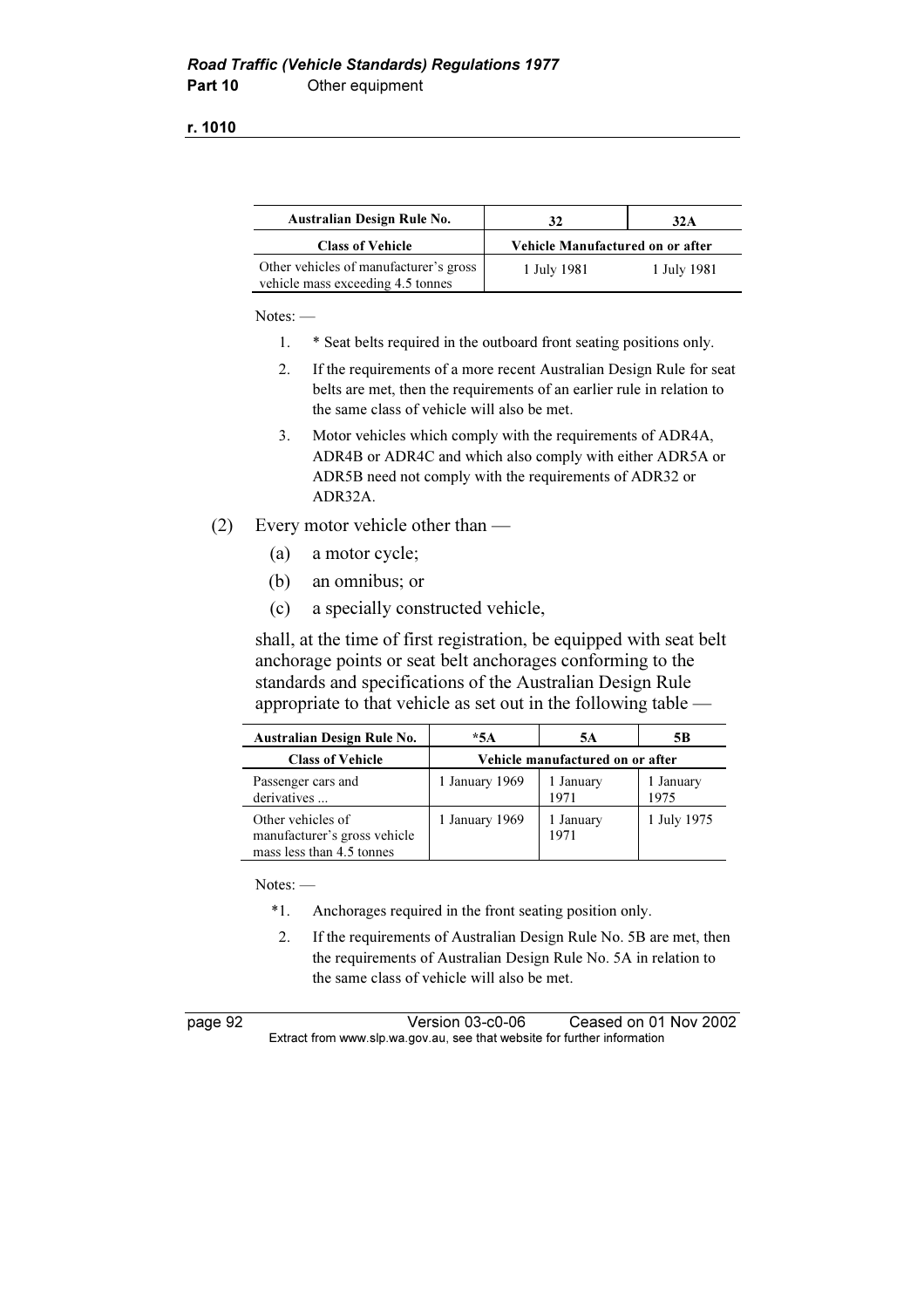| Australian Design Rule No.                                                  | 32                               | 32A         |  |
|-----------------------------------------------------------------------------|----------------------------------|-------------|--|
| <b>Class of Vehicle</b>                                                     | Vehicle Manufactured on or after |             |  |
| Other vehicles of manufacturer's gross<br>vehicle mass exceeding 4.5 tonnes | 1 July 1981                      | 1 July 1981 |  |

Notes: —

- 1. \* Seat belts required in the outboard front seating positions only.
- 2. If the requirements of a more recent Australian Design Rule for seat belts are met, then the requirements of an earlier rule in relation to the same class of vehicle will also be met.
- 3. Motor vehicles which comply with the requirements of ADR4A, ADR4B or ADR4C and which also comply with either ADR5A or ADR5B need not comply with the requirements of ADR32 or ADR32A.
- (2) Every motor vehicle other than
	- (a) a motor cycle;
	- (b) an omnibus; or
	- (c) a specially constructed vehicle,

 shall, at the time of first registration, be equipped with seat belt anchorage points or seat belt anchorages conforming to the standards and specifications of the Australian Design Rule appropriate to that vehicle as set out in the following table —

| Australian Design Rule No.                                                     | $*5A$                            | 5A                | 5Β                |
|--------------------------------------------------------------------------------|----------------------------------|-------------------|-------------------|
| <b>Class of Vehicle</b>                                                        | Vehicle manufactured on or after |                   |                   |
| Passenger cars and<br>derivatives                                              | 1 January 1969                   | 1 January<br>1971 | 1 January<br>1975 |
| Other vehicles of<br>manufacturer's gross vehicle<br>mass less than 4.5 tonnes | 1 January 1969                   | 1 January<br>1971 | 1 July 1975       |

Notes: —

- \*1. Anchorages required in the front seating position only.
- 2. If the requirements of Australian Design Rule No. 5B are met, then the requirements of Australian Design Rule No. 5A in relation to the same class of vehicle will also be met.

page 92 Version 03-c0-06 Ceased on 01 Nov 2002<br>Extract from www.slp.wa.gov.au, see that website for further information  $\mathbf{F}$  from which was the set that we besite for further information  $\mathbf{F}$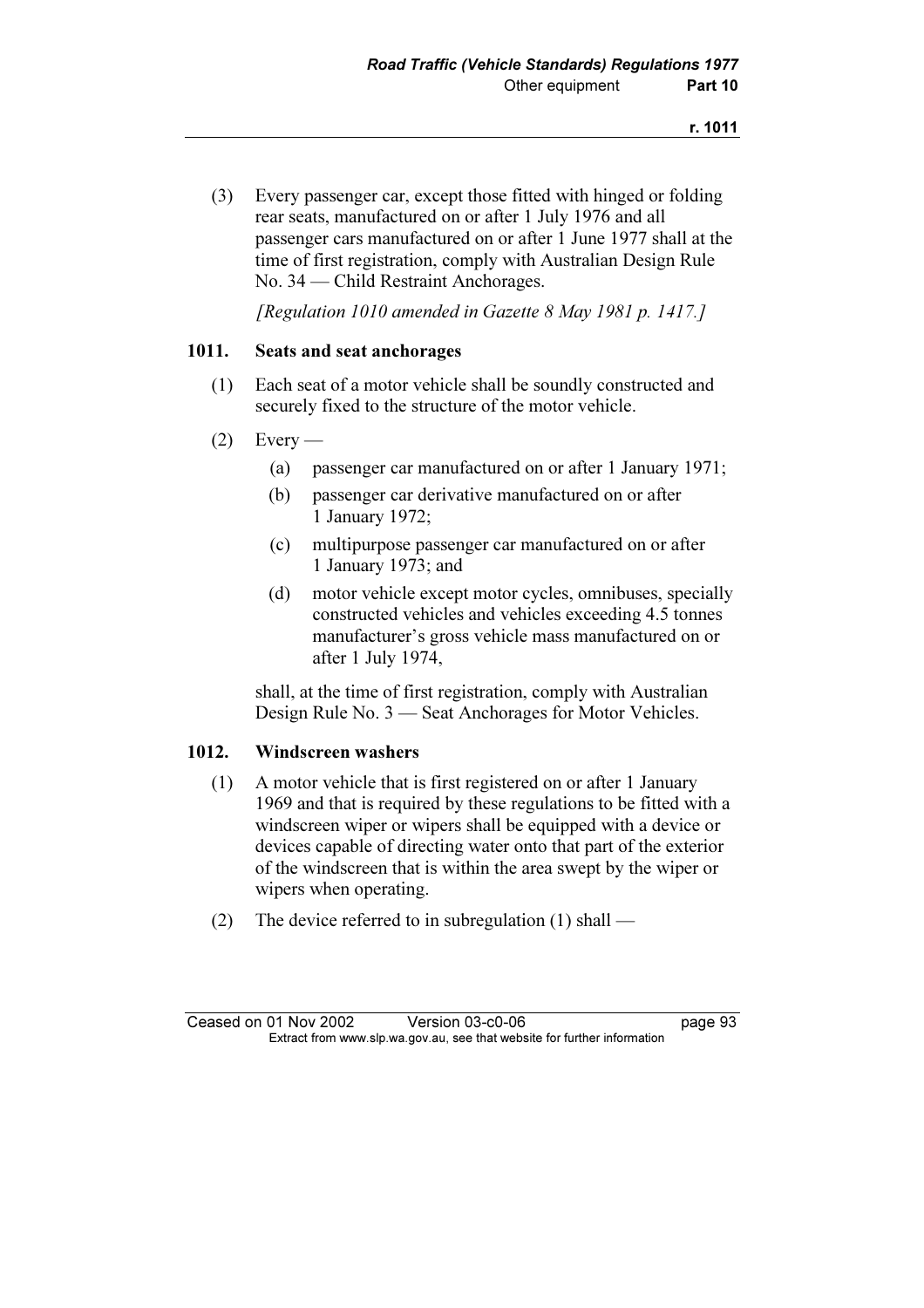(3) Every passenger car, except those fitted with hinged or folding rear seats, manufactured on or after 1 July 1976 and all passenger cars manufactured on or after 1 June 1977 shall at the time of first registration, comply with Australian Design Rule No. 34 — Child Restraint Anchorages.

[Regulation 1010 amended in Gazette 8 May 1981 p. 1417.]

## 1011. Seats and seat anchorages

- (1) Each seat of a motor vehicle shall be soundly constructed and securely fixed to the structure of the motor vehicle.
- $(2)$  Every
	- (a) passenger car manufactured on or after 1 January 1971;
	- (b) passenger car derivative manufactured on or after 1 January 1972;
	- (c) multipurpose passenger car manufactured on or after 1 January 1973; and
	- (d) motor vehicle except motor cycles, omnibuses, specially constructed vehicles and vehicles exceeding 4.5 tonnes manufacturer's gross vehicle mass manufactured on or after 1 July 1974,

 shall, at the time of first registration, comply with Australian Design Rule No. 3 — Seat Anchorages for Motor Vehicles.

#### 1012. Windscreen washers

- (1) A motor vehicle that is first registered on or after 1 January 1969 and that is required by these regulations to be fitted with a windscreen wiper or wipers shall be equipped with a device or devices capable of directing water onto that part of the exterior of the windscreen that is within the area swept by the wiper or wipers when operating.
- (2) The device referred to in subregulation (1) shall —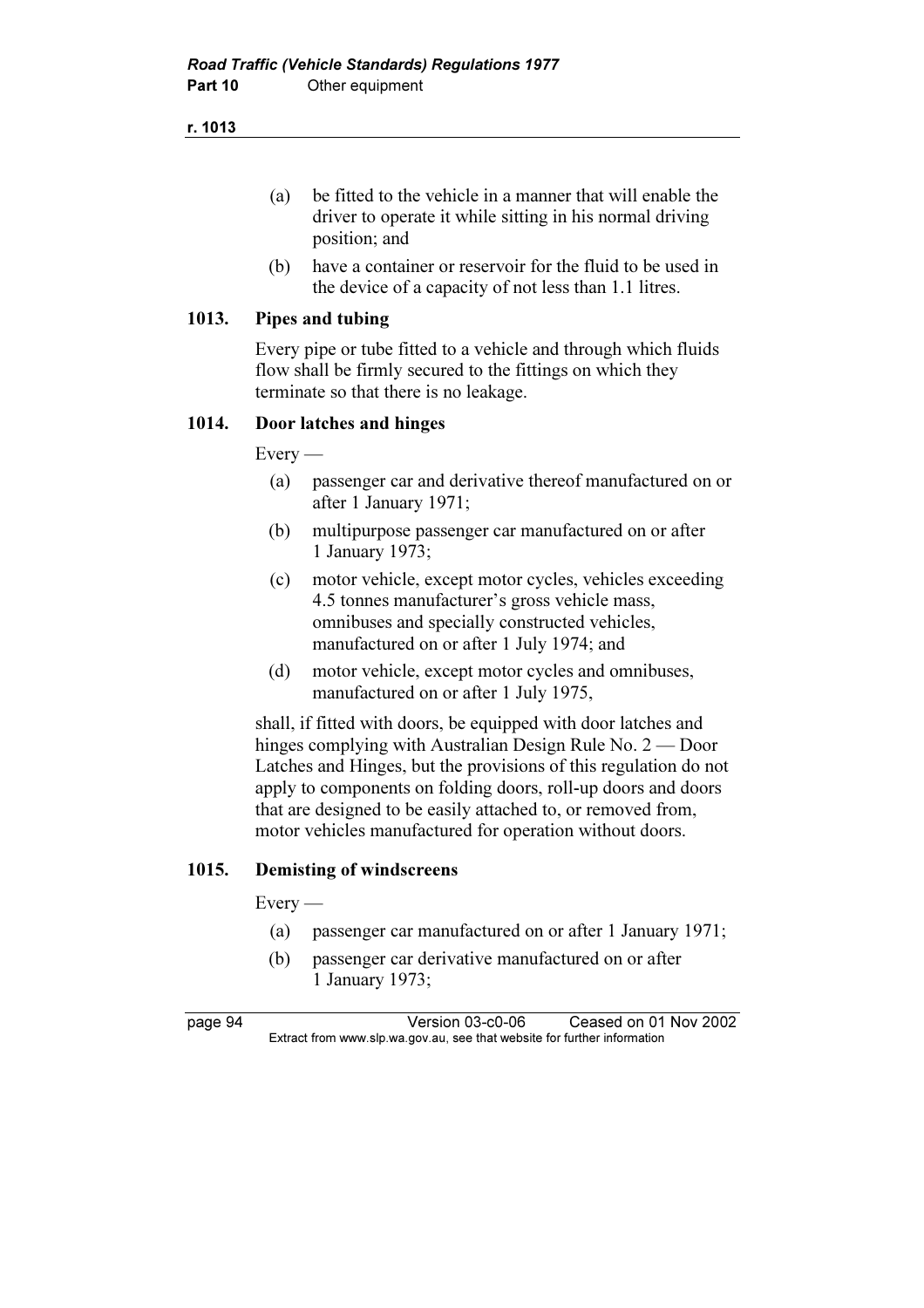- (a) be fitted to the vehicle in a manner that will enable the driver to operate it while sitting in his normal driving position; and
- (b) have a container or reservoir for the fluid to be used in the device of a capacity of not less than 1.1 litres.

#### 1013. Pipes and tubing

 Every pipe or tube fitted to a vehicle and through which fluids flow shall be firmly secured to the fittings on which they terminate so that there is no leakage.

#### 1014. Door latches and hinges

Every —

- (a) passenger car and derivative thereof manufactured on or after 1 January 1971;
- (b) multipurpose passenger car manufactured on or after 1 January 1973;
- (c) motor vehicle, except motor cycles, vehicles exceeding 4.5 tonnes manufacturer's gross vehicle mass, omnibuses and specially constructed vehicles, manufactured on or after 1 July 1974; and
- (d) motor vehicle, except motor cycles and omnibuses, manufactured on or after 1 July 1975,

 shall, if fitted with doors, be equipped with door latches and hinges complying with Australian Design Rule No. 2 — Door Latches and Hinges, but the provisions of this regulation do not apply to components on folding doors, roll-up doors and doors that are designed to be easily attached to, or removed from, motor vehicles manufactured for operation without doors.

#### 1015. Demisting of windscreens

Every —

- (a) passenger car manufactured on or after 1 January 1971;
- (b) passenger car derivative manufactured on or after 1 January 1973;

page 94 Version 03-c0-06 Ceased on 01 Nov 2002<br>Extract from www.slp.wa.gov.au, see that website for further information  $\mathbf{F}$  from which was the set that we besite for further information  $\mathbf{F}$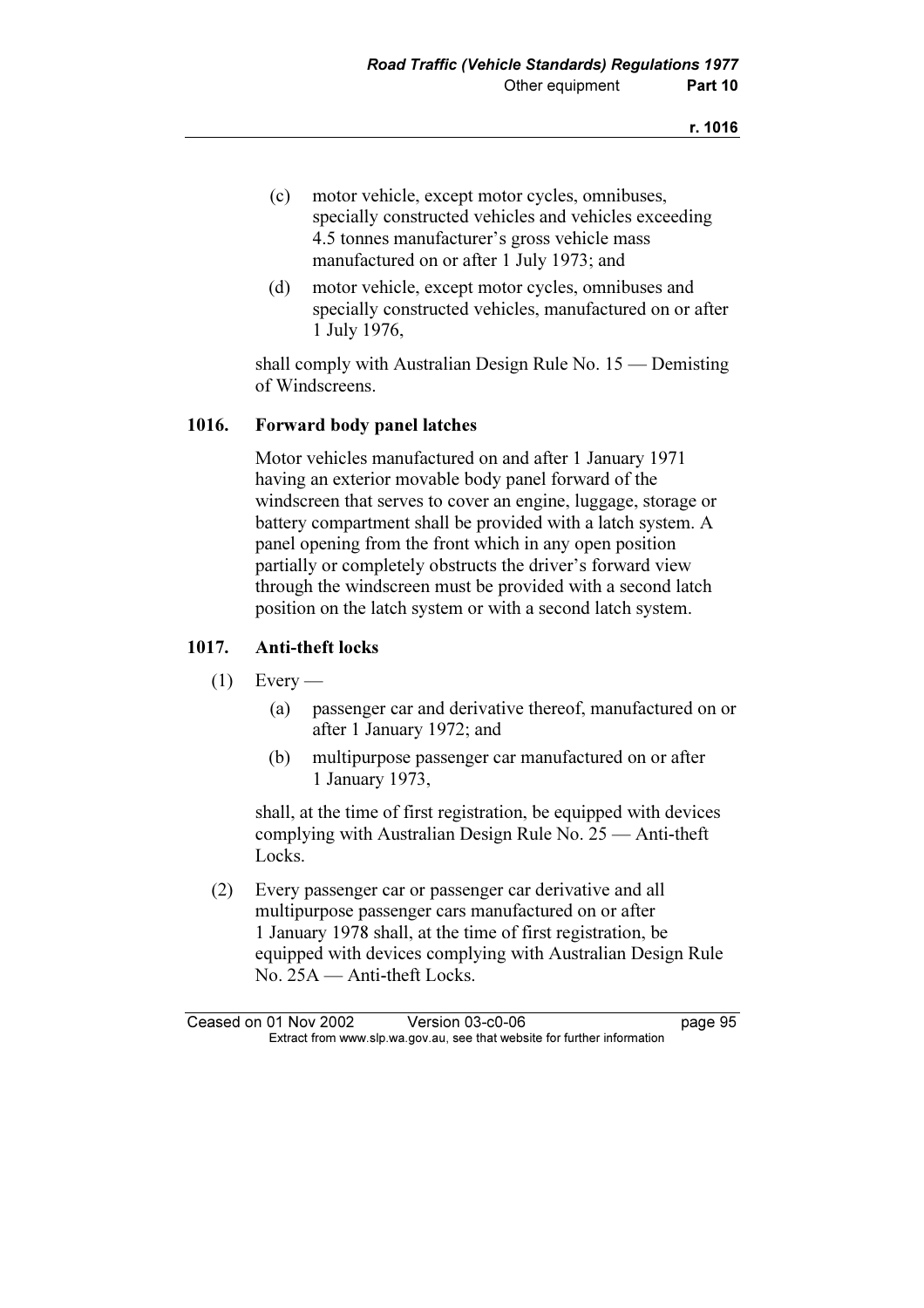- (c) motor vehicle, except motor cycles, omnibuses, specially constructed vehicles and vehicles exceeding 4.5 tonnes manufacturer's gross vehicle mass manufactured on or after 1 July 1973; and
- (d) motor vehicle, except motor cycles, omnibuses and specially constructed vehicles, manufactured on or after 1 July 1976,

 shall comply with Australian Design Rule No. 15 — Demisting of Windscreens.

#### 1016. Forward body panel latches

 Motor vehicles manufactured on and after 1 January 1971 having an exterior movable body panel forward of the windscreen that serves to cover an engine, luggage, storage or battery compartment shall be provided with a latch system. A panel opening from the front which in any open position partially or completely obstructs the driver's forward view through the windscreen must be provided with a second latch position on the latch system or with a second latch system.

#### 1017. Anti-theft locks

- $(1)$  Every
	- (a) passenger car and derivative thereof, manufactured on or after 1 January 1972; and
	- (b) multipurpose passenger car manufactured on or after 1 January 1973,

 shall, at the time of first registration, be equipped with devices complying with Australian Design Rule No. 25 — Anti-theft Locks.

 (2) Every passenger car or passenger car derivative and all multipurpose passenger cars manufactured on or after 1 January 1978 shall, at the time of first registration, be equipped with devices complying with Australian Design Rule No. 25A — Anti-theft Locks.

Ceased on 01 Nov 2002 Version 03-c0-06 page 95<br>Extract from www.slp.wa.gov.au, see that website for further information  $\mathbf{F}$  from which was the set that we besite for further information  $\mathbf{F}$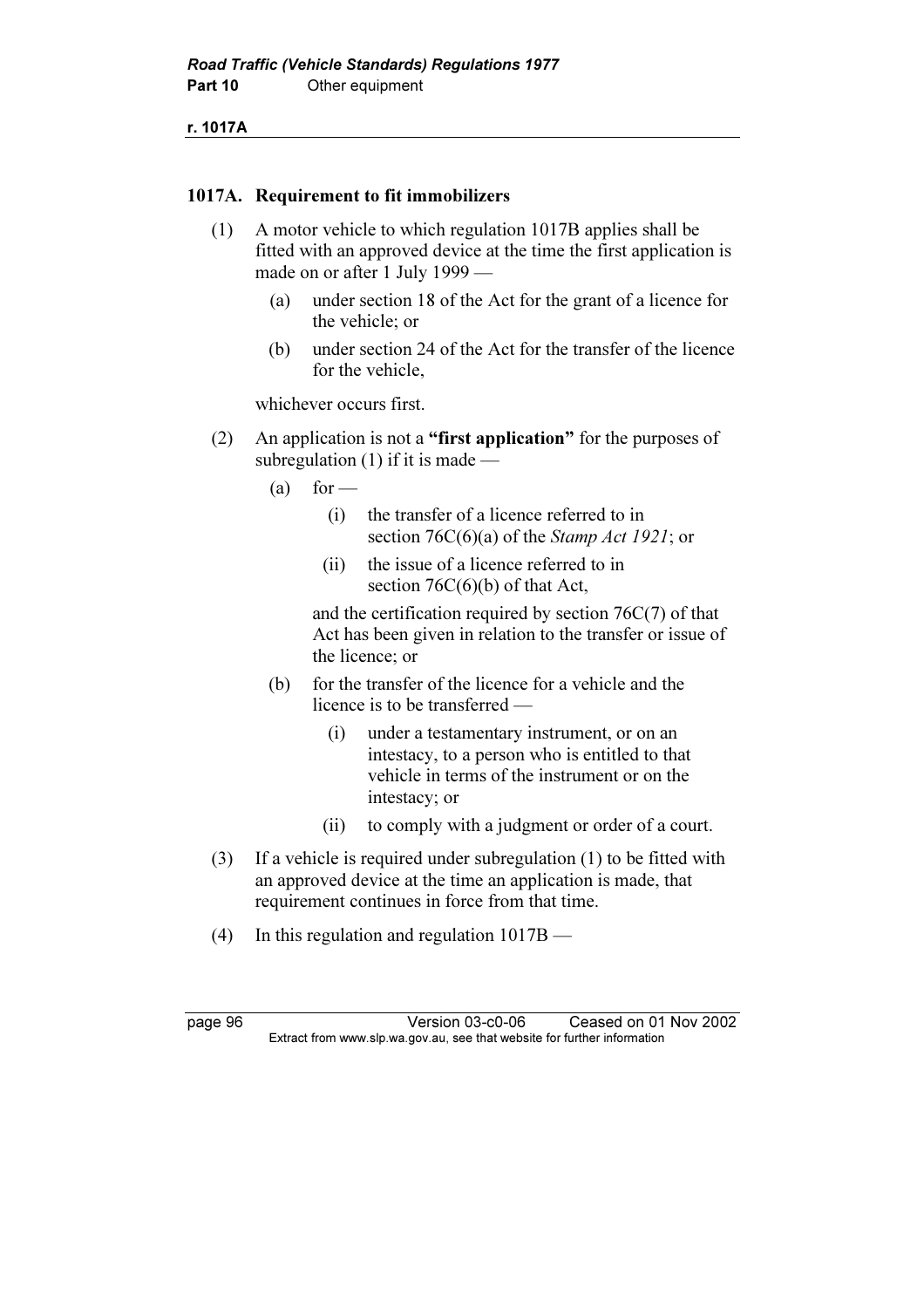r. 1017A

### 1017A. Requirement to fit immobilizers

- (1) A motor vehicle to which regulation 1017B applies shall be fitted with an approved device at the time the first application is made on or after 1 July 1999 —
	- (a) under section 18 of the Act for the grant of a licence for the vehicle; or
	- (b) under section 24 of the Act for the transfer of the licence for the vehicle,

whichever occurs first.

- (2) An application is not a "first application" for the purposes of subregulation  $(1)$  if it is made —
	- $(a)$  for
		- (i) the transfer of a licence referred to in section 76C(6)(a) of the Stamp Act 1921; or
		- (ii) the issue of a licence referred to in section  $76C(6)(b)$  of that Act,

 and the certification required by section 76C(7) of that Act has been given in relation to the transfer or issue of the licence; or

- (b) for the transfer of the licence for a vehicle and the licence is to be transferred —
	- (i) under a testamentary instrument, or on an intestacy, to a person who is entitled to that vehicle in terms of the instrument or on the intestacy; or
	- (ii) to comply with a judgment or order of a court.
- (3) If a vehicle is required under subregulation (1) to be fitted with an approved device at the time an application is made, that requirement continues in force from that time.
- (4) In this regulation and regulation 1017B —

page 96 Version 03-c0-06 Ceased on 01 Nov 2002<br>Extract from www.slp.wa.gov.au, see that website for further information  $\mathbf{F}$  from which was the set that we besite for further information  $\mathbf{F}$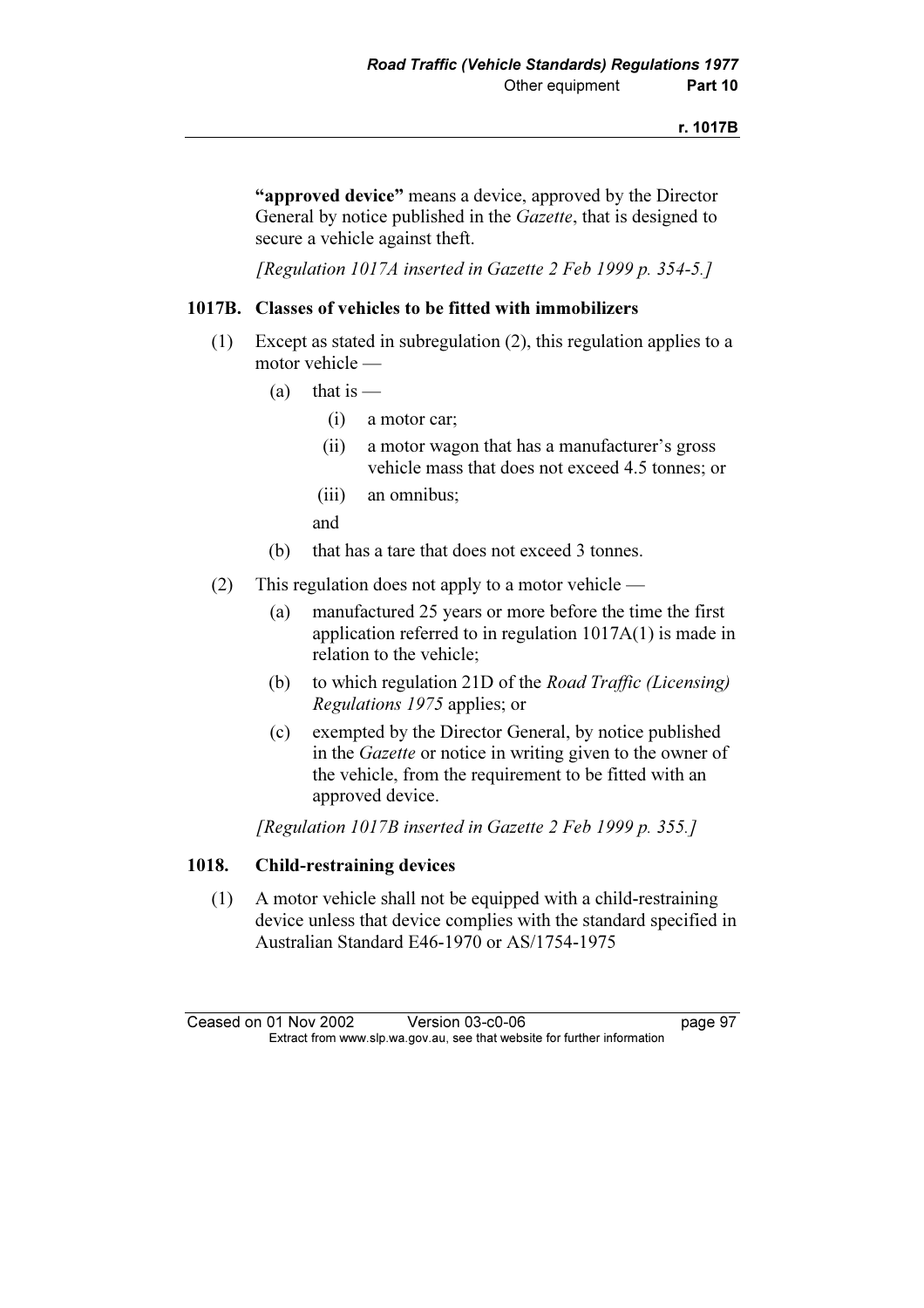"approved device" means a device, approved by the Director General by notice published in the *Gazette*, that is designed to secure a vehicle against theft.

[Regulation 1017A inserted in Gazette 2 Feb 1999 p. 354-5.]

## 1017B. Classes of vehicles to be fitted with immobilizers

- (1) Except as stated in subregulation (2), this regulation applies to a motor vehicle —
	- (a) that is  $-$ 
		- (i) a motor car;
		- (ii) a motor wagon that has a manufacturer's gross vehicle mass that does not exceed 4.5 tonnes; or
		- (iii) an omnibus;

and

- (b) that has a tare that does not exceed 3 tonnes.
- (2) This regulation does not apply to a motor vehicle
	- (a) manufactured 25 years or more before the time the first application referred to in regulation 1017A(1) is made in relation to the vehicle;
	- (b) to which regulation 21D of the Road Traffic (Licensing) Regulations 1975 applies; or
	- (c) exempted by the Director General, by notice published in the Gazette or notice in writing given to the owner of the vehicle, from the requirement to be fitted with an approved device.

[Regulation 1017B inserted in Gazette 2 Feb 1999 p. 355.]

#### 1018. Child-restraining devices

 (1) A motor vehicle shall not be equipped with a child-restraining device unless that device complies with the standard specified in Australian Standard E46-1970 or AS/1754-1975

Ceased on 01 Nov 2002 Version 03-c0-06 page 97<br>Extract from www.slp.wa.gov.au, see that website for further information  $\mathbf{F}$  from which was the set that we besite for further information  $\mathbf{F}$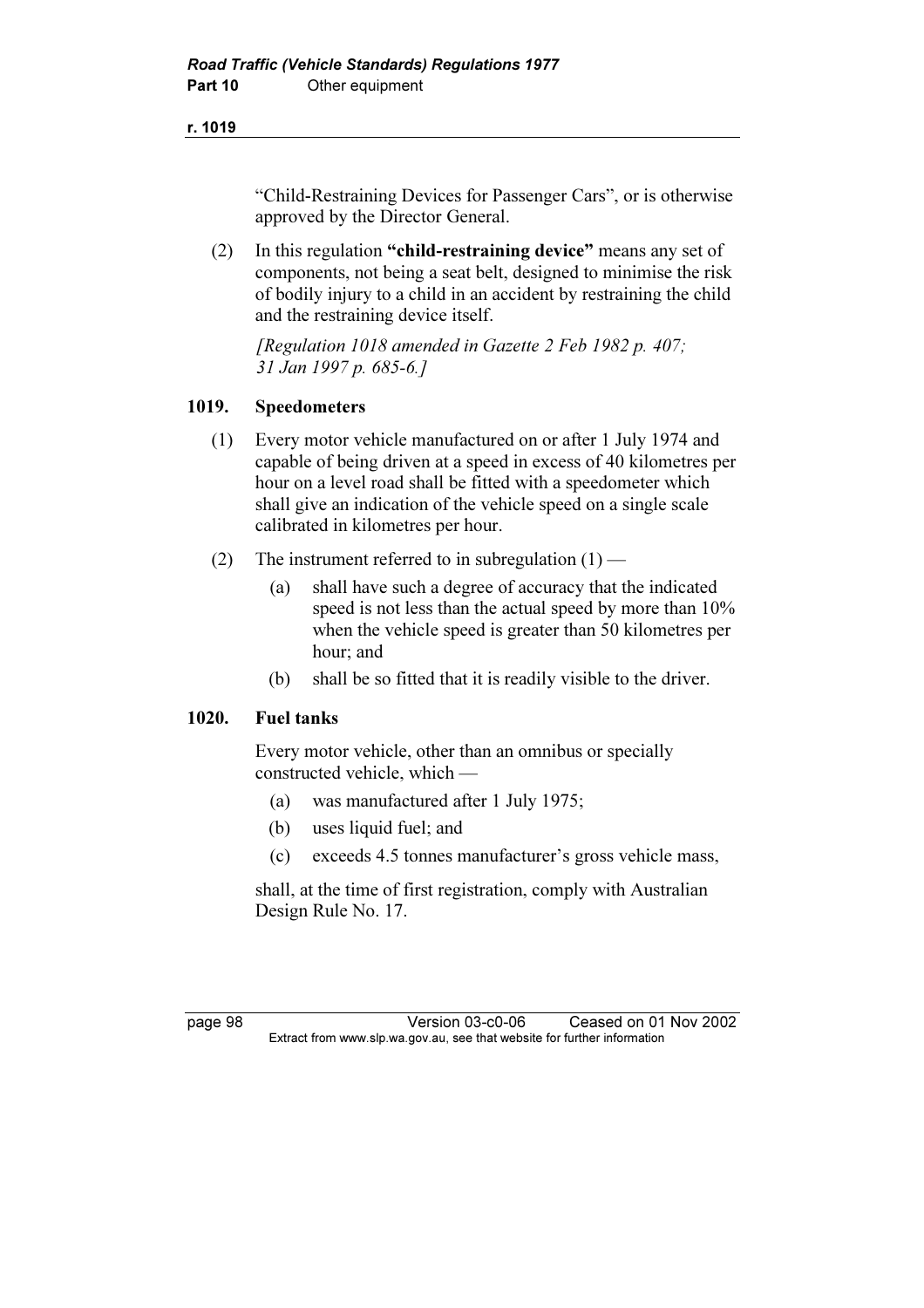"Child-Restraining Devices for Passenger Cars", or is otherwise approved by the Director General.

 (2) In this regulation "child-restraining device" means any set of components, not being a seat belt, designed to minimise the risk of bodily injury to a child in an accident by restraining the child and the restraining device itself.

[Regulation 1018 amended in Gazette 2 Feb 1982 p. 407; 31 Jan 1997 p. 685-6.]

#### 1019. Speedometers

- (1) Every motor vehicle manufactured on or after 1 July 1974 and capable of being driven at a speed in excess of 40 kilometres per hour on a level road shall be fitted with a speedometer which shall give an indication of the vehicle speed on a single scale calibrated in kilometres per hour.
- (2) The instrument referred to in subregulation  $(1)$ 
	- (a) shall have such a degree of accuracy that the indicated speed is not less than the actual speed by more than 10% when the vehicle speed is greater than 50 kilometres per hour; and
	- (b) shall be so fitted that it is readily visible to the driver.

#### 1020. Fuel tanks

 Every motor vehicle, other than an omnibus or specially constructed vehicle, which —

- (a) was manufactured after 1 July 1975;
- (b) uses liquid fuel; and
- (c) exceeds 4.5 tonnes manufacturer's gross vehicle mass,

 shall, at the time of first registration, comply with Australian Design Rule No. 17.

page 98 Version 03-c0-06 Ceased on 01 Nov 2002<br>Extract from www.slp.wa.gov.au, see that website for further information  $\mathbf{F}$  from which was the set that we besite for further information  $\mathbf{F}$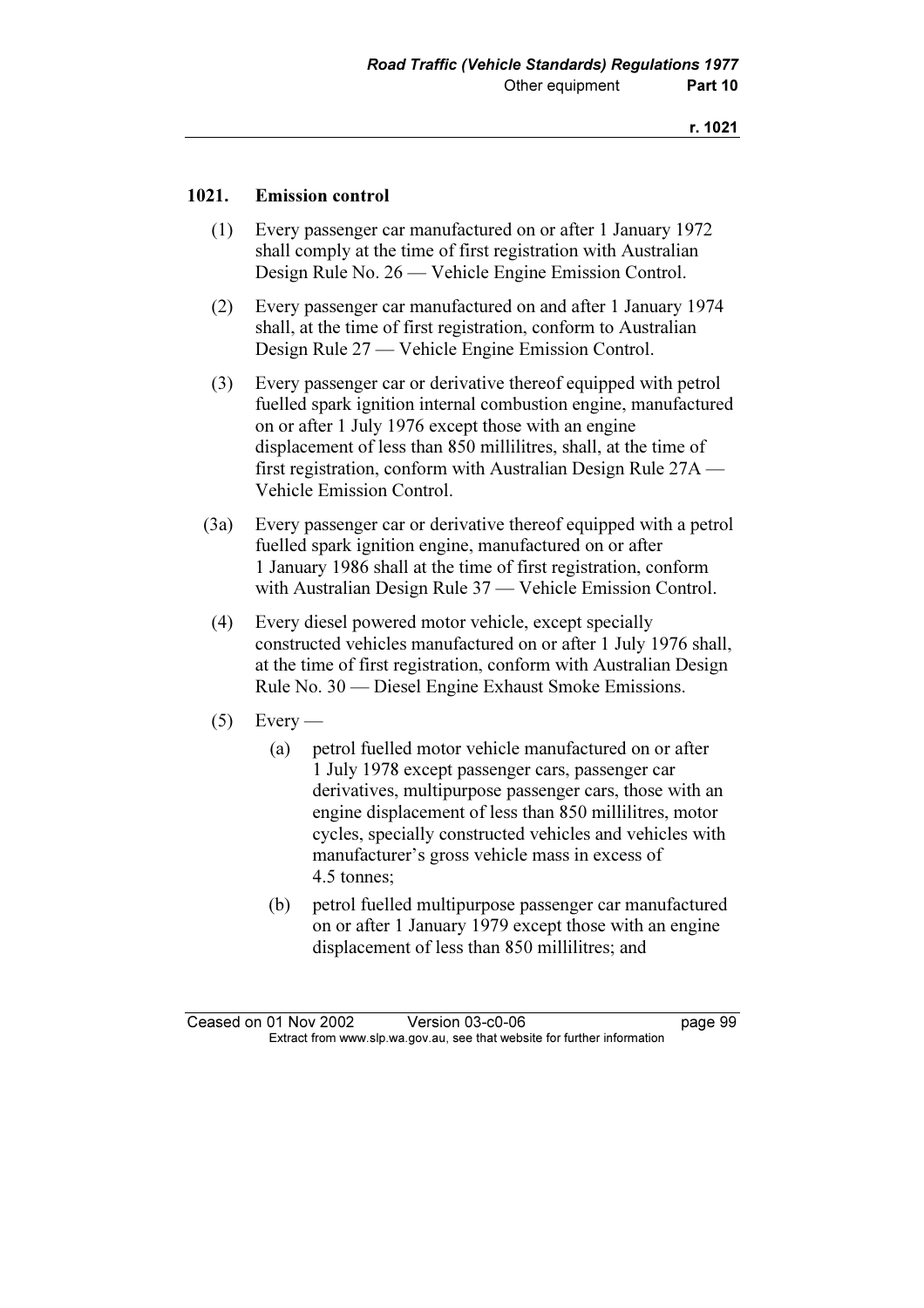## 1021. Emission control

- (1) Every passenger car manufactured on or after 1 January 1972 shall comply at the time of first registration with Australian Design Rule No. 26 — Vehicle Engine Emission Control.
- (2) Every passenger car manufactured on and after 1 January 1974 shall, at the time of first registration, conform to Australian Design Rule 27 — Vehicle Engine Emission Control.
- (3) Every passenger car or derivative thereof equipped with petrol fuelled spark ignition internal combustion engine, manufactured on or after 1 July 1976 except those with an engine displacement of less than 850 millilitres, shall, at the time of first registration, conform with Australian Design Rule 27A — Vehicle Emission Control.
- (3a) Every passenger car or derivative thereof equipped with a petrol fuelled spark ignition engine, manufactured on or after 1 January 1986 shall at the time of first registration, conform with Australian Design Rule 37 — Vehicle Emission Control.
- (4) Every diesel powered motor vehicle, except specially constructed vehicles manufactured on or after 1 July 1976 shall, at the time of first registration, conform with Australian Design Rule No. 30 — Diesel Engine Exhaust Smoke Emissions.
- $(5)$  Every
	- (a) petrol fuelled motor vehicle manufactured on or after 1 July 1978 except passenger cars, passenger car derivatives, multipurpose passenger cars, those with an engine displacement of less than 850 millilitres, motor cycles, specially constructed vehicles and vehicles with manufacturer's gross vehicle mass in excess of 4.5 tonnes;
	- (b) petrol fuelled multipurpose passenger car manufactured on or after 1 January 1979 except those with an engine displacement of less than 850 millilitres; and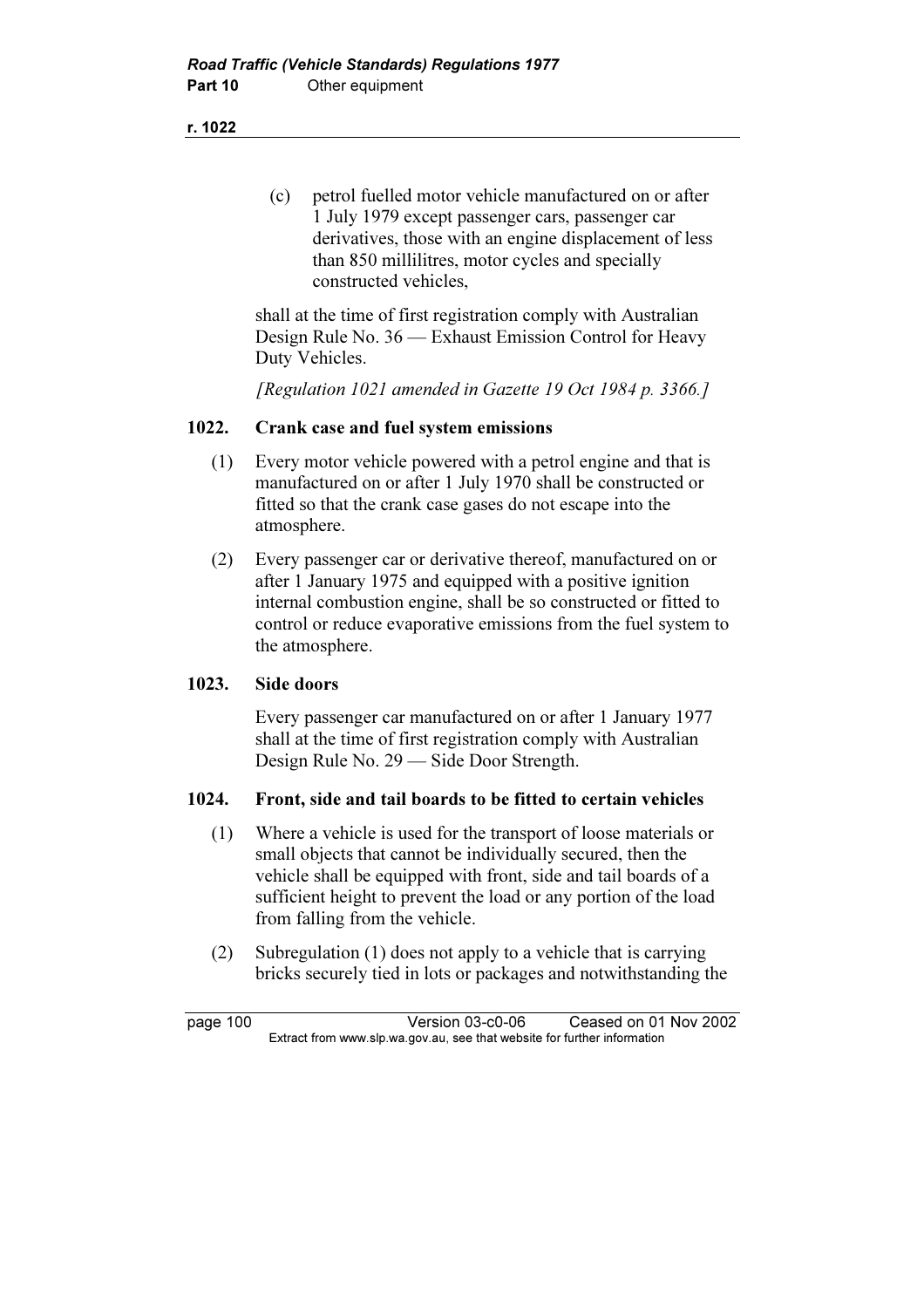(c) petrol fuelled motor vehicle manufactured on or after 1 July 1979 except passenger cars, passenger car derivatives, those with an engine displacement of less than 850 millilitres, motor cycles and specially constructed vehicles,

 shall at the time of first registration comply with Australian Design Rule No. 36 — Exhaust Emission Control for Heavy Duty Vehicles.

[Regulation 1021 amended in Gazette 19 Oct 1984 p. 3366.]

## 1022. Crank case and fuel system emissions

- (1) Every motor vehicle powered with a petrol engine and that is manufactured on or after 1 July 1970 shall be constructed or fitted so that the crank case gases do not escape into the atmosphere.
- (2) Every passenger car or derivative thereof, manufactured on or after 1 January 1975 and equipped with a positive ignition internal combustion engine, shall be so constructed or fitted to control or reduce evaporative emissions from the fuel system to the atmosphere.

## 1023. Side doors

 Every passenger car manufactured on or after 1 January 1977 shall at the time of first registration comply with Australian Design Rule No. 29 — Side Door Strength.

## 1024. Front, side and tail boards to be fitted to certain vehicles

- (1) Where a vehicle is used for the transport of loose materials or small objects that cannot be individually secured, then the vehicle shall be equipped with front, side and tail boards of a sufficient height to prevent the load or any portion of the load from falling from the vehicle.
- (2) Subregulation (1) does not apply to a vehicle that is carrying bricks securely tied in lots or packages and notwithstanding the

page 100 Version 03-c0-06 Ceased on 01 Nov 2002<br>Extract from www.slp.wa.gov.au, see that website for further information  $\mathbf{F}$  from which was the set that we besite for further information  $\mathbf{F}$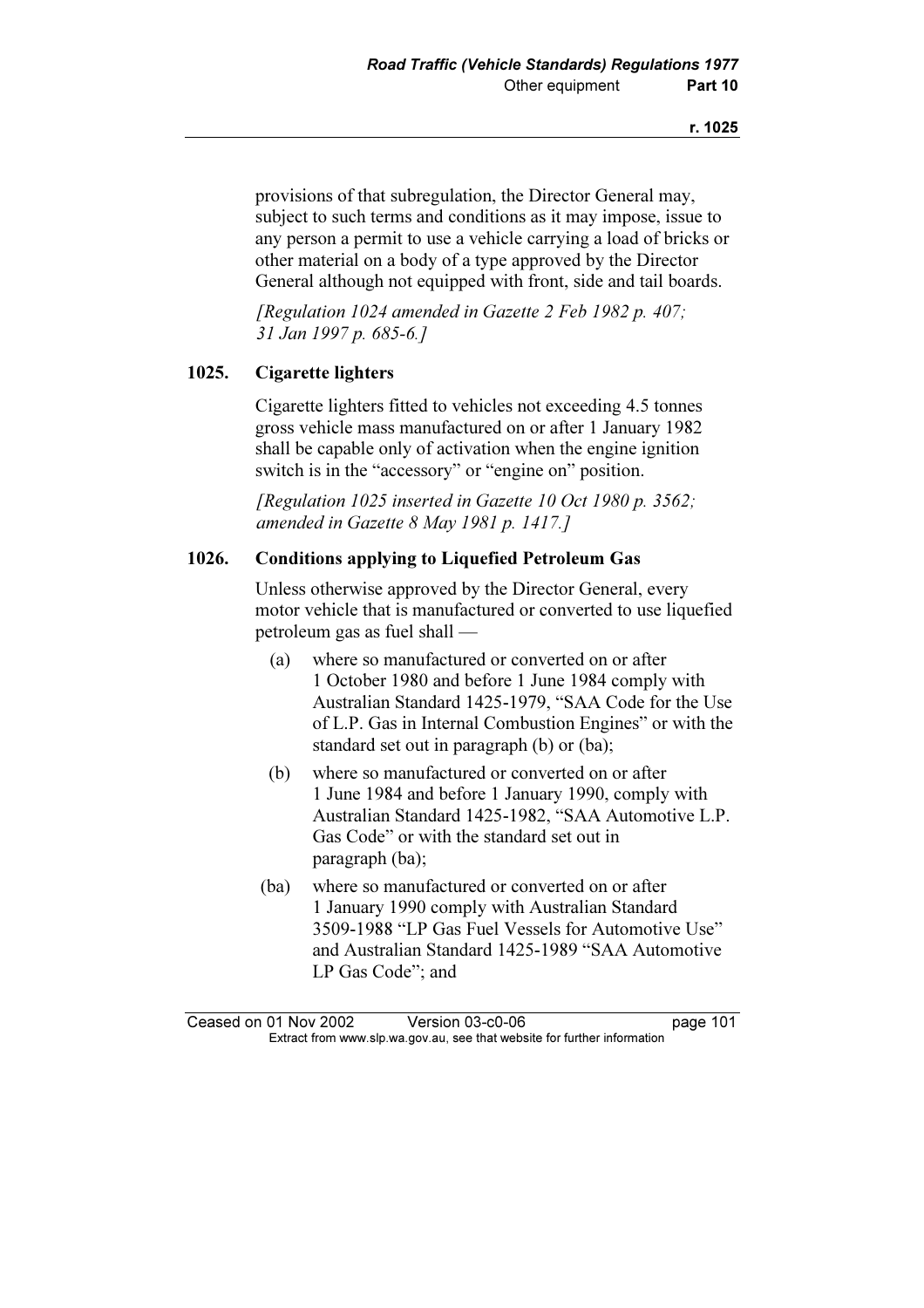provisions of that subregulation, the Director General may, subject to such terms and conditions as it may impose, issue to any person a permit to use a vehicle carrying a load of bricks or other material on a body of a type approved by the Director General although not equipped with front, side and tail boards.

[Regulation 1024 amended in Gazette 2 Feb 1982 p. 407; 31 Jan 1997 p. 685-6.]

### 1025. Cigarette lighters

 Cigarette lighters fitted to vehicles not exceeding 4.5 tonnes gross vehicle mass manufactured on or after 1 January 1982 shall be capable only of activation when the engine ignition switch is in the "accessory" or "engine on" position.

 [Regulation 1025 inserted in Gazette 10 Oct 1980 p. 3562; amended in Gazette 8 May 1981 p. 1417.]

### 1026. Conditions applying to Liquefied Petroleum Gas

 Unless otherwise approved by the Director General, every motor vehicle that is manufactured or converted to use liquefied petroleum gas as fuel shall —

- (a) where so manufactured or converted on or after 1 October 1980 and before 1 June 1984 comply with Australian Standard 1425-1979, "SAA Code for the Use of L.P. Gas in Internal Combustion Engines" or with the standard set out in paragraph (b) or (ba);
- (b) where so manufactured or converted on or after 1 June 1984 and before 1 January 1990, comply with Australian Standard 1425-1982, "SAA Automotive L.P. Gas Code" or with the standard set out in paragraph (ba);
- (ba) where so manufactured or converted on or after 1 January 1990 comply with Australian Standard 3509-1988 "LP Gas Fuel Vessels for Automotive Use" and Australian Standard 1425-1989 "SAA Automotive LP Gas Code"; and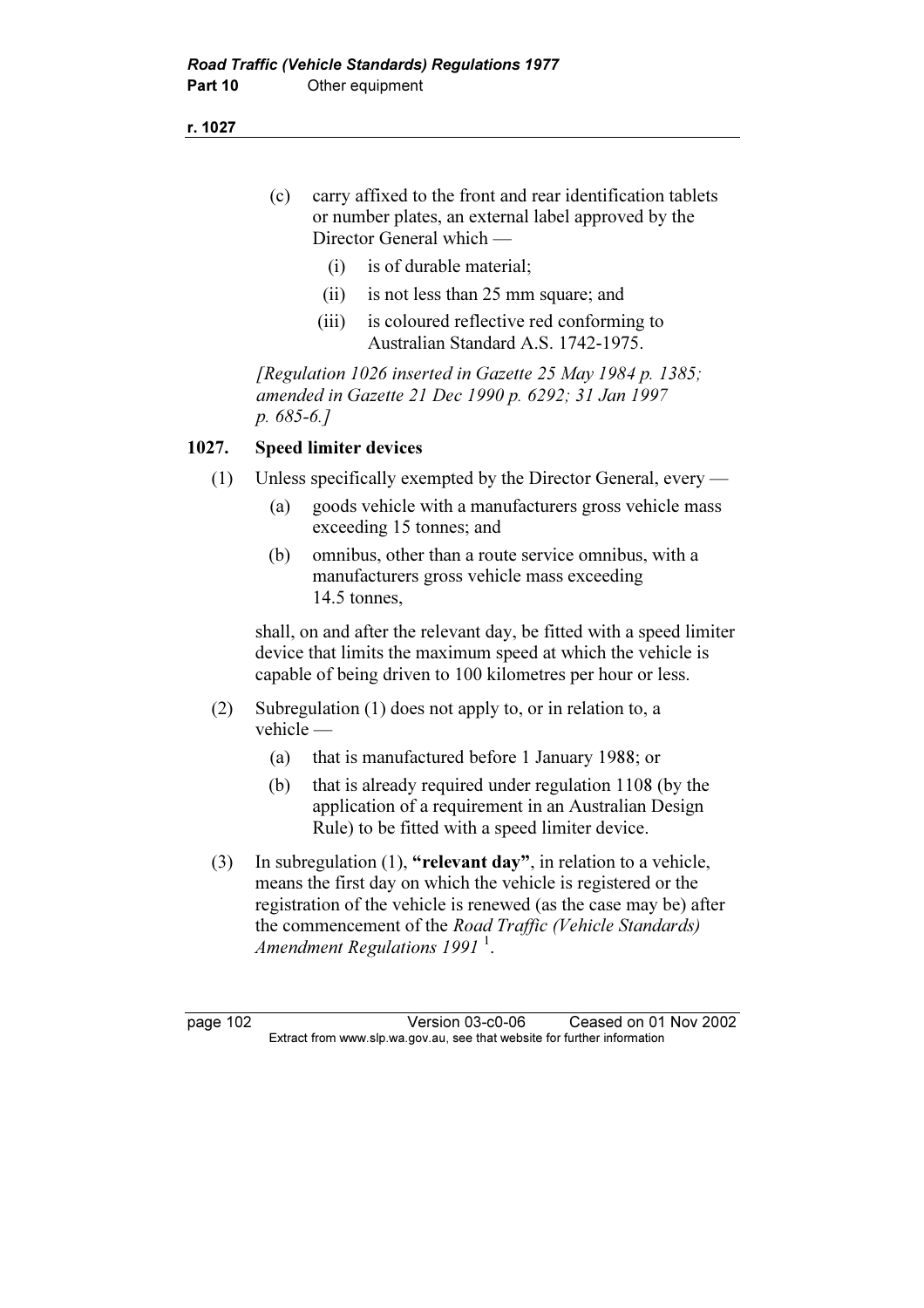- (c) carry affixed to the front and rear identification tablets or number plates, an external label approved by the Director General which —
	- (i) is of durable material;
	- (ii) is not less than 25 mm square; and
	- (iii) is coloured reflective red conforming to Australian Standard A.S. 1742-1975.

 [Regulation 1026 inserted in Gazette 25 May 1984 p. 1385; amended in Gazette 21 Dec 1990 p. 6292; 31 Jan 1997 p. 685-6.]

## 1027. Speed limiter devices

- (1) Unless specifically exempted by the Director General, every
	- (a) goods vehicle with a manufacturers gross vehicle mass exceeding 15 tonnes; and
	- (b) omnibus, other than a route service omnibus, with a manufacturers gross vehicle mass exceeding 14.5 tonnes,

 shall, on and after the relevant day, be fitted with a speed limiter device that limits the maximum speed at which the vehicle is capable of being driven to 100 kilometres per hour or less.

- (2) Subregulation (1) does not apply to, or in relation to, a vehicle —
	- (a) that is manufactured before 1 January 1988; or
	- (b) that is already required under regulation 1108 (by the application of a requirement in an Australian Design Rule) to be fitted with a speed limiter device.
- (3) In subregulation (1), "relevant day", in relation to a vehicle, means the first day on which the vehicle is registered or the registration of the vehicle is renewed (as the case may be) after the commencement of the Road Traffic (Vehicle Standards) Amendment Regulations 1991 $^1$ .

page 102 <br>Extract from www.slp.wa.gov.au, see that website for further information<br>Extract from www.slp.wa.gov.au, see that website for further information  $\mathbf{F}$  from which was the set that we besite for further information  $\mathbf{F}$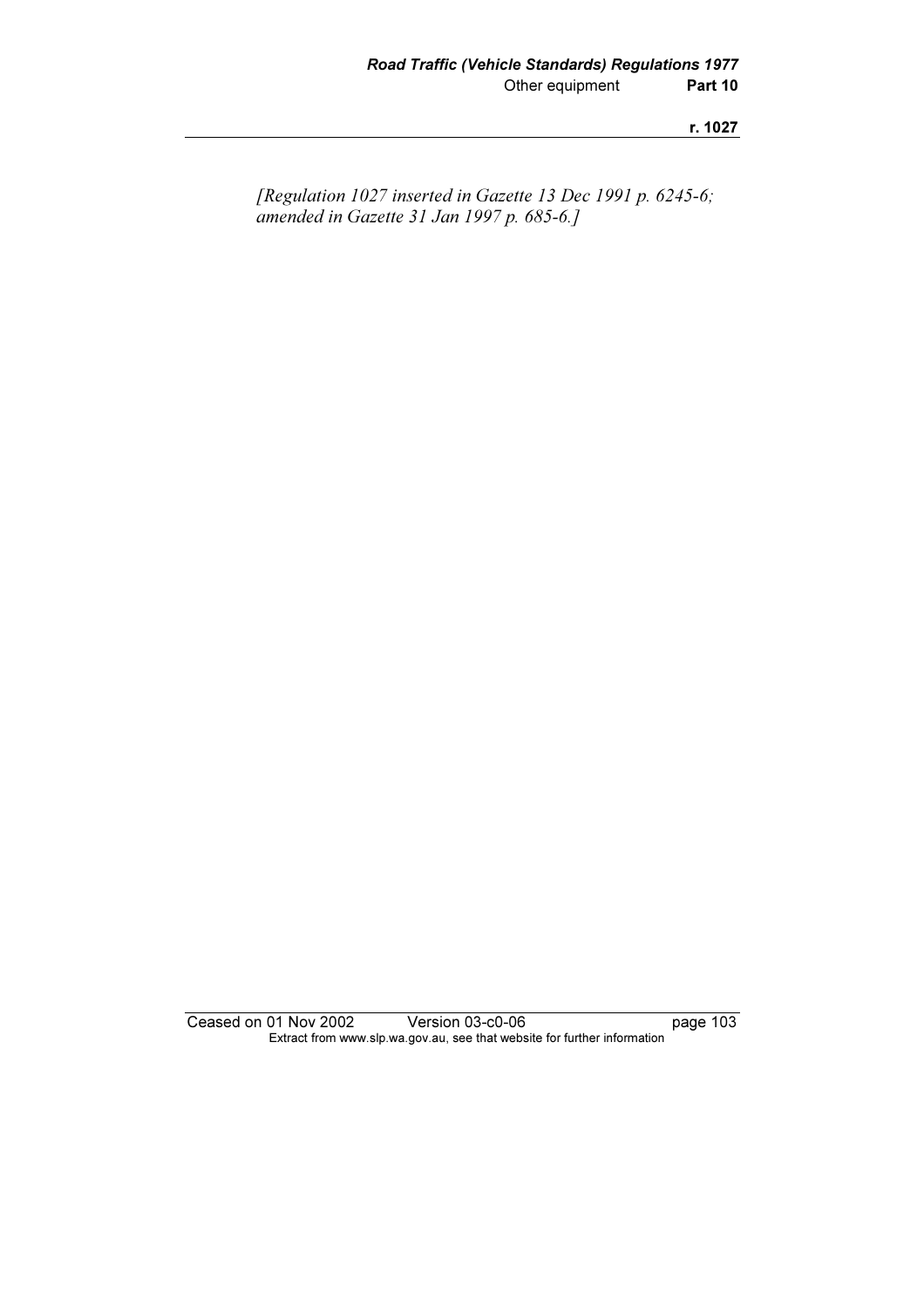[Regulation 1027 inserted in Gazette 13 Dec 1991 p. 6245-6; amended in Gazette 31 Jan 1997 p. 685-6.]

Ceased on 01 Nov 2002 Version 03-c0-06 page 103 Extract from www.slp.wa.gov.au, see that website for further information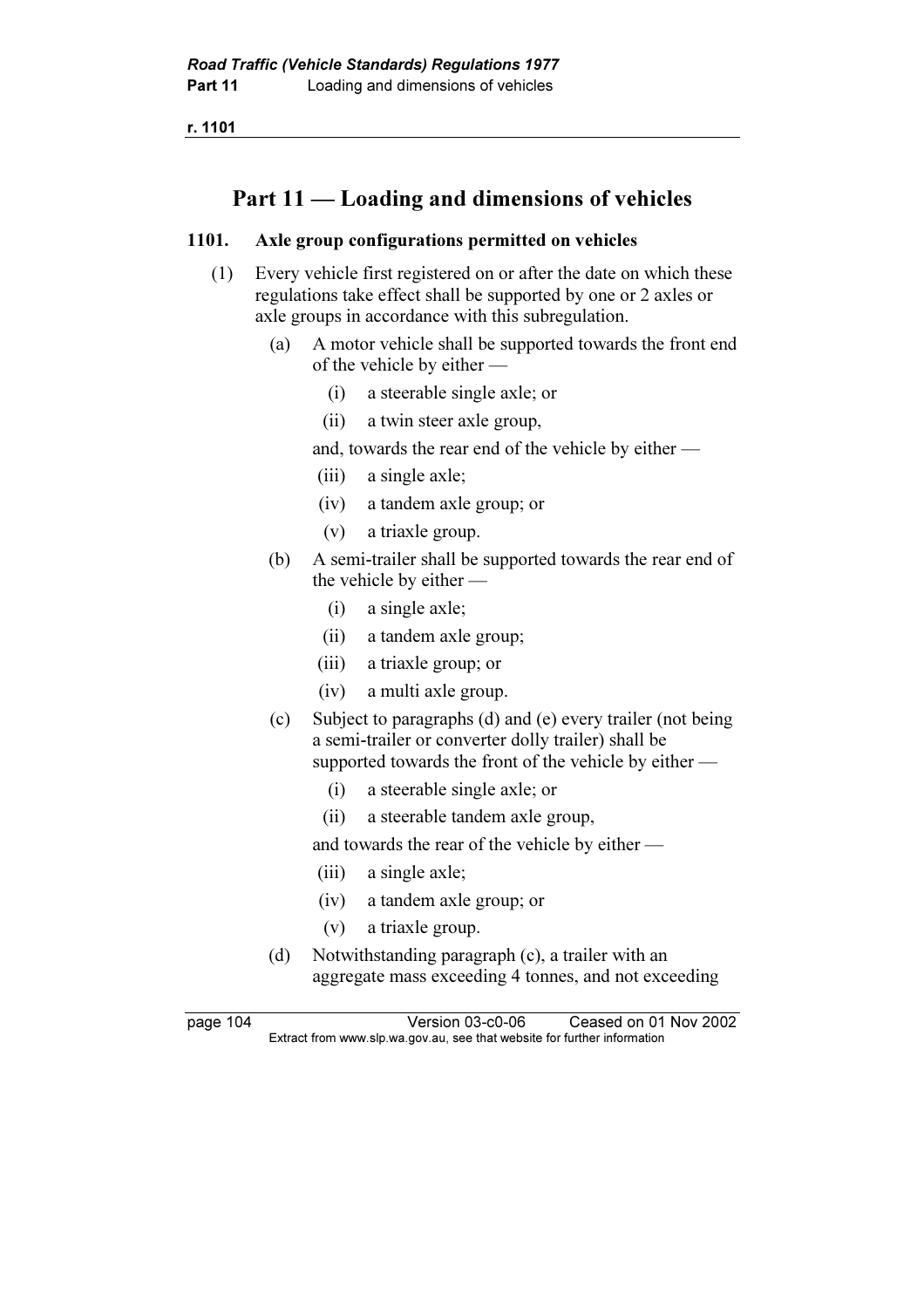## Part 11 — Loading and dimensions of vehicles

## 1101. Axle group configurations permitted on vehicles

- (1) Every vehicle first registered on or after the date on which these regulations take effect shall be supported by one or 2 axles or axle groups in accordance with this subregulation.
	- (a) A motor vehicle shall be supported towards the front end of the vehicle by either —
		- (i) a steerable single axle; or
		- (ii) a twin steer axle group,
		- and, towards the rear end of the vehicle by either —
		- (iii) a single axle;
		- (iv) a tandem axle group; or
		- (v) a triaxle group.
	- (b) A semi-trailer shall be supported towards the rear end of the vehicle by either —
		- (i) a single axle;
		- (ii) a tandem axle group;
		- (iii) a triaxle group; or
		- (iv) a multi axle group.
	- (c) Subject to paragraphs (d) and (e) every trailer (not being a semi-trailer or converter dolly trailer) shall be supported towards the front of the vehicle by either —
		- (i) a steerable single axle; or
		- (ii) a steerable tandem axle group,

and towards the rear of the vehicle by either —

- (iii) a single axle;
- (iv) a tandem axle group; or
- (v) a triaxle group.
- (d) Notwithstanding paragraph (c), a trailer with an aggregate mass exceeding 4 tonnes, and not exceeding

page 104 Version 03-c0-06 Ceased on 01 Nov 2002<br>Extract from www.slp.wa.gov.au, see that website for further information  $\mathbf{F}$  from which was the set that we besite for further information  $\mathbf{F}$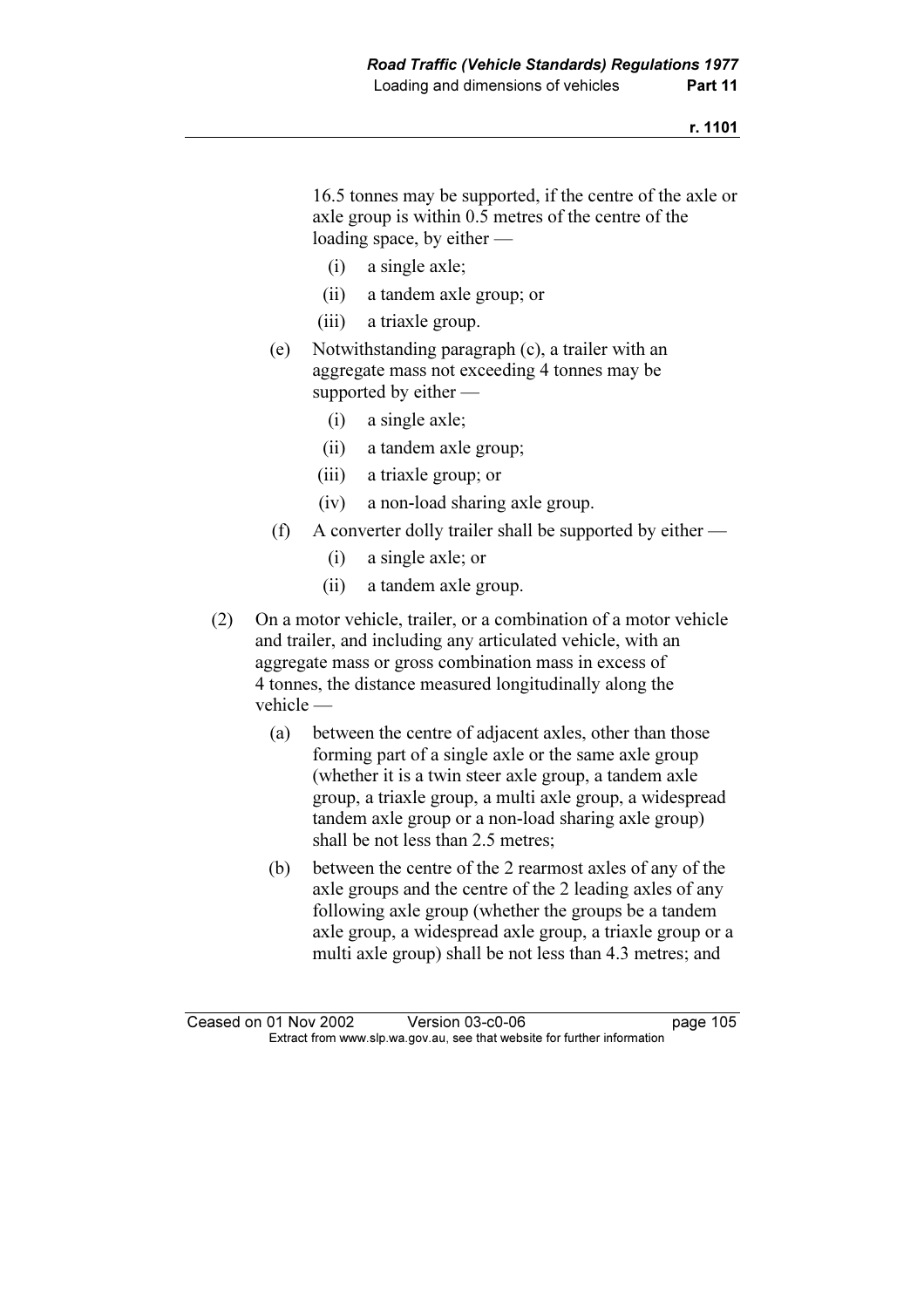16.5 tonnes may be supported, if the centre of the axle or axle group is within 0.5 metres of the centre of the loading space, by either —

- (i) a single axle;
- (ii) a tandem axle group; or
- (iii) a triaxle group.
- (e) Notwithstanding paragraph (c), a trailer with an aggregate mass not exceeding 4 tonnes may be supported by either —
	- (i) a single axle;
	- (ii) a tandem axle group;
	- (iii) a triaxle group; or
	- (iv) a non-load sharing axle group.
- (f) A converter dolly trailer shall be supported by either
	- (i) a single axle; or
	- (ii) a tandem axle group.
- (2) On a motor vehicle, trailer, or a combination of a motor vehicle and trailer, and including any articulated vehicle, with an aggregate mass or gross combination mass in excess of 4 tonnes, the distance measured longitudinally along the vehicle —
	- (a) between the centre of adjacent axles, other than those forming part of a single axle or the same axle group (whether it is a twin steer axle group, a tandem axle group, a triaxle group, a multi axle group, a widespread tandem axle group or a non-load sharing axle group) shall be not less than 2.5 metres;
	- (b) between the centre of the 2 rearmost axles of any of the axle groups and the centre of the 2 leading axles of any following axle group (whether the groups be a tandem axle group, a widespread axle group, a triaxle group or a multi axle group) shall be not less than 4.3 metres; and

Ceased on 01 Nov 2002 Version 03-c0-06 page 105<br>Extract from www.slp.wa.gov.au, see that website for further information  $\mathbf{F}$  from which was the set that we besite for further information  $\mathbf{F}$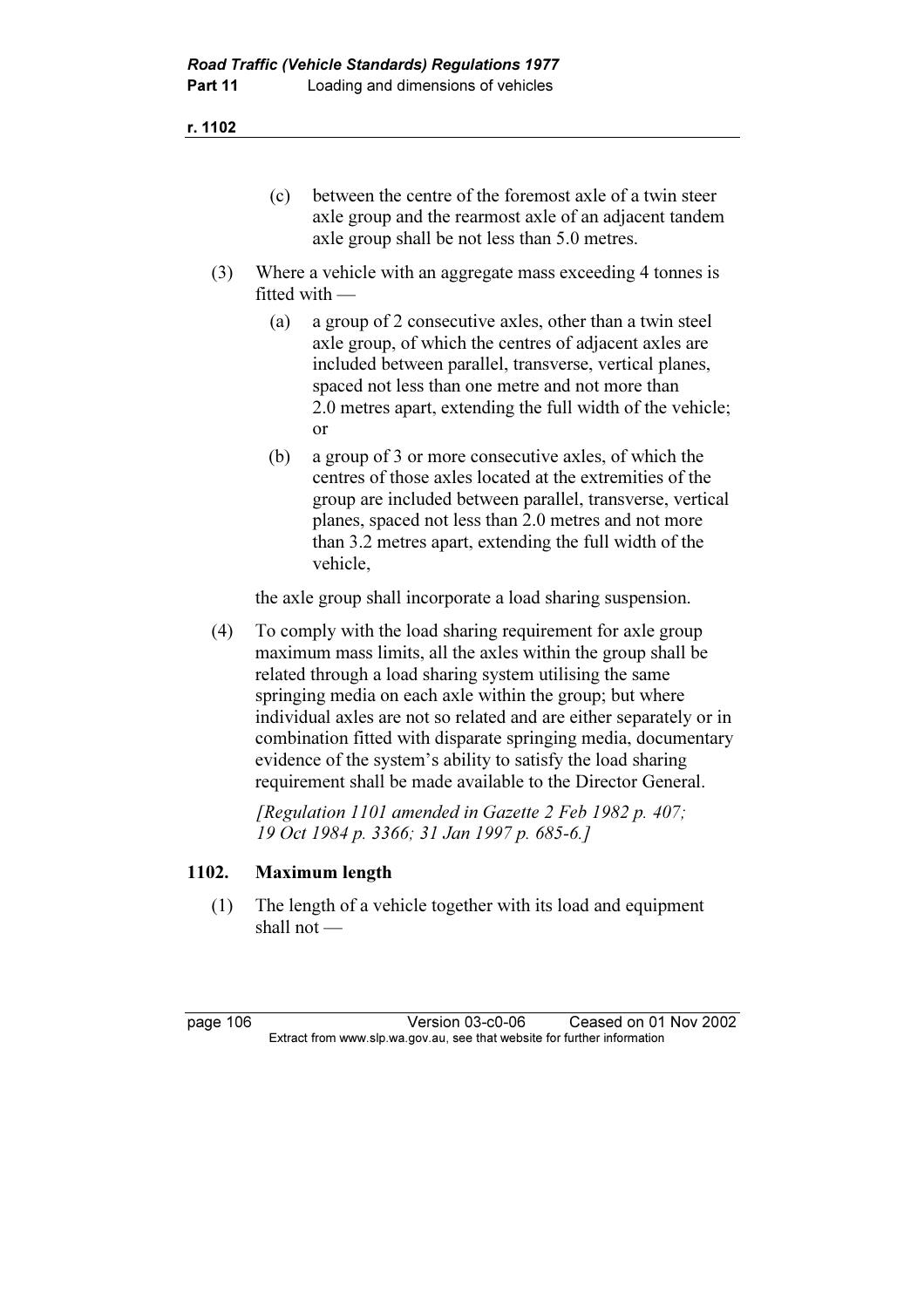- (c) between the centre of the foremost axle of a twin steer axle group and the rearmost axle of an adjacent tandem axle group shall be not less than 5.0 metres.
- (3) Where a vehicle with an aggregate mass exceeding 4 tonnes is fitted with —
	- (a) a group of 2 consecutive axles, other than a twin steel axle group, of which the centres of adjacent axles are included between parallel, transverse, vertical planes, spaced not less than one metre and not more than 2.0 metres apart, extending the full width of the vehicle; or
	- (b) a group of 3 or more consecutive axles, of which the centres of those axles located at the extremities of the group are included between parallel, transverse, vertical planes, spaced not less than 2.0 metres and not more than 3.2 metres apart, extending the full width of the vehicle,

the axle group shall incorporate a load sharing suspension.

 (4) To comply with the load sharing requirement for axle group maximum mass limits, all the axles within the group shall be related through a load sharing system utilising the same springing media on each axle within the group; but where individual axles are not so related and are either separately or in combination fitted with disparate springing media, documentary evidence of the system's ability to satisfy the load sharing requirement shall be made available to the Director General.

[Regulation 1101 amended in Gazette  $2$  Feb 1982 p. 407; 19 Oct 1984 p. 3366; 31 Jan 1997 p. 685-6.]

## 1102. Maximum length

 (1) The length of a vehicle together with its load and equipment shall not —

page 106 Version 03-c0-06 Ceased on 01 Nov 2002<br>Extract from www.slp.wa.gov.au, see that website for further information  $\mathbf{F}$  from which was the set that we besite for further information  $\mathbf{F}$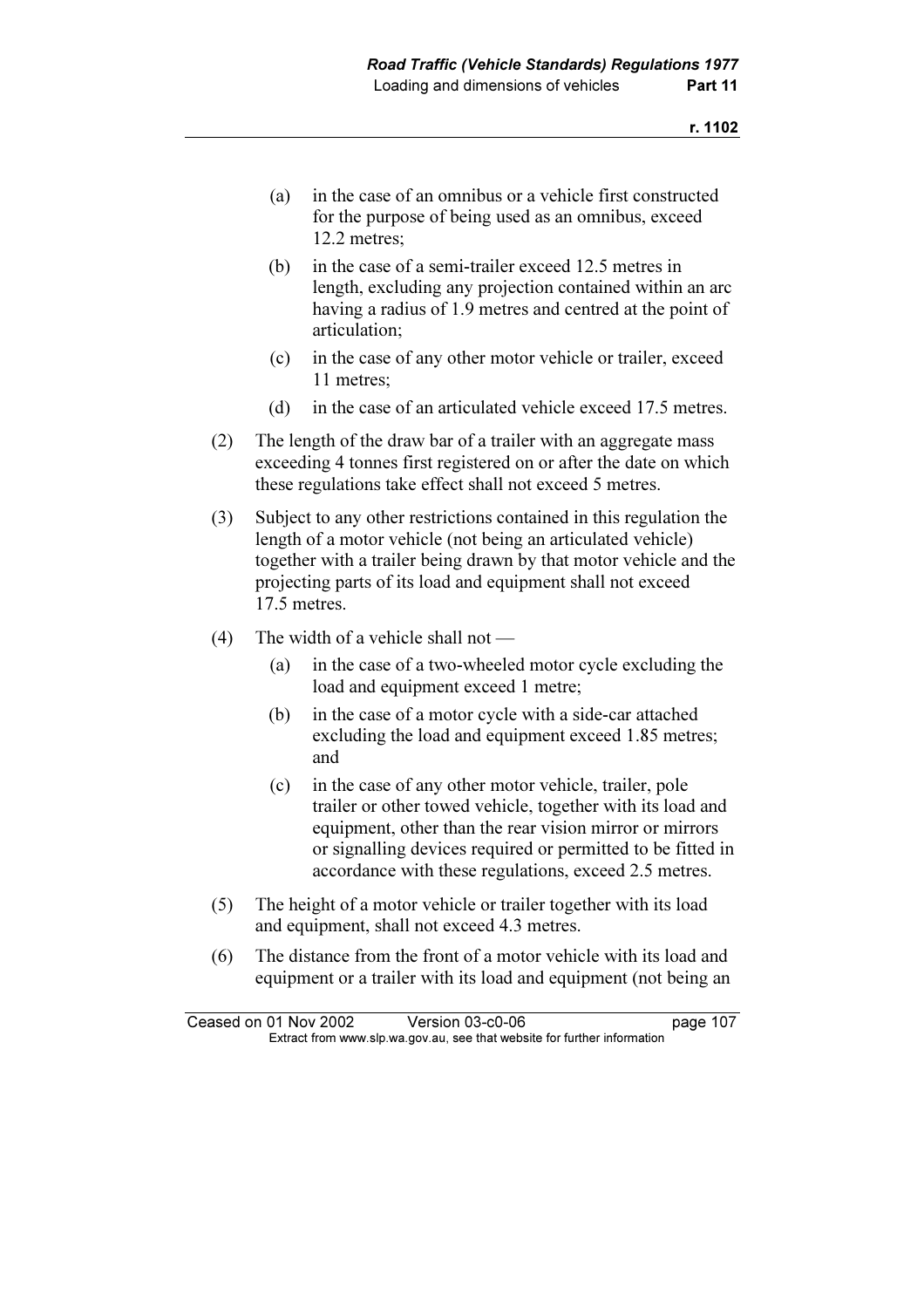- (a) in the case of an omnibus or a vehicle first constructed for the purpose of being used as an omnibus, exceed 12.2 metres;
- (b) in the case of a semi-trailer exceed 12.5 metres in length, excluding any projection contained within an arc having a radius of 1.9 metres and centred at the point of articulation;
- (c) in the case of any other motor vehicle or trailer, exceed 11 metres;
- (d) in the case of an articulated vehicle exceed 17.5 metres.
- (2) The length of the draw bar of a trailer with an aggregate mass exceeding 4 tonnes first registered on or after the date on which these regulations take effect shall not exceed 5 metres.
- (3) Subject to any other restrictions contained in this regulation the length of a motor vehicle (not being an articulated vehicle) together with a trailer being drawn by that motor vehicle and the projecting parts of its load and equipment shall not exceed 17.5 metres.
- (4) The width of a vehicle shall not
	- (a) in the case of a two-wheeled motor cycle excluding the load and equipment exceed 1 metre;
	- (b) in the case of a motor cycle with a side-car attached excluding the load and equipment exceed 1.85 metres; and
	- (c) in the case of any other motor vehicle, trailer, pole trailer or other towed vehicle, together with its load and equipment, other than the rear vision mirror or mirrors or signalling devices required or permitted to be fitted in accordance with these regulations, exceed 2.5 metres.
- (5) The height of a motor vehicle or trailer together with its load and equipment, shall not exceed 4.3 metres.
- (6) The distance from the front of a motor vehicle with its load and equipment or a trailer with its load and equipment (not being an

Ceased on 01 Nov 2002 Version 03-c0-06 page 107<br>Extract from www.slp.wa.gov.au, see that website for further information  $\mathbf{F}$  from which was the set that we besite for further information  $\mathbf{F}$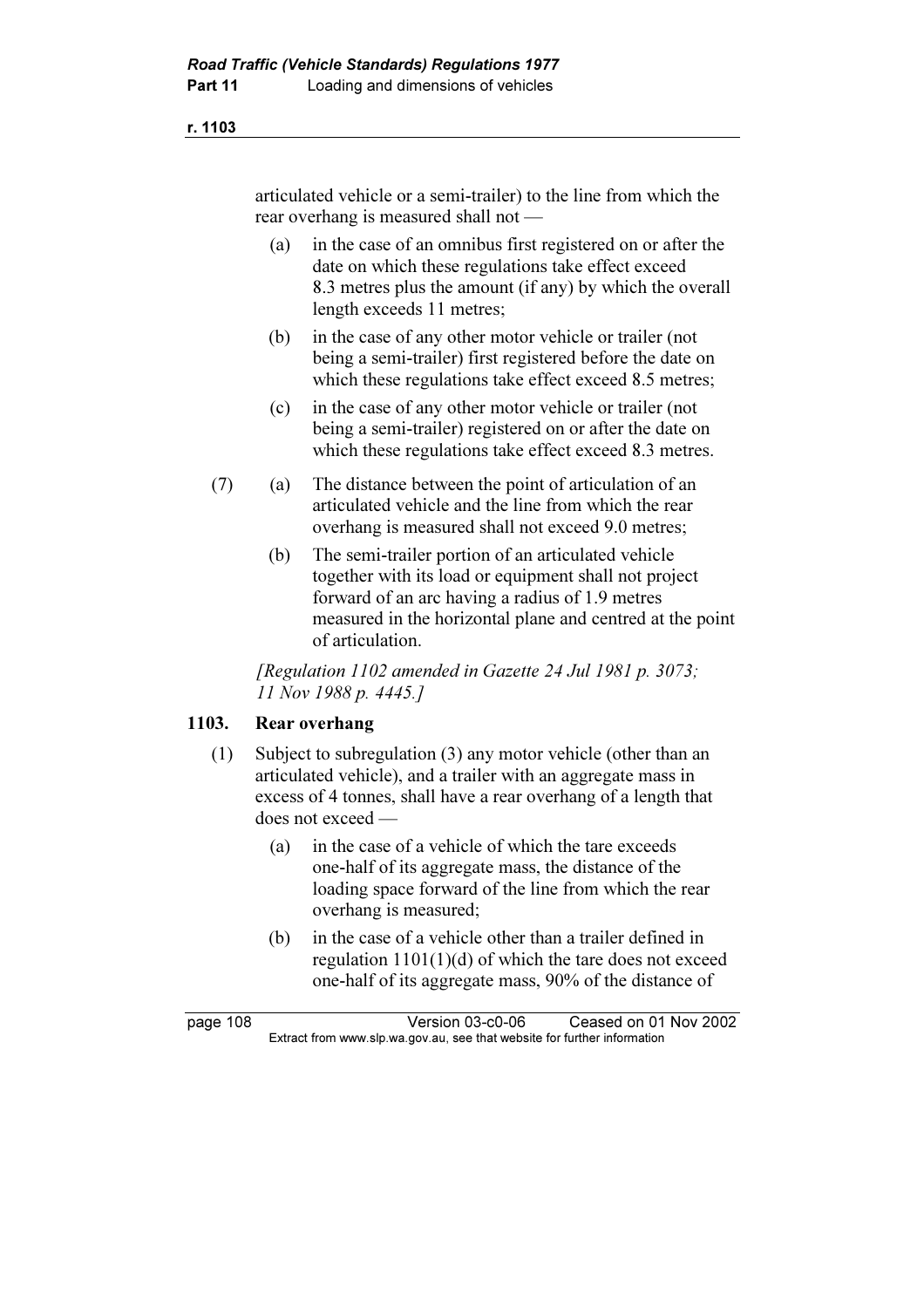articulated vehicle or a semi-trailer) to the line from which the rear overhang is measured shall not —

- (a) in the case of an omnibus first registered on or after the date on which these regulations take effect exceed 8.3 metres plus the amount (if any) by which the overall length exceeds 11 metres;
- (b) in the case of any other motor vehicle or trailer (not being a semi-trailer) first registered before the date on which these regulations take effect exceed 8.5 metres;
- (c) in the case of any other motor vehicle or trailer (not being a semi-trailer) registered on or after the date on which these regulations take effect exceed 8.3 metres.
- (7) (a) The distance between the point of articulation of an articulated vehicle and the line from which the rear overhang is measured shall not exceed 9.0 metres;
	- (b) The semi-trailer portion of an articulated vehicle together with its load or equipment shall not project forward of an arc having a radius of 1.9 metres measured in the horizontal plane and centred at the point of articulation.

 [Regulation 1102 amended in Gazette 24 Jul 1981 p. 3073; 11 Nov 1988 p. 4445.]

## 1103. Rear overhang

- (1) Subject to subregulation (3) any motor vehicle (other than an articulated vehicle), and a trailer with an aggregate mass in excess of 4 tonnes, shall have a rear overhang of a length that does not exceed —
	- (a) in the case of a vehicle of which the tare exceeds one-half of its aggregate mass, the distance of the loading space forward of the line from which the rear overhang is measured;
	- (b) in the case of a vehicle other than a trailer defined in regulation  $1101(1)(d)$  of which the tare does not exceed one-half of its aggregate mass, 90% of the distance of

page 108 Version 03-c0-06 Ceased on 01 Nov 2002<br>Extract from www.slp.wa.gov.au, see that website for further information  $\mathbf{F}$  from which was the set that we besite for further information  $\mathbf{F}$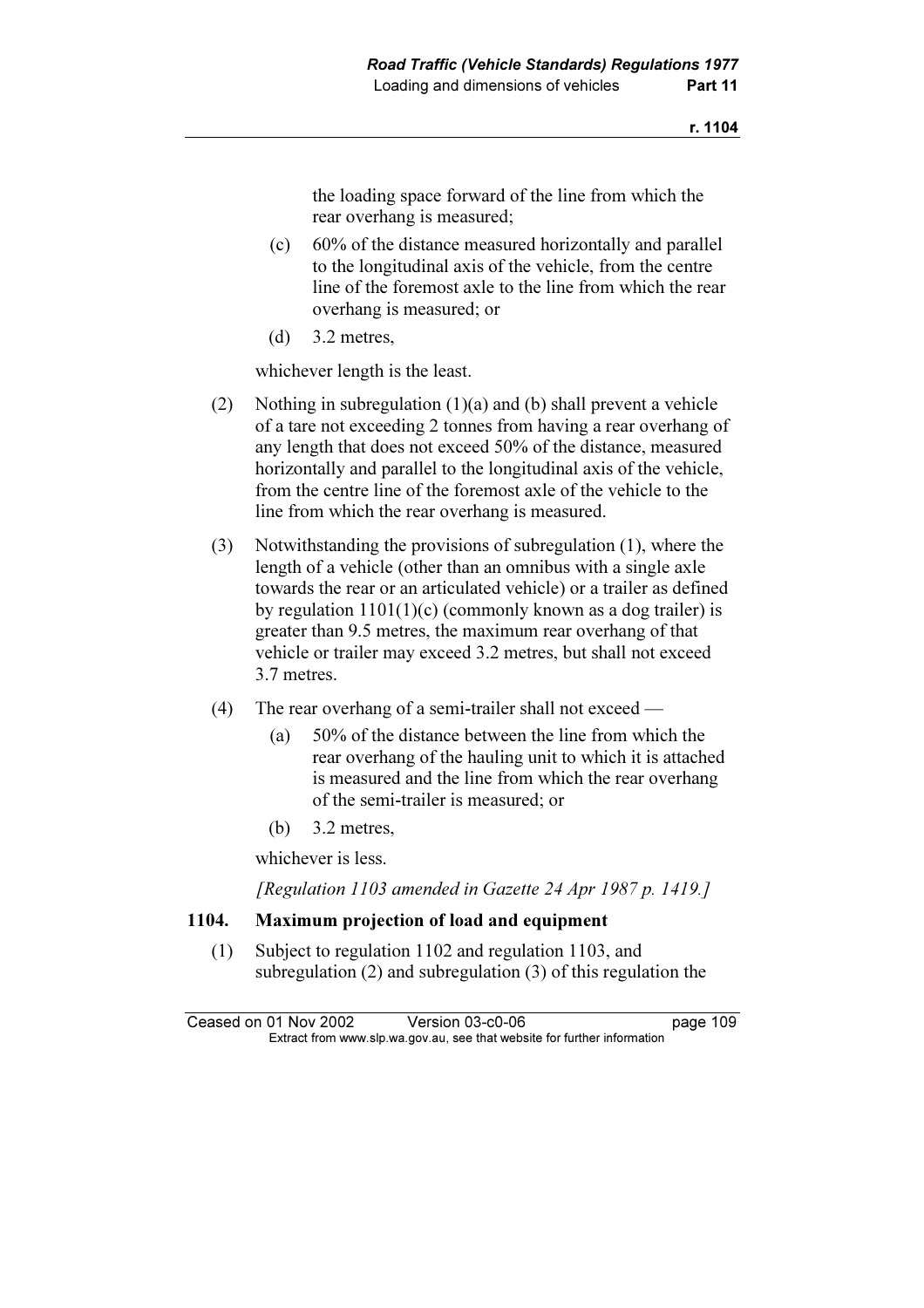the loading space forward of the line from which the rear overhang is measured;

- (c) 60% of the distance measured horizontally and parallel to the longitudinal axis of the vehicle, from the centre line of the foremost axle to the line from which the rear overhang is measured; or
- $(d)$  3.2 metres,

whichever length is the least.

- (2) Nothing in subregulation (1)(a) and (b) shall prevent a vehicle of a tare not exceeding 2 tonnes from having a rear overhang of any length that does not exceed 50% of the distance, measured horizontally and parallel to the longitudinal axis of the vehicle, from the centre line of the foremost axle of the vehicle to the line from which the rear overhang is measured.
- (3) Notwithstanding the provisions of subregulation (1), where the length of a vehicle (other than an omnibus with a single axle towards the rear or an articulated vehicle) or a trailer as defined by regulation 1101(1)(c) (commonly known as a dog trailer) is greater than 9.5 metres, the maximum rear overhang of that vehicle or trailer may exceed 3.2 metres, but shall not exceed 3.7 metres.
- (4) The rear overhang of a semi-trailer shall not exceed
	- (a) 50% of the distance between the line from which the rear overhang of the hauling unit to which it is attached is measured and the line from which the rear overhang of the semi-trailer is measured; or
	- (b) 3.2 metres,

whichever is less.

[Regulation 1103 amended in Gazette 24 Apr 1987 p. 1419.]

## 1104. Maximum projection of load and equipment

 (1) Subject to regulation 1102 and regulation 1103, and subregulation (2) and subregulation (3) of this regulation the

Ceased on 01 Nov 2002 Version 03-c0-06 page 109<br>Extract from www.slp.wa.gov.au, see that website for further information  $\mathbf{F}$  from which was the set that we besite for further information  $\mathbf{F}$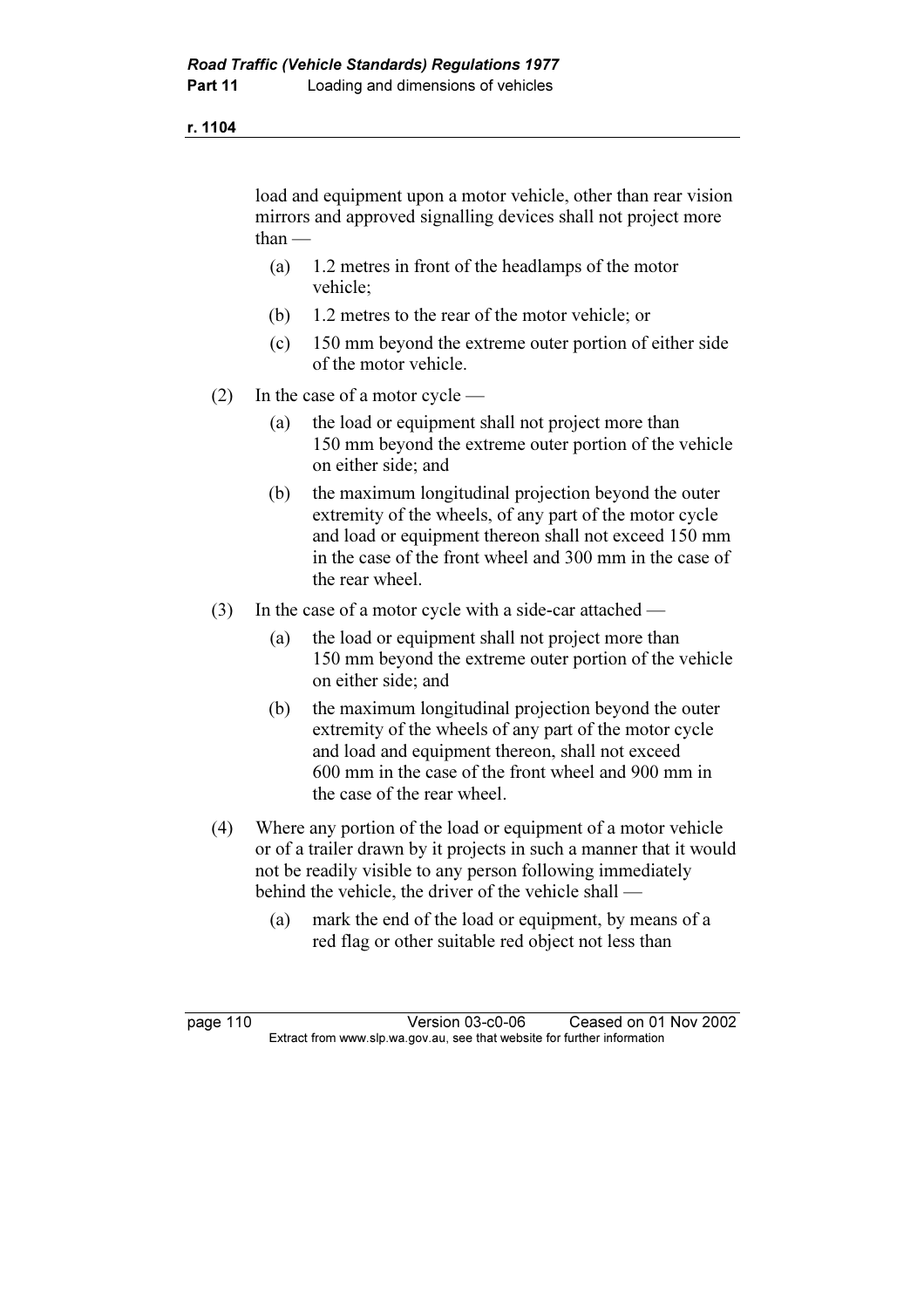load and equipment upon a motor vehicle, other than rear vision mirrors and approved signalling devices shall not project more than —

- (a) 1.2 metres in front of the headlamps of the motor vehicle;
- (b) 1.2 metres to the rear of the motor vehicle; or
- (c) 150 mm beyond the extreme outer portion of either side of the motor vehicle.
- (2) In the case of a motor cycle
	- (a) the load or equipment shall not project more than 150 mm beyond the extreme outer portion of the vehicle on either side; and
	- (b) the maximum longitudinal projection beyond the outer extremity of the wheels, of any part of the motor cycle and load or equipment thereon shall not exceed 150 mm in the case of the front wheel and 300 mm in the case of the rear wheel.
- (3) In the case of a motor cycle with a side-car attached
	- (a) the load or equipment shall not project more than 150 mm beyond the extreme outer portion of the vehicle on either side; and
	- (b) the maximum longitudinal projection beyond the outer extremity of the wheels of any part of the motor cycle and load and equipment thereon, shall not exceed 600 mm in the case of the front wheel and 900 mm in the case of the rear wheel.
- (4) Where any portion of the load or equipment of a motor vehicle or of a trailer drawn by it projects in such a manner that it would not be readily visible to any person following immediately behind the vehicle, the driver of the vehicle shall —
	- (a) mark the end of the load or equipment, by means of a red flag or other suitable red object not less than

page 110 Version 03-c0-06 Ceased on 01 Nov 2002<br>Extract from www.slp.wa.gov.au, see that website for further information  $\mathbf{F}$  from which was the set that we besite for further information  $\mathbf{F}$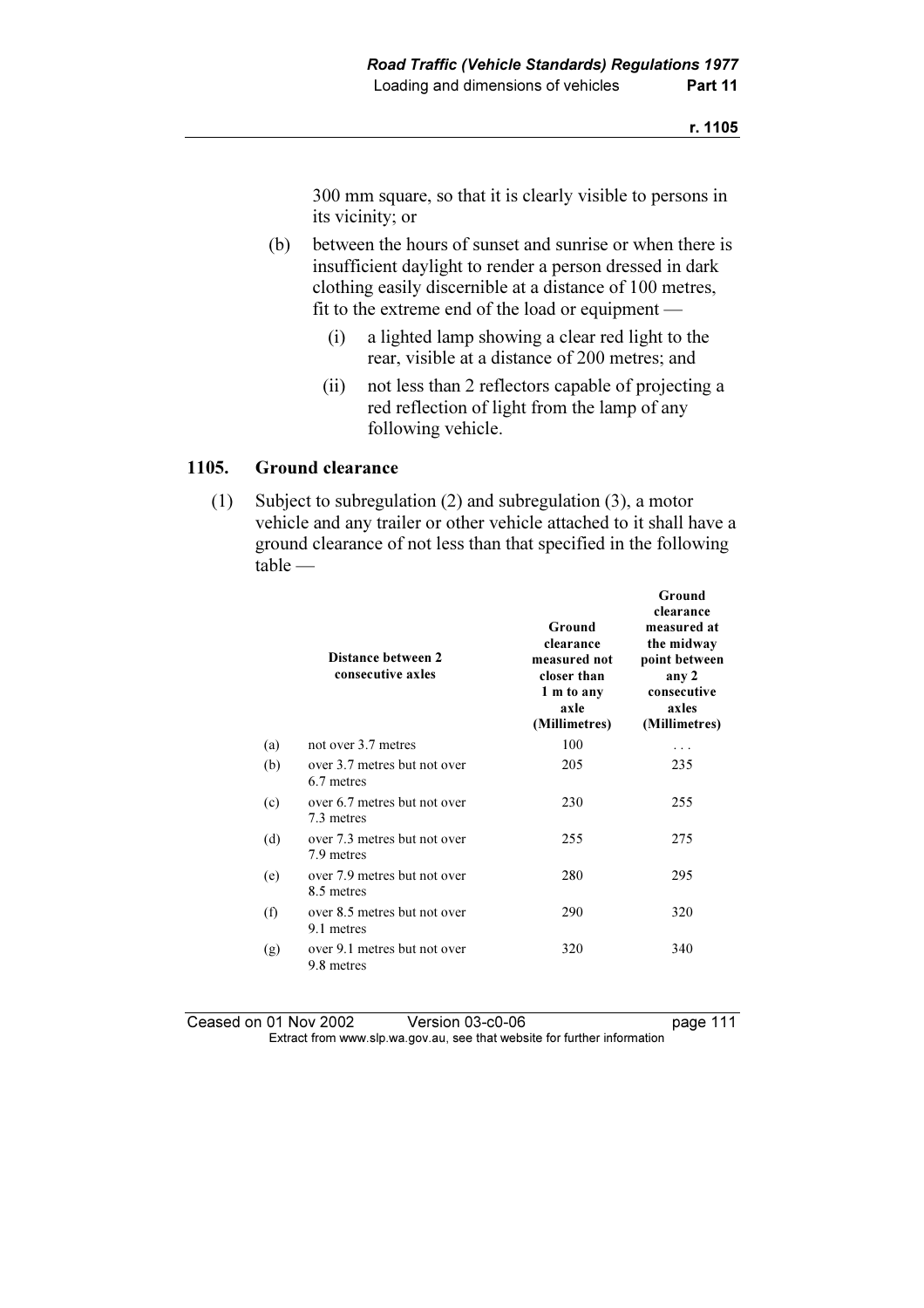300 mm square, so that it is clearly visible to persons in its vicinity; or

- (b) between the hours of sunset and sunrise or when there is insufficient daylight to render a person dressed in dark clothing easily discernible at a distance of 100 metres, fit to the extreme end of the load or equipment —
	- (i) a lighted lamp showing a clear red light to the rear, visible at a distance of 200 metres; and
	- (ii) not less than 2 reflectors capable of projecting a red reflection of light from the lamp of any following vehicle.

### 1105. Ground clearance

 (1) Subject to subregulation (2) and subregulation (3), a motor vehicle and any trailer or other vehicle attached to it shall have a ground clearance of not less than that specified in the following table —

|     | Distance between 2<br>consecutive axles    | Ground<br>clearance<br>measured not<br>closer than<br>1 m to any<br>axle<br>(Millimetres) | Ground<br>clearance<br>measured at<br>the midway<br>point between<br>any 2<br>consecutive<br>axles<br>(Millimetres) |
|-----|--------------------------------------------|-------------------------------------------------------------------------------------------|---------------------------------------------------------------------------------------------------------------------|
| (a) | not over 3.7 metres                        | 100                                                                                       | .                                                                                                                   |
| (b) | over 3.7 metres but not over<br>6.7 metres | 205                                                                                       | 235                                                                                                                 |
| (c) | over 6.7 metres but not over<br>7.3 metres | 230                                                                                       | 255                                                                                                                 |
| (d) | over 7.3 metres but not over<br>7.9 metres | 255                                                                                       | 275                                                                                                                 |
| (e) | over 7.9 metres but not over<br>8.5 metres | 280                                                                                       | 295                                                                                                                 |
| (f) | over 8.5 metres but not over<br>9.1 metres | 290                                                                                       | 320                                                                                                                 |
| (g) | over 9.1 metres but not over<br>9.8 metres | 320                                                                                       | 340                                                                                                                 |
|     |                                            |                                                                                           |                                                                                                                     |

Ceased on 01 Nov 2002 Version 03-c0-06 page 111 Extract from www.slp.wa.gov.au, see that website for further information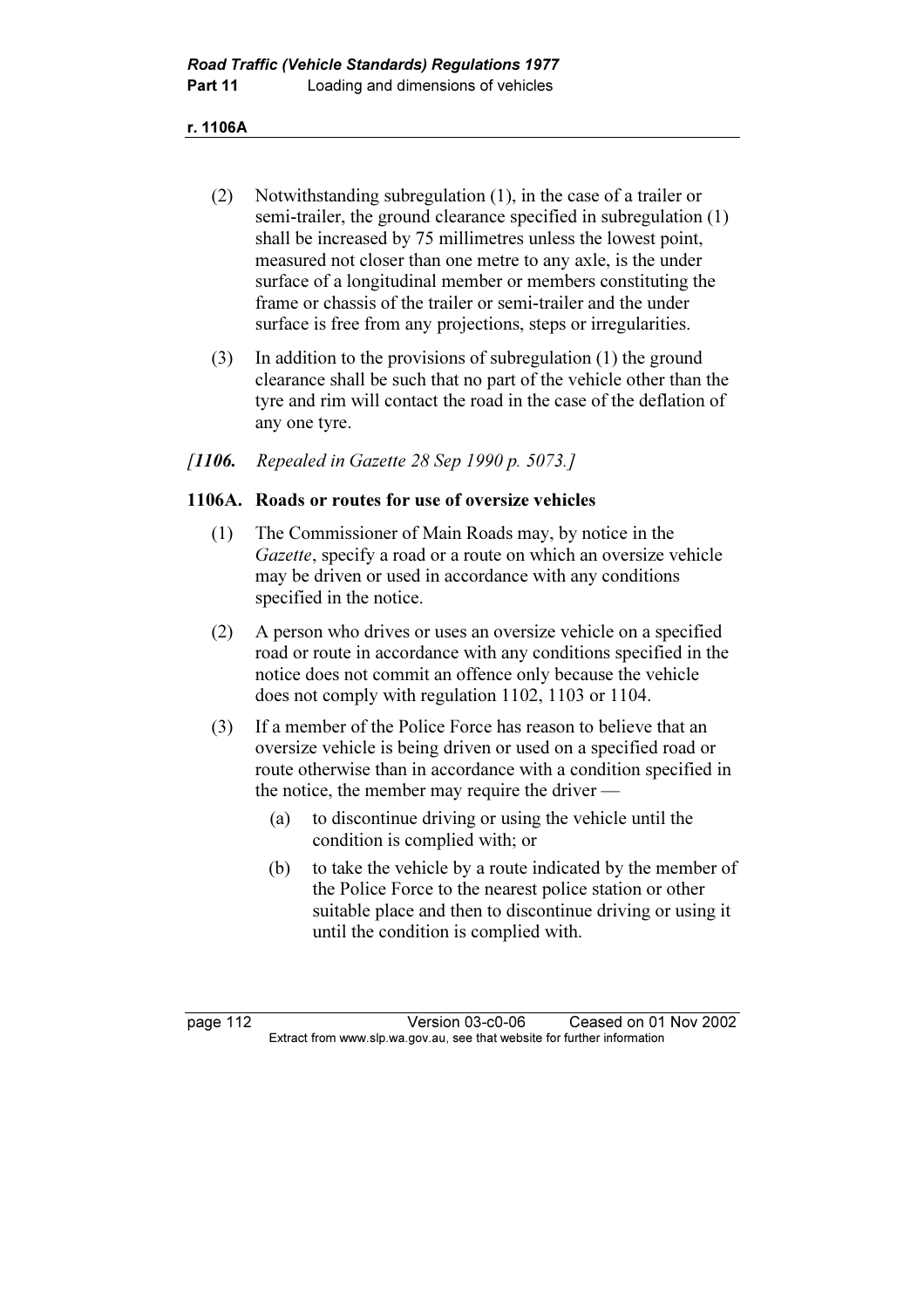#### r. 1106A

- (2) Notwithstanding subregulation (1), in the case of a trailer or semi-trailer, the ground clearance specified in subregulation (1) shall be increased by 75 millimetres unless the lowest point, measured not closer than one metre to any axle, is the under surface of a longitudinal member or members constituting the frame or chassis of the trailer or semi-trailer and the under surface is free from any projections, steps or irregularities.
- (3) In addition to the provisions of subregulation (1) the ground clearance shall be such that no part of the vehicle other than the tyre and rim will contact the road in the case of the deflation of any one tyre.
- [1106. Repealed in Gazette 28 Sep 1990 p. 5073.]

## 1106A. Roads or routes for use of oversize vehicles

- (1) The Commissioner of Main Roads may, by notice in the Gazette, specify a road or a route on which an oversize vehicle may be driven or used in accordance with any conditions specified in the notice.
- (2) A person who drives or uses an oversize vehicle on a specified road or route in accordance with any conditions specified in the notice does not commit an offence only because the vehicle does not comply with regulation 1102, 1103 or 1104.
- (3) If a member of the Police Force has reason to believe that an oversize vehicle is being driven or used on a specified road or route otherwise than in accordance with a condition specified in the notice, the member may require the driver —
	- (a) to discontinue driving or using the vehicle until the condition is complied with; or
	- (b) to take the vehicle by a route indicated by the member of the Police Force to the nearest police station or other suitable place and then to discontinue driving or using it until the condition is complied with.

page 112 Version 03-c0-06 Ceased on 01 Nov 2002<br>Extract from www.slp.wa.gov.au, see that website for further information  $\mathbf{F}$  from which was the set that we besite for further information  $\mathbf{F}$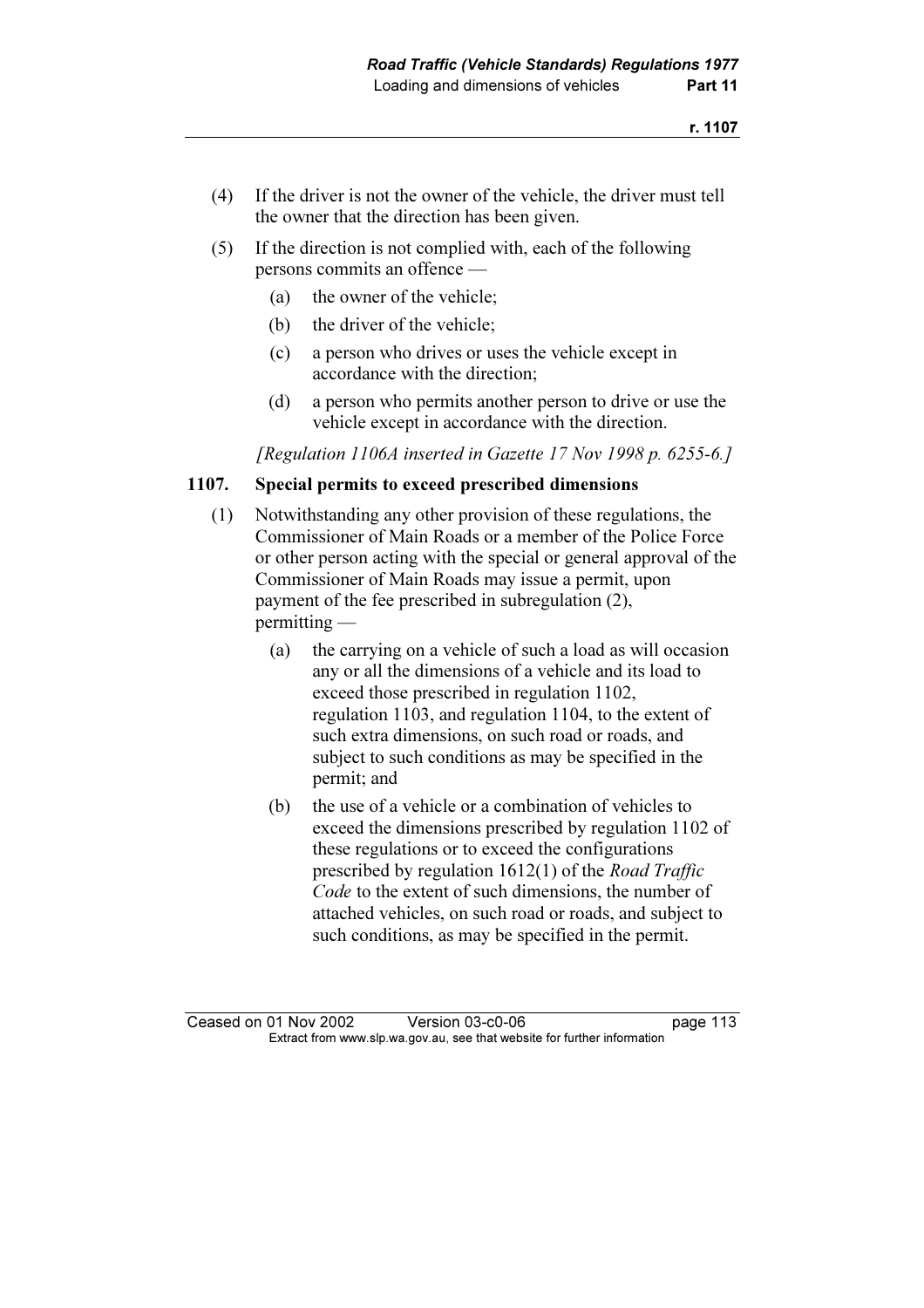- (4) If the driver is not the owner of the vehicle, the driver must tell the owner that the direction has been given.
- (5) If the direction is not complied with, each of the following persons commits an offence —
	- (a) the owner of the vehicle;
	- (b) the driver of the vehicle;
	- (c) a person who drives or uses the vehicle except in accordance with the direction;
	- (d) a person who permits another person to drive or use the vehicle except in accordance with the direction.

[Regulation 1106A inserted in Gazette 17 Nov 1998 p. 6255-6.]

## 1107. Special permits to exceed prescribed dimensions

- (1) Notwithstanding any other provision of these regulations, the Commissioner of Main Roads or a member of the Police Force or other person acting with the special or general approval of the Commissioner of Main Roads may issue a permit, upon payment of the fee prescribed in subregulation (2), permitting —
	- (a) the carrying on a vehicle of such a load as will occasion any or all the dimensions of a vehicle and its load to exceed those prescribed in regulation 1102, regulation 1103, and regulation 1104, to the extent of such extra dimensions, on such road or roads, and subject to such conditions as may be specified in the permit; and
	- (b) the use of a vehicle or a combination of vehicles to exceed the dimensions prescribed by regulation 1102 of these regulations or to exceed the configurations prescribed by regulation 1612(1) of the Road Traffic Code to the extent of such dimensions, the number of attached vehicles, on such road or roads, and subject to such conditions, as may be specified in the permit.

Ceased on 01 Nov 2002 Version 03-c0-06 page 113<br>Extract from www.slp.wa.gov.au, see that website for further information  $\mathbf{F}$  from which was the set that we besite for further information  $\mathbf{F}$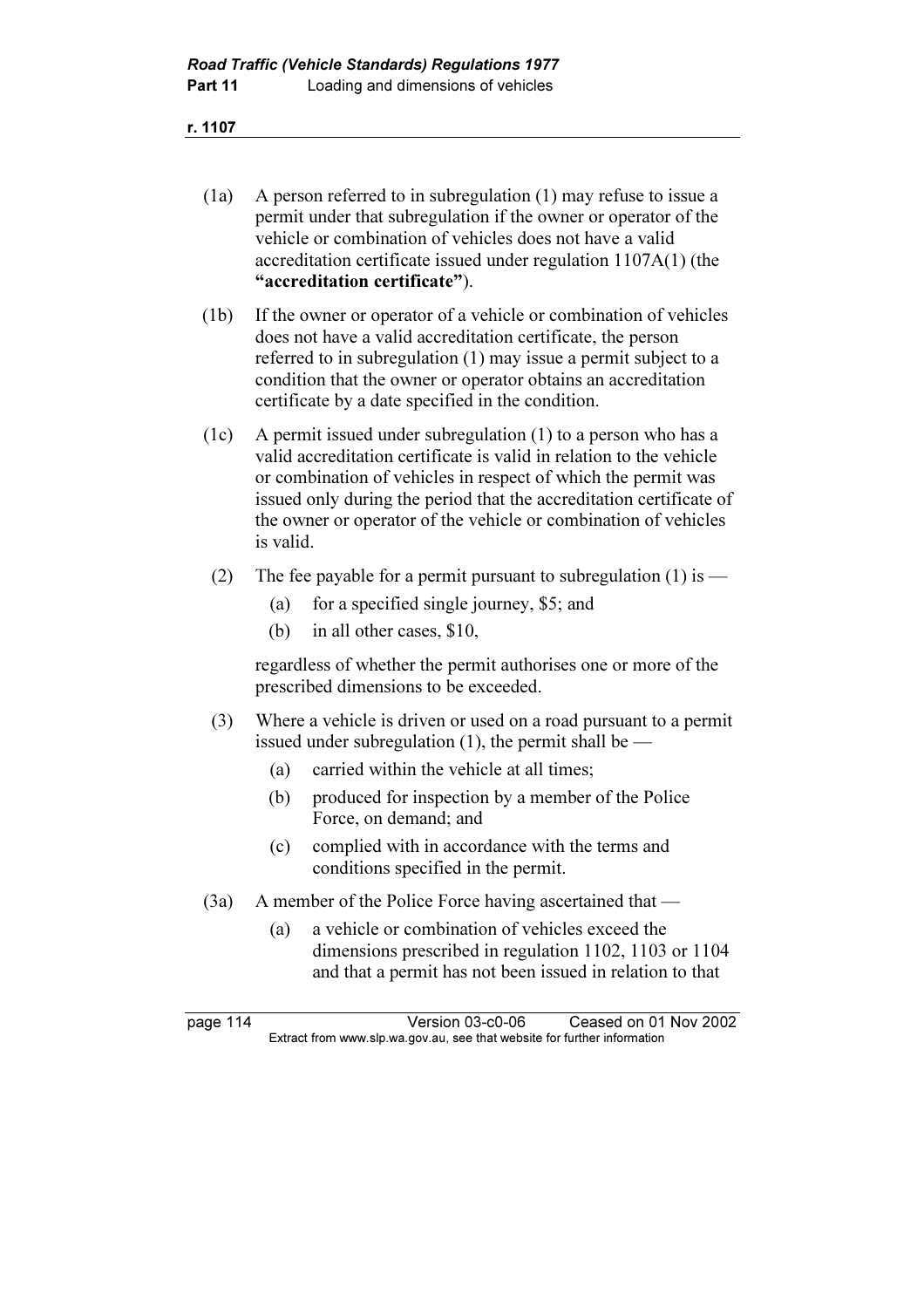- (1a) A person referred to in subregulation (1) may refuse to issue a permit under that subregulation if the owner or operator of the vehicle or combination of vehicles does not have a valid accreditation certificate issued under regulation 1107A(1) (the "accreditation certificate").
- (1b) If the owner or operator of a vehicle or combination of vehicles does not have a valid accreditation certificate, the person referred to in subregulation (1) may issue a permit subject to a condition that the owner or operator obtains an accreditation certificate by a date specified in the condition.
- (1c) A permit issued under subregulation (1) to a person who has a valid accreditation certificate is valid in relation to the vehicle or combination of vehicles in respect of which the permit was issued only during the period that the accreditation certificate of the owner or operator of the vehicle or combination of vehicles is valid.
- (2) The fee payable for a permit pursuant to subregulation  $(1)$  is
	- (a) for a specified single journey, \$5; and
	- (b) in all other cases, \$10,

 regardless of whether the permit authorises one or more of the prescribed dimensions to be exceeded.

- (3) Where a vehicle is driven or used on a road pursuant to a permit issued under subregulation  $(1)$ , the permit shall be —
	- (a) carried within the vehicle at all times;
	- (b) produced for inspection by a member of the Police Force, on demand; and
	- (c) complied with in accordance with the terms and conditions specified in the permit.
- (3a) A member of the Police Force having ascertained that
	- (a) a vehicle or combination of vehicles exceed the dimensions prescribed in regulation 1102, 1103 or 1104 and that a permit has not been issued in relation to that

page 114 Version 03-c0-06 Ceased on 01 Nov 2002<br>Extract from www.slp.wa.gov.au, see that website for further information  $\mathbf{F}$  from which was the set that we besite for further information  $\mathbf{F}$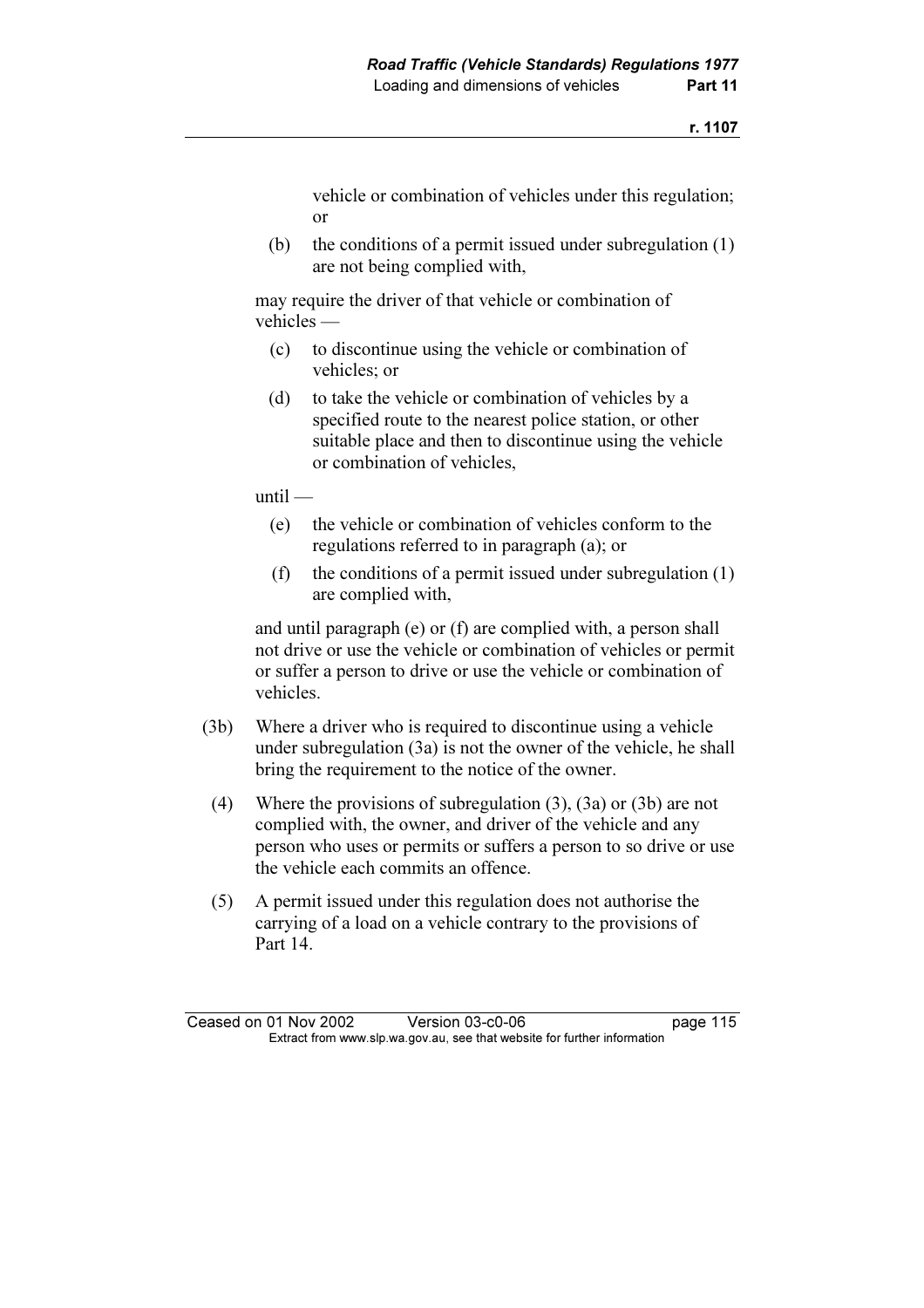vehicle or combination of vehicles under this regulation; or

 (b) the conditions of a permit issued under subregulation (1) are not being complied with,

 may require the driver of that vehicle or combination of vehicles —

- (c) to discontinue using the vehicle or combination of vehicles; or
- (d) to take the vehicle or combination of vehicles by a specified route to the nearest police station, or other suitable place and then to discontinue using the vehicle or combination of vehicles,

until —

- (e) the vehicle or combination of vehicles conform to the regulations referred to in paragraph (a); or
- (f) the conditions of a permit issued under subregulation  $(1)$ are complied with,

 and until paragraph (e) or (f) are complied with, a person shall not drive or use the vehicle or combination of vehicles or permit or suffer a person to drive or use the vehicle or combination of vehicles.

- (3b) Where a driver who is required to discontinue using a vehicle under subregulation (3a) is not the owner of the vehicle, he shall bring the requirement to the notice of the owner.
- (4) Where the provisions of subregulation (3), (3a) or (3b) are not complied with, the owner, and driver of the vehicle and any person who uses or permits or suffers a person to so drive or use the vehicle each commits an offence.
- (5) A permit issued under this regulation does not authorise the carrying of a load on a vehicle contrary to the provisions of Part 14.

Ceased on 01 Nov 2002 Version 03-c0-06 page 115<br>Extract from www.slp.wa.gov.au, see that website for further information  $\mathbf{F}$  from which was the set that we besite for further information  $\mathbf{F}$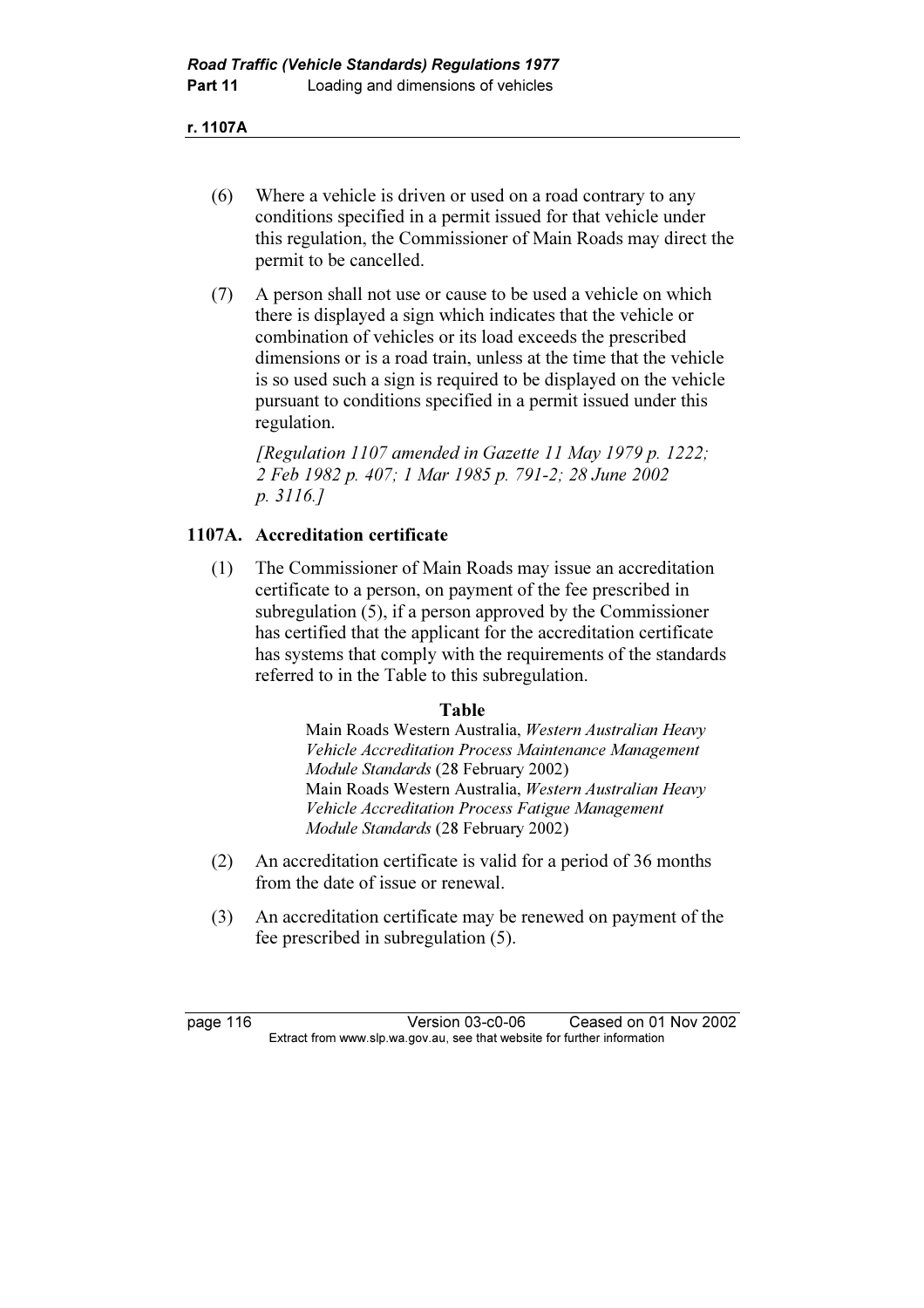#### r. 1107A

- (6) Where a vehicle is driven or used on a road contrary to any conditions specified in a permit issued for that vehicle under this regulation, the Commissioner of Main Roads may direct the permit to be cancelled.
- (7) A person shall not use or cause to be used a vehicle on which there is displayed a sign which indicates that the vehicle or combination of vehicles or its load exceeds the prescribed dimensions or is a road train, unless at the time that the vehicle is so used such a sign is required to be displayed on the vehicle pursuant to conditions specified in a permit issued under this regulation.

 [Regulation 1107 amended in Gazette 11 May 1979 p. 1222; 2 Feb 1982 p. 407; 1 Mar 1985 p. 791-2; 28 June 2002 p. 3116.]

## 1107A. Accreditation certificate

 (1) The Commissioner of Main Roads may issue an accreditation certificate to a person, on payment of the fee prescribed in subregulation (5), if a person approved by the Commissioner has certified that the applicant for the accreditation certificate has systems that comply with the requirements of the standards referred to in the Table to this subregulation.

### Table

Main Roads Western Australia, Western Australian Heavy Vehicle Accreditation Process Maintenance Management Module Standards (28 February 2002) Main Roads Western Australia, Western Australian Heavy Vehicle Accreditation Process Fatigue Management Module Standards (28 February 2002)

- (2) An accreditation certificate is valid for a period of 36 months from the date of issue or renewal.
- (3) An accreditation certificate may be renewed on payment of the fee prescribed in subregulation (5).

page 116 Version 03-c0-06 Ceased on 01 Nov 2002<br>Extract from www.slp.wa.gov.au, see that website for further information  $\mathbf{F}$  from which was the set that we besite for further information  $\mathbf{F}$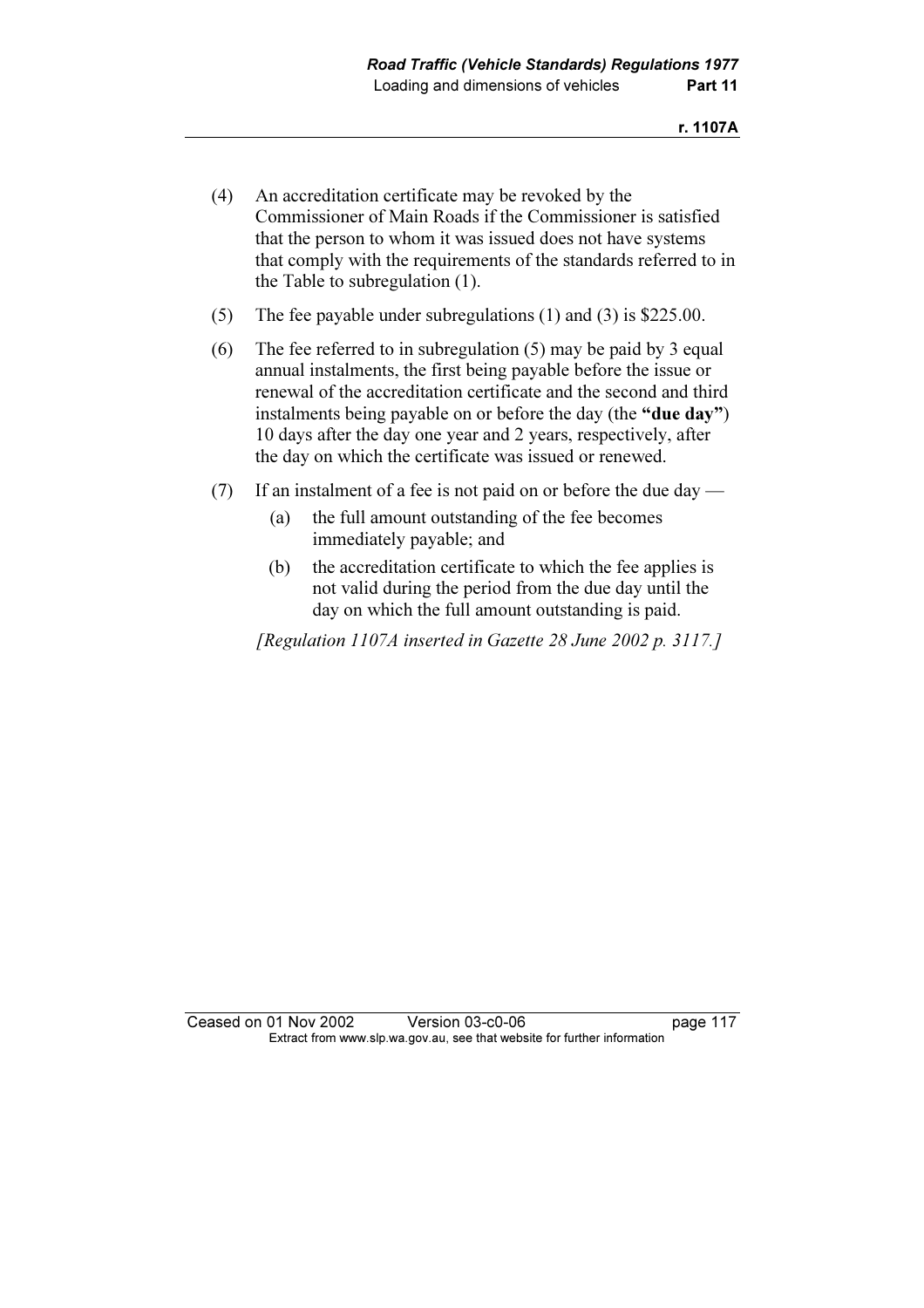- (4) An accreditation certificate may be revoked by the Commissioner of Main Roads if the Commissioner is satisfied that the person to whom it was issued does not have systems that comply with the requirements of the standards referred to in the Table to subregulation (1).
- (5) The fee payable under subregulations (1) and (3) is \$225.00.
- (6) The fee referred to in subregulation (5) may be paid by 3 equal annual instalments, the first being payable before the issue or renewal of the accreditation certificate and the second and third instalments being payable on or before the day (the "due day") 10 days after the day one year and 2 years, respectively, after the day on which the certificate was issued or renewed.
- (7) If an instalment of a fee is not paid on or before the due day
	- (a) the full amount outstanding of the fee becomes immediately payable; and
	- (b) the accreditation certificate to which the fee applies is not valid during the period from the due day until the day on which the full amount outstanding is paid.

[Regulation 1107A inserted in Gazette 28 June 2002 p. 3117.]

Ceased on 01 Nov 2002 Version 03-c0-06 page 117<br>Extract from www.slp.wa.gov.au, see that website for further information  $\mathbf{F}$  from which was the set that we besite for further information  $\mathbf{F}$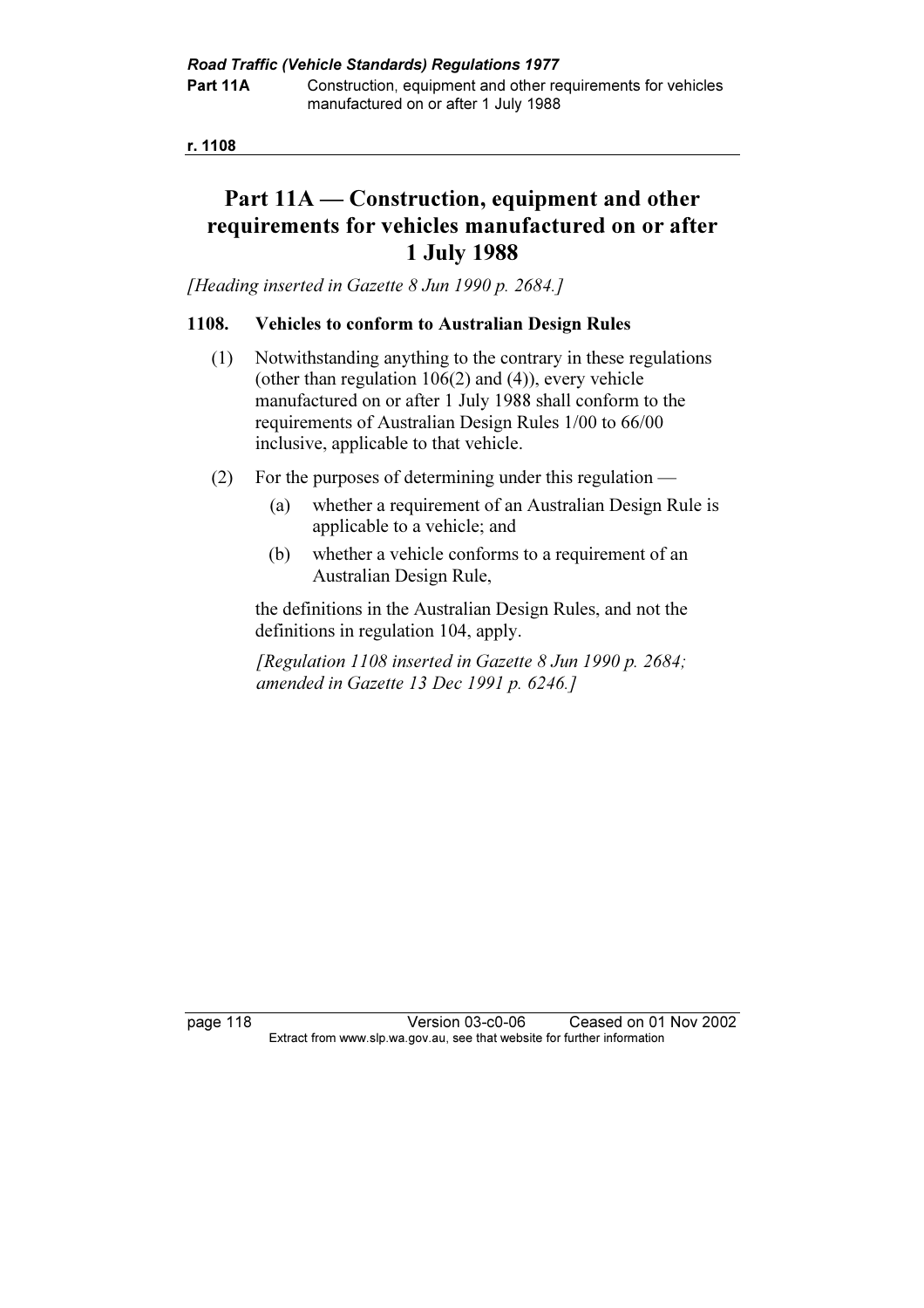# Part 11A — Construction, equipment and other requirements for vehicles manufactured on or after 1 July 1988

[Heading inserted in Gazette 8 Jun 1990 p. 2684.]

## 1108. Vehicles to conform to Australian Design Rules

- (1) Notwithstanding anything to the contrary in these regulations (other than regulation 106(2) and (4)), every vehicle manufactured on or after 1 July 1988 shall conform to the requirements of Australian Design Rules 1/00 to 66/00 inclusive, applicable to that vehicle.
- (2) For the purposes of determining under this regulation
	- (a) whether a requirement of an Australian Design Rule is applicable to a vehicle; and
	- (b) whether a vehicle conforms to a requirement of an Australian Design Rule,

 the definitions in the Australian Design Rules, and not the definitions in regulation 104, apply.

 [Regulation 1108 inserted in Gazette 8 Jun 1990 p. 2684; amended in Gazette 13 Dec 1991 p. 6246.]

page 118 Version 03-c0-06 Ceased on 01 Nov 2002<br>Extract from www.slp.wa.gov.au, see that website for further information  $\mathbf{F}$  from which was the set that we besite for further information  $\mathbf{F}$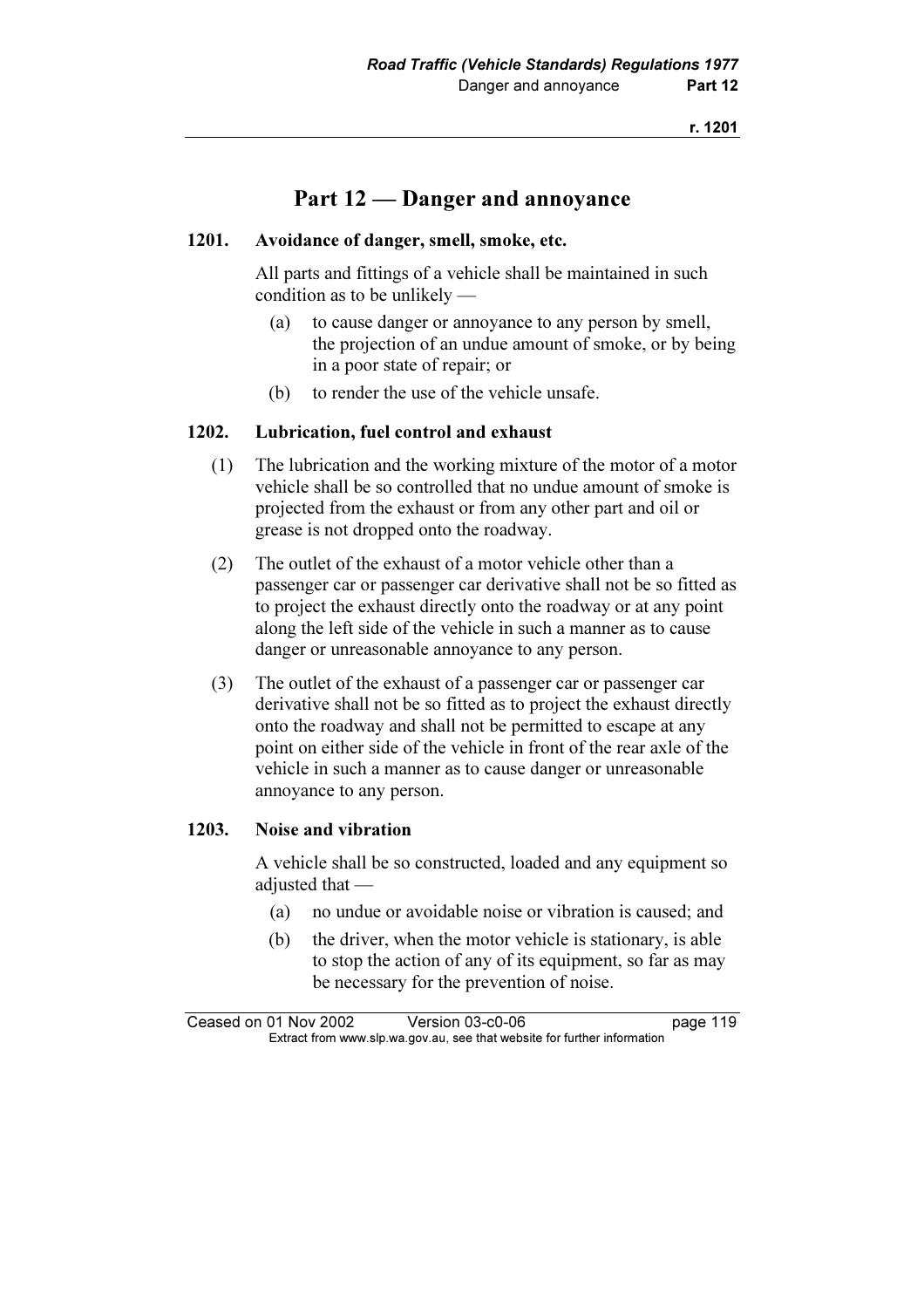## Part 12 — Danger and annoyance

### 1201. Avoidance of danger, smell, smoke, etc.

 All parts and fittings of a vehicle shall be maintained in such condition as to be unlikely —

- (a) to cause danger or annoyance to any person by smell, the projection of an undue amount of smoke, or by being in a poor state of repair; or
- (b) to render the use of the vehicle unsafe.

### 1202. Lubrication, fuel control and exhaust

- (1) The lubrication and the working mixture of the motor of a motor vehicle shall be so controlled that no undue amount of smoke is projected from the exhaust or from any other part and oil or grease is not dropped onto the roadway.
- (2) The outlet of the exhaust of a motor vehicle other than a passenger car or passenger car derivative shall not be so fitted as to project the exhaust directly onto the roadway or at any point along the left side of the vehicle in such a manner as to cause danger or unreasonable annoyance to any person.
- (3) The outlet of the exhaust of a passenger car or passenger car derivative shall not be so fitted as to project the exhaust directly onto the roadway and shall not be permitted to escape at any point on either side of the vehicle in front of the rear axle of the vehicle in such a manner as to cause danger or unreasonable annoyance to any person.

#### 1203. Noise and vibration

 A vehicle shall be so constructed, loaded and any equipment so adjusted that —

- (a) no undue or avoidable noise or vibration is caused; and
- (b) the driver, when the motor vehicle is stationary, is able to stop the action of any of its equipment, so far as may be necessary for the prevention of noise.

Ceased on 01 Nov 2002 Version 03-c0-06 page 119<br>Extract from www.slp.wa.gov.au, see that website for further information  $\mathbf{F}$  from which was the set that we besite for further information  $\mathbf{F}$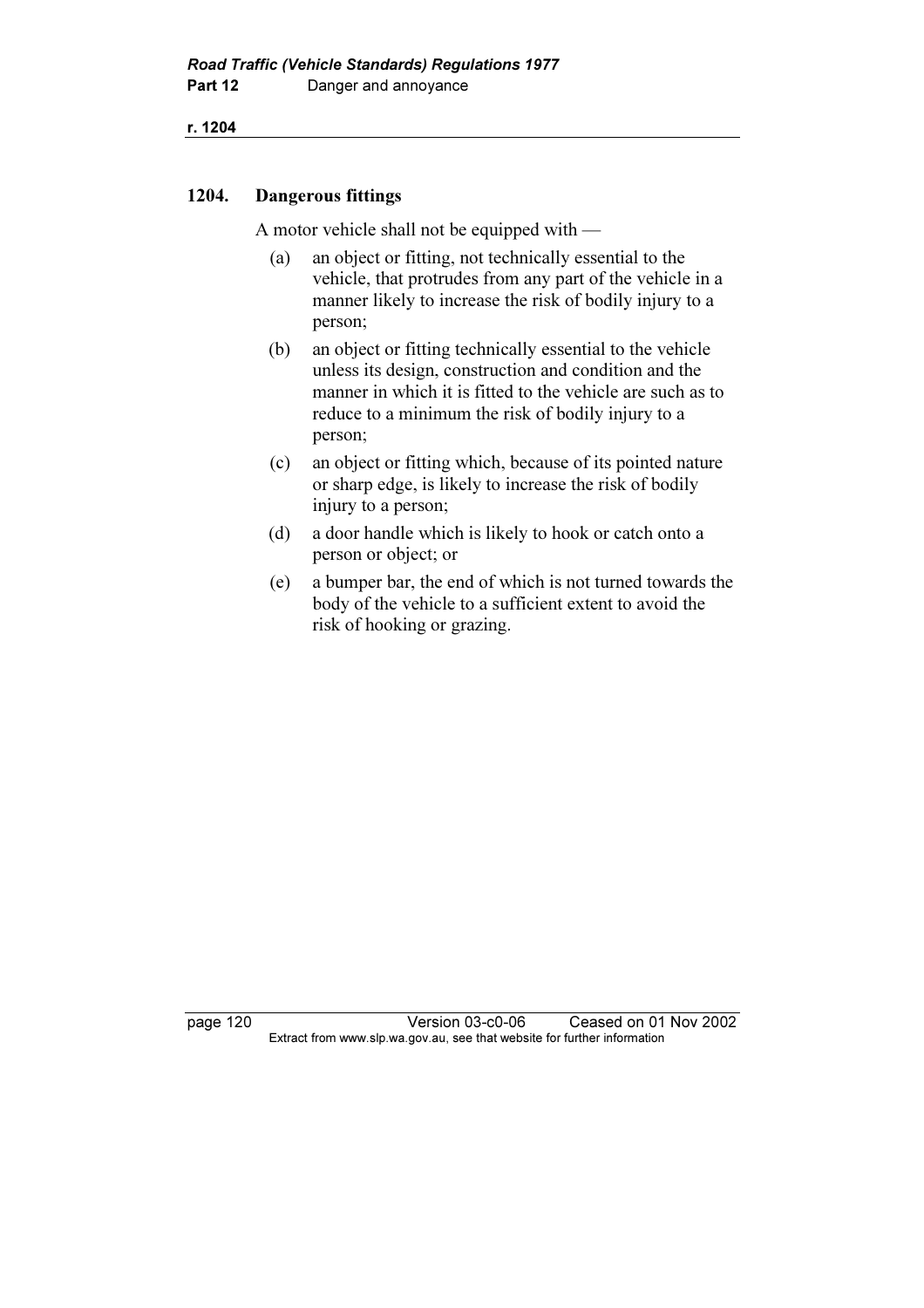### 1204. Dangerous fittings

A motor vehicle shall not be equipped with —

- (a) an object or fitting, not technically essential to the vehicle, that protrudes from any part of the vehicle in a manner likely to increase the risk of bodily injury to a person;
- (b) an object or fitting technically essential to the vehicle unless its design, construction and condition and the manner in which it is fitted to the vehicle are such as to reduce to a minimum the risk of bodily injury to a person;
- (c) an object or fitting which, because of its pointed nature or sharp edge, is likely to increase the risk of bodily injury to a person;
- (d) a door handle which is likely to hook or catch onto a person or object; or
- (e) a bumper bar, the end of which is not turned towards the body of the vehicle to a sufficient extent to avoid the risk of hooking or grazing.

page 120 Version 03-c0-06 Ceased on 01 Nov 2002<br>Extract from www.slp.wa.gov.au, see that website for further information  $\mathbf{F}$  from which was the set that we besite for further information  $\mathbf{F}$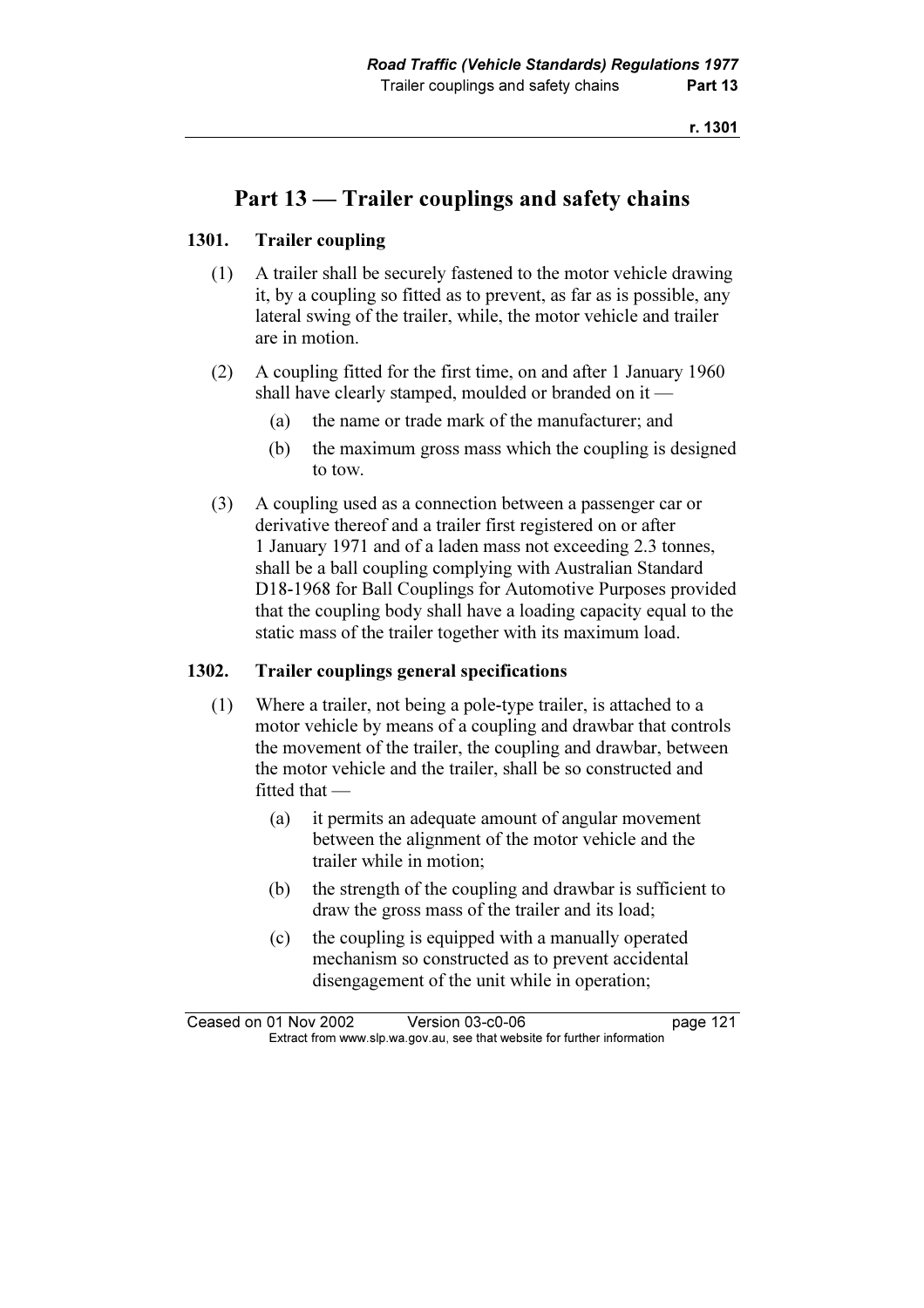## Part 13 — Trailer couplings and safety chains

## 1301. Trailer coupling

- (1) A trailer shall be securely fastened to the motor vehicle drawing it, by a coupling so fitted as to prevent, as far as is possible, any lateral swing of the trailer, while, the motor vehicle and trailer are in motion.
- (2) A coupling fitted for the first time, on and after 1 January 1960 shall have clearly stamped, moulded or branded on it —
	- (a) the name or trade mark of the manufacturer; and
	- (b) the maximum gross mass which the coupling is designed to tow.
- (3) A coupling used as a connection between a passenger car or derivative thereof and a trailer first registered on or after 1 January 1971 and of a laden mass not exceeding 2.3 tonnes, shall be a ball coupling complying with Australian Standard D18-1968 for Ball Couplings for Automotive Purposes provided that the coupling body shall have a loading capacity equal to the static mass of the trailer together with its maximum load.

### 1302. Trailer couplings general specifications

- (1) Where a trailer, not being a pole-type trailer, is attached to a motor vehicle by means of a coupling and drawbar that controls the movement of the trailer, the coupling and drawbar, between the motor vehicle and the trailer, shall be so constructed and fitted that —
	- (a) it permits an adequate amount of angular movement between the alignment of the motor vehicle and the trailer while in motion;
	- (b) the strength of the coupling and drawbar is sufficient to draw the gross mass of the trailer and its load;
	- (c) the coupling is equipped with a manually operated mechanism so constructed as to prevent accidental disengagement of the unit while in operation;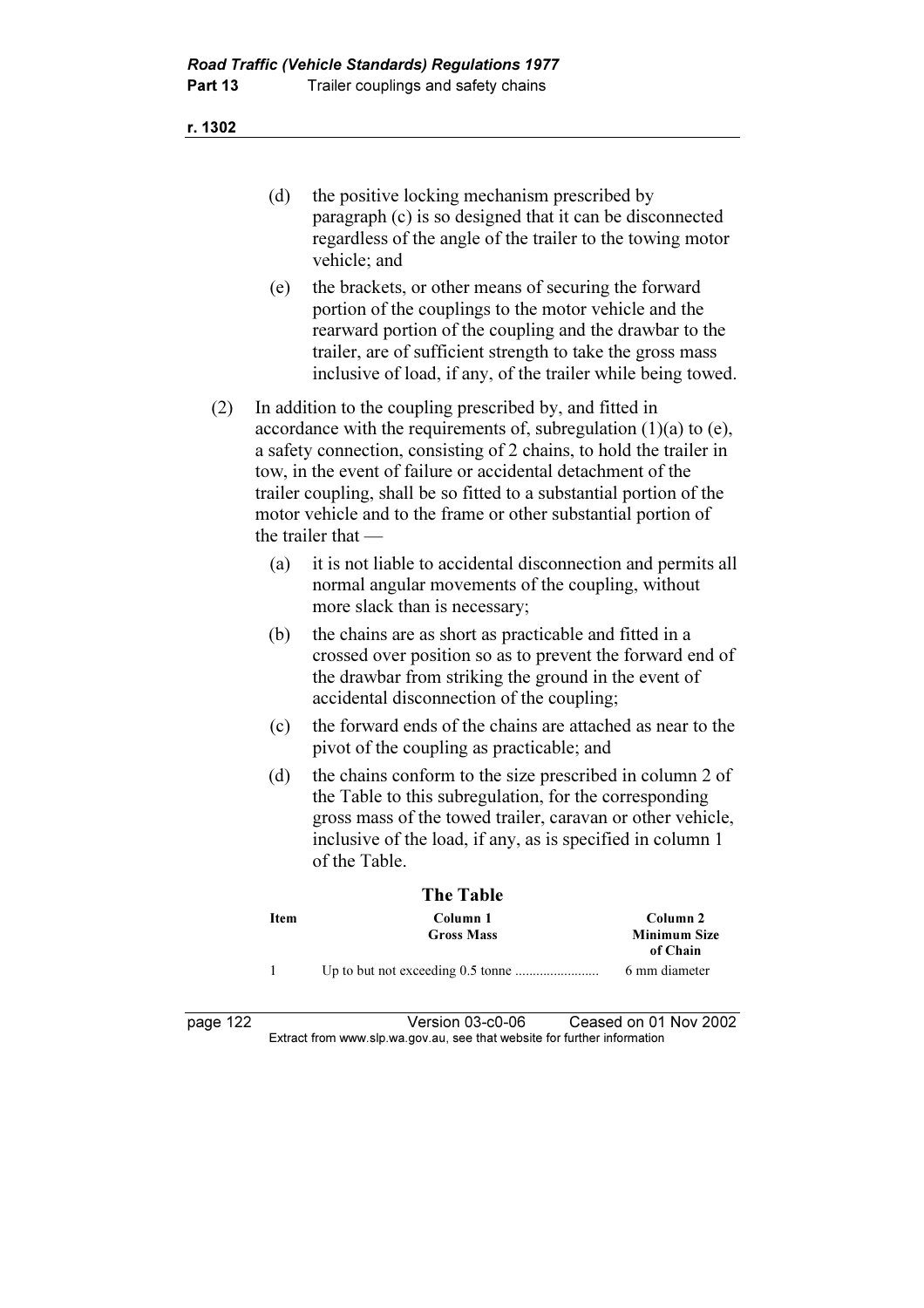- (d) the positive locking mechanism prescribed by paragraph (c) is so designed that it can be disconnected regardless of the angle of the trailer to the towing motor vehicle; and
- (e) the brackets, or other means of securing the forward portion of the couplings to the motor vehicle and the rearward portion of the coupling and the drawbar to the trailer, are of sufficient strength to take the gross mass inclusive of load, if any, of the trailer while being towed.
- (2) In addition to the coupling prescribed by, and fitted in accordance with the requirements of, subregulation  $(1)(a)$  to  $(e)$ , a safety connection, consisting of 2 chains, to hold the trailer in tow, in the event of failure or accidental detachment of the trailer coupling, shall be so fitted to a substantial portion of the motor vehicle and to the frame or other substantial portion of the trailer that —
	- (a) it is not liable to accidental disconnection and permits all normal angular movements of the coupling, without more slack than is necessary;
	- (b) the chains are as short as practicable and fitted in a crossed over position so as to prevent the forward end of the drawbar from striking the ground in the event of accidental disconnection of the coupling;
	- (c) the forward ends of the chains are attached as near to the pivot of the coupling as practicable; and
	- (d) the chains conform to the size prescribed in column 2 of the Table to this subregulation, for the corresponding gross mass of the towed trailer, caravan or other vehicle, inclusive of the load, if any, as is specified in column 1 of the Table.

|             | <b>The Table</b>              |                                             |  |  |  |
|-------------|-------------------------------|---------------------------------------------|--|--|--|
| <b>Item</b> | Column 1<br><b>Gross Mass</b> | Column 2<br><b>Minimum Size</b><br>of Chain |  |  |  |
|             |                               | 6 mm diameter                               |  |  |  |

page 122 Version 03-c0-06 Ceased on 01 Nov 2002<br>Extract from www.slp.wa.gov.au, see that website for further information  $\mathbf{F}$  from which was the set that we besite for further information  $\mathbf{F}$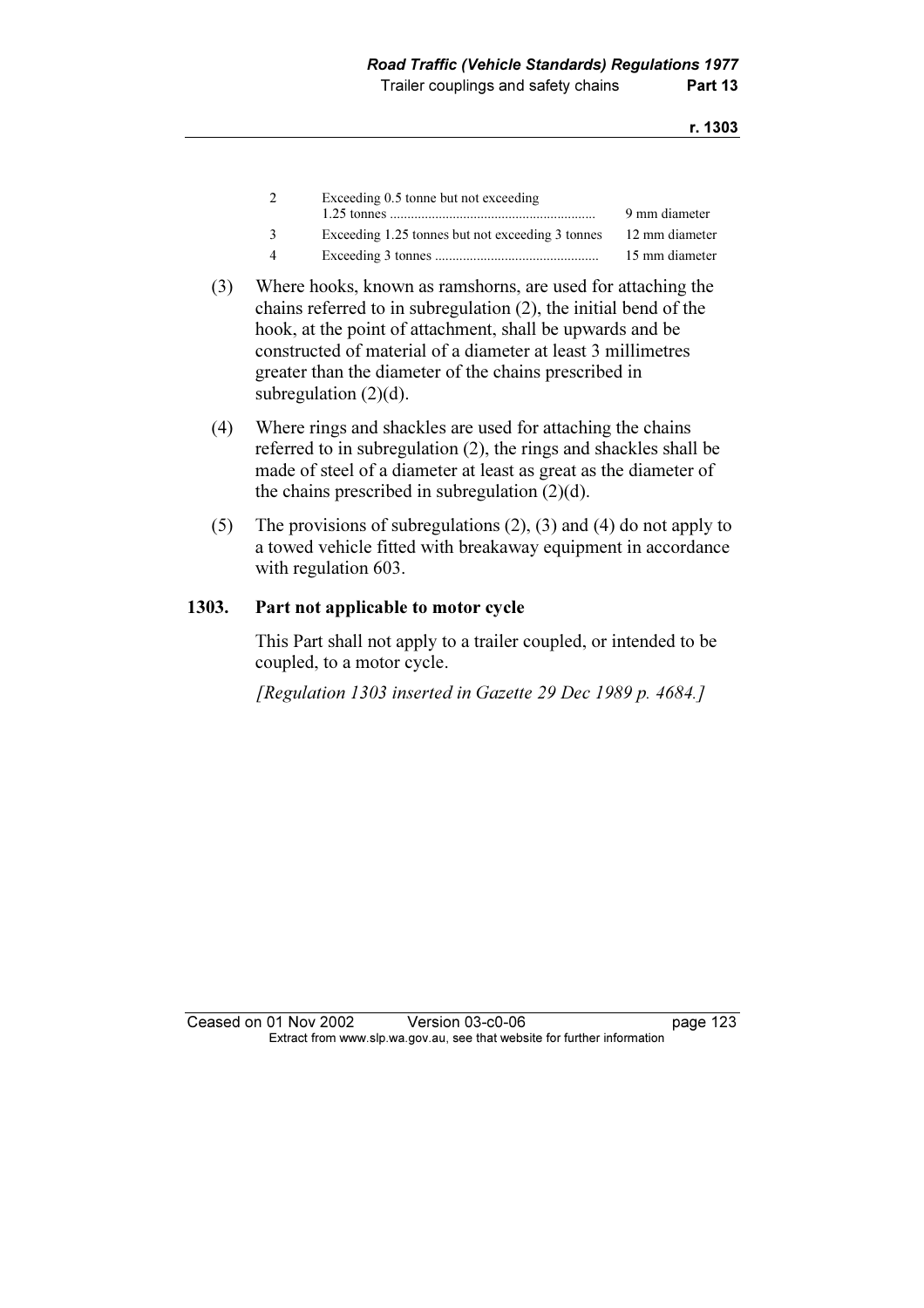|               | Exceeding 0.5 tonne but not exceeding<br>9 mm diameter          |                |  |
|---------------|-----------------------------------------------------------------|----------------|--|
| $\mathcal{R}$ | Exceeding 1.25 tonnes but not exceeding 3 tonnes 12 mm diameter |                |  |
| 4             |                                                                 | 15 mm diameter |  |

- (3) Where hooks, known as ramshorns, are used for attaching the chains referred to in subregulation (2), the initial bend of the hook, at the point of attachment, shall be upwards and be constructed of material of a diameter at least 3 millimetres greater than the diameter of the chains prescribed in subregulation  $(2)(d)$ .
- (4) Where rings and shackles are used for attaching the chains referred to in subregulation (2), the rings and shackles shall be made of steel of a diameter at least as great as the diameter of the chains prescribed in subregulation (2)(d).
- (5) The provisions of subregulations (2), (3) and (4) do not apply to a towed vehicle fitted with breakaway equipment in accordance with regulation 603.

## 1303. Part not applicable to motor cycle

 This Part shall not apply to a trailer coupled, or intended to be coupled, to a motor cycle.

[Regulation 1303 inserted in Gazette 29 Dec 1989 p. 4684.]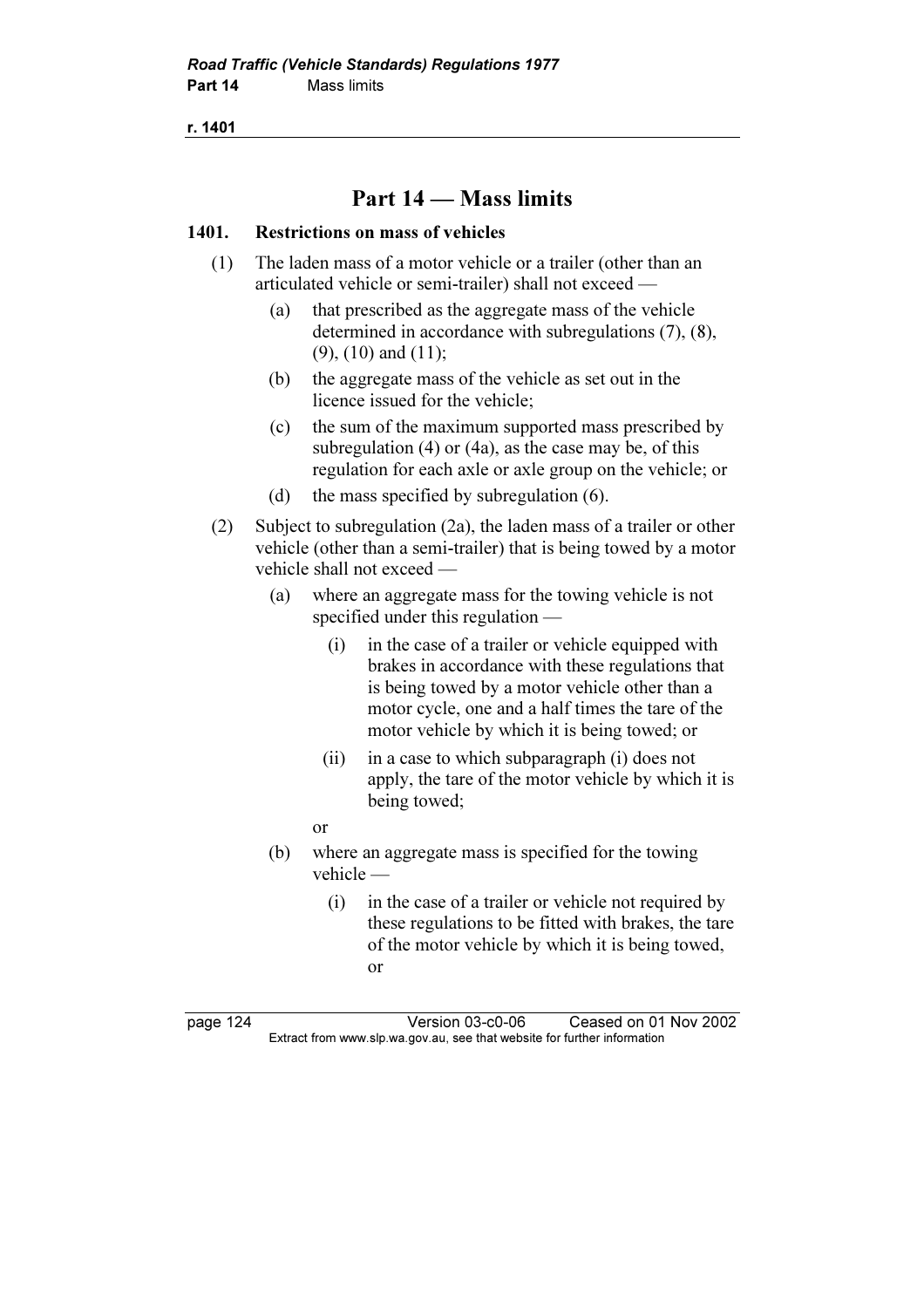## Part 14 — Mass limits

#### 1401. Restrictions on mass of vehicles

- (1) The laden mass of a motor vehicle or a trailer (other than an articulated vehicle or semi-trailer) shall not exceed —
	- (a) that prescribed as the aggregate mass of the vehicle determined in accordance with subregulations (7), (8), (9), (10) and (11);
	- (b) the aggregate mass of the vehicle as set out in the licence issued for the vehicle;
	- (c) the sum of the maximum supported mass prescribed by subregulation (4) or (4a), as the case may be, of this regulation for each axle or axle group on the vehicle; or
	- (d) the mass specified by subregulation (6).
- (2) Subject to subregulation (2a), the laden mass of a trailer or other vehicle (other than a semi-trailer) that is being towed by a motor vehicle shall not exceed —
	- (a) where an aggregate mass for the towing vehicle is not specified under this regulation —
		- (i) in the case of a trailer or vehicle equipped with brakes in accordance with these regulations that is being towed by a motor vehicle other than a motor cycle, one and a half times the tare of the motor vehicle by which it is being towed; or
		- (ii) in a case to which subparagraph (i) does not apply, the tare of the motor vehicle by which it is being towed;
- or
	- (b) where an aggregate mass is specified for the towing vehicle —
		- (i) in the case of a trailer or vehicle not required by these regulations to be fitted with brakes, the tare of the motor vehicle by which it is being towed, or

page 124 Version 03-c0-06 Ceased on 01 Nov 2002<br>Extract from www.slp.wa.gov.au, see that website for further information  $\mathbf{F}$  from which was the set that we besite for further information  $\mathbf{F}$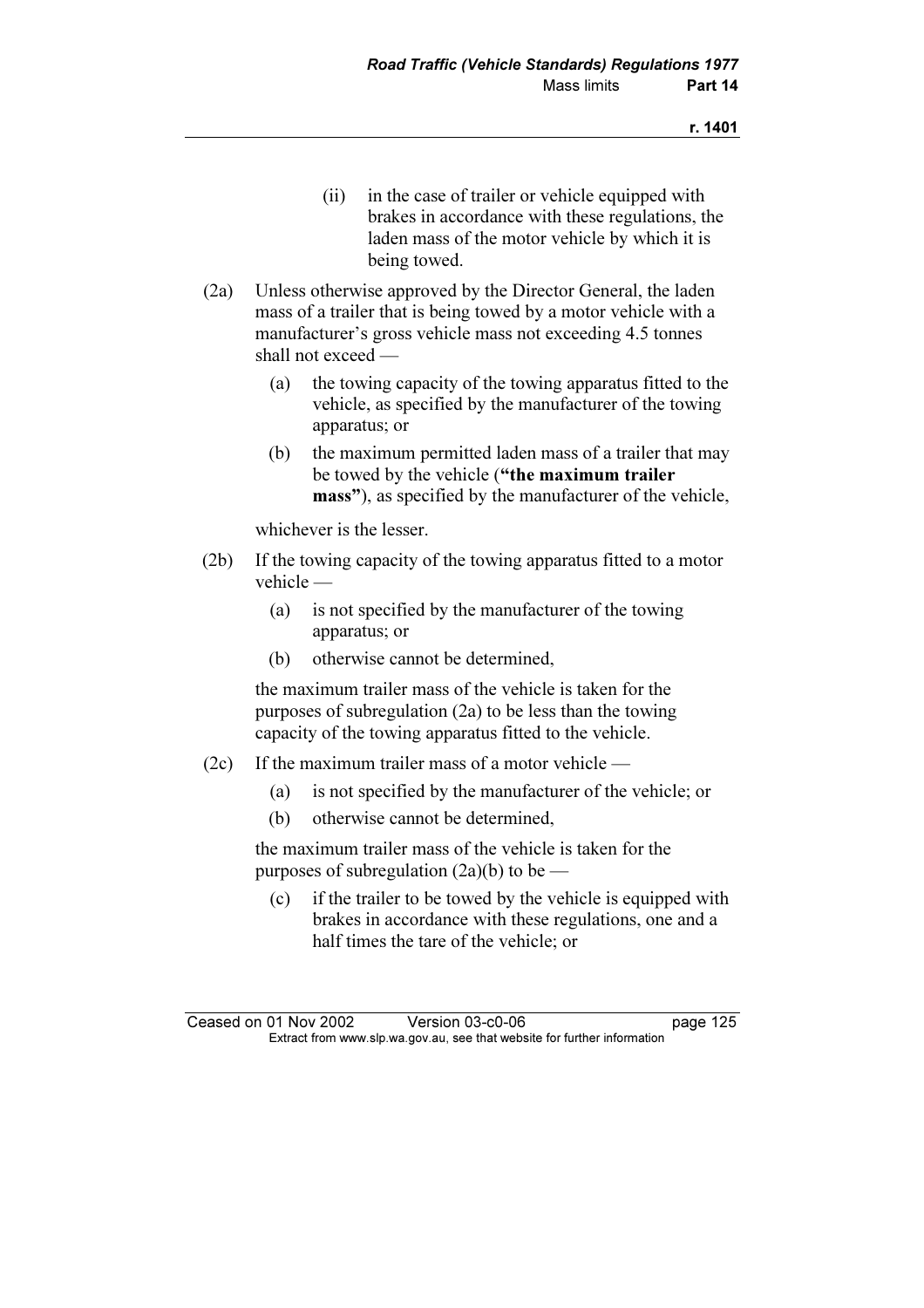- (ii) in the case of trailer or vehicle equipped with brakes in accordance with these regulations, the laden mass of the motor vehicle by which it is being towed.
- (2a) Unless otherwise approved by the Director General, the laden mass of a trailer that is being towed by a motor vehicle with a manufacturer's gross vehicle mass not exceeding 4.5 tonnes shall not exceed —
	- (a) the towing capacity of the towing apparatus fitted to the vehicle, as specified by the manufacturer of the towing apparatus; or
	- (b) the maximum permitted laden mass of a trailer that may be towed by the vehicle ("the maximum trailer mass"), as specified by the manufacturer of the vehicle,

whichever is the lesser.

- (2b) If the towing capacity of the towing apparatus fitted to a motor vehicle —
	- (a) is not specified by the manufacturer of the towing apparatus; or
	- (b) otherwise cannot be determined,

 the maximum trailer mass of the vehicle is taken for the purposes of subregulation (2a) to be less than the towing capacity of the towing apparatus fitted to the vehicle.

- (2c) If the maximum trailer mass of a motor vehicle
	- (a) is not specified by the manufacturer of the vehicle; or
	- (b) otherwise cannot be determined,

 the maximum trailer mass of the vehicle is taken for the purposes of subregulation  $(2a)(b)$  to be —

 (c) if the trailer to be towed by the vehicle is equipped with brakes in accordance with these regulations, one and a half times the tare of the vehicle; or

Ceased on 01 Nov 2002 Version 03-c0-06 page 125<br>Extract from www.slp.wa.gov.au, see that website for further information  $\mathbf{F}$  from which was the set that we besite for further information  $\mathbf{F}$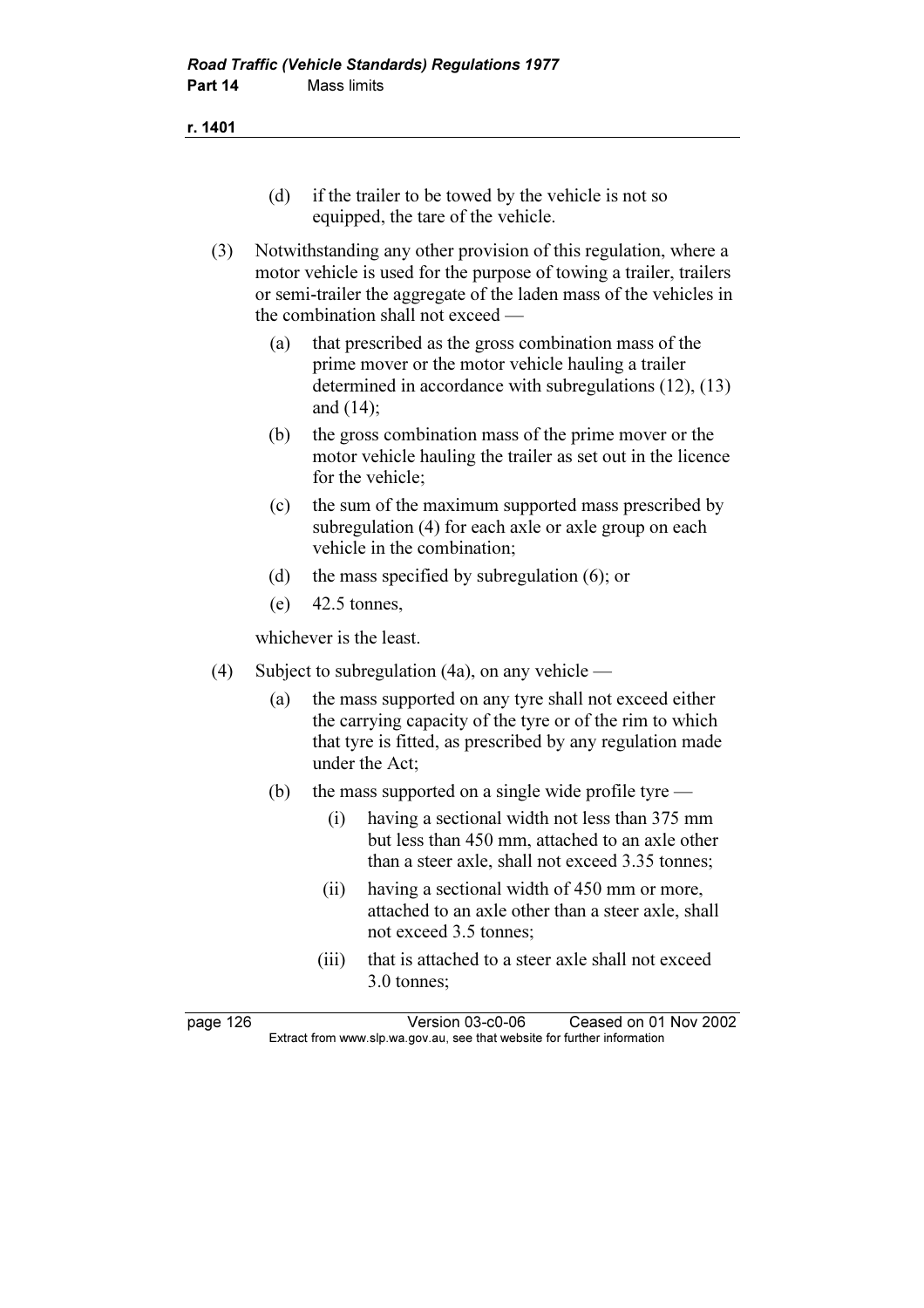- (d) if the trailer to be towed by the vehicle is not so equipped, the tare of the vehicle.
- (3) Notwithstanding any other provision of this regulation, where a motor vehicle is used for the purpose of towing a trailer, trailers or semi-trailer the aggregate of the laden mass of the vehicles in the combination shall not exceed —
	- (a) that prescribed as the gross combination mass of the prime mover or the motor vehicle hauling a trailer determined in accordance with subregulations (12), (13) and (14);
	- (b) the gross combination mass of the prime mover or the motor vehicle hauling the trailer as set out in the licence for the vehicle;
	- (c) the sum of the maximum supported mass prescribed by subregulation (4) for each axle or axle group on each vehicle in the combination;
	- (d) the mass specified by subregulation (6); or
	- (e) 42.5 tonnes,

whichever is the least.

- (4) Subject to subregulation (4a), on any vehicle
	- (a) the mass supported on any tyre shall not exceed either the carrying capacity of the tyre or of the rim to which that tyre is fitted, as prescribed by any regulation made under the Act;
	- (b) the mass supported on a single wide profile tyre
		- (i) having a sectional width not less than 375 mm but less than 450 mm, attached to an axle other than a steer axle, shall not exceed 3.35 tonnes;
		- (ii) having a sectional width of 450 mm or more, attached to an axle other than a steer axle, shall not exceed 3.5 tonnes;
		- (iii) that is attached to a steer axle shall not exceed 3.0 tonnes;

page 126 Version 03-c0-06 Ceased on 01 Nov 2002<br>Extract from www.slp.wa.gov.au, see that website for further information  $\mathbf{F}$  from which was the set that we besite for further information  $\mathbf{F}$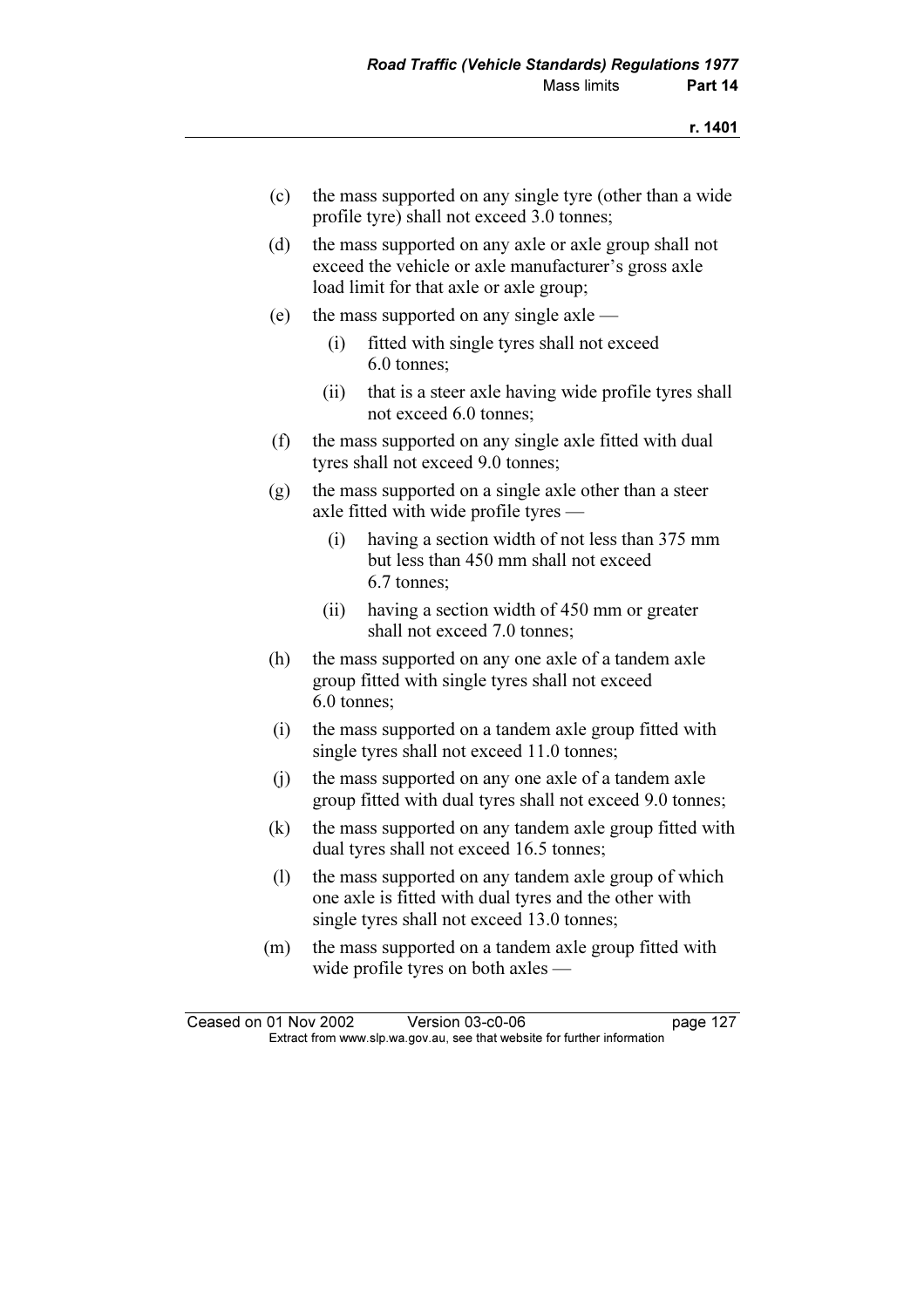- (c) the mass supported on any single tyre (other than a wide profile tyre) shall not exceed 3.0 tonnes;
- (d) the mass supported on any axle or axle group shall not exceed the vehicle or axle manufacturer's gross axle load limit for that axle or axle group;
- (e) the mass supported on any single axle
	- (i) fitted with single tyres shall not exceed 6.0 tonnes;
	- (ii) that is a steer axle having wide profile tyres shall not exceed 6.0 tonnes;
- (f) the mass supported on any single axle fitted with dual tyres shall not exceed 9.0 tonnes;
- (g) the mass supported on a single axle other than a steer axle fitted with wide profile tyres —
	- (i) having a section width of not less than 375 mm but less than 450 mm shall not exceed 6.7 tonnes;
	- (ii) having a section width of 450 mm or greater shall not exceed 7.0 tonnes;
- (h) the mass supported on any one axle of a tandem axle group fitted with single tyres shall not exceed 6.0 tonnes;
- (i) the mass supported on a tandem axle group fitted with single tyres shall not exceed 11.0 tonnes;
- (j) the mass supported on any one axle of a tandem axle group fitted with dual tyres shall not exceed 9.0 tonnes;
- (k) the mass supported on any tandem axle group fitted with dual tyres shall not exceed 16.5 tonnes;
- (l) the mass supported on any tandem axle group of which one axle is fitted with dual tyres and the other with single tyres shall not exceed 13.0 tonnes;
- (m) the mass supported on a tandem axle group fitted with wide profile tyres on both axles —

Ceased on 01 Nov 2002 Version 03-c0-06 page 127<br>Extract from www.slp.wa.gov.au, see that website for further information  $\mathbf{F}$  from which was the set that we besite for further information  $\mathbf{F}$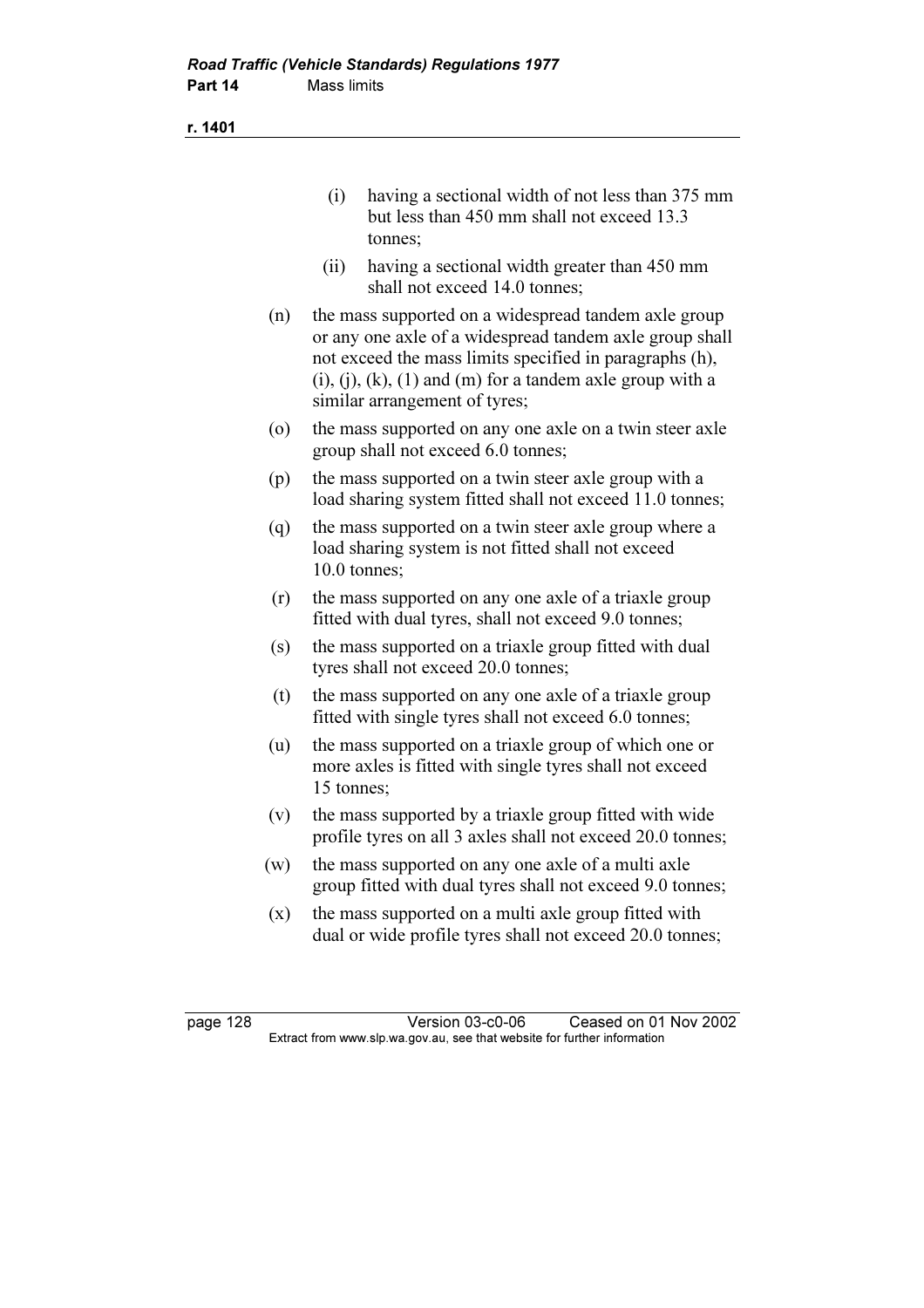- (i) having a sectional width of not less than 375 mm but less than 450 mm shall not exceed 13.3 tonnes;
- (ii) having a sectional width greater than 450 mm shall not exceed 14.0 tonnes;
- (n) the mass supported on a widespread tandem axle group or any one axle of a widespread tandem axle group shall not exceed the mass limits specified in paragraphs (h),  $(i)$ ,  $(j)$ ,  $(k)$ ,  $(1)$  and  $(m)$  for a tandem axle group with a similar arrangement of tyres;
- (o) the mass supported on any one axle on a twin steer axle group shall not exceed 6.0 tonnes;
- (p) the mass supported on a twin steer axle group with a load sharing system fitted shall not exceed 11.0 tonnes;
- (q) the mass supported on a twin steer axle group where a load sharing system is not fitted shall not exceed 10.0 tonnes;
- (r) the mass supported on any one axle of a triaxle group fitted with dual tyres, shall not exceed 9.0 tonnes;
- (s) the mass supported on a triaxle group fitted with dual tyres shall not exceed 20.0 tonnes;
- (t) the mass supported on any one axle of a triaxle group fitted with single tyres shall not exceed 6.0 tonnes;
- (u) the mass supported on a triaxle group of which one or more axles is fitted with single tyres shall not exceed 15 tonnes;
- (v) the mass supported by a triaxle group fitted with wide profile tyres on all 3 axles shall not exceed 20.0 tonnes;
- (w) the mass supported on any one axle of a multi axle group fitted with dual tyres shall not exceed 9.0 tonnes;
- (x) the mass supported on a multi axle group fitted with dual or wide profile tyres shall not exceed 20.0 tonnes;

page 128 Version 03-c0-06 Ceased on 01 Nov 2002<br>Extract from www.slp.wa.gov.au, see that website for further information  $\mathbf{F}$  from which was the set that we besite for further information  $\mathbf{F}$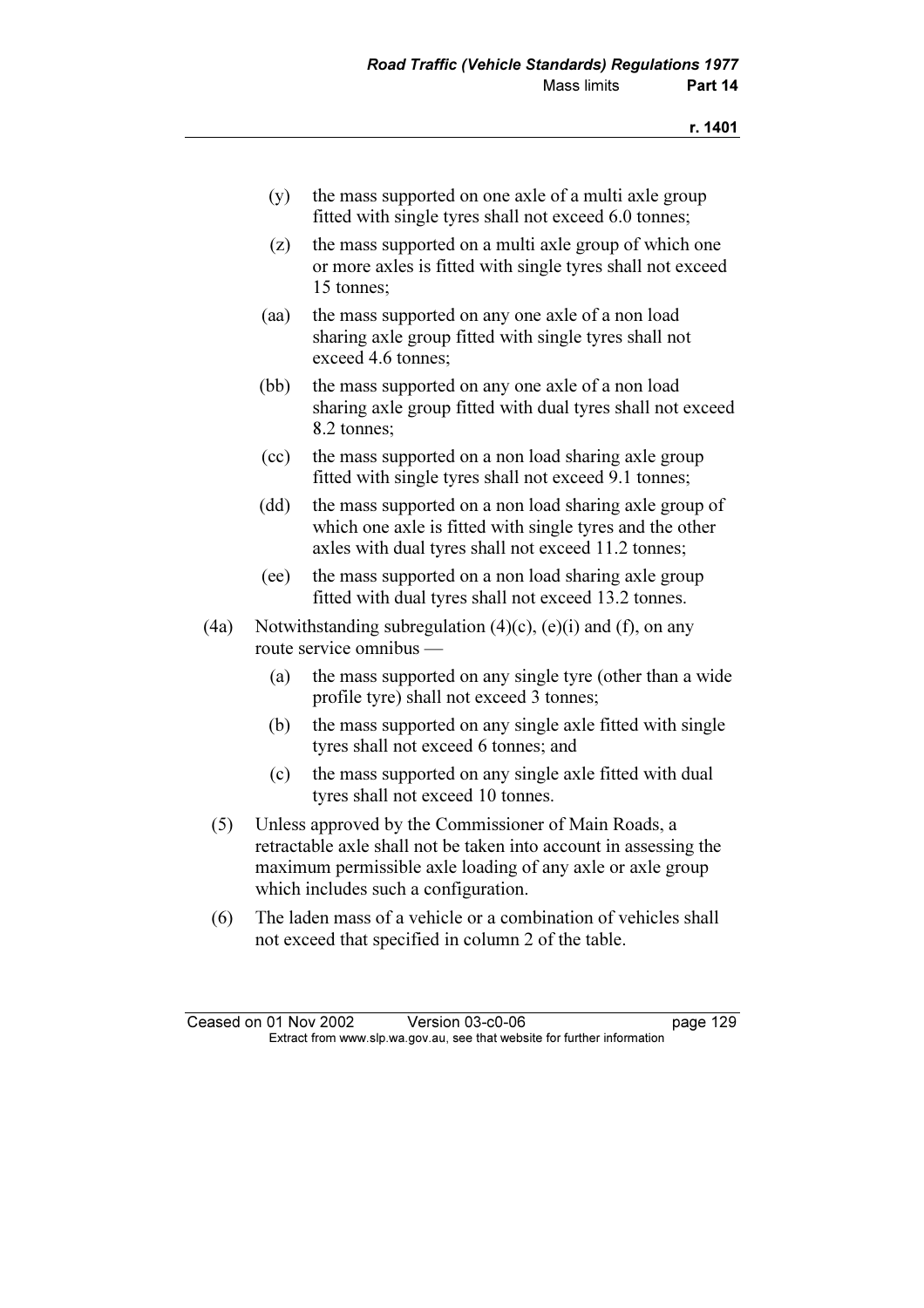- (y) the mass supported on one axle of a multi axle group fitted with single tyres shall not exceed 6.0 tonnes;
- (z) the mass supported on a multi axle group of which one or more axles is fitted with single tyres shall not exceed 15 tonnes;
- (aa) the mass supported on any one axle of a non load sharing axle group fitted with single tyres shall not exceed 4.6 tonnes;
- (bb) the mass supported on any one axle of a non load sharing axle group fitted with dual tyres shall not exceed 8.2 tonnes;
- (cc) the mass supported on a non load sharing axle group fitted with single tyres shall not exceed 9.1 tonnes;
- (dd) the mass supported on a non load sharing axle group of which one axle is fitted with single tyres and the other axles with dual tyres shall not exceed 11.2 tonnes;
- (ee) the mass supported on a non load sharing axle group fitted with dual tyres shall not exceed 13.2 tonnes.
- (4a) Notwithstanding subregulation  $(4)(c)$ ,  $(e)(i)$  and  $(f)$ , on any route service omnibus —
	- (a) the mass supported on any single tyre (other than a wide profile tyre) shall not exceed 3 tonnes;
	- (b) the mass supported on any single axle fitted with single tyres shall not exceed 6 tonnes; and
	- (c) the mass supported on any single axle fitted with dual tyres shall not exceed 10 tonnes.
- (5) Unless approved by the Commissioner of Main Roads, a retractable axle shall not be taken into account in assessing the maximum permissible axle loading of any axle or axle group which includes such a configuration.
- (6) The laden mass of a vehicle or a combination of vehicles shall not exceed that specified in column 2 of the table.

Ceased on 01 Nov 2002 Version 03-c0-06 page 129<br>Extract from www.slp.wa.gov.au, see that website for further information  $\mathbf{F}$  from which was the set that we besite for further information  $\mathbf{F}$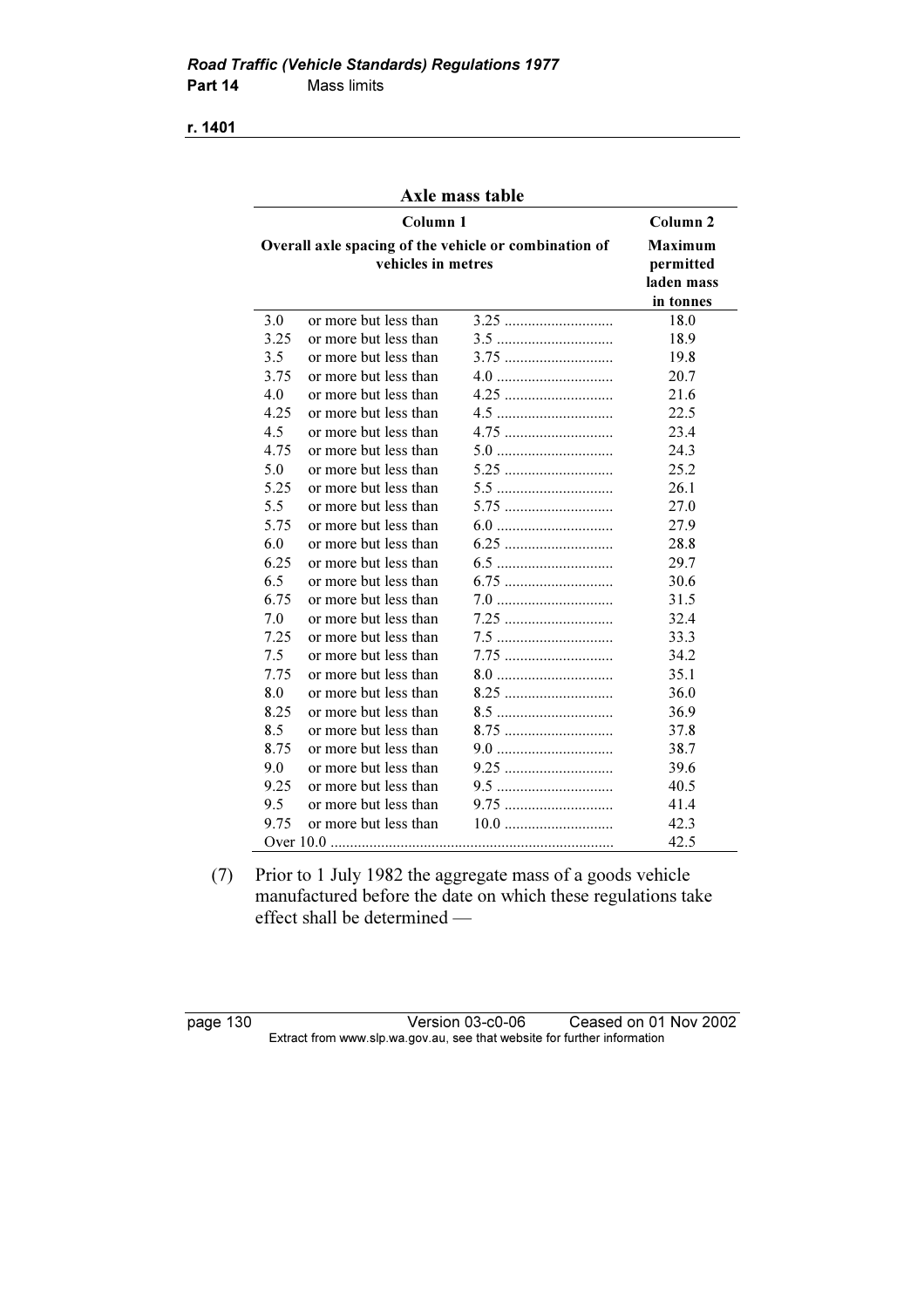| Axle mass table                                                             |                       |        |                                                        |  |  |
|-----------------------------------------------------------------------------|-----------------------|--------|--------------------------------------------------------|--|--|
| Column 1                                                                    |                       |        | Column <sub>2</sub>                                    |  |  |
| Overall axle spacing of the vehicle or combination of<br>vehicles in metres |                       |        | <b>Maximum</b><br>permitted<br>laden mass<br>in tonnes |  |  |
| 3.0                                                                         | or more but less than | 3.25   | 18.0                                                   |  |  |
| 3.25                                                                        | or more but less than | 3.5    | 18.9                                                   |  |  |
| 3.5                                                                         | or more but less than |        | 19.8                                                   |  |  |
| 3.75                                                                        | or more but less than |        | 20.7                                                   |  |  |
| 4.0                                                                         | or more but less than |        | 21.6                                                   |  |  |
| 4.25                                                                        | or more but less than | 4.5    | 22.5                                                   |  |  |
| 4.5                                                                         | or more but less than |        | 23.4                                                   |  |  |
| 4.75                                                                        | or more but less than |        | 24.3                                                   |  |  |
| 5.0                                                                         | or more but less than | $5.25$ | 25.2                                                   |  |  |
| 5.25                                                                        | or more but less than | $5.5$  | 26.1                                                   |  |  |
| 5.5                                                                         | or more but less than |        | 27.0                                                   |  |  |
| 5.75                                                                        | or more but less than |        | 27.9                                                   |  |  |
| 6.0                                                                         | or more but less than |        | 28.8                                                   |  |  |
| 6.25                                                                        | or more but less than |        | 29.7                                                   |  |  |
| 6.5                                                                         | or more but less than |        | 30.6                                                   |  |  |
| 6.75                                                                        | or more but less than |        | 31.5                                                   |  |  |
| 7.0                                                                         | or more but less than |        | 32.4                                                   |  |  |
| 7.25                                                                        | or more but less than |        | 33.3                                                   |  |  |
| 7.5                                                                         | or more but less than |        | 34.2                                                   |  |  |
| 7.75                                                                        | or more but less than |        | 35.1                                                   |  |  |
| 8.0                                                                         | or more but less than |        | 36.0                                                   |  |  |
| 8.25                                                                        | or more but less than | 8.5    | 36.9                                                   |  |  |
| 8.5                                                                         | or more but less than |        | 37.8                                                   |  |  |
| 8.75                                                                        | or more but less than |        | 38.7                                                   |  |  |
| 9.0                                                                         | or more but less than |        | 39.6                                                   |  |  |
| 9.25                                                                        | or more but less than |        | 40.5                                                   |  |  |
| 9.5                                                                         | or more but less than |        | 41.4                                                   |  |  |
| 9.75                                                                        | or more but less than |        | 42.3                                                   |  |  |
|                                                                             |                       |        | 42.5                                                   |  |  |

 (7) Prior to 1 July 1982 the aggregate mass of a goods vehicle manufactured before the date on which these regulations take effect shall be determined —

page 130 Version 03-c0-06 Ceased on 01 Nov 2002 Extract from www.slp.wa.gov.au, see that website for further information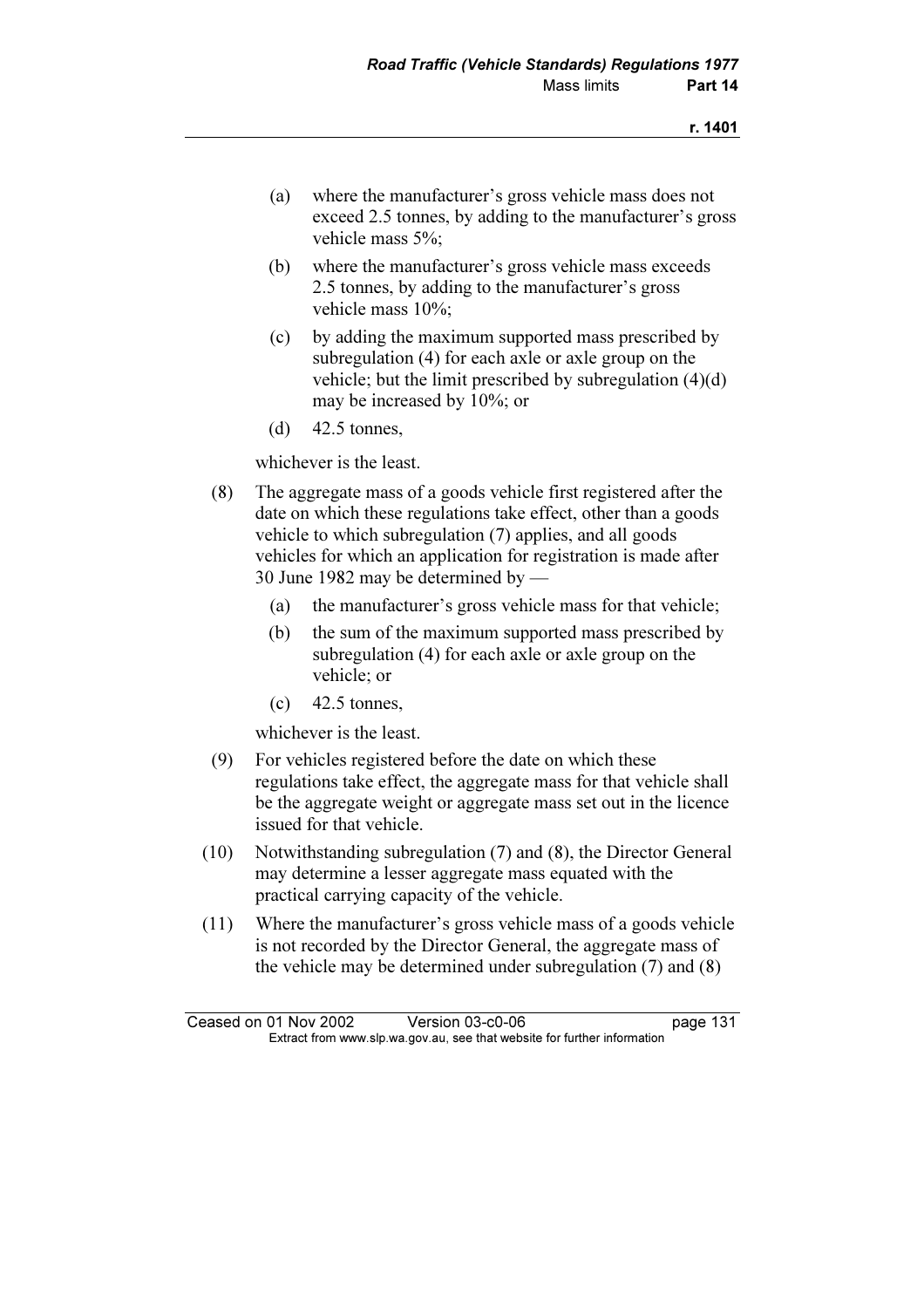- (a) where the manufacturer's gross vehicle mass does not exceed 2.5 tonnes, by adding to the manufacturer's gross vehicle mass 5%;
- (b) where the manufacturer's gross vehicle mass exceeds 2.5 tonnes, by adding to the manufacturer's gross vehicle mass 10%;
- (c) by adding the maximum supported mass prescribed by subregulation (4) for each axle or axle group on the vehicle; but the limit prescribed by subregulation (4)(d) may be increased by 10%; or
- (d) 42.5 tonnes,

whichever is the least.

- (8) The aggregate mass of a goods vehicle first registered after the date on which these regulations take effect, other than a goods vehicle to which subregulation (7) applies, and all goods vehicles for which an application for registration is made after 30 June 1982 may be determined by —
	- (a) the manufacturer's gross vehicle mass for that vehicle;
	- (b) the sum of the maximum supported mass prescribed by subregulation (4) for each axle or axle group on the vehicle; or
	- (c) 42.5 tonnes,

whichever is the least.

- (9) For vehicles registered before the date on which these regulations take effect, the aggregate mass for that vehicle shall be the aggregate weight or aggregate mass set out in the licence issued for that vehicle.
- (10) Notwithstanding subregulation (7) and (8), the Director General may determine a lesser aggregate mass equated with the practical carrying capacity of the vehicle.
- (11) Where the manufacturer's gross vehicle mass of a goods vehicle is not recorded by the Director General, the aggregate mass of the vehicle may be determined under subregulation (7) and (8)

Ceased on 01 Nov 2002 Version 03-c0-06 page 131<br>Extract from www.slp.wa.gov.au, see that website for further information  $\mathbf{F}$  from which was the set that we besite for further information  $\mathbf{F}$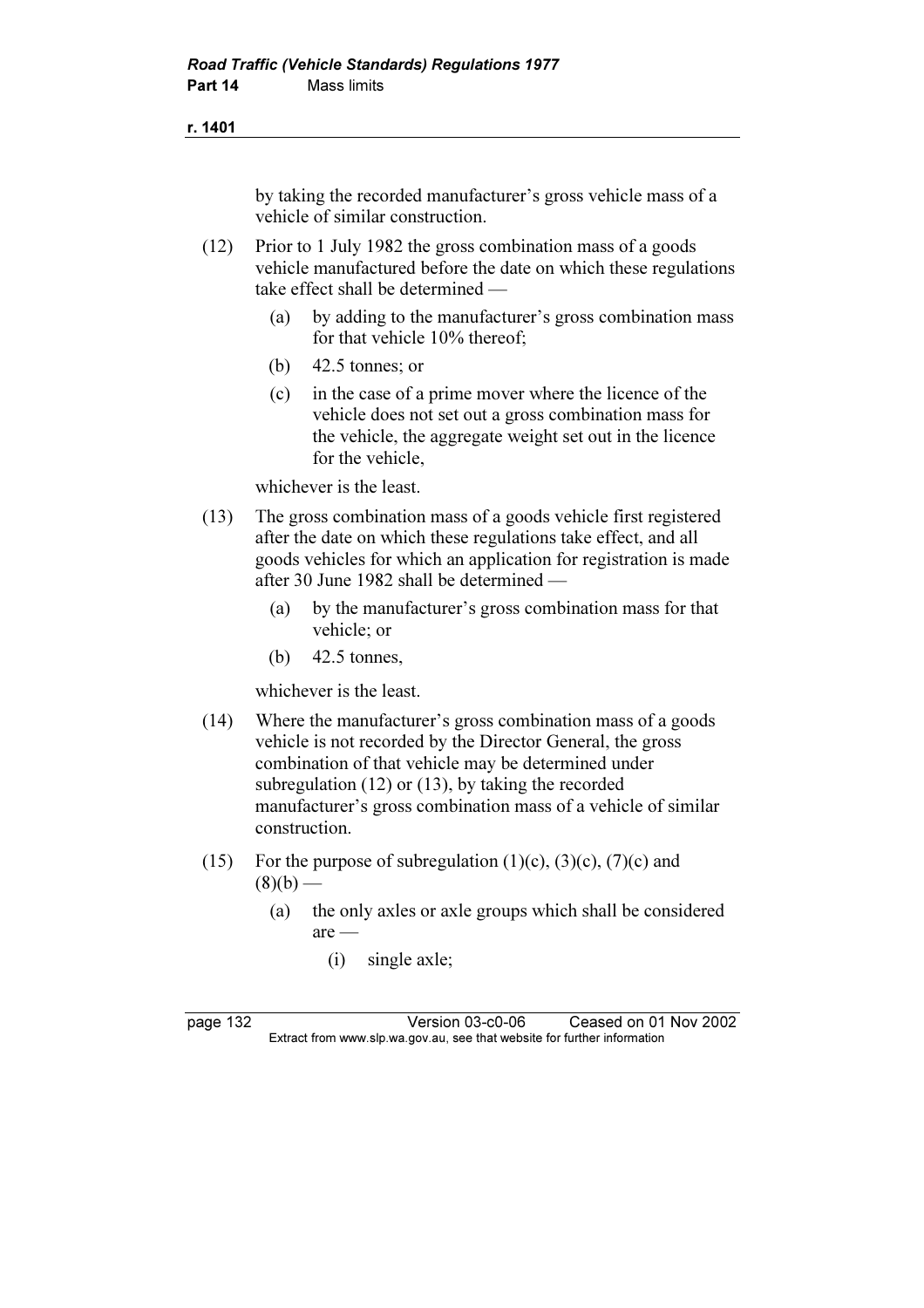by taking the recorded manufacturer's gross vehicle mass of a vehicle of similar construction.

- (12) Prior to 1 July 1982 the gross combination mass of a goods vehicle manufactured before the date on which these regulations take effect shall be determined —
	- (a) by adding to the manufacturer's gross combination mass for that vehicle 10% thereof;
	- (b) 42.5 tonnes; or
	- (c) in the case of a prime mover where the licence of the vehicle does not set out a gross combination mass for the vehicle, the aggregate weight set out in the licence for the vehicle,

whichever is the least.

- (13) The gross combination mass of a goods vehicle first registered after the date on which these regulations take effect, and all goods vehicles for which an application for registration is made after 30 June 1982 shall be determined —
	- (a) by the manufacturer's gross combination mass for that vehicle; or
	- (b) 42.5 tonnes,

whichever is the least.

- (14) Where the manufacturer's gross combination mass of a goods vehicle is not recorded by the Director General, the gross combination of that vehicle may be determined under subregulation (12) or (13), by taking the recorded manufacturer's gross combination mass of a vehicle of similar construction.
- (15) For the purpose of subregulation  $(1)(c)$ ,  $(3)(c)$ ,  $(7)(c)$  and  $(8)(b)$  —
	- (a) the only axles or axle groups which shall be considered are —
		- (i) single axle;

page 132 Version 03-c0-06 Ceased on 01 Nov 2002<br>Extract from www.slp.wa.gov.au, see that website for further information  $\mathbf{F}$  from which was the set that we besite for further information  $\mathbf{F}$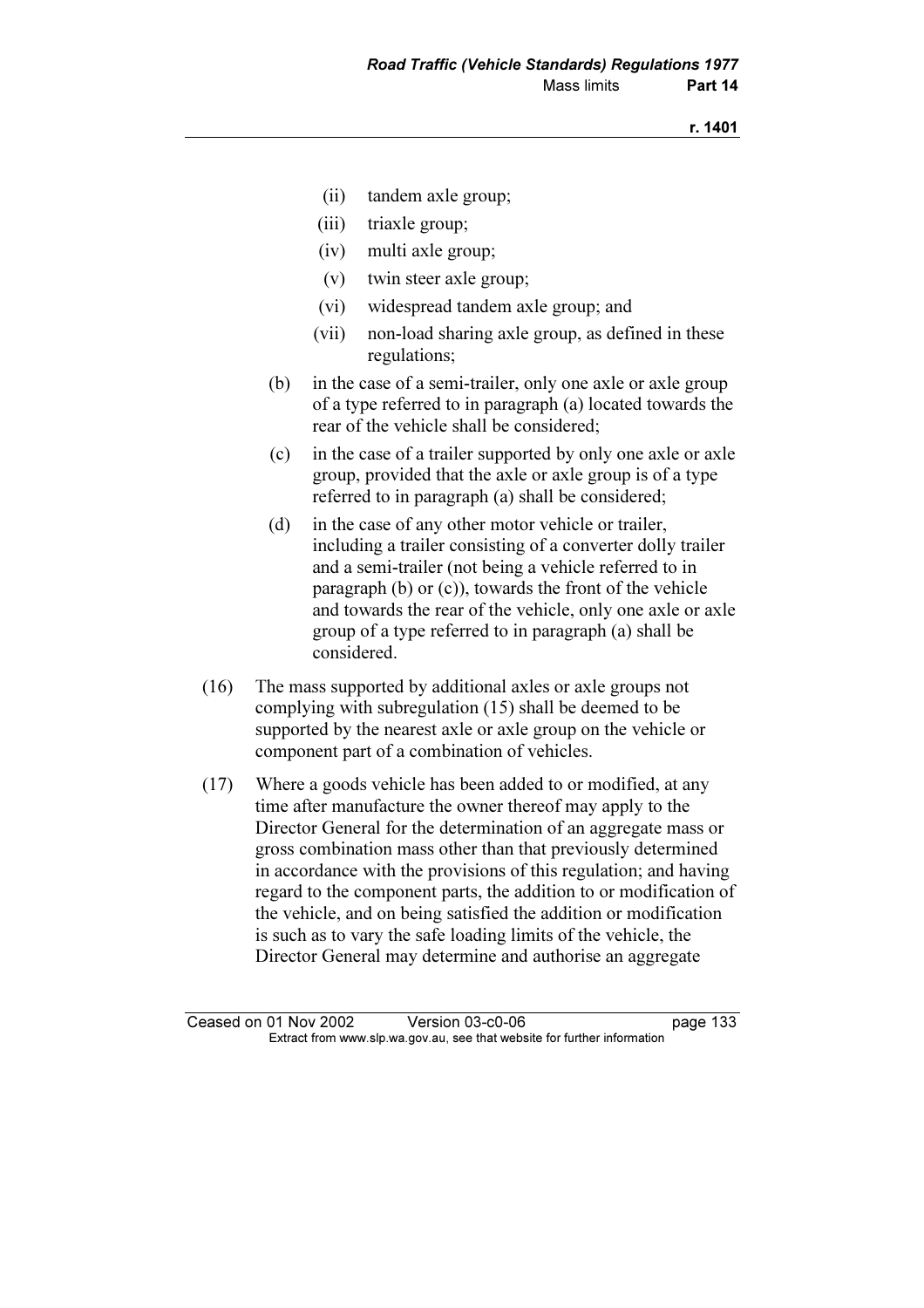- (ii) tandem axle group;
- (iii) triaxle group;
- (iv) multi axle group;
- (v) twin steer axle group;
- (vi) widespread tandem axle group; and
- (vii) non-load sharing axle group, as defined in these regulations;
- (b) in the case of a semi-trailer, only one axle or axle group of a type referred to in paragraph (a) located towards the rear of the vehicle shall be considered;
- (c) in the case of a trailer supported by only one axle or axle group, provided that the axle or axle group is of a type referred to in paragraph (a) shall be considered;
- (d) in the case of any other motor vehicle or trailer, including a trailer consisting of a converter dolly trailer and a semi-trailer (not being a vehicle referred to in paragraph (b) or (c)), towards the front of the vehicle and towards the rear of the vehicle, only one axle or axle group of a type referred to in paragraph (a) shall be considered.
- (16) The mass supported by additional axles or axle groups not complying with subregulation (15) shall be deemed to be supported by the nearest axle or axle group on the vehicle or component part of a combination of vehicles.
- (17) Where a goods vehicle has been added to or modified, at any time after manufacture the owner thereof may apply to the Director General for the determination of an aggregate mass or gross combination mass other than that previously determined in accordance with the provisions of this regulation; and having regard to the component parts, the addition to or modification of the vehicle, and on being satisfied the addition or modification is such as to vary the safe loading limits of the vehicle, the Director General may determine and authorise an aggregate

Ceased on 01 Nov 2002 Version 03-c0-06 page 133<br>Extract from www.slp.wa.gov.au, see that website for further information  $\mathbf{F}$  from which was the set that we besite for further information  $\mathbf{F}$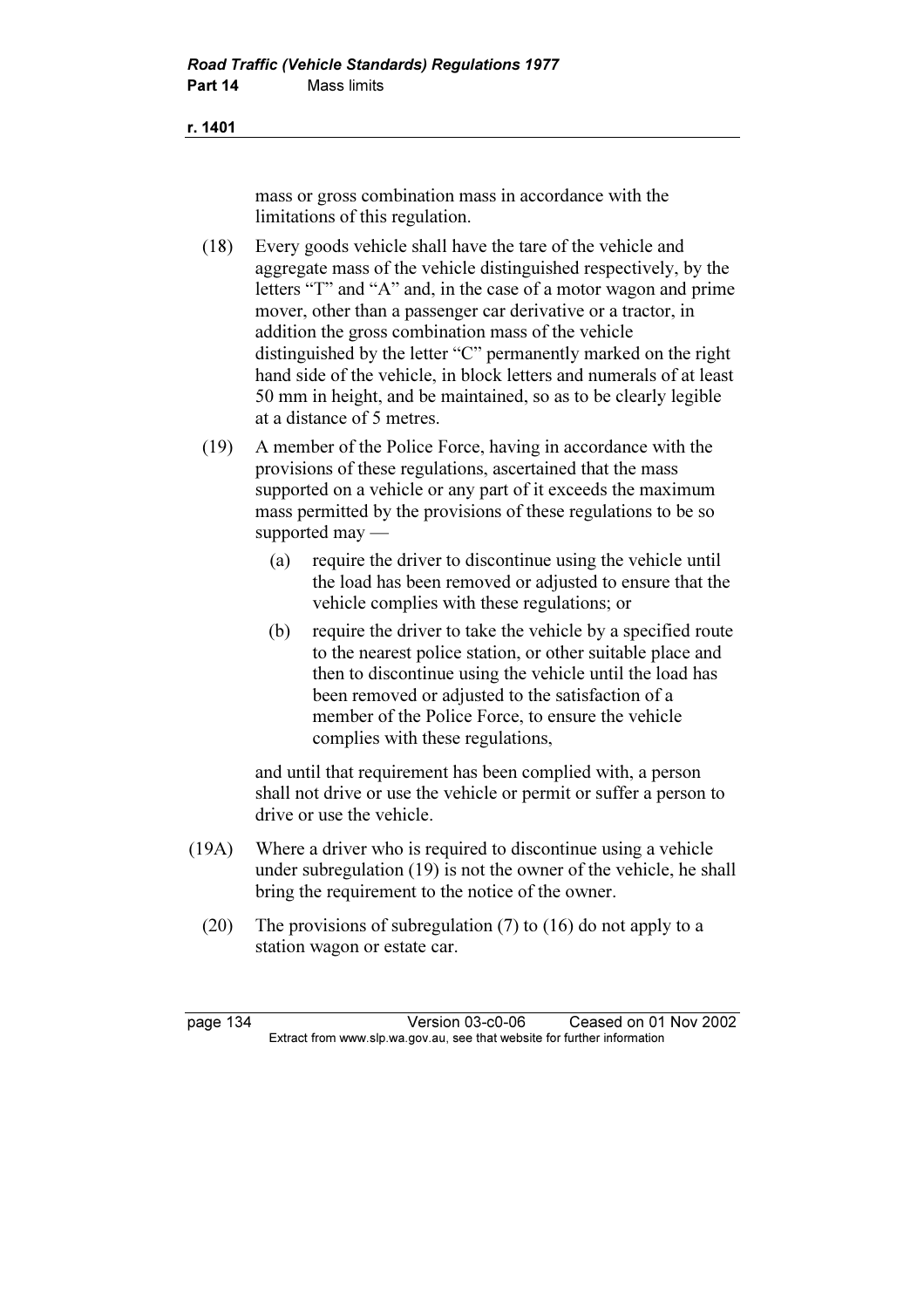mass or gross combination mass in accordance with the limitations of this regulation.

- (18) Every goods vehicle shall have the tare of the vehicle and aggregate mass of the vehicle distinguished respectively, by the letters "T" and "A" and, in the case of a motor wagon and prime mover, other than a passenger car derivative or a tractor, in addition the gross combination mass of the vehicle distinguished by the letter "C" permanently marked on the right hand side of the vehicle, in block letters and numerals of at least 50 mm in height, and be maintained, so as to be clearly legible at a distance of 5 metres.
- (19) A member of the Police Force, having in accordance with the provisions of these regulations, ascertained that the mass supported on a vehicle or any part of it exceeds the maximum mass permitted by the provisions of these regulations to be so supported may —
	- (a) require the driver to discontinue using the vehicle until the load has been removed or adjusted to ensure that the vehicle complies with these regulations; or
	- (b) require the driver to take the vehicle by a specified route to the nearest police station, or other suitable place and then to discontinue using the vehicle until the load has been removed or adjusted to the satisfaction of a member of the Police Force, to ensure the vehicle complies with these regulations,

 and until that requirement has been complied with, a person shall not drive or use the vehicle or permit or suffer a person to drive or use the vehicle.

- (19A) Where a driver who is required to discontinue using a vehicle under subregulation (19) is not the owner of the vehicle, he shall bring the requirement to the notice of the owner.
	- (20) The provisions of subregulation (7) to (16) do not apply to a station wagon or estate car.

page 134 Version 03-c0-06 Ceased on 01 Nov 2002<br>Extract from www.slp.wa.gov.au, see that website for further information  $\mathbf{F}$  from which was the set that we besite for further information  $\mathbf{F}$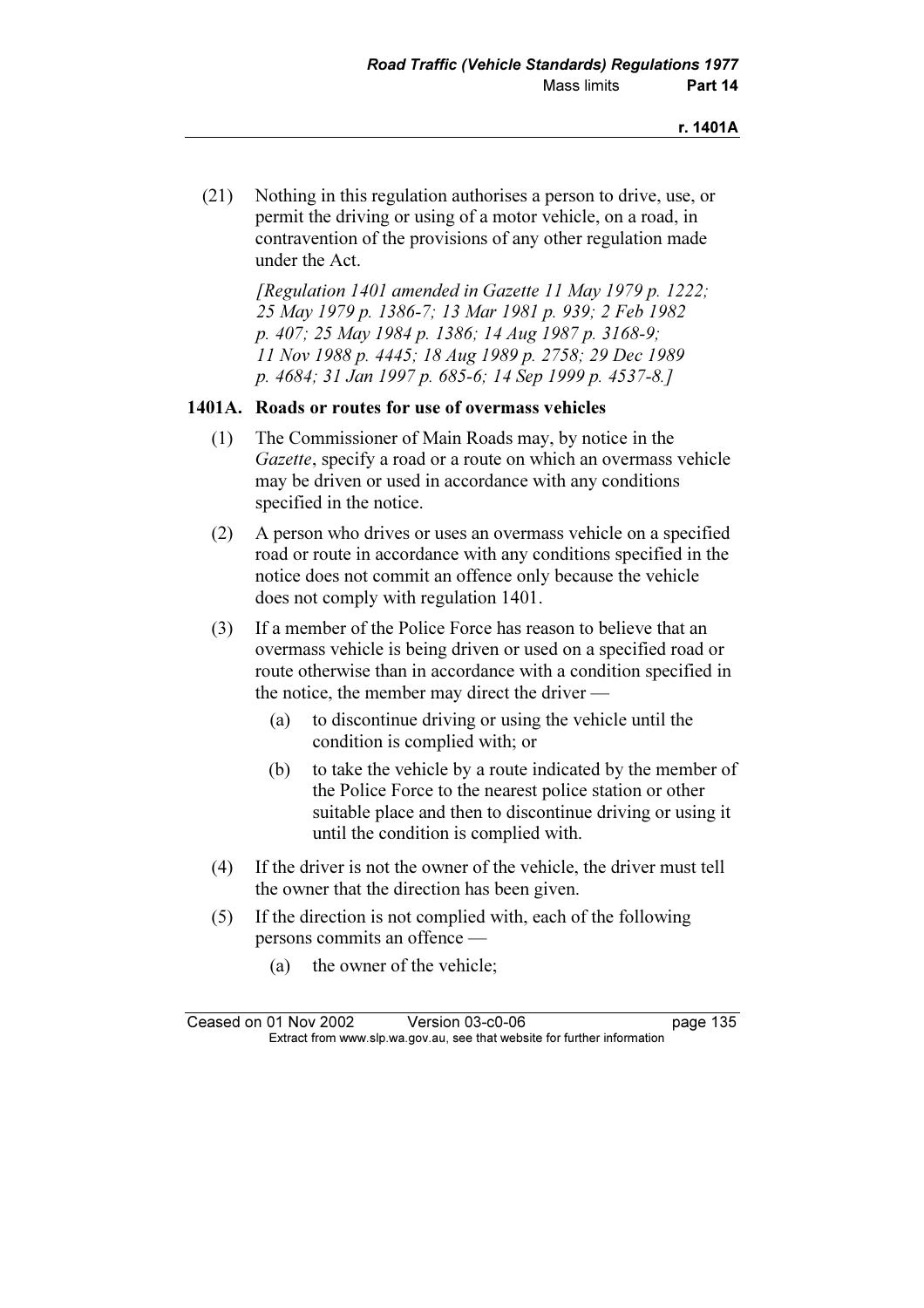(21) Nothing in this regulation authorises a person to drive, use, or permit the driving or using of a motor vehicle, on a road, in contravention of the provisions of any other regulation made under the Act.

> [Regulation 1401 amended in Gazette 11 May 1979 p. 1222; 25 May 1979 p. 1386-7; 13 Mar 1981 p. 939; 2 Feb 1982 p. 407; 25 May 1984 p. 1386; 14 Aug 1987 p. 3168-9; 11 Nov 1988 p. 4445; 18 Aug 1989 p. 2758; 29 Dec 1989 p. 4684; 31 Jan 1997 p. 685-6; 14 Sep 1999 p. 4537-8.]

### 1401A. Roads or routes for use of overmass vehicles

- (1) The Commissioner of Main Roads may, by notice in the Gazette, specify a road or a route on which an overmass vehicle may be driven or used in accordance with any conditions specified in the notice.
- (2) A person who drives or uses an overmass vehicle on a specified road or route in accordance with any conditions specified in the notice does not commit an offence only because the vehicle does not comply with regulation 1401.
- (3) If a member of the Police Force has reason to believe that an overmass vehicle is being driven or used on a specified road or route otherwise than in accordance with a condition specified in the notice, the member may direct the driver —
	- (a) to discontinue driving or using the vehicle until the condition is complied with; or
	- (b) to take the vehicle by a route indicated by the member of the Police Force to the nearest police station or other suitable place and then to discontinue driving or using it until the condition is complied with.
- (4) If the driver is not the owner of the vehicle, the driver must tell the owner that the direction has been given.
- (5) If the direction is not complied with, each of the following persons commits an offence —
	- (a) the owner of the vehicle;

Ceased on 01 Nov 2002 Version 03-c0-06 page 135<br>Extract from www.slp.wa.gov.au, see that website for further information  $\mathbf{F}$  from which was the set that we besite for further information  $\mathbf{F}$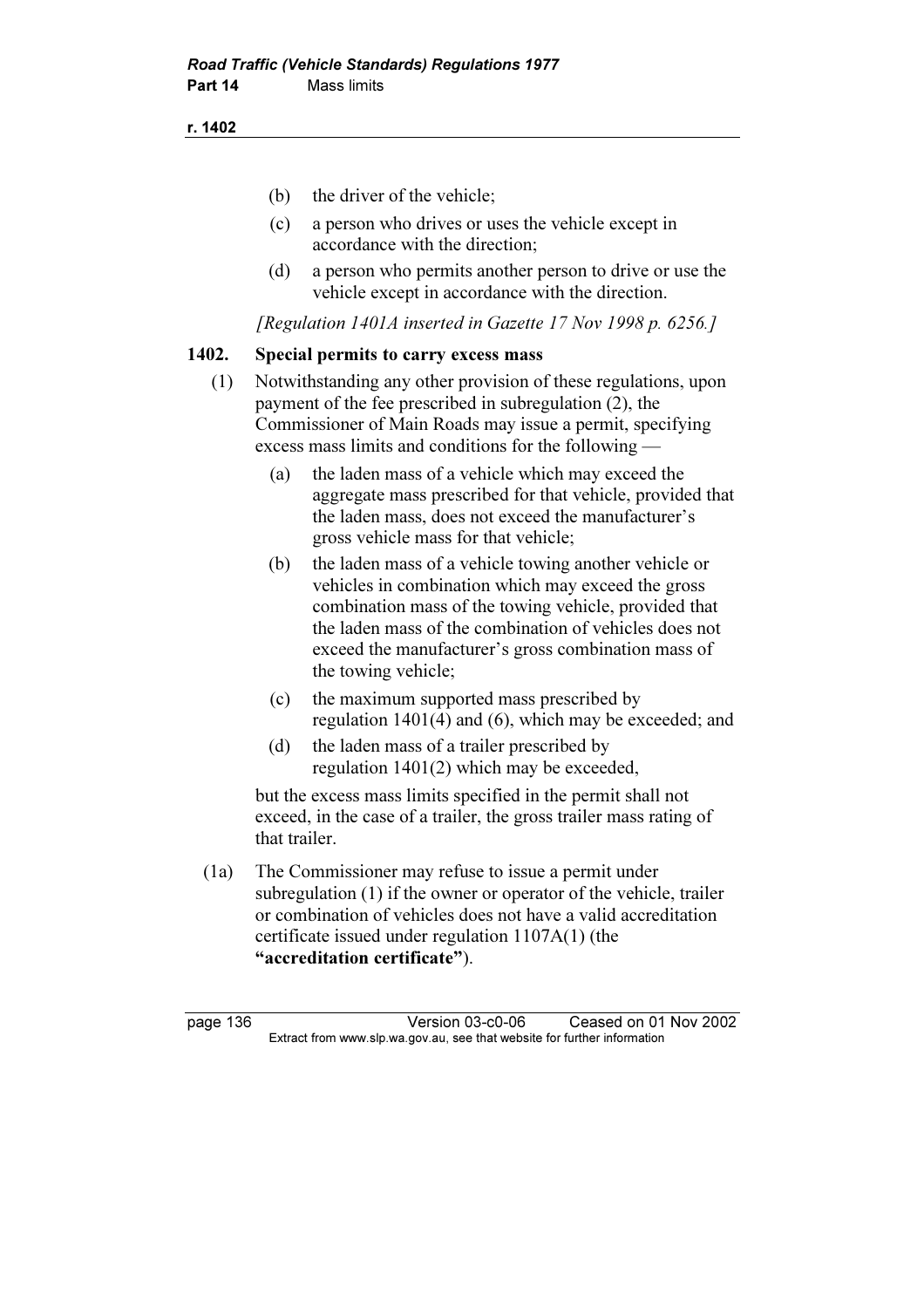- (b) the driver of the vehicle;
- (c) a person who drives or uses the vehicle except in accordance with the direction;
- (d) a person who permits another person to drive or use the vehicle except in accordance with the direction.

[Regulation 1401A inserted in Gazette 17 Nov 1998 p. 6256.]

### 1402. Special permits to carry excess mass

- (1) Notwithstanding any other provision of these regulations, upon payment of the fee prescribed in subregulation (2), the Commissioner of Main Roads may issue a permit, specifying excess mass limits and conditions for the following —
	- (a) the laden mass of a vehicle which may exceed the aggregate mass prescribed for that vehicle, provided that the laden mass, does not exceed the manufacturer's gross vehicle mass for that vehicle;
	- (b) the laden mass of a vehicle towing another vehicle or vehicles in combination which may exceed the gross combination mass of the towing vehicle, provided that the laden mass of the combination of vehicles does not exceed the manufacturer's gross combination mass of the towing vehicle;
	- (c) the maximum supported mass prescribed by regulation 1401(4) and (6), which may be exceeded; and
	- (d) the laden mass of a trailer prescribed by regulation 1401(2) which may be exceeded,

 but the excess mass limits specified in the permit shall not exceed, in the case of a trailer, the gross trailer mass rating of that trailer.

 (1a) The Commissioner may refuse to issue a permit under subregulation (1) if the owner or operator of the vehicle, trailer or combination of vehicles does not have a valid accreditation certificate issued under regulation 1107A(1) (the "accreditation certificate").

page 136 Version 03-c0-06 Ceased on 01 Nov 2002<br>Extract from www.slp.wa.gov.au, see that website for further information  $\mathbf{F}$  from which was the set that we besite for further information  $\mathbf{F}$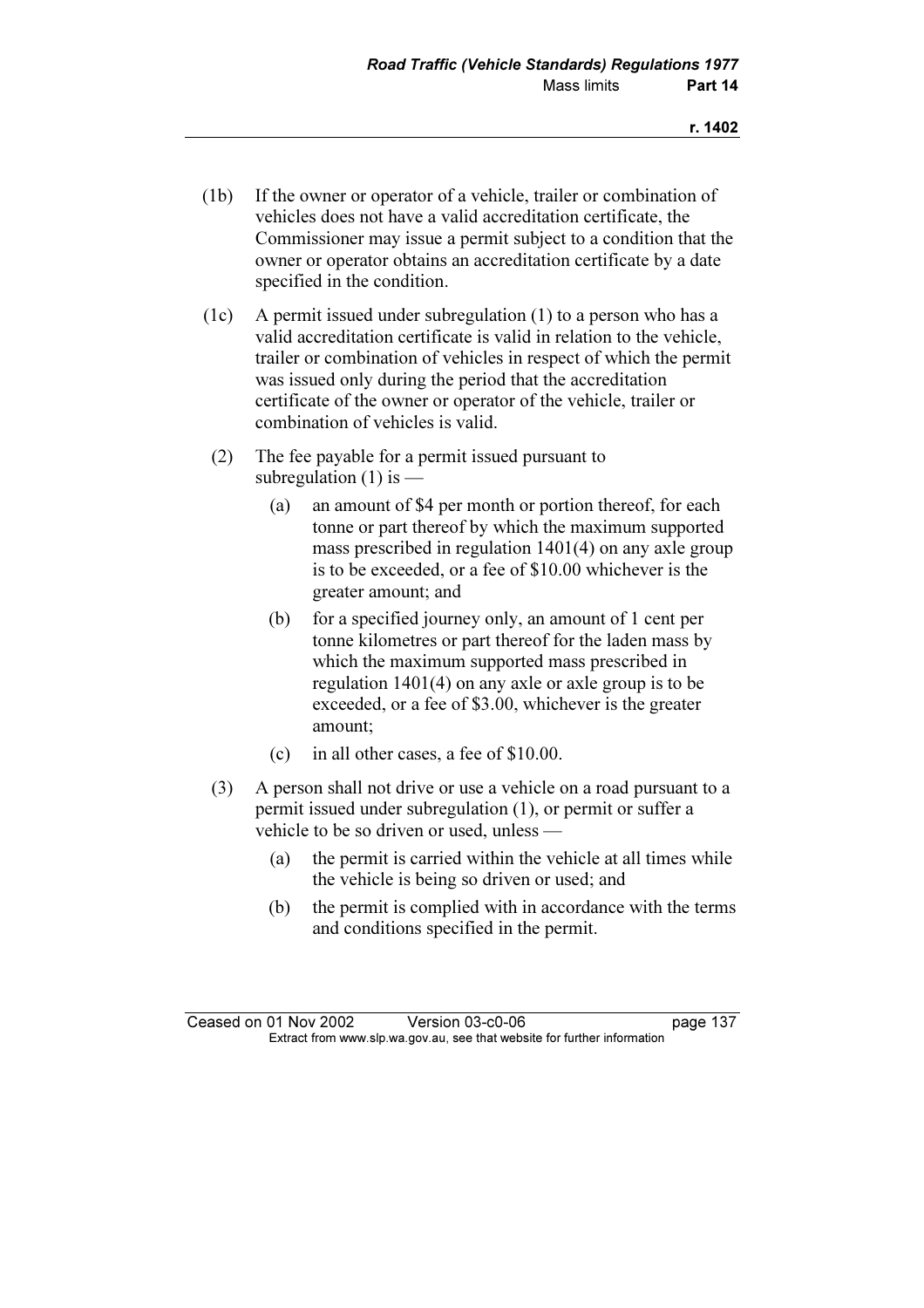- (1b) If the owner or operator of a vehicle, trailer or combination of vehicles does not have a valid accreditation certificate, the Commissioner may issue a permit subject to a condition that the owner or operator obtains an accreditation certificate by a date specified in the condition.
- (1c) A permit issued under subregulation (1) to a person who has a valid accreditation certificate is valid in relation to the vehicle, trailer or combination of vehicles in respect of which the permit was issued only during the period that the accreditation certificate of the owner or operator of the vehicle, trailer or combination of vehicles is valid.
- (2) The fee payable for a permit issued pursuant to subregulation  $(1)$  is —
	- (a) an amount of \$4 per month or portion thereof, for each tonne or part thereof by which the maximum supported mass prescribed in regulation 1401(4) on any axle group is to be exceeded, or a fee of \$10.00 whichever is the greater amount; and
	- (b) for a specified journey only, an amount of 1 cent per tonne kilometres or part thereof for the laden mass by which the maximum supported mass prescribed in regulation 1401(4) on any axle or axle group is to be exceeded, or a fee of \$3.00, whichever is the greater amount;
	- (c) in all other cases, a fee of \$10.00.
- (3) A person shall not drive or use a vehicle on a road pursuant to a permit issued under subregulation (1), or permit or suffer a vehicle to be so driven or used, unless —
	- (a) the permit is carried within the vehicle at all times while the vehicle is being so driven or used; and
	- (b) the permit is complied with in accordance with the terms and conditions specified in the permit.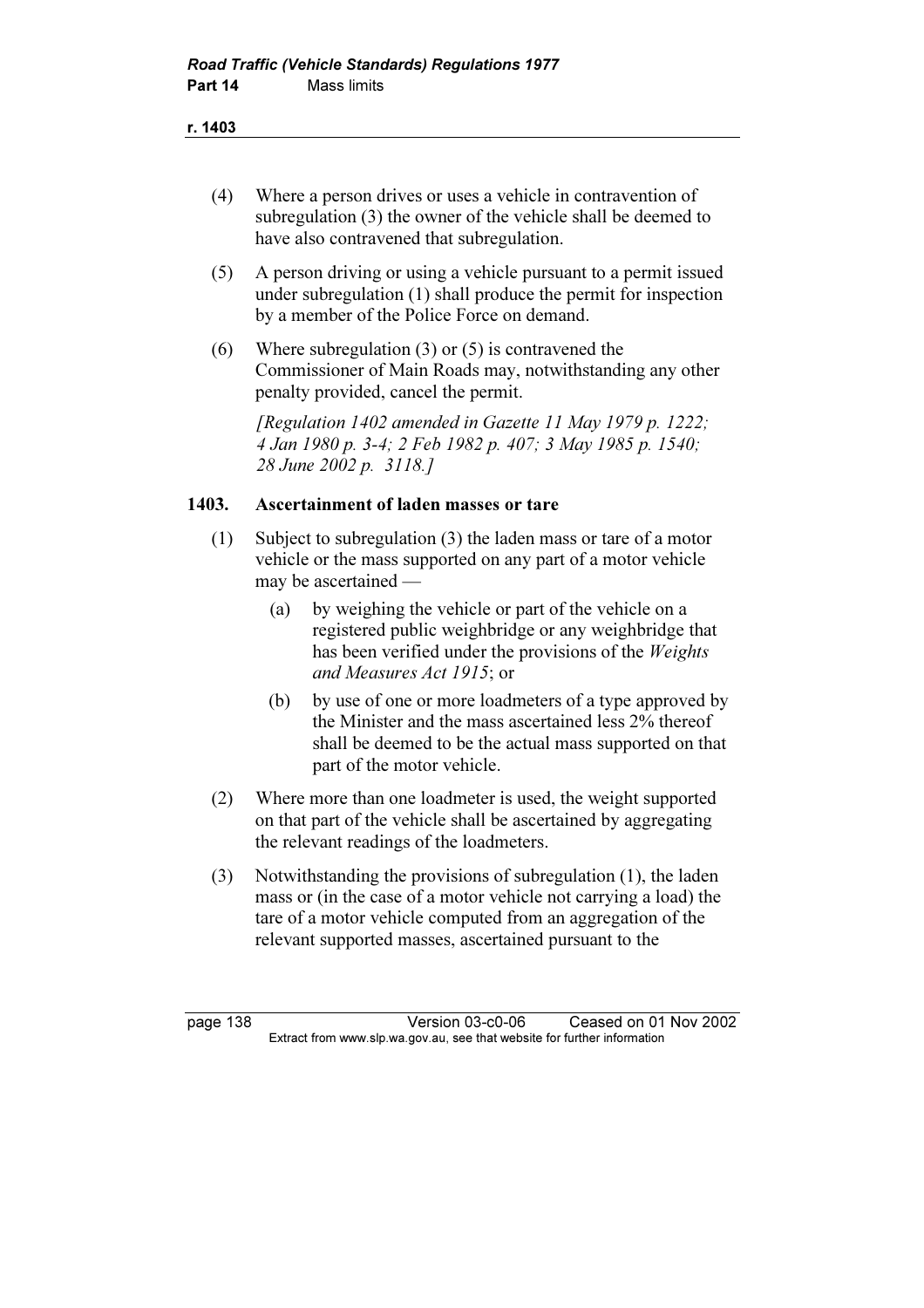- (4) Where a person drives or uses a vehicle in contravention of subregulation (3) the owner of the vehicle shall be deemed to have also contravened that subregulation.
- (5) A person driving or using a vehicle pursuant to a permit issued under subregulation (1) shall produce the permit for inspection by a member of the Police Force on demand.
- (6) Where subregulation (3) or (5) is contravened the Commissioner of Main Roads may, notwithstanding any other penalty provided, cancel the permit.

 [Regulation 1402 amended in Gazette 11 May 1979 p. 1222; 4 Jan 1980 p. 3-4; 2 Feb 1982 p. 407; 3 May 1985 p. 1540; 28 June 2002 p. 3118.]

## 1403. Ascertainment of laden masses or tare

- (1) Subject to subregulation (3) the laden mass or tare of a motor vehicle or the mass supported on any part of a motor vehicle may be ascertained —
	- (a) by weighing the vehicle or part of the vehicle on a registered public weighbridge or any weighbridge that has been verified under the provisions of the Weights and Measures Act 1915; or
	- (b) by use of one or more loadmeters of a type approved by the Minister and the mass ascertained less 2% thereof shall be deemed to be the actual mass supported on that part of the motor vehicle.
- (2) Where more than one loadmeter is used, the weight supported on that part of the vehicle shall be ascertained by aggregating the relevant readings of the loadmeters.
- (3) Notwithstanding the provisions of subregulation (1), the laden mass or (in the case of a motor vehicle not carrying a load) the tare of a motor vehicle computed from an aggregation of the relevant supported masses, ascertained pursuant to the

page 138 Version 03-c0-06 Ceased on 01 Nov 2002<br>Extract from www.slp.wa.gov.au, see that website for further information  $\mathbf{F}$  from which was the set that we besite for further information  $\mathbf{F}$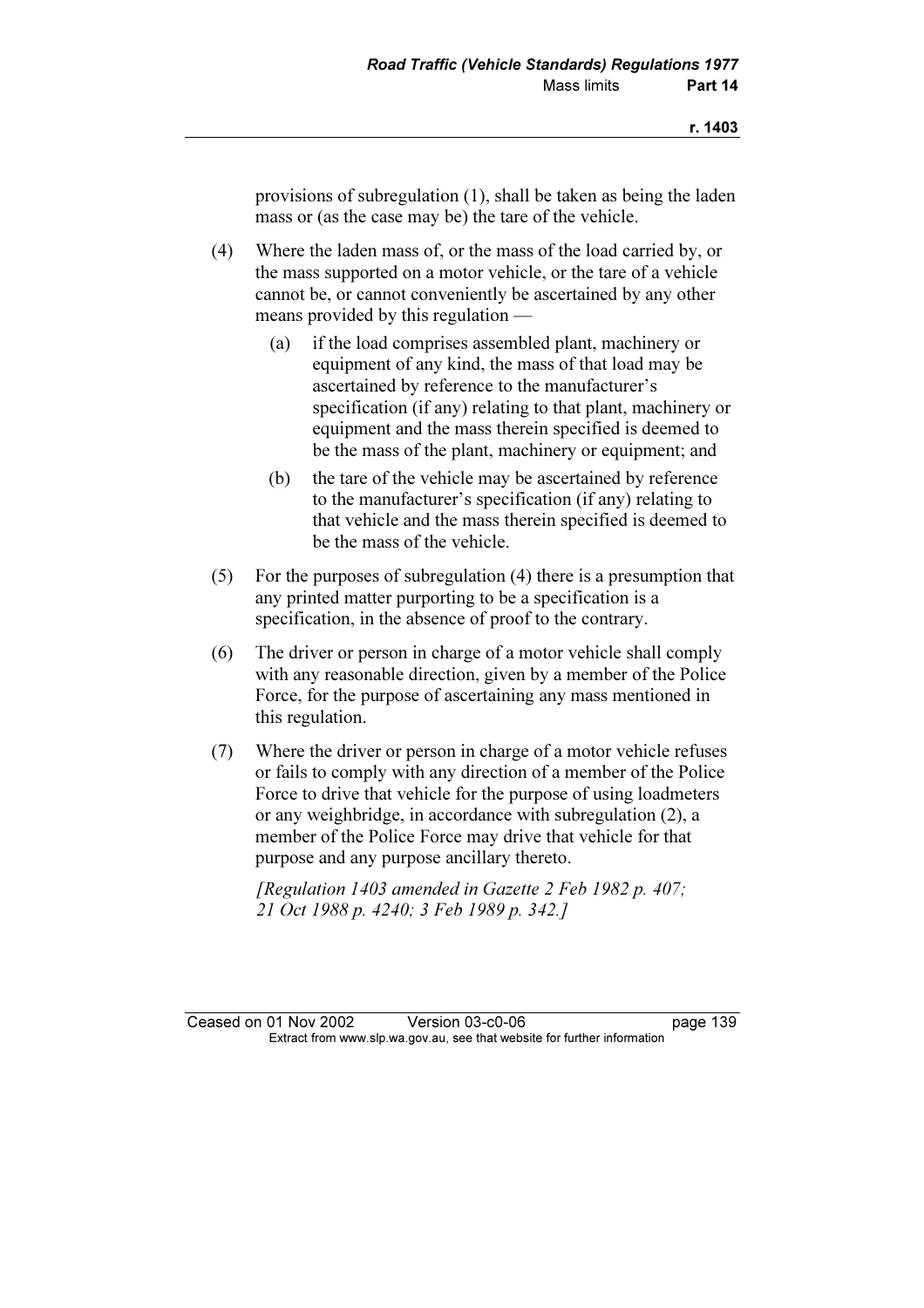provisions of subregulation (1), shall be taken as being the laden mass or (as the case may be) the tare of the vehicle.

- (4) Where the laden mass of, or the mass of the load carried by, or the mass supported on a motor vehicle, or the tare of a vehicle cannot be, or cannot conveniently be ascertained by any other means provided by this regulation —
	- (a) if the load comprises assembled plant, machinery or equipment of any kind, the mass of that load may be ascertained by reference to the manufacturer's specification (if any) relating to that plant, machinery or equipment and the mass therein specified is deemed to be the mass of the plant, machinery or equipment; and
	- (b) the tare of the vehicle may be ascertained by reference to the manufacturer's specification (if any) relating to that vehicle and the mass therein specified is deemed to be the mass of the vehicle.
- (5) For the purposes of subregulation (4) there is a presumption that any printed matter purporting to be a specification is a specification, in the absence of proof to the contrary.
- (6) The driver or person in charge of a motor vehicle shall comply with any reasonable direction, given by a member of the Police Force, for the purpose of ascertaining any mass mentioned in this regulation.
- (7) Where the driver or person in charge of a motor vehicle refuses or fails to comply with any direction of a member of the Police Force to drive that vehicle for the purpose of using loadmeters or any weighbridge, in accordance with subregulation (2), a member of the Police Force may drive that vehicle for that purpose and any purpose ancillary thereto.

[Regulation 1403 amended in Gazette 2 Feb 1982 p. 407; 21 Oct 1988 p. 4240; 3 Feb 1989 p. 342.]

Ceased on 01 Nov 2002 Version 03-c0-06 page 139<br>Extract from www.slp.wa.gov.au, see that website for further information  $\mathbf{F}$  from which was the set that we besite for further information  $\mathbf{F}$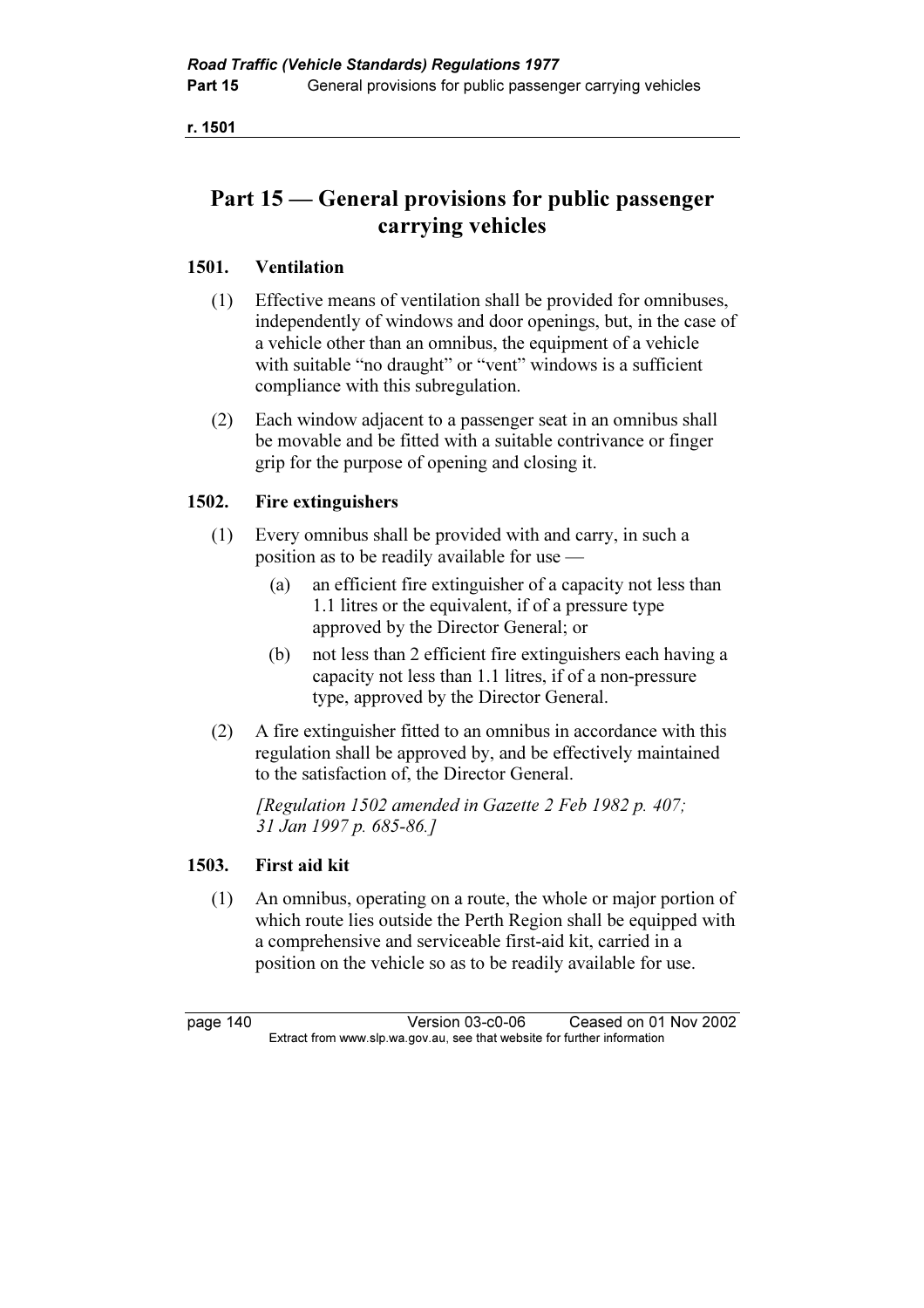# Part 15 — General provisions for public passenger carrying vehicles

## 1501. Ventilation

- (1) Effective means of ventilation shall be provided for omnibuses, independently of windows and door openings, but, in the case of a vehicle other than an omnibus, the equipment of a vehicle with suitable "no draught" or "vent" windows is a sufficient compliance with this subregulation.
- (2) Each window adjacent to a passenger seat in an omnibus shall be movable and be fitted with a suitable contrivance or finger grip for the purpose of opening and closing it.

## 1502. Fire extinguishers

- (1) Every omnibus shall be provided with and carry, in such a position as to be readily available for use —
	- (a) an efficient fire extinguisher of a capacity not less than 1.1 litres or the equivalent, if of a pressure type approved by the Director General; or
	- (b) not less than 2 efficient fire extinguishers each having a capacity not less than 1.1 litres, if of a non-pressure type, approved by the Director General.
- (2) A fire extinguisher fitted to an omnibus in accordance with this regulation shall be approved by, and be effectively maintained to the satisfaction of, the Director General.

[Regulation 1502 amended in Gazette 2 Feb 1982 p. 407; 31 Jan 1997 p. 685-86.]

## 1503. First aid kit

 (1) An omnibus, operating on a route, the whole or major portion of which route lies outside the Perth Region shall be equipped with a comprehensive and serviceable first-aid kit, carried in a position on the vehicle so as to be readily available for use.

page 140 Version 03-c0-06 Ceased on 01 Nov 2002<br>Extract from www.slp.wa.gov.au, see that website for further information  $\mathbf{F}$  from which was the set that we besite for further information  $\mathbf{F}$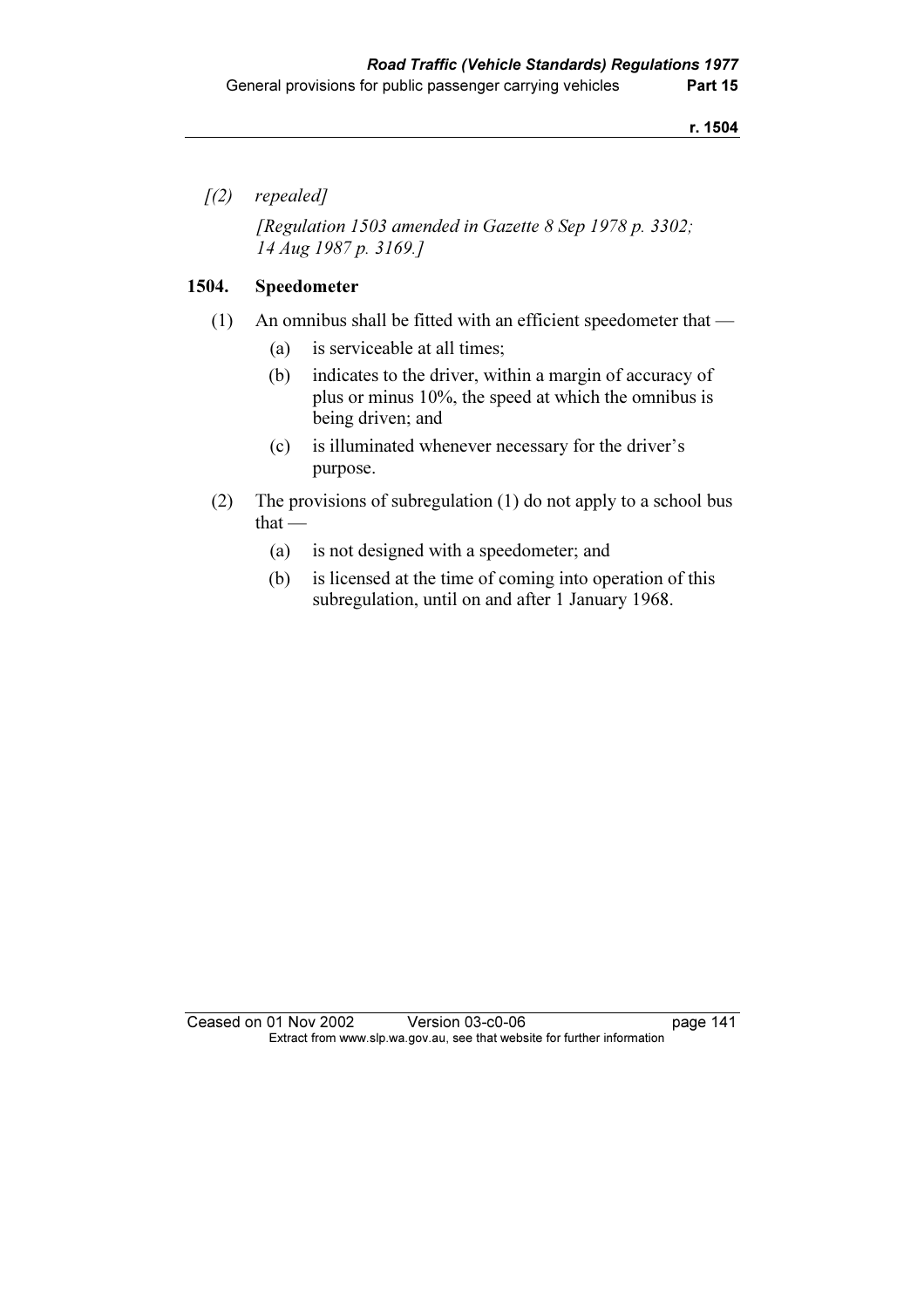# $(2)$  repealed]

 [Regulation 1503 amended in Gazette 8 Sep 1978 p. 3302; 14 Aug 1987 p. 3169.]

## 1504. Speedometer

- (1) An omnibus shall be fitted with an efficient speedometer that
	- (a) is serviceable at all times;
	- (b) indicates to the driver, within a margin of accuracy of plus or minus 10%, the speed at which the omnibus is being driven; and
	- (c) is illuminated whenever necessary for the driver's purpose.
- (2) The provisions of subregulation (1) do not apply to a school bus that —
	- (a) is not designed with a speedometer; and
	- (b) is licensed at the time of coming into operation of this subregulation, until on and after 1 January 1968.

Ceased on 01 Nov 2002 Version 03-c0-06 page 141 Extract from www.slp.wa.gov.au, see that website for further information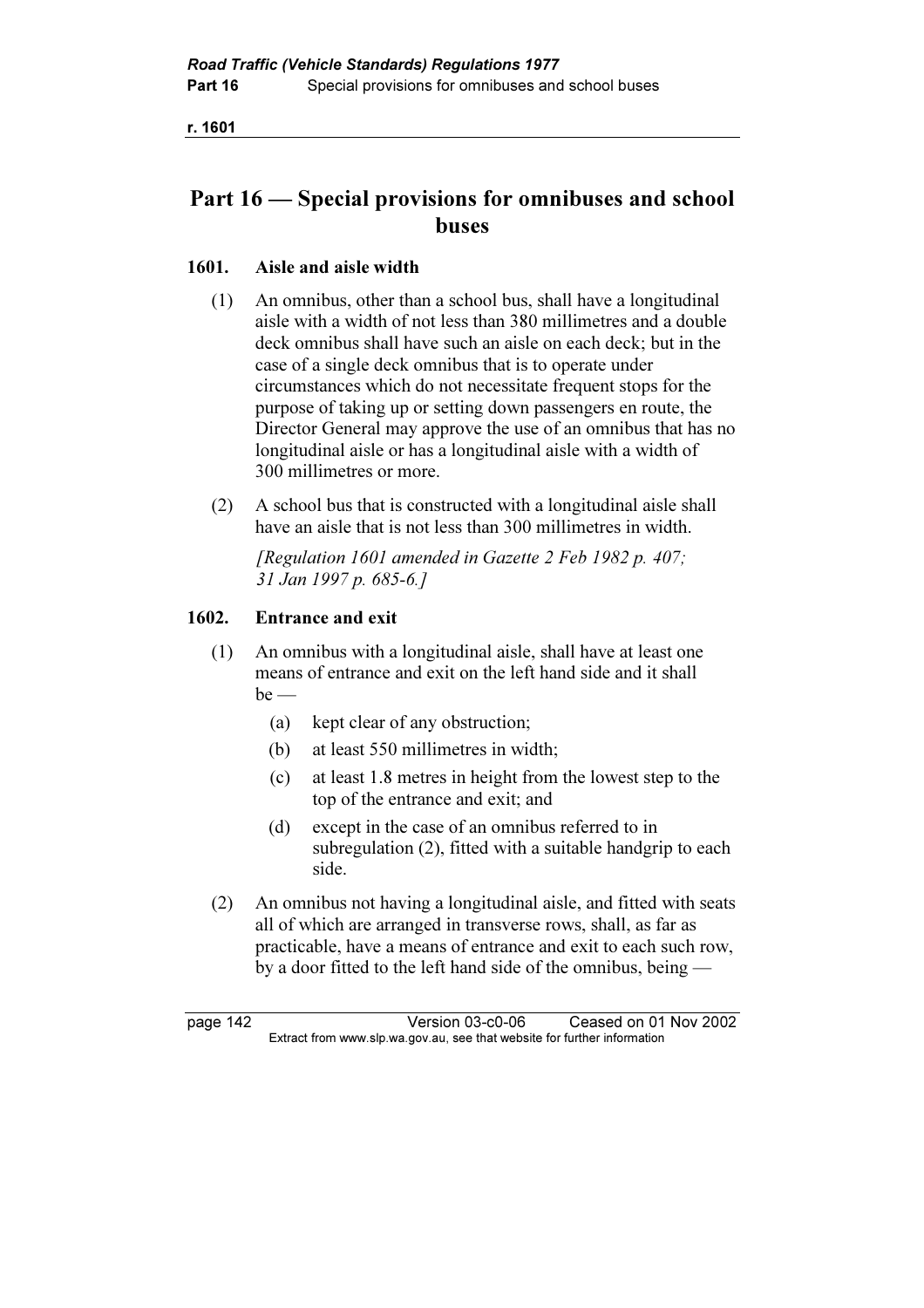# Part 16 — Special provisions for omnibuses and school buses

## 1601. Aisle and aisle width

- (1) An omnibus, other than a school bus, shall have a longitudinal aisle with a width of not less than 380 millimetres and a double deck omnibus shall have such an aisle on each deck; but in the case of a single deck omnibus that is to operate under circumstances which do not necessitate frequent stops for the purpose of taking up or setting down passengers en route, the Director General may approve the use of an omnibus that has no longitudinal aisle or has a longitudinal aisle with a width of 300 millimetres or more.
- (2) A school bus that is constructed with a longitudinal aisle shall have an aisle that is not less than 300 millimetres in width.

[Regulation 1601 amended in Gazette 2 Feb 1982 p. 407; 31 Jan 1997 p. 685-6.]

## 1602. Entrance and exit

- (1) An omnibus with a longitudinal aisle, shall have at least one means of entrance and exit on the left hand side and it shall  $be$  —
	- (a) kept clear of any obstruction;
	- (b) at least 550 millimetres in width;
	- (c) at least 1.8 metres in height from the lowest step to the top of the entrance and exit; and
	- (d) except in the case of an omnibus referred to in subregulation (2), fitted with a suitable handgrip to each side.
- (2) An omnibus not having a longitudinal aisle, and fitted with seats all of which are arranged in transverse rows, shall, as far as practicable, have a means of entrance and exit to each such row, by a door fitted to the left hand side of the omnibus, being —

page 142 Version 03-c0-06 Ceased on 01 Nov 2002<br>Extract from www.slp.wa.gov.au, see that website for further information  $\mathbf{F}$  from which was the set that we besite for further information  $\mathbf{F}$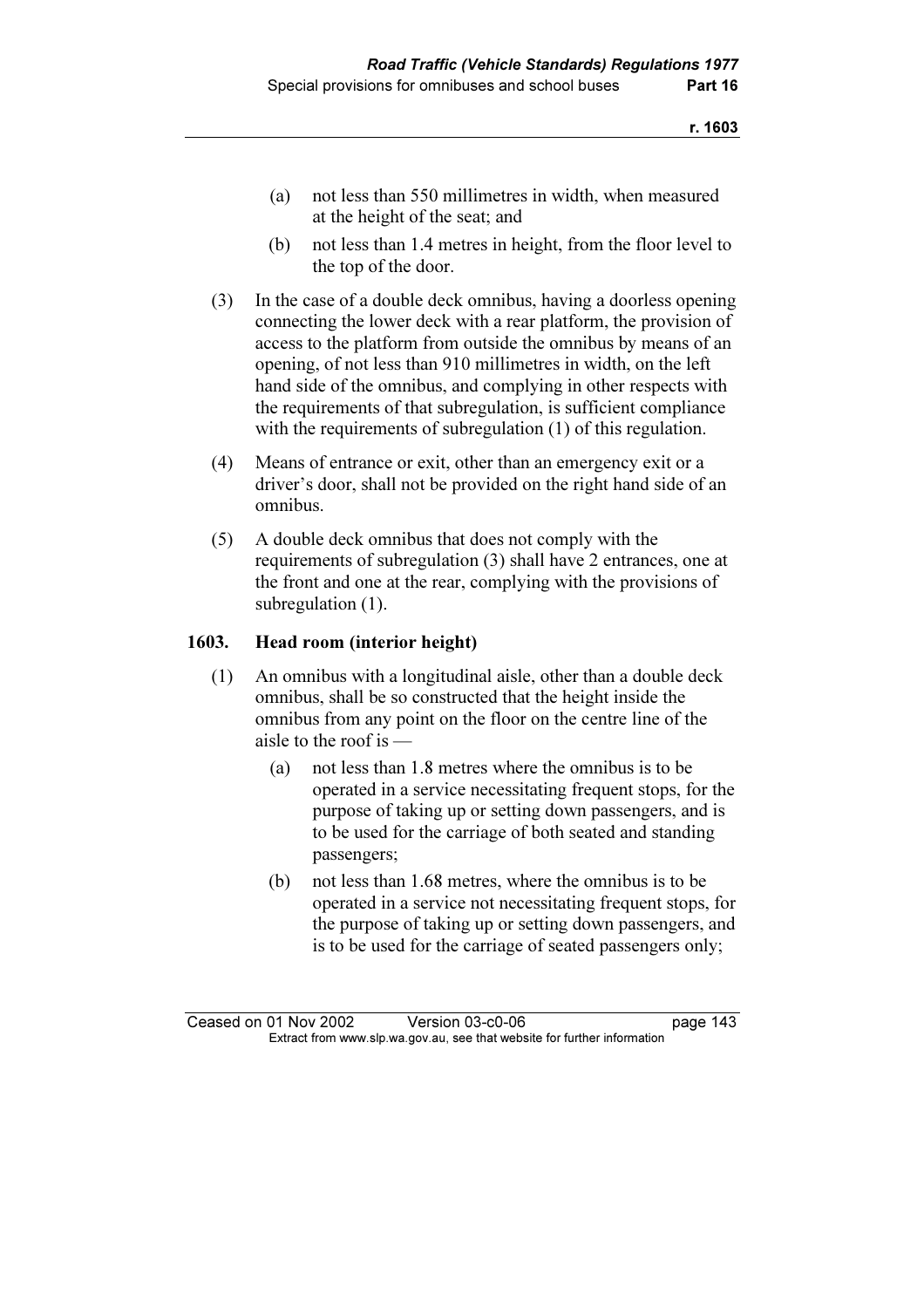- (a) not less than 550 millimetres in width, when measured at the height of the seat; and
- (b) not less than 1.4 metres in height, from the floor level to the top of the door.
- (3) In the case of a double deck omnibus, having a doorless opening connecting the lower deck with a rear platform, the provision of access to the platform from outside the omnibus by means of an opening, of not less than 910 millimetres in width, on the left hand side of the omnibus, and complying in other respects with the requirements of that subregulation, is sufficient compliance with the requirements of subregulation (1) of this regulation.
- (4) Means of entrance or exit, other than an emergency exit or a driver's door, shall not be provided on the right hand side of an omnibus.
- (5) A double deck omnibus that does not comply with the requirements of subregulation (3) shall have 2 entrances, one at the front and one at the rear, complying with the provisions of subregulation (1).

### 1603. Head room (interior height)

- (1) An omnibus with a longitudinal aisle, other than a double deck omnibus, shall be so constructed that the height inside the omnibus from any point on the floor on the centre line of the aisle to the roof is —
	- (a) not less than 1.8 metres where the omnibus is to be operated in a service necessitating frequent stops, for the purpose of taking up or setting down passengers, and is to be used for the carriage of both seated and standing passengers;
	- (b) not less than 1.68 metres, where the omnibus is to be operated in a service not necessitating frequent stops, for the purpose of taking up or setting down passengers, and is to be used for the carriage of seated passengers only;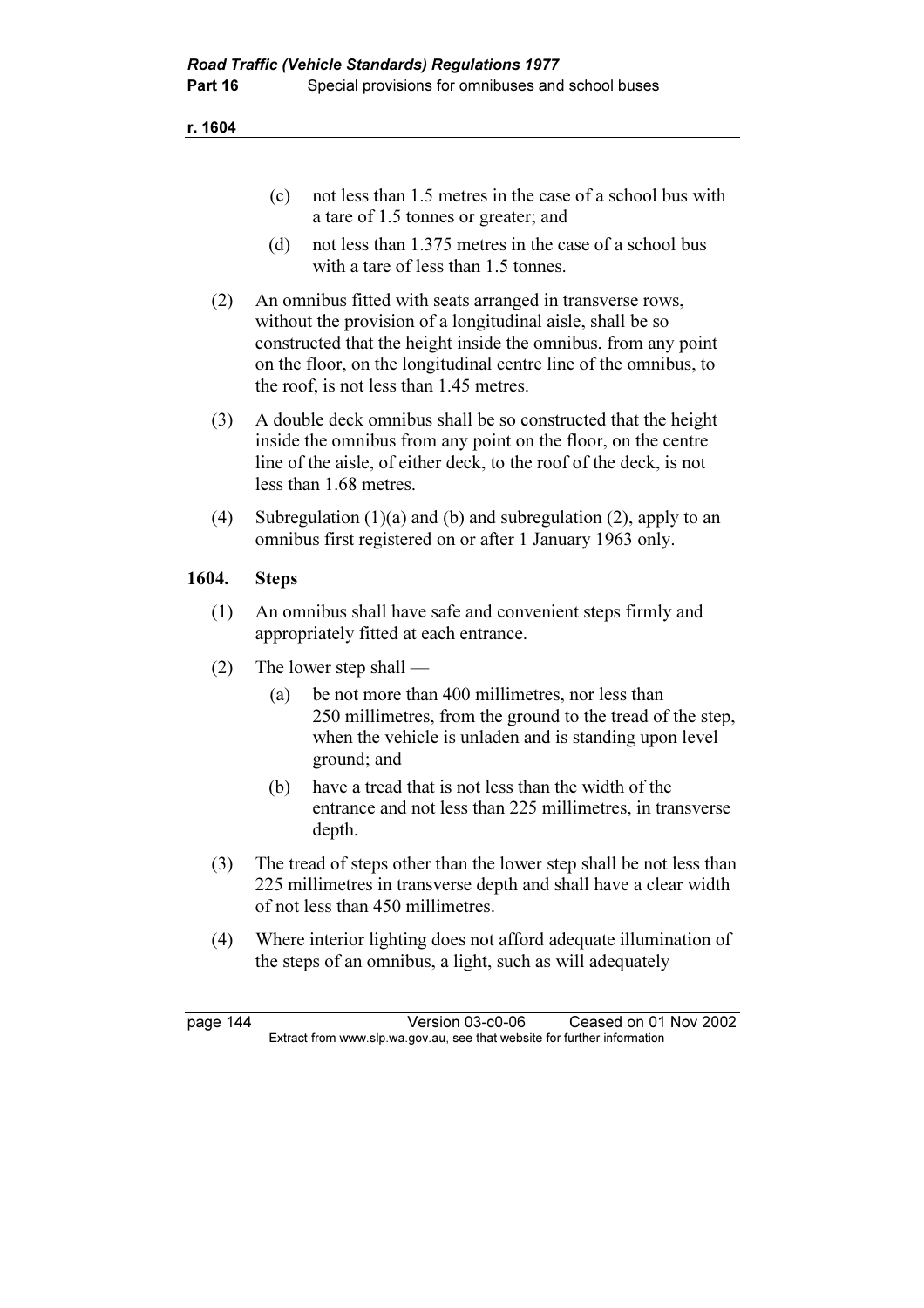- (c) not less than 1.5 metres in the case of a school bus with a tare of 1.5 tonnes or greater; and
- (d) not less than 1.375 metres in the case of a school bus with a tare of less than 1.5 tonnes.
- (2) An omnibus fitted with seats arranged in transverse rows, without the provision of a longitudinal aisle, shall be so constructed that the height inside the omnibus, from any point on the floor, on the longitudinal centre line of the omnibus, to the roof, is not less than 1.45 metres.
- (3) A double deck omnibus shall be so constructed that the height inside the omnibus from any point on the floor, on the centre line of the aisle, of either deck, to the roof of the deck, is not less than 1.68 metres.
- (4) Subregulation (1)(a) and (b) and subregulation (2), apply to an omnibus first registered on or after 1 January 1963 only.

## 1604. Steps

- (1) An omnibus shall have safe and convenient steps firmly and appropriately fitted at each entrance.
- (2) The lower step shall
	- (a) be not more than 400 millimetres, nor less than 250 millimetres, from the ground to the tread of the step, when the vehicle is unladen and is standing upon level ground; and
	- (b) have a tread that is not less than the width of the entrance and not less than 225 millimetres, in transverse depth.
- (3) The tread of steps other than the lower step shall be not less than 225 millimetres in transverse depth and shall have a clear width of not less than 450 millimetres.
- (4) Where interior lighting does not afford adequate illumination of the steps of an omnibus, a light, such as will adequately

page 144 Version 03-c0-06 Ceased on 01 Nov 2002<br>Extract from www.slp.wa.gov.au, see that website for further information  $\mathbf{F}$  from which was the set that we besite for further information  $\mathbf{F}$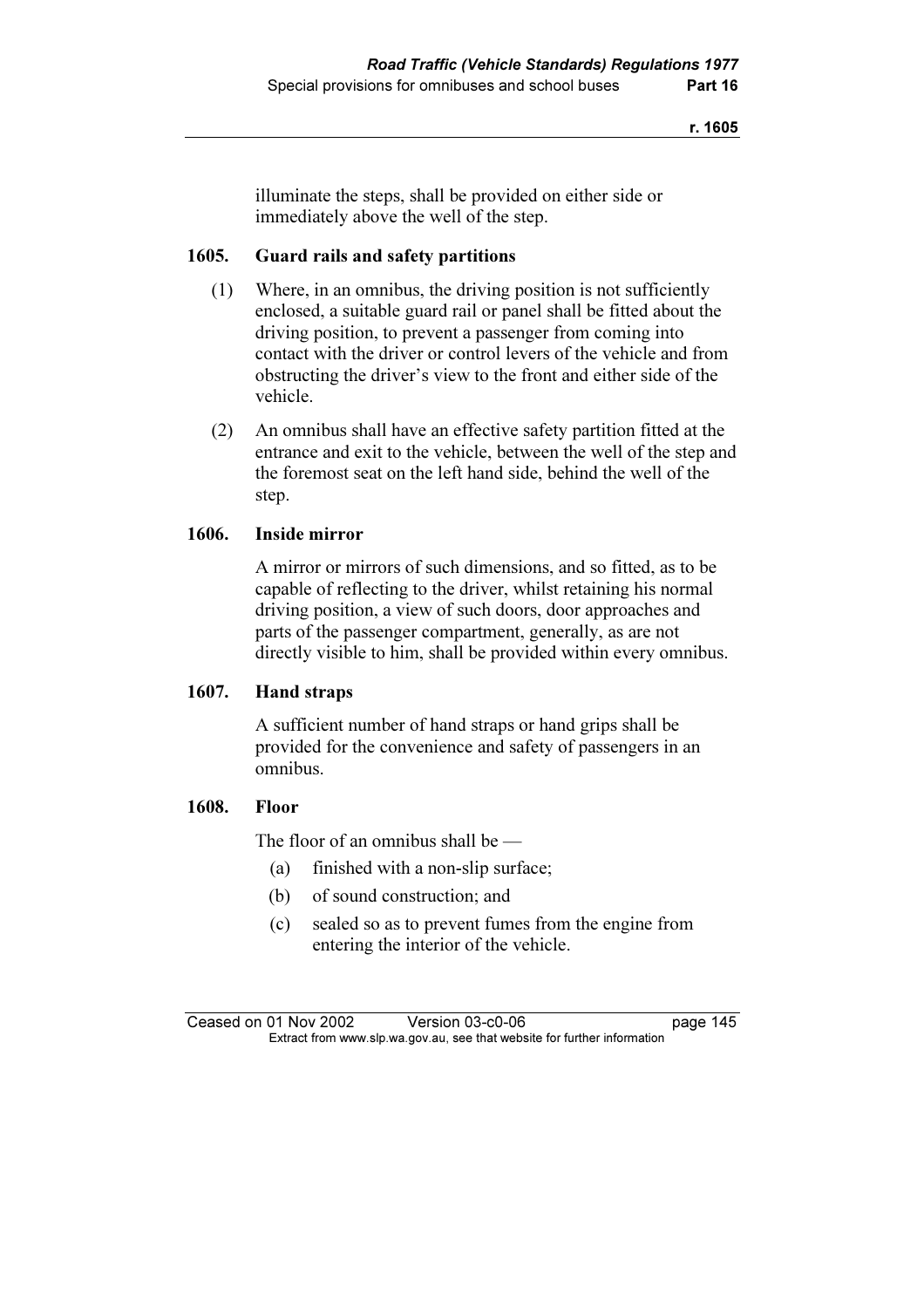illuminate the steps, shall be provided on either side or immediately above the well of the step.

## 1605. Guard rails and safety partitions

- (1) Where, in an omnibus, the driving position is not sufficiently enclosed, a suitable guard rail or panel shall be fitted about the driving position, to prevent a passenger from coming into contact with the driver or control levers of the vehicle and from obstructing the driver's view to the front and either side of the vehicle.
- (2) An omnibus shall have an effective safety partition fitted at the entrance and exit to the vehicle, between the well of the step and the foremost seat on the left hand side, behind the well of the step.

#### 1606. Inside mirror

 A mirror or mirrors of such dimensions, and so fitted, as to be capable of reflecting to the driver, whilst retaining his normal driving position, a view of such doors, door approaches and parts of the passenger compartment, generally, as are not directly visible to him, shall be provided within every omnibus.

## 1607. Hand straps

 A sufficient number of hand straps or hand grips shall be provided for the convenience and safety of passengers in an omnibus.

#### 1608. Floor

The floor of an omnibus shall be —

- (a) finished with a non-slip surface;
- (b) of sound construction; and
- (c) sealed so as to prevent fumes from the engine from entering the interior of the vehicle.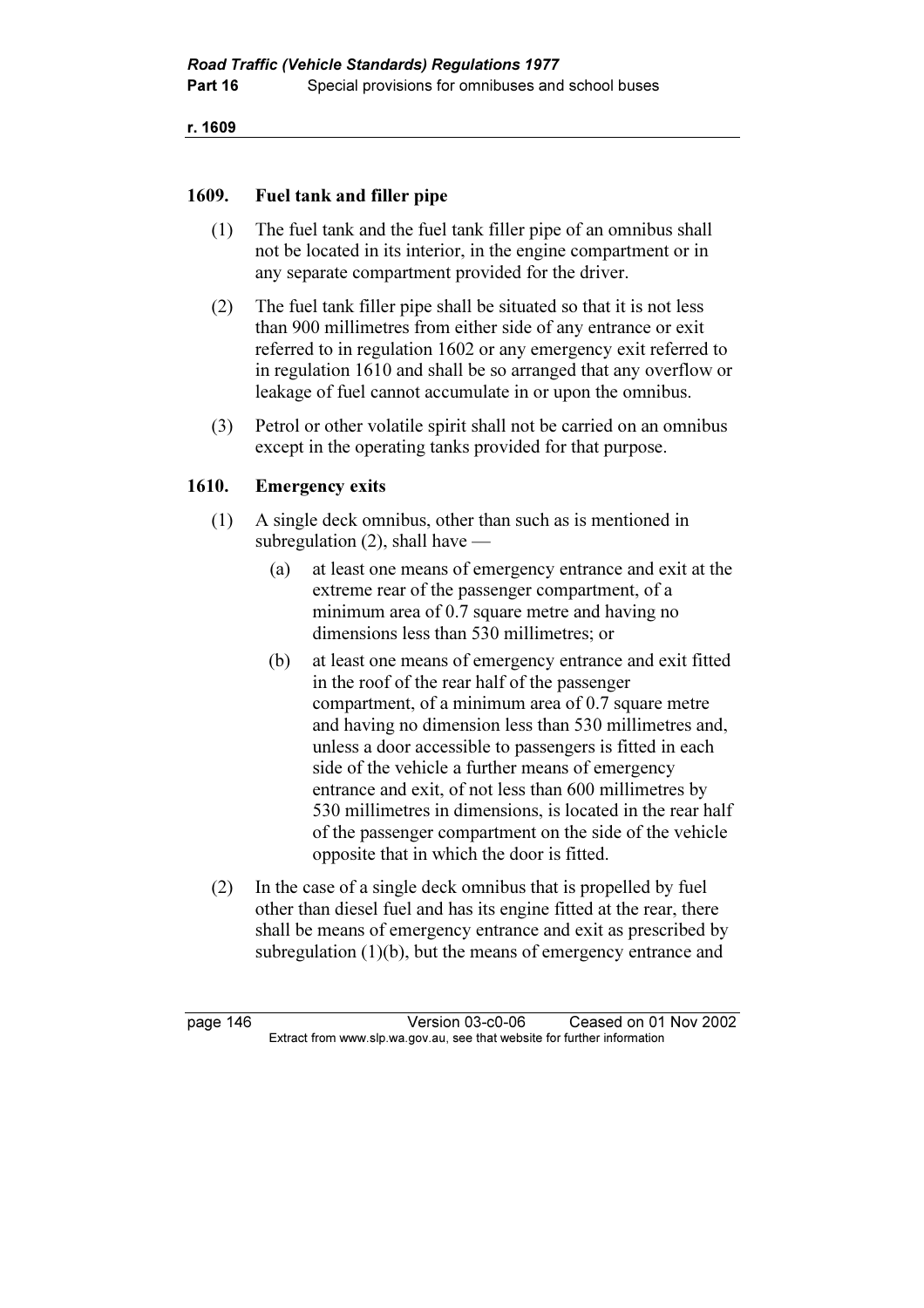## 1609. Fuel tank and filler pipe

- (1) The fuel tank and the fuel tank filler pipe of an omnibus shall not be located in its interior, in the engine compartment or in any separate compartment provided for the driver.
- (2) The fuel tank filler pipe shall be situated so that it is not less than 900 millimetres from either side of any entrance or exit referred to in regulation 1602 or any emergency exit referred to in regulation 1610 and shall be so arranged that any overflow or leakage of fuel cannot accumulate in or upon the omnibus.
- (3) Petrol or other volatile spirit shall not be carried on an omnibus except in the operating tanks provided for that purpose.

## 1610. Emergency exits

- (1) A single deck omnibus, other than such as is mentioned in subregulation (2), shall have —
	- (a) at least one means of emergency entrance and exit at the extreme rear of the passenger compartment, of a minimum area of 0.7 square metre and having no dimensions less than 530 millimetres; or
	- (b) at least one means of emergency entrance and exit fitted in the roof of the rear half of the passenger compartment, of a minimum area of 0.7 square metre and having no dimension less than 530 millimetres and, unless a door accessible to passengers is fitted in each side of the vehicle a further means of emergency entrance and exit, of not less than 600 millimetres by 530 millimetres in dimensions, is located in the rear half of the passenger compartment on the side of the vehicle opposite that in which the door is fitted.
- (2) In the case of a single deck omnibus that is propelled by fuel other than diesel fuel and has its engine fitted at the rear, there shall be means of emergency entrance and exit as prescribed by subregulation (1)(b), but the means of emergency entrance and

page 146 Version 03-c0-06 Ceased on 01 Nov 2002<br>Extract from www.slp.wa.gov.au, see that website for further information  $\mathbf{F}$  from which was the set that we besite for further information  $\mathbf{F}$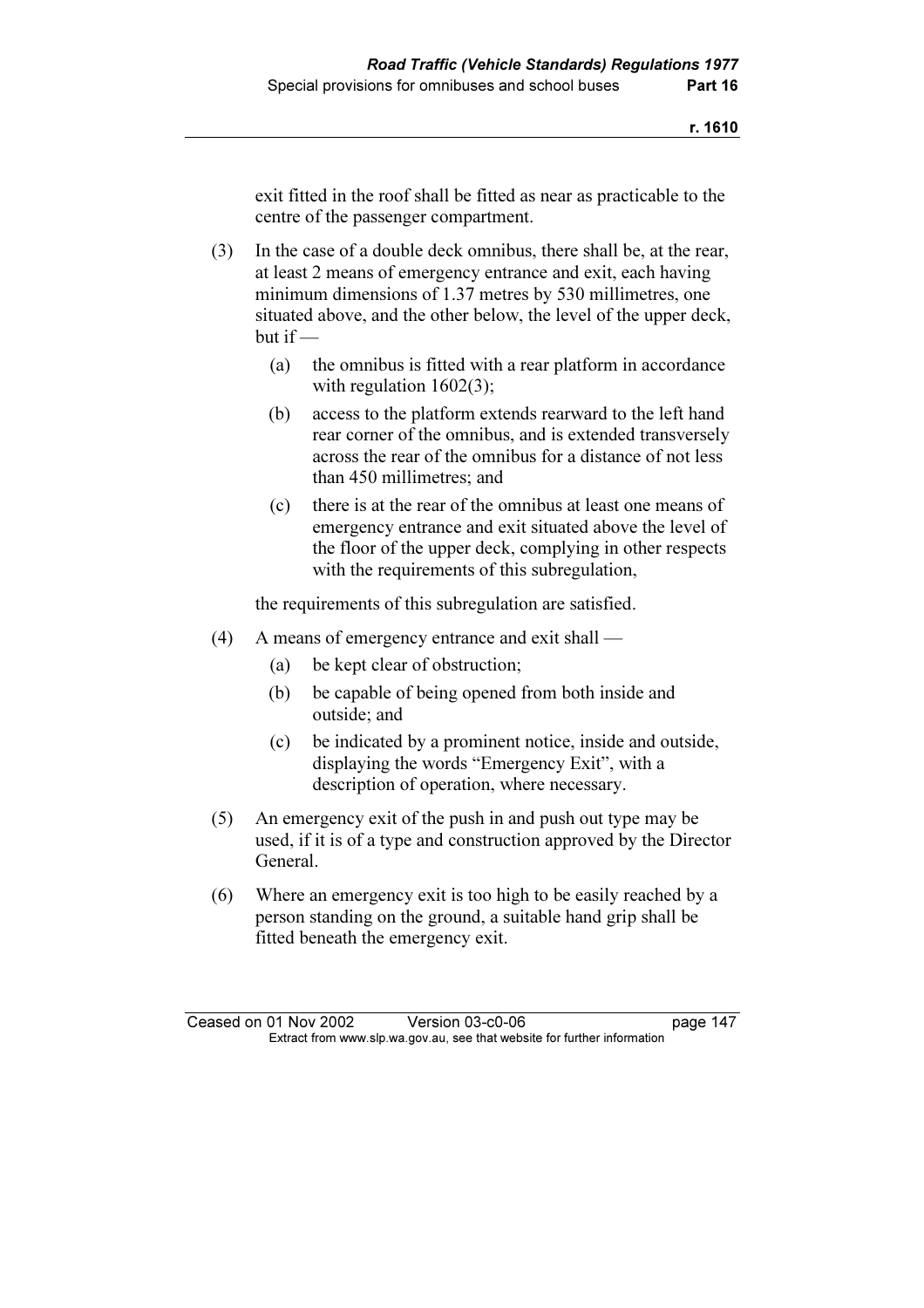exit fitted in the roof shall be fitted as near as practicable to the centre of the passenger compartment.

 (3) In the case of a double deck omnibus, there shall be, at the rear, at least 2 means of emergency entrance and exit, each having minimum dimensions of 1.37 metres by 530 millimetres, one situated above, and the other below, the level of the upper deck, but if  $-$ 

- (a) the omnibus is fitted with a rear platform in accordance with regulation  $1602(3)$ ;
- (b) access to the platform extends rearward to the left hand rear corner of the omnibus, and is extended transversely across the rear of the omnibus for a distance of not less than 450 millimetres; and
- (c) there is at the rear of the omnibus at least one means of emergency entrance and exit situated above the level of the floor of the upper deck, complying in other respects with the requirements of this subregulation.

the requirements of this subregulation are satisfied.

- (4) A means of emergency entrance and exit shall
	- (a) be kept clear of obstruction;
	- (b) be capable of being opened from both inside and outside; and
	- (c) be indicated by a prominent notice, inside and outside, displaying the words "Emergency Exit", with a description of operation, where necessary.
- (5) An emergency exit of the push in and push out type may be used, if it is of a type and construction approved by the Director General.
- (6) Where an emergency exit is too high to be easily reached by a person standing on the ground, a suitable hand grip shall be fitted beneath the emergency exit.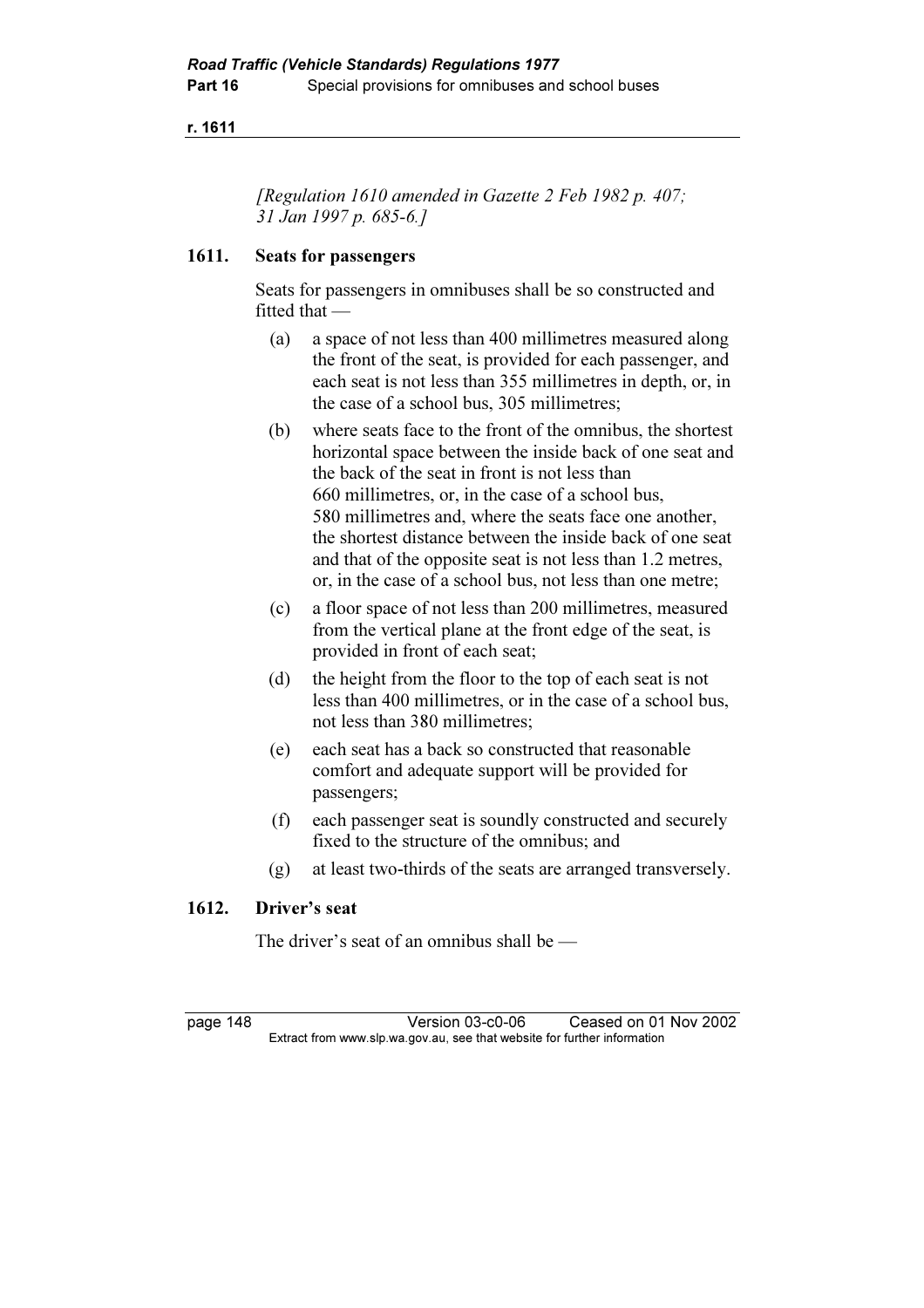[Regulation 1610 amended in Gazette 2 Feb 1982 p. 407; 31 Jan 1997 p. 685-6.]

#### 1611. Seats for passengers

 Seats for passengers in omnibuses shall be so constructed and fitted that —

- (a) a space of not less than 400 millimetres measured along the front of the seat, is provided for each passenger, and each seat is not less than 355 millimetres in depth, or, in the case of a school bus, 305 millimetres;
- (b) where seats face to the front of the omnibus, the shortest horizontal space between the inside back of one seat and the back of the seat in front is not less than 660 millimetres, or, in the case of a school bus, 580 millimetres and, where the seats face one another, the shortest distance between the inside back of one seat and that of the opposite seat is not less than 1.2 metres, or, in the case of a school bus, not less than one metre;
- (c) a floor space of not less than 200 millimetres, measured from the vertical plane at the front edge of the seat, is provided in front of each seat;
- (d) the height from the floor to the top of each seat is not less than 400 millimetres, or in the case of a school bus, not less than 380 millimetres;
- (e) each seat has a back so constructed that reasonable comfort and adequate support will be provided for passengers;
- (f) each passenger seat is soundly constructed and securely fixed to the structure of the omnibus; and
- (g) at least two-thirds of the seats are arranged transversely.

## 1612. Driver's seat

The driver's seat of an omnibus shall be —

page 148 Version 03-c0-06 Ceased on 01 Nov 2002<br>Extract from www.slp.wa.gov.au, see that website for further information  $\mathbf{F}$  from which was the set that we besite for further information  $\mathbf{F}$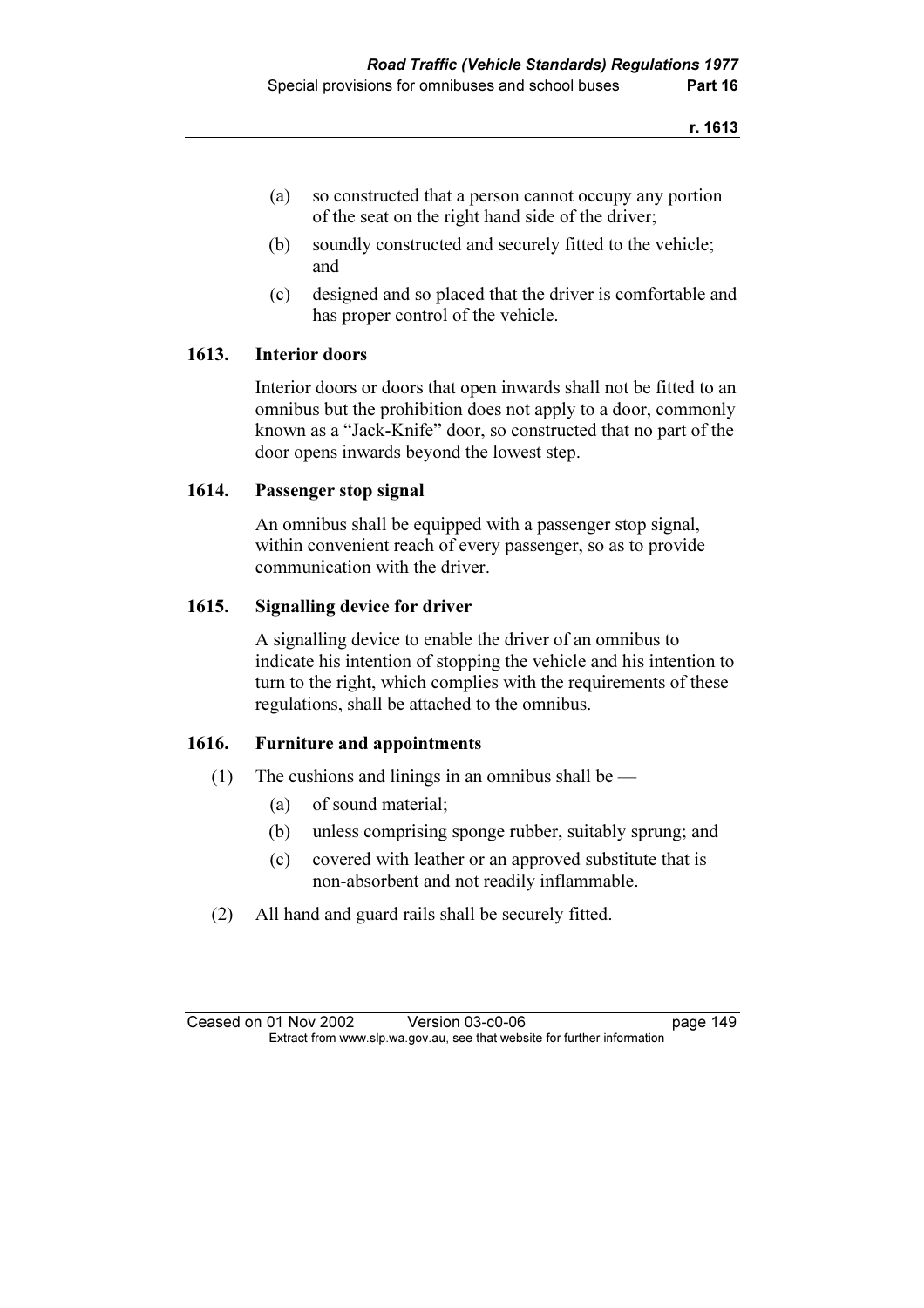- (a) so constructed that a person cannot occupy any portion of the seat on the right hand side of the driver;
- (b) soundly constructed and securely fitted to the vehicle; and
- (c) designed and so placed that the driver is comfortable and has proper control of the vehicle.

### 1613. Interior doors

 Interior doors or doors that open inwards shall not be fitted to an omnibus but the prohibition does not apply to a door, commonly known as a "Jack-Knife" door, so constructed that no part of the door opens inwards beyond the lowest step.

## 1614. Passenger stop signal

 An omnibus shall be equipped with a passenger stop signal, within convenient reach of every passenger, so as to provide communication with the driver.

### 1615. Signalling device for driver

 A signalling device to enable the driver of an omnibus to indicate his intention of stopping the vehicle and his intention to turn to the right, which complies with the requirements of these regulations, shall be attached to the omnibus.

## 1616. Furniture and appointments

- (1) The cushions and linings in an omnibus shall be  $-$ 
	- (a) of sound material;
	- (b) unless comprising sponge rubber, suitably sprung; and
	- (c) covered with leather or an approved substitute that is non-absorbent and not readily inflammable.
- (2) All hand and guard rails shall be securely fitted.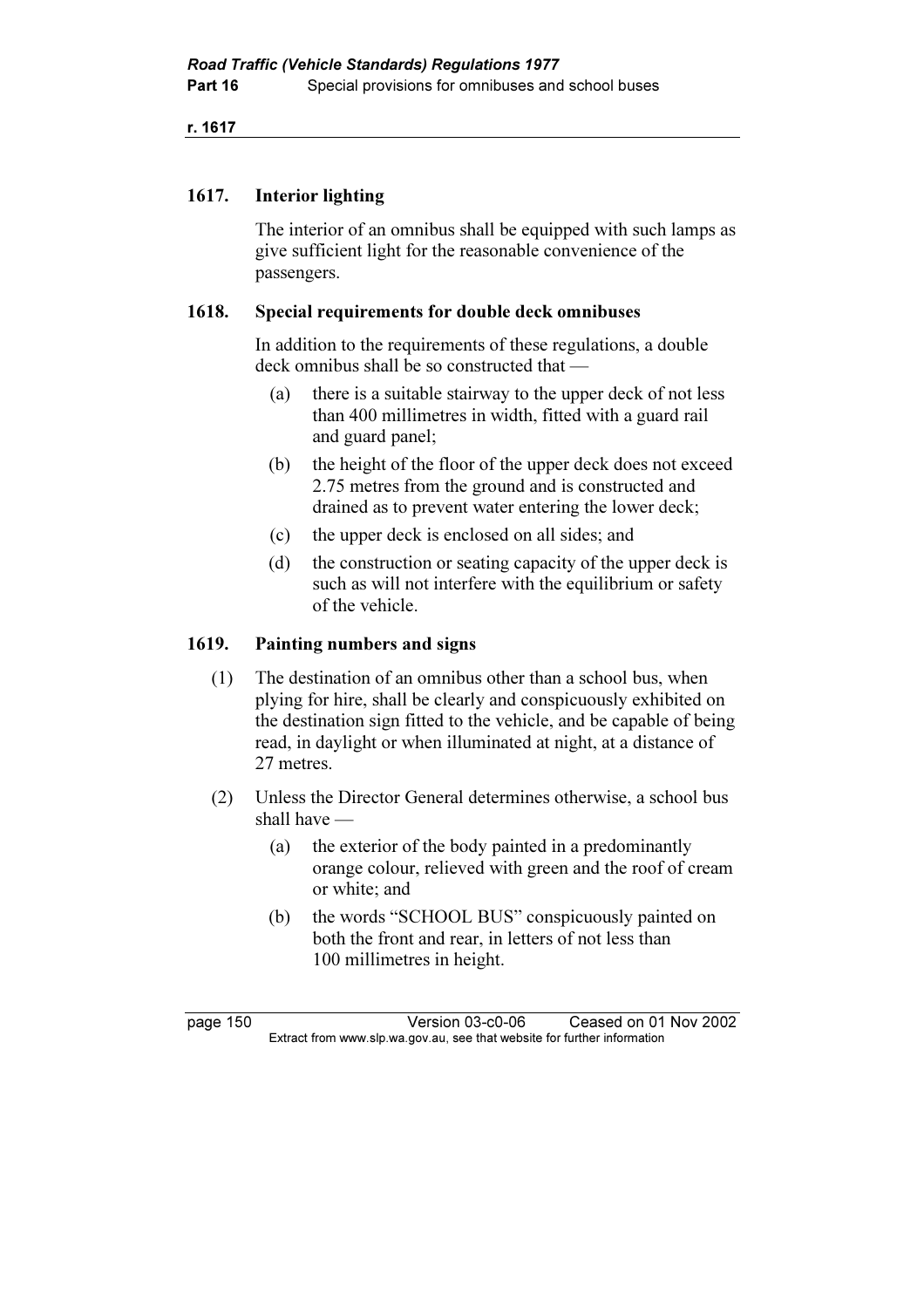## 1617. Interior lighting

 The interior of an omnibus shall be equipped with such lamps as give sufficient light for the reasonable convenience of the passengers.

## 1618. Special requirements for double deck omnibuses

 In addition to the requirements of these regulations, a double deck omnibus shall be so constructed that —

- (a) there is a suitable stairway to the upper deck of not less than 400 millimetres in width, fitted with a guard rail and guard panel;
- (b) the height of the floor of the upper deck does not exceed 2.75 metres from the ground and is constructed and drained as to prevent water entering the lower deck;
- (c) the upper deck is enclosed on all sides; and
- (d) the construction or seating capacity of the upper deck is such as will not interfere with the equilibrium or safety of the vehicle.

## 1619. Painting numbers and signs

- (1) The destination of an omnibus other than a school bus, when plying for hire, shall be clearly and conspicuously exhibited on the destination sign fitted to the vehicle, and be capable of being read, in daylight or when illuminated at night, at a distance of 27 metres.
- (2) Unless the Director General determines otherwise, a school bus shall have —
	- (a) the exterior of the body painted in a predominantly orange colour, relieved with green and the roof of cream or white; and
	- (b) the words "SCHOOL BUS" conspicuously painted on both the front and rear, in letters of not less than 100 millimetres in height.

page 150 Version 03-c0-06 Ceased on 01 Nov 2002<br>Extract from www.slp.wa.gov.au, see that website for further information  $\mathbf{F}$  from which was the set that we besite for further information  $\mathbf{F}$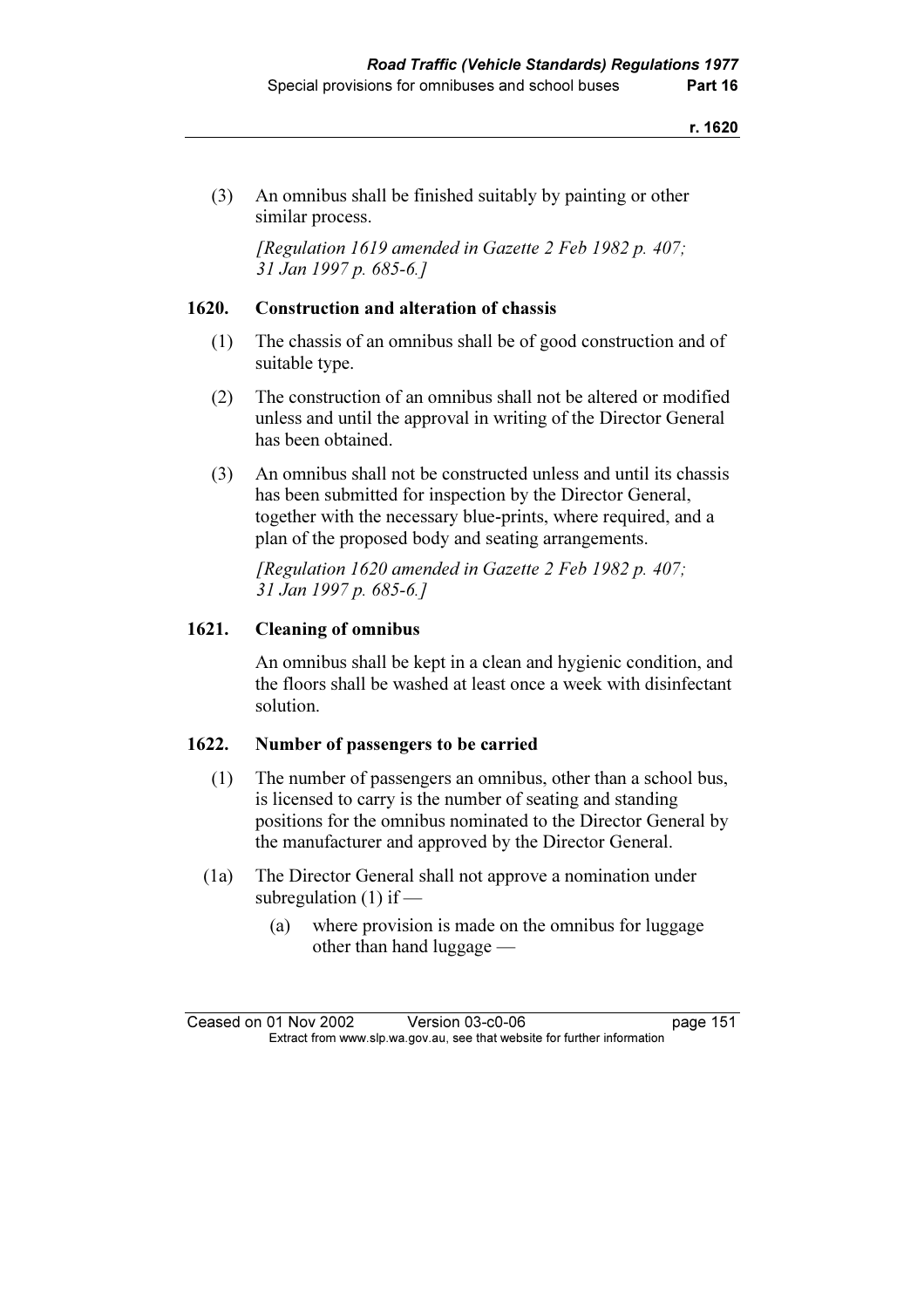(3) An omnibus shall be finished suitably by painting or other similar process.

[Regulation 1619 amended in Gazette 2 Feb 1982 p. 407; 31 Jan 1997 p. 685-6.]

#### 1620. Construction and alteration of chassis

- (1) The chassis of an omnibus shall be of good construction and of suitable type.
- (2) The construction of an omnibus shall not be altered or modified unless and until the approval in writing of the Director General has been obtained.
- (3) An omnibus shall not be constructed unless and until its chassis has been submitted for inspection by the Director General, together with the necessary blue-prints, where required, and a plan of the proposed body and seating arrangements.

[Regulation 1620 amended in Gazette 2 Feb 1982 p. 407; 31 Jan 1997 p. 685-6.]

#### 1621. Cleaning of omnibus

 An omnibus shall be kept in a clean and hygienic condition, and the floors shall be washed at least once a week with disinfectant solution.

### 1622. Number of passengers to be carried

- (1) The number of passengers an omnibus, other than a school bus, is licensed to carry is the number of seating and standing positions for the omnibus nominated to the Director General by the manufacturer and approved by the Director General.
- (1a) The Director General shall not approve a nomination under subregulation  $(1)$  if —
	- (a) where provision is made on the omnibus for luggage other than hand luggage —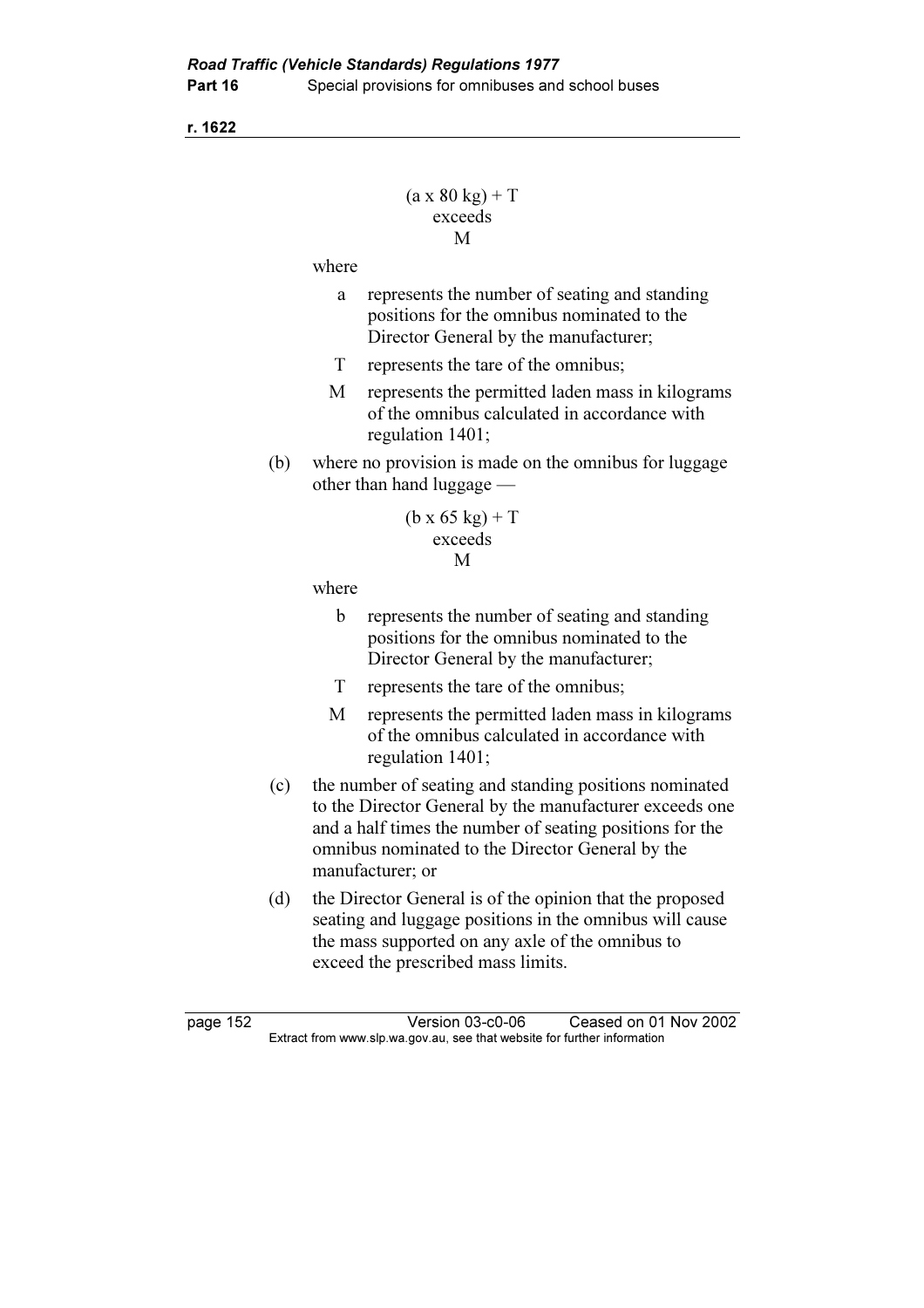```
(a x 80 kg) + Texceeds 
M
```
where

- a represents the number of seating and standing positions for the omnibus nominated to the Director General by the manufacturer;
- T represents the tare of the omnibus;
- M represents the permitted laden mass in kilograms of the omnibus calculated in accordance with regulation 1401;
- (b) where no provision is made on the omnibus for luggage other than hand luggage —

```
(b x 65 kg) + Texceeds 
M
```
where

- b represents the number of seating and standing positions for the omnibus nominated to the Director General by the manufacturer;
- T represents the tare of the omnibus;
- M represents the permitted laden mass in kilograms of the omnibus calculated in accordance with regulation 1401;
- (c) the number of seating and standing positions nominated to the Director General by the manufacturer exceeds one and a half times the number of seating positions for the omnibus nominated to the Director General by the manufacturer; or
- (d) the Director General is of the opinion that the proposed seating and luggage positions in the omnibus will cause the mass supported on any axle of the omnibus to exceed the prescribed mass limits.

page 152 Version 03-c0-06 Ceased on 01 Nov 2002<br>Extract from www.slp.wa.gov.au, see that website for further information  $\mathbf{F}$  from which was the set that we besite for further information  $\mathbf{F}$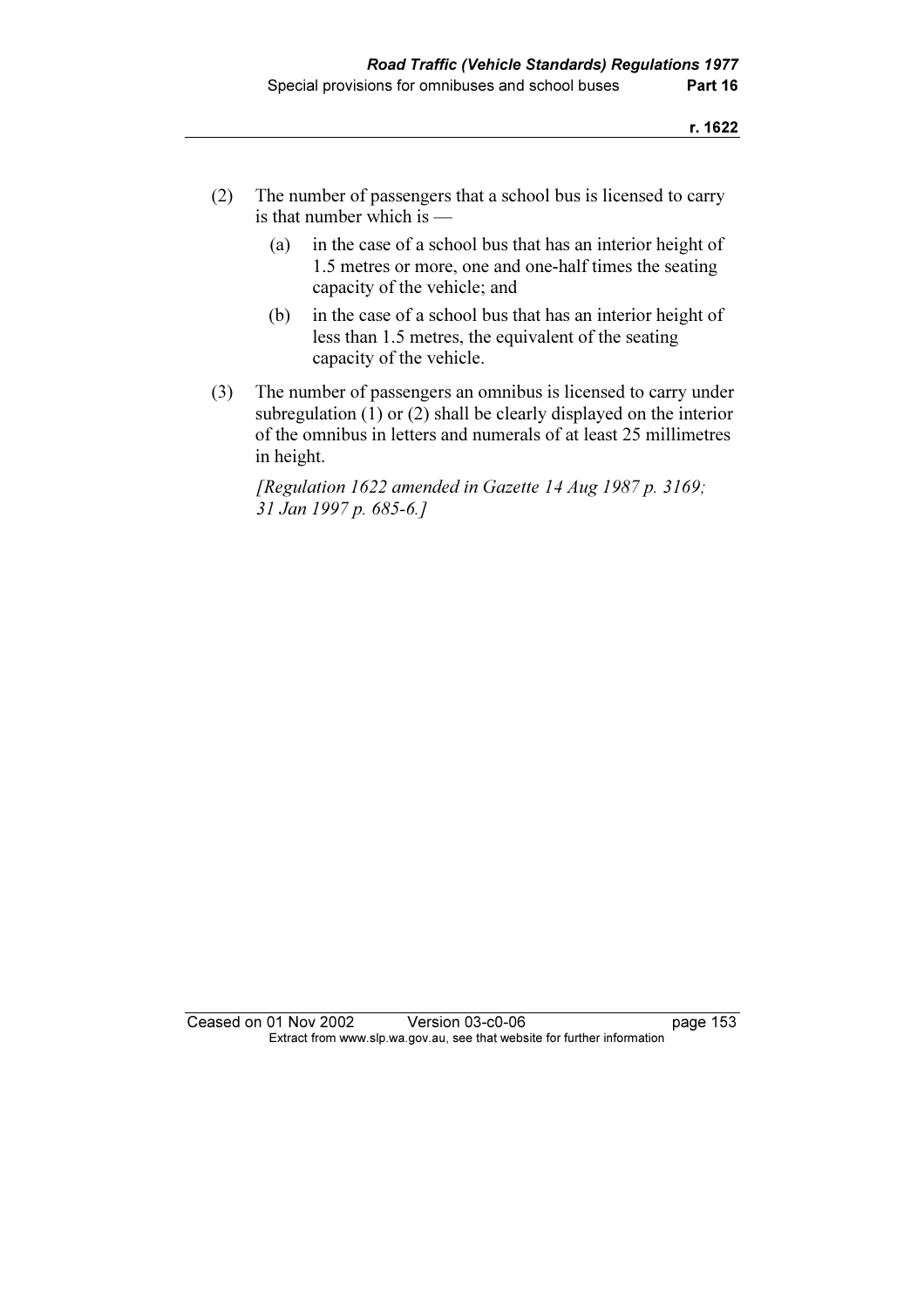- (2) The number of passengers that a school bus is licensed to carry is that number which is —
	- (a) in the case of a school bus that has an interior height of 1.5 metres or more, one and one-half times the seating capacity of the vehicle; and
	- (b) in the case of a school bus that has an interior height of less than 1.5 metres, the equivalent of the seating capacity of the vehicle.
- (3) The number of passengers an omnibus is licensed to carry under subregulation (1) or (2) shall be clearly displayed on the interior of the omnibus in letters and numerals of at least 25 millimetres in height.

[Regulation 1622 amended in Gazette 14 Aug 1987 p. 3169; 31 Jan 1997 p. 685-6.]

Ceased on 01 Nov 2002 Version 03-c0-06 page 153 Extract from www.slp.wa.gov.au, see that website for further information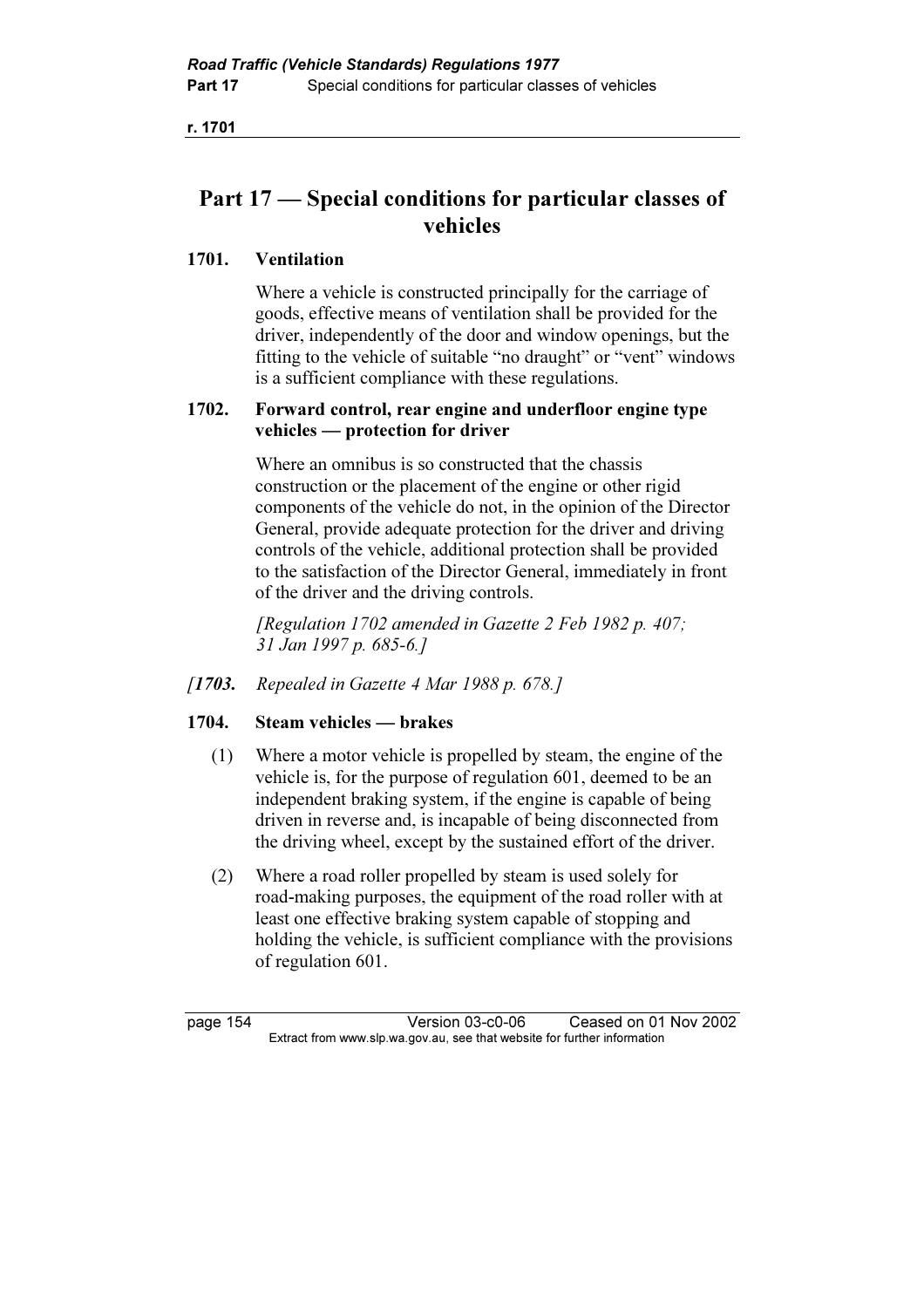# Part 17 — Special conditions for particular classes of vehicles

## 1701. Ventilation

 Where a vehicle is constructed principally for the carriage of goods, effective means of ventilation shall be provided for the driver, independently of the door and window openings, but the fitting to the vehicle of suitable "no draught" or "vent" windows is a sufficient compliance with these regulations.

## 1702. Forward control, rear engine and underfloor engine type vehicles — protection for driver

 Where an omnibus is so constructed that the chassis construction or the placement of the engine or other rigid components of the vehicle do not, in the opinion of the Director General, provide adequate protection for the driver and driving controls of the vehicle, additional protection shall be provided to the satisfaction of the Director General, immediately in front of the driver and the driving controls.

 [Regulation 1702 amended in Gazette 2 Feb 1982 p. 407; 31 Jan 1997 p. 685-6.]

[1703. Repealed in Gazette 4 Mar 1988 p. 678.]

### 1704. Steam vehicles — brakes

- (1) Where a motor vehicle is propelled by steam, the engine of the vehicle is, for the purpose of regulation 601, deemed to be an independent braking system, if the engine is capable of being driven in reverse and, is incapable of being disconnected from the driving wheel, except by the sustained effort of the driver.
- (2) Where a road roller propelled by steam is used solely for road-making purposes, the equipment of the road roller with at least one effective braking system capable of stopping and holding the vehicle, is sufficient compliance with the provisions of regulation 601.

page 154 Version 03-c0-06 Ceased on 01 Nov 2002<br>Extract from www.slp.wa.gov.au, see that website for further information  $\mathbf{F}$  from which was the set that we besite for further information  $\mathbf{F}$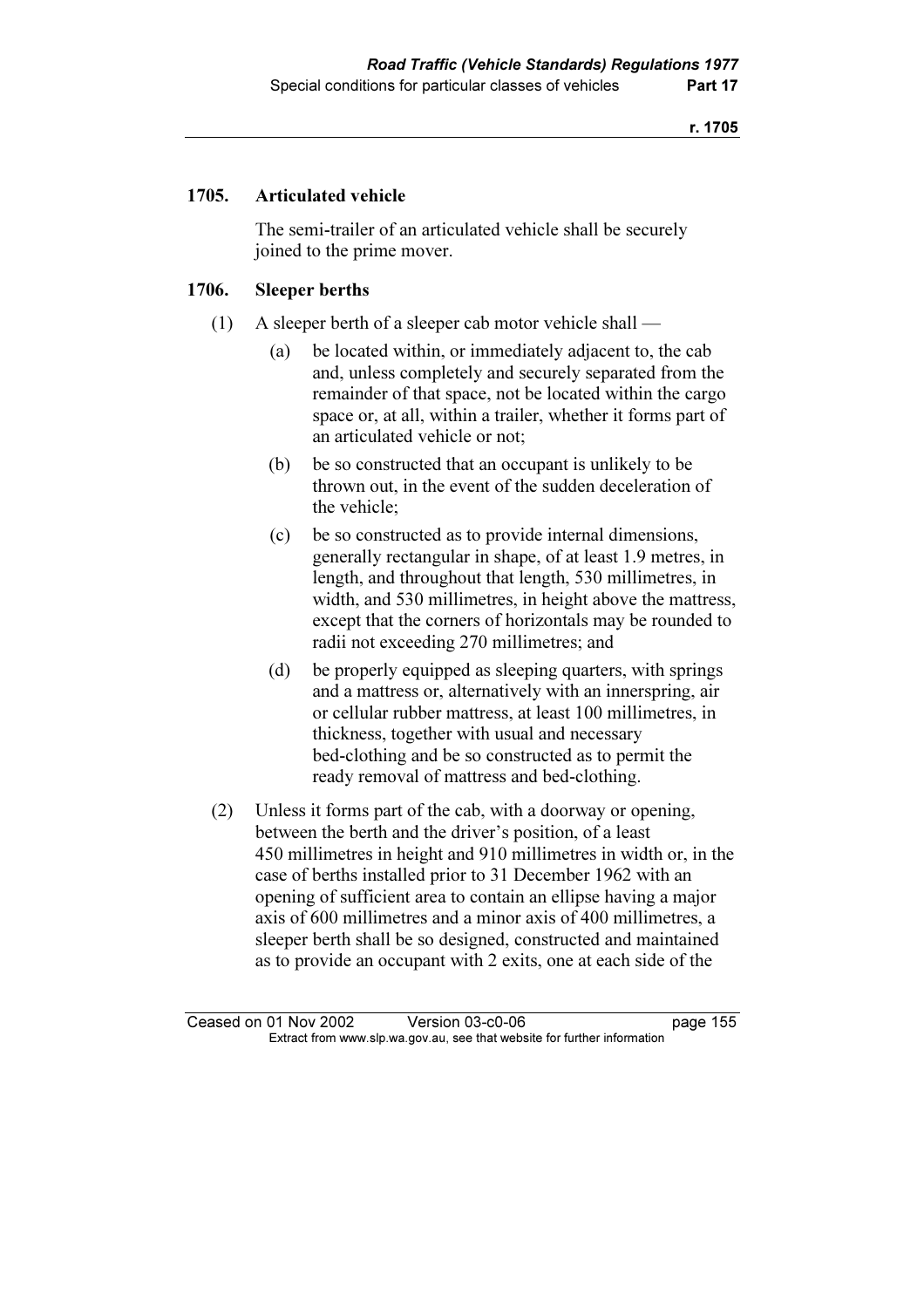## 1705. Articulated vehicle

 The semi-trailer of an articulated vehicle shall be securely joined to the prime mover.

## 1706. Sleeper berths

- (1) A sleeper berth of a sleeper cab motor vehicle shall
	- (a) be located within, or immediately adjacent to, the cab and, unless completely and securely separated from the remainder of that space, not be located within the cargo space or, at all, within a trailer, whether it forms part of an articulated vehicle or not;
	- (b) be so constructed that an occupant is unlikely to be thrown out, in the event of the sudden deceleration of the vehicle;
	- (c) be so constructed as to provide internal dimensions, generally rectangular in shape, of at least 1.9 metres, in length, and throughout that length, 530 millimetres, in width, and 530 millimetres, in height above the mattress, except that the corners of horizontals may be rounded to radii not exceeding 270 millimetres; and
	- (d) be properly equipped as sleeping quarters, with springs and a mattress or, alternatively with an innerspring, air or cellular rubber mattress, at least 100 millimetres, in thickness, together with usual and necessary bed-clothing and be so constructed as to permit the ready removal of mattress and bed-clothing.
- (2) Unless it forms part of the cab, with a doorway or opening, between the berth and the driver's position, of a least 450 millimetres in height and 910 millimetres in width or, in the case of berths installed prior to 31 December 1962 with an opening of sufficient area to contain an ellipse having a major axis of 600 millimetres and a minor axis of 400 millimetres, a sleeper berth shall be so designed, constructed and maintained as to provide an occupant with 2 exits, one at each side of the

Ceased on 01 Nov 2002 Version 03-c0-06 page 155<br>Extract from www.slp.wa.gov.au, see that website for further information  $\mathbf{F}$  from which was the set that we besite for further information  $\mathbf{F}$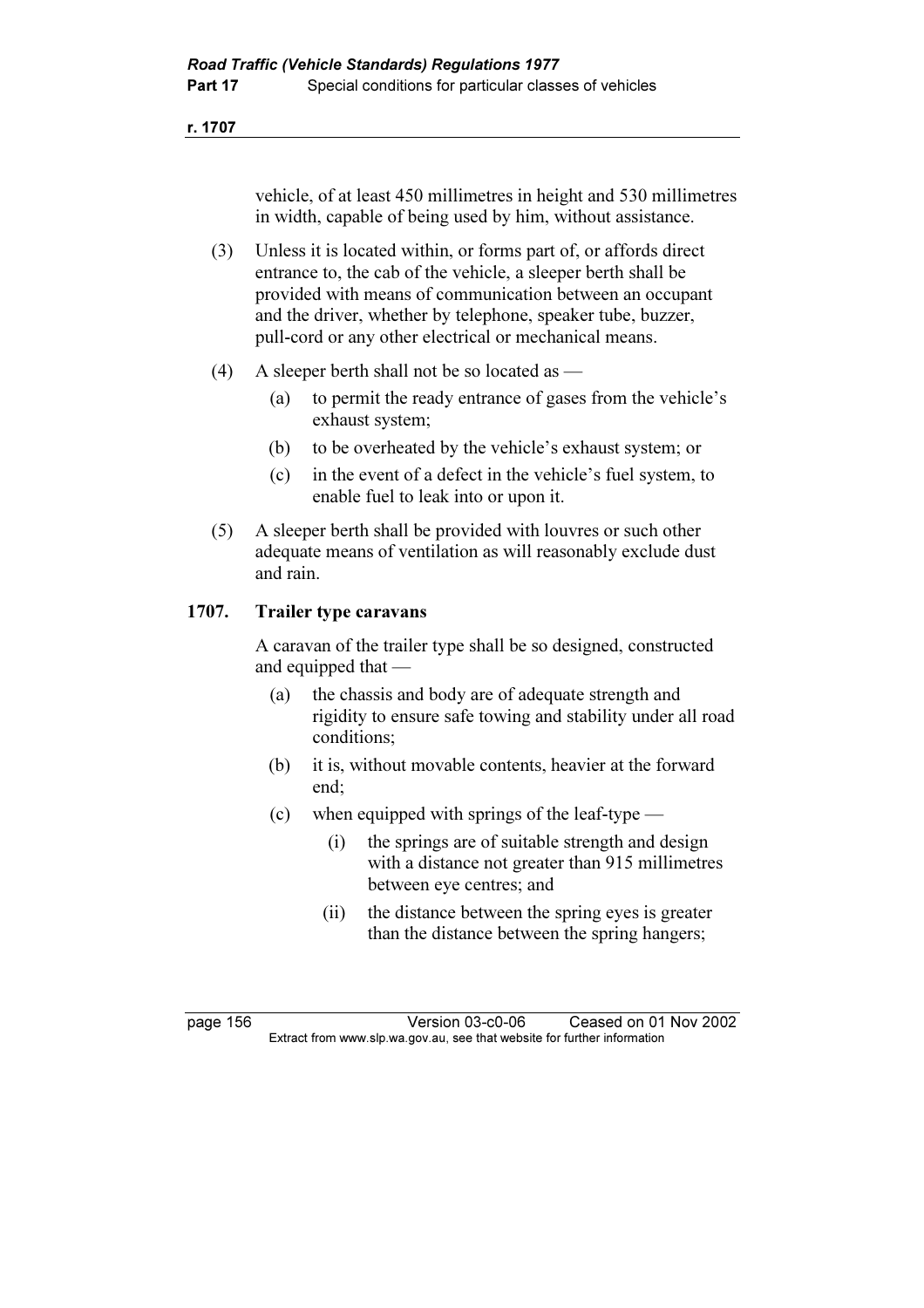vehicle, of at least 450 millimetres in height and 530 millimetres in width, capable of being used by him, without assistance.

- (3) Unless it is located within, or forms part of, or affords direct entrance to, the cab of the vehicle, a sleeper berth shall be provided with means of communication between an occupant and the driver, whether by telephone, speaker tube, buzzer, pull-cord or any other electrical or mechanical means.
- (4) A sleeper berth shall not be so located as
	- (a) to permit the ready entrance of gases from the vehicle's exhaust system;
	- (b) to be overheated by the vehicle's exhaust system; or
	- (c) in the event of a defect in the vehicle's fuel system, to enable fuel to leak into or upon it.
- (5) A sleeper berth shall be provided with louvres or such other adequate means of ventilation as will reasonably exclude dust and rain.

## 1707. Trailer type caravans

 A caravan of the trailer type shall be so designed, constructed and equipped that —

- (a) the chassis and body are of adequate strength and rigidity to ensure safe towing and stability under all road conditions;
- (b) it is, without movable contents, heavier at the forward end;
- (c) when equipped with springs of the leaf-type
	- (i) the springs are of suitable strength and design with a distance not greater than 915 millimetres between eye centres; and
	- (ii) the distance between the spring eyes is greater than the distance between the spring hangers;

page 156 Version 03-c0-06 Ceased on 01 Nov 2002<br>Extract from www.slp.wa.gov.au, see that website for further information  $\mathbf{F}$  from which was the set that we besite for further information  $\mathbf{F}$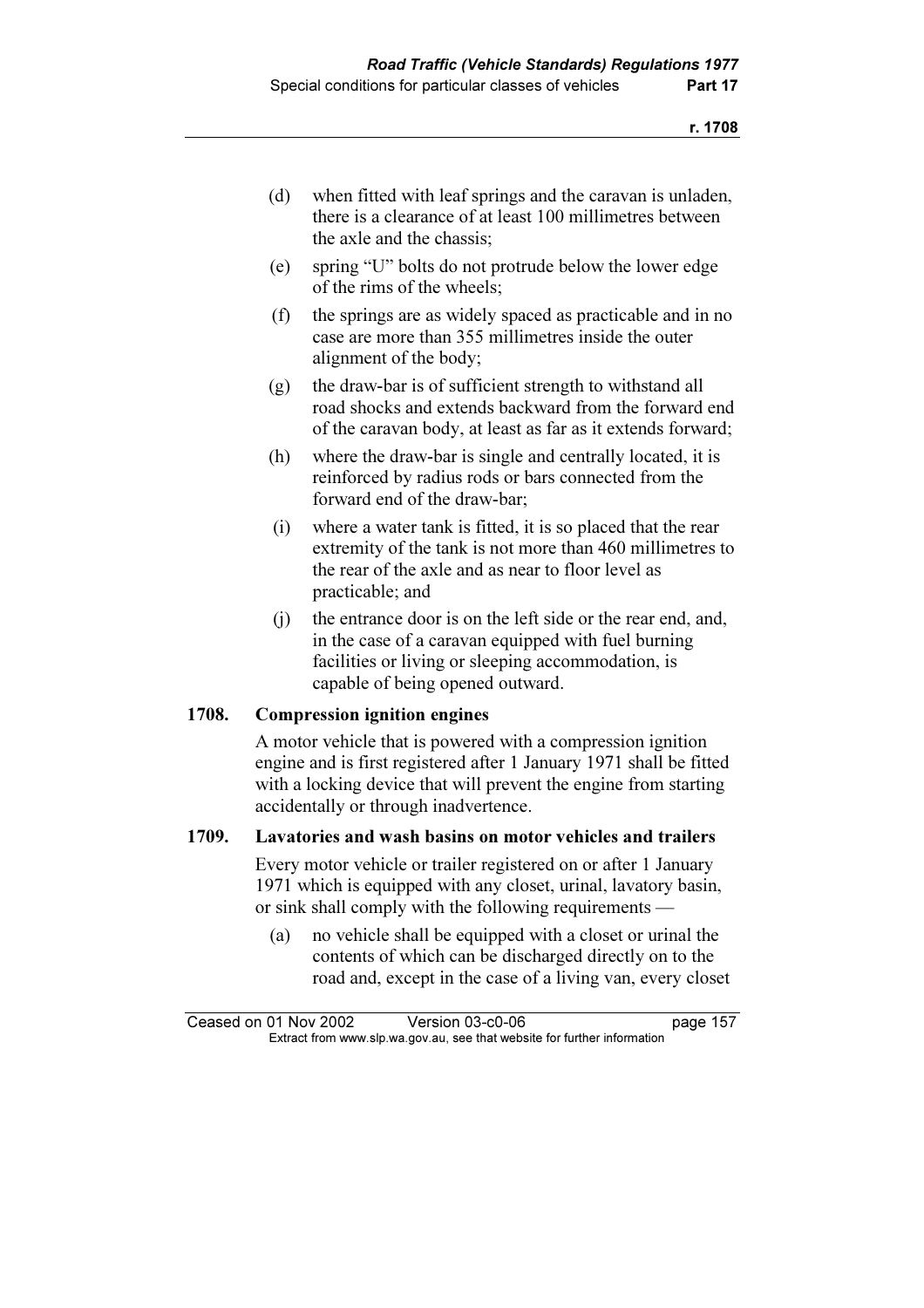- (d) when fitted with leaf springs and the caravan is unladen, there is a clearance of at least 100 millimetres between the axle and the chassis;
- (e) spring "U" bolts do not protrude below the lower edge of the rims of the wheels;
- (f) the springs are as widely spaced as practicable and in no case are more than 355 millimetres inside the outer alignment of the body;
- (g) the draw-bar is of sufficient strength to withstand all road shocks and extends backward from the forward end of the caravan body, at least as far as it extends forward;
- (h) where the draw-bar is single and centrally located, it is reinforced by radius rods or bars connected from the forward end of the draw-bar;
- (i) where a water tank is fitted, it is so placed that the rear extremity of the tank is not more than 460 millimetres to the rear of the axle and as near to floor level as practicable; and
- (j) the entrance door is on the left side or the rear end, and, in the case of a caravan equipped with fuel burning facilities or living or sleeping accommodation, is capable of being opened outward.

## 1708. Compression ignition engines

 A motor vehicle that is powered with a compression ignition engine and is first registered after 1 January 1971 shall be fitted with a locking device that will prevent the engine from starting accidentally or through inadvertence.

### 1709. Lavatories and wash basins on motor vehicles and trailers

 Every motor vehicle or trailer registered on or after 1 January 1971 which is equipped with any closet, urinal, lavatory basin, or sink shall comply with the following requirements —

 (a) no vehicle shall be equipped with a closet or urinal the contents of which can be discharged directly on to the road and, except in the case of a living van, every closet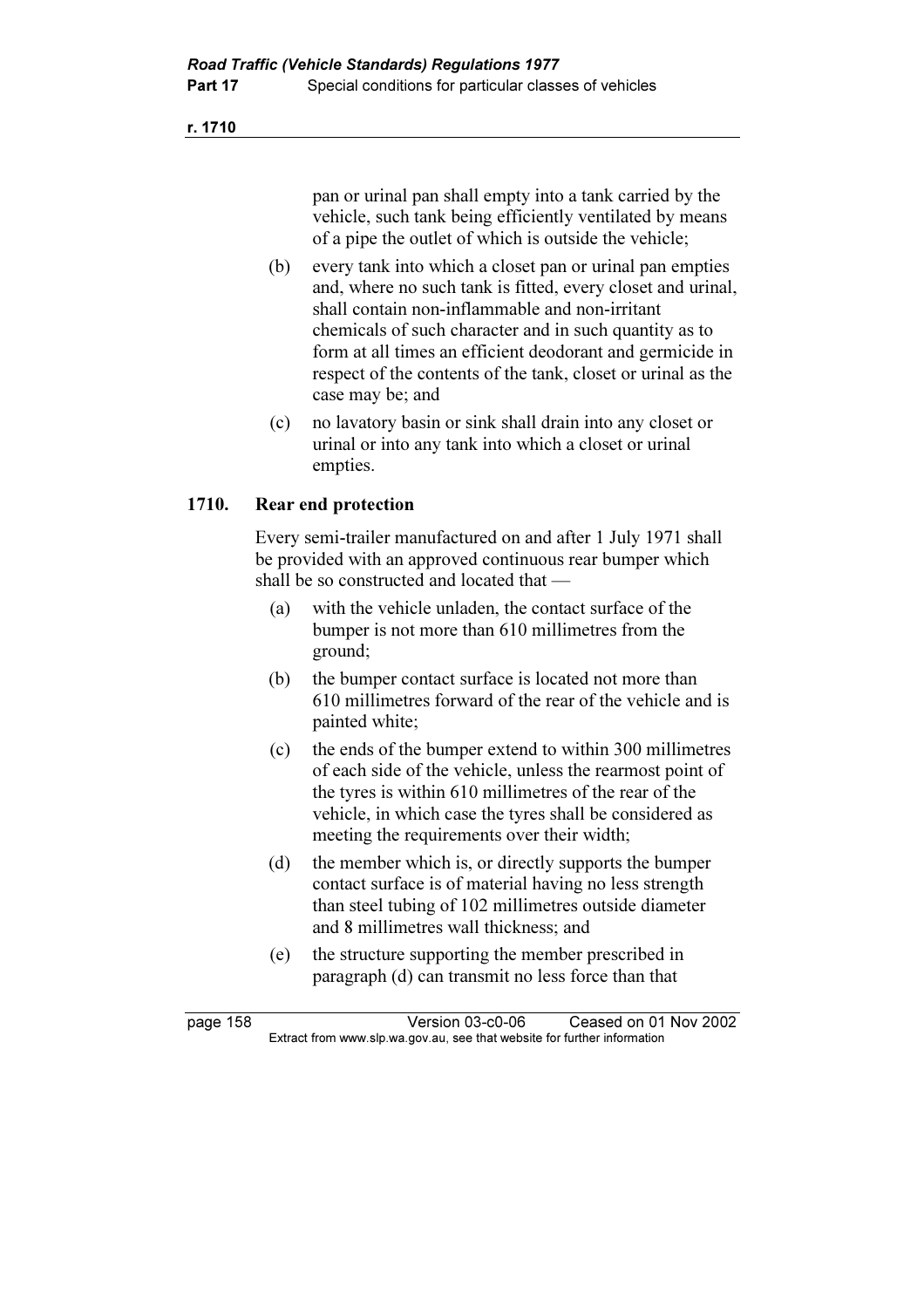pan or urinal pan shall empty into a tank carried by the vehicle, such tank being efficiently ventilated by means of a pipe the outlet of which is outside the vehicle;

- (b) every tank into which a closet pan or urinal pan empties and, where no such tank is fitted, every closet and urinal, shall contain non-inflammable and non-irritant chemicals of such character and in such quantity as to form at all times an efficient deodorant and germicide in respect of the contents of the tank, closet or urinal as the case may be; and
- (c) no lavatory basin or sink shall drain into any closet or urinal or into any tank into which a closet or urinal empties.

## 1710. Rear end protection

 Every semi-trailer manufactured on and after 1 July 1971 shall be provided with an approved continuous rear bumper which shall be so constructed and located that —

- (a) with the vehicle unladen, the contact surface of the bumper is not more than 610 millimetres from the ground;
- (b) the bumper contact surface is located not more than 610 millimetres forward of the rear of the vehicle and is painted white;
- (c) the ends of the bumper extend to within 300 millimetres of each side of the vehicle, unless the rearmost point of the tyres is within 610 millimetres of the rear of the vehicle, in which case the tyres shall be considered as meeting the requirements over their width;
- (d) the member which is, or directly supports the bumper contact surface is of material having no less strength than steel tubing of 102 millimetres outside diameter and 8 millimetres wall thickness; and
- (e) the structure supporting the member prescribed in paragraph (d) can transmit no less force than that

page 158 Version 03-c0-06 Ceased on 01 Nov 2002<br>Extract from www.slp.wa.gov.au, see that website for further information  $\mathbf{F}$  from which was the set that we besite for further information  $\mathbf{F}$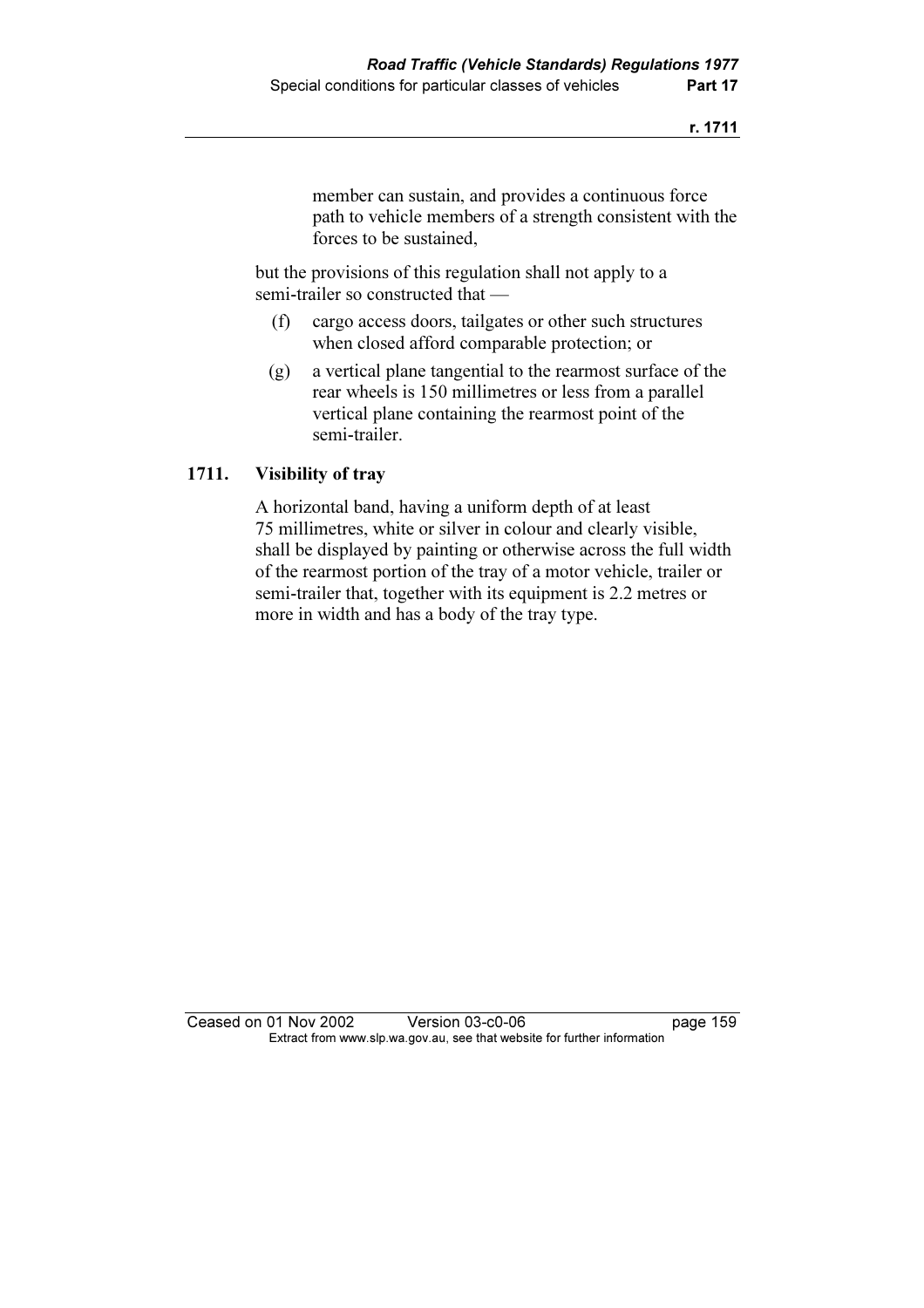member can sustain, and provides a continuous force path to vehicle members of a strength consistent with the forces to be sustained,

 but the provisions of this regulation shall not apply to a semi-trailer so constructed that —

- (f) cargo access doors, tailgates or other such structures when closed afford comparable protection; or
- (g) a vertical plane tangential to the rearmost surface of the rear wheels is 150 millimetres or less from a parallel vertical plane containing the rearmost point of the semi-trailer.

## 1711. Visibility of tray

 A horizontal band, having a uniform depth of at least 75 millimetres, white or silver in colour and clearly visible, shall be displayed by painting or otherwise across the full width of the rearmost portion of the tray of a motor vehicle, trailer or semi-trailer that, together with its equipment is 2.2 metres or more in width and has a body of the tray type.

# Ceased on 01 Nov 2002 Version 03-c0-06 page 159<br>Extract from www.slp.wa.gov.au, see that website for further information  $\mathbf{F}$  from which was the set that we besite for further information  $\mathbf{F}$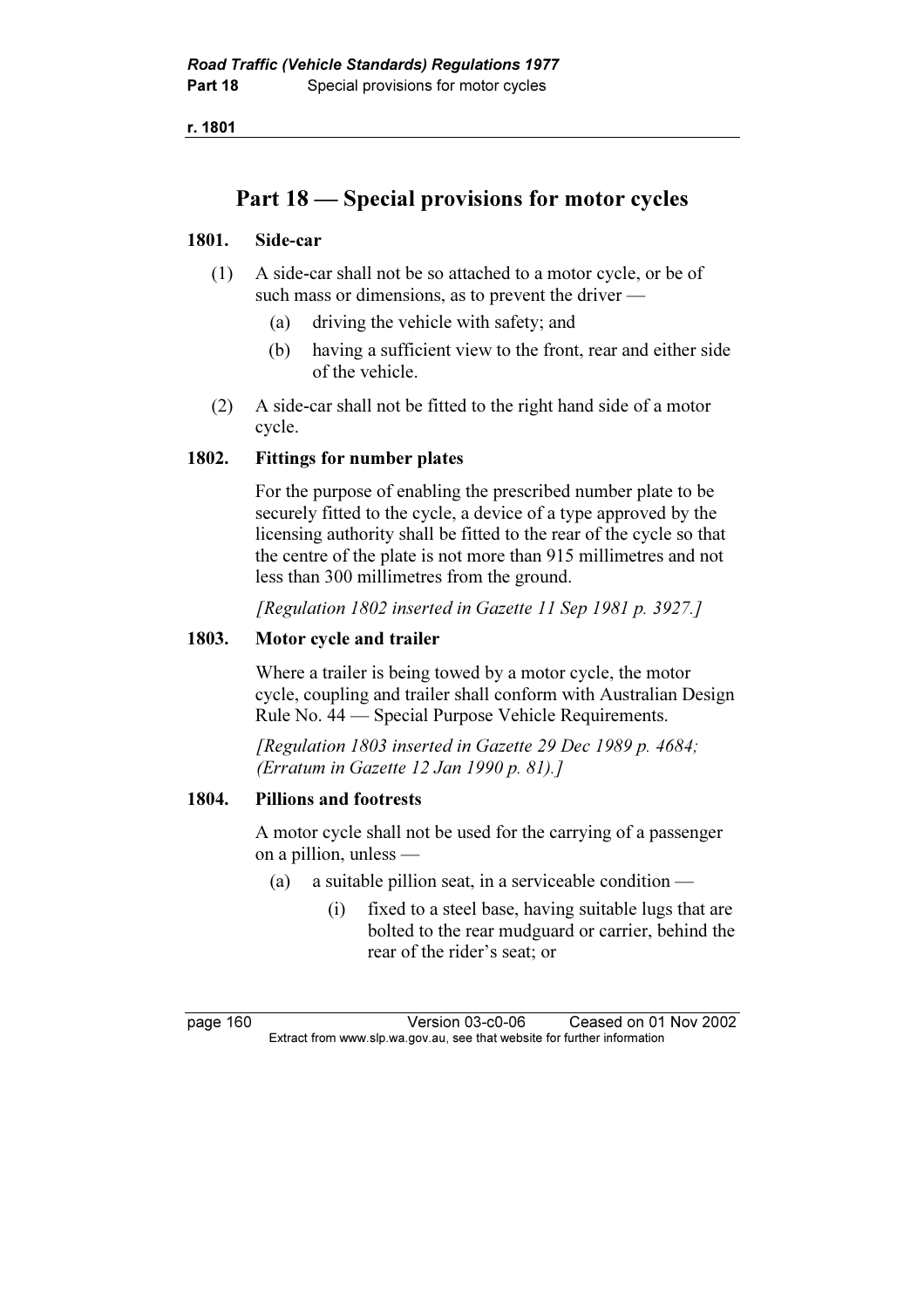# Part 18 — Special provisions for motor cycles

### 1801. Side-car

- (1) A side-car shall not be so attached to a motor cycle, or be of such mass or dimensions, as to prevent the driver —
	- (a) driving the vehicle with safety; and
	- (b) having a sufficient view to the front, rear and either side of the vehicle.
- (2) A side-car shall not be fitted to the right hand side of a motor cycle.

## 1802. Fittings for number plates

 For the purpose of enabling the prescribed number plate to be securely fitted to the cycle, a device of a type approved by the licensing authority shall be fitted to the rear of the cycle so that the centre of the plate is not more than 915 millimetres and not less than 300 millimetres from the ground.

[Regulation 1802 inserted in Gazette 11 Sep 1981 p. 3927.]

## 1803. Motor cycle and trailer

 Where a trailer is being towed by a motor cycle, the motor cycle, coupling and trailer shall conform with Australian Design Rule No. 44 — Special Purpose Vehicle Requirements.

 [Regulation 1803 inserted in Gazette 29 Dec 1989 p. 4684; (Erratum in Gazette 12 Jan 1990 p. 81).]

### 1804. Pillions and footrests

 A motor cycle shall not be used for the carrying of a passenger on a pillion, unless —

- (a) a suitable pillion seat, in a serviceable condition
	- (i) fixed to a steel base, having suitable lugs that are bolted to the rear mudguard or carrier, behind the rear of the rider's seat; or

page 160 Version 03-c0-06 Ceased on 01 Nov 2002<br>Extract from www.slp.wa.gov.au, see that website for further information  $\mathbf{F}$  from which was the set that we besite for further information  $\mathbf{F}$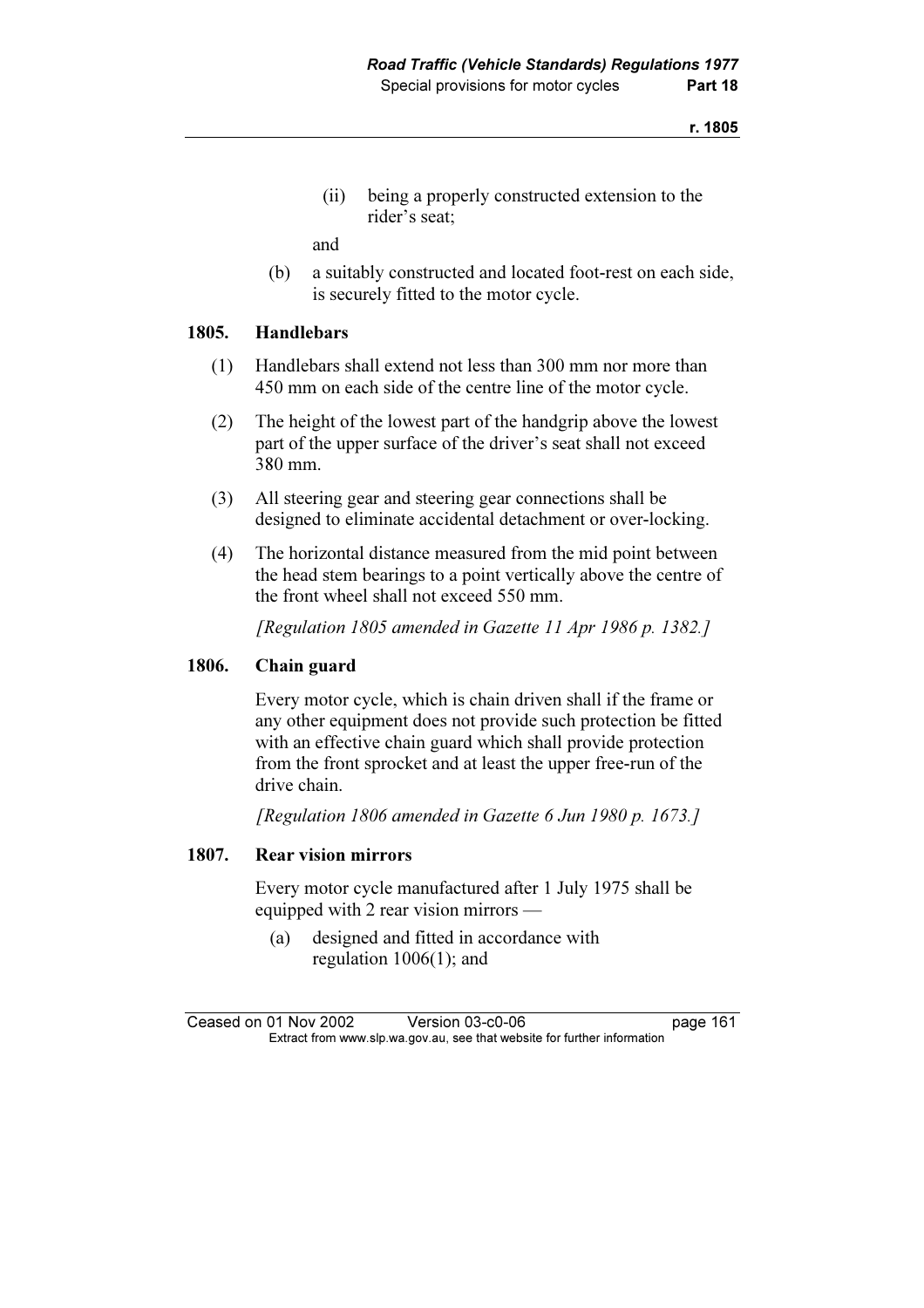(ii) being a properly constructed extension to the rider's seat;

and

 (b) a suitably constructed and located foot-rest on each side, is securely fitted to the motor cycle.

## 1805. Handlebars

- (1) Handlebars shall extend not less than 300 mm nor more than 450 mm on each side of the centre line of the motor cycle.
- (2) The height of the lowest part of the handgrip above the lowest part of the upper surface of the driver's seat shall not exceed 380 mm.
- (3) All steering gear and steering gear connections shall be designed to eliminate accidental detachment or over-locking.
- (4) The horizontal distance measured from the mid point between the head stem bearings to a point vertically above the centre of the front wheel shall not exceed 550 mm.

[Regulation 1805 amended in Gazette 11 Apr 1986 p. 1382.]

#### 1806. Chain guard

 Every motor cycle, which is chain driven shall if the frame or any other equipment does not provide such protection be fitted with an effective chain guard which shall provide protection from the front sprocket and at least the upper free-run of the drive chain.

[Regulation 1806 amended in Gazette 6 Jun 1980 p. 1673.]

### 1807. Rear vision mirrors

 Every motor cycle manufactured after 1 July 1975 shall be equipped with 2 rear vision mirrors —

 (a) designed and fitted in accordance with regulation 1006(1); and

Ceased on 01 Nov 2002 Version 03-c0-06 page 161<br>Extract from www.slp.wa.gov.au, see that website for further information  $\mathbf{F}$  from which was the set that we besite for further information  $\mathbf{F}$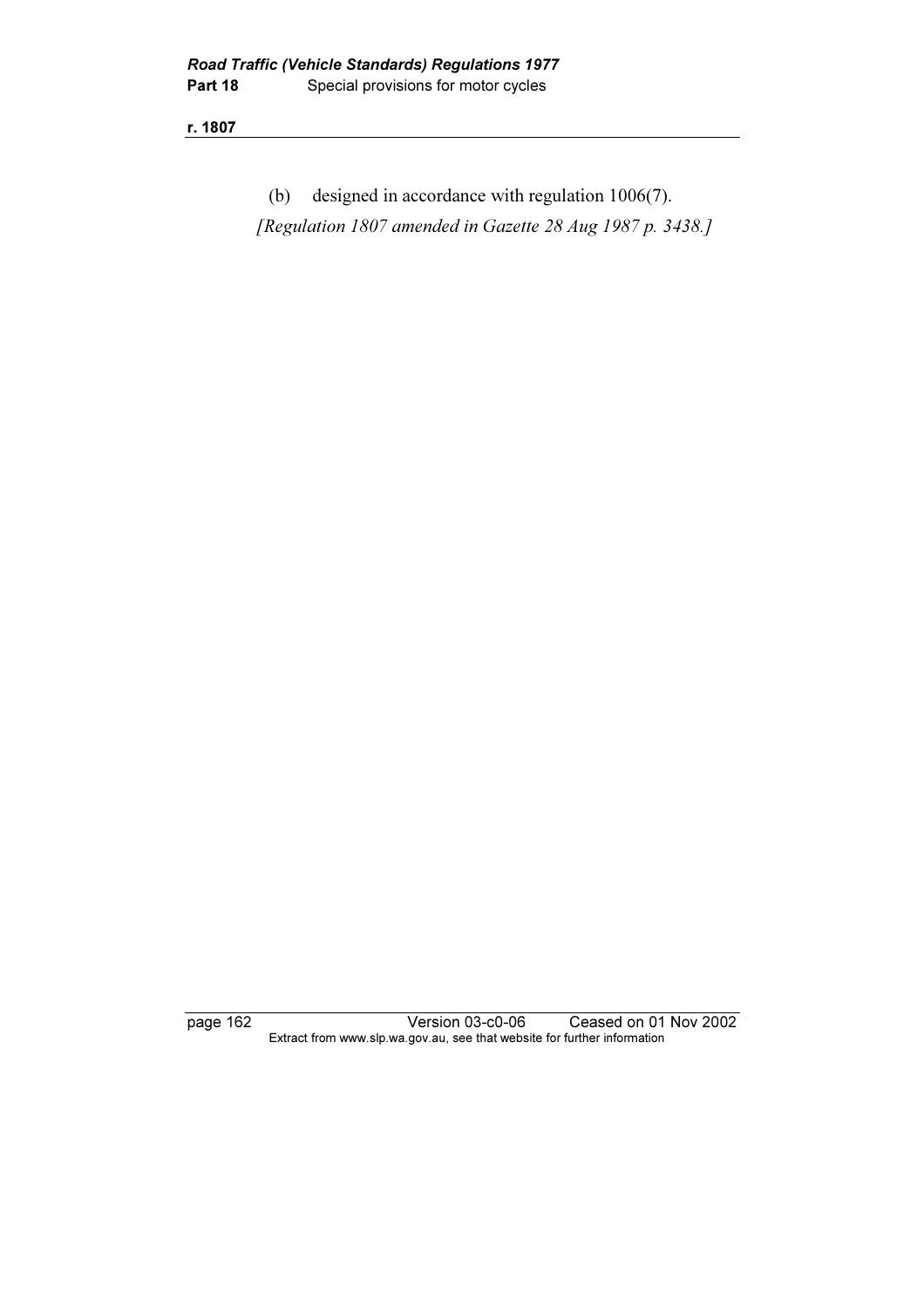(b) designed in accordance with regulation 1006(7).

[Regulation 1807 amended in Gazette 28 Aug 1987 p. 3438.]

page 162 Version 03-c0-06 Ceased on 01 Nov 2002 Extract from www.slp.wa.gov.au, see that website for further information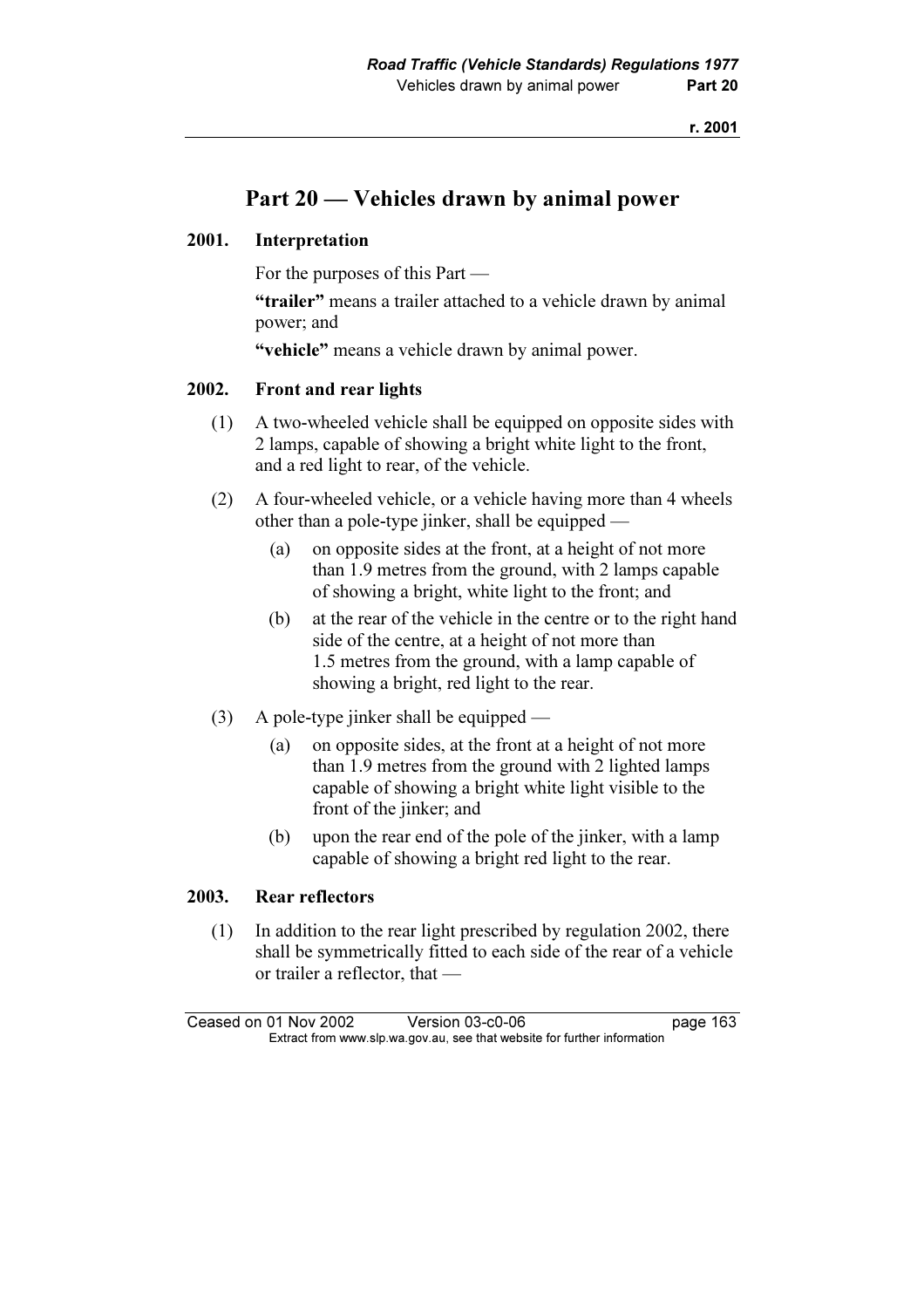# Part 20 — Vehicles drawn by animal power

## 2001. Interpretation

For the purposes of this Part —

"trailer" means a trailer attached to a vehicle drawn by animal power; and

"vehicle" means a vehicle drawn by animal power.

## 2002. Front and rear lights

- (1) A two-wheeled vehicle shall be equipped on opposite sides with 2 lamps, capable of showing a bright white light to the front, and a red light to rear, of the vehicle.
- (2) A four-wheeled vehicle, or a vehicle having more than 4 wheels other than a pole-type jinker, shall be equipped —
	- (a) on opposite sides at the front, at a height of not more than 1.9 metres from the ground, with 2 lamps capable of showing a bright, white light to the front; and
	- (b) at the rear of the vehicle in the centre or to the right hand side of the centre, at a height of not more than 1.5 metres from the ground, with a lamp capable of showing a bright, red light to the rear.
- (3) A pole-type jinker shall be equipped
	- (a) on opposite sides, at the front at a height of not more than 1.9 metres from the ground with 2 lighted lamps capable of showing a bright white light visible to the front of the jinker; and
	- (b) upon the rear end of the pole of the jinker, with a lamp capable of showing a bright red light to the rear.

## 2003. Rear reflectors

 (1) In addition to the rear light prescribed by regulation 2002, there shall be symmetrically fitted to each side of the rear of a vehicle or trailer a reflector, that —

Ceased on 01 Nov 2002 Version 03-c0-06 page 163<br>Extract from www.slp.wa.gov.au, see that website for further information  $\mathbf{F}$  from which was the set that we besite for further information  $\mathbf{F}$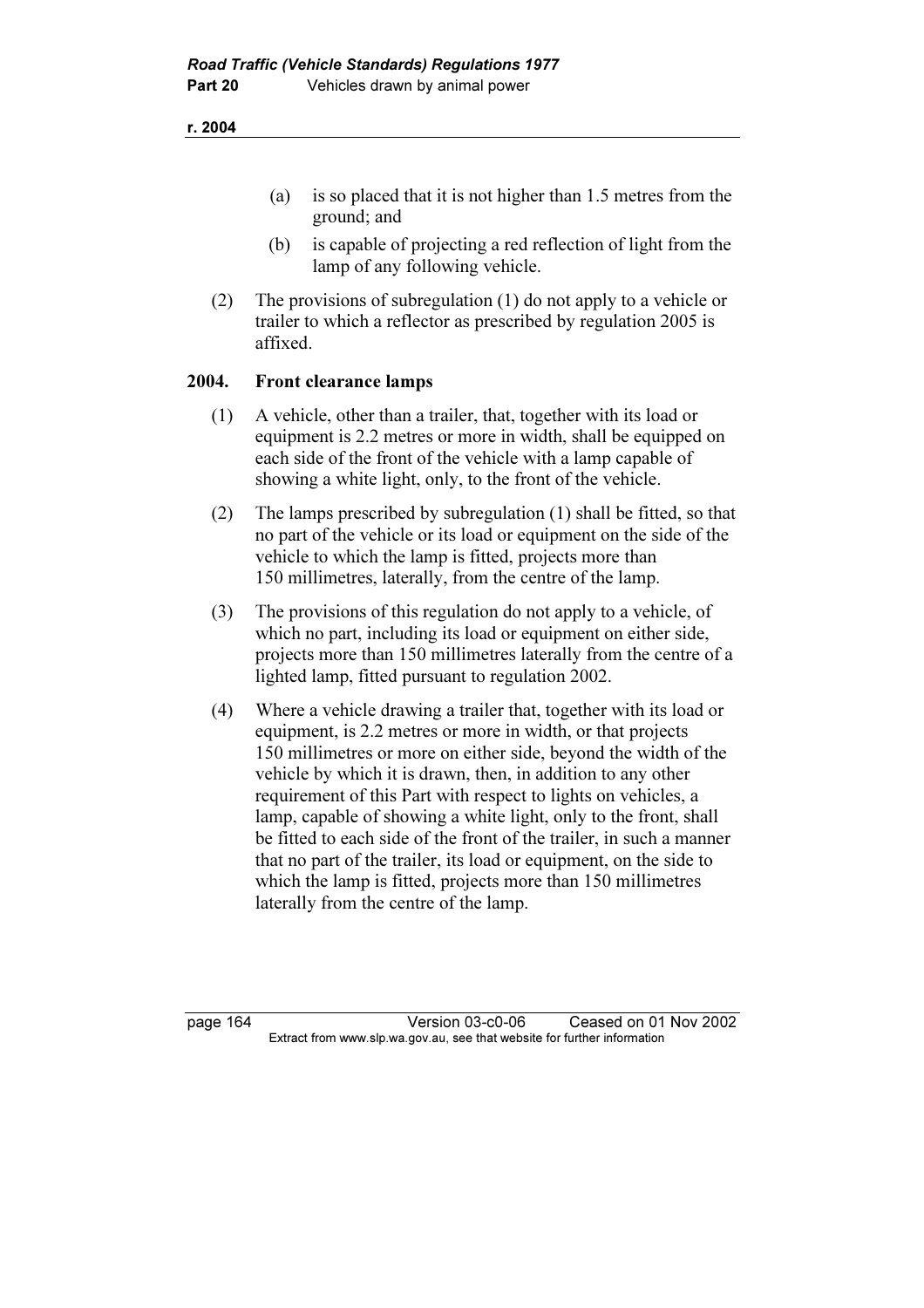- (a) is so placed that it is not higher than 1.5 metres from the ground; and
- (b) is capable of projecting a red reflection of light from the lamp of any following vehicle.
- (2) The provisions of subregulation (1) do not apply to a vehicle or trailer to which a reflector as prescribed by regulation 2005 is affixed.

### 2004. Front clearance lamps

- (1) A vehicle, other than a trailer, that, together with its load or equipment is 2.2 metres or more in width, shall be equipped on each side of the front of the vehicle with a lamp capable of showing a white light, only, to the front of the vehicle.
- (2) The lamps prescribed by subregulation (1) shall be fitted, so that no part of the vehicle or its load or equipment on the side of the vehicle to which the lamp is fitted, projects more than 150 millimetres, laterally, from the centre of the lamp.
- (3) The provisions of this regulation do not apply to a vehicle, of which no part, including its load or equipment on either side, projects more than 150 millimetres laterally from the centre of a lighted lamp, fitted pursuant to regulation 2002.
- (4) Where a vehicle drawing a trailer that, together with its load or equipment, is 2.2 metres or more in width, or that projects 150 millimetres or more on either side, beyond the width of the vehicle by which it is drawn, then, in addition to any other requirement of this Part with respect to lights on vehicles, a lamp, capable of showing a white light, only to the front, shall be fitted to each side of the front of the trailer, in such a manner that no part of the trailer, its load or equipment, on the side to which the lamp is fitted, projects more than 150 millimetres laterally from the centre of the lamp.

page 164 Version 03-c0-06 Ceased on 01 Nov 2002<br>Extract from www.slp.wa.gov.au, see that website for further information  $\mathbf{F}$  from which was the set that we besite for further information  $\mathbf{F}$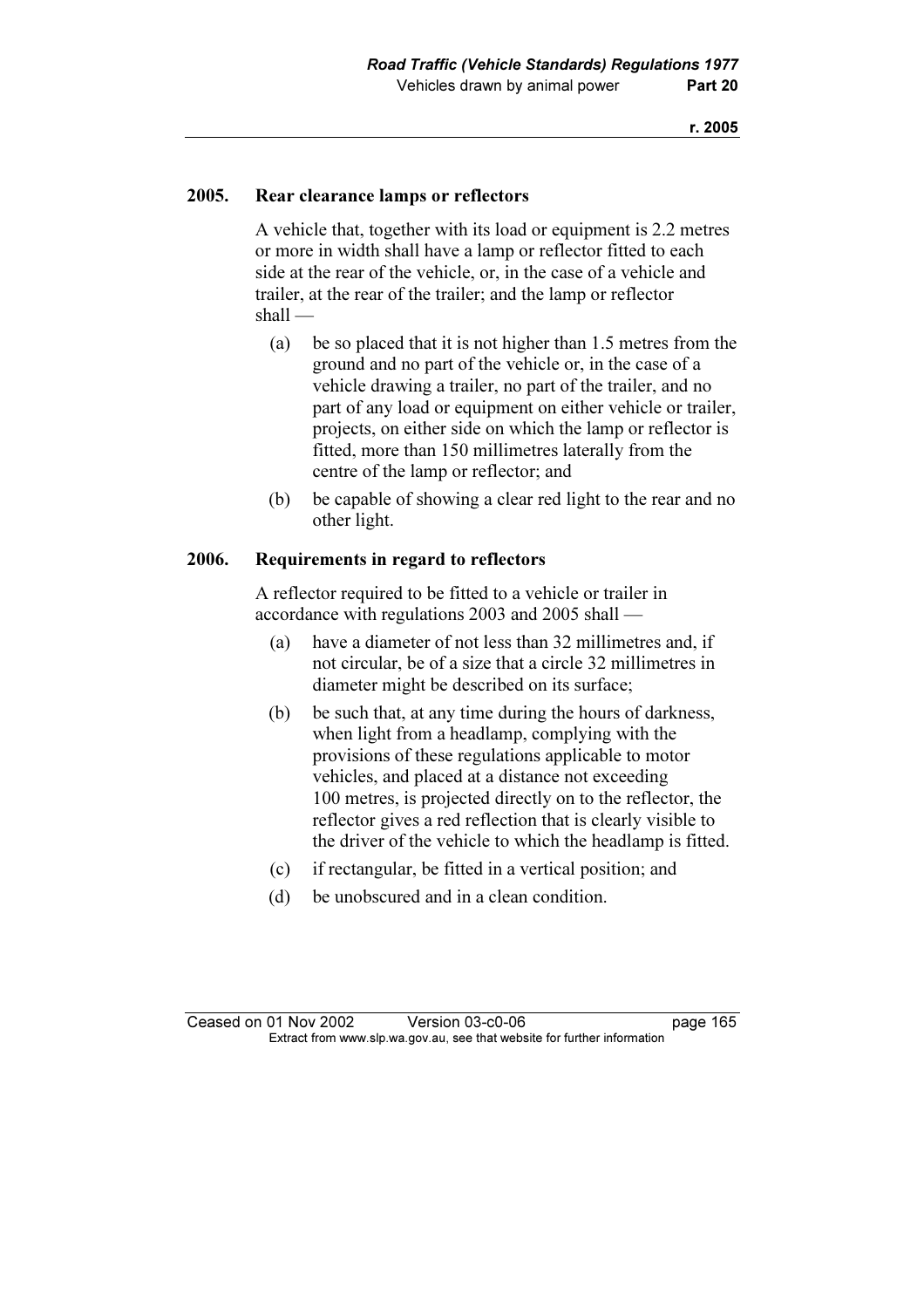## 2005. Rear clearance lamps or reflectors

 A vehicle that, together with its load or equipment is 2.2 metres or more in width shall have a lamp or reflector fitted to each side at the rear of the vehicle, or, in the case of a vehicle and trailer, at the rear of the trailer; and the lamp or reflector shall —

- (a) be so placed that it is not higher than 1.5 metres from the ground and no part of the vehicle or, in the case of a vehicle drawing a trailer, no part of the trailer, and no part of any load or equipment on either vehicle or trailer, projects, on either side on which the lamp or reflector is fitted, more than 150 millimetres laterally from the centre of the lamp or reflector; and
- (b) be capable of showing a clear red light to the rear and no other light.

## 2006. Requirements in regard to reflectors

 A reflector required to be fitted to a vehicle or trailer in accordance with regulations 2003 and 2005 shall —

- (a) have a diameter of not less than 32 millimetres and, if not circular, be of a size that a circle 32 millimetres in diameter might be described on its surface;
- (b) be such that, at any time during the hours of darkness, when light from a headlamp, complying with the provisions of these regulations applicable to motor vehicles, and placed at a distance not exceeding 100 metres, is projected directly on to the reflector, the reflector gives a red reflection that is clearly visible to the driver of the vehicle to which the headlamp is fitted.
- (c) if rectangular, be fitted in a vertical position; and
- (d) be unobscured and in a clean condition.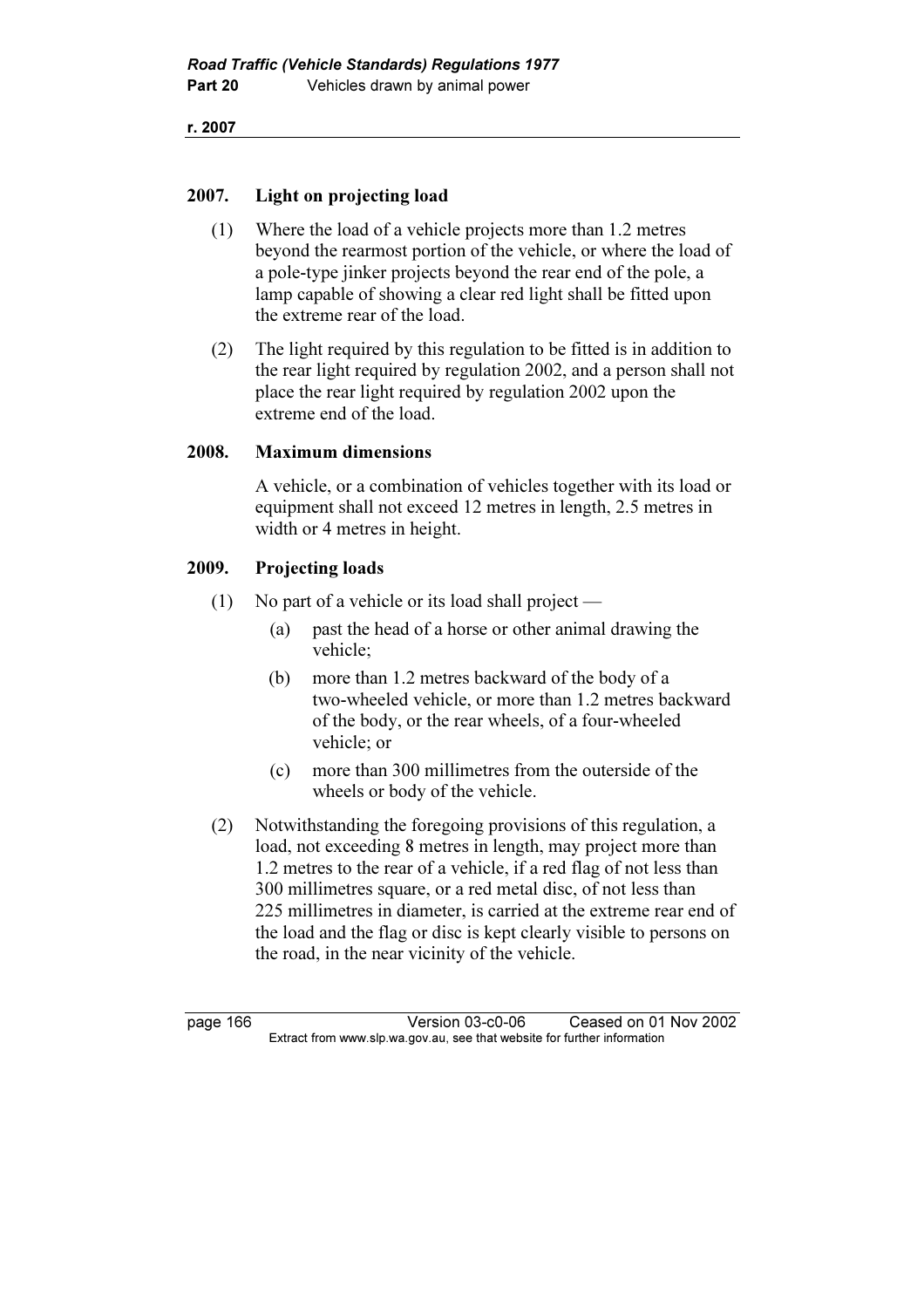## 2007. Light on projecting load

- (1) Where the load of a vehicle projects more than 1.2 metres beyond the rearmost portion of the vehicle, or where the load of a pole-type jinker projects beyond the rear end of the pole, a lamp capable of showing a clear red light shall be fitted upon the extreme rear of the load.
- (2) The light required by this regulation to be fitted is in addition to the rear light required by regulation 2002, and a person shall not place the rear light required by regulation 2002 upon the extreme end of the load.

## 2008. Maximum dimensions

 A vehicle, or a combination of vehicles together with its load or equipment shall not exceed 12 metres in length, 2.5 metres in width or 4 metres in height.

## 2009. Projecting loads

- (1) No part of a vehicle or its load shall project
	- (a) past the head of a horse or other animal drawing the vehicle;
	- (b) more than 1.2 metres backward of the body of a two-wheeled vehicle, or more than 1.2 metres backward of the body, or the rear wheels, of a four-wheeled vehicle; or
	- (c) more than 300 millimetres from the outerside of the wheels or body of the vehicle.
- (2) Notwithstanding the foregoing provisions of this regulation, a load, not exceeding 8 metres in length, may project more than 1.2 metres to the rear of a vehicle, if a red flag of not less than 300 millimetres square, or a red metal disc, of not less than 225 millimetres in diameter, is carried at the extreme rear end of the load and the flag or disc is kept clearly visible to persons on the road, in the near vicinity of the vehicle.

page 166 Version 03-c0-06 Ceased on 01 Nov 2002<br>Extract from www.slp.wa.gov.au, see that website for further information  $\mathbf{F}$  from which was the set that we besite for further information  $\mathbf{F}$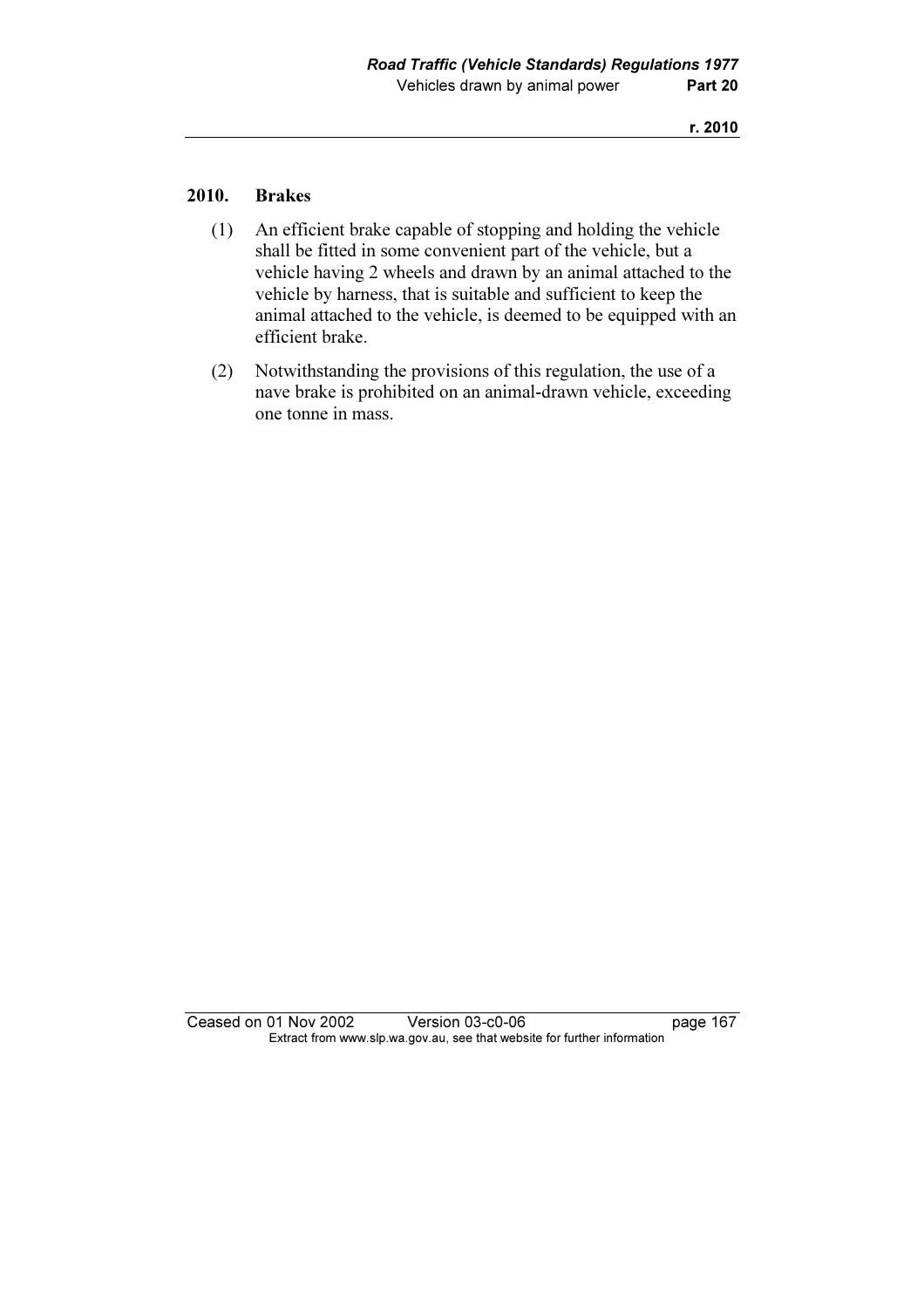## 2010. Brakes

- (1) An efficient brake capable of stopping and holding the vehicle shall be fitted in some convenient part of the vehicle, but a vehicle having 2 wheels and drawn by an animal attached to the vehicle by harness, that is suitable and sufficient to keep the animal attached to the vehicle, is deemed to be equipped with an efficient brake.
- (2) Notwithstanding the provisions of this regulation, the use of a nave brake is prohibited on an animal-drawn vehicle, exceeding one tonne in mass.

Ceased on 01 Nov 2002 Version 03-c0-06 page 167 Extract from www.slp.wa.gov.au, see that website for further information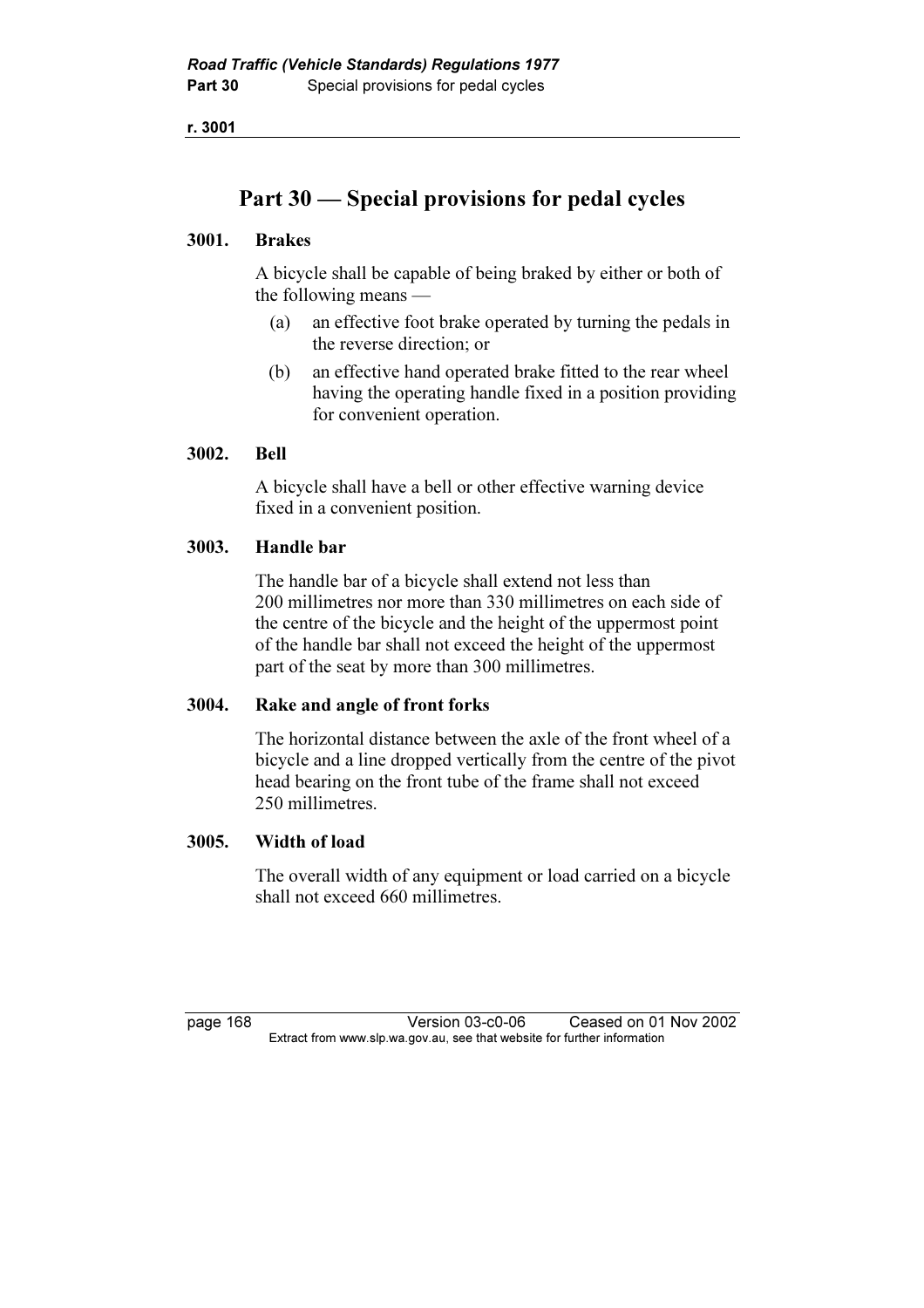# Part 30 — Special provisions for pedal cycles

### 3001. Brakes

 A bicycle shall be capable of being braked by either or both of the following means —

- (a) an effective foot brake operated by turning the pedals in the reverse direction; or
- (b) an effective hand operated brake fitted to the rear wheel having the operating handle fixed in a position providing for convenient operation.

### 3002. Bell

 A bicycle shall have a bell or other effective warning device fixed in a convenient position.

### 3003. Handle bar

 The handle bar of a bicycle shall extend not less than 200 millimetres nor more than 330 millimetres on each side of the centre of the bicycle and the height of the uppermost point of the handle bar shall not exceed the height of the uppermost part of the seat by more than 300 millimetres.

### 3004. Rake and angle of front forks

 The horizontal distance between the axle of the front wheel of a bicycle and a line dropped vertically from the centre of the pivot head bearing on the front tube of the frame shall not exceed 250 millimetres.

### 3005. Width of load

 The overall width of any equipment or load carried on a bicycle shall not exceed 660 millimetres.

page 168 Version 03-c0-06 Ceased on 01 Nov 2002<br>Extract from www.slp.wa.gov.au, see that website for further information  $\mathbf{F}$  from which was the set that we besite for further information  $\mathbf{F}$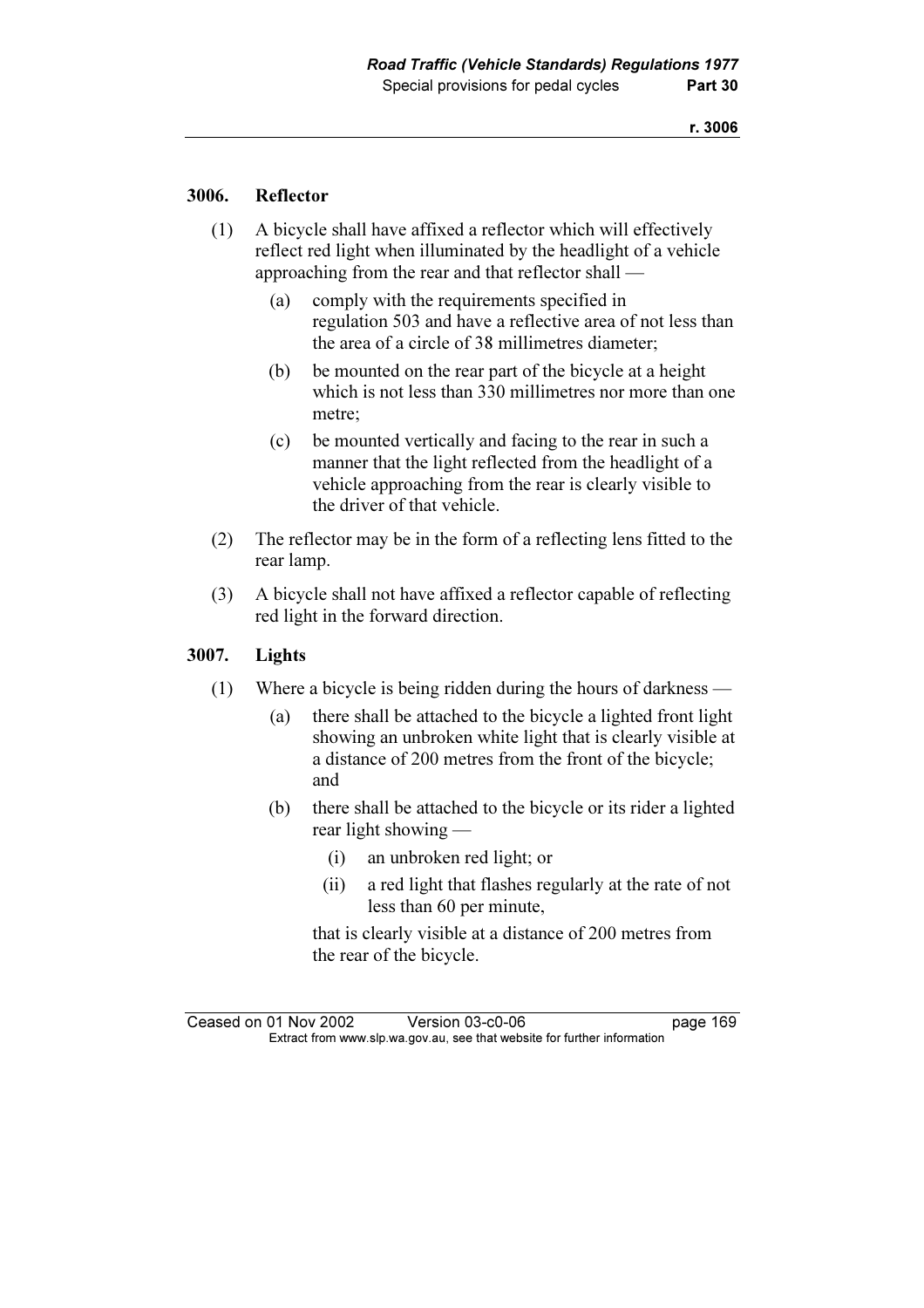## 3006. Reflector

- (1) A bicycle shall have affixed a reflector which will effectively reflect red light when illuminated by the headlight of a vehicle approaching from the rear and that reflector shall —
	- (a) comply with the requirements specified in regulation 503 and have a reflective area of not less than the area of a circle of 38 millimetres diameter;
	- (b) be mounted on the rear part of the bicycle at a height which is not less than 330 millimetres nor more than one metre;
	- (c) be mounted vertically and facing to the rear in such a manner that the light reflected from the headlight of a vehicle approaching from the rear is clearly visible to the driver of that vehicle.
- (2) The reflector may be in the form of a reflecting lens fitted to the rear lamp.
- (3) A bicycle shall not have affixed a reflector capable of reflecting red light in the forward direction.

### 3007. Lights

- (1) Where a bicycle is being ridden during the hours of darkness
	- (a) there shall be attached to the bicycle a lighted front light showing an unbroken white light that is clearly visible at a distance of 200 metres from the front of the bicycle; and
	- (b) there shall be attached to the bicycle or its rider a lighted rear light showing —
		- (i) an unbroken red light; or
		- (ii) a red light that flashes regularly at the rate of not less than 60 per minute,

 that is clearly visible at a distance of 200 metres from the rear of the bicycle.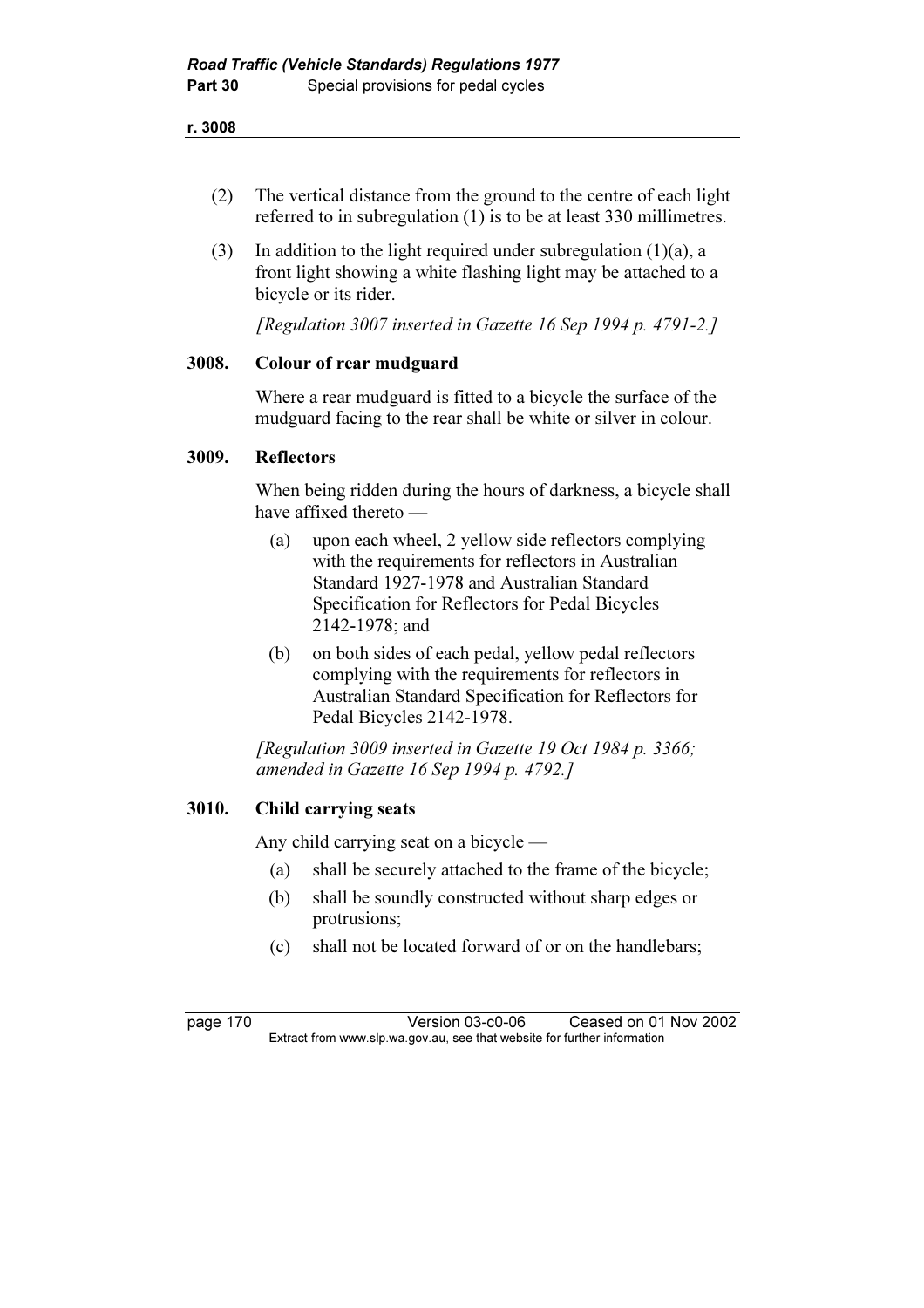- (2) The vertical distance from the ground to the centre of each light referred to in subregulation (1) is to be at least 330 millimetres.
- (3) In addition to the light required under subregulation  $(1)(a)$ , a front light showing a white flashing light may be attached to a bicycle or its rider.

[Regulation 3007 inserted in Gazette 16 Sep 1994 p. 4791-2.]

## 3008. Colour of rear mudguard

 Where a rear mudguard is fitted to a bicycle the surface of the mudguard facing to the rear shall be white or silver in colour.

### 3009. Reflectors

 When being ridden during the hours of darkness, a bicycle shall have affixed thereto —

- (a) upon each wheel, 2 yellow side reflectors complying with the requirements for reflectors in Australian Standard 1927-1978 and Australian Standard Specification for Reflectors for Pedal Bicycles 2142-1978; and
- (b) on both sides of each pedal, yellow pedal reflectors complying with the requirements for reflectors in Australian Standard Specification for Reflectors for Pedal Bicycles 2142-1978.

 [Regulation 3009 inserted in Gazette 19 Oct 1984 p. 3366; amended in Gazette 16 Sep 1994 p. 4792.]

### 3010. Child carrying seats

Any child carrying seat on a bicycle —

- (a) shall be securely attached to the frame of the bicycle;
- (b) shall be soundly constructed without sharp edges or protrusions;
- (c) shall not be located forward of or on the handlebars;

page 170 Version 03-c0-06 Ceased on 01 Nov 2002<br>Extract from www.slp.wa.gov.au, see that website for further information  $\mathbf{F}$  from which was the set that we besite for further information  $\mathbf{F}$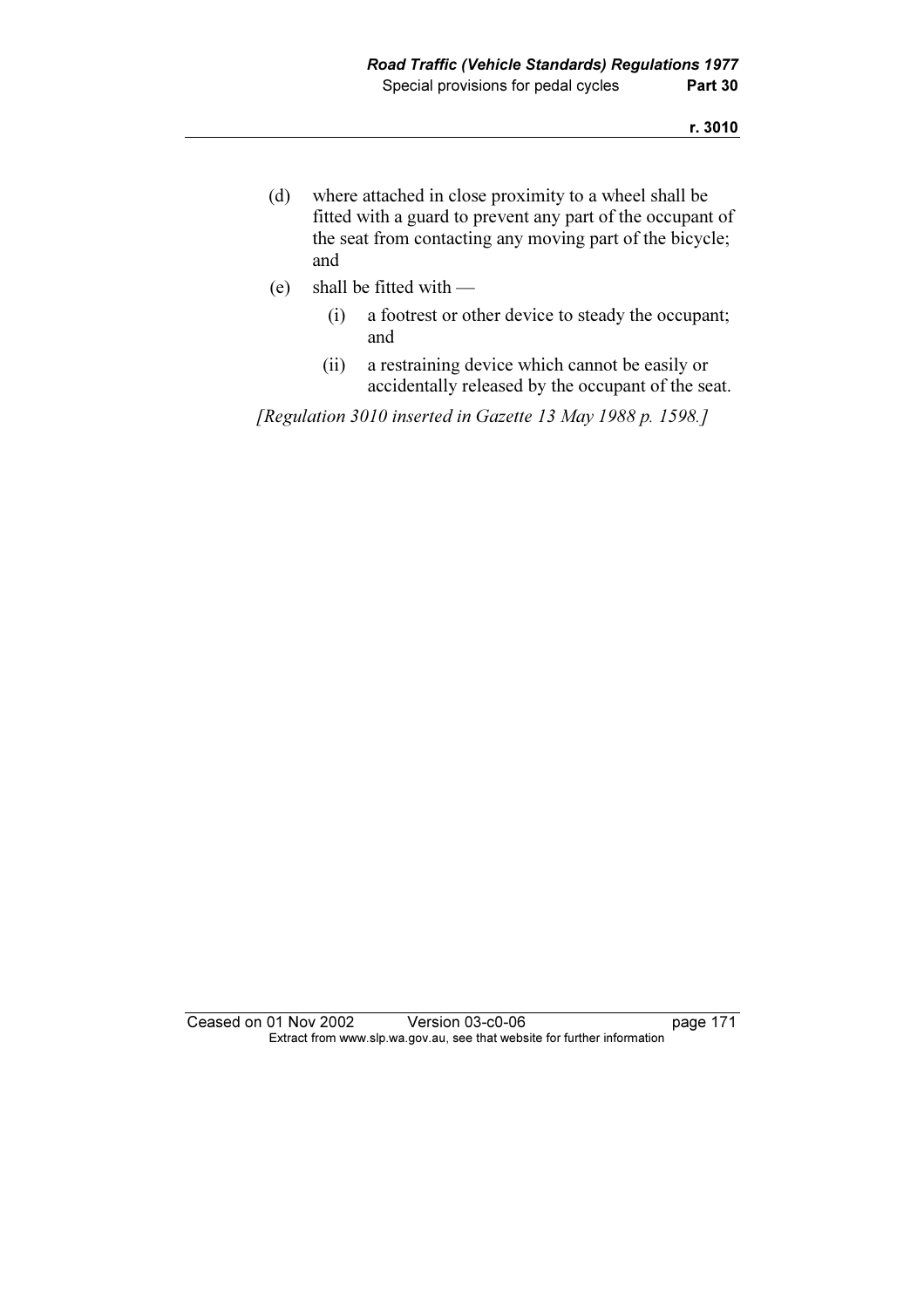- (d) where attached in close proximity to a wheel shall be fitted with a guard to prevent any part of the occupant of the seat from contacting any moving part of the bicycle; and
- (e) shall be fitted with
	- (i) a footrest or other device to steady the occupant; and
	- (ii) a restraining device which cannot be easily or accidentally released by the occupant of the seat.

[Regulation 3010 inserted in Gazette 13 May 1988 p. 1598.]

Ceased on 01 Nov 2002 Version 03-c0-06 page 171 Extract from www.slp.wa.gov.au, see that website for further information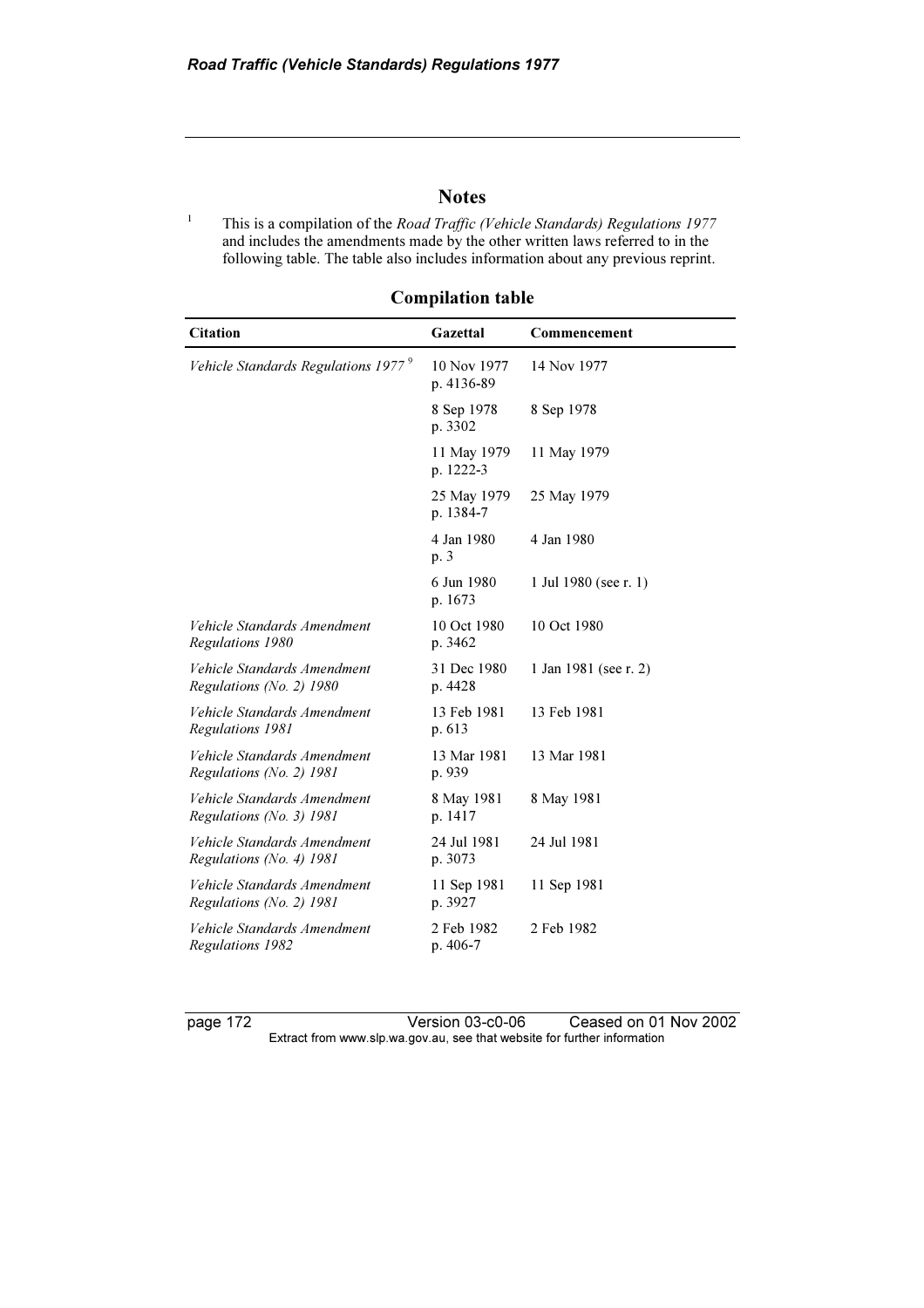## **Notes**

1 This is a compilation of the Road Traffic (Vehicle Standards) Regulations 1977 and includes the amendments made by the other written laws referred to in the following table. The table also includes information about any previous reprint.

Citation Gazettal Commencement Vehicle Standards Regulations  $1977<sup>9</sup>$  10 Nov 1977 p. 4136-89 14 Nov 1977 8 Sep 1978 p. 3302 8 Sep 1978 11 May 1979 p. 1222-3 11 May 1979 25 May 1979 p. 1384-7 25 May 1979 4 Jan 1980 p. 3 4 Jan 1980 6 Jun 1980 p. 1673 1 Jul 1980 (see r. 1) Vehicle Standards Amendment Regulations 1980 10 Oct 1980 p. 3462 10 Oct 1980 Vehicle Standards Amendment Regulations (No. 2) 1980 31 Dec 1980 p. 4428 1 Jan 1981 (see r. 2) Vehicle Standards Amendment Regulations 1981 13 Feb 1981 p. 613 13 Feb 1981 Vehicle Standards Amendment Regulations (No. 2) 1981 13 Mar 1981 p. 939 13 Mar 1981 Vehicle Standards Amendment Regulations (No. 3) 1981 8 May 1981 p. 1417 8 May 1981 Vehicle Standards Amendment Regulations (No. 4) 1981 24 Jul 1981 p. 3073 24 Jul 1981 Vehicle Standards Amendment Regulations (No. 2) 1981 11 Sep 1981 p. 3927 11 Sep 1981 Vehicle Standards Amendment Regulations 1982 2 Feb 1982 p. 406-7 2 Feb 1982

Compilation table

page 172 Version 03-c0-06 Ceased on 01 Nov 2002 Extract from www.slp.wa.gov.au, see that website for further information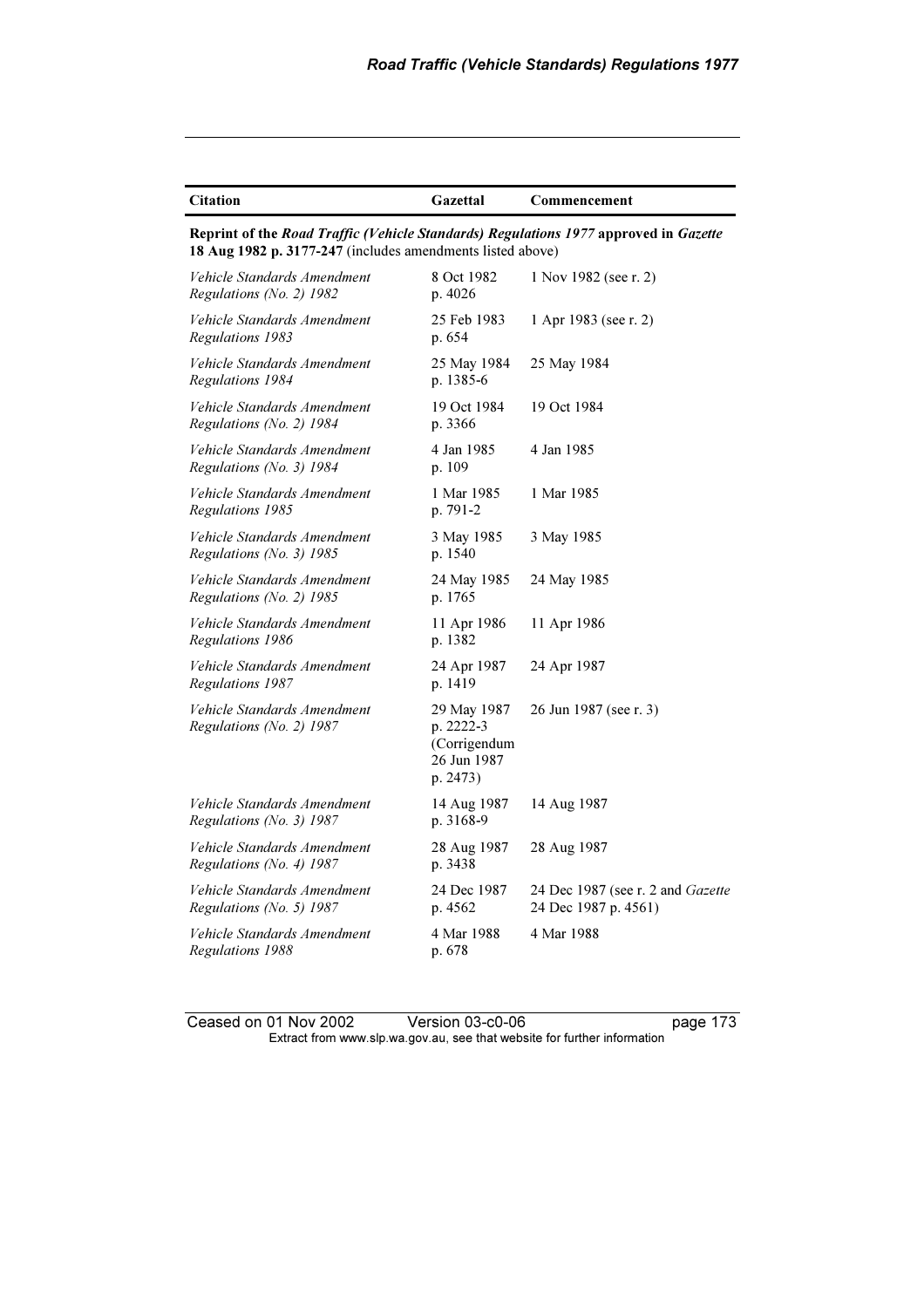| <b>Citation</b>                                                                                                                                    | Gazettal                                                            | Commencement                                              |  |
|----------------------------------------------------------------------------------------------------------------------------------------------------|---------------------------------------------------------------------|-----------------------------------------------------------|--|
| Reprint of the Road Traffic (Vehicle Standards) Regulations 1977 approved in Gazette<br>18 Aug 1982 p. 3177-247 (includes amendments listed above) |                                                                     |                                                           |  |
| Vehicle Standards Amendment<br>Regulations (No. 2) 1982                                                                                            | 8 Oct 1982<br>p. 4026                                               | 1 Nov 1982 (see r. 2)                                     |  |
| Vehicle Standards Amendment<br>Regulations 1983                                                                                                    | 25 Feb 1983<br>p. 654                                               | 1 Apr 1983 (see r. 2)                                     |  |
| Vehicle Standards Amendment<br>Regulations 1984                                                                                                    | 25 May 1984<br>p. 1385-6                                            | 25 May 1984                                               |  |
| Vehicle Standards Amendment<br>Regulations (No. 2) 1984                                                                                            | 19 Oct 1984<br>p. 3366                                              | 19 Oct 1984                                               |  |
| Vehicle Standards Amendment<br>Regulations (No. 3) 1984                                                                                            | 4 Jan 1985<br>p. 109                                                | 4 Jan 1985                                                |  |
| Vehicle Standards Amendment<br>Regulations 1985                                                                                                    | 1 Mar 1985<br>p. 791-2                                              | 1 Mar 1985                                                |  |
| Vehicle Standards Amendment<br>Regulations (No. 3) 1985                                                                                            | 3 May 1985<br>p. 1540                                               | 3 May 1985                                                |  |
| Vehicle Standards Amendment<br>Regulations (No. 2) 1985                                                                                            | 24 May 1985<br>p. 1765                                              | 24 May 1985                                               |  |
| Vehicle Standards Amendment<br>Regulations 1986                                                                                                    | 11 Apr 1986<br>p. 1382                                              | 11 Apr 1986                                               |  |
| Vehicle Standards Amendment<br>Regulations 1987                                                                                                    | 24 Apr 1987<br>p. 1419                                              | 24 Apr 1987                                               |  |
| Vehicle Standards Amendment<br>Regulations (No. 2) 1987                                                                                            | 29 May 1987<br>p. 2222-3<br>(Corrigendum<br>26 Jun 1987<br>p. 2473) | 26 Jun 1987 (see r. 3)                                    |  |
| Vehicle Standards Amendment<br>Regulations (No. 3) 1987                                                                                            | 14 Aug 1987<br>p. 3168-9                                            | 14 Aug 1987                                               |  |
| Vehicle Standards Amendment<br>Regulations (No. 4) 1987                                                                                            | 28 Aug 1987<br>p. 3438                                              | 28 Aug 1987                                               |  |
| Vehicle Standards Amendment<br>Regulations (No. 5) 1987                                                                                            | 24 Dec 1987<br>p. 4562                                              | 24 Dec 1987 (see r. 2 and Gazette<br>24 Dec 1987 p. 4561) |  |
| Vehicle Standards Amendment<br>Regulations 1988                                                                                                    | 4 Mar 1988<br>p. 678                                                | 4 Mar 1988                                                |  |

Ceased on 01 Nov 2002 Version 03-c0-06 page 173 Extract from www.slp.wa.gov.au, see that website for further information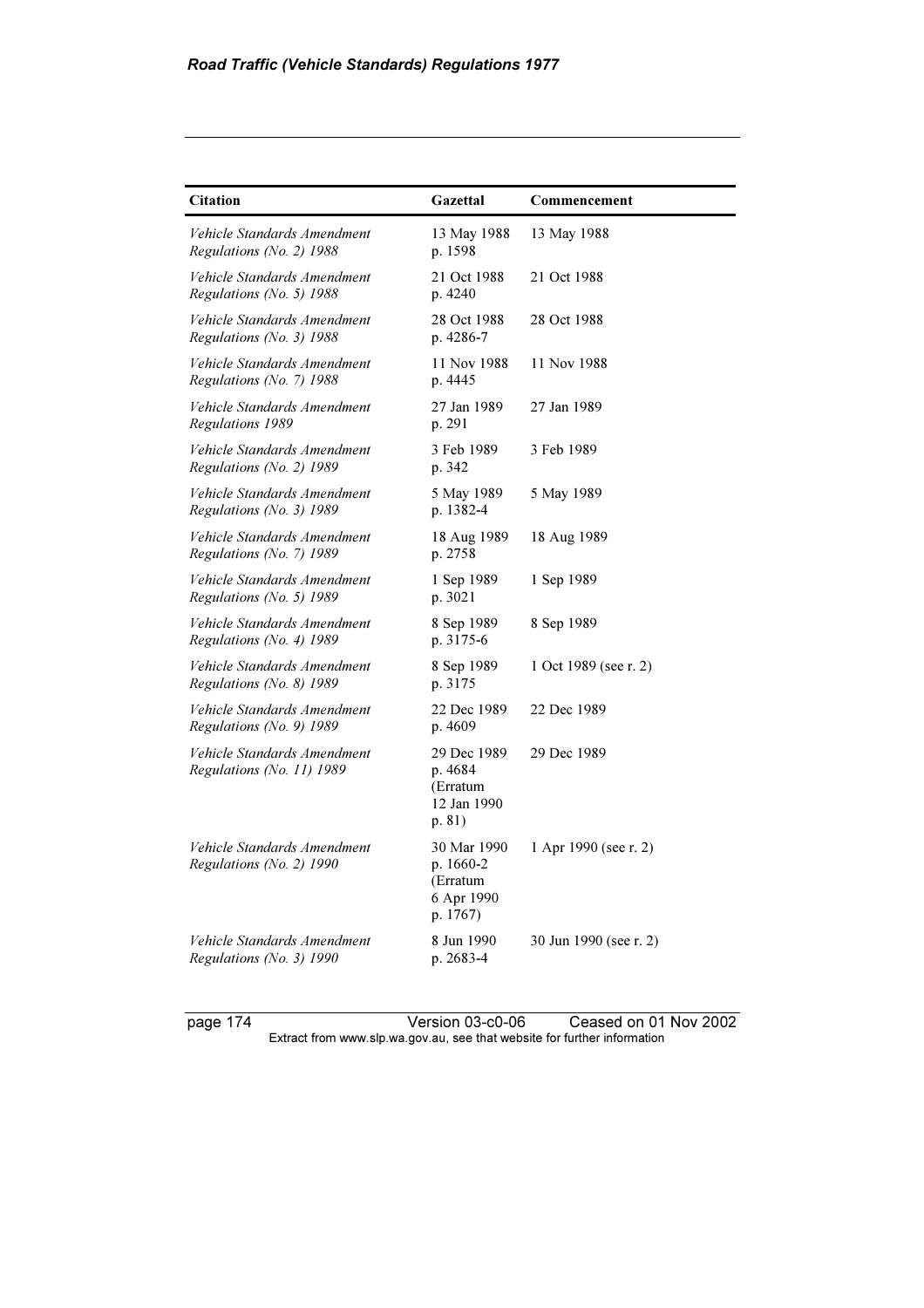| <b>Citation</b>                                          | Gazettal                                                       | Commencement           |
|----------------------------------------------------------|----------------------------------------------------------------|------------------------|
| Vehicle Standards Amendment<br>Regulations (No. 2) 1988  | 13 May 1988<br>p. 1598                                         | 13 May 1988            |
| Vehicle Standards Amendment<br>Regulations (No. 5) 1988  | 21 Oct 1988<br>p. 4240                                         | 21 Oct 1988            |
| Vehicle Standards Amendment<br>Regulations (No. 3) 1988  | 28 Oct 1988<br>p. 4286-7                                       | 28 Oct 1988            |
| Vehicle Standards Amendment<br>Regulations (No. 7) 1988  | 11 Nov 1988<br>p. 4445                                         | 11 Nov 1988            |
| Vehicle Standards Amendment<br>Regulations 1989          | 27 Jan 1989<br>p. 291                                          | 27 Jan 1989            |
| Vehicle Standards Amendment<br>Regulations (No. 2) 1989  | 3 Feb 1989<br>p. 342                                           | 3 Feb 1989             |
| Vehicle Standards Amendment<br>Regulations (No. 3) 1989  | 5 May 1989<br>p. 1382-4                                        | 5 May 1989             |
| Vehicle Standards Amendment<br>Regulations (No. 7) 1989  | 18 Aug 1989<br>p. 2758                                         | 18 Aug 1989            |
| Vehicle Standards Amendment<br>Regulations (No. 5) 1989  | 1 Sep 1989<br>p. 3021                                          | 1 Sep 1989             |
| Vehicle Standards Amendment<br>Regulations (No. 4) 1989  | 8 Sep 1989<br>p. 3175-6                                        | 8 Sep 1989             |
| Vehicle Standards Amendment<br>Regulations (No. 8) 1989  | 8 Sep 1989<br>p. 3175                                          | 1 Oct 1989 (see r. 2)  |
| Vehicle Standards Amendment<br>Regulations (No. 9) 1989  | 22 Dec 1989<br>p. 4609                                         | 22 Dec 1989            |
| Vehicle Standards Amendment<br>Regulations (No. 11) 1989 | 29 Dec 1989<br>p. 4684<br>(Erratum<br>12 Jan 1990<br>p. 81)    | 29 Dec 1989            |
| Vehicle Standards Amendment<br>Regulations (No. 2) 1990  | 30 Mar 1990<br>p. 1660-2<br>(Erratum<br>6 Apr 1990<br>p. 1767) | 1 Apr 1990 (see r. 2)  |
| Vehicle Standards Amendment<br>Regulations (No. 3) 1990  | 8 Jun 1990<br>p. 2683-4                                        | 30 Jun 1990 (see r. 2) |

page 174 Version 03-c0-06 Ceased on 01 Nov 2002 Extract from www.slp.wa.gov.au, see that website for further information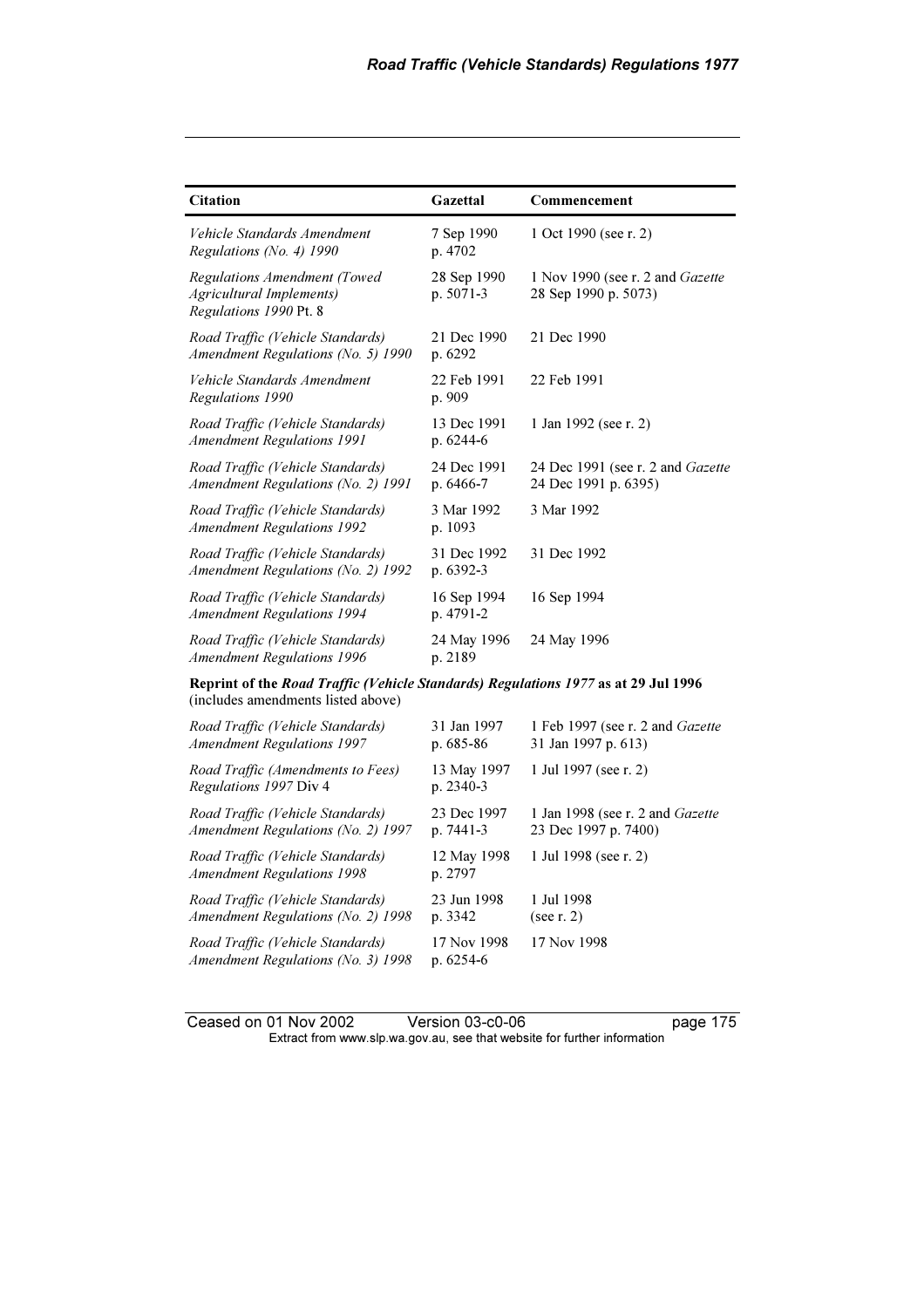| <b>Citation</b>                                                                                                          | Gazettal                 | Commencement                                                     |
|--------------------------------------------------------------------------------------------------------------------------|--------------------------|------------------------------------------------------------------|
| Vehicle Standards Amendment<br>Regulations (No. 4) 1990                                                                  | 7 Sep 1990<br>p. 4702    | 1 Oct 1990 (see r. 2)                                            |
| Regulations Amendment (Towed<br><b>Agricultural Implements)</b><br>Regulations 1990 Pt. 8                                | 28 Sep 1990<br>p. 5071-3 | 1 Nov 1990 (see r. 2 and Gazette<br>28 Sep 1990 p. 5073)         |
| Road Traffic (Vehicle Standards)<br>Amendment Regulations (No. 5) 1990                                                   | 21 Dec 1990<br>p. 6292   | 21 Dec 1990                                                      |
| Vehicle Standards Amendment<br>Regulations 1990                                                                          | 22 Feb 1991<br>p. 909    | 22 Feb 1991                                                      |
| Road Traffic (Vehicle Standards)<br><b>Amendment Regulations 1991</b>                                                    | 13 Dec 1991<br>p. 6244-6 | 1 Jan 1992 (see r. 2)                                            |
| Road Traffic (Vehicle Standards)<br>Amendment Regulations (No. 2) 1991                                                   | 24 Dec 1991<br>p. 6466-7 | 24 Dec 1991 (see r. 2 and <i>Gazette</i><br>24 Dec 1991 p. 6395) |
| Road Traffic (Vehicle Standards)<br><b>Amendment Regulations 1992</b>                                                    | 3 Mar 1992<br>p. 1093    | 3 Mar 1992                                                       |
| Road Traffic (Vehicle Standards)<br>Amendment Regulations (No. 2) 1992                                                   | 31 Dec 1992<br>p. 6392-3 | 31 Dec 1992                                                      |
| Road Traffic (Vehicle Standards)<br><b>Amendment Regulations 1994</b>                                                    | 16 Sep 1994<br>p. 4791-2 | 16 Sep 1994                                                      |
| Road Traffic (Vehicle Standards)<br><b>Amendment Regulations 1996</b>                                                    | 24 May 1996<br>p. 2189   | 24 May 1996                                                      |
| Reprint of the Road Traffic (Vehicle Standards) Regulations 1977 as at 29 Jul 1996<br>(includes amendments listed above) |                          |                                                                  |
| Road Traffic (Vehicle Standards)<br><b>Amendment Regulations 1997</b>                                                    | 31 Jan 1997<br>p. 685-86 | 1 Feb 1997 (see r. 2 and <i>Gazette</i><br>31 Jan 1997 p. 613)   |
| Road Traffic (Amendments to Fees)<br>Regulations 1997 Div 4                                                              | 13 May 1997<br>p. 2340-3 | 1 Jul 1997 (see r. 2)                                            |
| Road Traffic (Vehicle Standards)<br>Amendment Regulations (No. 2) 1997                                                   | 23 Dec 1997<br>p. 7441-3 | 1 Jan 1998 (see r. 2 and <i>Gazette</i><br>23 Dec 1997 p. 7400)  |
| Road Traffic (Vehicle Standards)<br><b>Amendment Regulations 1998</b>                                                    | 12 May 1998<br>p. 2797   | 1 Jul 1998 (see r. 2)                                            |
| Road Traffic (Vehicle Standards)<br>Amendment Regulations (No. 2) 1998                                                   | 23 Jun 1998<br>p. 3342   | 1 Jul 1998<br>(see r. 2)                                         |
| Road Traffic (Vehicle Standards)<br>Amendment Regulations (No. 3) 1998                                                   | 17 Nov 1998<br>p. 6254-6 | 17 Nov 1998                                                      |

Ceased on 01 Nov 2002 Version 03-c0-06 page 175 Extract from www.slp.wa.gov.au, see that website for further information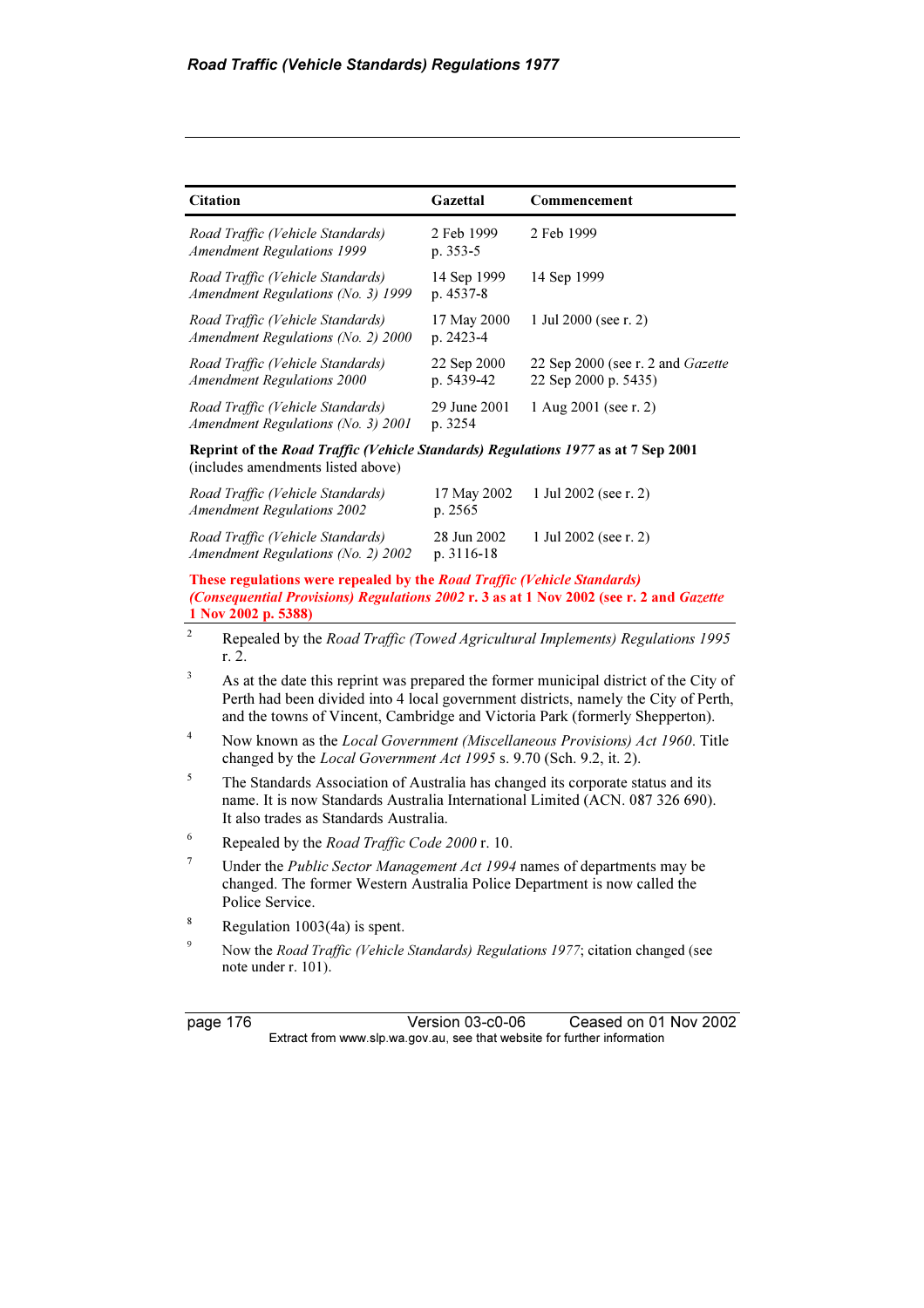| <b>Citation</b>                                                        | Gazettal                  | Commencement                                                     |
|------------------------------------------------------------------------|---------------------------|------------------------------------------------------------------|
| Road Traffic (Vehicle Standards)<br><b>Amendment Regulations 1999</b>  | 2 Feb 1999<br>$p. 353-5$  | 2 Feb 1999                                                       |
| Road Traffic (Vehicle Standards)<br>Amendment Regulations (No. 3) 1999 | 14 Sep 1999<br>p. 4537-8  | 14 Sep 1999                                                      |
| Road Traffic (Vehicle Standards)<br>Amendment Regulations (No. 2) 2000 | 17 May 2000<br>p. 2423-4  | 1 Jul 2000 (see r. 2)                                            |
| Road Traffic (Vehicle Standards)<br><b>Amendment Regulations 2000</b>  | 22 Sep 2000<br>p. 5439-42 | 22 Sep 2000 (see r. 2 and <i>Gazette</i><br>22 Sep 2000 p. 5435) |
| Road Traffic (Vehicle Standards)<br>Amendment Regulations (No. 3) 2001 | 29 June 2001<br>p. 3254   | 1 Aug 2001 (see r. 2)                                            |

Reprint of the Road Traffic (Vehicle Standards) Regulations 1977 as at 7 Sep 2001 (includes amendments listed above)

| Road Traffic (Vehicle Standards)<br><b>Amendment Regulations 2002</b>  | 17 May 2002<br>p.2565         | 1 Jul 2002 (see r. 2) |
|------------------------------------------------------------------------|-------------------------------|-----------------------|
| Road Traffic (Vehicle Standards)<br>Amendment Regulations (No. 2) 2002 | 28 Jun 2002<br>$p. 3116 - 18$ | 1 Jul 2002 (see r. 2) |

These regulations were repealed by the Road Traffic (Vehicle Standards) (Consequential Provisions) Regulations 2002 r. 3 as at 1 Nov 2002 (see r. 2 and Gazette 1 Nov 2002 p. 5388)

2 Repealed by the Road Traffic (Towed Agricultural Implements) Regulations 1995 r. 2.

- 3 As at the date this reprint was prepared the former municipal district of the City of Perth had been divided into 4 local government districts, namely the City of Perth, and the towns of Vincent, Cambridge and Victoria Park (formerly Shepperton).
- 4 Now known as the Local Government (Miscellaneous Provisions) Act 1960. Title changed by the Local Government Act 1995 s. 9.70 (Sch. 9.2, it. 2).
- 5 The Standards Association of Australia has changed its corporate status and its name. It is now Standards Australia International Limited (ACN. 087 326 690). It also trades as Standards Australia.
- <sup>6</sup> Repealed by the *Road Traffic Code 2000* r. 10.
- 7 Under the Public Sector Management Act 1994 names of departments may be changed. The former Western Australia Police Department is now called the Police Service.
- 8 Regulation 1003(4a) is spent.
- 9 Now the Road Traffic (Vehicle Standards) Regulations 1977; citation changed (see note under r. 101).

page 176 Version 03-c0-06 Ceased on 01 Nov 2002<br>Extract from www.slp.wa.gov.au, see that website for further information  $\mathbf{F}$  from which was the set that we besite for further information  $\mathbf{F}$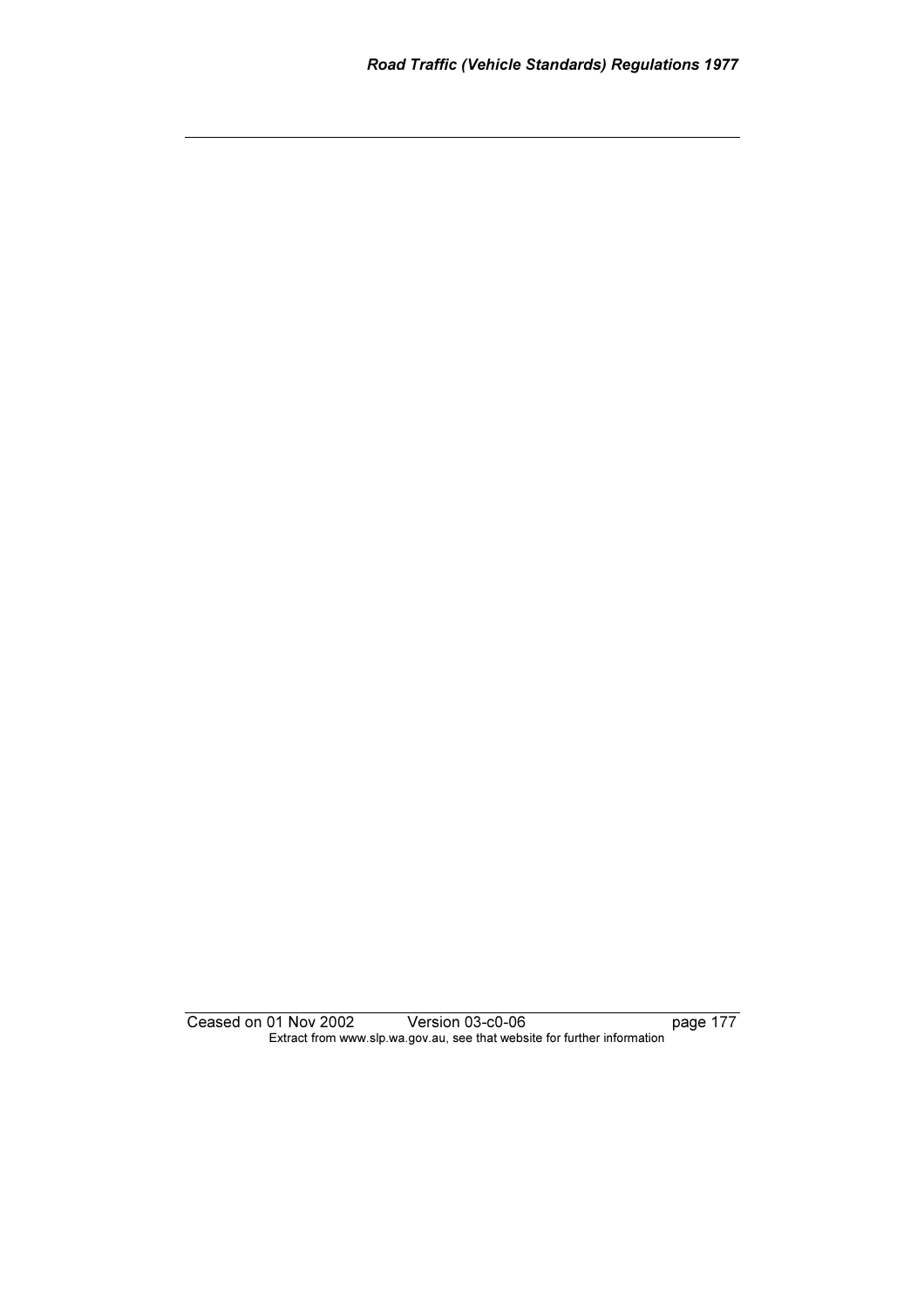Ceased on 01 Nov 2002 Version 03-c0-06 page 177 Extract from www.slp.wa.gov.au, see that website for further information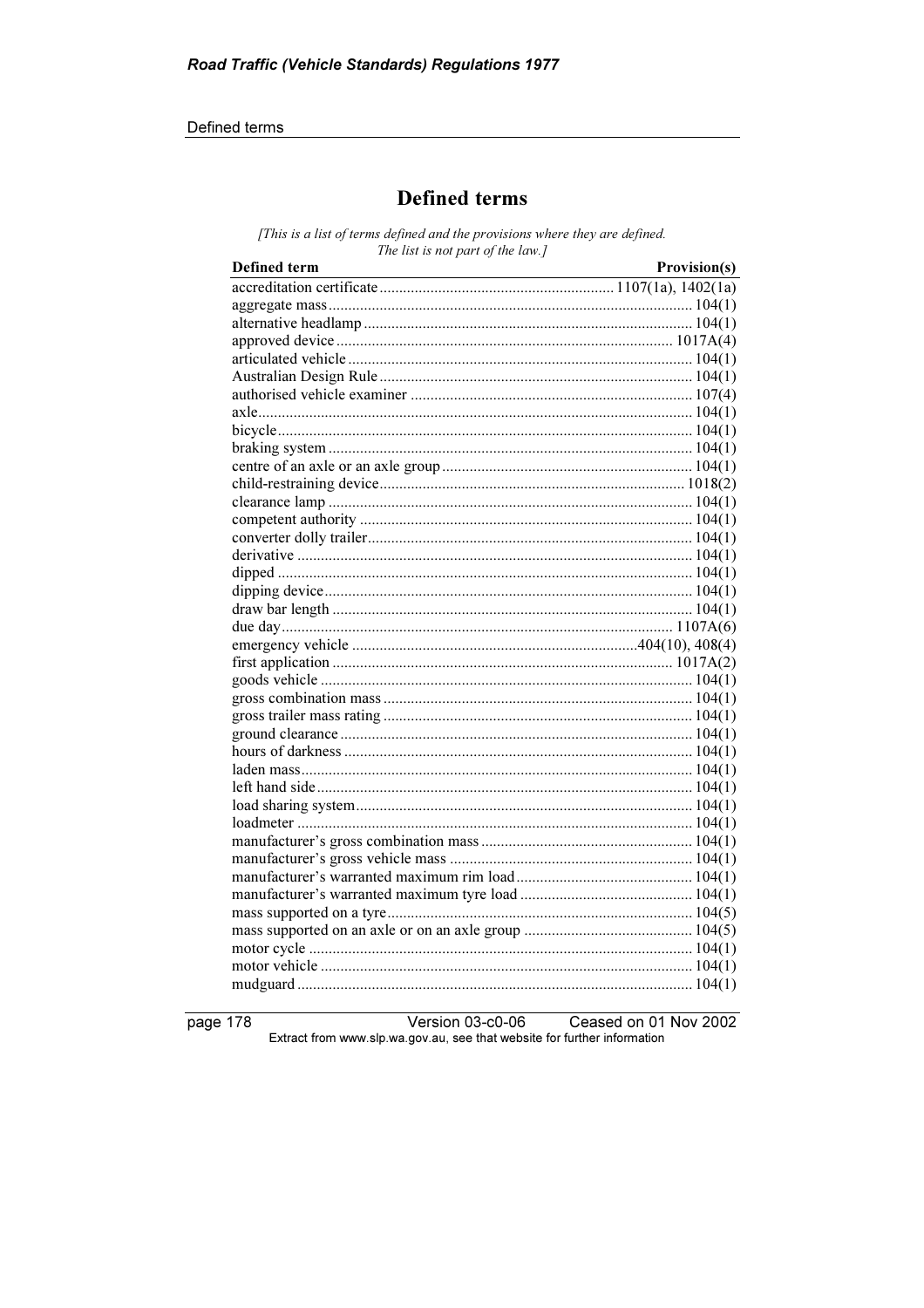## Defined terms

## **Defined terms**

[This is a list of terms defined and the provisions where they are defined. The list is not part of the law.]

| Defined term | Provision(s) |
|--------------|--------------|
|              |              |
|              |              |
|              |              |
|              |              |
|              |              |
|              |              |
|              |              |
|              |              |
|              |              |
|              |              |
|              |              |
|              |              |
|              |              |
|              |              |
|              |              |
|              |              |
|              |              |
|              |              |
|              |              |
|              |              |
|              |              |
|              |              |
|              |              |
|              |              |
|              |              |
|              |              |
|              |              |
|              |              |
|              |              |
|              |              |
|              |              |
|              |              |
|              |              |
|              |              |
|              |              |
|              |              |
|              |              |
|              |              |
|              |              |
|              |              |

page 178

Version 03-c0-06 Ceased on 01 Nov 2002 Extract from www.slp.wa.gov.au, see that website for further information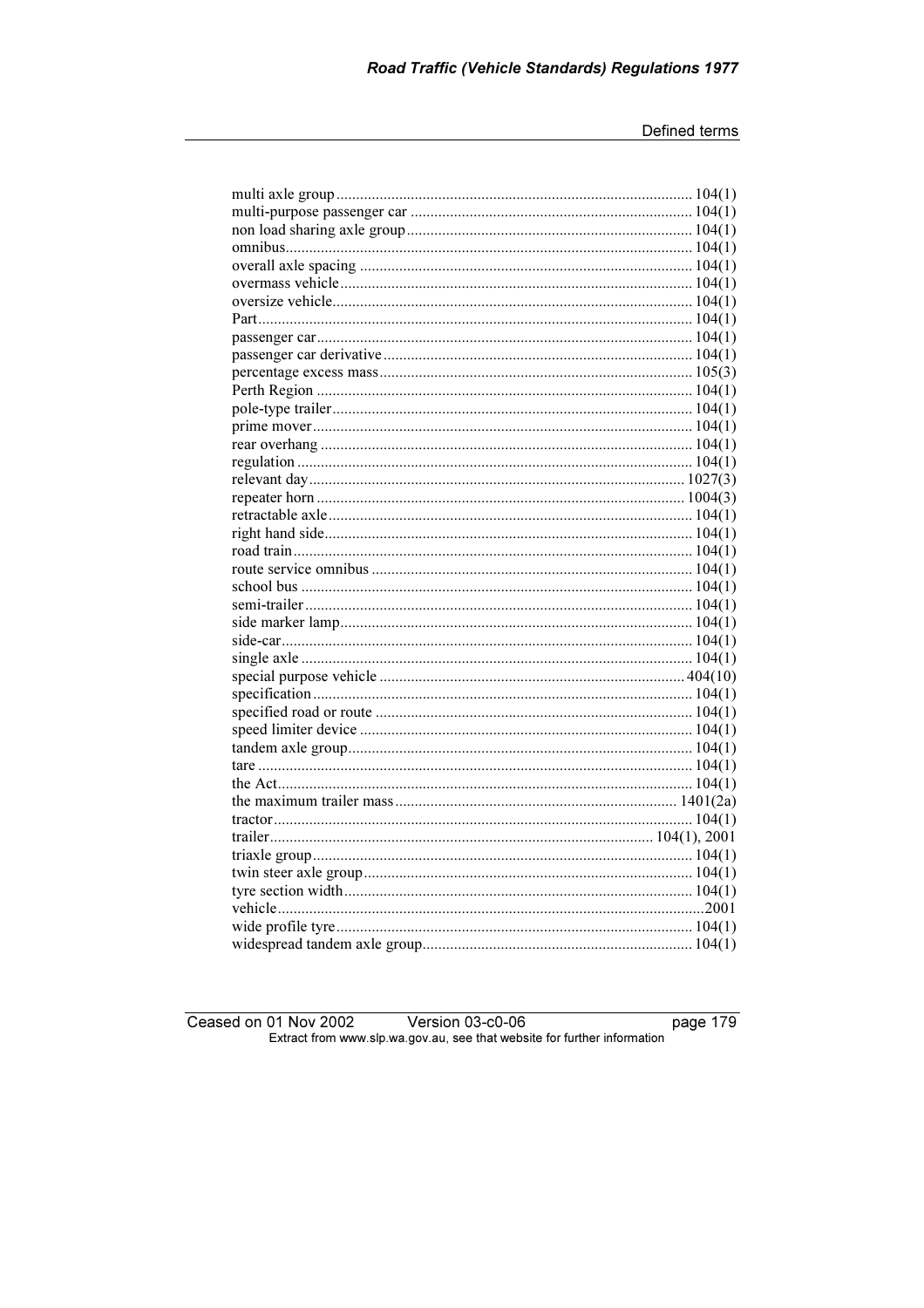## Defined terms

Ceased on 01 Nov 2002 page 179 Version 03-c0-06 Extract from www.slp.wa.gov.au, see that website for further information